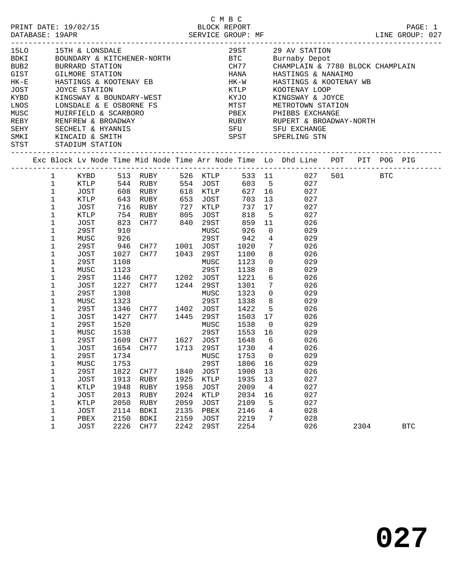|                                                                                               |                                                                                                                                                                                                                                                                                                                                                                                                  |                                                                                                                                                                                                                                    |                                                                                                                            |                                                                                                                                                                                                                                                                 |                                      |                                                                                                                            |                                                                                                                                                                                                                           |                                                                                                                                                                                                                                                     |                                                                                                                                                                                                                                                                                                            |      | PAGE: 1<br>LINE GROUP: 027 |  |
|-----------------------------------------------------------------------------------------------|--------------------------------------------------------------------------------------------------------------------------------------------------------------------------------------------------------------------------------------------------------------------------------------------------------------------------------------------------------------------------------------------------|------------------------------------------------------------------------------------------------------------------------------------------------------------------------------------------------------------------------------------|----------------------------------------------------------------------------------------------------------------------------|-----------------------------------------------------------------------------------------------------------------------------------------------------------------------------------------------------------------------------------------------------------------|--------------------------------------|----------------------------------------------------------------------------------------------------------------------------|---------------------------------------------------------------------------------------------------------------------------------------------------------------------------------------------------------------------------|-----------------------------------------------------------------------------------------------------------------------------------------------------------------------------------------------------------------------------------------------------|------------------------------------------------------------------------------------------------------------------------------------------------------------------------------------------------------------------------------------------------------------------------------------------------------------|------|----------------------------|--|
| 15LO<br><b>BDKI</b><br>BUB2<br>GIST<br>$HK-E$<br>JOST<br>KYBD<br>LNOS<br>MUSC<br>REBY<br>SEHY |                                                                                                                                                                                                                                                                                                                                                                                                  | 15TH & LONSDALE<br>BOUNDARY & KITCHENER-NORT<br>GILMORE STATION<br>JOYCE STATION<br>SMKI KINCAID & SMITH<br>STST STADIUM STATION                                                                                                   |                                                                                                                            | HASTINGS & KOOTENAY EB<br>JOYCE STATION<br>KINGSWAY & BOUNDARY-WEST<br>LONSDALE & E OSBORNE FS                                                                                                                                                                  |                                      |                                                                                                                            | <b>HANA</b><br>HK-W<br>KTLP<br>KTLP<br>KYJO<br><b>SPST</b>                                                                                                                                                                |                                                                                                                                                                                                                                                     | 29 ST 29 AV STATION<br>Burnaby Depot<br>CHAMPLAIN & 7780 BLOCK CHAMPLAIN<br>HASTINGS & NANAIMO<br>HASTINGS & KOOTENAY WB<br>KOOTENAY LOOP<br>KINGSWAY & JOYCE<br>MTST METROTOWN STATION<br>SPERLING STN                                                                                                    |      |                            |  |
|                                                                                               |                                                                                                                                                                                                                                                                                                                                                                                                  |                                                                                                                                                                                                                                    |                                                                                                                            |                                                                                                                                                                                                                                                                 |                                      |                                                                                                                            |                                                                                                                                                                                                                           |                                                                                                                                                                                                                                                     | Exc Block Lv Node Time Mid Node Time Arr Node Time Lo Dhd Line POT PIT POG PIG                                                                                                                                                                                                                             |      |                            |  |
|                                                                                               | $\mathbf{1}$<br>$\mathbf 1$<br>$\mathbf{1}$<br>$\mathbf{1}$<br>$\mathbf{1}$<br>$\mathbf 1$<br>$\mathbf 1$<br>$\mathbf 1$<br>$\mathbf 1$<br>$\mathbf 1$<br>$\mathbf 1$<br>$\mathbf{1}$<br>$\mathbf 1$<br>$\mathbf{1}$<br>$\mathbf 1$<br>1<br>$\mathbf 1$<br>$\mathbf 1$<br>$\mathbf 1$<br>1<br>$\mathbf 1$<br>$\mathbf 1$<br>$\mathbf 1$<br>$\mathbf{1}$<br>1<br>1<br>1<br>1<br>$\mathbf{1}$<br>1 | KYBD<br>JOST<br>KTLP<br>JOST<br>29ST<br>MUSC<br>29ST<br>JOST<br>29ST<br>MUSC<br>29ST<br>JOST<br>29ST<br>MUSC<br>29ST<br>JOST<br>29ST<br>MUSC<br>29ST<br>JOST<br>29ST<br>MUSC<br><b>29ST</b><br>JOST<br>KTLP<br>JOST<br><b>KTLP</b> | 910<br>926<br>1108<br>1123<br>1146<br>1227<br>1308<br>1323<br>1520<br>1538<br>1753<br>1822<br>1913<br>1948<br>2013<br>2050 | KTLP 643 RUBY 653 JOST<br>946 CH77 1001 JOST<br>1027 CH77 1043 29ST<br>CH77 1202 JOST<br>CH77 1244 29ST<br>1346 CH77 1402 JOST<br>1427 CH77 1445 29ST<br>1609 CH77 1627 JOST<br>1654 CH77 1713 29ST<br>1734 MUSC 1753 0<br>CH77<br>RUBY<br>RUBY<br>RUBY<br>RUBY | 1840<br>1925<br>1958<br>2024<br>2059 | MUSC<br>29ST<br>MUSC<br>29ST<br>MUSC<br>29ST<br>MUSC<br>29ST<br>29ST<br>JOST<br>KTLP<br><b>JOST</b><br>KTLP<br><b>JOST</b> | 603 5<br>627 16<br>703<br>737<br>818<br>859<br>926<br>942<br>1020<br>1100<br>1100<br>1123<br>1138<br>1221<br>1301<br>1323<br>1338<br>1422<br>1503<br>1538<br>1648<br>1730<br>1806<br>1900<br>1935<br>2009<br>2034<br>2109 | 17<br>5 <sup>5</sup><br>11<br>$\overline{0}$<br>$4\overline{ }$<br>$7\overline{ }$<br>8<br>$7\overline{ }$<br>$\overline{0}$<br>8<br>$5\overline{)}$<br>17<br>$\overline{0}$<br>$6\overline{6}$<br>$\overline{4}$<br>16<br>13<br>13<br>4<br>16<br>5 | 513 RUBY 526 KTLP 533 11 027 501 BTC<br>027<br>027<br>13<br>027<br>027<br>027<br>026<br>029<br>029<br>026<br>026<br>$\overline{0}$<br>029<br>8<br>029<br>$6\overline{6}$<br>026<br>026<br>029<br>029<br>026<br>026<br>029<br>1553 16<br>029<br>026<br>026<br>029<br>029<br>026<br>027<br>027<br>027<br>027 |      |                            |  |
|                                                                                               | 1<br>$\mathbf 1$<br>$\mathbf{1}$                                                                                                                                                                                                                                                                                                                                                                 | JOST<br>PBEX<br><b>JOST</b>                                                                                                                                                                                                        | 2114<br>2150<br>2226                                                                                                       | BDKI<br>BDKI<br>CH77                                                                                                                                                                                                                                            | 2135<br>2159<br>2242                 | PBEX<br><b>JOST</b><br>29ST                                                                                                | 2146<br>2219<br>2254                                                                                                                                                                                                      | 4<br>7                                                                                                                                                                                                                                              | 028<br>028<br>026                                                                                                                                                                                                                                                                                          | 2304 | <b>BTC</b>                 |  |

C M B C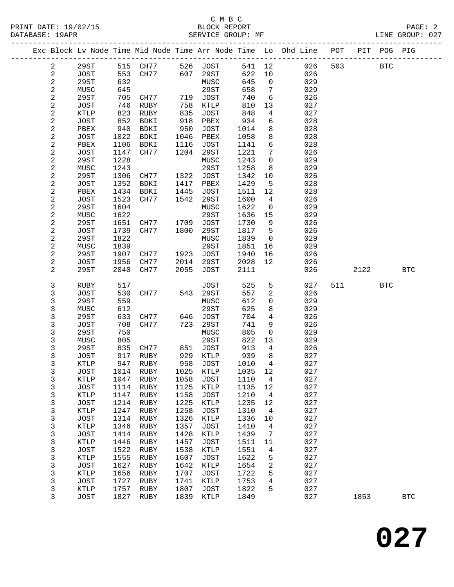|                         |                     |              |                                                                       |              |                     |              |                      | Exc Block Lv Node Time Mid Node Time Arr Node Time Lo Dhd Line POT |     |        | PIT POG PIG |            |
|-------------------------|---------------------|--------------|-----------------------------------------------------------------------|--------------|---------------------|--------------|----------------------|--------------------------------------------------------------------|-----|--------|-------------|------------|
| $\overline{a}$          | 29ST                |              |                                                                       |              |                     |              |                      | 541 12<br>026                                                      | 503 |        | <b>BTC</b>  |            |
| $\mathbf{2}$            | JOST                |              | 515   CH77           526    JOST<br>553    CH77           607    29ST |              |                     | 622          | 10                   | 026                                                                |     |        |             |            |
| 2                       | 29ST                | 632          |                                                                       |              | MUSC                | 645          | $\overline{0}$       | 029                                                                |     |        |             |            |
| $\overline{\mathbf{c}}$ | MUSC                | 645          |                                                                       |              | 29ST                | 658          | $\overline{7}$       | 029                                                                |     |        |             |            |
| $\overline{c}$          | 29ST                | 705          | CH77 719 JOST                                                         |              |                     | 740          | 6                    | 026                                                                |     |        |             |            |
| $\mathbf{2}$            | JOST                | 746          | RUBY                                                                  | 758          | KTLP                | 810          | 13                   | 027                                                                |     |        |             |            |
| $\sqrt{2}$              | KTLP                | 823          | RUBY                                                                  | 835          | JOST                | 848          | 4                    | 027                                                                |     |        |             |            |
| $\mathbf{2}$            | JOST                | 852          | BDKI                                                                  | 918          | PBEX                | 934          | 6                    | 028                                                                |     |        |             |            |
| $\overline{c}$          | PBEX                | 940          | BDKI                                                                  | 950          | JOST                | 1014         | 8                    | 028                                                                |     |        |             |            |
| $\mathbf{2}$            | JOST                | 1022         | BDKI                                                                  | 1046         | PBEX                | 1058         | 8                    | 028                                                                |     |        |             |            |
| $\sqrt{2}$              | PBEX                | 1106         | BDKI                                                                  | 1116         | JOST                | 1141         | 6                    | 028                                                                |     |        |             |            |
| $\boldsymbol{2}$<br>2   | JOST<br>29ST        | 1147<br>1228 | CH77                                                                  | 1204         | 29ST<br>MUSC        | 1221<br>1243 | 7<br>$\mathbf 0$     | 026<br>029                                                         |     |        |             |            |
| $\mathbf{2}$            | MUSC                | 1243         |                                                                       |              | 29ST                | 1258         | 8                    | 029                                                                |     |        |             |            |
| $\sqrt{2}$              | 29ST                | 1306         | CH77                                                                  | 1322         | JOST                | 1342         | 10                   | 026                                                                |     |        |             |            |
| $\mathbf{2}$            | JOST                | 1352         | BDKI                                                                  | 1417         | PBEX                | 1429         | 5                    | 028                                                                |     |        |             |            |
| 2                       | PBEX                | 1434         | BDKI                                                                  | 1445         | JOST                | 1511         | 12                   | 028                                                                |     |        |             |            |
| $\sqrt{2}$              | JOST                | 1523         | CH77                                                                  | 1542         | 29ST                | 1600         | $\overline{4}$       | 026                                                                |     |        |             |            |
| $\sqrt{2}$              | 29ST                | 1604         |                                                                       |              | MUSC                | 1622         | $\overline{0}$       | 029                                                                |     |        |             |            |
| $\mathbf{2}$            | MUSC                | 1622         |                                                                       |              | 29ST                | 1636         | 15                   | 029                                                                |     |        |             |            |
| $\overline{\mathbf{c}}$ | 29ST                | 1651         | CH77 1709                                                             |              | JOST                | 1730         | 9                    | 026                                                                |     |        |             |            |
| $\overline{c}$          | JOST                | 1739         | CH77                                                                  | 1800         | 29ST                | 1817         | 5                    | 026                                                                |     |        |             |            |
| $\mathbf{2}$            | 29ST                | 1822         |                                                                       |              | MUSC                | 1839         | $\overline{0}$       | 029                                                                |     |        |             |            |
| $\overline{\mathbf{c}}$ | MUSC                | 1839         |                                                                       |              | 29ST                | 1851         | 16                   | 029                                                                |     |        |             |            |
| $\overline{\mathbf{c}}$ | 29ST                | 1907         | CH77                                                                  | 1923         | JOST                | 1940         | 16                   | 026                                                                |     |        |             |            |
| $\overline{a}$          | JOST                | 1956         | CH77                                                                  | 2014         | 29ST                | 2028         | 12                   | 026                                                                |     |        |             |            |
| 2                       | 29ST                | 2040         | CH77                                                                  | 2055         | JOST                | 2111         |                      | 026                                                                |     | 2122   |             | <b>BTC</b> |
| 3                       | RUBY                | 517          |                                                                       |              | JOST                | 525          | $5\phantom{.0}$      | 027                                                                |     | 511 72 | <b>BTC</b>  |            |
| 3                       | JOST                | 530          | CH77                                                                  | 543          | 29ST                | 557          | 2                    | 026                                                                |     |        |             |            |
| 3                       | 29ST                | 559          |                                                                       |              | MUSC                | 612          | $\mathbf 0$          | 029                                                                |     |        |             |            |
| 3                       | MUSC                | 612          |                                                                       |              | 29ST                | 625          | 8                    | 029                                                                |     |        |             |            |
| 3                       | 29ST                | 633          | CH77                                                                  | 646          | JOST                | 704          | $\overline{4}$       | 026                                                                |     |        |             |            |
| $\mathfrak{Z}$          | JOST                | 708          | CH77                                                                  | 723          | 29ST                | 741          | 9                    | 026                                                                |     |        |             |            |
| 3                       | 29ST                | 750          |                                                                       |              | MUSC                | 805          | $\mathbf 0$          | 029                                                                |     |        |             |            |
| 3                       | MUSC                | 805          |                                                                       |              | 29ST                | 822          | 13                   | 029                                                                |     |        |             |            |
| 3                       | 29ST                | 835          | CH77 851 JOST                                                         |              |                     | 913          | $\overline{4}$       | 026                                                                |     |        |             |            |
| 3                       | JOST                | 917          | RUBY                                                                  | 929          | KTLP                | 939          | 8                    | 027                                                                |     |        |             |            |
| 3                       | <b>KTLP</b>         | 947          | RUBY                                                                  |              | 958 JOST            | 1010         | $\overline{4}$       | 027                                                                |     |        |             |            |
| 3                       | JOST                |              | 1014 RUBY 1025 KTLP 1035 12                                           |              |                     |              |                      | 027                                                                |     |        |             |            |
| 3                       | KTLP                | 1047         | RUBY                                                                  | 1058         | JOST                | 1110         | 4                    | 027                                                                |     |        |             |            |
| 3                       | <b>JOST</b>         | 1114<br>1147 | RUBY<br>RUBY                                                          | 1125<br>1158 | KTLP                | 1135<br>1210 | 12                   | 027<br>027                                                         |     |        |             |            |
| 3<br>3                  | KTLP<br><b>JOST</b> | 1214         | RUBY                                                                  | 1225         | <b>JOST</b><br>KTLP | 1235         | $\overline{4}$<br>12 | 027                                                                |     |        |             |            |
| 3                       | KTLP                | 1247         | RUBY                                                                  | 1258         | <b>JOST</b>         | 1310         | $\overline{4}$       | 027                                                                |     |        |             |            |
| 3                       | <b>JOST</b>         | 1314         | RUBY                                                                  | 1326         | KTLP                | 1336         | 10                   | 027                                                                |     |        |             |            |
| 3                       | KTLP                | 1346         | RUBY                                                                  | 1357         | JOST                | 1410         | 4                    | 027                                                                |     |        |             |            |
| 3                       | JOST                | 1414         | RUBY                                                                  | 1428         | KTLP                | 1439         | 7                    | 027                                                                |     |        |             |            |
| 3                       | <b>KTLP</b>         | 1446         | RUBY                                                                  | 1457         | <b>JOST</b>         | 1511         | 11                   | 027                                                                |     |        |             |            |
| 3                       | <b>JOST</b>         | 1522         | RUBY                                                                  | 1538         | KTLP                | 1551         | 4                    | 027                                                                |     |        |             |            |
| 3                       | KTLP                | 1555         | RUBY                                                                  | 1607         | JOST                | 1622         | 5                    | 027                                                                |     |        |             |            |
| 3                       | <b>JOST</b>         | 1627         | RUBY                                                                  | 1642         | KTLP                | 1654         | 2                    | 027                                                                |     |        |             |            |
| 3                       | KTLP                | 1656         | RUBY                                                                  | 1707         | <b>JOST</b>         | 1722         | 5                    | 027                                                                |     |        |             |            |
| 3                       | JOST                | 1727         | RUBY                                                                  | 1741         | KTLP                | 1753         | 4                    | 027                                                                |     |        |             |            |
| 3                       | KTLP                | 1757         | RUBY                                                                  | 1807         | JOST                | 1822         | 5                    | 027                                                                |     |        |             |            |
| 3                       | JOST                | 1827         | RUBY                                                                  | 1839         | KTLP                | 1849         |                      | 027                                                                |     | 1853   |             | <b>BTC</b> |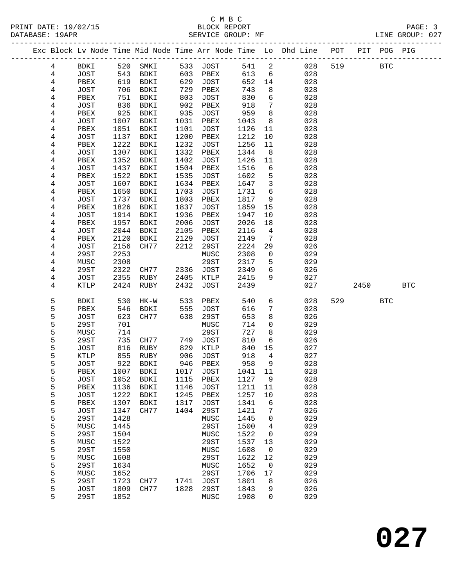### C M B C DATABASE: 19APR SERVICE GROUP: MF LINE GROUP: 027

#### ------------------------------------------------------------------------------------------------- Exc Block Lv Node Time Mid Node Time Arr Node Time Lo Dhd Line POT PIT POG PIG ------------------------------------------------------------------------------------------------- 4 BDKI 520 SMKI 533 JOST 541 2 028 519 BTC 4 JOST 543 BDKI 603 PBEX 613 6 028 4 PBEX 619 BDKI 629 JOST 652 14 028 4 JOST 706 BDKI 729 PBEX 743 8 028 4 PBEX 751 BDKI 803 JOST 830 6 028 4 JOST 836 BDKI 902 PBEX 918 7 028 4 PBEX 925 BDKI 935 JOST 959 8 028 4 JOST 1007 BDKI 1031 PBEX 1043 8 028 4 PBEX 1051 BDKI 1101 JOST 1126 11 028 4 JOST 1137 BDKI 1200 PBEX 1212 10 028 4 PBEX 1222 BDKI 1232 JOST 1256 11 028 4 JOST 1307 BDKI 1332 PBEX 1344 8 028 4 PBEX 1352 BDKI 1402 JOST 1426 11 028 4 JOST 1437 BDKI 1504 PBEX 1516 6 028 4 PBEX 1522 BDKI 1535 JOST 1602 5 028 4 JOST 1607 BDKI 1634 PBEX 1647 3 028 4 PBEX 1650 BDKI 1703 JOST 1731 6 028 4 JOST 1737 BDKI 1803 PBEX 1817 9 028 4 PBEX 1826 BDKI 1837 JOST 1859 15 028 4 JOST 1914 BDKI 1936 PBEX 1947 10 028 4 PBEX 1957 BDKI 2006 JOST 2026 18 028 4 JOST 2044 BDKI 2105 PBEX 2116 4 028 4 PBEX 2120 BDKI 2129 JOST 2149 7 028 4 JOST 2156 CH77 2212 29ST 2224 29 026 4 29ST 2253 MUSC 2308 0 029 4 MUSC 2308 29ST 2317 5 029 4 29ST 2322 CH77 2336 JOST 2349 6 026 4 JOST 2355 RUBY 2405 KTLP 2415 9 027 4 KTLP 2424 RUBY 2432 JOST 2439 027 2450 BTC 5 BDKI 530 HK-W 533 PBEX 540 6 028 529 BTC 5 PBEX 546 BDKI 555 JOST 616 7 028 5 JOST 623 CH77 638 29ST 653 8 026 5 29ST 701 MUSC 714 0 029 5 MUSC 714 29ST 727 8 029<br>5 29ST 735 CH77 749 JOST 810 6 026<br>5 JOST 816 RUBY 829 KTLP 840 15 027 5 29ST 735 CH77 749 JOST 810 6 026 5 JOST 816 RUBY 829 KTLP 840 15 027 5 KTLP 855 RUBY 906 JOST 918 4 027 5 JOST 922 BDKI 946 PBEX 958 9 028 5 PBEX 1007 BDKI 1017 JOST 1041 11 028 5 JOST 1052 BDKI 1115 PBEX 1127 9 028 5 PBEX 1136 BDKI 1146 JOST 1211 11 028 5 JOST 1222 BDKI 1245 PBEX 1257 10 028 5 PBEX 1307 BDKI 1317 JOST 1341 6 028 5 JOST 1347 CH77 1404 29ST 1421 7 026 5 29ST 1428 MUSC 1445 0 029 5 MUSC 1445 29ST 1500 4 029 5 29ST 1504 MUSC 1522 0 029 5 MUSC 1522 29ST 1537 13 029 5 MUSC 1522 29ST 1550<br>
5 29ST 1550 MUSC 1608 0 029<br>
5 29ST 1550 MUSC 1608 0 029<br>
5 MUSC 1608 29ST 1622 12 029<br>
5 29ST 1634 MUSC 1652 0 029 5 MUSC 1608 29ST 1622 12 029<br>5 29ST 1634 MUSC 1652 0 029<br>5 MUSC 1652 29ST 1706 17 029 5 29ST 1634 MUSC 1652 0 029 5 MUSC 1652 29ST 1706 17 029

 5 29ST 1723 CH77 1741 JOST 1801 8 026 5 JOST 1809 CH77 1828 29ST 1843 9 026 5 29ST 1852 MUSC 1908 0 029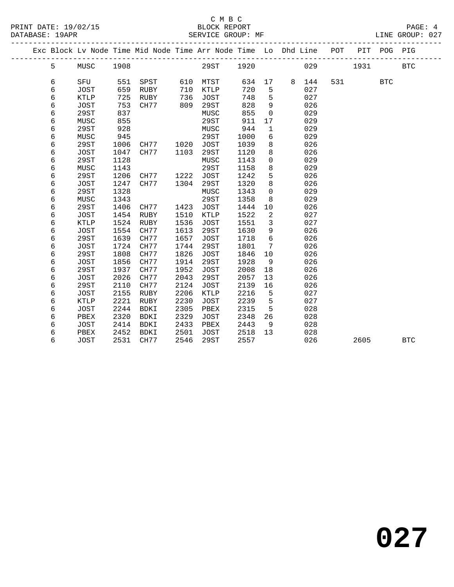## C M B C

| DATABASE: 19APR |   |             |      | SERVICE GROUP: MF                                                  |      |             |        |                 | -------------------- |       |       |             | LINE GROUP: 027 |  |
|-----------------|---|-------------|------|--------------------------------------------------------------------|------|-------------|--------|-----------------|----------------------|-------|-------|-------------|-----------------|--|
|                 |   |             |      | Exc Block Lv Node Time Mid Node Time Arr Node Time Lo Dhd Line POT |      |             |        |                 |                      |       |       | PIT POG PIG |                 |  |
|                 | 5 | MUSC        | 1908 |                                                                    |      | <b>29ST</b> | 1920   |                 |                      | 029   | 1931  |             | <b>BTC</b>      |  |
|                 | 6 | SFU         | 551  | SPST                                                               |      | 610 MTST    | 634 17 |                 |                      | 8 144 | 531 7 | <b>BTC</b>  |                 |  |
|                 | 6 | JOST        | 659  | RUBY                                                               | 710  | KTLP        | 720    | 5               |                      | 027   |       |             |                 |  |
|                 | 6 | KTLP        | 725  | RUBY                                                               | 736  | JOST        | 748    | 5               |                      | 027   |       |             |                 |  |
|                 | 6 | JOST        | 753  | CH77                                                               | 809  | 29ST        | 828    | 9               |                      | 026   |       |             |                 |  |
|                 | 6 | 29ST        | 837  |                                                                    |      | MUSC        | 855    | $\mathbf 0$     |                      | 029   |       |             |                 |  |
|                 | 6 | MUSC        | 855  |                                                                    |      | 29ST        | 911    | 17              |                      | 029   |       |             |                 |  |
|                 | 6 | 29ST        | 928  |                                                                    |      | MUSC        | 944    | $\mathbf{1}$    |                      | 029   |       |             |                 |  |
|                 | 6 | MUSC        | 945  |                                                                    |      | 29ST        | 1000   | 6               |                      | 029   |       |             |                 |  |
|                 | 6 | 29ST        | 1006 | CH77                                                               | 1020 | JOST        | 1039   | 8               |                      | 026   |       |             |                 |  |
|                 | 6 | JOST        | 1047 | CH77                                                               | 1103 | 29ST        | 1120   | 8               |                      | 026   |       |             |                 |  |
|                 | 6 | 29ST        | 1128 |                                                                    |      | MUSC        | 1143   | $\overline{0}$  |                      | 029   |       |             |                 |  |
|                 | 6 | MUSC        | 1143 |                                                                    |      | 29ST        | 1158   | 8               |                      | 029   |       |             |                 |  |
|                 | 6 | 29ST        | 1206 | CH77                                                               | 1222 | <b>JOST</b> | 1242   | 5               |                      | 026   |       |             |                 |  |
|                 | 6 | JOST        | 1247 | CH77                                                               | 1304 | 29ST        | 1320   | 8               |                      | 026   |       |             |                 |  |
|                 | 6 | 29ST        | 1328 |                                                                    |      | MUSC        | 1343   | $\mathbf 0$     |                      | 029   |       |             |                 |  |
|                 | 6 | MUSC        | 1343 |                                                                    |      | 29ST        | 1358   | 8               |                      | 029   |       |             |                 |  |
|                 | 6 | 29ST        | 1406 | CH77                                                               | 1423 | JOST        | 1444   | 10              |                      | 026   |       |             |                 |  |
|                 | 6 | JOST        | 1454 | RUBY                                                               | 1510 | KTLP        | 1522   | 2               |                      | 027   |       |             |                 |  |
|                 | 6 | <b>KTLP</b> | 1524 | RUBY                                                               | 1536 | <b>JOST</b> | 1551   | $\overline{3}$  |                      | 027   |       |             |                 |  |
|                 | 6 | JOST        | 1554 | CH77                                                               | 1613 | 29ST        | 1630   | 9               |                      | 026   |       |             |                 |  |
|                 | 6 | 29ST        | 1639 | CH77                                                               | 1657 | JOST        | 1718   | $6\overline{6}$ |                      | 026   |       |             |                 |  |
|                 | 6 | <b>JOST</b> | 1724 | CH77                                                               | 1744 | 29ST        | 1801   | 7               |                      | 026   |       |             |                 |  |
|                 | 6 | 29ST        | 1808 | CH77                                                               | 1826 | JOST        | 1846   | 10              |                      | 026   |       |             |                 |  |
|                 | 6 | JOST        | 1856 | CH77                                                               | 1914 | 29ST        | 1928   | 9               |                      | 026   |       |             |                 |  |
|                 | 6 | 29ST        | 1937 | CH77                                                               | 1952 | <b>JOST</b> | 2008   | 18              |                      | 026   |       |             |                 |  |
|                 | 6 | <b>JOST</b> | 2026 | CH77                                                               | 2043 | 29ST        | 2057   | 13              |                      | 026   |       |             |                 |  |
|                 | 6 | 29ST        | 2110 | CH77                                                               | 2124 | JOST        | 2139   | 16              |                      | 026   |       |             |                 |  |
|                 | 6 | JOST        | 2155 | RUBY                                                               | 2206 | KTLP        | 2216   | 5               |                      | 027   |       |             |                 |  |
|                 | 6 | <b>KTLP</b> | 2221 | RUBY                                                               | 2230 | JOST        | 2239   | 5               |                      | 027   |       |             |                 |  |
|                 | 6 | JOST        | 2244 | BDKI                                                               | 2305 | PBEX        | 2315   | 5               |                      | 028   |       |             |                 |  |
|                 | 6 | PBEX        | 2320 | BDKI                                                               | 2329 | JOST        | 2348   | 26              |                      | 028   |       |             |                 |  |
|                 | 6 | JOST        | 2414 | BDKI                                                               | 2433 | PBEX        | 2443   | 9               |                      | 028   |       |             |                 |  |
|                 | 6 | PBEX        | 2452 | BDKI                                                               | 2501 | JOST        | 2518   | 13              |                      | 028   |       |             |                 |  |
|                 | 6 | JOST        | 2531 | CH77                                                               | 2546 | 29ST        | 2557   |                 |                      | 026   | 2605  |             | <b>BTC</b>      |  |
|                 |   |             |      |                                                                    |      |             |        |                 |                      |       |       |             |                 |  |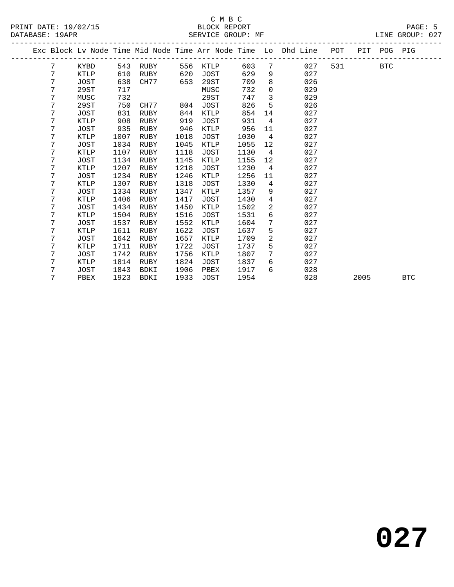|  |   |             |      |             |      |             |      |                 | Exc Block Lv Node Time Mid Node Time Arr Node Time Lo Dhd Line | POT |      | PIT POG PIG |            |
|--|---|-------------|------|-------------|------|-------------|------|-----------------|----------------------------------------------------------------|-----|------|-------------|------------|
|  | 7 | KYBD        | 543  | RUBY        | 556  | KTLP        | 603  | 7               | 027                                                            | 531 |      | <b>BTC</b>  |            |
|  | 7 | KTLP        | 610  | RUBY        | 620  | JOST        | 629  | 9               | 027                                                            |     |      |             |            |
|  | 7 | JOST        | 638  | CH77        | 653  | 29ST        | 709  | 8               | 026                                                            |     |      |             |            |
|  | 7 | 29ST        | 717  |             |      | MUSC        | 732  | $\mathbf 0$     | 029                                                            |     |      |             |            |
|  | 7 | MUSC        | 732  |             |      | 29ST        | 747  | 3               | 029                                                            |     |      |             |            |
|  | 7 | 29ST        | 750  | CH77        | 804  | JOST        | 826  | 5               | 026                                                            |     |      |             |            |
|  | 7 | <b>JOST</b> | 831  | RUBY        | 844  | KTLP        | 854  | 14              | 027                                                            |     |      |             |            |
|  | 7 | KTLP        | 908  | RUBY        | 919  | JOST        | 931  | $\overline{4}$  | 027                                                            |     |      |             |            |
|  | 7 | <b>JOST</b> | 935  | RUBY        | 946  | KTLP        | 956  | 11              | 027                                                            |     |      |             |            |
|  | 7 | KTLP        | 1007 | RUBY        | 1018 | JOST        | 1030 | $\overline{4}$  | 027                                                            |     |      |             |            |
|  | 7 | <b>JOST</b> | 1034 | RUBY        | 1045 | <b>KTLP</b> | 1055 | 12              | 027                                                            |     |      |             |            |
|  | 7 | <b>KTLP</b> | 1107 | RUBY        | 1118 | JOST        | 1130 | $\overline{4}$  | 027                                                            |     |      |             |            |
|  | 7 | JOST        | 1134 | RUBY        | 1145 | KTLP        | 1155 | 12              | 027                                                            |     |      |             |            |
|  | 7 | KTLP        | 1207 | RUBY        | 1218 | JOST        | 1230 | $4\overline{4}$ | 027                                                            |     |      |             |            |
|  | 7 | JOST        | 1234 | RUBY        | 1246 | KTLP        | 1256 | 11              | 027                                                            |     |      |             |            |
|  | 7 | <b>KTLP</b> | 1307 | RUBY        | 1318 | JOST        | 1330 | $\overline{4}$  | 027                                                            |     |      |             |            |
|  | 7 | JOST        | 1334 | RUBY        | 1347 | KTLP        | 1357 | 9               | 027                                                            |     |      |             |            |
|  | 7 | KTLP        | 1406 | RUBY        | 1417 | JOST        | 1430 | $\overline{4}$  | 027                                                            |     |      |             |            |
|  | 7 | <b>JOST</b> | 1434 | RUBY        | 1450 | KTLP        | 1502 | $\overline{2}$  | 027                                                            |     |      |             |            |
|  | 7 | KTLP        | 1504 | RUBY        | 1516 | JOST        | 1531 | 6               | 027                                                            |     |      |             |            |
|  | 7 | JOST        | 1537 | RUBY        | 1552 | <b>KTLP</b> | 1604 | 7               | 027                                                            |     |      |             |            |
|  | 7 | <b>KTLP</b> | 1611 | <b>RUBY</b> | 1622 | <b>JOST</b> | 1637 | 5               | 027                                                            |     |      |             |            |
|  | 7 | JOST        | 1642 | RUBY        | 1657 | KTLP        | 1709 | $\overline{a}$  | 027                                                            |     |      |             |            |
|  | 7 | KTLP        | 1711 | RUBY        | 1722 | JOST        | 1737 | 5               | 027                                                            |     |      |             |            |
|  | 7 | <b>JOST</b> | 1742 | <b>RUBY</b> | 1756 | KTLP        | 1807 | $7\overline{ }$ | 027                                                            |     |      |             |            |
|  | 7 | KTLP        | 1814 | RUBY        | 1824 | JOST        | 1837 | 6               | 027                                                            |     |      |             |            |
|  | 7 | JOST        | 1843 | BDKI        | 1906 | PBEX        | 1917 | 6               | 028                                                            |     |      |             |            |
|  | 7 | PBEX        | 1923 | <b>BDKI</b> | 1933 | <b>JOST</b> | 1954 |                 | 028                                                            |     | 2005 |             | <b>BTC</b> |
|  |   |             |      |             |      |             |      |                 |                                                                |     |      |             |            |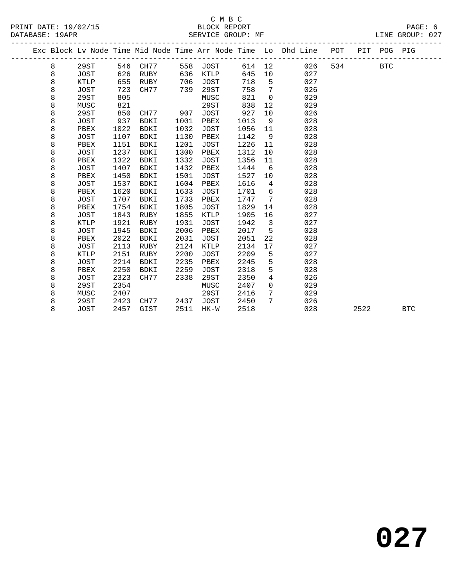|   |             |      |             |      |             |      |             | Exc Block Lv Node Time Mid Node Time Arr Node Time Lo Dhd Line | POT | PIT  | POG PIG    |            |
|---|-------------|------|-------------|------|-------------|------|-------------|----------------------------------------------------------------|-----|------|------------|------------|
| 8 | 29ST        | 546  | CH77        | 558  | JOST        | 614  | 12          | 026                                                            | 534 |      | <b>BTC</b> |            |
| 8 | JOST        | 626  | RUBY        | 636  | KTLP        | 645  | 10          | 027                                                            |     |      |            |            |
| 8 | KTLP        | 655  | RUBY        | 706  | JOST        | 718  | 5           | 027                                                            |     |      |            |            |
| 8 | JOST        | 723  | CH77        | 739  | 29ST        | 758  | 7           | 026                                                            |     |      |            |            |
| 8 | 29ST        | 805  |             |      | MUSC        | 821  | $\mathbf 0$ | 029                                                            |     |      |            |            |
| 8 | MUSC        | 821  |             |      | 29ST        | 838  | 12          | 029                                                            |     |      |            |            |
| 8 | 29ST        | 850  | CH77        | 907  | <b>JOST</b> | 927  | 10          | 026                                                            |     |      |            |            |
| 8 | JOST        | 937  | <b>BDKI</b> | 1001 | PBEX        | 1013 | 9           | 028                                                            |     |      |            |            |
| 8 | PBEX        | 1022 | <b>BDKI</b> | 1032 | <b>JOST</b> | 1056 | 11          | 028                                                            |     |      |            |            |
| 8 | <b>JOST</b> | 1107 | <b>BDKI</b> | 1130 | PBEX        | 1142 | 9           | 028                                                            |     |      |            |            |
| 8 | PBEX        | 1151 | <b>BDKI</b> | 1201 | JOST        | 1226 | 11          | 028                                                            |     |      |            |            |
| 8 | <b>JOST</b> | 1237 | <b>BDKI</b> | 1300 | PBEX        | 1312 | 10          | 028                                                            |     |      |            |            |
| 8 | PBEX        | 1322 | <b>BDKI</b> | 1332 | JOST        | 1356 | 11          | 028                                                            |     |      |            |            |
| 8 | <b>JOST</b> | 1407 | <b>BDKI</b> | 1432 | PBEX        | 1444 | 6           | 028                                                            |     |      |            |            |
| 8 | PBEX        | 1450 | <b>BDKI</b> | 1501 | <b>JOST</b> | 1527 | 10          | 028                                                            |     |      |            |            |
| 8 | <b>JOST</b> | 1537 | <b>BDKI</b> | 1604 | PBEX        | 1616 | 4           | 028                                                            |     |      |            |            |
| 8 | PBEX        | 1620 | <b>BDKI</b> | 1633 | JOST        | 1701 | 6           | 028                                                            |     |      |            |            |
| 8 | <b>JOST</b> | 1707 | <b>BDKI</b> | 1733 | PBEX        | 1747 | 7           | 028                                                            |     |      |            |            |
| 8 | PBEX        | 1754 | <b>BDKI</b> | 1805 | JOST        | 1829 | 14          | 028                                                            |     |      |            |            |
| 8 | <b>JOST</b> | 1843 | <b>RUBY</b> | 1855 | <b>KTLP</b> | 1905 | 16          | 027                                                            |     |      |            |            |
| 8 | KTLP        | 1921 | RUBY        | 1931 | <b>JOST</b> | 1942 | 3           | 027                                                            |     |      |            |            |
| 8 | JOST        | 1945 | <b>BDKI</b> | 2006 | PBEX        | 2017 | 5           | 028                                                            |     |      |            |            |
| 8 | PBEX        | 2022 | <b>BDKI</b> | 2031 | JOST        | 2051 | 22          | 028                                                            |     |      |            |            |
| 8 | JOST        | 2113 | <b>RUBY</b> | 2124 | KTLP        | 2134 | 17          | 027                                                            |     |      |            |            |
| 8 | <b>KTLP</b> | 2151 | <b>RUBY</b> | 2200 | JOST        | 2209 | 5           | 027                                                            |     |      |            |            |
| 8 | JOST        | 2214 | <b>BDKI</b> | 2235 | PBEX        | 2245 | 5           | 028                                                            |     |      |            |            |
| 8 | PBEX        | 2250 | <b>BDKI</b> | 2259 | JOST        | 2318 | 5           | 028                                                            |     |      |            |            |
| 8 | JOST        | 2323 | CH77        | 2338 | 29ST        | 2350 | 4           | 026                                                            |     |      |            |            |
| 8 | 29ST        | 2354 |             |      | MUSC        | 2407 | 0           | 029                                                            |     |      |            |            |
| 8 | MUSC        | 2407 |             |      | 29ST        | 2416 | 7           | 029                                                            |     |      |            |            |
| 8 | 29ST        | 2423 | CH77        | 2437 | JOST        | 2450 | 7           | 026                                                            |     |      |            |            |
| 8 | JOST        | 2457 | GIST        | 2511 | HK-W        | 2518 |             | 028                                                            |     | 2522 |            | <b>BTC</b> |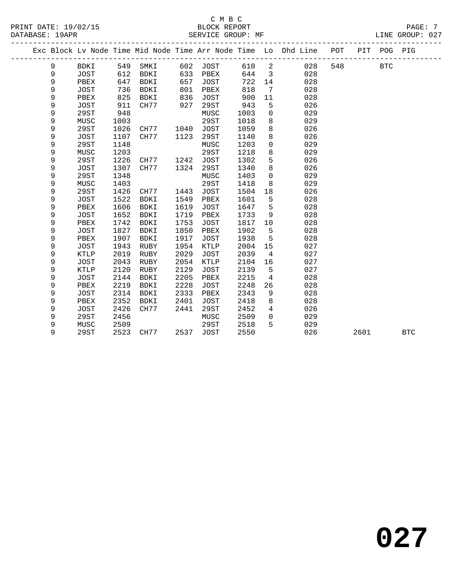#### C M B C<br>BLOCK REPORT PRINT DATE: 19/02/15 BLOCK REPORT PAGE: 7 SERVICE GROUP: MF

|  |   |             |      |             |      |             |      |                | Exc Block Lv Node Time Mid Node Time Arr Node Time Lo Dhd Line | POT | PIT  | POG PIG    |            |  |
|--|---|-------------|------|-------------|------|-------------|------|----------------|----------------------------------------------------------------|-----|------|------------|------------|--|
|  | 9 | <b>BDKI</b> | 549  | SMKI        | 602  | JOST        | 610  | 2              | 028                                                            | 548 |      | <b>BTC</b> |            |  |
|  | 9 | JOST        | 612  | <b>BDKI</b> | 633  | PBEX        | 644  | $\mathbf{3}$   | 028                                                            |     |      |            |            |  |
|  | 9 | PBEX        | 647  | <b>BDKI</b> | 657  | <b>JOST</b> | 722  | 14             | 028                                                            |     |      |            |            |  |
|  | 9 | <b>JOST</b> | 736  | <b>BDKI</b> | 801  | PBEX        | 818  | 7              | 028                                                            |     |      |            |            |  |
|  | 9 | PBEX        | 825  | BDKI        | 836  | <b>JOST</b> | 900  | 11             | 028                                                            |     |      |            |            |  |
|  | 9 | JOST        | 911  | CH77        | 927  | 29ST        | 943  | 5              | 026                                                            |     |      |            |            |  |
|  | 9 | 29ST        | 948  |             |      | MUSC        | 1003 | 0              | 029                                                            |     |      |            |            |  |
|  | 9 | MUSC        | 1003 |             |      | 29ST        | 1018 | 8              | 029                                                            |     |      |            |            |  |
|  | 9 | <b>29ST</b> | 1026 | CH77        | 1040 | <b>JOST</b> | 1059 | 8              | 026                                                            |     |      |            |            |  |
|  | 9 | <b>JOST</b> | 1107 | CH77        | 1123 | 29ST        | 1140 | 8              | 026                                                            |     |      |            |            |  |
|  | 9 | 29ST        | 1148 |             |      | MUSC        | 1203 | 0              | 029                                                            |     |      |            |            |  |
|  | 9 | MUSC        | 1203 |             |      | 29ST        | 1218 | 8              | 029                                                            |     |      |            |            |  |
|  | 9 | 29ST        | 1226 | CH77        | 1242 | <b>JOST</b> | 1302 | 5              | 026                                                            |     |      |            |            |  |
|  | 9 | <b>JOST</b> | 1307 | CH77        | 1324 | 29ST        | 1340 | 8              | 026                                                            |     |      |            |            |  |
|  | 9 | <b>29ST</b> | 1348 |             |      | MUSC        | 1403 | $\mathbf 0$    | 029                                                            |     |      |            |            |  |
|  | 9 | MUSC        | 1403 |             |      | 29ST        | 1418 | 8              | 029                                                            |     |      |            |            |  |
|  | 9 | 29ST        | 1426 | CH77        | 1443 | <b>JOST</b> | 1504 | 18             | 026                                                            |     |      |            |            |  |
|  | 9 | <b>JOST</b> | 1522 | <b>BDKI</b> | 1549 | PBEX        | 1601 | 5              | 028                                                            |     |      |            |            |  |
|  | 9 | PBEX        | 1606 | <b>BDKI</b> | 1619 | JOST        | 1647 | 5              | 028                                                            |     |      |            |            |  |
|  | 9 | <b>JOST</b> | 1652 | <b>BDKI</b> | 1719 | PBEX        | 1733 | 9              | 028                                                            |     |      |            |            |  |
|  | 9 | PBEX        | 1742 | <b>BDKI</b> | 1753 | <b>JOST</b> | 1817 | 10             | 028                                                            |     |      |            |            |  |
|  | 9 | <b>JOST</b> | 1827 | BDKI        | 1850 | PBEX        | 1902 | 5              | 028                                                            |     |      |            |            |  |
|  | 9 | PBEX        | 1907 | <b>BDKI</b> | 1917 | <b>JOST</b> | 1938 | 5              | 028                                                            |     |      |            |            |  |
|  | 9 | JOST        | 1943 | RUBY        | 1954 | KTLP        | 2004 | 15             | 027                                                            |     |      |            |            |  |
|  | 9 | KTLP        | 2019 | RUBY        | 2029 | <b>JOST</b> | 2039 | 4              | 027                                                            |     |      |            |            |  |
|  | 9 | <b>JOST</b> | 2043 | RUBY        | 2054 | KTLP        | 2104 | 16             | 027                                                            |     |      |            |            |  |
|  | 9 | <b>KTLP</b> | 2120 | <b>RUBY</b> | 2129 | <b>JOST</b> | 2139 | 5              | 027                                                            |     |      |            |            |  |
|  | 9 | <b>JOST</b> | 2144 | <b>BDKI</b> | 2205 | PBEX        | 2215 | 4              | 028                                                            |     |      |            |            |  |
|  | 9 | PBEX        | 2219 | <b>BDKI</b> | 2228 | <b>JOST</b> | 2248 | 26             | 028                                                            |     |      |            |            |  |
|  | 9 | <b>JOST</b> | 2314 | BDKI        | 2333 | PBEX        | 2343 | 9              | 028                                                            |     |      |            |            |  |
|  | 9 | PBEX        | 2352 | <b>BDKI</b> | 2401 | <b>JOST</b> | 2418 | 8              | 028                                                            |     |      |            |            |  |
|  | 9 | <b>JOST</b> | 2426 | CH77        | 2441 | 29ST        | 2452 | $\overline{4}$ | 026                                                            |     |      |            |            |  |
|  | 9 | 29ST        | 2456 |             |      | MUSC        | 2509 | 0              | 029                                                            |     |      |            |            |  |
|  | 9 | MUSC        | 2509 |             |      | 29ST        | 2518 | 5              | 029                                                            |     |      |            |            |  |
|  | 9 | <b>29ST</b> | 2523 | CH77        | 2537 | <b>JOST</b> | 2550 |                | 026                                                            |     | 2601 |            | <b>BTC</b> |  |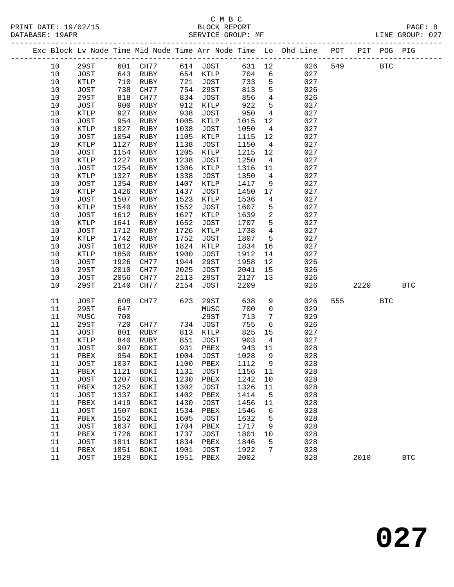|  |            |                     |              |                     |              |                     |              |                      | Exc Block Lv Node Time Mid Node Time Arr Node Time Lo Dhd Line POT |     |      | PIT POG PIG  |              |
|--|------------|---------------------|--------------|---------------------|--------------|---------------------|--------------|----------------------|--------------------------------------------------------------------|-----|------|--------------|--------------|
|  | 10         | 29ST                |              | 601 CH77            |              | 614 JOST            | 631 12       |                      | 026                                                                | 549 |      | $_{\rm BTC}$ |              |
|  | 10         | JOST                | 643          | RUBY                |              | 654 KTLP            | 704          | $6\overline{6}$      | 027                                                                |     |      |              |              |
|  | $10$       | KTLP                | 710          | RUBY                | 721          | JOST                | 733          | 5                    | 027                                                                |     |      |              |              |
|  | 10         | JOST                | 738          | CH77                | 754          | 29ST                | 813          | $5\phantom{.0}$      | 026                                                                |     |      |              |              |
|  | 10         | 29ST                | 818          | CH77                | 834          | JOST                | 856          | $\overline{4}$       | 026                                                                |     |      |              |              |
|  | $10$       | JOST                | 900          | RUBY                | 912          | KTLP                | 922          | 5                    | 027                                                                |     |      |              |              |
|  | $10$       | KTLP                | 927          | RUBY                | 938          | JOST                | 950          | $\overline{4}$       | 027                                                                |     |      |              |              |
|  | 10         | JOST                | 954          | RUBY                | 1005         | KTLP                | 1015         | 12                   | 027                                                                |     |      |              |              |
|  | 10         | KTLP                | 1027         | RUBY                | 1038         | JOST                | 1050         | $\overline{4}$       | 027                                                                |     |      |              |              |
|  | $10$       | JOST                | 1054         | RUBY                | 1105         | KTLP                | 1115         | 12                   | 027                                                                |     |      |              |              |
|  | $10$       | $\texttt{KTLP}$     | 1127         | RUBY                | 1138         | JOST                | 1150         | $\overline{4}$       | 027                                                                |     |      |              |              |
|  | 10         | JOST                | 1154         | RUBY                | 1205         | KTLP                | 1215         | 12                   | 027                                                                |     |      |              |              |
|  | 10<br>$10$ | KTLP<br><b>JOST</b> | 1227<br>1254 | RUBY<br>RUBY        | 1238<br>1306 | JOST<br>KTLP        | 1250<br>1316 | $\overline{4}$<br>11 | 027<br>027                                                         |     |      |              |              |
|  | 10         | KTLP                | 1327         | RUBY                | 1338         | JOST                | 1350         | $\overline{4}$       | 027                                                                |     |      |              |              |
|  | $10$       | JOST                | 1354         | RUBY                | 1407         | KTLP                | 1417         | 9                    | 027                                                                |     |      |              |              |
|  | 10         | KTLP                | 1426         | RUBY                | 1437         | JOST                | 1450         | 17                   | 027                                                                |     |      |              |              |
|  | 10         | <b>JOST</b>         | 1507         | RUBY                | 1523         | KTLP                | 1536         | $\overline{4}$       | 027                                                                |     |      |              |              |
|  | 10         | $\texttt{KTLP}$     | 1540         | RUBY                | 1552         | JOST                | 1607         | $5\phantom{.0}$      | 027                                                                |     |      |              |              |
|  | $10$       | JOST                | 1612         | RUBY                | 1627         | KTLP                | 1639         | $\overline{a}$       | 027                                                                |     |      |              |              |
|  | 10         | KTLP                | 1641         | RUBY                | 1652         | <b>JOST</b>         | 1707         | 5                    | 027                                                                |     |      |              |              |
|  | $10$       | JOST                | 1712         | RUBY                | 1726         | KTLP                | 1738         | $\overline{4}$       | 027                                                                |     |      |              |              |
|  | $10$       | KTLP                | 1742         | RUBY                | 1752         | JOST                | 1807         | 5                    | 027                                                                |     |      |              |              |
|  | $10$       | JOST                | 1812         | RUBY                | 1824         | KTLP                | 1834         | 16                   | 027                                                                |     |      |              |              |
|  | 10         | KTLP                | 1850         | RUBY                | 1900         | JOST                | 1912         | 14                   | 027                                                                |     |      |              |              |
|  | 10         | JOST                | 1926         | CH77                | 1944         | 29ST                | 1958         | 12                   | 026                                                                |     |      |              |              |
|  | $10$       | 29ST                | 2010         | CH77                | 2025         | <b>JOST</b>         | 2041         | 15                   | 026                                                                |     |      |              |              |
|  | $10$       | JOST                | 2056         | CH77                | 2113         | 29ST                | 2127         | 13                   | 026                                                                |     |      |              |              |
|  | 10         | 29ST                | 2140         | CH77                | 2154         | JOST                | 2209         |                      | 026                                                                |     | 2220 |              | $_{\rm BTC}$ |
|  | 11         | <b>JOST</b>         | 608          | CH77                | 623          | 29ST                | 638          | 9                    | 026                                                                | 555 |      | <b>BTC</b>   |              |
|  | 11         | <b>29ST</b>         | 647          |                     |              | MUSC                | 700          | $\mathbf 0$          | 029                                                                |     |      |              |              |
|  | 11         | MUSC                | 700          |                     |              | 29ST                | 713          | 7                    | 029                                                                |     |      |              |              |
|  | 11         | <b>29ST</b>         | 720          | CH77                | 734          | JOST                | 755          | 6                    | 026                                                                |     |      |              |              |
|  | 11         | JOST                | 801          | RUBY                | 813          | KTLP                | 825          | 15                   | 027                                                                |     |      |              |              |
|  | 11         | KTLP                | 840          | RUBY                | 851          | JOST                | 903          | $\overline{4}$       | 027                                                                |     |      |              |              |
|  | 11         | JOST                | 907          | BDKI                | 931          | PBEX                | 943          | 11                   | 028                                                                |     |      |              |              |
|  | 11         | PBEX                | 954          | BDKI                | 1004         | JOST                | 1028         | 9                    | 028                                                                |     |      |              |              |
|  | 11         | JOST                | 1037         | BDKI                | 1100         | PBEX                | 1112         | 9                    | 028                                                                |     |      |              |              |
|  | 11         | PBEX                |              | 1121 BDKI 1131 JOST |              |                     | 1156 11      |                      | 028                                                                |     |      |              |              |
|  | 11         | JOST                | 1207         | BDKI                | 1230         | PBEX                | 1242         | 10                   | 028                                                                |     |      |              |              |
|  | 11         | PBEX                | 1252         | BDKI                | 1302         | JOST                | 1326         | 11                   | 028                                                                |     |      |              |              |
|  | 11         | JOST                | 1337         | BDKI                | 1402         | PBEX                | 1414         | 5                    | 028                                                                |     |      |              |              |
|  | 11         | PBEX                | 1419         | BDKI                | 1430         | <b>JOST</b>         | 1456         | 11                   | 028                                                                |     |      |              |              |
|  | 11         | JOST                | 1507         | BDKI                | 1534         | PBEX                | 1546         | 6                    | 028                                                                |     |      |              |              |
|  | 11<br>11   | PBEX<br>JOST        | 1552<br>1637 | BDKI<br>BDKI        | 1605<br>1704 | <b>JOST</b><br>PBEX | 1632<br>1717 | 5<br>9               | 028<br>028                                                         |     |      |              |              |
|  | 11         | PBEX                | 1726         | <b>BDKI</b>         | 1737         | <b>JOST</b>         | 1801         | 10                   | 028                                                                |     |      |              |              |
|  | 11         | JOST                | 1811         | BDKI                | 1834         | PBEX                | 1846         | 5                    | 028                                                                |     |      |              |              |
|  | 11         | PBEX                | 1851         | BDKI                | 1901         | <b>JOST</b>         | 1922         | 7                    | 028                                                                |     |      |              |              |
|  | 11         | <b>JOST</b>         | 1929         | BDKI                | 1951         | PBEX                | 2002         |                      | 028                                                                |     | 2010 |              | <b>BTC</b>   |
|  |            |                     |              |                     |              |                     |              |                      |                                                                    |     |      |              |              |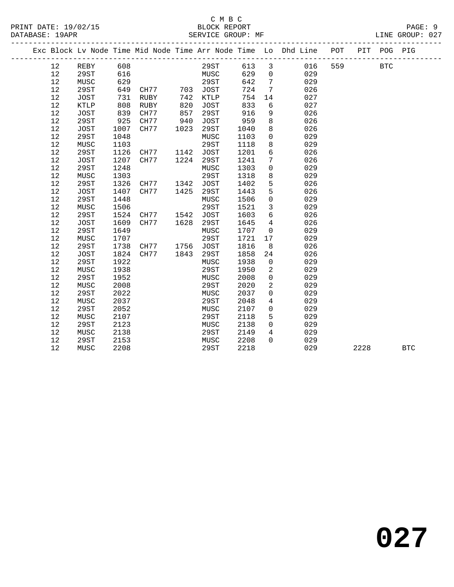|    |             |      |           |      |             |      |                 | Exc Block Lv Node Time Mid Node Time Arr Node Time Lo Dhd Line | POT |      | PIT POG PIG |            |
|----|-------------|------|-----------|------|-------------|------|-----------------|----------------------------------------------------------------|-----|------|-------------|------------|
| 12 | REBY        | 608  |           |      | 29ST        | 613  | $\mathbf{3}$    | 016                                                            | 559 |      | <b>BTC</b>  |            |
| 12 | 29ST        | 616  |           |      | MUSC        | 629  | $\mathbf{0}$    | 029                                                            |     |      |             |            |
| 12 | MUSC        | 629  |           |      | 29ST        | 642  | $7\phantom{.0}$ | 029                                                            |     |      |             |            |
| 12 | 29ST        | 649  | CH77      | 703  | JOST        | 724  | 7               | 026                                                            |     |      |             |            |
| 12 | <b>JOST</b> | 731  | RUBY      | 742  | KTLP        | 754  | 14              | 027                                                            |     |      |             |            |
| 12 | KTLP        | 808  | RUBY      | 820  | JOST        | 833  | 6               | 027                                                            |     |      |             |            |
| 12 | JOST        | 839  | CH77      | 857  | 29ST        | 916  | 9               | 026                                                            |     |      |             |            |
| 12 | 29ST        | 925  | CH77      | 940  | JOST        | 959  | 8               | 026                                                            |     |      |             |            |
| 12 | JOST        | 1007 | CH77      | 1023 | 29ST        | 1040 | 8               | 026                                                            |     |      |             |            |
| 12 | 29ST        | 1048 |           |      | MUSC        | 1103 | $\mathsf{O}$    | 029                                                            |     |      |             |            |
| 12 | MUSC        | 1103 |           |      | 29ST        | 1118 | 8               | 029                                                            |     |      |             |            |
| 12 | 29ST        | 1126 | CH77      | 1142 | JOST        | 1201 | 6               | 026                                                            |     |      |             |            |
| 12 | JOST        | 1207 | CH77      | 1224 | 29ST        | 1241 | $7\phantom{.0}$ | 026                                                            |     |      |             |            |
| 12 | 29ST        | 1248 |           |      | MUSC        | 1303 | $\mathbf 0$     | 029                                                            |     |      |             |            |
| 12 | MUSC        | 1303 |           |      | 29ST        | 1318 | 8               | 029                                                            |     |      |             |            |
| 12 | <b>29ST</b> | 1326 | CH77      | 1342 | <b>JOST</b> | 1402 | 5               | 026                                                            |     |      |             |            |
| 12 | <b>JOST</b> | 1407 | CH77      | 1425 | 29ST        | 1443 | $5\phantom{.0}$ | 026                                                            |     |      |             |            |
| 12 | 29ST        | 1448 |           |      | MUSC        | 1506 | $\mathbf 0$     | 029                                                            |     |      |             |            |
| 12 | MUSC        | 1506 |           |      | 29ST        | 1521 | 3               | 029                                                            |     |      |             |            |
| 12 | 29ST        | 1524 | CH77 1542 |      | JOST        | 1603 | 6               | 026                                                            |     |      |             |            |
| 12 | <b>JOST</b> | 1609 | CH77      | 1628 | 29ST        | 1645 | $\overline{4}$  | 026                                                            |     |      |             |            |
| 12 | 29ST        | 1649 |           |      | MUSC        | 1707 | $\mathbf 0$     | 029                                                            |     |      |             |            |
| 12 | MUSC        | 1707 |           |      | 29ST        | 1721 | 17              | 029                                                            |     |      |             |            |
| 12 | <b>29ST</b> | 1738 | CH77      |      | 1756 JOST   | 1816 | 8               | 026                                                            |     |      |             |            |
| 12 | JOST        | 1824 | CH77      | 1843 | 29ST        | 1858 | 24              | 026                                                            |     |      |             |            |
| 12 | <b>29ST</b> | 1922 |           |      | MUSC        | 1938 | $\overline{0}$  | 029                                                            |     |      |             |            |
| 12 | MUSC        | 1938 |           |      | 29ST        | 1950 | 2               | 029                                                            |     |      |             |            |
| 12 | 29ST        | 1952 |           |      | MUSC        | 2008 | $\mathbf 0$     | 029                                                            |     |      |             |            |
| 12 | MUSC        | 2008 |           |      | 29ST        | 2020 | 2               | 029                                                            |     |      |             |            |
| 12 | 29ST        | 2022 |           |      | MUSC        | 2037 | $\Omega$        | 029                                                            |     |      |             |            |
| 12 | MUSC        | 2037 |           |      | 29ST        | 2048 | $\overline{4}$  | 029                                                            |     |      |             |            |
| 12 | 29ST        | 2052 |           |      | MUSC        | 2107 | $\mathbf 0$     | 029                                                            |     |      |             |            |
| 12 | MUSC        | 2107 |           |      | 29ST        | 2118 | 5               | 029                                                            |     |      |             |            |
| 12 | <b>29ST</b> | 2123 |           |      | MUSC        | 2138 | $\Omega$        | 029                                                            |     |      |             |            |
| 12 | MUSC        | 2138 |           |      | 29ST        | 2149 | 4               | 029                                                            |     |      |             |            |
| 12 | 29ST        | 2153 |           |      | MUSC        | 2208 | $\Omega$        | 029                                                            |     |      |             |            |
| 12 | MUSC        | 2208 |           |      | 29ST        | 2218 |                 | 029                                                            |     | 2228 |             | <b>BTC</b> |
|    |             |      |           |      |             |      |                 |                                                                |     |      |             |            |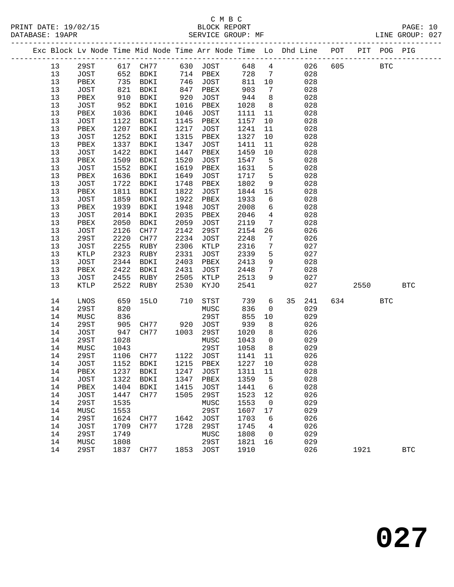### C M B C<br>BLOCK REPORT SERVICE GROUP: MF

|  |    |      |              | Exc Block Lv Node Time Mid Node Time Arr Node Time Lo Dhd Line POT |      |             |                |                   |    |     |          |      | PIT POG PIG |            |
|--|----|------|--------------|--------------------------------------------------------------------|------|-------------|----------------|-------------------|----|-----|----------|------|-------------|------------|
|  | 13 | 29ST |              | 617 CH77                                                           |      | 630 JOST    | 648            | $\overline{4}$    |    | 026 | 605      |      | <b>BTC</b>  |            |
|  | 13 | JOST |              | <sub>--יי</sub> שם 652<br>735 BDKI<br>דאחת המוד                    |      | 714 PBEX    | 728            | $7\phantom{0}$    |    | 028 |          |      |             |            |
|  | 13 | PBEX |              |                                                                    |      | 746 JOST    | 811            | 10                |    | 028 |          |      |             |            |
|  | 13 | JOST | $0 -$<br>910 | BDKI                                                               | 847  | PBEX        |                | $\overline{7}$    |    | 028 |          |      |             |            |
|  | 13 | PBEX |              | BDKI                                                               | 920  | JOST        | $903$<br>$944$ | 8                 |    | 028 |          |      |             |            |
|  | 13 | JOST | 952          | BDKI                                                               | 1016 | PBEX        | 1028           | 8 <sup>8</sup>    |    | 028 |          |      |             |            |
|  | 13 | PBEX | 1036         | BDKI                                                               | 1046 | JOST        | 1111           | 11                |    | 028 |          |      |             |            |
|  | 13 | JOST | 1122         | BDKI                                                               | 1145 | PBEX        | 1157           | 10                |    | 028 |          |      |             |            |
|  | 13 | PBEX | 1207         | BDKI                                                               | 1217 | JOST        | 1241           | 11                |    | 028 |          |      |             |            |
|  | 13 | JOST | 1252         | BDKI                                                               | 1315 | PBEX        | 1327           | 10                |    | 028 |          |      |             |            |
|  | 13 | PBEX | 1337         | BDKI                                                               | 1347 | JOST        | 1411           | 11                |    | 028 |          |      |             |            |
|  | 13 | JOST | 1422         | BDKI                                                               | 1447 | PBEX        | 1459           | 10                |    | 028 |          |      |             |            |
|  | 13 | PBEX | 1509         | BDKI                                                               | 1520 | JOST        | 1547           | 5                 |    | 028 |          |      |             |            |
|  | 13 | JOST | 1552         | BDKI                                                               | 1619 | PBEX        | 1631           | 5                 |    | 028 |          |      |             |            |
|  | 13 | PBEX | 1636         | <b>BDKI</b>                                                        | 1649 | <b>JOST</b> | 1717           | 5                 |    | 028 |          |      |             |            |
|  | 13 | JOST | 1722         | BDKI                                                               | 1748 | PBEX        | 1802           | 9                 |    | 028 |          |      |             |            |
|  | 13 | PBEX | 1811         | BDKI                                                               | 1822 | JOST        | 1844           | 15                |    | 028 |          |      |             |            |
|  | 13 | JOST | 1859         | BDKI                                                               | 1922 | PBEX        | 1933           | 6                 |    | 028 |          |      |             |            |
|  | 13 | PBEX | 1939         | BDKI                                                               | 1948 | <b>JOST</b> | 2008           | 6                 |    | 028 |          |      |             |            |
|  | 13 | JOST | 2014         | <b>BDKI</b>                                                        | 2035 | PBEX        | 2046           | $\overline{4}$    |    | 028 |          |      |             |            |
|  | 13 | PBEX | 2050         | BDKI                                                               | 2059 | JOST        | 2119           | $7\phantom{.0}$   |    | 028 |          |      |             |            |
|  | 13 | JOST | 2126         | CH77                                                               | 2142 | 29ST        | 2154           | 26                |    | 026 |          |      |             |            |
|  | 13 | 29ST | 2220         | CH77                                                               | 2234 | JOST        | 2248           | $7\phantom{.0}\,$ |    | 026 |          |      |             |            |
|  | 13 | JOST | 2255         | RUBY                                                               | 2306 | KTLP        | 2316           | 7                 |    | 027 |          |      |             |            |
|  | 13 | KTLP | 2323         | RUBY                                                               | 2331 | <b>JOST</b> | 2339           | 5                 |    | 027 |          |      |             |            |
|  | 13 | JOST | 2344         | BDKI                                                               | 2403 | PBEX        | 2413           | 9                 |    | 028 |          |      |             |            |
|  | 13 | PBEX | 2422         | BDKI                                                               | 2431 | JOST        | 2448           | $7\phantom{.0}$   |    | 028 |          |      |             |            |
|  | 13 | JOST | 2455         | RUBY                                                               | 2505 | KTLP        | 2513           | 9                 |    | 027 |          |      |             |            |
|  | 13 | KTLP | 2522         | RUBY                                                               | 2530 | KYJO        | 2541           |                   |    | 027 |          | 2550 |             | <b>BTC</b> |
|  |    |      |              |                                                                    |      |             |                |                   |    |     |          |      |             |            |
|  | 14 | LNOS | 659          | 15LO                                                               | 710  | STST        | 739            | 6                 | 35 | 241 | 634 — 10 |      | <b>BTC</b>  |            |
|  | 14 | 29ST | 820          |                                                                    |      | MUSC        | 836            | $\overline{0}$    |    | 029 |          |      |             |            |
|  | 14 | MUSC | 836          |                                                                    |      | 29ST        | 855            | 10                |    | 029 |          |      |             |            |
|  | 14 | 29ST | 905          | CH77                                                               |      | 920 JOST    | 939            | 8                 |    | 026 |          |      |             |            |
|  | 14 | JOST | 947          | CH77                                                               | 1003 | 29ST        | 1020           | 8                 |    | 026 |          |      |             |            |
|  | 14 | 29ST | 1028         |                                                                    |      | MUSC        | 1043           | $\overline{0}$    |    | 029 |          |      |             |            |
|  | 14 | MUSC | 1043         |                                                                    |      | 29ST        | 1058           | 8                 |    | 029 |          |      |             |            |
|  | 14 | 29ST | 1106         | CH77                                                               |      | 1122 JOST   | 1141           | 11                |    | 026 |          |      |             |            |
|  | 14 | JOST | 1152         | BDKI                                                               |      | 1215 PBEX   | 1227           | 10                |    | 028 |          |      |             |            |
|  | 14 | PBEX | 1237         | BDKI                                                               | 1247 | JOST        | 1311           | 11                |    | 028 |          |      |             |            |
|  | 14 | JOST | 1322         | BDKI                                                               | 1347 | PBEX        | 1359           | $-5$              |    | 028 |          |      |             |            |
|  | 14 | PBEX | 1404         | BDKI                                                               | 1415 | JOST        | 1441           | $6\overline{6}$   |    | 028 |          |      |             |            |
|  | 14 | JOST | 1447         | CH77                                                               | 1505 | 29ST        | 1523           | 12                |    | 026 |          |      |             |            |
|  | 14 | 29ST | 1535         |                                                                    |      | MUSC        | 1553           | $\overline{0}$    |    | 029 |          |      |             |            |
|  | 14 | MUSC | 1553         |                                                                    |      | 29ST        | 1607 17        |                   |    | 029 |          |      |             |            |
|  |    |      |              |                                                                    |      |             |                |                   |    |     |          |      |             |            |

14 29ST 1837 CH77 1853 JOST 1910 026 1921 BTC

 14 29ST 1624 CH77 1642 JOST 1703 6 026 14 JOST 1709 CH77 1728 29ST 1745 4 026 14 29ST 1749 MUSC 1808 0 029 14 MUSC 1808 29ST 1821 16 029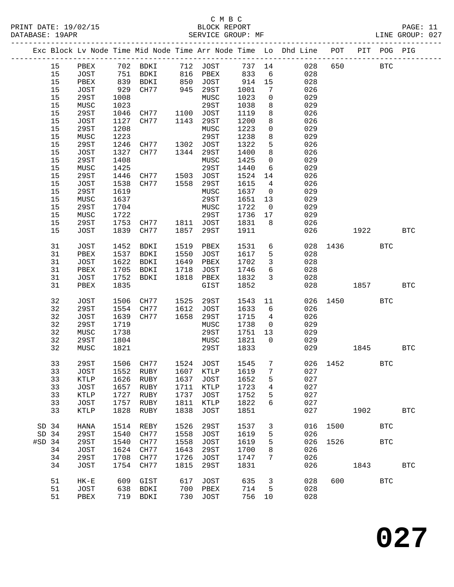#### C M B C<br>BLOCK REPORT PRINT DATE: 19/02/15 BLOCK REPORT PAGE: 11 SERVICE GROUP: MF

|          |      |             |      |                     |      |             |      |                 | Exc Block Lv Node Time Mid Node Time Arr Node Time Lo Dhd Line POT PIT POG PIG |           |            |            |              |
|----------|------|-------------|------|---------------------|------|-------------|------|-----------------|--------------------------------------------------------------------------------|-----------|------------|------------|--------------|
|          | 15   |             |      |                     |      |             |      |                 | PBEX 702 BDKI 712 JOST 737 14 028<br>JOST 751 BDKI 816 PBEX 833 6 028          | 650       | <b>BTC</b> |            |              |
|          | 15   |             |      |                     |      |             | 833  | $6\overline{6}$ |                                                                                |           |            |            |              |
|          | 15   | PBEX        |      | 839 BDKI            |      | 850 JOST    | 914  | 15              | 028                                                                            |           |            |            |              |
|          | 15   | JOST        | 929  | CH77                |      | 945 29ST    | 1001 | 7               | 026                                                                            |           |            |            |              |
|          | 15   | 29ST        | 1008 |                     |      | MUSC        | 1023 | $\mathsf{O}$    | 029                                                                            |           |            |            |              |
|          | 15   | MUSC        | 1023 |                     |      | 29ST        | 1038 | 8               | 029                                                                            |           |            |            |              |
|          | 15   | 29ST        | 1046 | CH77 1100 JOST      |      |             | 1119 | 8               | 026                                                                            |           |            |            |              |
|          | 15   | <b>JOST</b> | 1127 | CH77                |      | 1143 29ST   | 1200 | 8               | 026                                                                            |           |            |            |              |
|          | 15   | 29ST        | 1208 |                     |      | MUSC        | 1223 | $\mathsf{O}$    | 029                                                                            |           |            |            |              |
|          | 15   | MUSC        | 1223 |                     |      | 29ST        | 1238 | 8               | 029                                                                            |           |            |            |              |
|          | 15   | 29ST        |      | 1246 CH77 1302 JOST |      |             | 1322 | 5               | 026                                                                            |           |            |            |              |
|          | 15   | JOST        | 1327 | CH77                |      | 1344 29ST   | 1400 | 8               | 026                                                                            |           |            |            |              |
|          | 15   | 29ST        | 1408 |                     |      | MUSC        | 1425 | $\overline{0}$  | 029                                                                            |           |            |            |              |
|          |      |             |      |                     |      |             |      |                 |                                                                                |           |            |            |              |
|          | 15   | MUSC        | 1425 |                     |      | 29ST        | 1440 | 6               | 029                                                                            |           |            |            |              |
|          | 15   | 29ST        | 1446 | CH77 1503 JOST      |      |             | 1524 | 14              | 026                                                                            |           |            |            |              |
|          | $15$ | JOST        | 1538 | CH77                |      | 1558 29ST   | 1615 | $\overline{4}$  | 026                                                                            |           |            |            |              |
|          | 15   | 29ST        | 1619 |                     |      | MUSC        | 1637 | $\overline{0}$  | 029                                                                            |           |            |            |              |
|          | 15   | MUSC        | 1637 |                     |      | 29ST        | 1651 | 13              | 029                                                                            |           |            |            |              |
|          | 15   | 29ST        | 1704 |                     |      | MUSC        | 1722 | $\overline{0}$  | 029                                                                            |           |            |            |              |
|          | $15$ | MUSC        | 1722 |                     |      | 29ST        | 1736 | 17              | 029                                                                            |           |            |            |              |
|          | 15   | 29ST        | 1753 | CH77 1811 JOST      |      |             | 1831 | 8               | 026                                                                            |           |            |            |              |
|          | 15   | JOST        |      | 1839 CH77           |      | 1857 29ST   | 1911 |                 | 026                                                                            |           | 1922       |            | <b>BTC</b>   |
|          | 31   | <b>JOST</b> | 1452 | BDKI                | 1519 | PBEX        | 1531 | 6               |                                                                                | 028 1436  |            | <b>BTC</b> |              |
|          | 31   | PBEX        |      | 1537 BDKI           |      | 1550 JOST   | 1617 | 5               | 028                                                                            |           |            |            |              |
|          | 31   | JOST        |      | 1622 BDKI           | 1649 | PBEX        | 1702 | $\overline{3}$  | 028                                                                            |           |            |            |              |
|          | 31   | PBEX        | 1705 | BDKI                | 1718 | JOST        | 1746 | $6\overline{6}$ | 028                                                                            |           |            |            |              |
|          | 31   | JOST        | 1752 | BDKI                | 1818 | PBEX        | 1832 | $\mathbf{3}$    | 028                                                                            |           |            |            |              |
|          | 31   | PBEX        | 1835 |                     |      | GIST        | 1852 |                 | 028                                                                            |           | 1857       |            | <b>BTC</b>   |
|          | 32   | <b>JOST</b> | 1506 | CH77 1525           |      | 29ST        | 1543 | 11              |                                                                                | 026 1450  |            | <b>BTC</b> |              |
|          | 32   | 29ST        | 1554 | CH77                |      | 1612 JOST   | 1633 | 6               | 026                                                                            |           |            |            |              |
|          | 32   | JOST        | 1639 | CH77                |      | 1658 29ST   | 1715 | $4\overline{4}$ | 026                                                                            |           |            |            |              |
|          | 32   | 29ST        | 1719 |                     |      | MUSC        | 1738 | $\overline{0}$  | 029                                                                            |           |            |            |              |
|          | 32   | MUSC        | 1738 |                     |      | 29ST        | 1751 | 13              | 029                                                                            |           |            |            |              |
|          | 32   | 29ST        | 1804 |                     |      | MUSC        | 1821 | $\overline{0}$  | 029                                                                            |           |            |            |              |
|          | 32   | MUSC        | 1821 |                     |      | 29ST        | 1833 |                 |                                                                                | 029 — 102 | 1845       |            | <b>BTC</b>   |
|          |      |             |      |                     |      |             |      |                 |                                                                                |           |            |            |              |
|          | 33   | 29ST        |      | 1506 CH77 1524 JOST |      |             | 1545 | $7\phantom{.0}$ |                                                                                | 026 1452  |            | <b>BTC</b> |              |
|          | 33   |             |      |                     |      |             |      |                 | JOST 1552 RUBY 1607 KTLP 1619 7 027                                            |           |            |            |              |
|          | 33   | KTLP        | 1626 | RUBY                | 1637 | JOST        | 1652 | 5               | 027                                                                            |           |            |            |              |
|          | 33   | JOST        | 1657 | RUBY                | 1711 | KTLP        | 1723 | 4               | 027                                                                            |           |            |            |              |
|          | 33   | KTLP        | 1727 | RUBY                | 1737 | JOST        | 1752 | 5               | 027                                                                            |           |            |            |              |
|          | 33   | <b>JOST</b> | 1757 | RUBY                | 1811 | KTLP        | 1822 | 6               | 027                                                                            |           |            |            |              |
|          | 33   | KTLP        | 1828 | RUBY                | 1838 | JOST        | 1851 |                 | 027                                                                            |           | 1902       |            | <b>BTC</b>   |
| SD 34    |      | HANA        | 1514 | REBY                | 1526 | 29ST        | 1537 | $\mathbf{3}$    |                                                                                | 016 1500  |            | <b>BTC</b> |              |
| SD 34    |      | 29ST        | 1540 | CH77                | 1558 | JOST        | 1619 | 5               | 026                                                                            |           |            |            |              |
| $#SD$ 34 |      | 29ST        | 1540 | CH77                | 1558 | <b>JOST</b> | 1619 | 5               | 026                                                                            | 1526      |            | <b>BTC</b> |              |
|          | 34   | <b>JOST</b> | 1624 | CH77                | 1643 | 29ST        | 1700 | 8               | 026                                                                            |           |            |            |              |
|          | 34   | 29ST        | 1708 | CH77                | 1726 | JOST        | 1747 | 7               | 026                                                                            |           |            |            |              |
|          | 34   | JOST        | 1754 | CH77                | 1815 | 29ST        | 1831 |                 | 026                                                                            |           | 1843       |            |              |
|          |      |             |      |                     |      |             |      |                 |                                                                                |           |            |            | $_{\rm BTC}$ |
|          | 51   | $HK-E$      | 609  | GIST                | 617  | JOST        | 635  | $\mathbf{3}$    | 028                                                                            | 600       |            | <b>BTC</b> |              |
|          | 51   | <b>JOST</b> | 638  | BDKI                | 700  | PBEX        | 714  | 5               | 028                                                                            |           |            |            |              |
|          | 51   | PBEX        |      | 719 BDKI            | 730  | JOST        | 756  | 10              | 028                                                                            |           |            |            |              |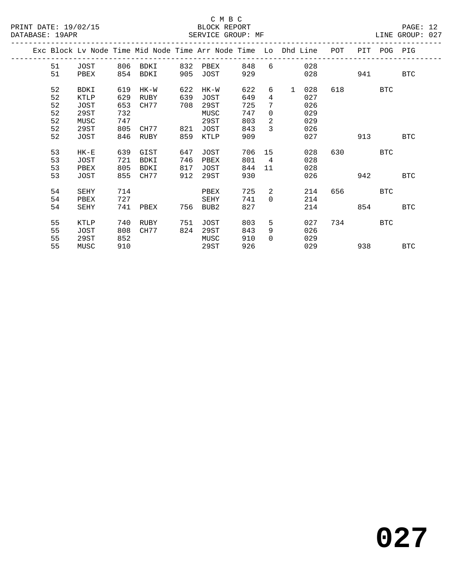|  |    |        |     | Exc Block Ly Node Time Mid Node Time Arr Node Time Lo Dhd Line |     |             |     |                |              |     | POT | PIT | POG PIG    |            |
|--|----|--------|-----|----------------------------------------------------------------|-----|-------------|-----|----------------|--------------|-----|-----|-----|------------|------------|
|  | 51 | JOST   | 806 | BDKI                                                           | 832 | PBEX        | 848 | 6              |              | 028 |     |     |            |            |
|  | 51 | PBEX   | 854 | BDKI                                                           | 905 | JOST        | 929 |                |              | 028 |     | 941 |            | <b>BTC</b> |
|  | 52 | BDKI   | 619 | HK-W                                                           | 622 | $HK-W$      | 622 | 6              | $\mathbf{1}$ | 028 | 618 |     | <b>BTC</b> |            |
|  | 52 | KTLP   | 629 | RUBY                                                           | 639 | JOST        | 649 | 4              |              | 027 |     |     |            |            |
|  | 52 | JOST   | 653 | CH77                                                           | 708 | 29ST        | 725 | 7              |              | 026 |     |     |            |            |
|  | 52 | 29ST   | 732 |                                                                |     | MUSC        | 747 | 0              |              | 029 |     |     |            |            |
|  | 52 | MUSC   | 747 |                                                                |     | 29ST        | 803 | $\overline{2}$ |              | 029 |     |     |            |            |
|  | 52 | 29ST   | 805 | CH77                                                           | 821 | JOST        | 843 | 3              |              | 026 |     |     |            |            |
|  | 52 | JOST   | 846 | RUBY                                                           | 859 | KTLP        | 909 |                |              | 027 |     | 913 |            | <b>BTC</b> |
|  |    |        |     |                                                                |     |             |     |                |              |     |     |     |            |            |
|  | 53 | $HK-E$ | 639 | GIST                                                           | 647 | JOST        | 706 | 15             |              | 028 | 630 |     | <b>BTC</b> |            |
|  | 53 | JOST   | 721 | BDKI                                                           | 746 | PBEX        | 801 | $\overline{4}$ |              | 028 |     |     |            |            |
|  | 53 | PBEX   | 805 | BDKI                                                           | 817 | JOST        | 844 | 11             |              | 028 |     |     |            |            |
|  | 53 | JOST   | 855 | CH77                                                           | 912 | 29ST        | 930 |                |              | 026 |     | 942 |            | <b>BTC</b> |
|  |    |        |     |                                                                |     |             |     |                |              |     |     |     |            |            |
|  | 54 | SEHY   | 714 |                                                                |     | PBEX        | 725 | $\overline{2}$ |              | 214 | 656 |     | BTC        |            |
|  | 54 | PBEX   | 727 |                                                                |     | <b>SEHY</b> | 741 | $\Omega$       |              | 214 |     |     |            |            |
|  | 54 | SEHY   | 741 | PBEX                                                           | 756 | BUB2        | 827 |                |              | 214 |     | 854 |            | <b>BTC</b> |
|  |    |        |     |                                                                |     |             |     |                |              |     |     |     |            |            |
|  | 55 | KTLP   | 740 | RUBY                                                           | 751 | JOST        | 803 | 5              |              | 027 | 734 |     | BTC        |            |
|  | 55 | JOST   | 808 | CH77                                                           | 824 | 29ST        | 843 | 9              |              | 026 |     |     |            |            |
|  | 55 | 29ST   | 852 |                                                                |     | MUSC        | 910 | $\Omega$       |              | 029 |     |     |            |            |
|  | 55 | MUSC   | 910 |                                                                |     | 29ST        | 926 |                |              | 029 |     | 938 |            | <b>BTC</b> |
|  |    |        |     |                                                                |     |             |     |                |              |     |     |     |            |            |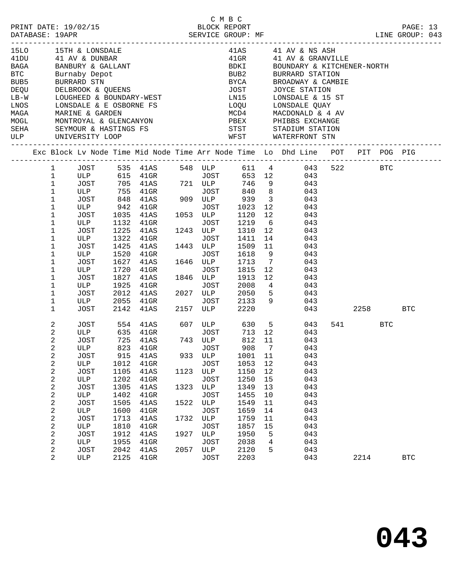|                              |                                                                                                                                                                                                                              |                                                                                                                                                                                                           |                                                                                                             |                                                                                                                                                                                 |                                                     | C M B C                                                                                                                                                                                                    |                                                                                                                                 |                                                                                 |                                                                                                                                                                                                                                                                                                                                                                                                                                                                                                                                                                                                                                                                  |     |               |            |                     |  |
|------------------------------|------------------------------------------------------------------------------------------------------------------------------------------------------------------------------------------------------------------------------|-----------------------------------------------------------------------------------------------------------------------------------------------------------------------------------------------------------|-------------------------------------------------------------------------------------------------------------|---------------------------------------------------------------------------------------------------------------------------------------------------------------------------------|-----------------------------------------------------|------------------------------------------------------------------------------------------------------------------------------------------------------------------------------------------------------------|---------------------------------------------------------------------------------------------------------------------------------|---------------------------------------------------------------------------------|------------------------------------------------------------------------------------------------------------------------------------------------------------------------------------------------------------------------------------------------------------------------------------------------------------------------------------------------------------------------------------------------------------------------------------------------------------------------------------------------------------------------------------------------------------------------------------------------------------------------------------------------------------------|-----|---------------|------------|---------------------|--|
| 15LO 15TH & LONSDALE<br>LNOS |                                                                                                                                                                                                                              |                                                                                                                                                                                                           |                                                                                                             | 1510 151H & LONSDALE<br>41 DU 41 AV & DUNBAR<br>BAGA BANBURY & GALLANT<br>BTC BURNARD STN<br>DEQU DELBROOK & QUEENS<br>LB-W LOUGHEED & BOUNDARY-WEST<br>LONSDALE & E OSBORNE FS |                                                     |                                                                                                                                                                                                            | BUB2<br><b>BYCA</b><br>JOST<br>LN15                                                                                             |                                                                                 | $41AS$ $41AV & NS ASH$<br>41GR             41   AV  &  GRANVILLE<br>BDKI              BOUNDARY  &  KITCHENER-NORTH<br>BURRARD STATION<br>BROADWAY & CAMBIE<br>JOYCE STATION<br>LONSDALE & 15 ST<br>LOQU LONSDALE QUAY<br>$\begin{tabular}{lllllllllllllllllllll} \hline \texttt{MAGA} & \texttt{MARINE & GARDEN} & \texttt{MCO & MACDOMALD} & \texttt{A} & \texttt{A} & \texttt{NACDOMALD} & \texttt{A} & \texttt{A} & \texttt{NACDOMALD} & \texttt{A} & \texttt{A} & \texttt{NACDOMALD} & \texttt{A} & \texttt{A} & \texttt{NACDOMALD} & \texttt{A} & \texttt{A} & \texttt{NACDOMALD} & \texttt{A} & \texttt{A} & \texttt{NACDOMALD} & \texttt{A} & \texttt{A}$ |     |               |            |                     |  |
|                              |                                                                                                                                                                                                                              |                                                                                                                                                                                                           |                                                                                                             |                                                                                                                                                                                 |                                                     |                                                                                                                                                                                                            |                                                                                                                                 |                                                                                 | Exc Block Lv Node Time Mid Node Time Arr Node Time Lo Dhd Line POT PIT POG PIG                                                                                                                                                                                                                                                                                                                                                                                                                                                                                                                                                                                   |     |               |            |                     |  |
|                              | $\mathbf{1}$<br>$\mathbf 1$<br>$\mathbf{1}$<br>$\mathbf{1}$<br>$\mathbf 1$<br>$\mathbf{1}$<br>$\mathbf 1$<br>1<br>1<br>1<br>1<br>1<br>1<br>1<br>1<br>1<br>1<br>$\mathbf{1}$                                                  | ULP 942 41GR<br>JOST<br>ULP<br>JOST<br>ULP<br>JOST<br>ULP<br>JOST<br>ULP<br>JOST<br>ULP<br>JOST<br>ULP                                                                                                    | 1035<br>1225<br>1425<br>1520<br>1720<br>1827<br>1925<br>2012<br>2142                                        | 41AS<br>1132 41GR<br>41AS<br>1322 41GR<br>41AS<br>$41\mathrm{GR}$<br>1627 41AS<br>41GR<br>41AS<br>$41$ GR<br>41AS<br>2055 41GR                                                  |                                                     | JOST 1023<br>1053 ULP<br>JOST<br>1243 ULP<br>JOST<br>1443 ULP<br>JOST<br>1646 ULP<br>JOST<br>1846 ULP<br>JOST<br>2027 ULP<br>JOST<br>2157 ULP                                                              | 1120<br>1219<br>1310<br>1411<br>1509<br>1618<br>1713<br>1815<br>1913<br>2008<br>2050<br>2133<br>2220                            | 12<br>12<br>6<br>12<br>11<br>9<br>$\overline{7}$<br>12<br>12<br>$4\overline{4}$ | 1 JOST 535 41AS 548 ULP 611 4 043 522 BTC<br>ULP 615 41GR JOST 653 12 043<br>JOST 705 41AS 721 ULP 746 9 043<br>ULP 755 41GR JOST 840 8 043<br>JOST 848 41AS 909 ULP 939 3 043<br>043<br>043<br>043<br>043<br>14<br>043<br>043<br>043<br>043<br>043<br>043<br>043<br>$5^{\circ}$<br>043<br>$9^{\circ}$<br>043                                                                                                                                                                                                                                                                                                                                                    | 043 | 2258          |            |                     |  |
|                              | 2<br>2<br>$\overline{2}$<br>$\overline{a}$<br>2<br>$\sqrt{2}$<br>$\sqrt{2}$<br>$\sqrt{2}$<br>$\sqrt{2}$<br>$\sqrt{2}$<br>$\sqrt{2}$<br>$\sqrt{2}$<br>$\sqrt{2}$<br>$\sqrt{2}$<br>$\sqrt{2}$<br>$\sqrt{2}$<br>$\sqrt{2}$<br>2 | JOST<br>JOST<br>JOST<br>ULP<br><b>JOST</b><br>$_{\rm ULP}$<br><b>JOST</b><br>ULP<br>JOST<br>$_{\rm ULP}$<br><b>JOST</b><br>$_{\rm ULP}$<br><b>JOST</b><br>ULP<br><b>JOST</b><br>ULP<br><b>JOST</b><br>ULP | 915<br>1012<br>1105<br>1202<br>1305<br>1402<br>1505<br>1600<br>1713<br>1810<br>1912<br>1955<br>2042<br>2125 | 41AS<br>ULP 635 41GR<br>725 41AS<br>823 41GR<br>41AS<br>41GR<br>41AS<br>$41$ GR<br>41AS<br>$41$ GR<br>41AS<br>$41$ GR<br>41AS<br>41GR<br>41AS<br>41GR<br>41AS<br>$41$ GR        | 933<br>1123<br>1323<br>1522<br>1732<br>1927<br>2057 | JOST 713 12<br>743 ULP<br>JOST<br>ULP<br><b>JOST</b><br>ULP<br><b>JOST</b><br>$_{\rm ULP}$<br><b>JOST</b><br>ULP<br><b>JOST</b><br>$_{\rm ULP}$<br><b>JOST</b><br>ULP<br><b>JOST</b><br>ULP<br><b>JOST</b> | 812 11<br>908 7<br>1001<br>1053<br>1150<br>1250<br>1349<br>1455<br>1549<br>1659<br>1759<br>1857<br>1950<br>2038<br>2120<br>2203 | 11<br>$1\,2$<br>12<br>15<br>13<br>10<br>11<br>14<br>11<br>15<br>5<br>4<br>5     | 554 41AS 607 ULP 630 5 043<br>043<br>043<br>043<br>043<br>043<br>043<br>043<br>043<br>043<br>043<br>043<br>043<br>043<br>043<br>043<br>043<br>043                                                                                                                                                                                                                                                                                                                                                                                                                                                                                                                |     | 541 7<br>2214 | <b>BTC</b> | BTC<br>$_{\rm BTC}$ |  |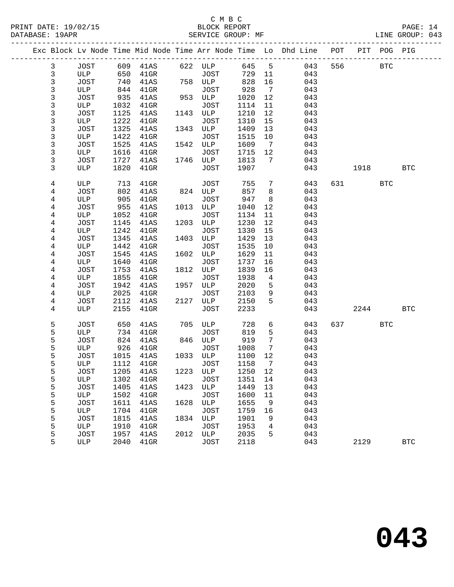|                |                    |              |                 |      |                    |              |                | Exc Block Lv Node Time Mid Node Time Arr Node Time Lo Dhd Line POT |           | PIT POG PIG |            |
|----------------|--------------------|--------------|-----------------|------|--------------------|--------------|----------------|--------------------------------------------------------------------|-----------|-------------|------------|
| $\mathbf{3}$   | JOST               |              |                 |      |                    |              |                | 645 5 043                                                          | 556 30    | <b>BTC</b>  |            |
| $\mathfrak{Z}$ | ULP                |              |                 |      |                    |              | 729 11         | 043                                                                |           |             |            |
| 3              | JOST               | 740          | 41AS            |      | 758 ULP            | 828          | 16             | 043                                                                |           |             |            |
| 3              | ULP                | 844          | 41GR            |      | JOST               | 928          | $\overline{7}$ | 043                                                                |           |             |            |
| 3              | JOST               | 935          | 41AS            |      | 953 ULP            | 1020         | 12             | 043                                                                |           |             |            |
| 3              | ULP                | 1032         | $41$ GR         |      | JOST               | 1114         | 11             | 043                                                                |           |             |            |
| 3              | JOST               | 1125         | 41AS            |      | 1143 ULP           | 1210         | 12             | 043                                                                |           |             |            |
| 3              | ULP                | 1222         | $41$ GR         |      | JOST               | 1310         | 15             | 043                                                                |           |             |            |
| 3              | JOST               | 1325         | 41AS            |      | 1343 ULP           | 1409         | 13             | 043                                                                |           |             |            |
| 3              | ULP                | 1422         | $41$ GR         |      | JOST               | 1515         | 10             | 043                                                                |           |             |            |
| 3<br>3         | JOST               | 1525         | 41AS            |      | 1542 ULP           | 1609         | $\overline{7}$ | 043                                                                |           |             |            |
| 3              | ULP<br>JOST        | 1616         | $41$ GR         |      | JOST<br>1746 ULP   | 1715<br>1813 | 12<br>7        | 043<br>043                                                         |           |             |            |
| 3              | ULP                | 1727<br>1820 | 41AS<br>$41$ GR |      | JOST               | 1907         |                | 043                                                                | 1918      |             | <b>BTC</b> |
|                |                    |              |                 |      |                    |              |                |                                                                    |           |             |            |
| 4              | ULP                | 713          | $41$ GR         |      | JOST               | 755          | 7              | 043                                                                | 631 63    | <b>BTC</b>  |            |
| 4              | JOST               | 802          | 41AS            |      | 824 ULP            | 857          | 8              | 043                                                                |           |             |            |
| 4              | ULP                | 905          | $41$ GR         |      | JOST               | 947          | 8              | 043                                                                |           |             |            |
| 4              | JOST               | 955          | 41AS            |      | 1013 ULP           | 1040         | 12             | 043                                                                |           |             |            |
| 4              | ULP                | 1052         | $41$ GR         |      | JOST               | 1134         | 11             | 043                                                                |           |             |            |
| 4              | JOST               | 1145         | 41AS            | 1203 | ULP                | 1230         | 12             | 043                                                                |           |             |            |
| 4              | ULP                | 1242         | $41$ GR         |      | JOST               | 1330         | 15             | 043                                                                |           |             |            |
| 4              | JOST               | 1345         | 41AS            |      | 1403 ULP           | 1429         | 13             | 043                                                                |           |             |            |
| 4              | ULP                | 1442         | $41$ GR         |      | JOST               | 1535         | 10             | 043                                                                |           |             |            |
| 4              | JOST               | 1545         | 41AS            |      | 1602 ULP           | 1629         | 11             | 043                                                                |           |             |            |
| 4              | ULP                | 1640         | $41$ GR         |      | JOST               | 1737         | 16             | 043                                                                |           |             |            |
| 4              | JOST               | 1753         | 41AS            |      | 1812 ULP           | 1839         | 16             | 043                                                                |           |             |            |
| 4              | ULP                | 1855         | 41GR            |      | JOST               | 1938         | $\overline{4}$ | 043                                                                |           |             |            |
| 4              | JOST               | 1942         | 41AS            | 1957 | ULP                | 2020         | 5              | 043                                                                |           |             |            |
| 4              | ULP                | 2025         | $41$ GR         |      | JOST               | 2103         | 9              | 043                                                                |           |             |            |
| 4              | JOST               | 2112         | 41AS            |      | 2127 ULP           | 2150         | 5              | 043                                                                |           |             |            |
| 4              | ULP                | 2155         | $41$ GR         |      | JOST               | 2233         |                | 043                                                                | 2244      |             | <b>BTC</b> |
| 5              | JOST               | 650          | 41AS            |      | 705 ULP            | 728          | 6              | 043                                                                | 637 — 100 | <b>BTC</b>  |            |
| 5              | ULP                | 734          | $41$ GR         |      | JOST               | 819          | 5              | 043                                                                |           |             |            |
| 5              | JOST               | 824          | 41AS            |      | 846 ULP            | 919          | 7              | 043                                                                |           |             |            |
| 5              | ULP                | 926          | $41$ GR         |      | JOST               | 1008         | 7              | 043                                                                |           |             |            |
| 5              | JOST               | 1015         | 41AS            |      | 1033 ULP           | 1100         | 12             | 043                                                                |           |             |            |
| 5              | ULP                | 1112         | $41$ GR         |      | <b>JOST</b>        | 1158         | $\overline{7}$ | 043                                                                |           |             |            |
| 5              | JOST               |              | 1205 41AS       |      | 1223 ULP 1250 12   |              |                | 043                                                                |           |             |            |
| 5              | ULP                | 1302         | $41$ GR         |      | JOST               | 1351         | 14             | 043                                                                |           |             |            |
| 5              | JOST               | 1405         | 41AS            | 1423 | ULP                | 1449         | 13             | 043                                                                |           |             |            |
| 5<br>5         | ULP                | 1502<br>1611 | $41$ GR         | 1628 | <b>JOST</b>        | 1600<br>1655 | 11<br>9        | 043<br>043                                                         |           |             |            |
| 5              | <b>JOST</b><br>ULP | 1704         | 41AS<br>$41$ GR |      | ULP<br><b>JOST</b> | 1759         | 16             | 043                                                                |           |             |            |
| 5              | JOST               | 1815         | 41AS            | 1834 | ULP                | 1901         | 9              | 043                                                                |           |             |            |
| 5              | ULP                | 1910         | $41$ GR         |      | <b>JOST</b>        | 1953         | 4              | 043                                                                |           |             |            |
| 5              | JOST               | 1957         | 41AS            | 2012 | ULP                | 2035         | 5              | 043                                                                |           |             |            |
| 5              | ULP                | 2040         | $41$ GR         |      | <b>JOST</b>        | 2118         |                | 043                                                                | 2129      |             | <b>BTC</b> |
|                |                    |              |                 |      |                    |              |                |                                                                    |           |             |            |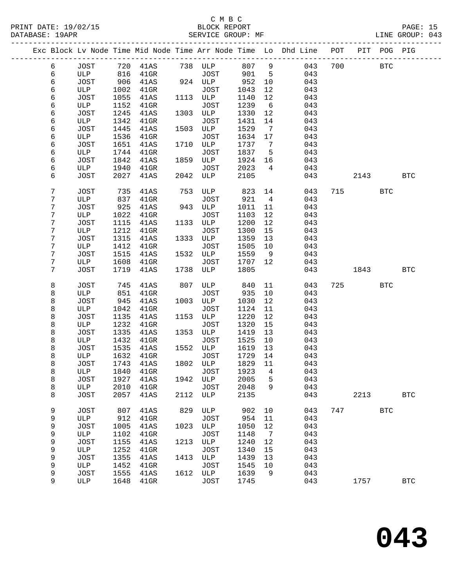PRINT DATE: 19/02/15 BLOCK REPORT<br>DATABASE: 19APR BERVICE GROUP: MF

## C M B C<br>BLOCK REPORT

PAGE: 15<br>LINE GROUP: 043

|   |             |      |         |      |             |      |                 | Exc Block Lv Node Time Mid Node Time Arr Node Time Lo Dhd Line POT PIT POG PIG |     |      |            |                      |
|---|-------------|------|---------|------|-------------|------|-----------------|--------------------------------------------------------------------------------|-----|------|------------|----------------------|
| 6 | <b>JOST</b> | 720  | 41AS    |      | 738 ULP     | 807  | 9               | 043                                                                            | 700 |      | <b>BTC</b> |                      |
| 6 | ULP         | 816  | $41$ GR |      | JOST        | 901  | 5               | 043                                                                            |     |      |            |                      |
| б | <b>JOST</b> | 906  | 41AS    |      | 924 ULP     | 952  | 10              | 043                                                                            |     |      |            |                      |
| 6 | ULP         | 1002 | $41$ GR |      | JOST        | 1043 | 12              | 043                                                                            |     |      |            |                      |
| 6 | <b>JOST</b> | 1055 | 41AS    | 1113 | ULP         | 1140 | 12              | 043                                                                            |     |      |            |                      |
| 6 | ULP         | 1152 | $41$ GR |      | JOST        | 1239 | 6               | 043                                                                            |     |      |            |                      |
| 6 | <b>JOST</b> | 1245 | 41AS    | 1303 | ULP         | 1330 | 12              | 043                                                                            |     |      |            |                      |
| 6 | ULP         | 1342 | $41$ GR |      | JOST        | 1431 | 14              | 043                                                                            |     |      |            |                      |
| 6 | <b>JOST</b> | 1445 | 41AS    | 1503 | ULP         | 1529 | $7\phantom{.0}$ | 043                                                                            |     |      |            |                      |
| 6 | ULP         | 1536 | $41$ GR |      | JOST        | 1634 | 17              | 043                                                                            |     |      |            |                      |
| 6 | <b>JOST</b> | 1651 | 41AS    | 1710 | ULP         | 1737 | 7               | 043                                                                            |     |      |            |                      |
| б | ULP         | 1744 | $41$ GR |      | JOST        | 1837 | 5               | 043                                                                            |     |      |            |                      |
| 6 | <b>JOST</b> | 1842 | 41AS    | 1859 | ULP         | 1924 | 16              | 043                                                                            |     |      |            |                      |
| 6 | ULP         | 1940 | $41$ GR |      | JOST        | 2023 | $\overline{4}$  | 043                                                                            |     |      |            |                      |
| 6 | <b>JOST</b> | 2027 | 41AS    | 2042 | ULP         | 2105 |                 | 043                                                                            |     | 2143 |            | <b>BTC</b>           |
| 7 | JOST        | 735  | 41AS    | 753  | ULP         | 823  | 14              | 043                                                                            | 715 |      | <b>BTC</b> |                      |
| 7 | ULP         | 837  | $41$ GR |      | JOST        | 921  | $\overline{4}$  | 043                                                                            |     |      |            |                      |
| 7 | <b>JOST</b> | 925  | 41AS    | 943  | ULP         | 1011 | 11              | 043                                                                            |     |      |            |                      |
| 7 | ULP         | 1022 | $41$ GR |      | JOST        | 1103 | 12              | 043                                                                            |     |      |            |                      |
| 7 | <b>JOST</b> | 1115 | 41AS    | 1133 | ULP         | 1200 | 12              | 043                                                                            |     |      |            |                      |
| 7 | ULP         | 1212 | $41$ GR |      | JOST        | 1300 | 15              | 043                                                                            |     |      |            |                      |
| 7 | <b>JOST</b> | 1315 | 41AS    | 1333 | ULP         | 1359 | 13              | 043                                                                            |     |      |            |                      |
| 7 | ULP         | 1412 | $41$ GR |      | JOST        | 1505 | 10              | 043                                                                            |     |      |            |                      |
| 7 | <b>JOST</b> | 1515 | 41AS    | 1532 | ULP         | 1559 | 9               | 043                                                                            |     |      |            |                      |
| 7 | ULP         | 1608 | $41$ GR |      | JOST        | 1707 | 12              | 043                                                                            |     |      |            |                      |
| 7 | <b>JOST</b> | 1719 | 41AS    | 1738 | ULP         | 1805 |                 | 043                                                                            |     | 1843 |            | <b>BTC</b>           |
| 8 | <b>JOST</b> | 745  | 41AS    | 807  | ULP         | 840  | 11              | 043                                                                            | 725 |      | <b>BTC</b> |                      |
| 8 | ULP         | 851  | $41$ GR |      | JOST        | 935  | 10              | 043                                                                            |     |      |            |                      |
| 8 | <b>JOST</b> | 945  | 41AS    | 1003 | ULP         | 1030 | 12              | 043                                                                            |     |      |            |                      |
| 8 | ULP         | 1042 | 41GR    |      | JOST        | 1124 | 11              | 043                                                                            |     |      |            |                      |
| 8 | <b>JOST</b> | 1135 | 41AS    | 1153 | ULP         | 1220 | 12              | 043                                                                            |     |      |            |                      |
| 8 | ULP         | 1232 | $41$ GR |      | <b>JOST</b> | 1320 | 15              | 043                                                                            |     |      |            |                      |
| 8 | <b>JOST</b> | 1335 | 41AS    | 1353 | ULP         | 1419 | 13              | 043                                                                            |     |      |            |                      |
| 8 | ULP         | 1432 | $41$ GR |      | JOST        | 1525 | 10              | 043                                                                            |     |      |            |                      |
| 8 | <b>JOST</b> | 1535 | 41AS    | 1552 | ULP         | 1619 | 13              | 043                                                                            |     |      |            |                      |
| 8 | ULP         | 1632 | $41$ GR |      | JOST        | 1729 | 14              | 043                                                                            |     |      |            |                      |
| 8 | <b>JOST</b> | 1743 | 41AS    | 1802 | ULP         | 1829 | 11              | 043                                                                            |     |      |            |                      |
| 8 | ULP         | 1840 | $41$ GR |      | JOST        | 1923 | 4               | 043                                                                            |     |      |            |                      |
| 8 | JOST        | 1927 | 41AS    | 1942 | ULP         | 2005 | 5               | 043                                                                            |     |      |            |                      |
| 8 | ULP         | 2010 | $41$ GR |      | <b>JOST</b> | 2048 | 9               | 043                                                                            |     |      |            |                      |
| 8 | <b>JOST</b> | 2057 | 41AS    | 2112 | ULP         | 2135 |                 | 043                                                                            |     | 2213 |            | <b>BTC</b>           |
| 9 | JOST        | 807  | 41AS    | 829  | ULP         | 902  | 10              | 043                                                                            | 747 |      | <b>BTC</b> |                      |
| 9 | ULP         | 912  | $41$ GR |      | <b>JOST</b> | 954  | 11              | 043                                                                            |     |      |            |                      |
| 9 | <b>JOST</b> | 1005 | 41AS    | 1023 | ULP         | 1050 | 12              | 043                                                                            |     |      |            |                      |
| 9 | ULP         | 1102 | $41$ GR |      | JOST        | 1148 | 7               | 043                                                                            |     |      |            |                      |
| 9 | <b>JOST</b> | 1155 | 41AS    | 1213 | ULP         | 1240 | 12              | 043                                                                            |     |      |            |                      |
| 9 | ULP         | 1252 | $41$ GR |      | <b>JOST</b> | 1340 | 15              | 043                                                                            |     |      |            |                      |
| 9 | <b>JOST</b> | 1355 | 41AS    | 1413 | ULP         | 1439 | 13              | 043                                                                            |     |      |            |                      |
| 9 | ULP         | 1452 | $41$ GR |      | <b>JOST</b> | 1545 | 10              | 043                                                                            |     |      |            |                      |
| 9 | <b>JOST</b> | 1555 | 41AS    | 1612 | ULP         | 1639 | 9               | 043                                                                            |     |      |            |                      |
| 9 | ULP         | 1648 | $41$ GR |      | <b>JOST</b> | 1745 |                 | 043                                                                            |     | 1757 |            | $\operatorname{BTC}$ |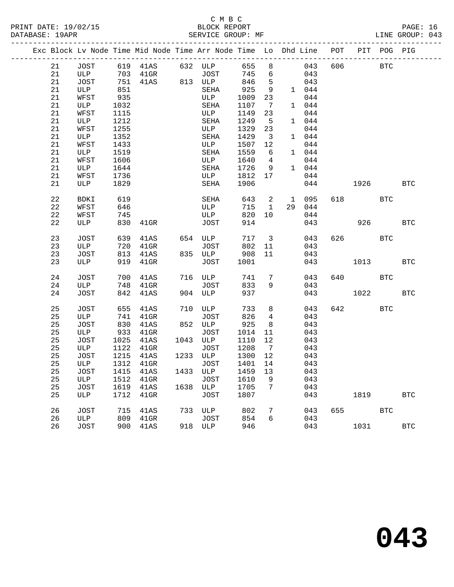#### C M B C<br>BLOCK REPORT SERVICE GROUP: MF

| Exc Block Lv Node Time Mid Node Time Arr Node Time Lo Dhd Line POT |             |      |              |      |                  |      |                         |                |       |     |      | PIT POG PIG |            |
|--------------------------------------------------------------------|-------------|------|--------------|------|------------------|------|-------------------------|----------------|-------|-----|------|-------------|------------|
| 21                                                                 | JOST        |      |              |      | 619 41AS 632 ULP |      |                         | 655 8          | 043   | 606 |      | <b>BTC</b>  |            |
| 21                                                                 | ULP         | 703  | $41$ GR      |      | JOST             | 745  | 6                       |                | 043   |     |      |             |            |
| 21                                                                 | JOST        | 751  | 41AS 813 ULP |      |                  | 846  | 5 <sup>5</sup>          |                | 043   |     |      |             |            |
| 21                                                                 | ULP         | 851  |              |      | SEHA             | 925  | 9                       |                | 1 044 |     |      |             |            |
| 21                                                                 | WFST        | 935  |              |      | ULP              | 1009 | 23                      |                | 044   |     |      |             |            |
| 21                                                                 | ULP         | 1032 |              |      | SEHA             | 1107 | $7\overline{ }$         |                | 1 044 |     |      |             |            |
| 21                                                                 | WFST        | 1115 |              |      | ULP              | 1149 | 23                      |                | 044   |     |      |             |            |
| 21                                                                 | ULP         | 1212 |              |      | SEHA             | 1249 | 5                       |                | 1 044 |     |      |             |            |
| 21                                                                 | WFST        | 1255 |              |      | ULP              | 1329 | 23                      |                | 044   |     |      |             |            |
| 21                                                                 | ULP         | 1352 |              |      | SEHA             | 1429 | $\overline{\mathbf{3}}$ |                | 1 044 |     |      |             |            |
| 21                                                                 | WFST        | 1433 |              |      | ULP              | 1507 | 12                      |                | 044   |     |      |             |            |
| 21                                                                 | ULP         | 1519 |              |      | SEHA             | 1559 | 6                       |                | 1 044 |     |      |             |            |
| 21                                                                 | WFST        | 1606 |              |      | ULP              | 1640 | $\overline{4}$          |                | 044   |     |      |             |            |
| 21                                                                 | ULP         | 1644 |              |      | SEHA             | 1726 | 9                       |                | 1 044 |     |      |             |            |
| 21                                                                 | WFST        | 1736 |              |      | ULP              | 1812 | 17                      |                | 044   |     |      |             |            |
| 21                                                                 | ULP         | 1829 |              |      | SEHA             | 1906 |                         |                | 044   |     | 1926 |             | <b>BTC</b> |
|                                                                    |             |      |              |      |                  |      |                         |                |       |     |      |             |            |
| 22                                                                 | <b>BDKI</b> | 619  |              |      | SEHA             | 643  |                         | 2 1 095        |       | 618 |      | <b>BTC</b>  |            |
| 22                                                                 | WFST        | 646  |              |      | ULP              | 715  | 1                       | 29             | 044   |     |      |             |            |
| 22                                                                 | WFST        | 745  |              |      | ULP              | 820  | 10                      |                | 044   |     |      |             |            |
| 22                                                                 | ULP         | 830  | $41$ GR      |      | JOST             | 914  |                         |                | 043   |     |      | 926 10      | <b>BTC</b> |
|                                                                    |             |      |              |      |                  |      |                         |                |       |     |      |             |            |
| 23                                                                 | JOST        | 639  | 41AS         | 654  | ULP              | 717  |                         | 3 <sup>7</sup> | 043   | 626 |      | <b>BTC</b>  |            |
| 23                                                                 | ULP         | 720  | $41$ GR      |      | JOST             | 802  | 11                      |                | 043   |     |      |             |            |
| 23                                                                 | JOST        | 813  | 41AS         |      | 835 ULP          | 908  | 11                      |                | 043   |     |      |             |            |
| 23                                                                 | ULP         | 919  | $41$ GR      |      | JOST             | 1001 |                         |                | 043   |     | 1013 |             | <b>BTC</b> |
|                                                                    |             |      |              |      |                  |      |                         |                |       |     |      |             |            |
| 24                                                                 | JOST        | 700  | 41AS         |      | 716 ULP          | 741  | $7\overline{ }$         |                | 043   | 640 |      | <b>BTC</b>  |            |
| 24                                                                 | ULP         | 748  | $41$ GR      |      | JOST             | 833  | 9                       |                | 043   |     |      |             |            |
| 24                                                                 | JOST        | 842  | 41AS         |      | 904 ULP          | 937  |                         |                | 043   |     | 1022 |             | <b>BTC</b> |
|                                                                    |             |      |              |      |                  |      |                         |                |       |     |      |             |            |
| 25                                                                 | JOST        | 655  | 41AS         | 710  | ULP              | 733  | 8                       |                | 043   | 642 |      | <b>BTC</b>  |            |
| 25                                                                 | ULP         | 741  | $41$ GR      |      | JOST             | 826  | $\overline{4}$          |                | 043   |     |      |             |            |
| 25                                                                 | JOST        | 830  | 41AS         |      | 852 ULP          | 925  | 8                       |                | 043   |     |      |             |            |
| 25                                                                 | ULP         | 933  | $41$ GR      |      | JOST             | 1014 | 11                      |                | 043   |     |      |             |            |
| 25                                                                 | JOST        | 1025 | 41AS         | 1043 | ULP              | 1110 | 12                      |                | 043   |     |      |             |            |
| 25                                                                 | ULP         | 1122 | $41$ GR      |      | JOST             | 1208 | $7\overline{ }$         |                | 043   |     |      |             |            |
| 25                                                                 | JOST        | 1215 | 41AS         |      | 1233 ULP         | 1300 | 12                      |                | 043   |     |      |             |            |
| 25                                                                 | ULP         | 1312 | $41$ GR      |      | JOST             | 1401 | 14                      |                | 043   |     |      |             |            |
| 25                                                                 | JOST        | 1415 | 41AS         | 1433 | ULP              | 1459 | 13                      |                | 043   |     |      |             |            |
| 25                                                                 | ULP         | 1512 | $41$ GR      |      | JOST             | 1610 | 9                       |                | 043   |     |      |             |            |
| 25                                                                 | JOST        | 1619 | 41AS         |      | 1638 ULP         | 1705 | $7\overline{ }$         |                | 043   |     |      |             |            |
| 25                                                                 | ULP         | 1712 | $41$ GR      |      | JOST             | 1807 |                         |                | 043   |     | 1819 |             | <b>BTC</b> |

26 JOST 715 41AS 733 ULP 802 7 043 655 BTC

26 JOST 900 41AS 918 ULP 946 043 1031 BTC

26 ULP 809 41GR JOST 854 6 043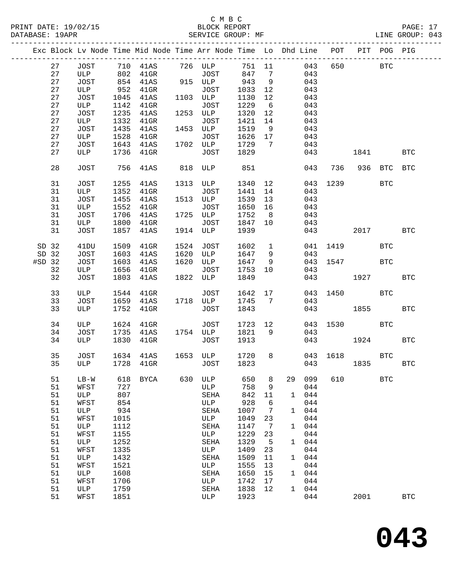|          |    |        |      | Exc Block Lv Node Time Mid Node Time Arr Node Time Lo Dhd Line POT PIT POG PIG |     |              |         |                 |        |     |      |             |            |                      |
|----------|----|--------|------|--------------------------------------------------------------------------------|-----|--------------|---------|-----------------|--------|-----|------|-------------|------------|----------------------|
|          | 27 |        |      | JOST 710 41AS 726 ULP                                                          |     |              |         |                 | 751 11 | 043 |      | 650 BTC     |            |                      |
|          | 27 | ULP    | 802  | $41$ GR                                                                        |     | <b>JOST</b>  | 847     | $7\phantom{0}$  |        | 043 |      |             |            |                      |
|          | 27 | JOST   |      | 854 41AS                                                                       |     | 915 ULP 943  |         | $\overline{9}$  |        | 043 |      |             |            |                      |
|          | 27 | ULP    | 952  | $41$ GR                                                                        |     | JOST         | 1033    | 12              |        | 043 |      |             |            |                      |
|          | 27 | JOST   | 1045 | 41AS                                                                           |     | 1103 ULP     | 1130    | 12              |        | 043 |      |             |            |                      |
|          | 27 | ULP    | 1142 | $41$ GR                                                                        |     | JOST         | 1229    | 6               |        | 043 |      |             |            |                      |
|          | 27 | JOST   | 1235 | 41AS                                                                           |     | 1253 ULP     | 1320    | 12              |        | 043 |      |             |            |                      |
|          | 27 |        |      |                                                                                |     | JOST         | 1421    | 14              |        | 043 |      |             |            |                      |
|          |    | ULP    | 1332 | $41$ GR                                                                        |     |              |         |                 |        |     |      |             |            |                      |
|          | 27 | JOST   | 1435 | 41AS                                                                           |     | 1453 ULP     | 1519    | 9               |        | 043 |      |             |            |                      |
|          | 27 | ULP    | 1528 | $41$ GR                                                                        |     | JOST         | 1626 17 |                 |        | 043 |      |             |            |                      |
|          | 27 | JOST   | 1643 | 41AS                                                                           |     | 1702 ULP     | 1729    | 7               |        | 043 |      |             |            |                      |
|          | 27 | ULP    |      | 1736 41GR                                                                      |     | JOST         | 1829    |                 |        | 043 |      | 1841        |            | <b>BTC</b>           |
|          | 28 | JOST   |      | 756 41AS                                                                       |     | 818 ULP      | 851     |                 |        | 043 |      | 736 936 BTC |            | <b>BTC</b>           |
|          | 31 | JOST   | 1255 | 41AS                                                                           |     | 1313 ULP     | 1340    | 12              |        | 043 | 1239 |             | <b>BTC</b> |                      |
|          | 31 | ULP    | 1352 | $41$ GR                                                                        |     | JOST         | 1441    | 14              |        | 043 |      |             |            |                      |
|          | 31 | JOST   | 1455 | 41AS                                                                           |     | 1513 ULP     | 1539    | 13              |        | 043 |      |             |            |                      |
|          | 31 | ULP    | 1552 | 41GR                                                                           |     | JOST         | 1650    | 16              |        | 043 |      |             |            |                      |
|          | 31 | JOST   | 1706 | 41AS                                                                           |     | 1725 ULP     | 1752    | 8 <sup>8</sup>  |        | 043 |      |             |            |                      |
|          | 31 | ULP    | 1800 | $41$ GR                                                                        |     | JOST         | 1847    | 10              |        | 043 |      |             |            |                      |
|          | 31 | JOST   | 1857 | 41AS                                                                           |     | 1914 ULP     | 1939    |                 |        | 043 |      | 2017        |            | <b>BTC</b>           |
|          |    |        |      |                                                                                |     |              |         |                 |        |     |      |             |            |                      |
| SD 32    |    | 41DU   | 1509 | 41GR                                                                           |     | 1524 JOST    | 1602    | $\mathbf{1}$    |        | 041 |      | 1419        | <b>BTC</b> |                      |
| SD 32    |    | JOST   | 1603 | 41AS                                                                           |     | 1620 ULP     | 1647    | 9               |        | 043 |      |             |            |                      |
| $#SD$ 32 |    | JOST   | 1603 | 41AS                                                                           |     | 1620 ULP     | 1647    | 9               |        |     |      | 043 1547    | <b>BTC</b> |                      |
|          | 32 | ULP    | 1656 | $41$ GR                                                                        |     | JOST         | 1753    | 10              |        | 043 |      |             |            |                      |
|          | 32 | JOST   | 1803 | 41AS                                                                           |     | 1822 ULP     | 1849    |                 |        |     |      | 043 1927    |            | <b>BTC</b>           |
|          |    |        |      |                                                                                |     |              |         |                 |        |     |      |             |            |                      |
|          | 33 | ULP    | 1544 | $41$ GR                                                                        |     | JOST         | 1642 17 |                 |        |     |      | 043 1450    | <b>BTC</b> |                      |
|          | 33 | JOST   | 1659 | 41AS                                                                           |     | 1718 ULP     | 1745    | $7\overline{ }$ |        | 043 |      |             |            |                      |
|          | 33 | ULP    | 1752 | $41$ GR                                                                        |     | JOST         | 1843    |                 |        |     | 043  | 1855        |            | <b>BTC</b>           |
|          |    |        |      |                                                                                |     |              |         |                 |        |     |      |             |            |                      |
|          | 34 | ULP    | 1624 | $41$ GR                                                                        |     | JOST         | 1723 12 |                 |        |     |      | 043 1530    | BTC        |                      |
|          | 34 | JOST   |      | 1735 41AS                                                                      |     | 1754 ULP     | 1821    | 9               |        | 043 |      |             |            |                      |
|          | 34 | ULP    |      | 1830 41GR                                                                      |     | JOST         | 1913    |                 |        |     | 043  | 1924        |            | <b>BTC</b>           |
|          | 35 | JOST   |      | 1634 41AS 1653 ULP                                                             |     |              | 1720    | 8               |        |     |      | 043 1618    | <b>BTC</b> |                      |
|          | 35 | ULP    |      | 1728 41GR                                                                      |     | <b>JOST</b>  | 1823    |                 |        |     | 043  | 1835        |            | <b>BTC</b>           |
|          |    |        |      |                                                                                |     |              |         |                 |        |     |      |             |            |                      |
|          | 51 | $LB-W$ | 618  | <b>BYCA</b>                                                                    | 630 | ULP          | 650     | 8               | 29     | 099 | 610  |             | <b>BTC</b> |                      |
|          | 51 | WFST   | 727  |                                                                                |     | ULP          | 758     | 9               |        | 044 |      |             |            |                      |
|          | 51 | ULP    | 807  |                                                                                |     | SEHA         | 842     | 11              | 1      | 044 |      |             |            |                      |
|          | 51 | WFST   | 854  |                                                                                |     | $_{\rm ULP}$ | 928     | 6               |        | 044 |      |             |            |                      |
|          | 51 | ULP    | 934  |                                                                                |     | SEHA         | 1007    | 7               | 1      | 044 |      |             |            |                      |
|          |    |        |      |                                                                                |     |              |         |                 |        |     |      |             |            |                      |
|          | 51 | WFST   | 1015 |                                                                                |     | ULP          | 1049    | 23              |        | 044 |      |             |            |                      |
|          | 51 | ULP    | 1112 |                                                                                |     | SEHA         | 1147    | 7               | 1      | 044 |      |             |            |                      |
|          | 51 | WFST   | 1155 |                                                                                |     | $_{\rm ULP}$ | 1229    | 23              |        | 044 |      |             |            |                      |
|          | 51 | ULP    | 1252 |                                                                                |     | SEHA         | 1329    | 5               | 1      | 044 |      |             |            |                      |
|          | 51 | WFST   | 1335 |                                                                                |     | $_{\rm ULP}$ | 1409    | 23              |        | 044 |      |             |            |                      |
|          | 51 | ULP    | 1432 |                                                                                |     | SEHA         | 1509    | 11              | 1      | 044 |      |             |            |                      |
|          | 51 | WFST   | 1521 |                                                                                |     | $_{\rm ULP}$ | 1555    | 13              |        | 044 |      |             |            |                      |
|          | 51 | ULP    | 1608 |                                                                                |     | SEHA         | 1650    | 15              | 1      | 044 |      |             |            |                      |
|          | 51 | WFST   | 1706 |                                                                                |     | ULP          | 1742    | 17              |        | 044 |      |             |            |                      |
|          | 51 | ULP    | 1759 |                                                                                |     | SEHA         | 1838    | 12              | 1      | 044 |      |             |            |                      |
|          | 51 | WFST   | 1851 |                                                                                |     | ULP          | 1923    |                 |        | 044 |      | 2001        |            | $\operatorname{BTC}$ |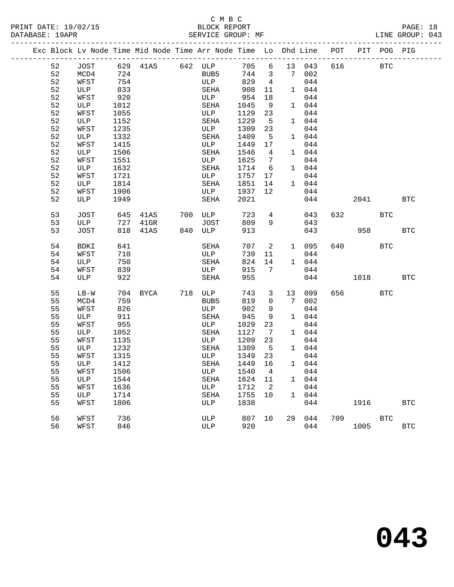#### C M B C<br>BLOCK REPORT PRINT DATE: 19/02/15 BLOCK REPORT PAGE: 18 SERVICE GROUP: MF

|  |          | Exc Block Lv Node Time Mid Node Time Arr Node Time Lo Dhd Line |            |             |               |                  |                |                            |    |              |     | POT PIT POG PIG |            |            |
|--|----------|----------------------------------------------------------------|------------|-------------|---------------|------------------|----------------|----------------------------|----|--------------|-----|-----------------|------------|------------|
|  | 52       | JOST                                                           |            |             |               | 629 41AS 642 ULP |                |                            |    | 705 6 13 043 | 616 | <b>BTC</b>      |            |            |
|  | 52       | MCD4                                                           | 724        |             |               | BUB5             |                |                            |    | 744 3 7 002  |     |                 |            |            |
|  | 52       | WFST                                                           | 754        |             |               | ULP              | 829            | $\overline{4}$             |    | 044          |     |                 |            |            |
|  | 52       | ULP                                                            | 833        |             |               | SEHA             | 908            | 11                         |    | 1 044        |     |                 |            |            |
|  | 52       | WFST                                                           | 920        |             |               | ULP              | 954            | 18                         |    | 044          |     |                 |            |            |
|  | 52       | ULP                                                            | 1012       |             |               | SEHA             | 1045           | 9                          |    | 1 044        |     |                 |            |            |
|  | 52       | WFST                                                           | 1055       |             |               | ULP              | 1129           | 23                         |    | 044          |     |                 |            |            |
|  | 52       | ULP                                                            | 1152       |             |               | SEHA             | 1229           | $5^{\circ}$                |    | 1 044        |     |                 |            |            |
|  | 52       | WFST                                                           | 1235       |             |               | ULP              | 1309           | 23                         |    | 044          |     |                 |            |            |
|  | 52       | ULP                                                            | 1332       |             |               | SEHA             | 1409           | $5^{\circ}$                |    | 1 044        |     |                 |            |            |
|  | 52       | WFST                                                           | 1415       |             |               | ULP              | 1449           | 17                         |    | 044          |     |                 |            |            |
|  | 52       | ULP                                                            | 1506       |             |               | SEHA             | 1546           | 4                          |    | 1 044        |     |                 |            |            |
|  | 52       | WFST                                                           | 1551       |             |               | ULP              | 1625           | $\overline{7}$             |    | 044          |     |                 |            |            |
|  | 52       | ULP                                                            | 1632       |             |               | SEHA             | 1714           | 6                          |    | 1 044        |     |                 |            |            |
|  | 52       | WFST                                                           | 1721       |             |               | ULP              | 1757           | 17                         |    | 044          |     |                 |            |            |
|  | 52       | ULP                                                            | 1814       |             |               | SEHA             | 1851           | 14                         |    | 1 044        |     |                 |            |            |
|  | 52       | WFST                                                           | 1906       |             |               | ULP              | 1937           | 12                         |    | 044          |     |                 |            |            |
|  | 52       | ULP                                                            | 1949       |             |               | SEHA             | 2021           |                            |    | 044          |     | 2041            |            | <b>BTC</b> |
|  |          |                                                                |            |             |               |                  |                |                            |    |              |     |                 |            |            |
|  | 53       | <b>JOST</b>                                                    |            | 645 41AS    |               | 700 ULP 723      |                | $\overline{4}$             |    | 043          | 632 |                 | <b>BTC</b> |            |
|  | 53       | ULP                                                            |            | 727 41GR    |               | JOST             | 809            | 9                          |    | 043          |     |                 |            |            |
|  | 53       | <b>JOST</b>                                                    |            | 818 41AS    | $\frac{1}{p}$ | 840 ULP          | 913            |                            |    | 043          |     | 958             |            | <b>BTC</b> |
|  | 54       | <b>BDKI</b>                                                    | 641        |             |               | SEHA             | 707            | $\overline{\phantom{0}}^2$ |    | 1 095        |     | 640             | <b>BTC</b> |            |
|  | 54       | WFST                                                           | 710        |             |               | ULP              | 739            | 11                         |    | 044          |     |                 |            |            |
|  | 54       | ULP                                                            | 750        |             |               | SEHA             | 824            | 14                         |    | 1 044        |     |                 |            |            |
|  | 54       | WFST                                                           | 839        |             |               | ULP              | 915            | $\overline{7}$             |    | 044          |     |                 |            |            |
|  | 54       | ULP                                                            | 922        |             |               | SEHA             | 955            |                            |    | 044          |     | 1018            |            | <b>BTC</b> |
|  |          |                                                                |            |             |               |                  |                |                            |    |              |     |                 |            |            |
|  | 55       | $LB-W$                                                         | 704        | <b>BYCA</b> |               | 718 ULP          | 743            | $\overline{3}$             |    | 13 099       |     | 656 BTC         |            |            |
|  | 55       | MCD4                                                           | 759        |             |               | BUB5             | 819            | $\overline{0}$             |    | 7 002        |     |                 |            |            |
|  | 55       | WFST                                                           | 826        |             |               | ULP              | 902            | 9                          |    | 044          |     |                 |            |            |
|  | 55       | ULP                                                            | 911        |             |               | SEHA             | 945            | 9                          |    | 1 044        |     |                 |            |            |
|  | 55       | WFST                                                           | 955        |             |               | ULP              | 1029           | 23                         |    | 044          |     |                 |            |            |
|  | 55       | ULP                                                            | 1052       |             |               | SEHA             | 1127           | $\overline{7}$             |    | 1 044        |     |                 |            |            |
|  | 55       | WFST                                                           | 1135       |             |               | ULP              | 1209           | 23                         |    | 044          |     |                 |            |            |
|  | 55       | ULP                                                            | 1232       |             |               | SEHA             | 1309           | $5^{\circ}$                |    | 1 044        |     |                 |            |            |
|  | 55       | WFST                                                           | 1315       |             |               | ULP              | 1349           | 23                         |    | 044          |     |                 |            |            |
|  | 55       | ULP                                                            | 1412       |             |               | SEHA             | 1449           | 16                         |    | 1 044        |     |                 |            |            |
|  | 55       | WFST                                                           | 1506       |             |               |                  | ULP 1540 4 044 |                            |    |              |     |                 |            |            |
|  | 55       | ULP                                                            | 1544       |             |               | SEHA             | 1624 11        |                            |    | 1 044        |     |                 |            |            |
|  | 55       | WFST                                                           | 1636       |             |               | ULP              | 1712           | $\overline{\phantom{a}}^2$ |    | 044          |     |                 |            |            |
|  | 55       | ULP                                                            | 1714       |             |               | <b>SEHA</b>      | 1755           | 10                         |    | 1 044        |     |                 |            |            |
|  | 55       | WFST                                                           | 1806       |             |               | ULP              | 1838           |                            |    | 044          |     | 1916            |            | <b>BTC</b> |
|  |          |                                                                |            |             |               |                  |                |                            |    |              |     |                 |            |            |
|  | 56<br>56 | WFST                                                           | 736<br>846 |             |               | ULP              | 807<br>920     | 10                         | 29 | 044<br>044   | 709 |                 | BTC        |            |
|  |          | WFST                                                           |            |             |               | ULP              |                |                            |    |              |     | 1005            |            | <b>BTC</b> |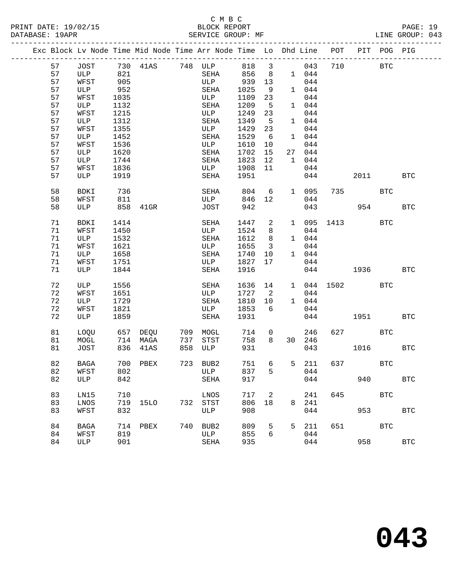|    |             |      |          |     | Exc Block Lv Node Time Mid Node Time Arr Node Time Lo Dhd Line |         |                            |         |        |     | POT PIT POG PIG |            |              |
|----|-------------|------|----------|-----|----------------------------------------------------------------|---------|----------------------------|---------|--------|-----|-----------------|------------|--------------|
|    |             |      |          |     |                                                                |         |                            |         |        |     |                 |            |              |
| 57 | JOST        |      |          |     |                                                                | 818     | $\overline{\mathbf{3}}$    |         | 043    | 710 | <b>BTC</b>      |            |              |
| 57 | ULP         |      |          |     |                                                                | 856     | 8 <sup>8</sup>             |         | 1 044  |     |                 |            |              |
| 57 | WFST        | 905  |          |     | ULP                                                            | 939     | 13                         |         | 044    |     |                 |            |              |
| 57 | ULP         | 952  |          |     | SEHA                                                           | 1025    | 9                          |         | 1 044  |     |                 |            |              |
| 57 | WFST        | 1035 |          |     | ULP                                                            | 1109    | 23                         |         | 044    |     |                 |            |              |
| 57 | ULP         | 1132 |          |     | SEHA                                                           | 1209    | $-5$                       |         | 1 044  |     |                 |            |              |
| 57 | WFST        | 1215 |          |     | ULP                                                            | 1249    | 23                         |         | 044    |     |                 |            |              |
| 57 | ULP         | 1312 |          |     | SEHA                                                           | 1349    | 5                          |         | 1 044  |     |                 |            |              |
| 57 | WFST        | 1355 |          |     | ULP                                                            | 1429    | 23                         |         | 044    |     |                 |            |              |
| 57 | ULP         | 1452 |          |     | SEHA                                                           | 1529    | 6                          |         | 1 044  |     |                 |            |              |
| 57 | WFST        | 1536 |          |     | ULP                                                            | 1610    | 10                         |         | 044    |     |                 |            |              |
| 57 | ULP         | 1620 |          |     | SEHA                                                           | 1702    | 15                         |         | 27 044 |     |                 |            |              |
| 57 | ULP         | 1744 |          |     | SEHA                                                           | 1823    | 12                         |         | 1 044  |     |                 |            |              |
| 57 | WFST        | 1836 |          |     | ULP                                                            | 1908    | 11                         |         | 044    |     |                 |            |              |
| 57 | ULP         | 1919 |          |     | SEHA                                                           | 1951    |                            |         | 044    |     | 2011 2012       |            | <b>BTC</b>   |
| 58 | BDKI        | 736  |          |     | SEHA                                                           | 804     | $6\overline{6}$            |         | 1 095  |     | 735             | BTC        |              |
| 58 | WFST        | 811  |          |     | ULP                                                            | 846     | 12                         |         | 044    |     |                 |            |              |
| 58 | ULP         |      | 858 41GR |     | JOST                                                           | 942     |                            |         | 043    |     |                 | 954        | <b>BTC</b>   |
|    |             |      |          |     |                                                                |         |                            |         |        |     |                 |            |              |
| 71 | BDKI        | 1414 |          |     | SEHA                                                           | 1447    | $\overline{a}$             |         |        |     | 1 095 1413      | <b>BTC</b> |              |
| 71 | WFST        | 1450 |          |     | ULP                                                            | 1524    | 8                          |         | 044    |     |                 |            |              |
| 71 | ULP         | 1532 |          |     | SEHA                                                           | 1612    | 8 <sup>8</sup>             |         | 1 044  |     |                 |            |              |
| 71 | WFST        | 1621 |          |     | ULP                                                            | 1655    | $\overline{\mathbf{3}}$    |         | 044    |     |                 |            |              |
| 71 | ULP         | 1658 |          |     | SEHA                                                           | 1740    | 10                         |         | 1 044  |     |                 |            |              |
| 71 | WFST        | 1751 |          |     | ULP                                                            | 1827    | 17                         |         | 044    |     |                 |            |              |
| 71 | ULP         | 1844 |          |     | SEHA                                                           | 1916    |                            |         | 044    |     | 1936            |            | <b>BTC</b>   |
| 72 | ULP         | 1556 |          |     | SEHA                                                           | 1636 14 |                            |         |        |     | 1 044 1502 BTC  |            |              |
| 72 | WFST        | 1651 |          |     | ULP                                                            | 1727    | $\overline{\phantom{a}}^2$ |         | 044    |     |                 |            |              |
| 72 | ULP         | 1729 |          |     | SEHA                                                           | 1810    | 10                         |         | 1 044  |     |                 |            |              |
| 72 | WFST        | 1821 |          |     | ULP                                                            | 1853    | 6                          |         | 044    |     |                 |            |              |
| 72 | ULP         | 1859 |          |     | SEHA                                                           | 1931    |                            |         | 044    |     | 1951            |            | <b>BTC</b>   |
|    |             |      |          |     |                                                                |         |                            |         |        |     |                 |            |              |
| 81 | LOQU        |      | 657 DEQU |     | 709 MOGL                                                       | 714     | $\overline{0}$             |         | 246    |     | 627 BTC         |            |              |
| 81 | MOGL        |      | 714 MAGA | 737 | STST                                                           | 758     | 8                          |         | 30 246 |     |                 |            |              |
| 81 | JOST        |      | 836 41AS | 858 | ULP                                                            | 931     |                            |         | 043    |     | 1016            |            | <b>BTC</b>   |
|    |             |      |          |     |                                                                |         |                            |         |        |     |                 |            |              |
| 82 | BAGA        |      | 700 PBEX |     | 723 BUB2                                                       | 751     | 6                          |         | 5 211  |     | 637 — 100       | BTC        |              |
| 82 | WFST        |      | 802 ULP  |     |                                                                | 837     |                            | $5 - 5$ | 044    |     |                 |            |              |
| 82 | ULP         | 842  |          |     | SEHA                                                           | 917     |                            |         | 044    |     | 940             |            | $_{\rm BTC}$ |
| 83 | LN15        | 710  |          |     | LNOS                                                           | 717     | $\overline{\phantom{0}}^2$ |         | 241    | 645 |                 | <b>BTC</b> |              |
| 83 | LNOS        | 719  | 15LO     |     | 732 STST                                                       | 806     | 18                         | 8       | 241    |     |                 |            |              |
| 83 | WFST        | 832  |          |     | ULP                                                            | 908     |                            |         | 044    |     | 953             |            | <b>BTC</b>   |
|    |             |      |          |     |                                                                |         |                            |         |        |     |                 |            |              |
| 84 | <b>BAGA</b> |      | 714 PBEX |     | 740 BUB2                                                       | 809     | 5                          | 5       | 211    | 651 |                 | <b>BTC</b> |              |
| 84 | WFST        | 819  |          |     | ULP                                                            | 855     | 6                          |         | 044    |     |                 |            |              |
| 84 | ULP         | 901  |          |     | SEHA                                                           | 935     |                            |         | 044    |     | 958             |            | $_{\rm BTC}$ |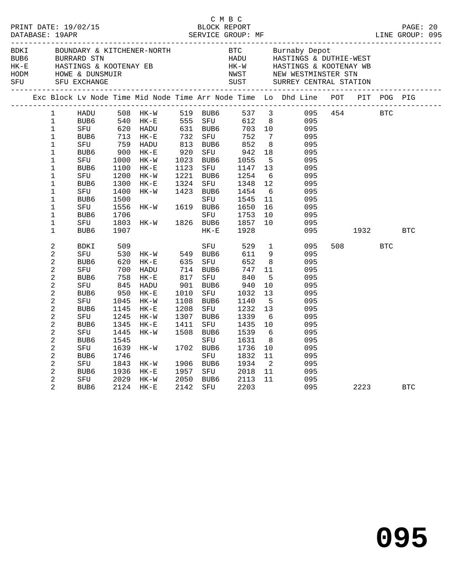|             | BLOCK REPORT<br>PRINT DATE: 19/02/15<br>DATABASE: 19APR                                                                                                                                                                                               |                                                                                                                                             |                                                                                                                                                  |                                                                                                                                                                                                      |                                     |                                                                                                                                                                                | C M B C                                                                                                                        |                                                                                                                                                                |                                                                                                                                   |             |                 |            | PAGE: 20   |  |
|-------------|-------------------------------------------------------------------------------------------------------------------------------------------------------------------------------------------------------------------------------------------------------|---------------------------------------------------------------------------------------------------------------------------------------------|--------------------------------------------------------------------------------------------------------------------------------------------------|------------------------------------------------------------------------------------------------------------------------------------------------------------------------------------------------------|-------------------------------------|--------------------------------------------------------------------------------------------------------------------------------------------------------------------------------|--------------------------------------------------------------------------------------------------------------------------------|----------------------------------------------------------------------------------------------------------------------------------------------------------------|-----------------------------------------------------------------------------------------------------------------------------------|-------------|-----------------|------------|------------|--|
| BDKI<br>SFU |                                                                                                                                                                                                                                                       | SFU EXCHANGE                                                                                                                                |                                                                                                                                                  |                                                                                                                                                                                                      |                                     |                                                                                                                                                                                |                                                                                                                                |                                                                                                                                                                | HK-W HASTINGS & KOOTENAY WB<br>NWST NEW WESTMINSTER STN<br>SUST SURREY CENTRAL STATION                                            |             |                 |            |            |  |
|             |                                                                                                                                                                                                                                                       |                                                                                                                                             |                                                                                                                                                  |                                                                                                                                                                                                      |                                     |                                                                                                                                                                                |                                                                                                                                |                                                                                                                                                                | Exc Block Lv Node Time Mid Node Time Arr Node Time Lo Dhd Line POT PIT POG PIG                                                    |             |                 |            |            |  |
|             | $\mathbf{1}$<br>$\mathbf{1}$<br>$\mathbf{1}$<br>$\mathbf{1}$<br>$\mathbf 1$<br>$\mathbf{1}$<br>$\mathbf 1$<br>$\mathbf{1}$<br>$\mathbf 1$<br>$\mathbf{1}$<br>$\mathbf 1$<br>$\mathbf{1}$<br>$\mathbf 1$<br>$\mathbf{1}$<br>$\mathbf 1$                | HADU<br>BUB6<br>SFU<br>BUB6<br>SFU<br>BUB6<br>SFU<br>BUB6<br>SFU                                                                            | 1100<br>1200<br>1300<br>1400<br>1500<br>1556<br>1706<br>1803                                                                                     | 508 HK-W 519 BUB6 537 3<br>AUBE 508 HK-W<br>BUBE 540 HK-E<br>SFU 620 HADU<br>BUBE 713 HK-E<br>SFU 759 HADU<br>UBE 900 HK-F<br>TU 1000 BE<br>$HK-E$<br>HK-W<br>$HK-E$<br>HK-W<br>$HK-W$ 161<br>$HK-W$ | 920                                 | 555 SFU<br>631 BUB6<br>732 SFU 752<br>813 BUB6 852<br>SFU<br>1023 BUB6<br>1123 SFU 1147<br>1221 BUB6 1254<br>1324 SFU 1348<br>1423 BUB6 1454<br>SFU<br>1619 BUB6<br>1826 BUB6  | 612 8<br>703 10<br>942<br>942<br>1055<br>1545<br>1650<br>SFU 1753<br>1857                                                      | $7\phantom{0}$<br>8 <sup>8</sup><br>18<br>$5^{\circ}$<br>13<br>6<br>12<br>6<br>11<br>16<br>10<br>10                                                            | 095<br>095<br>095<br>095<br>095<br>095<br>095<br>095<br>095<br>095<br>095<br>095<br>095<br>095                                    | 095 454 BTC |                 |            |            |  |
|             | $\mathbf{1}$<br>$\overline{a}$<br>$\overline{c}$<br>$\overline{a}$<br>$\overline{a}$<br>2<br>2<br>$\overline{a}$<br>2<br>$\overline{a}$<br>2<br>2<br>$\overline{a}$<br>2<br>$\overline{c}$<br>$\overline{a}$<br>$\overline{a}$<br>$\overline{2}$<br>2 | BUB6<br>BDKI<br>SFU<br>BUB6<br>SFU<br>BUB6<br>SFU<br>BUB6<br>SFU<br>BUB6<br>SFU<br>BUB6<br>SFU<br>BUB6<br>SFU<br>BUB6<br>SFU<br>BUB6<br>SFU | 1907<br>509<br>530<br>620<br>700<br>758<br>$84.$<br>950<br>$24.$<br>1045<br>1145<br>1245<br>1345<br>1445<br>1545<br>1639<br>1746<br>1843<br>1936 | HK-W 549 BUB6<br>HK-E 635 SFU<br>HADU<br>$HK-E$<br>HADU<br>HK-E<br>$HK-W$<br>HK-E<br>$HK-W$<br>$HK-E$<br>HK-W<br>HK-W<br>$HK - W$<br>HK-E<br>2029 HK-W                                               | 817<br>1010<br>1208<br>1307<br>1411 | $HK-E$<br>SFU<br>714 BUB6<br>SFU<br>901 BUB6<br>SFU<br>1108 BUB6<br>SFU<br>BUB6<br>SFU<br>1508 BUB6<br>SFU<br>1702 BUB6<br>SFU<br>1906 BUB6<br>1957 SFU 2018<br>2050 BUB6 2113 | 1928<br>529<br>611<br>652<br>747<br>840<br>940<br>1032<br>1140<br>1232<br>1339<br>1435<br>1539<br>1631<br>1736<br>1832<br>1934 | $\mathbf{1}$<br>9<br>8 <sup>8</sup><br>11<br>$-5$<br>10<br>13<br>$5^{\circ}$<br>13<br>6<br>10<br>6<br>8 <sup>8</sup><br>10<br>11<br>$\overline{2}$<br>11<br>11 | 095<br>095<br>095<br>095<br>095<br>095<br>095<br>095<br>095<br>095<br>095<br>095<br>095<br>095<br>095<br>095<br>095<br>095<br>095 |             | 1932<br>508 700 | <b>BTC</b> | <b>BTC</b> |  |
|             | $\overline{2}$                                                                                                                                                                                                                                        | BUB6                                                                                                                                        |                                                                                                                                                  | 2124 HK-E                                                                                                                                                                                            |                                     | 2142 SFU 2203                                                                                                                                                                  |                                                                                                                                |                                                                                                                                                                |                                                                                                                                   |             | 2223            |            | <b>BTC</b> |  |

**095**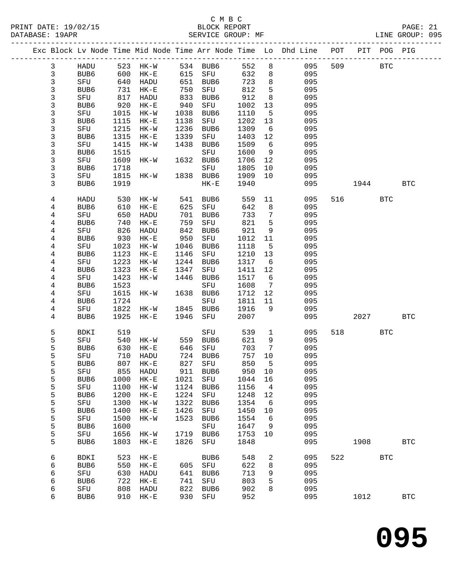|  |              |                  |              |                      |              |                 |               |                 | Exc Block Lv Node Time Mid Node Time Arr Node Time Lo Dhd Line POT |     |      | PIT POG PIG |              |
|--|--------------|------------------|--------------|----------------------|--------------|-----------------|---------------|-----------------|--------------------------------------------------------------------|-----|------|-------------|--------------|
|  | $\mathbf{3}$ | HADU             |              | 523 HK-W             |              | 534 BUB6        | 552           | 8               | 095                                                                | 509 |      | <b>BTC</b>  |              |
|  | $\mathbf{3}$ | BUB6             | 600          | $HK-E$               | 615          | SFU             | 632           | 8               | 095                                                                |     |      |             |              |
|  | 3            | SFU              | 640          | HADU                 | 651          | BUB6            | 723           | 8               | 095                                                                |     |      |             |              |
|  | 3            | BUB <sub>6</sub> | 731          | $HK-E$               | 750          | SFU             | 812           | 5               | 095                                                                |     |      |             |              |
|  | 3            | SFU              | 817          | HADU                 | 833          | BUB6            | 912           | 8               | 095                                                                |     |      |             |              |
|  | 3            | BUB <sub>6</sub> | 920          | $HK-E$               | 940          | SFU             | 1002          | 13              | 095                                                                |     |      |             |              |
|  | 3            | SFU              | 1015         | HK-W                 | 1038         | BUB6            | 1110          | 5               | 095                                                                |     |      |             |              |
|  | 3            | BUB6             | 1115         | $HK-E$               | 1138         | SFU             | 1202          | 13              | 095                                                                |     |      |             |              |
|  | 3            | SFU              | 1215         | $HK-W$               | 1236         | BUB6            | 1309<br>1403  | 6               | 095                                                                |     |      |             |              |
|  | 3<br>3       | BUB6             | 1315         | $HK-E$<br>$HK-W$     | 1339<br>1438 | SFU<br>BUB6     |               | 12<br>6         | 095<br>095                                                         |     |      |             |              |
|  | 3            | SFU<br>BUB6      | 1415<br>1515 |                      |              | SFU             | 1509<br>1600  | 9               | 095                                                                |     |      |             |              |
|  | 3            | SFU              | 1609         | HK-W                 | 1632         | BUB6            | 1706          | 12              | 095                                                                |     |      |             |              |
|  | 3            | BUB6             | 1718         |                      |              | SFU             | 1805          | 10              | 095                                                                |     |      |             |              |
|  | 3            | SFU              | 1815         | HK-W                 | 1838         | BUB6            | 1909          | 10              | 095                                                                |     |      |             |              |
|  | 3            | BUB <sub>6</sub> | 1919         |                      |              | $HK-E$          | 1940          |                 | 095                                                                |     | 1944 |             | <b>BTC</b>   |
|  |              |                  |              |                      |              |                 |               |                 |                                                                    |     |      |             |              |
|  | 4            | HADU             | 530          | $HK-W$               | 541          | BUB6            | 559           | 11              | 095                                                                | 516 |      | <b>BTC</b>  |              |
|  | 4            | BUB6             | 610          | $HK-E$               | 625          | SFU             | 642           | 8               | 095                                                                |     |      |             |              |
|  | 4            | SFU              | 650          | HADU                 | 701          | BUB6            | 733           | $7\phantom{.0}$ | 095                                                                |     |      |             |              |
|  | 4            | BUB6             | 740          | $HK-E$               | 759          | SFU             | 821           | 5               | 095                                                                |     |      |             |              |
|  | 4            | SFU              | 826          | HADU                 | 842          | BUB6            | 921           | 9               | 095                                                                |     |      |             |              |
|  | 4            | BUB <sub>6</sub> | 930          | $\rm{HK}\!-\!\rm{E}$ | 950          | SFU             | 1012          | 11              | 095                                                                |     |      |             |              |
|  | 4            | SFU              | 1023         | $HK-W$               | 1046         | BUB6            | 1118          | 5               | 095                                                                |     |      |             |              |
|  | 4            | BUB6             | 1123         | $HK-E$               | 1146         | SFU             | 1210          | 13              | 095                                                                |     |      |             |              |
|  | 4            | SFU              | 1223         | $HK-W$               | 1244         | BUB6            | 1317          | 6               | 095                                                                |     |      |             |              |
|  | 4            | BUB6             | 1323<br>1423 | $HK-E$<br>$HK-W$     | 1347<br>1446 | SFU<br>BUB6     | 1411<br>1517  | 12<br>6         | 095<br>095                                                         |     |      |             |              |
|  | 4<br>4       | SFU<br>BUB6      | 1523         |                      |              | SFU             | 1608          | $7\phantom{.0}$ | 095                                                                |     |      |             |              |
|  | 4            | SFU              | 1615         | HK-W                 | 1638         | BUB6            | 1712          | 12              | 095                                                                |     |      |             |              |
|  | 4            | BUB6             | 1724         |                      |              | SFU             | 1811          | 11              | 095                                                                |     |      |             |              |
|  | 4            | SFU              | 1822         | HK-W                 | 1845         | BUB6            | 1916          | 9               | 095                                                                |     |      |             |              |
|  | 4            | BUB6             | 1925         | $HK-E$               | 1946         | SFU             | 2007          |                 | 095                                                                |     | 2027 |             | <b>BTC</b>   |
|  |              |                  |              |                      |              |                 |               |                 |                                                                    |     |      |             |              |
|  | 5            | BDKI             | 519          |                      |              | SFU             | 539           | $\mathbf{1}$    | 095                                                                | 518 |      | BTC         |              |
|  | 5            | SFU              | 540          | HK-W                 | 559          | BUB6            | 621           | 9               | 095                                                                |     |      |             |              |
|  | 5            | BUB6             | 630          | $HK-E$               | 646          | SFU             | 703           | 7               | 095                                                                |     |      |             |              |
|  | 5            | SFU              | 710          | HADU                 | 724          | BUB6            | 757           | 10              | 095                                                                |     |      |             |              |
|  | 5<br>5       | BUB6<br>SFU      |              | 807 HK-E<br>855 HADU | 827          | SFU<br>911 BUB6 | 850<br>950 10 | 5               | 095<br>095                                                         |     |      |             |              |
|  | 5            | BUB6             | 1000         | $HK-E$               | 1021         | SFU             | 1044          | 16              | 095                                                                |     |      |             |              |
|  | 5            | SFU              | 1100         | $HK-W$               | 1124         | BUB6            | 1156          | 4               | 095                                                                |     |      |             |              |
|  | 5            | BUB6             | 1200         | $HK-E$               | 1224         | SFU             | 1248          | 12              | 095                                                                |     |      |             |              |
|  | 5            | SFU              | 1300         | $HK-W$               | 1322         | BUB6            | 1354          | 6               | 095                                                                |     |      |             |              |
|  | 5            | BUB6             | 1400         | $HK-E$               | 1426         | SFU             | 1450          | 10              | 095                                                                |     |      |             |              |
|  | 5            | SFU              | 1500         | $HK-W$               | 1523         | BUB6            | 1554          | 6               | 095                                                                |     |      |             |              |
|  | 5            | BUB6             | 1600         |                      |              | SFU             | 1647          | 9               | 095                                                                |     |      |             |              |
|  | 5            | SFU              | 1656         | $HK-W$               | 1719         | BUB6            | 1753          | 10              | 095                                                                |     |      |             |              |
|  | 5            | BUB6             | 1803         | $HK-E$               | 1826         | SFU             | 1848          |                 | 095                                                                |     | 1908 |             | $_{\rm BTC}$ |
|  | 6            | <b>BDKI</b>      | 523          | $HK-E$               |              | BUB6            | 548           | 2               | 095                                                                | 522 |      | <b>BTC</b>  |              |
|  | 6            | BUB6             | 550          | $HK-E$               | 605          | ${\tt SFU}$     | 622           | 8               | 095                                                                |     |      |             |              |
|  | 6            | SFU              | 630          | HADU                 | 641          | BUB6            | 713           | 9               | 095                                                                |     |      |             |              |
|  | 6            | BUB6             | 722          | $HK-E$               | 741          | ${\tt SFU}$     | 803           | 5               | 095                                                                |     |      |             |              |
|  | 6            | SFU              | 808          | HADU                 | 822          | BUB6            | 902           | 8               | 095                                                                |     |      |             |              |
|  | 6            | BUB6             | 910          | $HK-E$               | 930          | SFU             | 952           |                 | 095                                                                |     | 1012 |             | <b>BTC</b>   |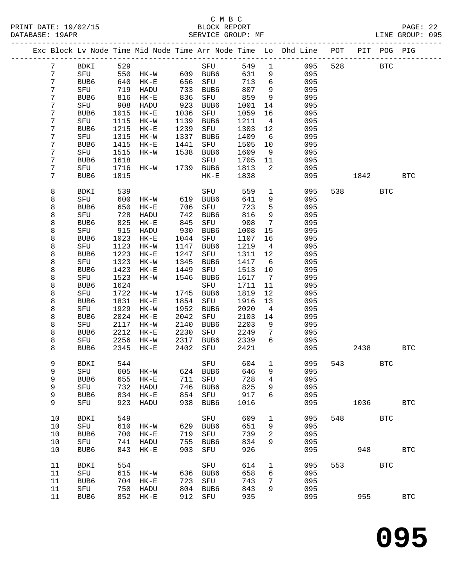PRINT DATE: 19/02/15 BLOCK REPORT BATABASE: 19APR BLOCK REPORT

## C M B C<br>BLOCK REPORT

PAGE: 22<br>LINE GROUP: 095

|  |                  |             |      |             |      | Exc Block Lv Node Time Mid Node Time Arr Node Time Lo Dhd Line POT |      |                 |     |     |                | PIT POG PIG |              |
|--|------------------|-------------|------|-------------|------|--------------------------------------------------------------------|------|-----------------|-----|-----|----------------|-------------|--------------|
|  | $7\phantom{.0}$  | BDKI        | 529  |             |      | SFU                                                                | 549  | $\mathbf{1}$    | 095 | 528 |                | <b>BTC</b>  |              |
|  | $\overline{7}$   | SFU         | 550  | HK-W        |      | 609 BUB6                                                           | 631  | 9               | 095 |     |                |             |              |
|  | $7\phantom{.}$   | BUB6        | 640  | $HK-E$      | 656  | SFU                                                                | 713  | $6\overline{6}$ | 095 |     |                |             |              |
|  | 7                | SFU         | 719  | HADU        | 733  | BUB6                                                               | 807  | 9               | 095 |     |                |             |              |
|  | 7                | BUB6        | 816  | $HK-E$      | 836  | SFU                                                                | 859  | 9               | 095 |     |                |             |              |
|  | 7                | SFU         | 908  | HADU        | 923  | BUB6                                                               | 1001 | 14              | 095 |     |                |             |              |
|  | 7                | BUB6        | 1015 | $HK-E$      | 1036 | SFU                                                                | 1059 | 16              | 095 |     |                |             |              |
|  | 7                | SFU         | 1115 | $HK-W$      | 1139 | BUB6                                                               | 1211 | $\overline{4}$  | 095 |     |                |             |              |
|  | 7                | BUB6        | 1215 | $HK-E$      | 1239 | SFU                                                                | 1303 | 12              | 095 |     |                |             |              |
|  | 7                | SFU         | 1315 | HK-W        | 1337 | BUB6                                                               | 1409 | 6               | 095 |     |                |             |              |
|  | $\boldsymbol{7}$ | BUB6        | 1415 | $HK-E$      | 1441 | SFU                                                                | 1505 | 10              | 095 |     |                |             |              |
|  | 7                | SFU         | 1515 | HK-W        | 1538 | BUB6                                                               | 1609 | 9               | 095 |     |                |             |              |
|  | 7                | BUB6        | 1618 |             |      | SFU                                                                | 1705 | 11              | 095 |     |                |             |              |
|  | 7                | SFU         | 1716 | HK-W        |      | 1739 BUB6                                                          | 1813 | 2               | 095 |     |                |             |              |
|  | 7                | BUB6        | 1815 |             |      | $HK-E$                                                             | 1838 |                 | 095 |     | 1842           |             | <b>BTC</b>   |
|  | 8                | <b>BDKI</b> | 539  |             |      | SFU                                                                | 559  | $\mathbf{1}$    | 095 |     | 538 7          | <b>BTC</b>  |              |
|  | 8                | SFU         | 600  | HK-W        | 619  | BUB6                                                               | 641  | 9               | 095 |     |                |             |              |
|  | 8                | BUB6        | 650  | $HK-E$      | 706  | SFU                                                                | 723  | 5               | 095 |     |                |             |              |
|  | 8                | SFU         | 728  | HADU        | 742  | BUB6                                                               | 816  | 9               | 095 |     |                |             |              |
|  | 8                | BUB6        | 825  | $HK-E$      | 845  | SFU                                                                | 908  | $7\phantom{.0}$ | 095 |     |                |             |              |
|  | 8                | SFU         | 915  | HADU        | 930  | BUB6                                                               | 1008 | 15              | 095 |     |                |             |              |
|  | 8                | BUB6        | 1023 | $HK-E$      | 1044 | SFU                                                                | 1107 | 16              | 095 |     |                |             |              |
|  | 8                | SFU         | 1123 | $HK-W$      | 1147 | BUB6                                                               | 1219 | $\overline{4}$  | 095 |     |                |             |              |
|  | 8                | BUB6        | 1223 | $HK-E$      | 1247 | SFU                                                                | 1311 | 12              | 095 |     |                |             |              |
|  | 8                | SFU         | 1323 | HK-W        | 1345 | BUB6                                                               | 1417 | $6\overline{6}$ | 095 |     |                |             |              |
|  | 8                | BUB6        | 1423 | $HK-E$      | 1449 | SFU                                                                | 1513 | 10              | 095 |     |                |             |              |
|  | 8                | SFU         | 1523 | HK-W        | 1546 | BUB6                                                               | 1617 | $\overline{7}$  | 095 |     |                |             |              |
|  | 8                | BUB6        | 1624 |             |      | SFU                                                                | 1711 | 11              | 095 |     |                |             |              |
|  | 8                | SFU         | 1722 | HK-W        | 1745 | BUB6                                                               | 1819 | 12              | 095 |     |                |             |              |
|  | 8                | BUB6        | 1831 | $HK-E$      | 1854 | SFU                                                                | 1916 | 13              | 095 |     |                |             |              |
|  | 8                | SFU         | 1929 | HK-W        | 1952 | BUB6                                                               | 2020 | $\overline{4}$  | 095 |     |                |             |              |
|  | 8                | BUB6        | 2024 | $HK-E$      | 2042 | SFU                                                                | 2103 | 14              | 095 |     |                |             |              |
|  | 8                | SFU         | 2117 | $HK-W$      | 2140 | BUB6                                                               | 2203 | 9               | 095 |     |                |             |              |
|  | 8                | BUB6        | 2212 | $HK-E$      | 2230 | SFU                                                                | 2249 | 7               | 095 |     |                |             |              |
|  | 8                | SFU         | 2256 | HK-W        | 2317 | BUB6                                                               | 2339 | 6               | 095 |     |                |             |              |
|  | 8                | BUB6        | 2345 | $HK-E$      | 2402 | SFU                                                                | 2421 |                 | 095 |     | 2438           |             | <b>BTC</b>   |
|  |                  |             |      |             |      |                                                                    |      |                 |     |     |                |             |              |
|  | 9                | BDKI        | 544  |             |      | SFU                                                                | 604  | $\mathbf{1}$    | 095 |     | 543 and $\sim$ | <b>BTC</b>  |              |
|  | 9                | SFU         |      | 605 HK-W    |      | 624 BUB6 646 9                                                     |      |                 | 095 |     |                |             |              |
|  | 9                | BUB6        | 655  | $HK-E$      | 711  | SFU                                                                | 728  | 4               | 095 |     |                |             |              |
|  | 9                | SFU         | 732  | HADU        | 746  | BUB6                                                               | 825  | 9               | 095 |     |                |             |              |
|  | 9                | BUB6        | 834  | $HK-E$      | 854  | SFU                                                                | 917  | 6               | 095 |     |                |             |              |
|  | 9                | SFU         | 923  | HADU        | 938  | BUB6                                                               | 1016 |                 | 095 |     | 1036           |             | <b>BTC</b>   |
|  | 10               | <b>BDKI</b> | 549  |             |      | ${\rm SFU}$                                                        | 609  | 1               | 095 | 548 |                | <b>BTC</b>  |              |
|  | 10               | SFU         | 610  | $HK-W$      | 629  | BUB <sub>6</sub>                                                   | 651  | 9               | 095 |     |                |             |              |
|  | 10               | BUB6        | 700  | $HK-E$      | 719  | SFU                                                                | 739  | 2               | 095 |     |                |             |              |
|  | 10               | SFU         | 741  | HADU        | 755  | BUB6                                                               | 834  | 9               | 095 |     |                |             |              |
|  | 10               | BUB6        | 843  | $HK-E$      | 903  | SFU                                                                | 926  |                 | 095 |     | 948            |             | <b>BTC</b>   |
|  | 11               | <b>BDKI</b> | 554  |             |      | SFU                                                                | 614  | 1               | 095 | 553 |                | <b>BTC</b>  |              |
|  | 11               | SFU         | 615  | HK-W        | 636  | BUB6                                                               | 658  | 6               | 095 |     |                |             |              |
|  | 11               | BUB6        | 704  | $HK-E$      | 723  | SFU                                                                | 743  | 7               | 095 |     |                |             |              |
|  | 11               | SFU         | 750  | <b>HADU</b> | 804  | BUB6                                                               | 843  | 9               | 095 |     |                |             |              |
|  | 11               | BUB6        | 852  | $HK-E$      | 912  | SFU                                                                | 935  |                 | 095 |     | 955            |             | $_{\rm BTC}$ |
|  |                  |             |      |             |      |                                                                    |      |                 |     |     |                |             |              |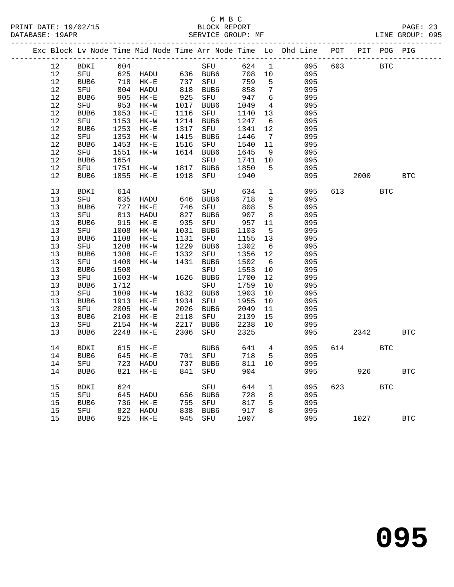#### C M B C<br>BLOCK REPORT SERVICE GROUP: MF

|      |                  |      |          |                 |                     |      |                 | Exc Block Lv Node Time Mid Node Time Arr Node Time Lo Dhd Line POT |     |      | PIT POG PIG |            |
|------|------------------|------|----------|-----------------|---------------------|------|-----------------|--------------------------------------------------------------------|-----|------|-------------|------------|
| 12   | BDKI             | 604  |          |                 | SFU                 | 624  | $\mathbf{1}$    | 095                                                                | 603 |      | <b>BTC</b>  |            |
| 12   | SFU              |      | 625 HADU |                 | 636 BUB6            | 708  | 10              | 095                                                                |     |      |             |            |
| $12$ | BUB6             | 718  | HK-E     | 737             | SFU                 | 759  | 5               | 095                                                                |     |      |             |            |
| 12   | SFU              |      | 804 HADU |                 | 737 SFU<br>818 BUB6 | 858  | 7               | 095                                                                |     |      |             |            |
| 12   | BUB6             | 905  | $HK-E$   | 925             | SFU                 | 947  | - 6             | 095                                                                |     |      |             |            |
| $12$ | SFU              |      | 953 HK-W | 1017            | BUB6                | 1049 | $4\overline{ }$ | 095                                                                |     |      |             |            |
| 12   | BUB6             | 1053 | $HK-E$   | 1116            | SFU                 | 1140 | 13              | 095                                                                |     |      |             |            |
| $12$ | SFU              | 1153 | HK-W     |                 | 1214 BUB6           | 1247 | $6\overline{6}$ | 095                                                                |     |      |             |            |
| 12   | BUB6             | 1253 | $HK-E$   | 1317            | SFU                 | 1341 | 12              | 095                                                                |     |      |             |            |
| $12$ | SFU              | 1353 | $HK-W$   | 1415            | BUB6                | 1446 | $7\overline{ }$ | 095                                                                |     |      |             |            |
| $12$ | BUB6             | 1453 | $HK-E$   | 1516            | SFU                 | 1540 | 11              | 095                                                                |     |      |             |            |
| $12$ | SFU              | 1551 | HK-W     |                 | 1614 BUB6           | 1645 | 9               | 095                                                                |     |      |             |            |
| $12$ | BUB6             | 1654 |          |                 | SFU                 | 1741 | 10              | 095                                                                |     |      |             |            |
| 12   | SFU              | 1751 | HK-W     | 1817            | BUB6                | 1850 | 5               | 095                                                                |     |      |             |            |
| 12   | BUB6             | 1855 | $HK-E$   | 1918            | SFU                 | 1940 |                 | 095                                                                |     | 2000 |             | <b>BTC</b> |
| 13   | BDKI             | 614  |          |                 | SFU                 | 634  | $\mathbf{1}$    | 095                                                                | 613 |      | <b>BTC</b>  |            |
| 13   | SFU              | 635  | HADU     | 646             | BUB6                | 718  | 9               | 095                                                                |     |      |             |            |
| 13   | BUB6             | 727  | $HK-E$   | 746             | SFU                 | 808  | 5               | 095                                                                |     |      |             |            |
| 13   | SFU              | 813  | HADU     | $\frac{1}{827}$ | BUB6                | 907  | 8               | 095                                                                |     |      |             |            |
| 13   | BUB6             | 915  | HK-E     | 935             | SFU                 | 957  | 11              | 095                                                                |     |      |             |            |
| 13   | SFU              | 1008 | HK-W     |                 | 1031 BUB6           | 1103 | 5               | 095                                                                |     |      |             |            |
| 13   | BUB6             | 1108 | $HK-E$   | 1131            | SFU                 | 1155 | 13              | 095                                                                |     |      |             |            |
| 13   | SFU              | 1208 | HK-W     | 1229            | BUB6                | 1302 | - 6             | 095                                                                |     |      |             |            |
| 13   | BUB6             | 1308 | $HK-E$   | 1332            | SFU                 | 1356 | 12              | 095                                                                |     |      |             |            |
| 13   | SFU              | 1408 | HK-W     | 1431            | BUB6                | 1502 | 6               | 095                                                                |     |      |             |            |
| 13   | BUB6             | 1508 |          |                 | SFU                 | 1553 | 10              | 095                                                                |     |      |             |            |
| 13   | SFU              | 1603 | HK-W     | 1626            | BUB6                | 1700 | 12              | 095                                                                |     |      |             |            |
| 13   | BUB6             | 1712 |          |                 | SFU                 | 1759 | 10              | 095                                                                |     |      |             |            |
| 13   | SFU              | 1809 | HK-W     |                 | 1832 BUB6           | 1903 | 10              | 095                                                                |     |      |             |            |
| 13   | BUB6             | 1913 | $HK-E$   |                 | 1934 SFU            | 1955 | 10              | 095                                                                |     |      |             |            |
| 13   | SFU              | 2005 | HK-W     |                 | 2026 BUB6           | 2049 | 11              | 095                                                                |     |      |             |            |
| 13   | BUB6             | 2100 | $HK-E$   | 2118            | SFU                 | 2139 | 15              | 095                                                                |     |      |             |            |
| 13   | SFU              | 2154 | $HK-W$   | 2217            | BUB6                | 2238 | 10              | 095                                                                |     |      |             |            |
| 13   | BUB6             | 2248 | $HK-E$   | 2306            | SFU                 | 2325 |                 | 095                                                                |     | 2342 |             | <b>BTC</b> |
| 14   | BDKI             | 615  | $HK-E$   |                 | BUB6                | 641  | $\overline{4}$  | 095                                                                | 614 |      | <b>BTC</b>  |            |
| 14   | BUB6             | 645  | $HK-E$   |                 | 701 SFU             | 718  | 5               | 095                                                                |     |      |             |            |
| 14   | SFU              | 723  | HADU     | 737             | BUB6                | 811  | 10              | 095                                                                |     |      |             |            |
| 14   | BUB6             | 821  | $HK-E$   | 841             | SFU                 | 904  |                 | 095                                                                |     | 926  |             | <b>BTC</b> |
|      |                  |      |          |                 |                     |      |                 |                                                                    |     |      |             |            |
| 15   | BDKI             | 624  |          |                 | SFU                 | 644  | $\mathbf{1}$    | 095                                                                | 623 |      | <b>BTC</b>  |            |
| 15   | SFU              | 645  | HADU     |                 | 656 BUB6            | 728  | 8               | 095                                                                |     |      |             |            |
| 15   | BUB6             | 736  | $HK-E$   | 755             | SFU                 | 817  | 5               | 095                                                                |     |      |             |            |
| 15   | SFU              | 822  | HADU     | 838             | BUB6                | 917  | 8               | 095                                                                |     |      |             |            |
| 15   | BUB <sub>6</sub> | 925  | $HK-E$   | 945             | SFU                 | 1007 |                 | 095                                                                |     | 1027 |             | <b>BTC</b> |
|      |                  |      |          |                 |                     |      |                 |                                                                    |     |      |             |            |

**095**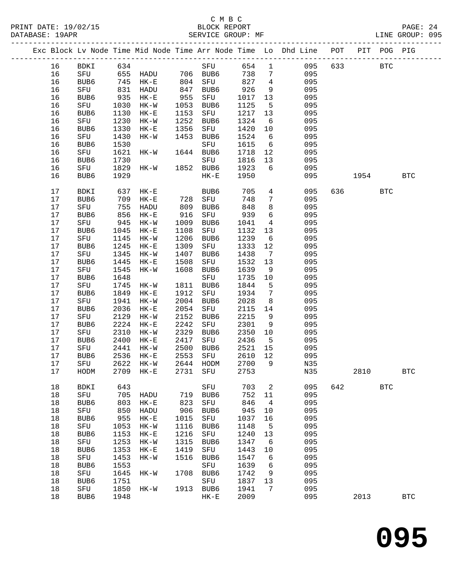|  |      |                  |      | Exc Block Lv Node Time Mid Node Time Arr Node Time Lo Dhd Line POT |      |             |      |                 |     |     |      | PIT POG PIG |              |
|--|------|------------------|------|--------------------------------------------------------------------|------|-------------|------|-----------------|-----|-----|------|-------------|--------------|
|  | 16   | BDKI             | 634  |                                                                    |      | SFU         | 654  | $\mathbf{1}$    | 095 | 633 |      | <b>BTC</b>  |              |
|  | 16   | SFU              | 655  | HADU 706 BUB6                                                      |      |             | 738  | $7\phantom{.0}$ | 095 |     |      |             |              |
|  | 16   | BUB6             | 745  | $HK-E$                                                             | 804  | SFU         | 827  | $\overline{4}$  | 095 |     |      |             |              |
|  | 16   | SFU              | 831  | HADU                                                               | 847  | BUB6        | 926  | 9               | 095 |     |      |             |              |
|  | 16   | BUB <sub>6</sub> | 935  | $HK-E$                                                             | 955  | SFU         | 1017 | 13              | 095 |     |      |             |              |
|  | 16   | SFU              | 1030 | $HK-W$                                                             | 1053 | BUB6        | 1125 | $5^{\circ}$     | 095 |     |      |             |              |
|  | 16   | BUB6             | 1130 | $HK-E$                                                             | 1153 | SFU         | 1217 | 13              | 095 |     |      |             |              |
|  | 16   | SFU              | 1230 | $HK-W$                                                             | 1252 | BUB6        | 1324 | 6               | 095 |     |      |             |              |
|  | 16   | BUB6             | 1330 | $HK-E$                                                             | 1356 | SFU         | 1420 | 10              | 095 |     |      |             |              |
|  | 16   | SFU              | 1430 | $HK-W$                                                             | 1453 | BUB6        | 1524 | 6               | 095 |     |      |             |              |
|  | 16   | BUB6             | 1530 |                                                                    |      | SFU         | 1615 | 6               | 095 |     |      |             |              |
|  | 16   | SFU              | 1621 | HK-W                                                               |      | 1644 BUB6   | 1718 | 12              | 095 |     |      |             |              |
|  | 16   | BUB6             | 1730 |                                                                    |      | SFU         | 1816 | 13              | 095 |     |      |             |              |
|  | 16   | SFU              | 1829 | HK-W                                                               |      | 1852 BUB6   | 1923 | 6               | 095 |     |      |             |              |
|  | 16   | BUB6             | 1929 |                                                                    |      | $HK-E$      | 1950 |                 | 095 |     | 1954 |             | $_{\rm BTC}$ |
|  |      |                  |      |                                                                    |      |             |      |                 |     |     |      |             |              |
|  | 17   | <b>BDKI</b>      | 637  | $HK-E$                                                             |      | BUB6        | 705  | $4\overline{ }$ | 095 | 636 |      | <b>BTC</b>  |              |
|  | 17   | BUB6             | 709  | $HK-E$                                                             | 728  | SFU         | 748  | 7               | 095 |     |      |             |              |
|  | 17   | SFU              | 755  | HADU                                                               | 809  | BUB6        | 848  | 8               | 095 |     |      |             |              |
|  | 17   | BUB6             | 856  | $HK-E$                                                             | 916  | SFU         | 939  | 6               | 095 |     |      |             |              |
|  | $17$ | SFU              | 945  | HK-W                                                               | 1009 | BUB6        | 1041 | $\overline{4}$  | 095 |     |      |             |              |
|  | 17   | BUB6             | 1045 | $HK-E$                                                             | 1108 | SFU         | 1132 | 13              | 095 |     |      |             |              |
|  | 17   | SFU              | 1145 | $HK-W$                                                             | 1206 | BUB6        | 1239 | 6               | 095 |     |      |             |              |
|  | $17$ | BUB6             | 1245 | $HK-E$                                                             | 1309 | SFU         | 1333 | 12              | 095 |     |      |             |              |
|  | 17   | SFU              | 1345 | $HK-W$                                                             | 1407 | BUB6        | 1438 | $\overline{7}$  | 095 |     |      |             |              |
|  | 17   | BUB6             | 1445 | $HK-E$                                                             | 1508 | SFU         | 1532 | 13              | 095 |     |      |             |              |
|  | 17   | SFU              | 1545 | $HK-W$                                                             | 1608 | BUB6        | 1639 | 9               | 095 |     |      |             |              |
|  | 17   | BUB6             | 1648 |                                                                    |      | SFU         | 1735 | 10              | 095 |     |      |             |              |
|  | 17   | SFU              | 1745 | HK-W                                                               | 1811 | BUB6        | 1844 | $5^{\circ}$     | 095 |     |      |             |              |
|  | 17   | BUB6             | 1849 | $HK-E$                                                             | 1912 | SFU         | 1934 | $7\phantom{.0}$ | 095 |     |      |             |              |
|  | 17   | SFU              | 1941 | $HK-W$                                                             | 2004 | BUB6        | 2028 | 8               | 095 |     |      |             |              |
|  | 17   | BUB6             | 2036 | $HK-E$                                                             | 2054 | SFU         | 2115 | 14              | 095 |     |      |             |              |
|  | 17   | SFU              | 2129 | $HK-W$                                                             | 2152 | BUB6        | 2215 | 9               | 095 |     |      |             |              |
|  | 17   | BUB6             | 2224 | $HK-E$                                                             | 2242 | SFU         | 2301 | 9               | 095 |     |      |             |              |
|  | 17   | SFU              | 2310 | HK-W                                                               | 2329 | BUB6        | 2350 | 10              | 095 |     |      |             |              |
|  | 17   | BUB6             | 2400 | $HK-E$                                                             | 2417 | SFU         | 2436 | $5^{\circ}$     | 095 |     |      |             |              |
|  | 17   | SFU              | 2441 | HK-W                                                               | 2500 | BUB6        | 2521 | 15              | 095 |     |      |             |              |
|  | 17   | BUB <sub>6</sub> | 2536 | $HK-E$                                                             | 2553 | SFU         | 2610 | 12              | 095 |     |      |             |              |
|  | 17   | SFU              | 2622 | HK-W                                                               |      | 2644 HODM   | 2700 | 9               | N35 |     |      |             |              |
|  | 17   | HODM             |      | 2709 HK-E                                                          |      | 2731 SFU    | 2753 |                 | N35 |     | 2810 |             | BTC          |
|  | 18   | BDKI             | 643  |                                                                    |      | SFU         | 703  | 2               | 095 | 642 |      | <b>BTC</b>  |              |
|  | 18   | SFU              | 705  | HADU                                                               | 719  | BUB6        | 752  | 11              | 095 |     |      |             |              |
|  | 18   | BUB6             | 803  | $HK-E$                                                             | 823  | ${\tt SFU}$ | 846  | $\overline{4}$  | 095 |     |      |             |              |
|  | 18   | ${\tt SFU}$      | 850  | HADU                                                               | 906  | BUB6        | 945  | 10              | 095 |     |      |             |              |
|  | 18   | BUB6             | 955  | $HK-E$                                                             | 1015 | ${\rm SFU}$ | 1037 | 16              | 095 |     |      |             |              |
|  | 18   | SFU              | 1053 | $HK-W$                                                             | 1116 | BUB6        | 1148 | 5               | 095 |     |      |             |              |
|  | 18   | BUB6             | 1153 | $HK-E$                                                             | 1216 | SFU         | 1240 | 13              | 095 |     |      |             |              |
|  | 18   | SFU              | 1253 | $HK-W$                                                             | 1315 | BUB6        | 1347 | 6               | 095 |     |      |             |              |
|  | 18   | BUB6             | 1353 | $HK-E$                                                             | 1419 | SFU         | 1443 | 10              | 095 |     |      |             |              |
|  | 18   | ${\rm SFU}$      | 1453 | $HK-W$                                                             | 1516 | BUB6        | 1547 | 6               | 095 |     |      |             |              |
|  | 18   | BUB6             | 1553 |                                                                    |      | ${\rm SFU}$ | 1639 | 6               | 095 |     |      |             |              |
|  | 18   | SFU              | 1645 | $HK-W$                                                             | 1708 | BUB6        | 1742 | 9               | 095 |     |      |             |              |
|  | 18   | BUB6             | 1751 |                                                                    |      | SFU         | 1837 | 13              | 095 |     |      |             |              |
|  | 18   | SFU              | 1850 | HK-W                                                               | 1913 | BUB6        | 1941 | 7               | 095 |     |      |             |              |
|  | 18   | BUB6             | 1948 |                                                                    |      | $HK-E$      | 2009 |                 | 095 |     | 2013 |             | <b>BTC</b>   |
|  |      |                  |      |                                                                    |      |             |      |                 |     |     |      |             |              |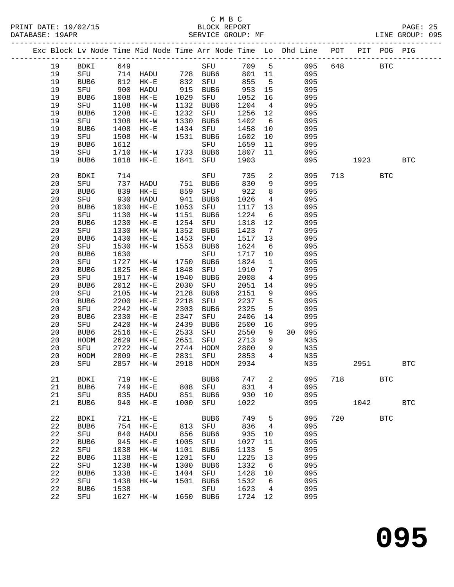#### C M B C<br>BLOCK REPORT SERVICE GROUP: MF

|  |          |             |              | Exc Block Lv Node Time Mid Node Time Arr Node Time Lo Dhd Line POT |              |                  |              |                       |    |            |     | PIT  | POG PIG    |              |
|--|----------|-------------|--------------|--------------------------------------------------------------------|--------------|------------------|--------------|-----------------------|----|------------|-----|------|------------|--------------|
|  | 19       | BDKI        | 649          |                                                                    |              | SFU              | 709          | $5^{\circ}$           |    | 095        | 648 |      | <b>BTC</b> |              |
|  | 19       | SFU         |              | 714 HADU                                                           |              | 728 BUB6         | 801 11       |                       |    | 095        |     |      |            |              |
|  | 19       | BUB6        | 812          | $HK-E$                                                             | 832          | SFU              | 855          | $5^{\circ}$           |    | 095        |     |      |            |              |
|  | 19       | SFU         | 900          | HADU                                                               | 915          | BUB6             | 953          | 15                    |    | 095        |     |      |            |              |
|  | 19       | BUB6        | 1008         | $HK-E$                                                             | 1029         | SFU              | 1052         | 16                    |    | 095        |     |      |            |              |
|  | 19       | SFU         | 1108         | HK-W                                                               | 1132         | BUB6             | 1204         | $\overline{4}$        |    | 095        |     |      |            |              |
|  | 19       | BUB6        | 1208         | $HK-E$                                                             | 1232         | SFU              | 1256         | 12                    |    | 095        |     |      |            |              |
|  | 19       | SFU         | 1308         | HK-W                                                               | 1330         | BUB6             | 1402         | $6\overline{6}$       |    | 095        |     |      |            |              |
|  | 19       | BUB6        | 1408         | $HK-E$                                                             | 1434         | SFU              | 1458         | 10                    |    | 095        |     |      |            |              |
|  | 19       | SFU         | 1508         | $HK-W$                                                             | 1531         | BUB6             | 1602         | 10                    |    | 095        |     |      |            |              |
|  | 19       | BUB6        | 1612         |                                                                    |              | SFU              | 1659         | 11                    |    | 095        |     |      |            |              |
|  | 19<br>19 | SFU<br>BUB6 | 1710<br>1818 | HK-W                                                               | 1733<br>1841 | BUB6             | 1807<br>1903 | 11                    |    | 095<br>095 |     | 1923 |            | <b>BTC</b>   |
|  |          |             |              | $HK-E$                                                             |              | SFU              |              |                       |    |            |     |      |            |              |
|  | 20       | BDKI        | 714          |                                                                    |              | SFU              | 735          | $\overline{a}$        |    | 095        | 713 |      | BTC        |              |
|  | 20       | SFU         | 737          | HADU                                                               | 751          | BUB6             | 830          | 9                     |    | 095        |     |      |            |              |
|  | 20       | BUB6        | 839          | $HK-E$                                                             | 859          | SFU              | 922          | 8                     |    | 095        |     |      |            |              |
|  | 20       | SFU         | 930          | HADU                                                               | 941          | BUB6             | 1026         | $\overline{4}$        |    | 095        |     |      |            |              |
|  | 20       | BUB6        | 1030         | $HK-E$                                                             | 1053         | SFU              | 1117         | 13                    |    | 095        |     |      |            |              |
|  | 20       | SFU         | 1130         | HK-W                                                               | 1151         | BUB6             | 1224         | $6\overline{6}$       |    | 095        |     |      |            |              |
|  | 20       | BUB6        | 1230         | $HK-E$                                                             | 1254         | SFU              | 1318         | 12                    |    | 095        |     |      |            |              |
|  | 20       | SFU         | 1330         | $HK-W$                                                             | 1352         | BUB6             | 1423<br>1517 | $\overline{7}$        |    | 095        |     |      |            |              |
|  | 20<br>20 | BUB6        | 1430         | $HK-E$                                                             | 1453         | SFU              | 1624         | 13                    |    | 095<br>095 |     |      |            |              |
|  | 20       | SFU<br>BUB6 | 1530<br>1630 | $HK-W$                                                             | 1553         | BUB6<br>SFU      | 1717         | $6\overline{6}$<br>10 |    | 095        |     |      |            |              |
|  | 20       | SFU         | 1727         | HK-W                                                               | 1750         | BUB6             | 1824         | $\mathbf{1}$          |    | 095        |     |      |            |              |
|  | 20       | BUB6        | 1825         | $HK-E$                                                             | 1848         | SFU              | 1910         | $7\phantom{.0}$       |    | 095        |     |      |            |              |
|  | 20       | SFU         | 1917         | $HK-W$                                                             | 1940         | BUB6             | 2008         | $\overline{4}$        |    | 095        |     |      |            |              |
|  | 20       | BUB6        | 2012         | $HK-E$                                                             | 2030         | SFU              | 2051         | 14                    |    | 095        |     |      |            |              |
|  | 20       | SFU         | 2105         | $HK-W$                                                             | 2128         | BUB6             | 2151         | 9                     |    | 095        |     |      |            |              |
|  | 20       | BUB6        | 2200         | $HK-E$                                                             | 2218         | SFU              | 2237         | 5                     |    | 095        |     |      |            |              |
|  | 20       | SFU         | 2242         | $HK-W$                                                             | 2303         | BUB6             | 2325         | 5                     |    | 095        |     |      |            |              |
|  | 20       | BUB6        | 2330         | $HK-E$                                                             | 2347         | SFU              | 2406         | 14                    |    | 095        |     |      |            |              |
|  | 20       | SFU         | 2420         | $HK-W$                                                             | 2439         | BUB6             | 2500         | 16                    |    | 095        |     |      |            |              |
|  | 20       | BUB6        | 2516         | $HK-E$                                                             | 2533         | SFU              | 2550         | 9                     | 30 | 095        |     |      |            |              |
|  | 20       | HODM        | 2629         | $HK-E$                                                             | 2651         | SFU              | 2713         | 9                     |    | N35        |     |      |            |              |
|  | 20       | SFU         | 2722         | HK-W                                                               | 2744         | HODM             | 2800         | 9                     |    | N35        |     |      |            |              |
|  | 20       | HODM        | 2809         | $HK-E$                                                             | 2831         | SFU              | 2853         | $\overline{4}$        |    | N35        |     |      |            |              |
|  | 20       | SFU         | 2857         | HK-W                                                               | 2918         | HODM             | 2934         |                       |    | N35        |     | 2951 |            | <b>BTC</b>   |
|  | 21       | BDKI        | 719          | $HK-E$                                                             |              | BUB <sub>6</sub> | 747          | 2                     |    | 095        | 718 |      | <b>BTC</b> |              |
|  | 21       | BUB6        | 749          | $HK-E$                                                             | 808          | SFU              | 831          | 4                     |    | 095        |     |      |            |              |
|  | 21       | SFU         | 835          | HADU                                                               | 851          | BUB6             | 930          | 10                    |    | 095        |     |      |            |              |
|  | 21       | BUB6        | 940          | $HK-E$                                                             | 1000         | SFU              | 1022         |                       |    | 095        |     | 1042 |            | $_{\rm BTC}$ |
|  | 22       | <b>BDKI</b> | 721          | $HK-E$                                                             |              | BUB6             | 749          | 5                     |    | 095        | 720 |      | <b>BTC</b> |              |
|  | 22       | BUB6        | 754          | $HK-E$                                                             | 813          | SFU              | 836          | $\overline{4}$        |    | 095        |     |      |            |              |
|  | 22       | SFU         | 840          | HADU                                                               | 856          | BUB6             | 935          | 10                    |    | 095        |     |      |            |              |
|  | 22       | BUB6        | 945          | $HK-E$                                                             | 1005         | SFU              | 1027         | 11                    |    | 095        |     |      |            |              |
|  | 22       | SFU         | 1038         | $HK-W$                                                             | 1101         | BUB6             | 1133         | 5                     |    | 095        |     |      |            |              |
|  | 22       | BUB6        | 1138         | $HK-E$                                                             | 1201         | ${\rm SFU}$      | 1225         | 13                    |    | 095        |     |      |            |              |
|  | 22<br>22 | SFU         | 1238<br>1338 | $HK-W$                                                             | 1300<br>1404 | BUB6             | 1332<br>1428 | $\sqrt{6}$            |    | 095<br>095 |     |      |            |              |
|  | 22       | BUB6<br>SFU | 1438         | $HK-E$<br>$HK-W$                                                   | 1501         | SFU<br>BUB6      | 1532         | 10<br>6               |    | 095        |     |      |            |              |
|  | 22       | BUB6        | 1538         |                                                                    |              | SFU              | 1623         | $\overline{4}$        |    | 095        |     |      |            |              |
|  | 22       | SFU         | 1627         | $HK-W$                                                             | 1650         | BUB6             | 1724         | 12                    |    | 095        |     |      |            |              |
|  |          |             |              |                                                                    |              |                  |              |                       |    |            |     |      |            |              |

**095**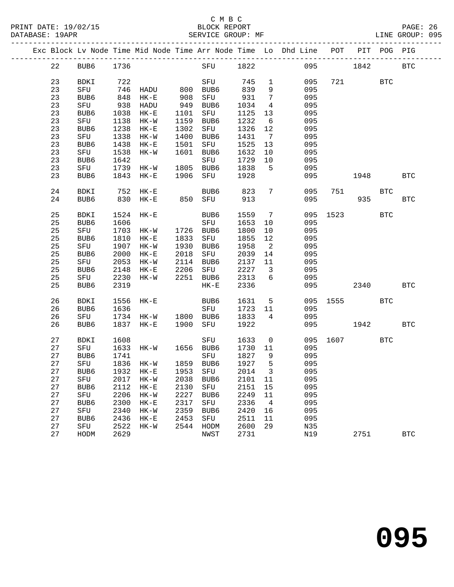PRINT DATE: 19/02/15 BLOCK REPORT BLOCK REPORT DATABASE: 19APR

## C M B C<br>BLOCK REPORT

| DATABASE: 19APR |        |      | SERVICE GROUP: MF |      |                                                                                |       |      |     | LINE GROUP: 095 |  |
|-----------------|--------|------|-------------------|------|--------------------------------------------------------------------------------|-------|------|-----|-----------------|--|
|                 |        |      |                   |      | Exc Block Lv Node Time Mid Node Time Arr Node Time Lo Dhd Line POT PIT POG PIG |       |      |     |                 |  |
| 22              | BUB6.  | 1736 | SFU               | 1822 | 095                                                                            |       | 1842 |     | BTC             |  |
| $\sim$ $\sim$   | ______ | $ -$ | ______            |      | $\hat{z} \cdot \hat{z} = \hat{z}$                                              | $  -$ |      | ___ |                 |  |

| 23     | BDKI        | 722  |                      |      | ${\rm SFU}$          | 745  | 1                   | 095 | 721  |      | $_{\rm BTC}$ |                      |
|--------|-------------|------|----------------------|------|----------------------|------|---------------------|-----|------|------|--------------|----------------------|
| 23     | ${\rm SFU}$ | 746  | HADU                 | 800  | BUB6                 | 839  | 9                   | 095 |      |      |              |                      |
| 23     | BUB6        | 848  | $\rm{HK}\!-\!\rm{E}$ | 908  | ${\rm SFU}$          | 931  | $\boldsymbol{7}$    | 095 |      |      |              |                      |
| 23     | ${\rm SFU}$ | 938  | HADU                 | 949  | BUB6                 | 1034 | $\,4$               | 095 |      |      |              |                      |
|        |             |      |                      |      |                      |      |                     |     |      |      |              |                      |
| 23     | BUB6        | 1038 | $\rm{HK}\!-\!\rm{E}$ | 1101 | ${\rm SFU}$          | 1125 | $13$                | 095 |      |      |              |                      |
| 23     | ${\tt SFU}$ | 1138 | $\rm{HK}\!-\!\rm{W}$ | 1159 | BUB6                 | 1232 | $\sqrt{6}$          | 095 |      |      |              |                      |
| 23     | BUB6        | 1238 | $\rm{HK}\!-\!\rm{E}$ | 1302 | ${\tt SFU}$          | 1326 | $1\,2$              | 095 |      |      |              |                      |
| 23     | ${\rm SFU}$ | 1338 | $HK-W$               | 1400 | BUB6                 | 1431 | $\sqrt{ }$          | 095 |      |      |              |                      |
| 23     | BUB6        | 1438 | $\rm{HK}\!-\!\rm{E}$ | 1501 | ${\rm SFU}$          | 1525 | 13                  | 095 |      |      |              |                      |
| 23     | SFU         | 1538 | $HK-W$               | 1601 | BUB6                 | 1632 | $10$                | 095 |      |      |              |                      |
| 23     | BUB6        | 1642 |                      |      | ${\rm SFU}$          | 1729 | $10$                | 095 |      |      |              |                      |
| 23     | ${\tt SFU}$ | 1739 | $HK-W$               | 1805 | BUB6                 | 1838 | $\overline{5}$      | 095 |      |      |              |                      |
| 23     | BUB6        | 1843 | $\rm{HK}\!-\!\rm{E}$ | 1906 | ${\tt SFU}$          | 1928 |                     | 095 |      | 1948 |              | $\operatorname{BTC}$ |
|        |             |      |                      |      |                      |      |                     |     |      |      |              |                      |
| 24     | BDKI        | 752  | $\rm{HK}\!-\!\rm{E}$ |      | BUB6                 | 823  | $\sqrt{ }$          | 095 | 751  |      | <b>BTC</b>   |                      |
| 24     | BUB6        | 830  | $\rm{HK}\!-\!\rm{E}$ | 850  | ${\tt SFU}$          | 913  |                     | 095 |      | 935  |              | $\operatorname{BTC}$ |
|        |             |      |                      |      |                      |      |                     |     |      |      |              |                      |
| 25     | <b>BDKI</b> | 1524 | $HK - E$             |      | BUB6                 | 1559 | $\sqrt{ }$          | 095 | 1523 |      | <b>BTC</b>   |                      |
| 25     | BUB6        | 1606 |                      |      | ${\rm SFU}$          | 1653 | $10$                | 095 |      |      |              |                      |
| 25     | SFU         | 1703 |                      |      | BUB6                 | 1800 |                     | 095 |      |      |              |                      |
|        |             |      | $HK-W$               | 1726 |                      |      | $10$                |     |      |      |              |                      |
| 25     | BUB6        | 1810 | $\rm{HK}\!-\!\rm{E}$ | 1833 | ${\tt SFU}$          | 1855 | 12                  | 095 |      |      |              |                      |
| 25     | ${\rm SFU}$ | 1907 | $HK-W$               | 1930 | BUB6                 | 1958 | $\sqrt{2}$          | 095 |      |      |              |                      |
| 25     | BUB6        | 2000 | $\rm{HK}\!-\!\rm{E}$ | 2018 | ${\rm SFU}$          | 2039 | $14$                | 095 |      |      |              |                      |
| 25     | ${\tt SFU}$ | 2053 | $HK-W$               | 2114 | BUB6                 | 2137 | $11\,$              | 095 |      |      |              |                      |
| 25     | BUB6        | 2148 | $\rm{HK}\!-\!\rm{E}$ | 2206 | ${\rm SFU}$          | 2227 | $\mathfrak{Z}$      | 095 |      |      |              |                      |
| 25     | ${\rm SFU}$ | 2230 | $HK-W$               | 2251 | BUB6                 | 2313 | 6                   | 095 |      |      |              |                      |
| 25     | BUB6        | 2319 |                      |      | $\rm{HK}\!-\!\rm{E}$ | 2336 |                     | 095 |      | 2340 |              | <b>BTC</b>           |
|        |             |      |                      |      |                      |      |                     |     |      |      |              |                      |
| 26     | BDKI        | 1556 | $\rm{HK}\!-\!\rm{E}$ |      | BUB6                 | 1631 | $\mathsf S$         | 095 | 1555 |      | <b>BTC</b>   |                      |
| 26     | BUB6        | 1636 |                      |      | ${\rm SFU}$          | 1723 | 11                  | 095 |      |      |              |                      |
| 26     | ${\tt SFU}$ | 1734 | $HK-W$               | 1800 | BUB6                 | 1833 | 4                   | 095 |      |      |              |                      |
| 26     | BUB6        | 1837 | $HK - E$             | 1900 | SFU                  | 1922 |                     | 095 |      | 1942 |              | <b>BTC</b>           |
|        |             |      |                      |      |                      |      |                     |     |      |      |              |                      |
| 27     | BDKI        | 1608 |                      |      | ${\rm SFU}$          | 1633 | $\mathsf{O}\xspace$ | 095 | 1607 |      | <b>BTC</b>   |                      |
| $2\,7$ | SFU         | 1633 | $HK-W$               | 1656 | BUB6                 | 1730 | $11\,$              | 095 |      |      |              |                      |
| 27     | BUB6        | 1741 |                      |      | ${\rm SFU}$          | 1827 | 9                   | 095 |      |      |              |                      |
| $2\,7$ | ${\tt SFU}$ | 1836 | $HK-W$               | 1859 | BUB6                 | 1927 | 5                   | 095 |      |      |              |                      |
| 27     |             | 1932 |                      | 1953 |                      |      |                     | 095 |      |      |              |                      |
|        | BUB6        |      | $\rm{HK}\!-\!\rm{E}$ |      | ${\rm SFU}$          | 2014 | $\mathsf{3}$        |     |      |      |              |                      |
| 27     | ${\rm SFU}$ | 2017 | $HK-W$               | 2038 | BUB6                 | 2101 | $11\,$              | 095 |      |      |              |                      |
| 27     | BUB6        | 2112 | $\rm{HK}\!-\!\rm{E}$ | 2130 | ${\rm SFU}$          | 2151 | $15$                | 095 |      |      |              |                      |
| 27     | ${\rm SFU}$ | 2206 | $HK-W$               | 2227 | BUB6                 | 2249 | $11\,$              | 095 |      |      |              |                      |
| 27     | BUB6        | 2300 | $HK-E$               | 2317 | SFU                  | 2336 | $\sqrt{4}$          | 095 |      |      |              |                      |
| $2\,7$ | SFU         | 2340 | $HK-W$               | 2359 | BUB6                 | 2420 | 16                  | 095 |      |      |              |                      |
| 27     | BUB6        | 2436 | $\rm{HK}\!-\!\rm{E}$ | 2453 | ${\rm SFU}$          | 2511 | 11                  | 095 |      |      |              |                      |
| 27     | ${\tt SFU}$ | 2522 | $HK-W$               | 2544 | HODM                 | 2600 | 29                  | N35 |      |      |              |                      |
| 27     | HODM        | 2629 |                      |      | NWST                 | 2731 |                     | N19 |      | 2751 |              | <b>BTC</b>           |
|        |             |      |                      |      |                      |      |                     |     |      |      |              |                      |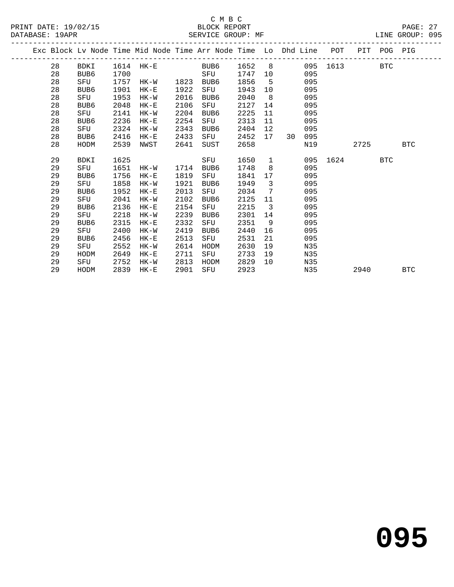|  |    |             |      |           |      | Exc Block Lv Node Time Mid Node Time Arr Node Time Lo Dhd Line POT |      |                         |      |     |          | PIT POG PIG |            |            |
|--|----|-------------|------|-----------|------|--------------------------------------------------------------------|------|-------------------------|------|-----|----------|-------------|------------|------------|
|  | 28 | BDKI        |      | 1614 HK-E |      | BUB6 1652 8                                                        |      |                         |      |     | 095 1613 |             | BTC        |            |
|  | 28 | BUB6        | 1700 |           |      | SFU                                                                | 1747 | 10                      |      | 095 |          |             |            |            |
|  | 28 | SFU         | 1757 | HK-W 1823 |      | BUB6                                                               | 1856 | 5                       |      | 095 |          |             |            |            |
|  | 28 | BUB6        | 1901 | HK-E      | 1922 | SFU                                                                | 1943 | 10                      |      | 095 |          |             |            |            |
|  | 28 | SFU         | 1953 | HK-W      | 2016 | BUB6                                                               | 2040 | 8                       |      | 095 |          |             |            |            |
|  | 28 | BUB6        | 2048 | $HK-E$    | 2106 | SFU                                                                | 2127 | 14                      |      | 095 |          |             |            |            |
|  | 28 | SFU         | 2141 | HK-W      | 2204 | BUB6                                                               | 2225 | 11                      |      | 095 |          |             |            |            |
|  | 28 | BUB6        | 2236 | $HK-E$    | 2254 | SFU                                                                | 2313 | 11                      |      | 095 |          |             |            |            |
|  | 28 | SFU         | 2324 | HK-W      | 2343 | BUB6                                                               | 2404 | 12 <sup>°</sup>         |      | 095 |          |             |            |            |
|  | 28 | BUB6        | 2416 | $HK-E$    | 2433 | SFU                                                                | 2452 | 17                      | 30 · | 095 |          |             |            |            |
|  | 28 | HODM        | 2539 | NWST      | 2641 | SUST                                                               | 2658 |                         |      | N19 |          | 2725        |            | <b>BTC</b> |
|  |    |             |      |           |      |                                                                    |      |                         |      |     |          |             |            |            |
|  | 29 | <b>BDKI</b> | 1625 |           |      | SFU                                                                | 1650 | $\mathbf{1}$            |      |     | 095 1624 |             | <b>BTC</b> |            |
|  | 29 | SFU         | 1651 | $HK-W$    | 1714 | BUB6                                                               | 1748 | 8                       |      | 095 |          |             |            |            |
|  | 29 | BUB6        | 1756 | HK-E      | 1819 | SFU                                                                | 1841 |                         | 17   | 095 |          |             |            |            |
|  | 29 | SFU         | 1858 | HK-W      | 1921 | BUB6                                                               | 1949 | $\overline{\mathbf{3}}$ |      | 095 |          |             |            |            |
|  | 29 | BUB6        | 1952 | $HK-E$    | 2013 | SFU                                                                | 2034 | 7                       |      | 095 |          |             |            |            |
|  | 29 | SFU         | 2041 | HK-W      | 2102 | BUB6                                                               | 2125 | 11                      |      | 095 |          |             |            |            |
|  | 29 | BUB6        | 2136 | $HK-E$    | 2154 | SFU                                                                | 2215 | $\overline{\mathbf{3}}$ |      | 095 |          |             |            |            |
|  | 29 | SFU         | 2218 | HK-W      | 2239 | BUB6                                                               | 2301 | 14                      |      | 095 |          |             |            |            |
|  | 29 | BUB6        | 2315 | HK-E      | 2332 | SFU                                                                | 2351 | - 9                     |      | 095 |          |             |            |            |
|  | 29 | SFU         | 2400 | HK-W      | 2419 | BUB6                                                               | 2440 | 16                      |      | 095 |          |             |            |            |
|  | 29 | BUB6        | 2456 | $HK-E$    | 2513 | SFU                                                                | 2531 | 21                      |      | 095 |          |             |            |            |
|  | 29 | SFU         | 2552 | HK-W      | 2614 | HODM                                                               | 2630 | 19                      |      | N35 |          |             |            |            |
|  | 29 | HODM        | 2649 | $HK-E$    | 2711 | SFU                                                                | 2733 | 19                      |      | N35 |          |             |            |            |
|  | 29 | SFU         | 2752 | HK-W      | 2813 | HODM                                                               | 2829 | 10                      |      | N35 |          |             |            |            |
|  | 29 | HODM        | 2839 | $HK-E$    | 2901 | SFU                                                                | 2923 |                         |      | N35 |          | 2940        |            | <b>BTC</b> |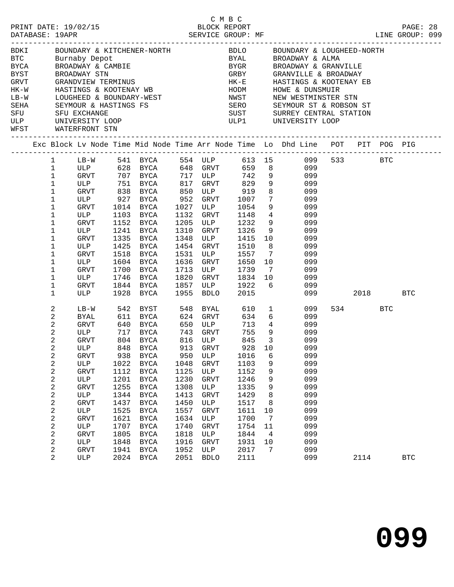|        |                              |                     |              |                                                                                                                |              |                                 |              |                         | BORI BOUNDARY & KITCHENER-NORTH<br>BELO BOUNDARY & LOUGHEED-NORTH<br>BTC Burnaby Depot BYAL BROADWAY & ALMA<br>BYCA BROADWAY & CAMBIE BYGR BROADWAY & GRANVILLE<br>BYGR BROADWAY STN GREY GRANVILLE & BROADWAY<br>GREY GRANVILLE & BROAD |      |     |            |  |
|--------|------------------------------|---------------------|--------------|----------------------------------------------------------------------------------------------------------------|--------------|---------------------------------|--------------|-------------------------|------------------------------------------------------------------------------------------------------------------------------------------------------------------------------------------------------------------------------------------|------|-----|------------|--|
|        |                              |                     |              |                                                                                                                |              |                                 |              |                         |                                                                                                                                                                                                                                          |      |     |            |  |
|        |                              |                     |              |                                                                                                                |              |                                 |              |                         |                                                                                                                                                                                                                                          |      |     |            |  |
|        |                              |                     |              |                                                                                                                |              |                                 |              |                         |                                                                                                                                                                                                                                          |      |     |            |  |
|        |                              |                     |              |                                                                                                                |              |                                 |              |                         |                                                                                                                                                                                                                                          |      |     |            |  |
| $LB-W$ |                              |                     |              |                                                                                                                |              |                                 | NWST         |                         | NEW WESTMINSTER STN                                                                                                                                                                                                                      |      |     |            |  |
| SEHA   |                              |                     |              | HASIINGS & ROUIENAI NE<br>LOUGHEED & BOUNDARY-WEST<br>SEYMOUR & HASTINGS FS<br>SFU EXCHANGE<br>UNIVERSITY LOOP |              |                                 |              |                         | SERO SEYMOUR ST & ROBSON ST<br>SUST SURREY CENTRAL STATION<br>ULP1 UNIVERSITY LOOP                                                                                                                                                       |      |     |            |  |
| SFU    |                              |                     |              |                                                                                                                |              |                                 |              |                         |                                                                                                                                                                                                                                          |      |     |            |  |
| ULP    |                              |                     |              |                                                                                                                |              |                                 |              |                         |                                                                                                                                                                                                                                          |      |     |            |  |
|        |                              | WFST WATERFRONT STN |              |                                                                                                                |              |                                 |              |                         |                                                                                                                                                                                                                                          |      |     |            |  |
|        |                              |                     |              |                                                                                                                |              |                                 |              |                         | Exc Block Lv Node Time Mid Node Time Arr Node Time Lo Dhd Line POT PIT POG PIG                                                                                                                                                           |      |     |            |  |
|        |                              |                     |              |                                                                                                                |              |                                 |              |                         | 1 LB-W 541 BYCA 554 ULP 613 15 099 533 BTC                                                                                                                                                                                               |      |     |            |  |
|        | $\mathbf 1$                  |                     |              | ULP 628 BYCA 648 GRVT                                                                                          |              |                                 |              |                         | 659 8 099                                                                                                                                                                                                                                |      |     |            |  |
|        | $\mathbf{1}$<br>$\mathbf{1}$ |                     |              |                                                                                                                |              |                                 |              |                         |                                                                                                                                                                                                                                          |      |     |            |  |
|        | $\mathbf{1}$                 |                     |              |                                                                                                                |              |                                 |              |                         |                                                                                                                                                                                                                                          |      |     |            |  |
|        | $\mathbf{1}$                 | ULP 927             |              | <b>BYCA</b>                                                                                                    | 952          | GRVT                            | 1007         | $7\overline{ }$         | 099                                                                                                                                                                                                                                      |      |     |            |  |
|        | $\mathbf{1}$                 | GRVT                | 1014         | BYCA                                                                                                           |              | 1027 ULP                        | 1054         |                         | 9<br>099                                                                                                                                                                                                                                 |      |     |            |  |
|        | $\mathbf{1}$                 | ULP                 | 1103         | BYCA                                                                                                           |              | 1132 GRVT                       | 1148         | $4\overline{4}$         | 099                                                                                                                                                                                                                                      |      |     |            |  |
|        | 1                            | GRVT                | 1152         | BYCA                                                                                                           |              | 1205 ULP                        | 1232         |                         | 9<br>099                                                                                                                                                                                                                                 |      |     |            |  |
|        | $\mathbf{1}$                 | ULP                 | 1241         | BYCA                                                                                                           | 1310         | GRVT                            | 1326         | 9                       | 099                                                                                                                                                                                                                                      |      |     |            |  |
|        | 1                            | <b>GRVT</b>         | 1335         | BYCA                                                                                                           | 1348         | ULP                             | 1415         |                         | 10<br>099                                                                                                                                                                                                                                |      |     |            |  |
|        | 1                            | ULP                 | 1425         | BYCA                                                                                                           | 1454         | GRVT                            | 1510         | 8 <sup>8</sup>          | 099                                                                                                                                                                                                                                      |      |     |            |  |
|        | 1                            | GRVT                | 1518         | BYCA                                                                                                           | 1531         | ULP                             | 1557         | $7\overline{ }$         | 099                                                                                                                                                                                                                                      |      |     |            |  |
|        | 1                            | ULP                 | 1604         | BYCA                                                                                                           | 1636         | GRVT                            | 1650         | 10                      | 099                                                                                                                                                                                                                                      |      |     |            |  |
|        | 1                            | GRVT                | 1700         | BYCA                                                                                                           | 1713         | ULP                             | 1739         | 7                       | 099                                                                                                                                                                                                                                      |      |     |            |  |
|        | $\mathbf 1$                  | ULP                 | 1746         | BYCA                                                                                                           | 1820         | GRVT                            | 1834         | 10                      | 099                                                                                                                                                                                                                                      |      |     |            |  |
|        | 1<br>1                       | GRVT<br>ULP         |              | 1844 BYCA<br>1928 BYCA                                                                                         | 1857<br>1955 | ULP<br>BDLO                     | 1922<br>2015 | 6                       | 099<br>099                                                                                                                                                                                                                               | 2018 |     | <b>BTC</b> |  |
|        |                              |                     |              |                                                                                                                |              |                                 |              |                         |                                                                                                                                                                                                                                          |      |     |            |  |
|        | 2                            | LB-W                | 542          | BYST                                                                                                           | 548          | BYAL                            | 610          |                         | $1 \quad \Box$<br>099                                                                                                                                                                                                                    | 534  | BTC |            |  |
|        | 2                            | BYAL                |              | 611 BYCA                                                                                                       |              | 624 GRVT                        | 634          |                         | $6\overline{6}$<br>099                                                                                                                                                                                                                   |      |     |            |  |
|        | 2                            | GRVT                | 640          | BYCA                                                                                                           | 650          | <b>ULP</b>                      | 713          |                         | $4\overline{ }$<br>099                                                                                                                                                                                                                   |      |     |            |  |
|        | 2<br>2                       | ULP<br>GRVT         | 717          | BYCA<br>804 BYCA                                                                                               |              | 743 GRVT                        | 755<br>845   | $\overline{\mathbf{3}}$ | 9<br>099                                                                                                                                                                                                                                 |      |     |            |  |
|        | 2                            | ULP                 |              | 848 BYCA                                                                                                       |              | 816 ULP<br>913 GRVT<br>913 GRVT | 928          | 10                      | 099<br>099                                                                                                                                                                                                                               |      |     |            |  |
|        | $\overline{c}$               | GRVT                |              | 938 BYCA                                                                                                       |              |                                 |              |                         | 950 ULP 1016 6 099                                                                                                                                                                                                                       |      |     |            |  |
|        | 2                            | ULP                 | 1022         | BYCA                                                                                                           | 1048         | GRVT                            | 1103         | 9                       | 099                                                                                                                                                                                                                                      |      |     |            |  |
|        | 2                            | GRVT                | 1112         | BYCA                                                                                                           | 1125         | ULP                             | 1152         | 9                       | 099                                                                                                                                                                                                                                      |      |     |            |  |
|        | 2                            | ULP                 | 1201         | BYCA                                                                                                           | 1230         | <b>GRVT</b>                     | 1246         | 9                       | 099                                                                                                                                                                                                                                      |      |     |            |  |
|        | 2                            | GRVT                | 1255         | <b>BYCA</b>                                                                                                    | 1308         | ULP                             | 1335         | 9                       | 099                                                                                                                                                                                                                                      |      |     |            |  |
|        | 2                            | ULP                 | 1344         | BYCA                                                                                                           | 1413         | GRVT                            | 1429         | 8                       | 099                                                                                                                                                                                                                                      |      |     |            |  |
|        | 2                            | GRVT                | 1437         | <b>BYCA</b>                                                                                                    | 1450         | ULP                             | 1517         | 8                       | 099                                                                                                                                                                                                                                      |      |     |            |  |
|        | $\sqrt{2}$                   | ULP                 | 1525         | BYCA                                                                                                           | 1557         | GRVT                            | 1611         | 10                      | 099                                                                                                                                                                                                                                      |      |     |            |  |
|        | 2                            | <b>GRVT</b>         | 1621         | <b>BYCA</b>                                                                                                    | 1634         | ULP                             | 1700         | $7\phantom{.0}$         | 099                                                                                                                                                                                                                                      |      |     |            |  |
|        | 2                            | ULP                 | 1707         | BYCA                                                                                                           | 1740         | <b>GRVT</b>                     | 1754         | 11                      | 099                                                                                                                                                                                                                                      |      |     |            |  |
|        | 2                            | <b>GRVT</b><br>ULP  | 1805<br>1848 | <b>BYCA</b>                                                                                                    | 1818<br>1916 | ULP<br><b>GRVT</b>              | 1844<br>1931 | $\overline{4}$<br>10    | 099<br>099                                                                                                                                                                                                                               |      |     |            |  |
|        | $\sqrt{2}$<br>2              | <b>GRVT</b>         | 1941         | BYCA<br>BYCA                                                                                                   | 1952         | ULP                             | 2017         | $7\overline{ }$         | 099                                                                                                                                                                                                                                      |      |     |            |  |
|        | $\overline{a}$               | ULP                 | 2024         | BYCA                                                                                                           | 2051         | <b>BDLO</b>                     | 2111         |                         | 099                                                                                                                                                                                                                                      | 2114 |     | <b>BTC</b> |  |

C M B C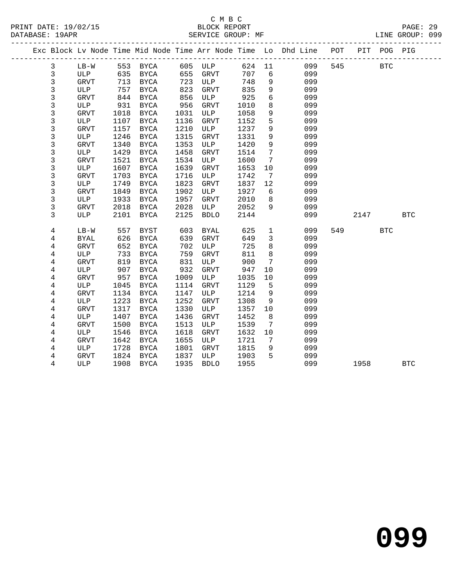|                |             |      |             |      |             |      |                              | Exc Block Lv Node Time Mid Node Time Arr Node Time Lo Dhd Line POT PIT POG PIG |     |      |            |            |  |
|----------------|-------------|------|-------------|------|-------------|------|------------------------------|--------------------------------------------------------------------------------|-----|------|------------|------------|--|
| $\mathbf{3}$   | LB-W        |      |             |      |             |      |                              | 624 11<br>099                                                                  | 545 |      | <b>BTC</b> |            |  |
| 3              | ULP         |      |             |      |             | 707  | 6                            | 099                                                                            |     |      |            |            |  |
| 3              | GRVT        | 713  | BYCA        | 723  | ULP         | 748  | $\overline{9}$               | 099                                                                            |     |      |            |            |  |
| 3              | ULP         | 757  | BYCA        | 823  | GRVT        | 835  | 9                            | 099                                                                            |     |      |            |            |  |
| 3              | GRVT        | 844  | BYCA        | 856  | ULP         | 925  | 6                            | 099                                                                            |     |      |            |            |  |
| 3              | ULP         | 931  | BYCA        | 956  | GRVT        | 1010 | 8                            | 099                                                                            |     |      |            |            |  |
| 3              | GRVT        | 1018 | BYCA        | 1031 | ULP         | 1058 | 9                            | 099                                                                            |     |      |            |            |  |
| 3              | ULP         | 1107 | BYCA        | 1136 | GRVT        | 1152 | 5                            | 099                                                                            |     |      |            |            |  |
| 3              | <b>GRVT</b> | 1157 | BYCA        | 1210 | ULP         | 1237 | 9                            | 099                                                                            |     |      |            |            |  |
| 3              | ULP         | 1246 | <b>BYCA</b> | 1315 | GRVT        | 1331 | 9                            | 099                                                                            |     |      |            |            |  |
| $\mathsf{3}$   | GRVT        | 1340 | BYCA        | 1353 | ULP         | 1420 | 9                            | 099                                                                            |     |      |            |            |  |
| 3              | ULP         | 1429 | <b>BYCA</b> | 1458 | <b>GRVT</b> | 1514 | $7\phantom{.0}$              | 099                                                                            |     |      |            |            |  |
| 3              | <b>GRVT</b> | 1521 | BYCA        | 1534 | ULP         | 1600 | 7                            | 099                                                                            |     |      |            |            |  |
| 3              | ULP         | 1607 | BYCA        | 1639 | <b>GRVT</b> | 1653 | 10                           | 099                                                                            |     |      |            |            |  |
| $\mathsf{3}$   | <b>GRVT</b> | 1703 | <b>BYCA</b> | 1716 | ULP         | 1742 | $7\phantom{.0}\phantom{.0}7$ | 099                                                                            |     |      |            |            |  |
| 3              | ULP         | 1749 | BYCA        | 1823 | GRVT        | 1837 | 12                           | 099                                                                            |     |      |            |            |  |
| 3              | <b>GRVT</b> | 1849 | <b>BYCA</b> | 1902 | ULP         | 1927 | 6                            | 099                                                                            |     |      |            |            |  |
| 3              | ULP         | 1933 | BYCA        | 1957 | GRVT        | 2010 | 8                            | 099                                                                            |     |      |            |            |  |
| 3              | GRVT        | 2018 | BYCA        | 2028 | ULP         | 2052 | 9                            | 099                                                                            |     |      |            |            |  |
| 3              | ULP         | 2101 | BYCA        | 2125 | <b>BDLO</b> | 2144 |                              | 099                                                                            |     | 2147 |            | <b>BTC</b> |  |
| 4              | $LB-W$      | 557  | BYST        | 603  | <b>BYAL</b> | 625  | $\mathbf{1}$                 | 099                                                                            | 549 |      | <b>BTC</b> |            |  |
| 4              | <b>BYAL</b> | 626  | BYCA        | 639  | <b>GRVT</b> | 649  | $\overline{3}$               | 099                                                                            |     |      |            |            |  |
| 4              | <b>GRVT</b> | 652  | <b>BYCA</b> | 702  | ULP         | 725  | 8                            | 099                                                                            |     |      |            |            |  |
| 4              | ULP         | 733  | BYCA        | 759  | GRVT        | 811  | 8                            | 099                                                                            |     |      |            |            |  |
| 4              | GRVT        | 819  | BYCA        | 831  | ULP         | 900  | $7\overline{ }$              | 099                                                                            |     |      |            |            |  |
| 4              | ULP         | 907  | BYCA        | 932  | GRVT        | 947  | 10                           | 099                                                                            |     |      |            |            |  |
| 4              | GRVT        | 957  | BYCA        | 1009 | ULP         | 1035 | 10                           | 099                                                                            |     |      |            |            |  |
| 4              | ULP         | 1045 | BYCA        | 1114 | GRVT        | 1129 | 5                            | 099                                                                            |     |      |            |            |  |
| 4              | <b>GRVT</b> | 1134 | BYCA        | 1147 | ULP         | 1214 | 9                            | 099                                                                            |     |      |            |            |  |
| 4              | ULP         | 1223 | BYCA        | 1252 | <b>GRVT</b> | 1308 | 9                            | 099                                                                            |     |      |            |            |  |
| 4              | GRVT        | 1317 | BYCA        | 1330 | ULP         | 1357 | 10                           | 099                                                                            |     |      |            |            |  |
| 4              | ULP         | 1407 | <b>BYCA</b> | 1436 | <b>GRVT</b> | 1452 | 8                            | 099                                                                            |     |      |            |            |  |
| $\overline{4}$ | <b>GRVT</b> | 1500 | BYCA        | 1513 | ULP         | 1539 | $7\overline{ }$              | 099                                                                            |     |      |            |            |  |
| 4              | ULP         | 1546 | BYCA        | 1618 | <b>GRVT</b> | 1632 | 10                           | 099                                                                            |     |      |            |            |  |
| 4              | GRVT        | 1642 | BYCA        | 1655 | ULP         | 1721 | $\overline{7}$               | 099                                                                            |     |      |            |            |  |
| 4              | ULP         | 1728 | BYCA        | 1801 | <b>GRVT</b> | 1815 | 9                            | 099                                                                            |     |      |            |            |  |
| 4              | GRVT        | 1824 | BYCA        | 1837 | ULP         | 1903 | $5^{\circ}$                  | 099                                                                            |     |      |            |            |  |
| 4              | ULP         | 1908 | BYCA        | 1935 | <b>BDLO</b> | 1955 |                              | 099                                                                            |     | 1958 |            | <b>BTC</b> |  |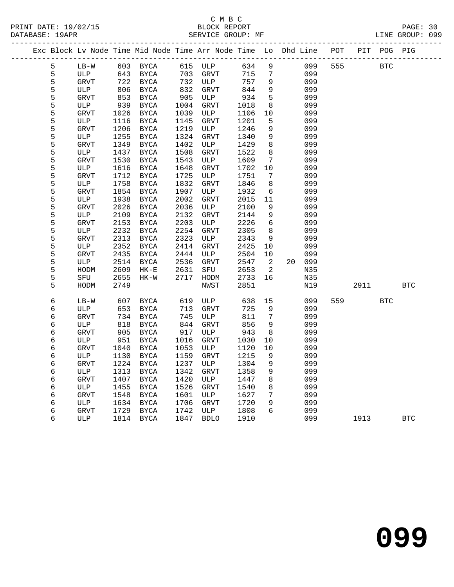| Exc Block Lv Node Time Mid Node Time Arr Node Time Lo Dhd Line POT |                    |              |               |              |             |              |                 |            |     |      | PIT POG PIG |            |
|--------------------------------------------------------------------|--------------------|--------------|---------------|--------------|-------------|--------------|-----------------|------------|-----|------|-------------|------------|
| 5                                                                  | $LB-W$             |              | 603 BYCA      |              | 615 ULP     | 634          | 9               | 099        | 555 |      | <b>BTC</b>  |            |
| 5                                                                  | ULP                | 643          | BYCA          | 703          | GRVT        | 715          | 7               | 099        |     |      |             |            |
| 5                                                                  | GRVT               | 722          | BYCA          | 732          | ULP         | 757          | 9               | 099        |     |      |             |            |
| 5                                                                  | ULP                | 806          | BYCA          | 832          | GRVT        | 844          | 9               | 099        |     |      |             |            |
| 5                                                                  | GRVT               | 853          | BYCA          | 905          | ULP         | 934          | $\overline{5}$  | 099        |     |      |             |            |
| 5                                                                  | ULP                | 939          | BYCA          | 1004         | GRVT        | 1018         | 8               | 099        |     |      |             |            |
| 5                                                                  | <b>GRVT</b>        | 1026         | BYCA          | 1039         | ULP         | 1106         | 10              | 099        |     |      |             |            |
| 5                                                                  | ULP                | 1116         | BYCA          | 1145         | GRVT        | 1201         | 5               | 099        |     |      |             |            |
| 5                                                                  | <b>GRVT</b>        | 1206         | BYCA          | 1219         | ULP         | 1246         | 9               | 099        |     |      |             |            |
| 5                                                                  | ULP                | 1255         | <b>BYCA</b>   | 1324         | <b>GRVT</b> | 1340         | $\overline{9}$  | 099        |     |      |             |            |
| 5                                                                  | <b>GRVT</b>        | 1349         | BYCA          | 1402         | ULP         | 1429         | 8               | 099        |     |      |             |            |
| 5                                                                  | ULP                | 1437         | BYCA          | 1508         | GRVT        | 1522         | 8               | 099        |     |      |             |            |
| 5                                                                  | <b>GRVT</b>        | 1530         | BYCA          | 1543         | ULP         | 1609         | $7\phantom{.0}$ | 099        |     |      |             |            |
| 5                                                                  | ULP                | 1616         | BYCA          | 1648         | GRVT        | 1702         | 10              | 099        |     |      |             |            |
| 5                                                                  | <b>GRVT</b>        | 1712         | BYCA          | 1725         | ULP         | 1751         | 7               | 099        |     |      |             |            |
| 5                                                                  | ULP                | 1758         | BYCA          | 1832         | <b>GRVT</b> | 1846         | 8               | 099        |     |      |             |            |
| 5<br>5                                                             | <b>GRVT</b>        | 1854         | BYCA          | 1907         | ULP         | 1932         | 6               | 099        |     |      |             |            |
| 5                                                                  | ULP                | 1938<br>2026 | $_{\rm BYCA}$ | 2002         | GRVT        | 2015         | 11<br>9         | 099        |     |      |             |            |
| 5                                                                  | <b>GRVT</b>        |              | BYCA          | 2036         | ULP         | 2100         | 9               | 099        |     |      |             |            |
| 5                                                                  | ULP                | 2109<br>2153 | BYCA          | 2132         | GRVT        | 2144         | 6               | 099<br>099 |     |      |             |            |
| 5                                                                  | <b>GRVT</b><br>ULP | 2232         | BYCA<br>BYCA  | 2203<br>2254 | ULP<br>GRVT | 2226<br>2305 | 8               | 099        |     |      |             |            |
| 5                                                                  | GRVT               | 2313         | BYCA          | 2323         | ULP         | 2343         | 9               | 099        |     |      |             |            |
| 5                                                                  | ULP                | 2352         | BYCA          | 2414         | GRVT        | 2425         | 10              | 099        |     |      |             |            |
| 5                                                                  | <b>GRVT</b>        | 2435         | BYCA          | 2444         | ULP         | 2504         | 10              | 099        |     |      |             |            |
| 5                                                                  | ULP                | 2514         | BYCA          | 2536         | GRVT        | 2547         | 2               | 20 099     |     |      |             |            |
| 5                                                                  | HODM               | 2609         | $HK-E$        | 2631         | SFU         | 2653         | 2               | N35        |     |      |             |            |
| 5                                                                  | SFU                | 2655         | $HK-W$        | 2717         | HODM        | 2733         | 16              | N35        |     |      |             |            |
| 5                                                                  | HODM               | 2749         |               |              | NWST        | 2851         |                 | N19        |     | 2911 |             | <b>BTC</b> |
|                                                                    |                    |              |               |              |             |              |                 |            |     |      |             |            |
| 6                                                                  | $LB-W$             | 607          | BYCA          | 619          | ULP         | 638          | 15              | 099        | 559 |      | <b>BTC</b>  |            |
| 6                                                                  | ULP                | 653          | BYCA          | 713          | GRVT        | 725          | 9               | 099        |     |      |             |            |
| 6                                                                  | <b>GRVT</b>        | 734          | <b>BYCA</b>   | 745          | ULP         | 811          | $7\phantom{.0}$ | 099        |     |      |             |            |
| 6                                                                  | ULP                | 818          | BYCA          | 844          | GRVT        | 856          | 9               | 099        |     |      |             |            |
| 6                                                                  | <b>GRVT</b>        | 905          | BYCA          | 917          | ULP         | 943          | 8               | 099        |     |      |             |            |
| 6                                                                  | ULP                | 951          | BYCA          | 1016         | GRVT        | 1030         | 10              | 099        |     |      |             |            |
| 6                                                                  | <b>GRVT</b>        | 1040         | <b>BYCA</b>   | 1053         | ULP         | 1120         | 10              | 099        |     |      |             |            |
| 6                                                                  | ULP                | 1130         | BYCA          | 1159         | GRVT        | 1215         | 9               | 099        |     |      |             |            |
| 6                                                                  | <b>GRVT</b>        | 1224         | BYCA          | 1237         | ULP         | 1304         | 9               | 099        |     |      |             |            |
| 6                                                                  | ULP                | 1313         | BYCA          | 1342         | <b>GRVT</b> | 1358         | 9               | 099        |     |      |             |            |
| 6                                                                  | <b>GRVT</b>        | 1407         | BYCA          | 1420         | ULP         | 1447         | 8               | 099        |     |      |             |            |
| 6                                                                  | ULP                | 1455         | BYCA          | 1526         | GRVT        | 1540         | 8               | 099        |     |      |             |            |
| 6                                                                  | <b>GRVT</b>        | 1548         | BYCA          | 1601         | ULP         | 1627         | $7\phantom{.0}$ | 099        |     |      |             |            |
| 6                                                                  | ULP                | 1634         | BYCA          | 1706         | GRVT        | 1720         | 9               | 099        |     |      |             |            |
| 6                                                                  | <b>GRVT</b>        | 1729         | BYCA          | 1742         | ULP         | 1808         | 6               | 099        |     |      |             |            |
| 6                                                                  | ULP                |              | 1814 BYCA     | 1847         | <b>BDLO</b> | 1910         |                 | 099        |     | 1913 |             | <b>BTC</b> |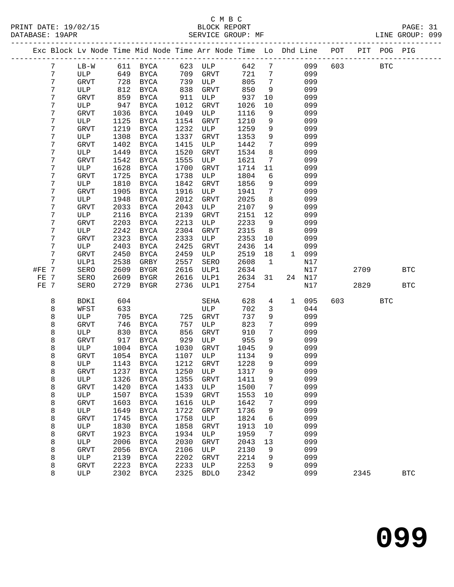|       |                 |              |              | Exc Block Lv Node Time Mid Node Time Arr Node Time Lo Dhd Line POT |              |             |              |                              |              |            |     |      | PIT POG PIG |            |
|-------|-----------------|--------------|--------------|--------------------------------------------------------------------|--------------|-------------|--------------|------------------------------|--------------|------------|-----|------|-------------|------------|
|       | $7\phantom{.0}$ | LB-W         |              | 611 BYCA 623 ULP                                                   |              |             | 642          | $7\overline{ }$              |              | 099        | 603 |      | <b>BTC</b>  |            |
|       | 7               | ULP          |              | 649 BYCA                                                           | 709          | GRVT        | 721          | $7\phantom{.0}$              |              | 099        |     |      |             |            |
|       | 7               | GRVT         | 728          | BYCA                                                               | 739          | ULP         | 805          | $7\phantom{.0}\phantom{.0}7$ |              | 099        |     |      |             |            |
|       | 7               | ULP          | 812          | BYCA                                                               | 838          | GRVT        | 850          | 9                            |              | 099        |     |      |             |            |
|       | 7               | GRVT         | 859          | BYCA                                                               | 911          | ULP         | 937          | 10                           |              | 099        |     |      |             |            |
|       | 7               | ULP          | 947          | BYCA                                                               | 1012         | GRVT        | 1026         | 10                           |              | 099        |     |      |             |            |
|       | 7               | GRVT         | 1036         | BYCA                                                               | 1049         | ULP         | 1116         | 9                            |              | 099        |     |      |             |            |
|       | 7               | ULP          | 1125         | BYCA                                                               | 1154         | GRVT        | 1210         | 9                            |              | 099        |     |      |             |            |
|       | 7               | <b>GRVT</b>  | 1219         | BYCA                                                               | 1232         | ULP         | 1259         | 9                            |              | 099        |     |      |             |            |
|       | 7               | ULP          | 1308         | BYCA                                                               | 1337         | <b>GRVT</b> | 1353         | 9                            |              | 099        |     |      |             |            |
|       | 7               | GRVT         | 1402         | BYCA                                                               | 1415         | ULP         | 1442         | $7\overline{ }$              |              | 099        |     |      |             |            |
|       | 7<br>7          | ULP          | 1449         | BYCA                                                               | 1520<br>1555 | GRVT<br>ULP | 1534         | 8<br>7                       |              | 099<br>099 |     |      |             |            |
|       | 7               | GRVT<br>ULP  | 1542<br>1628 | BYCA<br>BYCA                                                       | 1700         | GRVT        | 1621<br>1714 | 11                           |              | 099        |     |      |             |            |
|       | 7               | <b>GRVT</b>  | 1725         | BYCA                                                               | 1738         | ULP         | 1804         | 6                            |              | 099        |     |      |             |            |
|       | 7               | ULP          | 1810         | BYCA                                                               | 1842         | <b>GRVT</b> | 1856         | 9                            |              | 099        |     |      |             |            |
|       | 7               | <b>GRVT</b>  | 1905         | BYCA                                                               | 1916         | ULP         | 1941         | $7\phantom{.0}$              |              | 099        |     |      |             |            |
|       | 7               | ULP          | 1948         | BYCA                                                               | 2012         | <b>GRVT</b> | 2025         | 8                            |              | 099        |     |      |             |            |
|       | 7               | GRVT         | 2033         | BYCA                                                               | 2043         | ULP         | 2107         | 9                            |              | 099        |     |      |             |            |
|       | 7               | ULP          | 2116         | BYCA                                                               | 2139         | GRVT        | 2151         | 12                           |              | 099        |     |      |             |            |
|       | 7               | <b>GRVT</b>  | 2203         | BYCA                                                               | 2213         | ULP         | 2233         | 9                            |              | 099        |     |      |             |            |
|       | 7               | ULP          | 2242         | BYCA                                                               | 2304         | <b>GRVT</b> | 2315         | 8 <sup>8</sup>               |              | 099        |     |      |             |            |
|       | 7               | GRVT         | 2323         | BYCA                                                               | 2333         | ULP         | 2353         | 10                           |              | 099        |     |      |             |            |
|       | 7               | ULP          | 2403         | BYCA                                                               | 2425         | <b>GRVT</b> | 2436         | 14                           |              | 099        |     |      |             |            |
|       | 7               | GRVT         | 2450         | BYCA                                                               | 2459         | ULP         | 2519         | 18                           |              | 1 099      |     |      |             |            |
|       | 7               | ULP1         | 2538         | GRBY                                                               | 2557         | SERO        | 2608         | $\mathbf{1}$                 |              | N17        |     |      |             |            |
| #FE 7 |                 | SERO         | 2609         | BYGR                                                               | 2616         | ULP1        | 2634         |                              |              | N17        |     | 2709 |             | <b>BTC</b> |
| FE 7  |                 | SERO         | 2609         | BYGR                                                               | 2616         | ULP1        | 2634         | 31                           |              | 24 N17     |     |      |             |            |
| FE 7  |                 | SERO         | 2729         | BYGR                                                               | 2736         | ULP1        | 2754         |                              |              | N17        |     | 2829 |             | <b>BTC</b> |
|       | 8               | BDKI         | 604          |                                                                    |              | SEHA        | 628          | 4                            | $\mathbf{1}$ | 095        | 603 |      | <b>BTC</b>  |            |
|       | 8               | WFST         | 633          |                                                                    |              | ULP         | 702          | 3                            |              | 044        |     |      |             |            |
|       | 8               | ULP          | 705          | BYCA                                                               | 725          | GRVT        | 737          | 9                            |              | 099        |     |      |             |            |
|       | 8               | <b>GRVT</b>  | 746          | BYCA                                                               | 757          | ULP         | 823          | $7\phantom{.0}$              |              | 099        |     |      |             |            |
|       | 8               | ULP          | 830          | BYCA                                                               | 856          | GRVT        | 910          | 7                            |              | 099        |     |      |             |            |
|       | 8               | GRVT         | 917          | BYCA                                                               | 929          | ULP         | 955          | 9                            |              | 099        |     |      |             |            |
|       | 8               | ULP<br>GRVT  | 1004<br>1054 | BYCA                                                               | 1030         | GRVT<br>ULP | 1045         | 9<br>9                       |              | 099<br>099 |     |      |             |            |
|       | 8<br>8          | ULP          | 1143         | BYCA<br>BYCA                                                       | 1107<br>1212 | <b>GRVT</b> | 1134<br>1228 | 9                            |              | 099        |     |      |             |            |
|       | 8               | ${\tt GRVT}$ |              | 1237 BYCA 1250 ULP 1317                                            |              |             |              | 9                            |              | 099        |     |      |             |            |
|       | 8               | ULP          | 1326         | BYCA                                                               | 1355         | GRVT        | 1411         | 9                            |              | 099        |     |      |             |            |
|       | 8               | <b>GRVT</b>  | 1420         | BYCA                                                               | 1433         | ULP         | 1500         | 7                            |              | 099        |     |      |             |            |
|       | 8               | ULP          | 1507         | BYCA                                                               | 1539         | <b>GRVT</b> | 1553         | 10                           |              | 099        |     |      |             |            |
|       | 8               | <b>GRVT</b>  | 1603         | BYCA                                                               | 1616         | ULP         | 1642         | 7                            |              | 099        |     |      |             |            |
|       | 8               | ULP          | 1649         | BYCA                                                               | 1722         | GRVT        | 1736         | 9                            |              | 099        |     |      |             |            |
|       | 8               | <b>GRVT</b>  | 1745         | BYCA                                                               | 1758         | ULP         | 1824         | 6                            |              | 099        |     |      |             |            |
|       | 8               | ULP          | 1830         | BYCA                                                               | 1858         | <b>GRVT</b> | 1913         | 10                           |              | 099        |     |      |             |            |
|       | 8               | GRVT         | 1923         | BYCA                                                               | 1934         | ULP         | 1959         | 7                            |              | 099        |     |      |             |            |
|       | 8               | ULP          | 2006         | BYCA                                                               | 2030         | <b>GRVT</b> | 2043         | 13                           |              | 099        |     |      |             |            |
|       | 8               | <b>GRVT</b>  | 2056         | BYCA                                                               | 2106         | ULP         | 2130         | 9                            |              | 099        |     |      |             |            |
|       | 8               | ULP          | 2139         | BYCA                                                               | 2202         | GRVT        | 2214         | 9                            |              | 099        |     |      |             |            |
|       | 8               | GRVT         | 2223         | BYCA                                                               | 2233         | ULP         | 2253         | 9                            |              | 099        |     |      |             |            |
|       | 8               | ULP          | 2302         | <b>BYCA</b>                                                        | 2325         | <b>BDLO</b> | 2342         |                              |              | 099        |     | 2345 |             | <b>BTC</b> |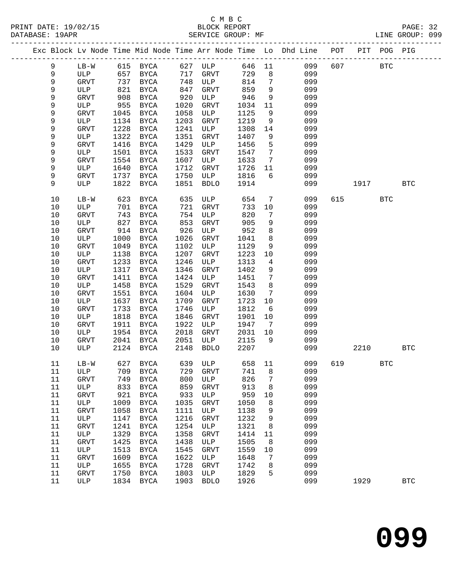# C M B C

| DATABASE: 19APR |          |             |      | SERVICE GROUP: MF |              |               |              |                 | LINE GROUP: 099                                                                |     |            |              |            |  |
|-----------------|----------|-------------|------|-------------------|--------------|---------------|--------------|-----------------|--------------------------------------------------------------------------------|-----|------------|--------------|------------|--|
|                 |          |             |      |                   |              |               |              |                 | Exc Block Lv Node Time Mid Node Time Arr Node Time Lo Dhd Line POT PIT POG PIG |     |            |              |            |  |
|                 | 9        |             |      |                   |              |               |              |                 | LB-W 615 BYCA 627 ULP 646 11 099                                               | 607 | <b>BTC</b> |              |            |  |
|                 | 9        | ULP 657     |      |                   |              | BYCA 717 GRVT | 729          | 8 <sup>8</sup>  | 099                                                                            |     |            |              |            |  |
|                 | 9        | GRVT        | 737  | BYCA              |              | 748 ULP       | 814          | $\overline{7}$  | 099                                                                            |     |            |              |            |  |
|                 | 9        | ULP         | 821  | BYCA              |              | GRVT          | 859          | 9               | 099                                                                            |     |            |              |            |  |
|                 | 9        | GRVT        | 908  | BYCA              | 847<br>920   | ULP           | 946          | 9               | 099                                                                            |     |            |              |            |  |
|                 | 9        | ULP         | 955  | BYCA              | 1020         | GRVT          | 1034         | 11              | 099                                                                            |     |            |              |            |  |
|                 | 9        | GRVT        | 1045 | BYCA              | 1058         | ULP           | 1125         | 9               | 099                                                                            |     |            |              |            |  |
|                 | 9        | ULP         | 1134 | BYCA              | 1203         | GRVT          | 1219         | 9               | 099                                                                            |     |            |              |            |  |
|                 | 9        | GRVT        | 1228 | BYCA              | 1241         | ULP           | 1308         | 14              | 099                                                                            |     |            |              |            |  |
|                 | 9        | ULP         | 1322 | BYCA              | 1351         | GRVT          | 1407         | 9               | 099                                                                            |     |            |              |            |  |
|                 | 9        | GRVT        | 1416 | BYCA              | 1429         | ULP           | 1456         | 5               | 099                                                                            |     |            |              |            |  |
|                 | 9        | ULP         | 1501 | BYCA              | 1533         | GRVT          | 1547         | $\overline{7}$  | 099                                                                            |     |            |              |            |  |
|                 | 9        | GRVT        | 1554 | BYCA              | 1607         | ULP           | 1633         | $\overline{7}$  | 099                                                                            |     |            |              |            |  |
|                 | 9        | ULP         | 1640 | BYCA              | 1712         | GRVT          | 1726         | 11              | 099                                                                            |     |            |              |            |  |
|                 | 9        | GRVT        | 1737 | BYCA              | 1750         | ULP           | 1816         | 6               | 099                                                                            |     |            |              |            |  |
|                 | 9        | ULP         | 1822 | BYCA              | 1851         | <b>BDLO</b>   | 1914         |                 | 099                                                                            |     | 1917       |              | <b>BTC</b> |  |
|                 | 10       | $LB-W$      |      | 623 BYCA          | 635          | ULP           | 654          | $\overline{7}$  | 099                                                                            |     | 615 — 10   | <b>BTC</b>   |            |  |
|                 | 10       | ULP         | 701  | BYCA              | 721          | GRVT          | 733          | 10              | 099                                                                            |     |            |              |            |  |
|                 | 10       | GRVT        | 743  | BYCA              |              | 754 ULP       | 820          | 7               | 099                                                                            |     |            |              |            |  |
|                 | 10       | ULP         | 827  | BYCA              | 853          | GRVT          | 905          | 9               | 099                                                                            |     |            |              |            |  |
|                 | 10       | GRVT        | 914  | BYCA              | 926          | ULP           | 952          | 8               | 099                                                                            |     |            |              |            |  |
|                 | 10       | ULP         | 1000 | BYCA              | 1026         | GRVT          | 1041         | 8               | 099                                                                            |     |            |              |            |  |
|                 | 10       | GRVT        | 1049 | BYCA              | 1102         | ULP           | 1129         | 9               | 099                                                                            |     |            |              |            |  |
|                 | 10       | ULP         | 1138 | BYCA              | 1207         | GRVT          | 1223         | 10              | 099                                                                            |     |            |              |            |  |
|                 | 10       | GRVT        | 1233 | BYCA              | 1246         | ULP           | 1313         | $4\overline{4}$ | 099                                                                            |     |            |              |            |  |
|                 | 10       | ULP         | 1317 | BYCA              | 1346         | GRVT          | 1402         | 9               | 099                                                                            |     |            |              |            |  |
|                 | 10       | GRVT        | 1411 | BYCA              | 1424         | ULP           | 1451         | $7\phantom{.0}$ | 099                                                                            |     |            |              |            |  |
|                 | 10       | ULP         | 1458 | BYCA              | 1529         | GRVT          | 1543         | 8               | 099                                                                            |     |            |              |            |  |
|                 | 10       | GRVT        | 1551 | BYCA              | 1604         | ULP           | 1630         | $7\phantom{.0}$ | 099                                                                            |     |            |              |            |  |
|                 | $10$     | ULP         | 1637 | BYCA              | 1709         | GRVT          | 1723         | 10              | 099                                                                            |     |            |              |            |  |
|                 | 10       | GRVT        | 1733 | BYCA              | 1746         | ULP           | 1812         | 6               | 099                                                                            |     |            |              |            |  |
|                 | 10       | ULP         | 1818 | BYCA              | 1846         | GRVT          | 1901         | 10              | 099                                                                            |     |            |              |            |  |
|                 | 10       | GRVT        | 1911 | BYCA              | 1922         | ULP           | 1947         | $7\overline{ }$ | 099                                                                            |     |            |              |            |  |
|                 | 10       | ULP         | 1954 | BYCA              | 2018         | GRVT          | 2031         | 10              | 099                                                                            |     |            |              |            |  |
|                 | 10<br>10 | GRVT<br>ULP | 2041 | BYCA<br>2124 BYCA | 2051<br>2148 | ULP<br>BDLO   | 2115<br>2207 | 9               | 099<br>099                                                                     |     | 2210       |              | <b>BTC</b> |  |
|                 |          |             |      |                   |              |               |              |                 | 11 LB-W 627 BYCA 639 ULP 658 11 099 619                                        |     |            | $_{\rm BTC}$ |            |  |
|                 | 11       | ULP         | 709  | BYCA              | 729          | <b>GRVT</b>   | 741          | 8               | 099                                                                            |     |            |              |            |  |
|                 | 11       | GRVT        | 749  | BYCA              | 800          | ULP           | 826          | 7               | 099                                                                            |     |            |              |            |  |
|                 | 11       | ULP         | 833  | BYCA              | 859          | GRVT          | 913          | 8               | 099                                                                            |     |            |              |            |  |
|                 | 11       | GRVT        | 921  | <b>BYCA</b>       | 933          | ULP           | 959          | 10              | 099                                                                            |     |            |              |            |  |
|                 | 11       | ULP         | 1009 | BYCA              | 1035         | GRVT          | 1050         | 8               | 099                                                                            |     |            |              |            |  |
|                 | 11       | GRVT        | 1058 | <b>BYCA</b>       | 1111         | ULP           | 1138         | 9               | 099                                                                            |     |            |              |            |  |
|                 | 11       | ULP         | 1147 | BYCA              | 1216         | <b>GRVT</b>   | 1232         | 9               | 099                                                                            |     |            |              |            |  |
|                 | 11       | GRVT        | 1241 | BYCA              | 1254         | ULP           | 1321         | 8               | 099                                                                            |     |            |              |            |  |
|                 | 11       | ULP         | 1329 | <b>BYCA</b>       | 1358         | GRVT          | 1414         | 11              | 099                                                                            |     |            |              |            |  |
|                 | 11       | GRVT        | 1425 | <b>BYCA</b>       | 1438         | ULP           | 1505         | 8               | 099                                                                            |     |            |              |            |  |
|                 | 11       | ULP         | 1513 | BYCA              | 1545         | GRVT          | 1559         | 10              | 099                                                                            |     |            |              |            |  |
|                 | 11       | GRVT        | 1609 | BYCA              | 1622         | ULP           | 1648         | 7               | 099                                                                            |     |            |              |            |  |
|                 | 11       | ULP         | 1655 | BYCA              | 1728         | <b>GRVT</b>   | 1742         | 8               | 099                                                                            |     |            |              |            |  |
|                 | 11       | GRVT        | 1750 | BYCA              | 1803         | ULP           | 1829         | 5               | 099                                                                            |     |            |              |            |  |
|                 | 11       | ULP         |      | 1834 BYCA         | 1903         | <b>BDLO</b>   | 1926         |                 | 099                                                                            |     | 1929       |              | <b>BTC</b> |  |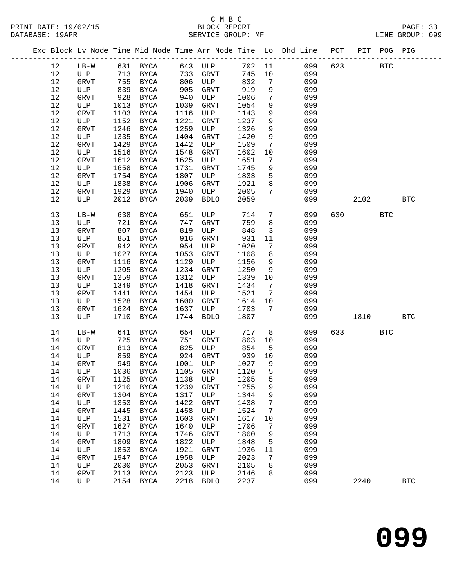# C M B C

| DATABASE: 19APR |        |            | SERVICE GROUP: MF     |            |                     |        |                 | LINE GROUP: 099                                                                |           |            |            |  |
|-----------------|--------|------------|-----------------------|------------|---------------------|--------|-----------------|--------------------------------------------------------------------------------|-----------|------------|------------|--|
|                 |        |            |                       |            |                     |        |                 | Exc Block Lv Node Time Mid Node Time Arr Node Time Lo Dhd Line POT PIT POG PIG |           |            |            |  |
| 12              |        |            | LB-W 631 BYCA 643 ULP |            |                     |        |                 | 702 11<br>099                                                                  | 623 BTC   |            |            |  |
| 12              |        |            | ULP 713 BYCA 733 GRVT |            |                     | 745    | 10              | 099                                                                            |           |            |            |  |
| 12              | GRVT   | 755        | <b>BYCA</b>           |            | 806 ULP             | 832    | $7\phantom{.0}$ | 099                                                                            |           |            |            |  |
| 12              | ULP    |            | BYCA                  |            | GRVT                | 919    | 9               | 099                                                                            |           |            |            |  |
| 12              | GRVT   | 839<br>928 | BYCA                  | 905<br>940 | ULP                 | 1006   | $7\overline{ }$ | 099                                                                            |           |            |            |  |
| 12              | ULP    | 1013       | BYCA                  | 1039       | GRVT                | 1054   | 9               | 099                                                                            |           |            |            |  |
| 12              | GRVT   | 1103       | BYCA                  | 1116       | ULP                 | 1143   | 9               | 099                                                                            |           |            |            |  |
| 12              | ULP    | 1152       | BYCA                  | 1221       | GRVT                | 1237   | 9               | 099                                                                            |           |            |            |  |
| 12              | GRVT   | 1246       | BYCA                  | 1259       | ULP                 | 1326   | 9               | 099                                                                            |           |            |            |  |
| 12              | ULP    | 1335       | BYCA                  | 1404       | <b>GRVT</b>         | 1420   | 9               | 099                                                                            |           |            |            |  |
| 12              | GRVT   | 1429       | BYCA                  | 1442       | ULP                 | 1509   | $7\phantom{.0}$ | 099                                                                            |           |            |            |  |
| 12              | ULP    | 1516       | BYCA                  | 1548       | GRVT                | 1602   | 10              | 099                                                                            |           |            |            |  |
| 12              | GRVT   | 1612       | BYCA                  | 1625       | ULP                 | 1651   | $7\phantom{.0}$ | 099                                                                            |           |            |            |  |
| 12              | ULP    | 1658       | BYCA                  | 1731       | GRVT                | 1745   | 9               | 099                                                                            |           |            |            |  |
| 12              | GRVT   | 1754       | BYCA                  | 1807       | ULP                 | 1833   | 5               | 099                                                                            |           |            |            |  |
| 12              | ULP    | 1838       | BYCA                  | 1906       | GRVT                | 1921   | 8               | 099                                                                            |           |            |            |  |
| 12              |        | 1929       |                       | 1940       | ULP                 | 2005   | $7\phantom{.0}$ | 099                                                                            |           |            |            |  |
|                 | GRVT   |            | BYCA                  |            |                     |        |                 |                                                                                | 2102      |            |            |  |
| 12              | ULP    | 2012       | BYCA                  | 2039       | BDLO                | 2059   |                 | 099                                                                            |           |            | <b>BTC</b> |  |
| 13              | $LB-W$ | 638        | BYCA                  | 651        | ULP                 | 714    | $7\phantom{.0}$ | 099                                                                            | 630       | <b>BTC</b> |            |  |
| 13              | ULP    | 721        | BYCA                  | 747        | GRVT                | 759    | 8               | 099                                                                            |           |            |            |  |
| 13              | GRVT   | 807        | BYCA                  | 819        | ULP                 | 848    | $\mathbf{3}$    | 099                                                                            |           |            |            |  |
| 13              | ULP    | 851        | BYCA                  | 916        | GRVT                | 931    | 11              | 099                                                                            |           |            |            |  |
| 13              | GRVT   | 942        | BYCA                  | 954        | ULP                 | 1020   | 7               | 099                                                                            |           |            |            |  |
| 13              | ULP    | 1027       | BYCA                  | 1053       | GRVT                | 1108   | 8               | 099                                                                            |           |            |            |  |
| 13              | GRVT   | 1116       | BYCA                  | 1129       | ULP                 | 1156   | 9               | 099                                                                            |           |            |            |  |
| 13              | ULP    | 1205       | BYCA                  | 1234       | GRVT                | 1250   | 9               | 099                                                                            |           |            |            |  |
| 13              | GRVT   | 1259       | BYCA                  | 1312       | ULP                 | 1339   | 10              | 099                                                                            |           |            |            |  |
| 13              | ULP    | 1349       | BYCA                  | 1418       | GRVT                | 1434   | $\overline{7}$  | 099                                                                            |           |            |            |  |
| 13              | GRVT   | 1441       | BYCA                  | 1454       | ULP                 | 1521   | $7\overline{ }$ | 099                                                                            |           |            |            |  |
| 13              | ULP    | 1528       | BYCA                  | 1600       | GRVT                | 1614   | 10              | 099                                                                            |           |            |            |  |
| 13              | GRVT   | 1624       | BYCA                  | 1637       | ULP                 | 1703   | $\overline{7}$  | 099                                                                            |           |            |            |  |
| 13              | ULP    | 1710       | BYCA                  | 1744       | BDLO                | 1807   |                 | 099                                                                            |           | 1810       | <b>BTC</b> |  |
| 14              | $LB-W$ | 641        | BYCA                  |            | 654 ULP             | 717    | 8 <sup>8</sup>  | 099                                                                            | 633 — 100 | <b>BTC</b> |            |  |
| 14              | ULP    | 725        | BYCA                  |            | 751 GRVT            | 803    | 10              | 099                                                                            |           |            |            |  |
| 14              | GRVT   | 813        | BYCA                  |            |                     | 854    | $5^{\circ}$     | 099                                                                            |           |            |            |  |
| 14              | ULP    |            | 859 BYCA              |            | 825 ULP<br>924 GRVT | 939 10 |                 | 099                                                                            |           |            |            |  |
|                 |        |            |                       |            |                     |        |                 | 14 GRVT 949 BYCA 1001 ULP 1027 9 099                                           |           |            |            |  |
| 14              | ULP    | 1036       | BYCA                  | 1105       | <b>GRVT</b>         | 1120   | 5               | 099                                                                            |           |            |            |  |
| 14              | GRVT   | 1125       | BYCA                  | 1138       | ULP                 | 1205   | 5               | 099                                                                            |           |            |            |  |
| 14              | ULP    | 1210       | BYCA                  | 1239       | GRVT                | 1255   | 9               | 099                                                                            |           |            |            |  |
| 14              | GRVT   | 1304       | <b>BYCA</b>           | 1317       | ULP                 | 1344   | 9               | 099                                                                            |           |            |            |  |
| 14              | ULP    | 1353       | BYCA                  | 1422       | GRVT                | 1438   | 7               | 099                                                                            |           |            |            |  |
| 14              | GRVT   | 1445       | BYCA                  | 1458       | ULP                 | 1524   | 7               | 099                                                                            |           |            |            |  |
| 14              | ULP    | 1531       | BYCA                  | 1603       | <b>GRVT</b>         | 1617   | 10              | 099                                                                            |           |            |            |  |
| 14              | GRVT   | 1627       | BYCA                  | 1640       | ULP                 | 1706   | $7\phantom{.0}$ | 099                                                                            |           |            |            |  |
| 14              | ULP    | 1713       | BYCA                  | 1746       | GRVT                | 1800   | 9               | 099                                                                            |           |            |            |  |
| 14              | GRVT   | 1809       | BYCA                  | 1822       | ULP                 | 1848   | 5               | 099                                                                            |           |            |            |  |
| 14              | ULP    | 1853       | BYCA                  | 1921       | <b>GRVT</b>         | 1936   | 11              | 099                                                                            |           |            |            |  |
| 14              | GRVT   | 1947       | BYCA                  | 1958       | ULP                 | 2023   | $7\phantom{.0}$ | 099                                                                            |           |            |            |  |
| 14              | ULP    | 2030       | BYCA                  | 2053       | GRVT                | 2105   | 8               | 099                                                                            |           |            |            |  |
| 14              | GRVT   |            | 2113 BYCA             | 2123       | ULP                 | 2146   | 8               | 099                                                                            |           |            |            |  |
|                 |        |            |                       |            |                     |        |                 |                                                                                |           |            |            |  |

14 ULP 2154 BYCA 2218 BDLO 2237 099 2240 BTC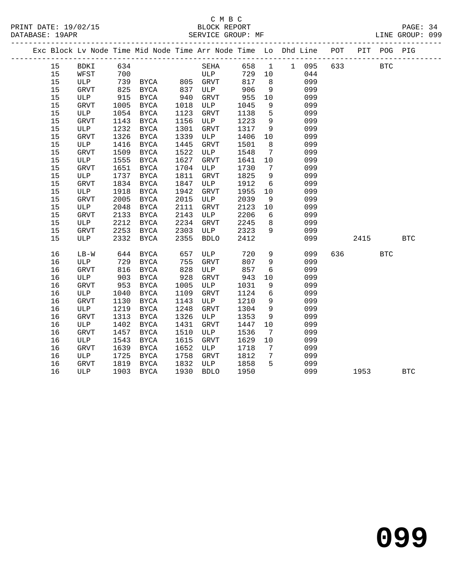|    |    |             |      | Exc Block Lv Node Time Mid Node Time Arr Node Time Lo Dhd Line POT |            |              |        |                 |             |            |            | PIT POG PIG |            |
|----|----|-------------|------|--------------------------------------------------------------------|------------|--------------|--------|-----------------|-------------|------------|------------|-------------|------------|
|    | 15 | BDKI        | 634  |                                                                    |            | SEHA         |        |                 | 658 1 1 095 | 633        | <b>BTC</b> |             |            |
|    | 15 | WFST        | 700  |                                                                    |            | ULP          | 729 10 |                 | 044         |            |            |             |            |
|    | 15 | ULP         |      | 739 BYCA 805 GRVT                                                  |            |              | 817    | 8 <sup>8</sup>  | 099         |            |            |             |            |
|    | 15 | GRVT        | 825  | BYCA                                                               | 837<br>940 | ULP          | 906    | 9               | 099         |            |            |             |            |
|    | 15 | ULP         | 915  | BYCA                                                               |            | GRVT         | 955    | 10              | 099         |            |            |             |            |
| 15 |    | GRVT        | 1005 | BYCA                                                               | 1018       | ULP          | 1045   | 9               | 099         |            |            |             |            |
|    | 15 | ULP         | 1054 | BYCA                                                               | 1123       | ${\tt GRVT}$ | 1138   | $5^{\circ}$     | 099         |            |            |             |            |
|    | 15 | GRVT        | 1143 | BYCA                                                               | 1156       | ULP          | 1223   | 9               | 099         |            |            |             |            |
|    | 15 | ULP         | 1232 | BYCA                                                               | 1301       | GRVT         | 1317   | 9               | 099         |            |            |             |            |
|    | 15 | GRVT        | 1326 | BYCA                                                               | 1339       | ULP          | 1406   | 10              | 099         |            |            |             |            |
|    | 15 | ULP         | 1416 | BYCA                                                               | 1445       | <b>GRVT</b>  | 1501   | 8               | 099         |            |            |             |            |
| 15 |    | GRVT        | 1509 | BYCA                                                               | 1522       | ULP          | 1548   | $\overline{7}$  | 099         |            |            |             |            |
|    | 15 | ULP         | 1555 | BYCA                                                               | 1627       | ${\tt GRVT}$ | 1641   | 10              | 099         |            |            |             |            |
|    | 15 | GRVT        | 1651 | BYCA                                                               | 1704       | ULP          | 1730   | $\overline{7}$  | 099         |            |            |             |            |
|    | 15 | ULP         | 1737 | BYCA                                                               | 1811       | GRVT         | 1825   | 9               | 099         |            |            |             |            |
| 15 |    | GRVT        | 1834 | BYCA                                                               | 1847       | ULP          | 1912   | 6               | 099         |            |            |             |            |
|    | 15 | ULP         | 1918 | BYCA                                                               | 1942       | GRVT         | 1955   | 10              | 099         |            |            |             |            |
|    | 15 | <b>GRVT</b> | 2005 | BYCA                                                               | 2015       | ULP          | 2039   | 9               | 099         |            |            |             |            |
|    | 15 | ULP         | 2048 | BYCA                                                               | 2111       | ${\tt GRVT}$ | 2123   | 10              | 099         |            |            |             |            |
|    | 15 | GRVT        | 2133 | BYCA                                                               | 2143       | ULP          | 2206   | 6               | 099         |            |            |             |            |
|    | 15 | ULP         | 2212 | BYCA                                                               | 2234       | GRVT         | 2245   | 8 <sup>8</sup>  | 099         |            |            |             |            |
| 15 |    | GRVT        | 2253 | <b>BYCA</b>                                                        | 2303       | ULP          | 2323   | 9               | 099         |            |            |             |            |
|    | 15 | ULP         | 2332 | BYCA                                                               | 2355       | <b>BDLO</b>  | 2412   |                 | 099         |            | 2415       |             | <b>BTC</b> |
|    | 16 | $LB-W$      | 644  | <b>BYCA</b>                                                        | 657        | ULP          | 720    | 9               |             | 099<br>636 |            | <b>BTC</b>  |            |
|    | 16 | ULP         | 729  | BYCA                                                               | 755        | GRVT         | 807    | 9               | 099         |            |            |             |            |
|    | 16 | GRVT        | 816  | <b>BYCA</b>                                                        | 828        | ULP          | 857    | $6\overline{6}$ | 099         |            |            |             |            |
|    | 16 | ULP         | 903  | BYCA                                                               | 928        | GRVT         | 943    | 10              | 099         |            |            |             |            |
|    | 16 | GRVT        | 953  | BYCA                                                               | 1005       | ULP          | 1031   | 9               | 099         |            |            |             |            |
|    | 16 | ULP         | 1040 | BYCA                                                               | 1109       | GRVT         | 1124   | 6               | 099         |            |            |             |            |
|    | 16 | <b>GRVT</b> | 1130 | BYCA                                                               | 1143       | ULP          | 1210   | 9               | 099         |            |            |             |            |
|    | 16 | ULP         | 1219 | BYCA                                                               | 1248       | GRVT         | 1304   | 9               | 099         |            |            |             |            |
|    | 16 | <b>GRVT</b> | 1313 | BYCA                                                               | 1326       | ULP          | 1353   | 9               | 099         |            |            |             |            |
|    | 16 | ULP         | 1402 | BYCA                                                               | 1431       | <b>GRVT</b>  | 1447   | 10              | 099         |            |            |             |            |
|    | 16 | GRVT        | 1457 | BYCA                                                               | 1510       | ULP          | 1536   | 7               | 099         |            |            |             |            |
|    | 16 | ULP         | 1543 | BYCA                                                               | 1615       | GRVT         | 1629   | 10              | 099         |            |            |             |            |
|    | 16 | <b>GRVT</b> | 1639 | BYCA                                                               | 1652       | ULP          | 1718   | $\overline{7}$  | 099         |            |            |             |            |
|    | 16 | ULP         | 1725 | BYCA                                                               | 1758       | GRVT         | 1812   | $\overline{7}$  | 099         |            |            |             |            |
|    | 16 | GRVT        | 1819 | BYCA                                                               | 1832       | ULP          | 1858   | $5^{\circ}$     | 099         |            |            |             |            |
|    | 16 | ULP         |      | 1903 BYCA                                                          | 1930       | <b>BDLO</b>  | 1950   |                 | 099         |            | 1953       |             | <b>BTC</b> |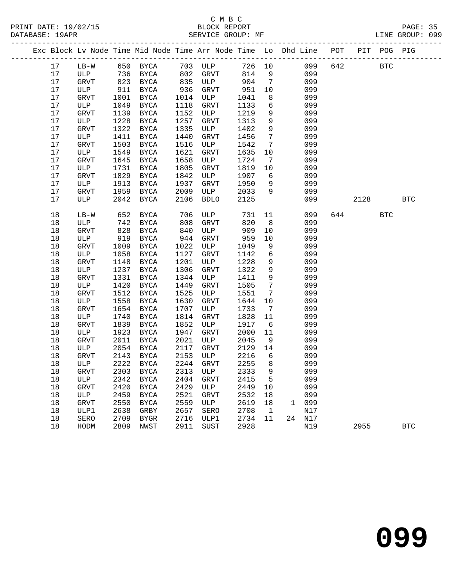| Exc Block Lv Node Time Mid Node Time Arr Node Time Lo Dhd Line POT PIT POG PIG |        |      |                         |      |             |        |                              |              |        |     |      |            |            |
|--------------------------------------------------------------------------------|--------|------|-------------------------|------|-------------|--------|------------------------------|--------------|--------|-----|------|------------|------------|
| 17                                                                             |        |      | LB-W 650 BYCA 703 ULP   |      |             | 726 10 |                              |              | 099    | 642 |      | <b>BTC</b> |            |
| 17                                                                             | ULP    |      | 736 BYCA                |      | 802 GRVT    | 814    | 9                            |              | 099    |     |      |            |            |
| 17                                                                             | GRVT   |      | 823 BYCA                |      | 835 ULP     | 904    | $\overline{7}$               |              | 099    |     |      |            |            |
| 17                                                                             | ULP    | 911  | BYCA                    | 936  | GRVT        | 951    | 10                           |              | 099    |     |      |            |            |
| 17                                                                             | GRVT   | 1001 | BYCA                    | 1014 | ULP         | 1041   | 8                            |              | 099    |     |      |            |            |
| 17                                                                             | ULP    | 1049 | BYCA                    | 1118 | GRVT        | 1133   | 6                            |              | 099    |     |      |            |            |
| 17                                                                             | GRVT   | 1139 | BYCA                    | 1152 | ULP         | 1219   | 9                            |              | 099    |     |      |            |            |
| 17                                                                             | ULP    | 1228 | BYCA                    | 1257 | GRVT        | 1313   | 9                            |              | 099    |     |      |            |            |
| 17                                                                             | GRVT   | 1322 | BYCA                    | 1335 | ULP         | 1402   | 9                            |              | 099    |     |      |            |            |
| 17                                                                             | ULP    | 1411 | BYCA                    | 1440 | GRVT        | 1456   | $7\overline{ }$              |              | 099    |     |      |            |            |
| 17                                                                             | GRVT   | 1503 | BYCA                    | 1516 | ULP         | 1542   | $7\phantom{.0}$              |              | 099    |     |      |            |            |
| 17                                                                             | ULP    | 1549 | BYCA                    | 1621 | GRVT        | 1635   | 10                           |              | 099    |     |      |            |            |
| 17                                                                             | GRVT   | 1645 | BYCA                    | 1658 | ULP         | 1724   | 7                            |              | 099    |     |      |            |            |
| 17                                                                             | ULP    | 1731 | BYCA                    | 1805 | GRVT        | 1819   | 10                           |              | 099    |     |      |            |            |
| 17                                                                             | GRVT   | 1829 | BYCA                    | 1842 | ULP         | 1907   | 6                            |              | 099    |     |      |            |            |
| 17                                                                             | ULP    | 1913 | BYCA                    | 1937 | GRVT        | 1950   | 9                            |              | 099    |     |      |            |            |
| 17                                                                             | GRVT   | 1959 | BYCA                    | 2009 | ULP         | 2033   | 9                            |              | 099    |     |      |            |            |
| 17                                                                             | ULP    | 2042 | BYCA                    | 2106 | <b>BDLO</b> | 2125   |                              |              | 099    |     | 2128 |            | <b>BTC</b> |
| 18                                                                             | $LB-W$ | 652  | BYCA                    | 706  | ULP         | 731    | 11                           |              | 099    |     | 644  | <b>BTC</b> |            |
| 18                                                                             | ULP    | 742  | BYCA                    | 808  | GRVT        | 820    | 8 <sup>8</sup>               |              | 099    |     |      |            |            |
| 18                                                                             | GRVT   | 828  | BYCA                    | 840  | ULP         | 909    | 10                           |              | 099    |     |      |            |            |
| 18                                                                             | ULP    | 919  | BYCA                    | 944  | GRVT        | 959    | 10                           |              | 099    |     |      |            |            |
| 18                                                                             | GRVT   | 1009 | BYCA                    | 1022 | ULP         | 1049   | 9                            |              | 099    |     |      |            |            |
| 18                                                                             | ULP    | 1058 | BYCA                    | 1127 | GRVT        | 1142   | 6                            |              | 099    |     |      |            |            |
| 18                                                                             | GRVT   | 1148 | BYCA                    | 1201 | ULP         | 1228   | 9                            |              | 099    |     |      |            |            |
| 18                                                                             | ULP    | 1237 | BYCA                    | 1306 | GRVT        | 1322   | 9                            |              | 099    |     |      |            |            |
| 18                                                                             | GRVT   | 1331 | BYCA                    | 1344 | ULP         | 1411   | 9                            |              | 099    |     |      |            |            |
| 18                                                                             | ULP    | 1420 | BYCA                    | 1449 | GRVT        | 1505   | $7\phantom{.0}$              |              | 099    |     |      |            |            |
| 18                                                                             | GRVT   | 1512 | BYCA                    | 1525 | ULP         | 1551   | $7\phantom{.0}\phantom{.0}7$ |              | 099    |     |      |            |            |
| 18                                                                             | ULP    | 1558 | BYCA                    | 1630 | GRVT        | 1644   | 10                           |              | 099    |     |      |            |            |
| 18                                                                             | GRVT   | 1654 | BYCA                    | 1707 | ULP         | 1733   | $\overline{7}$               |              | 099    |     |      |            |            |
| 18                                                                             | ULP    | 1740 | BYCA                    | 1814 | GRVT        | 1828   | 11                           |              | 099    |     |      |            |            |
| 18                                                                             | GRVT   | 1839 | BYCA                    | 1852 | ULP         | 1917   | 6                            |              | 099    |     |      |            |            |
| 18                                                                             | ULP    | 1923 | BYCA                    | 1947 | GRVT        | 2000   | 11                           |              | 099    |     |      |            |            |
| 18                                                                             | GRVT   | 2011 | BYCA                    | 2021 | ULP         | 2045   | 9                            |              | 099    |     |      |            |            |
| 18                                                                             | ULP    | 2054 | BYCA                    | 2117 | GRVT        | 2129   | 14                           |              | 099    |     |      |            |            |
| 18                                                                             | GRVT   | 2143 | BYCA                    | 2153 | ULP         | 2216   | $6\overline{6}$              |              | 099    |     |      |            |            |
| 18                                                                             | ULP    |      | 2222 BYCA               |      | 2244 GRVT   | 2255   | 8                            |              | 099    |     |      |            |            |
| 18                                                                             | GRVT   |      | 2303 BYCA 2313 ULP 2333 |      |             |        | 9                            |              | 099    |     |      |            |            |
| 18                                                                             | ULP    | 2342 | BYCA                    | 2404 | GRVT        | 2415   | 5                            |              | 099    |     |      |            |            |
| 18                                                                             | GRVT   | 2420 | BYCA                    | 2429 | ULP         | 2449   | 10                           |              | 099    |     |      |            |            |
| 18                                                                             | ULP    | 2459 | BYCA                    | 2521 | GRVT        | 2532   | 18                           |              | 099    |     |      |            |            |
| 18                                                                             | GRVT   | 2550 | BYCA                    | 2559 | ULP         | 2619   | 18                           | $\mathbf{1}$ | 099    |     |      |            |            |
| 18                                                                             | ULP1   | 2638 | GRBY                    | 2657 | SERO        | 2708   | $\overline{1}$               |              | N17    |     |      |            |            |
| 18                                                                             | SERO   | 2709 | BYGR                    | 2716 | ULP1        | 2734   | 11                           |              | 24 N17 |     |      |            |            |
| 18                                                                             | HODM   | 2809 | NWST                    | 2911 | SUST        | 2928   |                              |              | N19    |     | 2955 |            | <b>BTC</b> |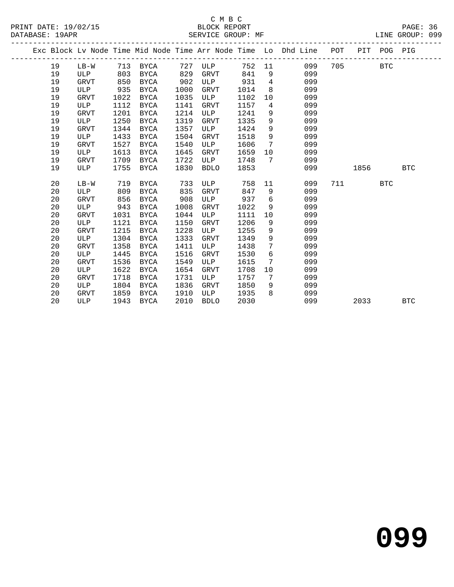|  |    |             |      |             |      |             |        |                 | Exc Block Lv Node Time Mid Node Time Arr Node Time Lo Dhd Line | POT |      | PIT POG PIG |            |
|--|----|-------------|------|-------------|------|-------------|--------|-----------------|----------------------------------------------------------------|-----|------|-------------|------------|
|  | 19 | LB-W        |      | 713 BYCA    | 727  | ULP         | 752 11 |                 | 099                                                            | 705 |      | <b>BTC</b>  |            |
|  | 19 | ULP         | 803  | BYCA        | 829  | <b>GRVT</b> | 841    | 9               | 099                                                            |     |      |             |            |
|  | 19 | GRVT        | 850  | BYCA        | 902  | ULP         | 931    | $4\overline{ }$ | 099                                                            |     |      |             |            |
|  | 19 | ULP         | 935  | BYCA        | 1000 | GRVT        | 1014   | 8               | 099                                                            |     |      |             |            |
|  | 19 | GRVT        | 1022 | BYCA        | 1035 | ULP         | 1102   | 10              | 099                                                            |     |      |             |            |
|  | 19 | ULP         | 1112 | BYCA        | 1141 | GRVT        | 1157   | 4               | 099                                                            |     |      |             |            |
|  | 19 | <b>GRVT</b> | 1201 | BYCA        | 1214 | ULP         | 1241   | 9               | 099                                                            |     |      |             |            |
|  | 19 | ULP         | 1250 | BYCA        | 1319 | GRVT        | 1335   | 9               | 099                                                            |     |      |             |            |
|  | 19 | <b>GRVT</b> | 1344 | <b>BYCA</b> | 1357 | ULP         | 1424   | 9               | 099                                                            |     |      |             |            |
|  | 19 | ULP         | 1433 | <b>BYCA</b> | 1504 | <b>GRVT</b> | 1518   | 9               | 099                                                            |     |      |             |            |
|  | 19 | <b>GRVT</b> | 1527 | BYCA        | 1540 | ULP         | 1606   | 7               | 099                                                            |     |      |             |            |
|  | 19 | ULP         | 1613 | BYCA        | 1645 | <b>GRVT</b> | 1659   | 10              | 099                                                            |     |      |             |            |
|  | 19 | GRVT        | 1709 | <b>BYCA</b> | 1722 | ULP         | 1748   | 7               | 099                                                            |     |      |             |            |
|  | 19 | ULP         | 1755 | <b>BYCA</b> | 1830 | <b>BDLO</b> | 1853   |                 | 099                                                            |     | 1856 |             | <b>BTC</b> |
|  |    |             |      |             |      |             |        |                 |                                                                |     |      |             |            |
|  | 20 | $LB-W$      | 719  | <b>BYCA</b> | 733  | ULP         | 758    | 11              | 099                                                            | 711 |      | <b>BTC</b>  |            |
|  | 20 | ULP         | 809  | <b>BYCA</b> | 835  | <b>GRVT</b> | 847    | 9               | 099                                                            |     |      |             |            |
|  | 20 | <b>GRVT</b> | 856  | <b>BYCA</b> | 908  | ULP         | 937    | 6               | 099                                                            |     |      |             |            |
|  | 20 | ULP         | 943  | <b>BYCA</b> | 1008 | <b>GRVT</b> | 1022   | 9               | 099                                                            |     |      |             |            |
|  | 20 | <b>GRVT</b> | 1031 | <b>BYCA</b> | 1044 | ULP         | 1111   | 10              | 099                                                            |     |      |             |            |
|  | 20 | ULP         | 1121 | <b>BYCA</b> | 1150 | <b>GRVT</b> | 1206   | 9               | 099                                                            |     |      |             |            |
|  | 20 | <b>GRVT</b> | 1215 | <b>BYCA</b> | 1228 | ULP         | 1255   | 9               | 099                                                            |     |      |             |            |
|  | 20 | ULP         | 1304 | BYCA        | 1333 | GRVT        | 1349   | 9               | 099                                                            |     |      |             |            |
|  | 20 | <b>GRVT</b> | 1358 | <b>BYCA</b> | 1411 | ULP         | 1438   | 7               | 099                                                            |     |      |             |            |
|  | 20 | ULP         | 1445 | <b>BYCA</b> | 1516 | GRVT        | 1530   | 6               | 099                                                            |     |      |             |            |
|  | 20 | GRVT        | 1536 | <b>BYCA</b> | 1549 | ULP         | 1615   | 7               | 099                                                            |     |      |             |            |
|  | 20 | ULP         | 1622 | <b>BYCA</b> | 1654 | <b>GRVT</b> | 1708   | 10              | 099                                                            |     |      |             |            |
|  | 20 | GRVT        | 1718 | BYCA        | 1731 | ULP         | 1757   | 7               | 099                                                            |     |      |             |            |
|  | 20 | ULP         | 1804 | BYCA        | 1836 | GRVT        | 1850   | 9               | 099                                                            |     |      |             |            |
|  | 20 | <b>GRVT</b> | 1859 | <b>BYCA</b> | 1910 | ULP         | 1935   | 8               | 099                                                            |     |      |             |            |
|  | 20 | ULP         | 1943 | BYCA        | 2010 | <b>BDLO</b> | 2030   |                 | 099                                                            |     | 2033 |             | <b>BTC</b> |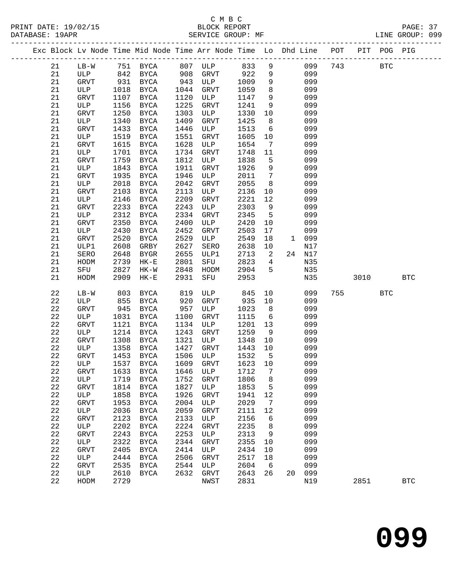|  |             |             |      | Exc Block Lv Node Time Mid Node Time Arr Node Time Lo Dhd Line POT PIT POG PIG |      |             |         |                 |        |     |      |            |            |
|--|-------------|-------------|------|--------------------------------------------------------------------------------|------|-------------|---------|-----------------|--------|-----|------|------------|------------|
|  | 21          | $LB-W$      |      | 751 BYCA 807 ULP 833                                                           |      |             |         | 9               | 099    | 743 |      | <b>BTC</b> |            |
|  | 21          | ULP         |      | 842 BYCA                                                                       |      | 908 GRVT    | 922     | 9               | 099    |     |      |            |            |
|  | 21          | GRVT        | 931  | BYCA                                                                           | 943  | <b>ULP</b>  | 1009    | 9               | 099    |     |      |            |            |
|  | 21          | ULP         | 1018 | BYCA                                                                           | 1044 | GRVT        | 1059    | 8               | 099    |     |      |            |            |
|  | 21          | GRVT        | 1107 | BYCA                                                                           | 1120 | ULP         | 1147    | 9               | 099    |     |      |            |            |
|  | 21          | ULP         | 1156 | BYCA                                                                           | 1225 | GRVT        | 1241    | 9               | 099    |     |      |            |            |
|  | 21          | GRVT        | 1250 | BYCA                                                                           | 1303 | ULP         | 1330    | 10              | 099    |     |      |            |            |
|  | 21          | ULP         | 1340 | BYCA                                                                           | 1409 | GRVT        | 1425    | 8               | 099    |     |      |            |            |
|  | 21          | GRVT        | 1433 | BYCA                                                                           | 1446 | ULP         | 1513    | 6               | 099    |     |      |            |            |
|  | 21          | ULP         | 1519 | BYCA                                                                           | 1551 | GRVT        | 1605    | 10              | 099    |     |      |            |            |
|  | 21          | GRVT        | 1615 | BYCA                                                                           | 1628 | ULP         | 1654    | $\overline{7}$  | 099    |     |      |            |            |
|  | 21          | ULP         | 1701 | BYCA                                                                           | 1734 | GRVT        | 1748    | 11              | 099    |     |      |            |            |
|  | 21          | GRVT        | 1759 | BYCA                                                                           | 1812 | ULP         | 1838    | 5               | 099    |     |      |            |            |
|  | 21          | ULP         | 1843 | BYCA                                                                           | 1911 | GRVT        | 1926    | 9               | 099    |     |      |            |            |
|  | 21          | GRVT        | 1935 | BYCA                                                                           | 1946 | ULP         | 2011    | $\overline{7}$  | 099    |     |      |            |            |
|  | 21          | ULP         | 2018 | BYCA                                                                           | 2042 | GRVT        | 2055    | 8               | 099    |     |      |            |            |
|  | 21          | GRVT        | 2103 | BYCA                                                                           | 2113 | ULP         | 2136    | 10              | 099    |     |      |            |            |
|  | 21          | ULP         | 2146 | BYCA                                                                           | 2209 | GRVT        | 2221    | 12              | 099    |     |      |            |            |
|  | 21          | GRVT        | 2233 | BYCA                                                                           | 2243 | ULP         | 2303    | 9               | 099    |     |      |            |            |
|  | 21          | ULP         | 2312 | BYCA                                                                           | 2334 | GRVT        | 2345    | $5^{\circ}$     | 099    |     |      |            |            |
|  | 21          | GRVT        | 2350 | BYCA                                                                           | 2400 | ULP         | 2420    | 10              | 099    |     |      |            |            |
|  | 21          | ULP         | 2430 | BYCA                                                                           | 2452 | GRVT        | 2503    | 17              | 099    |     |      |            |            |
|  | 21          | GRVT        | 2520 | BYCA                                                                           | 2529 | ULP         | 2549    | 18              | 1 099  |     |      |            |            |
|  | 21          | ULP1        | 2608 | GRBY                                                                           | 2627 | SERO        | 2638    | 10              | N17    |     |      |            |            |
|  | 21          | SERO        | 2648 | BYGR                                                                           | 2655 | ULP1        | 2713    | $\overline{a}$  | 24 N17 |     |      |            |            |
|  | 21          | HODM        | 2739 | $HK-E$                                                                         | 2801 | SFU         | 2823    | $\overline{4}$  | N35    |     |      |            |            |
|  | 21          | SFU         | 2827 | $HK-W$                                                                         | 2848 | HODM        | 2904    | $-5$            | N35    |     |      |            |            |
|  | 21          | HODM        | 2909 | $HK-E$                                                                         | 2931 | SFU         | 2953    |                 | N35    |     | 3010 |            | <b>BTC</b> |
|  | 22          | $LB-W$      | 803  | BYCA                                                                           | 819  | ULP         | 845     | 10              | 099    | 755 |      | <b>BTC</b> |            |
|  | 22          | ULP         | 855  | BYCA                                                                           | 920  | GRVT        | 935     | 10              | 099    |     |      |            |            |
|  | 22          | GRVT        | 945  | BYCA                                                                           | 957  | ULP         | 1023    | 8 <sup>8</sup>  | 099    |     |      |            |            |
|  | $2\sqrt{2}$ | ULP         | 1031 | BYCA                                                                           | 1100 | GRVT        | 1115    | $6\overline{6}$ | 099    |     |      |            |            |
|  | 22          | <b>GRVT</b> | 1121 | BYCA                                                                           | 1134 | ULP         | 1201    | 13              | 099    |     |      |            |            |
|  | 22          | ULP         | 1214 | BYCA                                                                           | 1243 | GRVT        | 1259    | 9               | 099    |     |      |            |            |
|  | 22          | GRVT        | 1308 | BYCA                                                                           | 1321 | ULP         | 1348    | 10              | 099    |     |      |            |            |
|  | 22          | ULP         | 1358 | BYCA                                                                           | 1427 | GRVT        | 1443    | 10              | 099    |     |      |            |            |
|  | 22          | GRVT        | 1453 | BYCA                                                                           | 1506 | ULP         | 1532    | $5^{\circ}$     | 099    |     |      |            |            |
|  | 22          | ULP         |      | 1537 BYCA                                                                      |      | 1609 GRVT   | 1623 10 |                 | 099    |     |      |            |            |
|  | 22          | GRVT        |      | 1633 BYCA 1646 ULP 1712 7                                                      |      |             |         |                 | 099    |     |      |            |            |
|  | 22          | ULP         | 1719 | BYCA                                                                           | 1752 | GRVT        | 1806    | 8               | 099    |     |      |            |            |
|  | 22          | GRVT        | 1814 | BYCA                                                                           | 1827 | ULP         | 1853    | 5               | 099    |     |      |            |            |
|  | 22          | ULP         | 1858 | <b>BYCA</b>                                                                    | 1926 | GRVT        | 1941    | 12              | 099    |     |      |            |            |
|  | 22          | GRVT        | 1953 | BYCA                                                                           | 2004 | ULP         | 2029    | 7               | 099    |     |      |            |            |
|  | 22          | ULP         | 2036 | <b>BYCA</b>                                                                    | 2059 | GRVT        | 2111    | 12              | 099    |     |      |            |            |
|  | 22          | GRVT        | 2123 | BYCA                                                                           | 2133 | ULP         | 2156    | 6               | 099    |     |      |            |            |
|  | 22          | ULP         | 2202 | BYCA                                                                           | 2224 | GRVT        | 2235    | 8               | 099    |     |      |            |            |
|  | 22          | GRVT        | 2243 | <b>BYCA</b>                                                                    | 2253 | ULP         | 2313    | 9               | 099    |     |      |            |            |
|  | 22          | ULP         | 2322 | BYCA                                                                           | 2344 | GRVT        | 2355    | 10              | 099    |     |      |            |            |
|  | 22          | GRVT        | 2405 | <b>BYCA</b>                                                                    | 2414 | ULP         | 2434    | 10              | 099    |     |      |            |            |
|  | 22          | ULP         | 2444 | BYCA                                                                           | 2506 | GRVT        | 2517    | 18              | 099    |     |      |            |            |
|  | 22          | GRVT        | 2535 | BYCA                                                                           | 2544 | ULP         | 2604    | 6               | 099    |     |      |            |            |
|  | 22          | ULP         | 2610 | BYCA                                                                           | 2632 | <b>GRVT</b> | 2643    | 26              | 20 099 |     |      |            |            |
|  | 22          | HODM        | 2729 |                                                                                |      | NWST        | 2831    |                 | N19    |     | 2851 |            | <b>BTC</b> |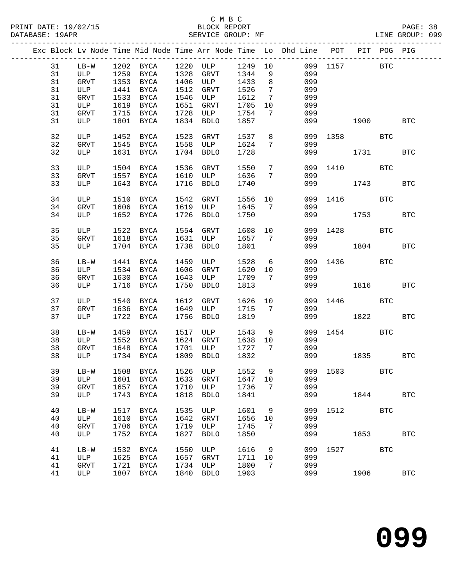|    |             |      |                     |      |                                 |         |                 | Exc Block Lv Node Time Mid Node Time Arr Node Time Lo Dhd Line POT PIT POG PIG |              |      |              |            |
|----|-------------|------|---------------------|------|---------------------------------|---------|-----------------|--------------------------------------------------------------------------------|--------------|------|--------------|------------|
| 31 |             |      |                     |      | LB-W 1202 BYCA 1220 ULP 1249 10 |         |                 |                                                                                | 099 1157 BTC |      |              |            |
| 31 | ULP         |      | 1259 BYCA 1328 GRVT |      |                                 | 1344    |                 | $9 \left( \frac{1}{2} \right)$<br>099                                          |              |      |              |            |
| 31 | GRVT        |      |                     |      | 1353 BYCA 1406 ULP 1433         |         | 8 <sup>8</sup>  | 099                                                                            |              |      |              |            |
| 31 | ULP         |      | 1441 BYCA           |      | 1512 GRVT                       | 1526    | $7\overline{ }$ | 099                                                                            |              |      |              |            |
|    |             |      |                     |      |                                 |         |                 |                                                                                |              |      |              |            |
| 31 | GRVT        |      | 1533 BYCA           |      | 1546 ULP                        | 1612    | $\overline{7}$  | 099                                                                            |              |      |              |            |
| 31 | ULP         |      | 1619 BYCA           |      | 1651 GRVT                       | 1705    | 10              | 099                                                                            |              |      |              |            |
| 31 | GRVT        |      | 1715 BYCA           |      | 1728 ULP                        | 1754    | $\overline{7}$  | 099                                                                            |              |      |              |            |
| 31 | ULP         |      | 1801 BYCA           |      | 1834 BDLO                       | 1857    |                 |                                                                                | 099 — 100    | 1900 |              | <b>BTC</b> |
|    |             |      |                     |      |                                 |         |                 |                                                                                |              |      |              |            |
| 32 | ULP         |      | 1452 BYCA           |      | 1523 GRVT                       | 1537    |                 | 8 <sup>8</sup>                                                                 | 099 1358 BTC |      |              |            |
| 32 | GRVT        |      |                     |      | 1545 BYCA 1558 ULP              | 1624    | $7\overline{ }$ | 099                                                                            |              |      |              |            |
|    |             |      |                     |      |                                 |         |                 |                                                                                |              |      |              |            |
| 32 | ULP         |      | 1631 BYCA           |      | 1704 BDLO                       | 1728    |                 |                                                                                | 099 1731     |      |              | <b>BTC</b> |
|    |             |      |                     |      |                                 |         |                 |                                                                                |              |      |              |            |
| 33 | ULP         |      | 1504 BYCA           |      | 1536 GRVT                       | 1550    | $7\overline{ }$ |                                                                                | 099 1410     |      | BTC          |            |
| 33 | <b>GRVT</b> |      | 1557 BYCA           |      | 1610 ULP                        | 1636    | $7\overline{ }$ | 099                                                                            |              |      |              |            |
| 33 | ULP         |      | 1643 BYCA           |      | 1716 BDLO                       | 1740    |                 |                                                                                | 099 — 100    | 1743 |              | <b>BTC</b> |
|    |             |      |                     |      |                                 |         |                 |                                                                                |              |      |              |            |
| 34 | ULP         |      | 1510 BYCA           |      | 1542 GRVT                       | 1556 10 |                 |                                                                                | 099 1416 BTC |      |              |            |
| 34 | GRVT        |      |                     |      | 1606 BYCA 1619 ULP 1645         |         | $7\overline{ }$ | 099                                                                            |              |      |              |            |
| 34 | ULP         |      | 1652 BYCA           |      | 1726 BDLO                       | 1750    |                 |                                                                                | 099 1753     |      |              | <b>BTC</b> |
|    |             |      |                     |      |                                 |         |                 |                                                                                |              |      |              |            |
|    |             |      |                     |      |                                 |         |                 |                                                                                |              |      |              |            |
| 35 | ULP         |      | 1522 BYCA           |      | 1554 GRVT                       | 1608 10 |                 |                                                                                | 099 1428 BTC |      |              |            |
| 35 | GRVT        |      | 1618 BYCA           |      | 1631 ULP                        | 1657    | 7               | 099                                                                            |              |      |              |            |
| 35 | ULP         |      | 1704 BYCA           |      | 1738 BDLO                       | 1801    |                 |                                                                                | 099 1804     |      |              | <b>BTC</b> |
|    |             |      |                     |      |                                 |         |                 |                                                                                |              |      |              |            |
| 36 | $LB-W$      |      | 1441 BYCA           |      | 1459 ULP                        | 1528 6  |                 |                                                                                | 099 1436 BTC |      |              |            |
| 36 | ULP         |      | 1534 BYCA           |      | 1606 GRVT                       | 1620    | 10              | 099                                                                            |              |      |              |            |
| 36 | GRVT        |      | 1630 BYCA           |      | 1643 ULP                        | 1709    | $\overline{7}$  | 099                                                                            |              |      |              |            |
|    |             |      |                     |      |                                 |         |                 |                                                                                |              |      |              |            |
| 36 | ULP         |      | 1716 BYCA           | 1750 | BDLO                            | 1813    |                 |                                                                                | 099 1816     |      |              | <b>BTC</b> |
|    |             |      |                     |      |                                 |         |                 |                                                                                |              |      |              |            |
| 37 | ULP         |      | 1540 BYCA           | 1612 | GRVT                            | 1626    |                 | 10                                                                             | 099 1446 BTC |      |              |            |
| 37 | GRVT        |      | 1636 BYCA           |      | 1649 ULP                        | 1715    | $\overline{7}$  | 099                                                                            |              |      |              |            |
| 37 | ULP         |      | 1722 BYCA           |      | 1756 BDLO                       | 1819    |                 |                                                                                | 099 — 100    | 1822 |              | <b>BTC</b> |
|    |             |      |                     |      |                                 |         |                 |                                                                                |              |      |              |            |
| 38 | $LB-W$      |      | 1459 BYCA           |      | 1517 ULP                        | 1543    |                 | 9                                                                              | 099 1454 BTC |      |              |            |
| 38 | ULP         |      |                     |      | 1552 BYCA 1624 GRVT             | 1638    | 10              | 099                                                                            |              |      |              |            |
| 38 | GRVT        |      |                     |      | 1648 BYCA 1701 ULP 1727         |         | $7\overline{ }$ | 099                                                                            |              |      |              |            |
| 38 | ULP         |      | 1734 BYCA           |      | 1809 BDLO                       | 1832    |                 |                                                                                | 099 1835     |      |              | <b>BTC</b> |
|    |             |      |                     |      |                                 |         |                 |                                                                                |              |      |              |            |
|    |             |      |                     |      |                                 |         |                 |                                                                                |              |      |              |            |
| 39 |             |      |                     |      |                                 |         |                 | LB-W 1508 BYCA 1526 ULP 1552 9 099 1503                                        |              |      | $_{\rm BTC}$ |            |
| 39 | ULP         | 1601 | BYCA                | 1633 | GRVT                            | 1647    | 10              | 099                                                                            |              |      |              |            |
| 39 | GRVT        | 1657 | BYCA                | 1710 | ULP                             | 1736    | 7               | 099                                                                            |              |      |              |            |
| 39 | ULP         | 1743 | BYCA                | 1818 | <b>BDLO</b>                     | 1841    |                 | 099                                                                            |              | 1844 |              | <b>BTC</b> |
|    |             |      |                     |      |                                 |         |                 |                                                                                |              |      |              |            |
| 40 | $LB-W$      | 1517 | <b>BYCA</b>         | 1535 | ULP                             | 1601    | 9               | 099                                                                            | 1512         |      | <b>BTC</b>   |            |
| 40 | ULP         | 1610 | BYCA                | 1642 | GRVT                            | 1656    | 10              | 099                                                                            |              |      |              |            |
|    |             |      |                     |      |                                 |         |                 |                                                                                |              |      |              |            |
| 40 | <b>GRVT</b> |      | 1706 BYCA           | 1719 | ULP                             | 1745    | 7               | 099                                                                            |              |      |              |            |
| 40 | ULP         | 1752 | BYCA                | 1827 | <b>BDLO</b>                     | 1850    |                 | 099                                                                            |              | 1853 |              | <b>BTC</b> |
|    |             |      |                     |      |                                 |         |                 |                                                                                |              |      |              |            |
| 41 | $LB-W$      | 1532 | <b>BYCA</b>         | 1550 | ULP                             | 1616    | $\overline{9}$  | 099                                                                            |              | 1527 | <b>BTC</b>   |            |
| 41 | ULP         | 1625 | BYCA                | 1657 | GRVT                            | 1711    | 10              | 099                                                                            |              |      |              |            |
| 41 | GRVT        | 1721 | BYCA                | 1734 | ULP                             | 1800    | 7               | 099                                                                            |              |      |              |            |
| 41 | ULP         |      | 1807 BYCA           | 1840 | <b>BDLO</b>                     | 1903    |                 | 099                                                                            |              | 1906 |              | <b>BTC</b> |
|    |             |      |                     |      |                                 |         |                 |                                                                                |              |      |              |            |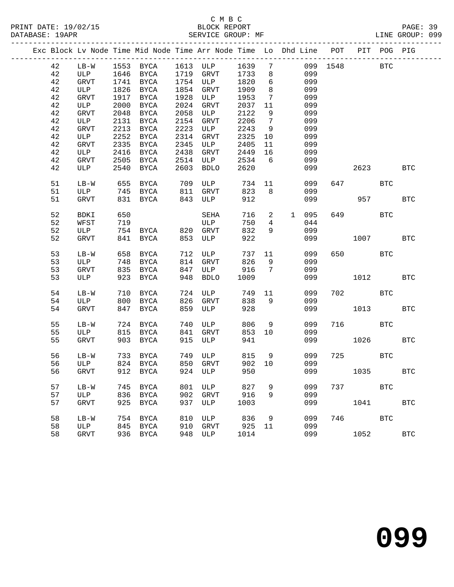## C M B C<br>BLOCK REPORT<br>משמעים מפטוס: MF

| DATABASE: 19APR |    |      |      |                |      | SERVICE GROUP: MF                                                  |        |                 |                                                                                                                                                                                                                                                                                                                                                                                      |     |              |                 | LINE GROUP: 099 |  |
|-----------------|----|------|------|----------------|------|--------------------------------------------------------------------|--------|-----------------|--------------------------------------------------------------------------------------------------------------------------------------------------------------------------------------------------------------------------------------------------------------------------------------------------------------------------------------------------------------------------------------|-----|--------------|-----------------|-----------------|--|
|                 |    |      |      |                |      | Exc Block Lv Node Time Mid Node Time Arr Node Time Lo Dhd Line POT |        |                 |                                                                                                                                                                                                                                                                                                                                                                                      |     |              |                 | PIT POG PIG     |  |
|                 | 42 |      |      | LB-W 1553 BYCA |      | 1613 ULP 1639 7                                                    |        |                 |                                                                                                                                                                                                                                                                                                                                                                                      |     | 099 1548 BTC |                 |                 |  |
|                 | 42 | ULP  | 1646 | BYCA           | 1719 | GRVT                                                               | 1733   | 8               |                                                                                                                                                                                                                                                                                                                                                                                      | 099 |              |                 |                 |  |
|                 | 42 | GRVT | 1741 | BYCA           | 1754 | ULP                                                                | 1820   | 6               |                                                                                                                                                                                                                                                                                                                                                                                      | 099 |              |                 |                 |  |
|                 | 42 | ULP  | 1826 | BYCA           | 1854 | GRVT                                                               | 1909   | 8               |                                                                                                                                                                                                                                                                                                                                                                                      | 099 |              |                 |                 |  |
|                 | 42 | GRVT | 1917 | BYCA           | 1928 | ULP                                                                | 1953   | 7               |                                                                                                                                                                                                                                                                                                                                                                                      | 099 |              |                 |                 |  |
|                 | 42 | ULP  | 2000 | BYCA           | 2024 | GRVT                                                               | 2037   | 11              |                                                                                                                                                                                                                                                                                                                                                                                      | 099 |              |                 |                 |  |
|                 | 42 | GRVT | 2048 | BYCA           | 2058 | ULP                                                                | 2122   | 9               |                                                                                                                                                                                                                                                                                                                                                                                      | 099 |              |                 |                 |  |
|                 | 42 | ULP  | 2131 | BYCA           | 2154 | GRVT                                                               | 2206   | 7               |                                                                                                                                                                                                                                                                                                                                                                                      | 099 |              |                 |                 |  |
|                 | 42 | GRVT | 2213 | BYCA           | 2223 | ULP                                                                | 2243   | 9               |                                                                                                                                                                                                                                                                                                                                                                                      | 099 |              |                 |                 |  |
|                 | 42 | ULP  | 2252 | BYCA           | 2314 | GRVT                                                               | 2325   | 10              |                                                                                                                                                                                                                                                                                                                                                                                      | 099 |              |                 |                 |  |
|                 | 42 | GRVT | 2335 | BYCA           | 2345 | ULP                                                                | 2405   | 11              |                                                                                                                                                                                                                                                                                                                                                                                      | 099 |              |                 |                 |  |
|                 | 42 | ULP  | 2416 | BYCA           | 2438 | GRVT                                                               | 2449   | 16              |                                                                                                                                                                                                                                                                                                                                                                                      | 099 |              |                 |                 |  |
|                 | 42 | GRVT | 2505 | BYCA           | 2514 | ULP                                                                | 2534   | 6               |                                                                                                                                                                                                                                                                                                                                                                                      | 099 |              |                 |                 |  |
|                 | 42 | ULP  | 2540 | BYCA           | 2603 | BDLO                                                               | 2620   |                 |                                                                                                                                                                                                                                                                                                                                                                                      | 099 | 2623         |                 | <b>BTC</b>      |  |
|                 | 51 | LB-W | 655  | BYCA           | 709  | ULP                                                                | 734 11 |                 |                                                                                                                                                                                                                                                                                                                                                                                      | 099 | 647 BTC      |                 |                 |  |
|                 | 51 | ULP  | 745  | BYCA           | 811  | GRVT                                                               | 823    | 8 <sup>8</sup>  |                                                                                                                                                                                                                                                                                                                                                                                      | 099 |              |                 |                 |  |
|                 | 51 | GRVT | 831  | BYCA           | 843  | ULP                                                                | 912    |                 |                                                                                                                                                                                                                                                                                                                                                                                      | 099 |              | 957 — 10        | <b>BTC</b>      |  |
|                 | 52 | BDKI | 650  |                |      | SEHA                                                               | 716    | $\overline{2}$  | $\mathbf{1}$                                                                                                                                                                                                                                                                                                                                                                         | 095 | 649 — 10     | <b>BTC</b>      |                 |  |
|                 | 52 | WFST | 719  |                |      | ULP                                                                | 750    | $4\overline{ }$ |                                                                                                                                                                                                                                                                                                                                                                                      | 044 |              |                 |                 |  |
|                 | 52 | ULP  | 754  | BYCA           | 820  | GRVT                                                               | 832    | 9               |                                                                                                                                                                                                                                                                                                                                                                                      | 099 |              |                 |                 |  |
|                 | 52 | GRVT | 841  | BYCA           | 853  | ULP                                                                | 922    |                 |                                                                                                                                                                                                                                                                                                                                                                                      | 099 | 1007         |                 | BTC             |  |
|                 |    |      |      |                |      | $710$ TTD                                                          |        |                 | $\overline{1}$ $\overline{1}$ $\overline{1}$ $\overline{1}$ $\overline{1}$ $\overline{1}$ $\overline{1}$ $\overline{1}$ $\overline{1}$ $\overline{1}$ $\overline{1}$ $\overline{1}$ $\overline{1}$ $\overline{1}$ $\overline{1}$ $\overline{1}$ $\overline{1}$ $\overline{1}$ $\overline{1}$ $\overline{1}$ $\overline{1}$ $\overline{1}$ $\overline{1}$ $\overline{1}$ $\overline{$ |     |              | mm <sub>2</sub> |                 |  |

| ے ر | ◡⊥⊏    | ノンエ | 고나서         | 0 4 U | ⊾ ∨ ⊾ت      | ے ت  | –  | Uシン |     |      |            |            |
|-----|--------|-----|-------------|-------|-------------|------|----|-----|-----|------|------------|------------|
| 52  | GRVT   | 841 | <b>BYCA</b> | 853   | ULP         | 922  |    | 099 |     | 1007 |            | <b>BTC</b> |
| 53  | $LB-W$ | 658 | <b>BYCA</b> | 712   | ULP         | 737  | 11 | 099 | 650 |      | <b>BTC</b> |            |
| 53  | ULP    | 748 | <b>BYCA</b> | 814   | GRVT        | 826  | 9  | 099 |     |      |            |            |
| 53  | GRVT   | 835 | <b>BYCA</b> | 847   | ULP         | 916  | 7  | 099 |     |      |            |            |
| 53  | ULP    | 923 | <b>BYCA</b> | 948   | <b>BDLO</b> | 1009 |    | 099 |     | 1012 |            | <b>BTC</b> |
| 54  | $LB-W$ | 710 | <b>BYCA</b> | 724   | ULP         | 749  | 11 | 099 | 702 |      | <b>BTC</b> |            |
| 54  | ULP    | 800 | <b>BYCA</b> | 826   | <b>GRVT</b> | 838  | 9  | 099 |     |      |            |            |
| 54  | GRVT   | 847 | <b>BYCA</b> | 859   | ULP         | 928  |    | 099 |     | 1013 |            | <b>BTC</b> |
| 55  | $LB-W$ | 724 | <b>BYCA</b> | 740   | ULP         | 806  | 9  | 099 | 716 |      | <b>BTC</b> |            |
| 55  | ULP    | 815 | <b>BYCA</b> | 841   | GRVT        | 853  | 10 | 099 |     |      |            |            |
| 55  | GRVT   | 903 | <b>BYCA</b> | 915   | ULP         | 941  |    | 099 |     | 1026 |            | <b>BTC</b> |
| 56  | $LB-W$ | 733 | <b>BYCA</b> | 749   | ULP         | 815  | 9  | 099 | 725 |      | BTC        |            |
| 56  | ULP    | 824 | <b>BYCA</b> | 850   | GRVT        | 902  | 10 | 099 |     |      |            |            |
| 56  | GRVT   | 912 | <b>BYCA</b> | 924   | ULP         | 950  |    | 099 |     | 1035 |            | <b>BTC</b> |
| 57  | $LB-W$ | 745 | <b>BYCA</b> | 801   | ULP         | 827  | 9  | 099 | 737 |      | <b>BTC</b> |            |
| 57  | ULP    | 836 | <b>BYCA</b> | 902   | <b>GRVT</b> | 916  | 9  | 099 |     |      |            |            |
| 57  | GRVT   | 925 | <b>BYCA</b> | 937   | ULP         | 1003 |    | 099 |     | 1041 |            | <b>BTC</b> |
| 58  | $LB-W$ | 754 | <b>BYCA</b> | 810   | ULP         | 836  | 9  | 099 | 746 |      | BTC        |            |
| 58  | ULP    | 845 | <b>BYCA</b> | 910   | <b>GRVT</b> | 925  | 11 | 099 |     |      |            |            |
| 58  | GRVT   | 936 | <b>BYCA</b> | 948   | ULP         | 1014 |    | 099 |     | 1052 |            | <b>BTC</b> |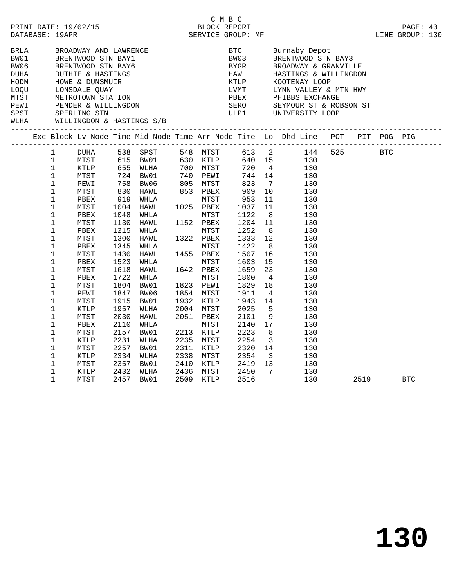|  |                            |              |              |                                                                                                                                                                                                                                                  |      |                        | C M B C      |                      |                 |                                                                                                                                       |      |            |  |
|--|----------------------------|--------------|--------------|--------------------------------------------------------------------------------------------------------------------------------------------------------------------------------------------------------------------------------------------------|------|------------------------|--------------|----------------------|-----------------|---------------------------------------------------------------------------------------------------------------------------------------|------|------------|--|
|  |                            |              |              |                                                                                                                                                                                                                                                  |      |                        |              |                      |                 |                                                                                                                                       |      |            |  |
|  |                            |              |              |                                                                                                                                                                                                                                                  |      |                        |              |                      |                 |                                                                                                                                       |      |            |  |
|  |                            |              |              | BRIA BROADWAY AND LAWRENCE<br>BW01 BRENTWOOD STN BAY1<br>BW06 BRENTWOOD STN BAY6<br>DUHA DUTHIE & HASTINGS<br>HODM HOWE & DUNSMUIR<br>LOQU LONSDALE QUAY<br>MTST METROTOWN STATION<br>PEWI PENDER & WILLINGDON<br>SPST SPERLING STN<br>WLHA WILL |      |                        |              |                      |                 |                                                                                                                                       |      |            |  |
|  |                            |              |              |                                                                                                                                                                                                                                                  |      |                        |              |                      |                 | BTC        Burnaby Depot<br>BW03      BRENTWOOD STN<br>BYGR       BROADWAY & GRA<br>BRENTWOOD STN BAY3                                |      |            |  |
|  |                            |              |              |                                                                                                                                                                                                                                                  |      |                        |              |                      |                 | BROADWAY & GRANVILLE                                                                                                                  |      |            |  |
|  |                            |              |              |                                                                                                                                                                                                                                                  |      |                        |              |                      |                 |                                                                                                                                       |      |            |  |
|  |                            |              |              |                                                                                                                                                                                                                                                  |      |                        |              |                      |                 |                                                                                                                                       |      |            |  |
|  |                            |              |              |                                                                                                                                                                                                                                                  |      |                        |              |                      |                 |                                                                                                                                       |      |            |  |
|  |                            |              |              |                                                                                                                                                                                                                                                  |      |                        |              |                      |                 |                                                                                                                                       |      |            |  |
|  |                            |              |              |                                                                                                                                                                                                                                                  |      |                        |              |                      |                 | HAWL HASTINGS & WILLINGDON<br>KTLP KOOTENAY LOOP<br>LVMT LYNN VALLEY & MTN HWY<br>PBEX PHIBBS EXCHANGE<br>SERO SEYMOUR ST & ROBSON ST |      |            |  |
|  |                            |              |              |                                                                                                                                                                                                                                                  |      |                        |              |                      |                 | ULP1 UNIVERSITY LOOP                                                                                                                  |      |            |  |
|  |                            |              |              |                                                                                                                                                                                                                                                  |      |                        |              |                      |                 |                                                                                                                                       |      |            |  |
|  |                            |              |              | Exc Block Lv Node Time Mid Node Time Arr Node Time Lo Dhd Line POT PIT POG PIG                                                                                                                                                                   |      |                        |              |                      |                 |                                                                                                                                       |      |            |  |
|  |                            |              |              |                                                                                                                                                                                                                                                  |      |                        |              |                      |                 |                                                                                                                                       |      |            |  |
|  | $\frac{1}{1}$              |              |              |                                                                                                                                                                                                                                                  |      |                        |              |                      |                 | 548 MTST 613 2 144 525 BTC<br>630 KTLP 640 15 130                                                                                     |      |            |  |
|  | $\mathbf{1}$               |              |              |                                                                                                                                                                                                                                                  |      |                        |              |                      |                 |                                                                                                                                       |      |            |  |
|  | $\mathbf{1}$               |              |              |                                                                                                                                                                                                                                                  |      |                        |              |                      |                 |                                                                                                                                       |      |            |  |
|  | $\mathbf 1$                |              |              |                                                                                                                                                                                                                                                  |      |                        |              |                      |                 |                                                                                                                                       |      |            |  |
|  | $\mathbf{1}$               |              |              |                                                                                                                                                                                                                                                  |      |                        |              |                      |                 |                                                                                                                                       |      |            |  |
|  | $\mathbf 1$                |              |              |                                                                                                                                                                                                                                                  |      |                        |              |                      |                 |                                                                                                                                       |      |            |  |
|  | $\mathbf{1}$               |              |              | HAWL 1025 PBEX<br>WHLA MTST                                                                                                                                                                                                                      |      |                        |              |                      |                 |                                                                                                                                       |      |            |  |
|  | $\mathbf 1$                | PBEX         | 1048         |                                                                                                                                                                                                                                                  |      |                        | 1122         |                      |                 | $\begin{array}{c} 11 \\ 8 \end{array}$<br>130                                                                                         |      |            |  |
|  | $\mathbf 1$                | MTST         | 1130         | HAWL                                                                                                                                                                                                                                             |      | 1152 PBEX              |              | 1204 11              |                 | 130                                                                                                                                   |      |            |  |
|  | $\mathbf 1$                | PBEX         | 1215         | WHLA                                                                                                                                                                                                                                             |      | MTST                   | 1252         |                      | 8 <sup>1</sup>  | 130                                                                                                                                   |      |            |  |
|  | $\mathbf 1$                | MTST         | 1300         | HAWL 1322 PBEX                                                                                                                                                                                                                                   |      |                        |              | 1333 12              |                 | 130                                                                                                                                   |      |            |  |
|  | 1                          | PBEX         | 1345         | WHLA                                                                                                                                                                                                                                             |      | MTST                   | 1422         | 8 <sup>8</sup>       |                 | 130                                                                                                                                   |      |            |  |
|  | $\mathbf 1$                | MTST         | 1430         | HAWL 1455 PBEX                                                                                                                                                                                                                                   |      |                        | 1507         |                      |                 | 16<br>130                                                                                                                             |      |            |  |
|  | $\mathbf 1$                | PBEX         | 1523         | WHLA MTST<br>HAWL 1642 PBEX                                                                                                                                                                                                                      |      |                        | 1603         |                      |                 | $\frac{15}{23}$<br>130                                                                                                                |      |            |  |
|  | $\mathbf 1$                | MTST         | 1618         |                                                                                                                                                                                                                                                  |      |                        | 1659         |                      |                 | 130                                                                                                                                   |      |            |  |
|  | $\mathbf 1$                | PBEX         | 1722         | WHLA                                                                                                                                                                                                                                             |      | MTST                   | 1800         |                      | $4\overline{4}$ | 130                                                                                                                                   |      |            |  |
|  | $\mathbf{1}$               | MTST         | 1804         | BW01                                                                                                                                                                                                                                             |      | 1823 PEWI              | 1829         | 18                   |                 | 130                                                                                                                                   |      |            |  |
|  | $\mathbf 1$<br>$\mathbf 1$ | PEWI         | 1847<br>1915 | BW06<br>BW01                                                                                                                                                                                                                                     |      | 1854 MTST<br>1932 KTLP | 1911<br>1943 | $\overline{4}$<br>14 |                 | 130                                                                                                                                   |      |            |  |
|  | $\mathbf 1$                | MTST<br>KTLP | 1957         | WLHA                                                                                                                                                                                                                                             |      | 2004 MTST              | 2025         |                      | $5\overline{)}$ | 130<br>130                                                                                                                            |      |            |  |
|  | $\mathbf 1$                | MTST         | 2030         | HAWL                                                                                                                                                                                                                                             |      | 2051 PBEX              | 2101         |                      | 9               | 130                                                                                                                                   |      |            |  |
|  | $\mathbf 1$                | PBEX         | 2110         | WHLA                                                                                                                                                                                                                                             |      | MTST                   | 2140         | 17                   |                 | 130                                                                                                                                   |      |            |  |
|  | $\mathbf 1$                | MTST         | 2157         | BW01                                                                                                                                                                                                                                             |      | 2213 KTLP              | 2223         | 8                    |                 | 130                                                                                                                                   |      |            |  |
|  | $\mathbf 1$                | KTLP         | 2231         | WLHA                                                                                                                                                                                                                                             |      | 2235 MTST              | 2254         |                      |                 | 130                                                                                                                                   |      |            |  |
|  | $\mathbf 1$                | MTST         | 2257         | BW01                                                                                                                                                                                                                                             |      | 2311 KTLP              | 2320         |                      |                 | $\begin{array}{c} 3 \\ 14 \end{array}$<br>130                                                                                         |      |            |  |
|  | $\mathbf 1$                | KTLP         | 2334         | WLHA                                                                                                                                                                                                                                             | 2338 | MTST                   | 2354         |                      |                 | $\frac{1}{3}$ 130<br>130<br>130                                                                                                       |      |            |  |
|  | $\mathbf{1}$               | MTST         | 2357         | BW01                                                                                                                                                                                                                                             |      | 2410 KTLP              |              | 2419 13              |                 |                                                                                                                                       |      |            |  |
|  | $\mathbf{1}$               | KTLP         | 2432         | WLHA                                                                                                                                                                                                                                             |      | 2436 MTST              | 2450         | $\overline{7}$       |                 | 130                                                                                                                                   |      |            |  |
|  | $\mathbf 1$                | MTST         | 2457         | BW01                                                                                                                                                                                                                                             | 2509 | KTLP                   | 2516         |                      |                 | 130                                                                                                                                   | 2519 | <b>BTC</b> |  |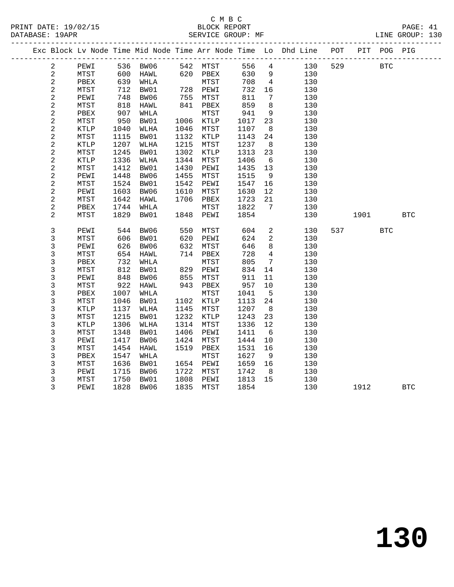|                         |              |            |                   |            |                                |            |                                  | Exc Block Lv Node Time Mid Node Time Arr Node Time Lo Dhd Line POT |     |                                                                                                                                                                                                                                 | PIT POG PIG |            |
|-------------------------|--------------|------------|-------------------|------------|--------------------------------|------------|----------------------------------|--------------------------------------------------------------------|-----|---------------------------------------------------------------------------------------------------------------------------------------------------------------------------------------------------------------------------------|-------------|------------|
| $\overline{a}$          | PEWI         |            | 536 BW06 542 MTST |            |                                |            | 556 4                            | 130                                                                | 529 | <b>BTC</b>                                                                                                                                                                                                                      |             |            |
| $\overline{a}$          | MTST         | 600        | HAWL              |            | 620 PBEX                       | 630        | - 9                              | 130                                                                |     |                                                                                                                                                                                                                                 |             |            |
| $\sqrt{2}$              | PBEX         | 639        | WHLA              |            | MTST                           | 708        | $\overline{4}$                   | 130                                                                |     |                                                                                                                                                                                                                                 |             |            |
| $\sqrt{2}$              | MTST         | 712        | BW01              |            | 728 PEWI                       | 732        | 16                               | 130                                                                |     |                                                                                                                                                                                                                                 |             |            |
| $\overline{c}$          | PEWI         | 748        | BW06              |            |                                | 811        | 7                                | 130                                                                |     |                                                                                                                                                                                                                                 |             |            |
| $\overline{\mathbf{c}}$ | MTST         | 818        | HAWL              |            | --- כל/<br>841 PBEX<br>"דפידאי | 859        | 8                                | 130                                                                |     |                                                                                                                                                                                                                                 |             |            |
| $\overline{\mathbf{c}}$ | PBEX         | 907        | WHLA              |            | MTST                           | 941        | 9                                | 130                                                                |     |                                                                                                                                                                                                                                 |             |            |
| 2                       | MTST         | 950        | BW01              |            | 1006 KTLP                      | 1017       | 23                               | 130                                                                |     |                                                                                                                                                                                                                                 |             |            |
| $\sqrt{2}$              | KTLP         | 1040       | WLHA              | 1046       | MTST                           | 1107       | 8                                | 130                                                                |     |                                                                                                                                                                                                                                 |             |            |
| $\overline{c}$          | MTST         | 1115       | BW01              |            | 1132 KTLP                      | 1143       | 24                               | 130                                                                |     |                                                                                                                                                                                                                                 |             |            |
| $\sqrt{2}$              | KTLP         | 1207       | WLHA              | 1215       | MTST                           | 1237       | 8                                | 130                                                                |     |                                                                                                                                                                                                                                 |             |            |
| $\sqrt{2}$              | MTST         | 1245       | BW01              | 1302       | KTLP                           | 1313       | 23                               | 130                                                                |     |                                                                                                                                                                                                                                 |             |            |
| $\overline{\mathbf{c}}$ | KTLP         | 1336       | WLHA              | 1344       | MTST                           | 1406       | 6                                | 130                                                                |     |                                                                                                                                                                                                                                 |             |            |
| $\sqrt{2}$              | MTST         | 1412       | BW01              | 1430       | PEWI                           | 1435       | 13                               | 130                                                                |     |                                                                                                                                                                                                                                 |             |            |
| $\sqrt{2}$              | PEWI         | 1448       | BW06              | 1455       | MTST                           | 1515       | 9                                | 130                                                                |     |                                                                                                                                                                                                                                 |             |            |
| $\overline{\mathbf{c}}$ | MTST         | 1524       | BW01              | 1542       | PEWI                           | 1547       | 16                               | 130                                                                |     |                                                                                                                                                                                                                                 |             |            |
| $\sqrt{2}$              | PEWI         | 1603       | BW06              | 1610       | MTST                           | 1630       | 12                               | 130                                                                |     |                                                                                                                                                                                                                                 |             |            |
| $\overline{a}$          | ${\tt MTST}$ | 1642       | HAWL              |            | 1706 PBEX                      | 1723       | 21                               | 130                                                                |     |                                                                                                                                                                                                                                 |             |            |
| $\sqrt{2}$              | PBEX         | 1744       | WHLA              |            | MTST                           | 1822       | $7\phantom{.0}$                  | 130                                                                |     |                                                                                                                                                                                                                                 |             |            |
| 2                       | MTST         | 1829       | BW01              |            | 1848 PEWI                      | 1854       |                                  | 130                                                                |     | 1901 - 1901 - 1910 - 1910 - 1920 - 1930 - 1930 - 1930 - 1940 - 1940 - 1940 - 1940 - 1940 - 1940 - 1940 - 1940 - 1940 - 1940 - 1940 - 1940 - 1940 - 1940 - 1940 - 1940 - 1940 - 1940 - 1940 - 1940 - 1940 - 1940 - 1940 - 1940 - |             | <b>BTC</b> |
|                         |              |            |                   |            |                                |            |                                  |                                                                    |     |                                                                                                                                                                                                                                 | <b>BTC</b>  |            |
| 3<br>$\mathsf{3}$       | PEWI         | 544        | BW06              | 550        | MTST                           | 604<br>624 | $\overline{a}$<br>$\overline{a}$ | 130                                                                |     | 537                                                                                                                                                                                                                             |             |            |
| 3                       | MTST<br>PEWI | 606<br>626 | BW01<br>BW06      | 620<br>632 | PEWI                           | 646        | 8                                | 130<br>130                                                         |     |                                                                                                                                                                                                                                 |             |            |
| 3                       | MTST         | 654        | HAWL              |            | MTST<br>714 PBEX               | 728        | $\overline{4}$                   | 130                                                                |     |                                                                                                                                                                                                                                 |             |            |
| 3                       | PBEX         | 732        | WHLA              |            | MTST                           | 805        | $7\overline{ }$                  | 130                                                                |     |                                                                                                                                                                                                                                 |             |            |
| 3                       | MTST         | 812        | BW01              |            | 829 PEWI                       | 834        | 14                               | 130                                                                |     |                                                                                                                                                                                                                                 |             |            |
| 3                       | PEWI         | 848        | BW06              | 855        | MTST                           | 911        | 11                               | 130                                                                |     |                                                                                                                                                                                                                                 |             |            |
| $\mathsf{3}$            | MTST         | 922        | HAWL              |            | 943 PBEX                       | 957        | 10                               | 130                                                                |     |                                                                                                                                                                                                                                 |             |            |
| 3                       | PBEX         | 1007       | WHLA              |            | MTST                           | 1041       | $5^{\circ}$                      | 130                                                                |     |                                                                                                                                                                                                                                 |             |            |
| 3                       | MTST         | 1046       | BW01              | 1102       | KTLP                           | 1113       | 24                               | 130                                                                |     |                                                                                                                                                                                                                                 |             |            |
| $\mathsf{3}$            | <b>KTLP</b>  | 1137       | WLHA              | 1145       | MTST                           | 1207       | 8                                | 130                                                                |     |                                                                                                                                                                                                                                 |             |            |
| 3                       | MTST         | 1215       | BW01              | 1232       | KTLP                           | 1243       | 23                               | 130                                                                |     |                                                                                                                                                                                                                                 |             |            |
| $\mathsf{3}$            | KTLP         | 1306       | WLHA              | 1314       | MTST                           | 1336       | 12                               | 130                                                                |     |                                                                                                                                                                                                                                 |             |            |
| $\mathsf{3}$            | MTST         | 1348       | BW01              | 1406       | PEWI                           | 1411       | 6                                | 130                                                                |     |                                                                                                                                                                                                                                 |             |            |
| 3                       | PEWI         | 1417       | BW06              | 1424       | MTST                           | 1444       | 10                               | 130                                                                |     |                                                                                                                                                                                                                                 |             |            |
| 3                       | MTST         | 1454       | HAWL              | 1519       | PBEX                           | 1531       | 16                               | 130                                                                |     |                                                                                                                                                                                                                                 |             |            |
| 3                       | PBEX         | 1547       | WHLA              |            | MTST                           | 1627       | 9                                | 130                                                                |     |                                                                                                                                                                                                                                 |             |            |
| 3                       | MTST         | 1636       | BW01              |            | 1654 PEWI                      | 1659       | 16                               | 130                                                                |     |                                                                                                                                                                                                                                 |             |            |
| 3                       | PEWI         | 1715       | BW06              | 1722       | MTST                           | 1742       | 8 <sup>8</sup>                   | 130                                                                |     |                                                                                                                                                                                                                                 |             |            |
| 3                       | MTST         | 1750       | BW01              | 1808       | PEWI                           | 1813       | 15                               | 130                                                                |     |                                                                                                                                                                                                                                 |             |            |
| 3                       | PEWI         |            | 1828 BW06         | 1835       | MTST                           | 1854       |                                  | 130                                                                |     | 1912                                                                                                                                                                                                                            |             | <b>BTC</b> |
|                         |              |            |                   |            |                                |            |                                  |                                                                    |     |                                                                                                                                                                                                                                 |             |            |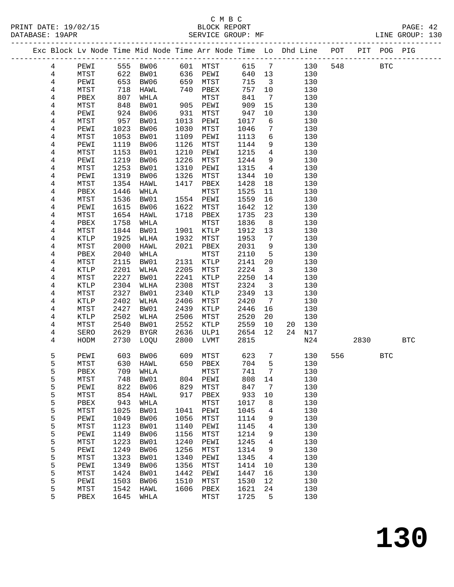### C M B C

| DATABASE: 19APR |        |                      |              | SERVICE GROUP: MF       |              |               |              |                              |                                                                                |         |     | LINE GROUP: 130 |  |
|-----------------|--------|----------------------|--------------|-------------------------|--------------|---------------|--------------|------------------------------|--------------------------------------------------------------------------------|---------|-----|-----------------|--|
|                 |        |                      |              |                         |              |               |              |                              | Exc Block Lv Node Time Mid Node Time Arr Node Time Lo Dhd Line POT PIT POG PIG |         |     |                 |  |
|                 | 4      | PEWI                 |              | 555 BW06 601 MTST 615 7 |              |               |              |                              | 130                                                                            | 548 BTC |     |                 |  |
|                 | 4      | MTST                 | 622          |                         |              | BW01 636 PEWI | 640 13       |                              | 130                                                                            |         |     |                 |  |
|                 | 4      | PEWI                 | 653          | BW06                    |              | 659 MTST      | 715          | $\overline{\mathbf{3}}$      | 130                                                                            |         |     |                 |  |
|                 | 4      | MTST                 | 718<br>807   | HAWL                    |              | 740 PBEX      | 757          | 10                           | 130                                                                            |         |     |                 |  |
|                 | 4      | PBEX                 | 807          | WHLA                    |              | MTST          | 841          | $7\overline{ }$              | 130                                                                            |         |     |                 |  |
|                 | 4      | MTST                 | 848          | BW01                    |              | 905 PEWI      | 909          | 15                           | 130                                                                            |         |     |                 |  |
|                 | 4      | PEWI                 | 924          | BW06                    | 931          | MTST          | 947          | $10\,$                       | 130                                                                            |         |     |                 |  |
|                 | 4      | MTST                 | $-24$<br>957 | BW01                    | 1013         | PEWI          | 1017         | 6                            | 130                                                                            |         |     |                 |  |
|                 | 4      | PEWI                 | 1023         | BW06                    | 1030         | MTST          | 1046         | 7                            | 130                                                                            |         |     |                 |  |
|                 | 4      | MTST                 | 1053         | BW01                    | 1109         | PEWI          | 1113         | 6                            | 130                                                                            |         |     |                 |  |
|                 | 4      | PEWI                 | 1119         | BW06                    | 1126         | MTST          | 1144         | 9                            | 130                                                                            |         |     |                 |  |
|                 | 4      | MTST                 | 1153         | BW01                    | 1210         | PEWI          | 1215         | $4\overline{ }$              | 130                                                                            |         |     |                 |  |
|                 | 4      | PEWI                 | 1219         | BW06                    | 1226         | MTST          | 1244         | 9                            | 130                                                                            |         |     |                 |  |
|                 | 4      | MTST                 | 1253         | BW01                    | 1310         | PEWI          | 1315         | $\overline{4}$               | 130                                                                            |         |     |                 |  |
|                 | 4      | PEWI                 | 1319         | BW06                    | 1326         | MTST          | 1344         | 10                           | 130                                                                            |         |     |                 |  |
|                 | 4      | MTST                 | 1354         | HAWL                    | 1417         | PBEX          | 1428         | 18                           | 130                                                                            |         |     |                 |  |
|                 | 4      | PBEX                 | 1446         | WHLA                    |              | MTST          | 1525         | 11                           | 130                                                                            |         |     |                 |  |
|                 | 4      | MTST                 | 1536         | BW01                    |              | 1554 PEWI     | 1559         | 16                           | 130                                                                            |         |     |                 |  |
|                 | 4      | PEWI                 | 1615         | BW06                    | 1622         | MTST          | 1642         | 12                           | 130                                                                            |         |     |                 |  |
|                 | 4      | MTST                 | 1654         | HAWL                    | 1718         | PBEX          | 1735         | 23                           | 130                                                                            |         |     |                 |  |
|                 | 4      | PBEX                 | 1758         | WHLA                    |              | MTST          | 1836         | 8                            | 130                                                                            |         |     |                 |  |
|                 | 4      | MTST                 | 1844         | BW01                    |              | 1901 KTLP     | 1912         | 13                           | 130                                                                            |         |     |                 |  |
|                 | 4      | <b>KTLP</b>          | 1925         | WLHA                    | 1932         | MTST          | 1953         | $\overline{7}$               | 130                                                                            |         |     |                 |  |
|                 | 4      | MTST                 | 2000         | HAWL                    | 2021         | PBEX          | 2031         | 9                            | 130                                                                            |         |     |                 |  |
|                 | 4      | PBEX                 | 2040         | WHLA                    |              | MTST          | 2110         | $5^{\circ}$                  | 130                                                                            |         |     |                 |  |
|                 | 4      | MTST                 | 2115         | BW01                    |              | 2131 KTLP     | 2141         | 20                           | 130                                                                            |         |     |                 |  |
|                 | 4      | KTLP                 | 2201         | WLHA                    | 2205         | MTST          | 2224         | $\overline{\mathbf{3}}$      | 130                                                                            |         |     |                 |  |
|                 | 4      | MTST                 | 2227         | BW01                    | 2241         | KTLP          | 2250         | 14                           | 130                                                                            |         |     |                 |  |
|                 | 4      | <b>KTLP</b>          | 2304         | WLHA                    | 2308<br>2340 | MTST          | 2324         | $\overline{\mathbf{3}}$      | 130                                                                            |         |     |                 |  |
|                 | 4      | MTST                 | 2327         | BW01                    |              | KTLP          | 2349         | 13                           | 130                                                                            |         |     |                 |  |
|                 | 4      | KTLP                 | 2402         | WLHA                    | 2406<br>2439 | MTST          | 2420         | $7\phantom{.0}\phantom{.0}7$ | 130<br>130                                                                     |         |     |                 |  |
|                 | 4<br>4 | MTST<br>KTLP         | 2427<br>2502 | BW01<br>WLHA            | 2506         | KTLP<br>MTST  | 2446<br>2520 | 16<br>20                     | 130                                                                            |         |     |                 |  |
|                 | 4      | MTST                 | 2540         | BW01                    | 2552         | KTLP          | 2559         | 10                           | 20<br>130                                                                      |         |     |                 |  |
|                 | 4      | SERO                 | 2629         | BYGR                    | 2636         | ULP1          | 2654         | 12                           | 24<br>N17                                                                      |         |     |                 |  |
|                 | 4      | HODM                 | 2730         | LOQU                    | 2800         | LVMT          | 2815         |                              | N24                                                                            | 2830    |     | <b>BTC</b>      |  |
|                 |        |                      |              |                         |              |               |              |                              |                                                                                |         |     |                 |  |
|                 | 5      | PEWI                 |              | 603 BW06                |              | 609 MTST      | 623          | 7                            | 130                                                                            | 556 700 | BTC |                 |  |
|                 | 5      | MTST                 |              | 630 HAWL 650 PBEX       |              |               | 704          | 5                            | 130                                                                            |         |     |                 |  |
|                 | 5      | PBEX                 | 709          | WHLA                    |              | MTST          | 741          | 7                            | 130                                                                            |         |     |                 |  |
|                 | 5      | MTST                 | 748          | BW01                    | 804          | PEWI          | 808          | 14                           | 130                                                                            |         |     |                 |  |
|                 | 5      | PEWI                 | 822          | BW06                    | 829          | MTST          | 847          | 7                            | 130                                                                            |         |     |                 |  |
|                 | 5      | MTST                 | 854          | HAWL                    | 917          | PBEX          | 933          | 10                           | 130                                                                            |         |     |                 |  |
|                 | 5      | PBEX                 | 943          | WHLA                    |              | MTST          | 1017         | 8                            | 130                                                                            |         |     |                 |  |
|                 | 5      | MTST                 | 1025         | BW01                    | 1041         | PEWI          | 1045         | 4                            | 130                                                                            |         |     |                 |  |
|                 | 5      | PEWI                 | 1049         | BW06                    | 1056         | MTST          | 1114         | 9                            | 130                                                                            |         |     |                 |  |
|                 | 5      | MTST                 | 1123         | BW01                    | 1140         | PEWI          | 1145         | 4                            | 130                                                                            |         |     |                 |  |
|                 | 5      | PEWI                 | 1149         | BW06                    | 1156         | MTST          | 1214         | 9                            | 130                                                                            |         |     |                 |  |
|                 | 5      | MTST                 | 1223         | BW01                    | 1240         | PEWI          | 1245         | 4                            | 130                                                                            |         |     |                 |  |
|                 | 5      | PEWI                 | 1249         | BW06                    | 1256         | MTST          | 1314         | 9                            | 130                                                                            |         |     |                 |  |
|                 | 5<br>5 | MTST                 | 1323         | BW01                    | 1340         | PEWI          | 1345         | 4                            | 130                                                                            |         |     |                 |  |
|                 | 5      | PEWI                 | 1349<br>1424 | BW06                    | 1356<br>1442 | MTST          | 1414         | 10<br>16                     | 130                                                                            |         |     |                 |  |
|                 | 5      | MTST                 | 1503         | BW01                    | 1510         | PEWI          | 1447         | 12                           | 130                                                                            |         |     |                 |  |
|                 | 5      | PEWI<br>${\tt MTST}$ | 1542         | BW06<br>HAWL            | 1606         | MTST<br>PBEX  | 1530<br>1621 | 24                           | 130<br>130                                                                     |         |     |                 |  |
|                 | 5      | PBEX                 |              | 1645 WHLA               |              | MTST          | 1725         | 5                            | 130                                                                            |         |     |                 |  |
|                 |        |                      |              |                         |              |               |              |                              |                                                                                |         |     |                 |  |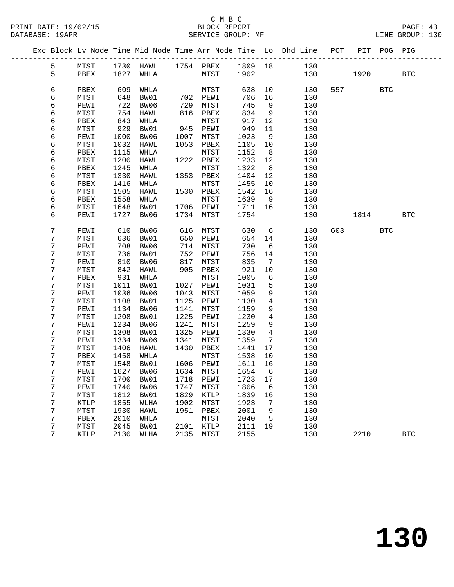|  |                 |              |              |                          |              |              |              |                 | Exc Block Lv Node Time Mid Node Time Arr Node Time Lo Dhd Line POT |     | PIT       | POG PIG    |              |
|--|-----------------|--------------|--------------|--------------------------|--------------|--------------|--------------|-----------------|--------------------------------------------------------------------|-----|-----------|------------|--------------|
|  | 5               | MTST         |              |                          |              |              |              |                 | 1730 HAWL 1754 PBEX 1809 18 130                                    |     |           |            |              |
|  | 5               | PBEX         | 1827         | WHLA                     |              | MTST         | 1902         |                 | 130                                                                |     | 1920 1930 |            | <b>BTC</b>   |
|  |                 |              |              |                          |              |              |              |                 |                                                                    |     |           |            |              |
|  | 6               | PBEX         | 609          | WHLA                     |              | MTST         | 638          | 10              | 130                                                                |     | 557 35    | <b>BTC</b> |              |
|  | 6               | MTST         | 648          | BW01                     |              | 702 PEWI     | 706          | 16              | 130                                                                |     |           |            |              |
|  | 6               | PEWI         | 722          | BW06                     | 729          | MTST         | 745          | 9               | 130                                                                |     |           |            |              |
|  | 6               | MTST         | 754          | HAWL                     | 816          | PBEX         | 834          | 9               | 130                                                                |     |           |            |              |
|  | 6               | PBEX         | 843          | WHLA                     |              | MTST         | 917          | 12              | 130                                                                |     |           |            |              |
|  | 6               | MTST         | 929          | BW01                     | 945          | PEWI         | 949          | 11              | 130                                                                |     |           |            |              |
|  | 6               | PEWI         | 1000         | BW06                     | 1007         | MTST         | 1023         | 9               | 130                                                                |     |           |            |              |
|  | 6               | MTST         | 1032         | HAWL                     | 1053         | PBEX         | 1105         | 10              | 130                                                                |     |           |            |              |
|  | 6               | PBEX         | 1115         | WHLA                     |              | MTST         | 1152         | 8 <sup>8</sup>  | 130                                                                |     |           |            |              |
|  | 6               | MTST         | 1200         | HAWL                     | 1222         | PBEX         | 1233         | 12              | 130                                                                |     |           |            |              |
|  | 6               | PBEX         | 1245         | WHLA                     |              | MTST         | 1322         | 8 <sup>8</sup>  | 130                                                                |     |           |            |              |
|  | 6               | MTST         | 1330         | HAWL                     |              | 1353 PBEX    | 1404         | 12              | 130                                                                |     |           |            |              |
|  | 6               | PBEX         | 1416         | WHLA                     |              | MTST         | 1455         | 10              | 130                                                                |     |           |            |              |
|  | 6               | MTST         | 1505         | HAWL                     | 1530         | PBEX         | 1542         | 16              | 130                                                                |     |           |            |              |
|  | 6               | PBEX         | 1558         | WHLA                     |              | MTST         | 1639         | 9               | 130                                                                |     |           |            |              |
|  | 6               | MTST         | 1648         | BW01                     |              | 1706 PEWI    | 1711         | 16              | 130                                                                |     |           |            |              |
|  | 6               | PEWI         | 1727         | BW06                     | 1734         | MTST         | 1754         |                 | 130                                                                |     | 1814      |            | <b>BTC</b>   |
|  |                 |              |              |                          |              |              |              |                 |                                                                    |     |           |            |              |
|  | 7               | PEWI         | 610          | BW06                     | 616          | MTST         | 630          | $6\overline{6}$ | 130                                                                | 603 |           | <b>BTC</b> |              |
|  | 7               | MTST         | 636          | BW01                     | 650          | PEWI         | 654          | 14              | 130                                                                |     |           |            |              |
|  | 7               | PEWI         | 708          | BW06                     | 714          | MTST         | 730          | 6               | 130                                                                |     |           |            |              |
|  | 7               | MTST         | 736          | BW01                     | 752          | PEWI         | 756          | 14              | 130                                                                |     |           |            |              |
|  | 7               | PEWI         | 810          | BW06                     | 817          | MTST         | 835          | $\overline{7}$  | 130                                                                |     |           |            |              |
|  | 7               | MTST         | 842          | HAWL                     | 905          | PBEX         | 921          | 10              | 130                                                                |     |           |            |              |
|  | 7<br>7          | PBEX         | 931          | WHLA<br>BW01             |              | MTST<br>PEWI | 1005         | 6               | 130<br>130                                                         |     |           |            |              |
|  | 7               | MTST<br>PEWI | 1011<br>1036 | BW06                     | 1027<br>1043 | MTST         | 1031<br>1059 | 5<br>9          | 130                                                                |     |           |            |              |
|  | 7               | MTST         | 1108         | BW01                     | 1125         | PEWI         | 1130         | $\overline{4}$  | 130                                                                |     |           |            |              |
|  | 7               | PEWI         | 1134         | BW06                     | 1141         | MTST         | 1159         | 9               | 130                                                                |     |           |            |              |
|  | 7               | MTST         | 1208         | BW01                     | 1225         | PEWI         | 1230         | 4               | 130                                                                |     |           |            |              |
|  | 7               | PEWI         | 1234         | BW06                     | 1241         | MTST         | 1259         | 9               | 130                                                                |     |           |            |              |
|  | 7               | MTST         | 1308         | BW01                     | 1325         | PEWI         | 1330         | $\overline{4}$  | 130                                                                |     |           |            |              |
|  | 7               | PEWI         | 1334         | BW06                     | 1341         | MTST         | 1359         | $7\phantom{.0}$ | 130                                                                |     |           |            |              |
|  | 7               | MTST         | 1406         | HAWL                     | 1430         | PBEX         | 1441         | 17              | 130                                                                |     |           |            |              |
|  | 7               | PBEX         | 1458         | WHLA                     |              | MTST         | 1538         | 10              | 130                                                                |     |           |            |              |
|  | 7               | MTST         | 1548         | BW01                     |              | 1606 PEWI    | 1611 16      |                 | 130                                                                |     |           |            |              |
|  | 7               |              |              | PEWI 1627 BW06 1634 MTST |              |              | 1654 6       |                 | 130                                                                |     |           |            |              |
|  | 7               | MTST         | 1700         | BW01                     | 1718         | PEWI         | 1723         | 17              | 130                                                                |     |           |            |              |
|  | 7               | PEWI         | 1740         | BW06                     | 1747         | MTST         | 1806         | 6               | 130                                                                |     |           |            |              |
|  | 7               | MTST         | 1812         | BW01                     | 1829         | KTLP         | 1839         | 16              | 130                                                                |     |           |            |              |
|  | 7               | KTLP         | 1855         | WLHA                     | 1902         | MTST         | 1923         | 7               | 130                                                                |     |           |            |              |
|  | 7               | MTST         | 1930         | HAWL                     | 1951         | PBEX         | 2001         | 9               | 130                                                                |     |           |            |              |
|  | 7               | PBEX         | 2010         | WHLA                     |              | MTST         | 2040         | 5               | 130                                                                |     |           |            |              |
|  | 7               | MTST         | 2045         | BW01                     | 2101         | KTLP         | 2111         | 19              | 130                                                                |     |           |            |              |
|  | $7\overline{ }$ | KTLP         | 2130         | WLHA                     | 2135         | MTST         | 2155         |                 | 130                                                                |     | 2210      |            | $_{\rm BTC}$ |
|  |                 |              |              |                          |              |              |              |                 |                                                                    |     |           |            |              |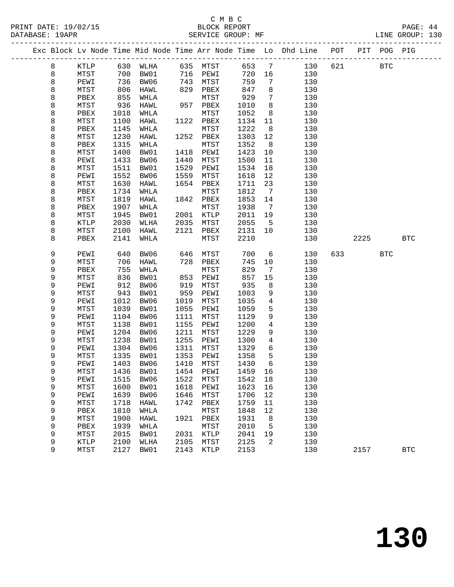|        |              |              |              |              |              |              |                              | Exc Block Lv Node Time Mid Node Time Arr Node Time Lo Dhd Line POT |     |      | PIT POG PIG |            |
|--------|--------------|--------------|--------------|--------------|--------------|--------------|------------------------------|--------------------------------------------------------------------|-----|------|-------------|------------|
| 8      | KTLP         | 630          | WLHA         | 635          | MTST         | 653          | $7\phantom{.0}$              | 130                                                                | 621 |      | <b>BTC</b>  |            |
| 8      | MTST         | 700          | BW01         | 716          | PEWI         | 720          | 16                           | 130                                                                |     |      |             |            |
| 8      | PEWI         | 736          | BW06         | 743          | MTST         | 759          | 7                            | 130                                                                |     |      |             |            |
| 8      | MTST         | 806          | HAWL         | 829          | PBEX         | 847          | 8                            | 130                                                                |     |      |             |            |
| 8      | PBEX         | 855          | WHLA         |              | MTST         | 929          | 7                            | 130                                                                |     |      |             |            |
| 8      | MTST         | 936          | HAWL         | 957          | PBEX         | 1010         | 8                            | 130                                                                |     |      |             |            |
| 8      | PBEX         | 1018         | WHLA         |              | MTST         | 1052         | 8                            | 130                                                                |     |      |             |            |
| 8      | MTST         | 1100         | HAWL         | 1122         | PBEX         | 1134         | 11                           | 130                                                                |     |      |             |            |
| 8      | PBEX         | 1145         | WHLA         |              | MTST         | 1222         | 8                            | 130                                                                |     |      |             |            |
| 8      | MTST         | 1230         | HAWL         | 1252         | PBEX         | 1303         | 12                           | 130                                                                |     |      |             |            |
| 8      | PBEX         | 1315         | WHLA         |              | MTST         | 1352         | 8 <sup>8</sup>               | 130                                                                |     |      |             |            |
| 8      | MTST         | 1400         | BW01         | 1418         | PEWI         | 1423         | 10                           | 130                                                                |     |      |             |            |
| 8      | PEWI         | 1433         | BW06         | 1440         | MTST         | 1500         | 11                           | 130                                                                |     |      |             |            |
| 8      | MTST         | 1511         | BW01         | 1529         | PEWI         | 1534         | 18                           | 130                                                                |     |      |             |            |
| 8      | PEWI         | 1552         | BW06         | 1559         | MTST         | 1618         | 12                           | 130                                                                |     |      |             |            |
| 8      | MTST         | 1630         | HAWL         | 1654         | PBEX         | 1711         | 23                           | 130                                                                |     |      |             |            |
| 8      | PBEX         | 1734         | WHLA         |              | MTST         | 1812         | $7\phantom{.0}\phantom{.0}7$ | 130                                                                |     |      |             |            |
| 8      | MTST         | 1819         | HAWL         | 1842         | PBEX         | 1853         | 14                           | 130                                                                |     |      |             |            |
| 8      | PBEX         | 1907         | WHLA         |              | MTST         | 1938         | 7                            | 130                                                                |     |      |             |            |
| 8      | MTST         | 1945         | BW01         | 2001         | KTLP         | 2011         | 19                           | 130                                                                |     |      |             |            |
| 8      | KTLP         | 2030         | WLHA         | 2035         | MTST         | 2055         | 5                            | 130                                                                |     |      |             |            |
| 8      | MTST         | 2100         | HAWL         | 2121         | PBEX         | 2131         | 10                           | 130                                                                |     |      |             |            |
| 8      | PBEX         | 2141         | WHLA         |              | MTST         | 2210         |                              | 130                                                                |     | 2225 |             | <b>BTC</b> |
|        |              |              |              |              |              |              |                              |                                                                    |     |      |             |            |
| 9      | PEWI         | 640          | BW06         | 646          | MTST         | 700          | 6                            | 130                                                                | 633 |      | <b>BTC</b>  |            |
| 9      | MTST         | 706          | HAWL         | 728          | PBEX         | 745          | 10                           | 130                                                                |     |      |             |            |
| 9      | PBEX         | 755          | WHLA         |              | MTST         | 829          | 7                            | 130                                                                |     |      |             |            |
| 9      | MTST         | 836          | BW01         | 853          | PEWI         | 857          | 15                           | 130                                                                |     |      |             |            |
| 9      | PEWI         | 912          | BW06         | 919          | MTST         | 935          | 8                            | 130                                                                |     |      |             |            |
| 9      | MTST         | 943          | BW01         | 959          | PEWI         | 1003         | 9                            | 130                                                                |     |      |             |            |
| 9      | PEWI         | 1012         | BW06         | 1019         | MTST         | 1035         | 4                            | 130                                                                |     |      |             |            |
| 9      | MTST         | 1039         | BW01         | 1055         | PEWI         | 1059         | 5                            | 130                                                                |     |      |             |            |
| 9      | PEWI         | 1104         | BW06         | 1111         | MTST         | 1129         | 9                            | 130                                                                |     |      |             |            |
| 9      | MTST         | 1138         | BW01         | 1155         | PEWI         | 1200         | $\overline{4}$               | 130                                                                |     |      |             |            |
| 9      | PEWI         | 1204         | BW06         | 1211         | MTST         | 1229         | 9                            | 130                                                                |     |      |             |            |
| 9      | MTST         | 1238         | BW01         | 1255         | PEWI         | 1300         | $\overline{4}$               | 130                                                                |     |      |             |            |
| 9      | PEWI         | 1304         | BW06         | 1311         | MTST         | 1329         | 6                            | 130                                                                |     |      |             |            |
| 9      | MTST         | 1335         | BW01         | 1353         | PEWI<br>MTST | 1358         | 5<br>6                       | 130                                                                |     |      |             |            |
| 9      | PEWI         | 1403         | BW06         | 1410         |              | 1430         |                              | 130                                                                |     |      |             |            |
| 9      | ${\tt MTST}$ |              | 1436 BW01    |              | 1454 PEWI    | 1459 16      |                              | 130                                                                |     |      |             |            |
| 9      | PEWI<br>MTST | 1515         | BW06         | 1522         | MTST         | 1542         | 18                           | 130                                                                |     |      |             |            |
| 9      |              | 1600         | BW01<br>BW06 | 1618<br>1646 | PEWI         | 1623         | 16                           | 130<br>130                                                         |     |      |             |            |
| 9<br>9 | PEWI         | 1639<br>1718 |              | 1742         | MTST         | 1706         | 12<br>11                     | 130                                                                |     |      |             |            |
| 9      | MTST         | 1810         | HAWL         |              | PBEX         | 1759         | 12                           | 130                                                                |     |      |             |            |
| 9      | PBEX         | 1900         | WHLA         | 1921         | ${\tt MTST}$ | 1848<br>1931 |                              | 130                                                                |     |      |             |            |
| 9      | MTST<br>PBEX | 1939         | HAWL<br>WHLA |              | PBEX<br>MTST | 2010         | 8<br>5                       | 130                                                                |     |      |             |            |
| 9      | MTST         | 2015         | BW01         | 2031         | KTLP         | 2041         | 19                           | 130                                                                |     |      |             |            |
| 9      | KTLP         | 2100         | WLHA         | 2105         | MTST         | 2125         | 2                            | 130                                                                |     |      |             |            |
| 9      | MTST         | 2127         | BW01         | 2143         | KTLP         | 2153         |                              | 130                                                                |     | 2157 |             | <b>BTC</b> |
|        |              |              |              |              |              |              |                              |                                                                    |     |      |             |            |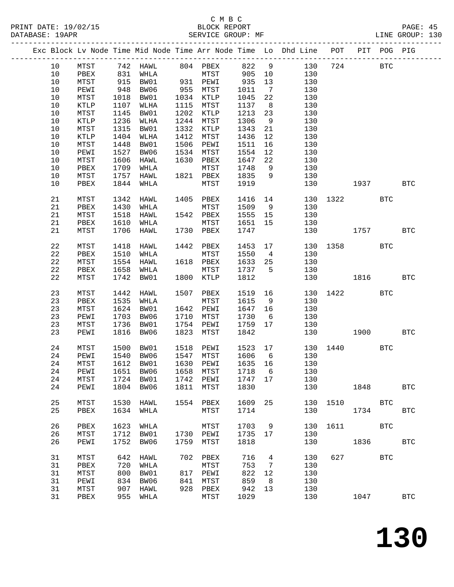|  |    |      |      |           |      |                                    |         |                 | Exc Block Lv Node Time Mid Node Time Arr Node Time Lo Dhd Line POT PIT POG PIG |          |          |            |              |
|--|----|------|------|-----------|------|------------------------------------|---------|-----------------|--------------------------------------------------------------------------------|----------|----------|------------|--------------|
|  | 10 |      |      |           |      |                                    |         |                 | 130                                                                            |          | 724 BTC  |            |              |
|  | 10 |      |      |           |      |                                    |         |                 | 130                                                                            |          |          |            |              |
|  | 10 | MTST |      | 915 BW01  |      | 931 PEWI                           | 935     | 13              | 130                                                                            |          |          |            |              |
|  |    |      |      |           |      | 955 MTST<br>1034 KTLP<br>1115 MTCT |         |                 |                                                                                |          |          |            |              |
|  | 10 | PEWI | 948  | BW06      |      |                                    | 1011    | $7\overline{ }$ | 130                                                                            |          |          |            |              |
|  | 10 | MTST | 1018 | BW01      |      |                                    | 1045    | 22              | 130                                                                            |          |          |            |              |
|  | 10 | KTLP | 1107 | WLHA      |      | 1115 MTST                          | 1137    | 8 <sup>8</sup>  | 130                                                                            |          |          |            |              |
|  | 10 | MTST | 1145 | BW01      |      | 1202 KTLP                          | 1213    | 23              | 130                                                                            |          |          |            |              |
|  | 10 | KTLP | 1236 | WLHA      |      | 1244 MTST                          | 1306    | 9               | 130                                                                            |          |          |            |              |
|  | 10 | MTST | 1315 | BW01      |      | 1332 KTLP                          | 1343    | 21              | 130                                                                            |          |          |            |              |
|  | 10 | KTLP |      | 1404 WLHA |      | 1412 MTST                          | 1436    | 12              | 130                                                                            |          |          |            |              |
|  | 10 | MTST | 1448 | BW01      |      | 1506 PEWI                          | 1511    | 16              | 130                                                                            |          |          |            |              |
|  | 10 | PEWI | 1527 | BW06      |      | 1534 MTST                          | 1554    | 12              | 130                                                                            |          |          |            |              |
|  |    |      |      |           |      |                                    |         |                 |                                                                                |          |          |            |              |
|  | 10 | MTST | 1606 | HAWL      |      | 1630 PBEX<br>MTST                  | 1647    | 22              | 130                                                                            |          |          |            |              |
|  | 10 | PBEX | 1709 | WHLA      |      | MTST                               | 1748    | 9               | 130                                                                            |          |          |            |              |
|  | 10 | MTST | 1757 | HAWL      |      | 1821 PBEX                          | 1835    | 9               | 130                                                                            |          |          |            |              |
|  | 10 | PBEX | 1844 | WHLA      |      | MTST                               | 1919    |                 | 130                                                                            |          | 1937     |            | <b>BTC</b>   |
|  |    |      |      |           |      |                                    |         |                 |                                                                                |          |          |            |              |
|  | 21 | MTST |      | 1342 HAWL |      | 1405 PBEX                          | 1416 14 |                 |                                                                                | 130 1322 |          | <b>BTC</b> |              |
|  | 21 | PBEX | 1430 | WHLA      |      | MTST                               | 1509    |                 | 9<br>130                                                                       |          |          |            |              |
|  | 21 | MTST | 1518 | HAWL      |      | 1542 PBEX                          | 1555 15 |                 | 130                                                                            |          |          |            |              |
|  | 21 | PBEX | 1610 | WHLA      |      | MTST                               | 1651 15 |                 | 130                                                                            |          |          |            |              |
|  |    |      |      |           |      |                                    |         |                 |                                                                                |          |          |            |              |
|  | 21 | MTST | 1706 | HAWL      |      | 1730 PBEX                          | 1747    |                 |                                                                                | 130 1757 |          |            | <b>BTC</b>   |
|  | 22 | MTST | 1418 | HAWL      |      | 1442 PBEX                          | 1453 17 |                 |                                                                                | 130 1358 |          | <b>BTC</b> |              |
|  | 22 | PBEX | 1510 | WHLA      |      | MTST                               | 1550 4  |                 | 130                                                                            |          |          |            |              |
|  | 22 | MTST |      | 1554 HAWL |      | 1618 PBEX                          | 1633 25 |                 | 130                                                                            |          |          |            |              |
|  | 22 | PBEX |      | 1658 WHLA |      | MTST                               | 1737 5  |                 | 130                                                                            |          |          |            |              |
|  |    |      |      |           |      | 1800 KTLP                          |         |                 |                                                                                | 130 1816 |          |            |              |
|  | 22 | MTST |      | 1742 BW01 |      |                                    | 1812    |                 |                                                                                |          |          |            | $_{\rm BTC}$ |
|  | 23 | MTST | 1442 | HAWL      |      | 1507 PBEX                          | 1519 16 |                 |                                                                                | 130 1422 |          | <b>BTC</b> |              |
|  | 23 | PBEX | 1535 | WHLA      |      | MTST                               | 1615    | 9               | 130                                                                            |          |          |            |              |
|  | 23 |      |      | 1624 BW01 |      | 1642 PEWI                          | 1647 16 |                 |                                                                                |          |          |            |              |
|  |    | MTST |      |           |      |                                    |         |                 | 130                                                                            |          |          |            |              |
|  | 23 | PEWI | 1703 | BW06      |      | 1710 MTST                          | 1730    | $6\overline{6}$ | 130                                                                            |          |          |            |              |
|  | 23 | MTST | 1736 | BW01      |      | 1754 PEWI                          | 1759    | 17              | 130                                                                            |          |          |            |              |
|  | 23 | PEWI |      | 1816 BW06 | 1823 | MTST                               | 1842    |                 | 130                                                                            |          | 1900 BTC |            |              |
|  | 24 | MTST | 1500 | BW01      |      | 1518 PEWI                          | 1523 17 |                 |                                                                                | 130 1440 |          | BTC        |              |
|  | 24 |      | 1540 | BW06      |      | 1547 MTST                          | 1606 6  |                 | 130                                                                            |          |          |            |              |
|  |    | PEWI |      |           |      |                                    |         |                 |                                                                                |          |          |            |              |
|  | 24 | MTST |      | 1612 BW01 |      | 1630 PEWI                          | 1635 16 |                 | 130                                                                            |          |          |            |              |
|  |    |      |      |           |      |                                    |         |                 | 24 PEWI 1651 BW06 1658 MTST 1718 6 130                                         |          |          |            |              |
|  | 24 | MTST |      | 1724 BW01 |      | 1742 PEWI                          | 1747 17 |                 | 130                                                                            |          |          |            |              |
|  | 24 | PEWI |      | 1804 BW06 |      | 1811 MTST                          | 1830    |                 | 130                                                                            |          | 1848     |            | <b>BTC</b>   |
|  | 25 |      |      |           |      | 1554 PBEX                          | 1609    | 25              | 130                                                                            |          | 1510     | <b>BTC</b> |              |
|  |    | MTST | 1530 | HAWL      |      |                                    |         |                 |                                                                                |          |          |            |              |
|  | 25 | PBEX |      | 1634 WHLA |      | MTST                               | 1714    |                 | 130                                                                            |          | 1734     |            | <b>BTC</b>   |
|  | 26 | PBEX |      | 1623 WHLA |      | MTST                               | 1703 9  |                 |                                                                                | 130 1611 |          | BTC        |              |
|  |    |      |      |           |      |                                    |         |                 |                                                                                |          |          |            |              |
|  | 26 | MTST | 1712 | BW01      |      | 1730 PEWI                          | 1735 17 |                 | 130                                                                            |          |          |            |              |
|  | 26 | PEWI | 1752 | BW06      |      | 1759 MTST                          | 1818    |                 | 130                                                                            |          | 1836     |            | $_{\rm BTC}$ |
|  | 31 | MTST | 642  | HAWL      |      | 702 PBEX                           | 716     | $\overline{4}$  | 130                                                                            |          | 627 62   | <b>BTC</b> |              |
|  | 31 | PBEX | 720  | WHLA      |      | MTST                               | 753     | $\overline{7}$  | 130                                                                            |          |          |            |              |
|  | 31 | MTST | 800  | BW01      |      | 817 PEWI                           | 822     | 12              | 130                                                                            |          |          |            |              |
|  | 31 | PEWI | 834  | BW06      | 841  | MTST                               | 859     | - 8             | 130                                                                            |          |          |            |              |
|  | 31 | MTST | 907  | HAWL      |      | 928 PBEX                           | 942     | 13              | 130                                                                            |          |          |            |              |
|  |    |      |      |           |      |                                    |         |                 |                                                                                |          |          |            |              |
|  | 31 | PBEX |      | 955 WHLA  |      | MTST                               | 1029    |                 | 130                                                                            |          | 1047     |            | <b>BTC</b>   |
|  |    |      |      |           |      |                                    |         |                 |                                                                                |          |          |            |              |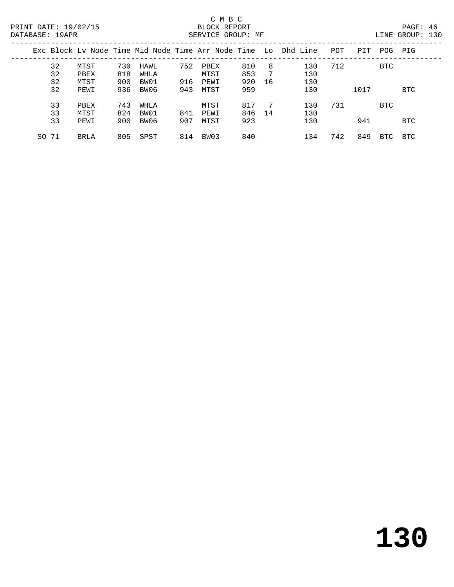|       |      |     |      |     |      |     |    | Exc Block Ly Node Time Mid Node Time Arr Node Time Lo Dhd Line | POT | PIT  | POG        | PIG        |
|-------|------|-----|------|-----|------|-----|----|----------------------------------------------------------------|-----|------|------------|------------|
| 32    | MTST | 730 | HAWL | 752 | PBEX | 810 | 8  | 130                                                            | 712 |      | <b>BTC</b> |            |
| 32    | PBEX | 818 | WHLA |     | MTST | 853 |    | 130                                                            |     |      |            |            |
| 32    | MTST | 900 | BW01 | 916 | PEWI | 920 | 16 | 130                                                            |     |      |            |            |
| 32    | PEWI | 936 | BW06 | 943 | MTST | 959 |    | 130                                                            |     | 1017 |            | BTC        |
| 33    | PBEX | 743 | WHLA |     | MTST | 817 | 7  | 130                                                            | 731 |      | BTC        |            |
| 33    | MTST | 824 | BW01 | 841 | PEWI | 846 | 14 | 130                                                            |     |      |            |            |
| 33    | PEWI | 900 | BW06 | 907 | MTST | 923 |    | 130                                                            |     | 941  |            | <b>BTC</b> |
| SO 71 | BRLA | 805 | SPST | 814 | BW03 | 840 |    | 134                                                            | 742 | 849  | BTC        | BTC        |
|       |      |     |      |     |      |     |    |                                                                |     |      |            |            |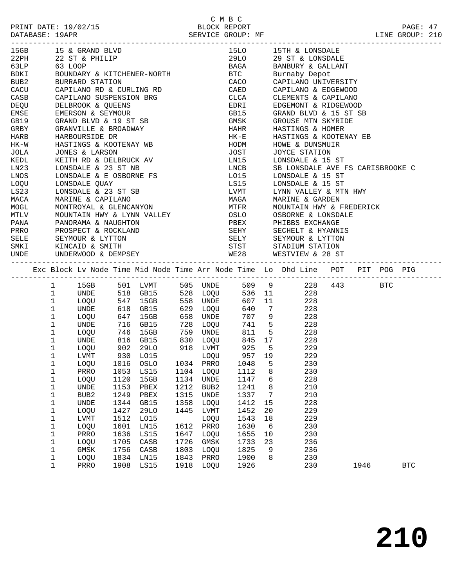|                      |              | 15GB 15 & GRAND BLVD                                                                   |              |              |          |          |                         |                 | 15LO 15TH & LONSDALE                                                                              |  |  |  |
|----------------------|--------------|----------------------------------------------------------------------------------------|--------------|--------------|----------|----------|-------------------------|-----------------|---------------------------------------------------------------------------------------------------|--|--|--|
|                      |              | 22PH 22 ST & PHILIP                                                                    |              |              |          |          |                         |                 | 29LO 29 ST & LONSDALE                                                                             |  |  |  |
|                      |              | 63 LOOP                                                                                |              |              |          |          |                         |                 |                                                                                                   |  |  |  |
| 63LP<br>BDKI         |              | BOUNDARY & KITCHENER-NORTH<br>BOUNDARY & KITCHENER-NORTH                               |              |              |          |          |                         |                 | BAGA BANBURY & GALLANT<br>BTC Burnaby Depot                                                       |  |  |  |
| BUB2                 |              | BURRARD STATION                                                                        |              |              |          |          |                         |                 | CACO CAPILANO UNIVERSITY                                                                          |  |  |  |
|                      |              | CACU CAPILANO RD & CURLING RD                                                          |              |              |          |          | CAED                    |                 | CAPILANO & EDGEWOOD                                                                               |  |  |  |
| CASB                 |              | CAPILANO SUSPENSION BRG                                                                |              |              |          |          |                         |                 | CLEMENTS & CAPILANO                                                                               |  |  |  |
| DEQU                 |              | DELBROOK & QUEENS                                                                      |              |              |          |          | CLCA<br>EDRI            |                 | EDGEMONT & RIDGEWOOD                                                                              |  |  |  |
| EMSE                 |              | EMERSON & SEYMOUR                                                                      |              |              |          |          |                         |                 | GB15 GRAND BLVD & 15 ST SB                                                                        |  |  |  |
|                      |              | GB19 GRAND BLVD & 19 ST SB                                                             |              |              |          |          | GMSK                    |                 | GROUSE MTN SKYRIDE                                                                                |  |  |  |
|                      |              | GRANVILLE & BROADWAY                                                                   |              |              |          |          |                         |                 |                                                                                                   |  |  |  |
| GRBY<br>HARB<br>HARB |              |                                                                                        |              |              |          |          |                         |                 | HAHR          HASTINGS & HOMER<br>HK-E          HASTINGS & KOOTENAY EB                            |  |  |  |
| $HK-W$               |              | HARBOURSIDE DR<br>HASTINGS & KOOTENAY WB                                               |              |              |          |          | HODM                    |                 | HOWE & DUNSMUIR                                                                                   |  |  |  |
| JOLA                 |              | JONES & LARSON                                                                         |              |              |          |          | JOST                    |                 | JOYCE STATION                                                                                     |  |  |  |
| KEDL                 |              |                                                                                        |              |              |          |          |                         |                 |                                                                                                   |  |  |  |
|                      |              | KEITH RD & DELBRUCK AV<br>LONSDALE & 23 ST NB                                          |              |              |          |          |                         |                 | LN15 LONSDALE & 15 ST<br>LNCB SB LONSDALE AVE FS CARISBROOKE C                                    |  |  |  |
| LN23                 |              | LN23<br>LNOS LONSDALE & E OSBORNE FS<br>LOQU LONSDALE QUAY<br>LS23 LONSDALE & 23 ST SB |              |              |          |          | LO15                    |                 |                                                                                                   |  |  |  |
|                      |              |                                                                                        |              |              |          |          |                         |                 | LONSDALE & 15 ST                                                                                  |  |  |  |
|                      |              |                                                                                        |              |              |          |          |                         |                 | LS15 LONSDALE & 15 ST                                                                             |  |  |  |
| LS23<br>MACA<br>MOGL |              |                                                                                        |              |              |          |          |                         |                 | LVMT      LYNN VALLEY & MTN HWY<br>MAGA      MARINE & GARDEN<br>MTFR     MOUNTAIN HWY & FREDERICK |  |  |  |
|                      |              | MARINE & CAPILANO                                                                      |              |              |          |          |                         |                 |                                                                                                   |  |  |  |
|                      |              | MONTROYAL & GLENCANYON                                                                 |              |              |          |          |                         |                 |                                                                                                   |  |  |  |
| <b>MTLV</b>          |              |                                                                                        |              |              |          |          |                         |                 | MOUNTAIN HWY & LYNN VALLEY $\qquad$ OSLO $\qquad$ OSBORNE & LONSDALE                              |  |  |  |
|                      |              | PANA PANORAMA & NAUGHTON<br>PRRO PROSPECT & ROCKLAND<br>SELE SEYMOUR & LYTTON          |              |              |          |          |                         |                 | PBEX PHIBBS EXCHANGE<br>SEHY SECHELT & HYANNIS<br>SELY SEYMOUR & LYTTON                           |  |  |  |
|                      |              |                                                                                        |              |              |          |          |                         |                 |                                                                                                   |  |  |  |
|                      |              |                                                                                        |              |              |          |          |                         |                 |                                                                                                   |  |  |  |
|                      |              | SMKI KINCAID & SMITH                                                                   |              |              |          |          |                         |                 | STST STADIUM STATION                                                                              |  |  |  |
|                      |              |                                                                                        |              |              |          |          |                         |                 |                                                                                                   |  |  |  |
| UNDE                 |              | UNDERWOOD & DEMPSEY                                                                    |              |              |          |          |                         |                 | WE28 WESTVIEW & 28 ST                                                                             |  |  |  |
|                      |              |                                                                                        |              |              |          |          |                         |                 |                                                                                                   |  |  |  |
|                      |              |                                                                                        |              |              |          |          |                         |                 |                                                                                                   |  |  |  |
|                      |              |                                                                                        |              |              |          |          |                         |                 | Exc Block Lv Node Time Mid Node Time Arr Node Time Lo Dhd Line POT PIT POG PIG                    |  |  |  |
|                      | $\mathbf{1}$ |                                                                                        |              |              |          |          |                         |                 | 15GB 501 LVMT 505 UNDE 509 9 228 443 BTC                                                          |  |  |  |
|                      | $\mathbf{1}$ |                                                                                        |              |              |          |          |                         |                 |                                                                                                   |  |  |  |
|                      | $\mathbf{1}$ | UNDE 518 GB15 528 LOQU<br>LOQU 547 15GB 558 UNDE                                       |              |              |          |          |                         |                 | 536 11 228<br>607 11 228                                                                          |  |  |  |
|                      | $\mathbf 1$  | UNDE                                                                                   |              | 618 GB15     | 629 LOQU |          |                         |                 | 640 7 228                                                                                         |  |  |  |
|                      | $\mathbf{1}$ | LOQU                                                                                   |              | 647 15GB     |          | 658 UNDE |                         |                 | 707 9 228                                                                                         |  |  |  |
|                      | $\mathbf{1}$ |                                                                                        |              |              |          |          |                         |                 |                                                                                                   |  |  |  |
|                      | $\mathbf{1}$ |                                                                                        |              |              |          |          | 811 5                   |                 | $741$ 5 228<br>811 5 228<br>228                                                                   |  |  |  |
|                      | $\mathbf{1}$ | UNDE 716 GB15 728 LOQU<br>LOQU 746 15GB 759 UNDE<br>UNDE 816 GB15 830 LOQU             |              |              |          |          |                         |                 | 845 17 228                                                                                        |  |  |  |
|                      | $\mathbf{1}$ | LOQU                                                                                   |              |              |          |          | 902 29LO 918 LVMT 925 5 |                 | 229                                                                                               |  |  |  |
|                      | $\mathbf{1}$ | LVMT                                                                                   |              |              |          |          |                         |                 | 229                                                                                               |  |  |  |
|                      | $\mathbf{1}$ | LOQU                                                                                   |              |              |          |          |                         |                 | 230                                                                                               |  |  |  |
|                      | $\mathbf{1}$ | PRRO 1053 LS15 1104 LOQU 1112 8                                                        |              |              |          |          |                         |                 | 230                                                                                               |  |  |  |
|                      | 1            | LOQU                                                                                   | 1120         | 15GB         | 1134     | UNDE     | 1147                    | 6               | 228                                                                                               |  |  |  |
|                      | 1            | UNDE                                                                                   | 1153         | PBEX         | 1212     | BUB2     | 1241                    | 8               | 210                                                                                               |  |  |  |
|                      | 1            | BUB2                                                                                   | 1249         | PBEX         | 1315     | UNDE     | 1337                    | $7\phantom{.0}$ | 210                                                                                               |  |  |  |
|                      | $\mathbf 1$  | UNDE                                                                                   | 1344         | GB15         | 1358     | LOQU     | 1412                    | 15              | 228                                                                                               |  |  |  |
|                      | $\mathbf 1$  | LOQU                                                                                   | 1427         | 29LO         | 1445     | LVMT     | 1452                    | 20              | 229                                                                                               |  |  |  |
|                      | 1            | LVMT                                                                                   | 1512         | L015         |          | LOQU     | 1543                    | 18              | 229                                                                                               |  |  |  |
|                      | 1            | LOQU                                                                                   | 1601         | LN15         | 1612     | PRRO     | 1630                    | 6               | 230                                                                                               |  |  |  |
|                      | 1            | PRRO                                                                                   | 1636         | LS15         | 1647     | LOQU     | 1655                    | 10              | 230                                                                                               |  |  |  |
|                      | 1            | LOQU                                                                                   | 1705         | CASB         | 1726     | GMSK     | 1733                    | 23              | 236                                                                                               |  |  |  |
|                      | 1            | GMSK                                                                                   | 1756         | CASB         | 1803     | LOQU     | 1825                    | 9               | 236                                                                                               |  |  |  |
|                      | $\mathbf 1$  | LOQU                                                                                   | 1834<br>1908 | LN15<br>LS15 | 1843     | PRRO     | 1900<br>1926            | 8               | 230<br>230                                                                                        |  |  |  |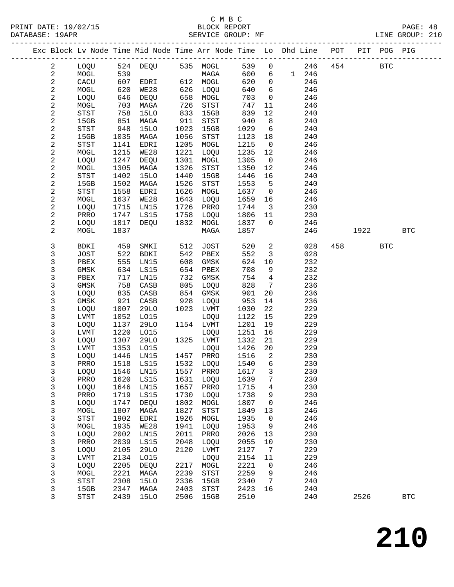|  |                              |                |              |                   |              |                                               |              |                            | Exc Block Lv Node Time Mid Node Time Arr Node Time Lo Dhd Line POT |     |      | PIT POG PIG |              |  |
|--|------------------------------|----------------|--------------|-------------------|--------------|-----------------------------------------------|--------------|----------------------------|--------------------------------------------------------------------|-----|------|-------------|--------------|--|
|  | $\overline{a}$               | LOQU           |              | 524 DEQU 535 MOGL |              |                                               | 539          | $\mathsf{O}$               | 246                                                                | 454 |      | <b>BTC</b>  |              |  |
|  | $\sqrt{2}$                   | MOGL           | 539          |                   |              | MAGA                                          | 600          | 6                          | 1 246                                                              |     |      |             |              |  |
|  | $\overline{c}$               | CACU           | 607          | EDRI              |              | 612 MOGL                                      | 620          | $\mathsf{O}$               | 246                                                                |     |      |             |              |  |
|  | 2                            | MOGL           | 620          | WE28              | 626          | LOQU                                          | 640          | 6                          | 246                                                                |     |      |             |              |  |
|  | $\overline{\mathbf{c}}$      | LOQU           | 646          | DEQU              | 658          | MOGL                                          | 703          | $\mathsf{O}$               | 246                                                                |     |      |             |              |  |
|  | 2                            | MOGL           | 703          | MAGA              | 726          | $_{\footnotesize{\textnormal{STST}}}$         | 747          | 11                         | 246                                                                |     |      |             |              |  |
|  | $\overline{\mathbf{c}}$      | STST           | 758          | 15LO              | 833          | 15GB                                          | 839          | 12                         | 240                                                                |     |      |             |              |  |
|  | $\sqrt{2}$                   | 15GB           | 851          | MAGA              | 911          | $_{\footnotesize{\textnormal{STST}}}$         | 940          | 8                          | 240                                                                |     |      |             |              |  |
|  | $\mathbf{2}$                 | STST           | 948          | <b>15LO</b>       | 1023         | 15GB                                          | 1029         | $6\overline{6}$            | 240                                                                |     |      |             |              |  |
|  | 2<br>$\overline{\mathbf{c}}$ | 15GB<br>STST   | 1035<br>1141 | MAGA<br>EDRI      | 1056<br>1205 | $_{\footnotesize{\textnormal{STST}}}$<br>MOGL | 1123<br>1215 | 18<br>$\overline{0}$       | 240<br>246                                                         |     |      |             |              |  |
|  | $\sqrt{2}$                   | MOGL           | 1215         | WE28              | 1221         | LOQU                                          | 1235         | 12                         | 246                                                                |     |      |             |              |  |
|  | $\mathbf{2}$                 | LOQU           | 1247         | DEQU              | 1301         | MOGL                                          | 1305         | $\overline{0}$             | 246                                                                |     |      |             |              |  |
|  | 2                            | MOGL           | 1305         | MAGA              | 1326         | $_{\footnotesize{\textnormal{STST}}}$         | 1350         | 12                         | 246                                                                |     |      |             |              |  |
|  | $\sqrt{2}$                   | STST           | 1402         | <b>15LO</b>       | 1440         | 15GB                                          | 1446         | 16                         | 240                                                                |     |      |             |              |  |
|  | $\sqrt{2}$                   | 15GB           | 1502         | MAGA              | 1526         | <b>STST</b>                                   | 1553         | 5                          | 240                                                                |     |      |             |              |  |
|  | $\sqrt{2}$                   | STST           | 1558         | EDRI              | 1626         | MOGL                                          | 1637         | $\overline{0}$             | 246                                                                |     |      |             |              |  |
|  | $\sqrt{2}$                   | MOGL           | 1637         | WE28              | 1643         | LOQU                                          | 1659         | 16                         | 246                                                                |     |      |             |              |  |
|  | 2                            | LOQU           | 1715         | LN15              | 1726         | PRRO                                          | 1744         | $\overline{\mathbf{3}}$    | 230                                                                |     |      |             |              |  |
|  | $\sqrt{2}$                   | PRRO           | 1747         | LS15              | 1758         | LOQU                                          | 1806         | 11                         | 230                                                                |     |      |             |              |  |
|  | $\overline{c}$               | LOQU           | 1817         | DEQU              | 1832         | MOGL                                          | 1837         | $\overline{0}$             | 246                                                                |     |      |             |              |  |
|  | 2                            | MOGL           | 1837         |                   |              | MAGA                                          | 1857         |                            | 246                                                                |     | 1922 |             | <b>BTC</b>   |  |
|  | 3                            | BDKI           | 459          | SMKI              | 512          | JOST                                          | 520          | $\overline{a}$             | 028                                                                | 458 |      | <b>BTC</b>  |              |  |
|  | 3                            | JOST           | 522          | <b>BDKI</b>       | 542          | PBEX                                          | 552          | $\overline{3}$             | 028                                                                |     |      |             |              |  |
|  | 3                            | PBEX           | 555          | LN15              | 608          | GMSK                                          | 624          | 10                         | 232                                                                |     |      |             |              |  |
|  | 3                            | GMSK           | 634          | LS15              | 654          | PBEX                                          | 708          | 9                          | 232                                                                |     |      |             |              |  |
|  | 3                            | PBEX           | 717          | LN15              | 732          | GMSK                                          | 754          | $\overline{4}$             | 232                                                                |     |      |             |              |  |
|  | 3                            | GMSK           | 758          | CASB              | 805          | LOQU                                          | 828          | 7                          | 236                                                                |     |      |             |              |  |
|  | 3<br>3                       | LOQU<br>GMSK   | 835<br>921   | CASB<br>CASB      | 854<br>928   | GMSK<br>LOQU                                  | 901<br>953   | 20<br>14                   | 236<br>236                                                         |     |      |             |              |  |
|  | 3                            | LOQU           | 1007         | 29LO              | 1023         | LVMT                                          | 1030         | 22                         | 229                                                                |     |      |             |              |  |
|  | 3                            | LVMT           | 1052         | L015              |              | LOQU                                          | 1122         | 15                         | 229                                                                |     |      |             |              |  |
|  | 3                            | LOQU           | 1137         | 29LO              |              | 1154 LVMT                                     | 1201         | 19                         | 229                                                                |     |      |             |              |  |
|  | 3                            | LVMT           | 1220         | L015              |              | LOQU                                          | 1251         | 16                         | 229                                                                |     |      |             |              |  |
|  | 3                            | LOQU           | 1307         | 29LO              |              | 1325 LVMT                                     | 1332         | 21                         | 229                                                                |     |      |             |              |  |
|  | 3                            | LVMT           | 1353         | L015              |              | LOQU                                          | 1426         | 20                         | 229                                                                |     |      |             |              |  |
|  | 3                            | LOQU           | 1446         | LN15              |              | 1457 PRRO                                     | 1516         | $\overline{\phantom{a}}^2$ | 230                                                                |     |      |             |              |  |
|  | 3                            | PRRO           | 1518         | LS15              |              | 1532 LOQU                                     | 1540         | 6                          | 230                                                                |     |      |             |              |  |
|  | 3                            | LOQU 1546 LN15 |              |                   |              | 1557 PRRO 1617 3                              |              |                            | 230                                                                |     |      |             |              |  |
|  | 3                            | PRRO           | 1620         | LS15              | 1631         | LOQU                                          | 1639         | 7                          | 230                                                                |     |      |             |              |  |
|  | 3                            | LOQU           | 1646         | LN15              | 1657         | PRRO                                          | 1715         | 4                          | 230                                                                |     |      |             |              |  |
|  | 3<br>3                       | PRRO<br>LOQU   | 1719<br>1747 | LS15<br>DEQU      | 1730<br>1802 | LOQU<br>MOGL                                  | 1738<br>1807 | 9<br>0                     | 230<br>246                                                         |     |      |             |              |  |
|  | 3                            | MOGL           | 1807         | MAGA              | 1827         | STST                                          | 1849         | 13                         | 246                                                                |     |      |             |              |  |
|  | 3                            | <b>STST</b>    | 1902         | EDRI              | 1926         | MOGL                                          | 1935         | 0                          | 246                                                                |     |      |             |              |  |
|  | 3                            | MOGL           | 1935         | WE28              | 1941         | LOQU                                          | 1953         | 9                          | 246                                                                |     |      |             |              |  |
|  | 3                            | LOQU           | 2002         | LN15              | 2011         | PRRO                                          | 2026         | 13                         | 230                                                                |     |      |             |              |  |
|  | 3                            | PRRO           | 2039         | LS15              | 2048         | LOQU                                          | 2055         | 10                         | 230                                                                |     |      |             |              |  |
|  | 3                            | LOQU           | 2105         | <b>29LO</b>       | 2120         | LVMT                                          | 2127         | 7                          | 229                                                                |     |      |             |              |  |
|  | 3                            | LVMT           | 2134         | L015              |              | LOQU                                          | 2154         | 11                         | 229                                                                |     |      |             |              |  |
|  | $\mathsf{3}$                 | LOQU           | 2205         | <b>DEQU</b>       | 2217         | MOGL                                          | 2221         | 0                          | 246                                                                |     |      |             |              |  |
|  | 3                            | MOGL           | 2221         | MAGA              | 2239         | STST                                          | 2259         | 9                          | 246                                                                |     |      |             |              |  |
|  | 3                            | STST           | 2308         | <b>15LO</b>       | 2336         | 15GB                                          | 2340         | 7                          | 240                                                                |     |      |             |              |  |
|  | 3                            | 15GB           | 2347         | MAGA              | 2403         | $_{\footnotesize\rm STST}$                    | 2423         | 16                         | 240                                                                |     |      |             |              |  |
|  | 3                            | <b>STST</b>    | 2439         | <b>15LO</b>       | 2506         | 15GB                                          | 2510         |                            | 240                                                                |     | 2526 |             | $_{\rm BTC}$ |  |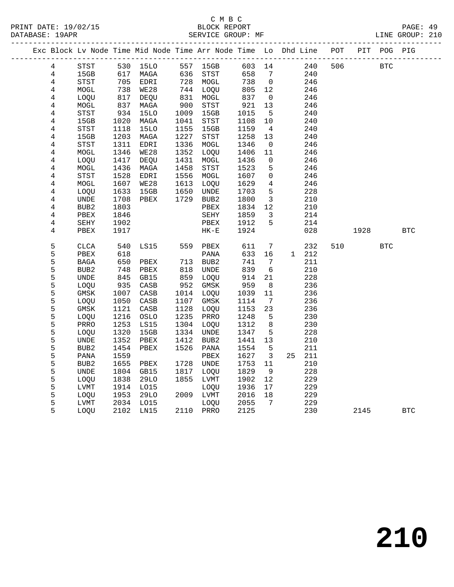| Exc Block Lv Node Time Mid Node Time Arr Node Time Lo Dhd Line POT |                          |                 |              |                 |                                       |              |                               |    |            |     |      | PIT POG PIG |            |
|--------------------------------------------------------------------|--------------------------|-----------------|--------------|-----------------|---------------------------------------|--------------|-------------------------------|----|------------|-----|------|-------------|------------|
| $\overline{4}$                                                     | STST                     |                 | 530 15LO     |                 | 557 15GB                              | 603 14       |                               |    | 240        | 506 |      | <b>BTC</b>  |            |
| 4                                                                  | 15GB                     | 617             | MAGA         |                 | 636 STST                              | 658          | 7                             |    | 240        |     |      |             |            |
| $\overline{4}$                                                     | STST                     | 705             | EDRI         |                 | 728 MOGL                              | 738          | $\overline{0}$                |    | 246        |     |      |             |            |
| $\overline{4}$                                                     | MOGL                     | 738             | WE28         |                 | 744 LOQU                              | 805          | 12                            |    | 246        |     |      |             |            |
| $\overline{4}$                                                     | LOQU                     | $\frac{1}{817}$ | DEQU         | $\frac{1}{831}$ | MOGL                                  | 837          | $\overline{0}$                |    | 246        |     |      |             |            |
| 4                                                                  | MOGL                     | 837             | MAGA         | 900             | STST                                  | 921          | 13                            |    | 246        |     |      |             |            |
| $\overline{4}$                                                     | STST                     | 934             | <b>15LO</b>  | 1009            | 15GB                                  | 1015         | 5                             |    | 240        |     |      |             |            |
| 4                                                                  | 15GB                     | 1020            | MAGA         | 1041            | $_{\footnotesize{\textnormal{STST}}}$ | 1108         | 10                            |    | 240        |     |      |             |            |
| 4                                                                  | STST                     | 1118            | <b>15LO</b>  | 1155            | 15GB                                  | 1159         | $\overline{4}$                |    | 240        |     |      |             |            |
| 4                                                                  | 15GB                     | 1203            | MAGA         | 1227            | <b>STST</b>                           | 1258         | 13                            |    | 240        |     |      |             |            |
| 4                                                                  | <b>STST</b>              | 1311            | EDRI         | 1336            | MOGL                                  | 1346         | $\overline{0}$                |    | 246        |     |      |             |            |
| 4                                                                  | MOGL                     | 1346            | WE28         | 1352            | LOQU                                  | 1406         | 11                            |    | 246        |     |      |             |            |
| 4                                                                  | LOQU                     | 1417            | DEQU         | 1431            | MOGL                                  | 1436         | $\mathbf 0$                   |    | 246        |     |      |             |            |
| $\overline{4}$                                                     | MOGL                     | 1436            | MAGA         | 1458            | STST                                  | 1523         | 5                             |    | 246        |     |      |             |            |
| $\overline{4}$                                                     | STST                     | 1528            | EDRI         | 1556            | MOGL                                  | 1607         | $\mathbf 0$                   |    | 246        |     |      |             |            |
| $\,4$                                                              | MOGL                     | 1607            | WE28         | 1613            | LOQU                                  | 1629         | 4                             |    | 246        |     |      |             |            |
| 4                                                                  | LOQU                     | 1633            | 15GB         | 1650            | UNDE<br>1729 BUB2                     | 1703         | 5                             |    | 228<br>210 |     |      |             |            |
| $\overline{4}$<br>4                                                | UNDE<br>BUB <sub>2</sub> | 1708<br>1803    | PBEX         |                 | PBEX                                  | 1800<br>1834 | $\overline{\mathbf{3}}$<br>12 |    | 210        |     |      |             |            |
| 4                                                                  | PBEX                     | 1846            |              |                 | SEHY                                  | 1859         | 3                             |    | 214        |     |      |             |            |
| $\overline{4}$                                                     | SEHY                     | 1902            |              |                 | PBEX                                  | 1912         | 5                             |    | 214        |     |      |             |            |
| 4                                                                  | PBEX                     | 1917            |              |                 | $HK-E$                                | 1924         |                               |    | 028        |     | 1928 |             | <b>BTC</b> |
|                                                                    |                          |                 |              |                 |                                       |              |                               |    |            |     |      |             |            |
| 5                                                                  | <b>CLCA</b>              | 540             | LS15         |                 | 559 PBEX                              | 611          | 7                             |    | 232        | 510 |      | <b>BTC</b>  |            |
| 5                                                                  | PBEX                     | 618             |              |                 | PANA                                  | 633          | 16                            |    | 1 212      |     |      |             |            |
| 5                                                                  | BAGA                     | 650             | PBEX         | 713             | BUB2                                  | 741          | 7                             |    | 211        |     |      |             |            |
| 5                                                                  | BUB <sub>2</sub>         | 748             | PBEX         | 818             | UNDE                                  | 839          | 6                             |    | 210        |     |      |             |            |
| 5                                                                  | <b>UNDE</b>              | 845             | GB15         | 859             | LOQU                                  | 914          | 21                            |    | 228        |     |      |             |            |
| 5                                                                  | LOQU                     | 935             | CASB         | 952             | GMSK                                  | 959          | 8                             |    | 236        |     |      |             |            |
| 5                                                                  | GMSK                     | 1007            | CASB         | 1014            | LOQU                                  | 1039         | 11                            |    | 236        |     |      |             |            |
| 5                                                                  | LOQU                     | 1050            | CASB         | 1107            | GMSK                                  | 1114         | $7\phantom{.0}\phantom{.0}7$  |    | 236        |     |      |             |            |
| 5                                                                  | GMSK                     | 1121            | CASB         | 1128            | LOQU                                  | 1153         | 23                            |    | 236        |     |      |             |            |
| 5                                                                  | LOQU                     | 1216            | OSLO         | 1235            | PRRO                                  | 1248         | 5                             |    | 230        |     |      |             |            |
| 5                                                                  | PRRO                     | 1253            | <b>LS15</b>  | 1304            | LOQU                                  | 1312         | 8                             |    | 230        |     |      |             |            |
| 5                                                                  | LOQU                     | 1320            | 15GB         | 1334            | UNDE                                  | 1347         | 5                             |    | 228        |     |      |             |            |
| 5                                                                  | UNDE                     | 1352            | PBEX         | 1412            | BUB2                                  | 1441         | 13                            |    | 210        |     |      |             |            |
| 5                                                                  | BUB <sub>2</sub>         | 1454            | PBEX         | 1526            | PANA                                  | 1554         | 5                             |    | 211        |     |      |             |            |
| 5                                                                  | PANA                     | 1559            |              |                 | PBEX                                  | 1627         | $\overline{\mathbf{3}}$       | 25 | 211        |     |      |             |            |
| 5                                                                  | BUB <sub>2</sub>         | 1655            | PBEX         | 1728            | UNDE                                  | 1753         | 11                            |    | 210        |     |      |             |            |
| 5                                                                  | <b>UNDE</b>              | 1804            | GB15         | 1817            | LOOU                                  | 1829         | - 9                           |    | 228        |     |      |             |            |
| 5<br>5                                                             | LOQU                     | 1838            | 29LO         | 1855            | LVMT                                  | 1902         | 12                            |    | 229        |     |      |             |            |
| 5                                                                  | LVMT<br>LOQU             | 1914<br>1953    | LO15<br>29LO |                 | LOQU<br>2009 LVMT                     | 1936<br>2016 | 17<br>18                      |    | 229<br>229 |     |      |             |            |
| 5                                                                  | LVMT                     | 2034            | LO15         |                 | LOQU                                  | 2055         | 7                             |    | 229        |     |      |             |            |
| 5                                                                  | LOQU                     | 2102            | LN15         |                 | 2110 PRRO                             | 2125         |                               |    | 230        |     | 2145 |             | <b>BTC</b> |
|                                                                    |                          |                 |              |                 |                                       |              |                               |    |            |     |      |             |            |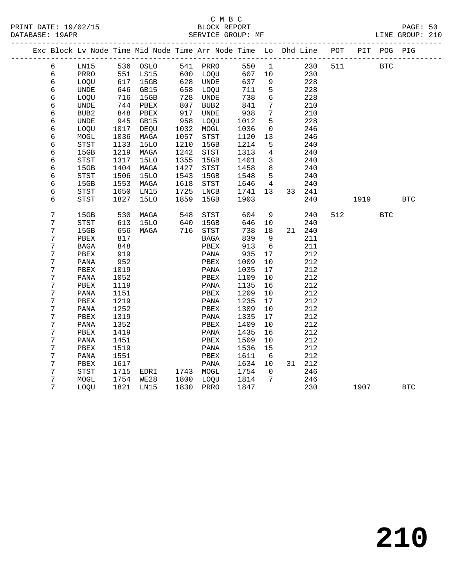# C M B C<br>BLOCK REPORT<br>SERVICE GROUD: ME

|  | DATABASE: 19APR |      |      |                                                                    |      | SERVICE GROUP: MF |      |             |    |     |       |     | LINE GROUP: 210 |  |
|--|-----------------|------|------|--------------------------------------------------------------------|------|-------------------|------|-------------|----|-----|-------|-----|-----------------|--|
|  |                 |      |      | Exc Block Lv Node Time Mid Node Time Arr Node Time Lo Dhd Line POT |      |                   |      |             |    |     |       |     | PIT POG PIG     |  |
|  | 6               | LN15 | 536  | OSLO                                                               | 541  | PRRO              |      | 550 1       |    | 230 | 511 7 | BTC |                 |  |
|  | 6               | PRRO | 551  | LS15                                                               | 600  | LOOU              | 607  | 10          |    | 230 |       |     |                 |  |
|  | 6               | LOQU | 617  | 15GB                                                               | 628  | UNDE              | 637  | 9           |    | 228 |       |     |                 |  |
|  | 6               | UNDE | 646  | GB15                                                               | 658  | LOQU              | 711  | 5           |    | 228 |       |     |                 |  |
|  | 6               | LOQU | 716  | 15GB                                                               | 728  | UNDE              | 738  | 6           |    | 228 |       |     |                 |  |
|  | 6               | UNDE | 744  | PBEX                                                               | 807  | BUB2              | 841  | 7           |    | 210 |       |     |                 |  |
|  | 6               | BUB2 | 848  | PBEX                                                               | 917  | UNDE              | 938  | $7^{\circ}$ |    | 210 |       |     |                 |  |
|  | 6               | UNDE | 945  | GB15                                                               | 958  | LOQU              | 1012 | 5           |    | 228 |       |     |                 |  |
|  | 6               | LOQU | 1017 | DEOU                                                               | 1032 | MOGL              | 1036 | $\Omega$    |    | 246 |       |     |                 |  |
|  | 6               | MOGL | 1036 | MAGA                                                               | 1057 | STST              | 1120 | 13          |    | 246 |       |     |                 |  |
|  | 6               | STST | 1133 | 15LO                                                               | 1210 | 15GB              | 1214 | 5           |    | 240 |       |     |                 |  |
|  | 6               | 15GB | 1219 | MAGA                                                               | 1242 | STST              | 1313 | 4           |    | 240 |       |     |                 |  |
|  | 6               | STST | 1317 | 15LO                                                               | 1355 | 15GB              | 1401 | 3           |    | 240 |       |     |                 |  |
|  | 6               | 15GB | 1404 | MAGA                                                               | 1427 | STST              | 1458 | 8           |    | 240 |       |     |                 |  |
|  | 6               | STST | 1506 | 15LO                                                               | 1543 | 15GB              | 1548 | 5.          |    | 240 |       |     |                 |  |
|  | 6               | 15GB | 1553 | MAGA                                                               | 1618 | STST              | 1646 | 4           |    | 240 |       |     |                 |  |
|  | 6               | STST | 1650 | LN15                                                               | 1725 | LNCB              | 1741 | 13          | 33 | 241 |       |     |                 |  |
|  | 6               | STST | 1827 | 15LO                                                               | 1859 | 15GB              | 1903 |             |    | 240 | 1919  |     | BTC             |  |
|  |                 |      |      |                                                                    |      |                   |      |             |    |     |       |     |                 |  |

| б | STST | 1650 | LN15        | 1725 | LNCB | 1741 | 13 | 33 | 241 |     |      |            |            |
|---|------|------|-------------|------|------|------|----|----|-----|-----|------|------------|------------|
| 6 | STST | 1827 | <b>15LO</b> | 1859 | 15GB | 1903 |    |    | 240 |     | 1919 |            | <b>BTC</b> |
|   |      |      |             |      |      |      |    |    |     |     |      |            |            |
| 7 | 15GB | 530  | MAGA        | 548  | STST | 604  | 9  |    | 240 | 512 |      | <b>BTC</b> |            |
| 7 | STST | 613  | 15LO        | 640  | 15GB | 646  | 10 |    | 240 |     |      |            |            |
| 7 | 15GB | 656  | MAGA        | 716  | STST | 738  | 18 | 21 | 240 |     |      |            |            |
| 7 | PBEX | 817  |             |      | BAGA | 839  | 9  |    | 211 |     |      |            |            |
| 7 | BAGA | 848  |             |      | PBEX | 913  | 6  |    | 211 |     |      |            |            |
| 7 | PBEX | 919  |             |      | PANA | 935  | 17 |    | 212 |     |      |            |            |
| 7 | PANA | 952  |             |      | PBEX | 1009 | 10 |    | 212 |     |      |            |            |
| 7 | PBEX | 1019 |             |      | PANA | 1035 | 17 |    | 212 |     |      |            |            |
| 7 | PANA | 1052 |             |      | PBEX | 1109 | 10 |    | 212 |     |      |            |            |
| 7 | PBEX | 1119 |             |      | PANA | 1135 | 16 |    | 212 |     |      |            |            |
| 7 | PANA | 1151 |             |      | PBEX | 1209 | 10 |    | 212 |     |      |            |            |
| 7 | PBEX | 1219 |             |      | PANA | 1235 | 17 |    | 212 |     |      |            |            |
| 7 | PANA | 1252 |             |      | PBEX | 1309 | 10 |    | 212 |     |      |            |            |
| 7 | PBEX | 1319 |             |      | PANA | 1335 | 17 |    | 212 |     |      |            |            |
| 7 | PANA | 1352 |             |      | PBEX | 1409 | 10 |    | 212 |     |      |            |            |
| 7 | PBEX | 1419 |             |      | PANA | 1435 | 16 |    | 212 |     |      |            |            |
| 7 | PANA | 1451 |             |      | PBEX | 1509 | 10 |    | 212 |     |      |            |            |
| 7 | PBEX | 1519 |             |      | PANA | 1536 | 15 |    | 212 |     |      |            |            |
| 7 | PANA | 1551 |             |      | PBEX | 1611 | 6  |    | 212 |     |      |            |            |
| 7 | PBEX | 1617 |             |      | PANA | 1634 | 10 | 31 | 212 |     |      |            |            |
| 7 | STST | 1715 | EDRI        | 1743 | MOGL | 1754 | 0  |    | 246 |     |      |            |            |
| 7 | MOGL | 1754 | WE28        | 1800 | LOQU | 1814 | 7  |    | 246 |     |      |            |            |
| 7 | LOQU | 1821 | LN15        | 1830 | PRRO | 1847 |    |    | 230 |     | 1907 |            | <b>BTC</b> |
|   |      |      |             |      |      |      |    |    |     |     |      |            |            |

**210**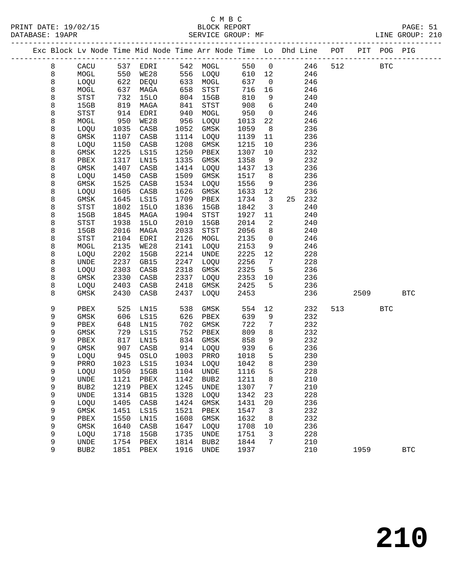#### C M B C<br>BLOCK REPORT SERVICE GROUP: MF

|  |   |                                       |      | Exc Block Lv Node Time Mid Node Time Arr Node Time Lo Dhd Line POT |      |                  |        |                         |        |     |      | PIT POG PIG |            |
|--|---|---------------------------------------|------|--------------------------------------------------------------------|------|------------------|--------|-------------------------|--------|-----|------|-------------|------------|
|  | 8 | CACU                                  |      |                                                                    |      |                  | 550 0  |                         | 246    | 512 |      | <b>BTC</b>  |            |
|  | 8 | MOGL                                  |      | 537 EDRI 542 MOGL<br>550 WE28 556 LOQU                             |      |                  | 610 12 |                         | 246    |     |      |             |            |
|  | 8 | LOQU                                  | 622  | DEQU                                                               |      | 633 MOGL         | 637    | $\overline{0}$          | 246    |     |      |             |            |
|  | 8 | MOGL                                  | 637  | MAGA                                                               | 658  | STST             | 716    | 16                      | 246    |     |      |             |            |
|  | 8 | STST                                  | 732  | 15LO                                                               | 804  | 15GB             | 810    | 9                       | 240    |     |      |             |            |
|  | 8 | 15GB                                  | 819  | MAGA                                                               | 841  | STST             | 908    | $6\overline{6}$         | 240    |     |      |             |            |
|  | 8 | STST                                  | 914  | EDRI                                                               | 940  | MOGL             | 950    | $\overline{0}$          | 246    |     |      |             |            |
|  | 8 | MOGL                                  | 950  | WE28                                                               | 956  | LOQU             | 1013   | 22                      | 246    |     |      |             |            |
|  | 8 | LOQU                                  | 1035 | CASB                                                               | 1052 | GMSK             | 1059   | 8 <sup>8</sup>          | 236    |     |      |             |            |
|  | 8 | GMSK                                  | 1107 | CASB                                                               | 1114 | LOQU             | 1139   | 11                      | 236    |     |      |             |            |
|  | 8 | LOQU                                  | 1150 | CASB                                                               | 1208 | GMSK             | 1215   | 10                      | 236    |     |      |             |            |
|  | 8 | GMSK                                  | 1225 | LS15                                                               | 1250 | PBEX             | 1307   | 10                      | 232    |     |      |             |            |
|  | 8 | PBEX                                  | 1317 | LN15                                                               | 1335 | GMSK             | 1358   | 9                       | 232    |     |      |             |            |
|  | 8 | GMSK                                  | 1407 | CASB                                                               | 1414 | LOQU             | 1437   | 13                      | 236    |     |      |             |            |
|  | 8 | LOQU                                  | 1450 | CASB                                                               | 1509 | GMSK             | 1517   | 8                       | 236    |     |      |             |            |
|  | 8 | GMSK                                  | 1525 | CASB                                                               | 1534 | LOQU             | 1556   | 9                       | 236    |     |      |             |            |
|  | 8 | LOQU                                  | 1605 | CASB                                                               | 1626 | GMSK             | 1633   | 12                      | 236    |     |      |             |            |
|  | 8 | GMSK                                  | 1645 | LS15                                                               | 1709 | PBEX             | 1734   | $\overline{\mathbf{3}}$ | 25 232 |     |      |             |            |
|  | 8 | $_{\footnotesize{\textnormal{STST}}}$ | 1802 | <b>15LO</b>                                                        | 1836 | 15GB             | 1842   | $\overline{3}$          | 240    |     |      |             |            |
|  | 8 | 15GB                                  | 1845 | MAGA                                                               | 1904 | STST             | 1927   | 11                      | 240    |     |      |             |            |
|  | 8 | STST                                  | 1938 | <b>15LO</b>                                                        | 2010 | 15GB             | 2014   | 2                       | 240    |     |      |             |            |
|  | 8 | 15GB                                  | 2016 | MAGA                                                               | 2033 | STST             | 2056   | 8                       | 240    |     |      |             |            |
|  | 8 | STST                                  | 2104 | EDRI                                                               | 2126 | MOGL             | 2135   | $\overline{0}$          | 246    |     |      |             |            |
|  | 8 | MOGL                                  | 2135 | WE28                                                               | 2141 | LOQU             | 2153   | 9                       | 246    |     |      |             |            |
|  | 8 | LOQU                                  | 2202 | 15GB                                                               | 2214 | UNDE             | 2225   | 12                      | 228    |     |      |             |            |
|  | 8 | UNDE                                  | 2237 | GB15                                                               | 2247 | LOQU             | 2256   | $\overline{7}$          | 228    |     |      |             |            |
|  | 8 | LOQU                                  | 2303 | CASB                                                               | 2318 | GMSK             | 2325   | $5^{\circ}$             | 236    |     |      |             |            |
|  | 8 | GMSK                                  | 2330 | CASB                                                               | 2337 | LOQU             | 2353   | 10                      | 236    |     |      |             |            |
|  | 8 | LOQU                                  | 2403 | CASB                                                               | 2418 | GMSK             | 2425   | 5                       | 236    |     |      |             |            |
|  | 8 | GMSK                                  | 2430 | CASB                                                               | 2437 | LOQU             | 2453   |                         | 236    |     | 2509 |             | <b>BTC</b> |
|  |   |                                       |      |                                                                    |      |                  |        |                         |        |     |      |             |            |
|  | 9 | ${\tt PBEX}$                          | 525  | LN15                                                               | 538  | GMSK             | 554    | 12                      | 232    | 513 |      | <b>BTC</b>  |            |
|  | 9 | GMSK                                  | 606  | LS15                                                               | 626  | PBEX             | 639    | 9                       | 232    |     |      |             |            |
|  | 9 | PBEX                                  | 648  | LN15                                                               | 702  | GMSK             | 722    | 7                       | 232    |     |      |             |            |
|  | 9 | GMSK                                  | 729  | LS15                                                               | 752  | PBEX             | 809    | 8                       | 232    |     |      |             |            |
|  | 9 | PBEX                                  | 817  | LN15                                                               | 834  | GMSK             | 858    | 9                       | 232    |     |      |             |            |
|  | 9 | GMSK                                  | 907  | CASB                                                               |      | 914 LOQU         | 939    | 6                       | 236    |     |      |             |            |
|  | 9 | LOQU                                  | 945  | OSLO                                                               |      | 1003 PRRO        | 1018   | 5                       | 230    |     |      |             |            |
|  | 9 | PRRO                                  |      | 1023 LS15                                                          |      | 1034 LOQU        | 1042   | 8                       | 230    |     |      |             |            |
|  | 9 |                                       |      | LOQU 1050 15GB 1104 UNDE                                           |      |                  | 1116   | 5 <sub>1</sub>          | 228    |     |      |             |            |
|  | 9 | UNDE                                  | 1121 | PBEX                                                               | 1142 | BUB <sub>2</sub> | 1211   | 8                       | 210    |     |      |             |            |
|  | 9 | BUB <sub>2</sub>                      | 1219 | PBEX                                                               | 1245 | UNDE             | 1307   | 7                       | 210    |     |      |             |            |
|  | 9 | UNDE                                  | 1314 | GB15                                                               | 1328 | LOQU             | 1342   | 23                      | 228    |     |      |             |            |
|  | 9 | LOQU                                  | 1405 | CASB                                                               | 1424 | GMSK             | 1431   | 20                      | 236    |     |      |             |            |
|  | 9 | GMSK                                  | 1451 | LS15                                                               | 1521 | PBEX             | 1547   | 3                       | 232    |     |      |             |            |
|  | 9 | PBEX                                  | 1550 | LN15                                                               | 1608 | GMSK             | 1632   | 8                       | 232    |     |      |             |            |
|  | 9 | GMSK                                  | 1640 | CASB                                                               | 1647 | LOQU             | 1708   | 10                      | 236    |     |      |             |            |
|  | 9 | LOQU                                  | 1718 | 15GB                                                               | 1735 | UNDE             | 1751   | 3                       | 228    |     |      |             |            |
|  | 9 | UNDE                                  | 1754 | PBEX                                                               | 1814 | BUB <sub>2</sub> | 1844   | 7                       | 210    |     |      |             |            |
|  | 9 | BUB2                                  | 1851 | PBEX                                                               | 1916 | UNDE             | 1937   |                         | 210    |     | 1959 |             | <b>BTC</b> |
|  |   |                                       |      |                                                                    |      |                  |        |                         |        |     |      |             |            |

**210**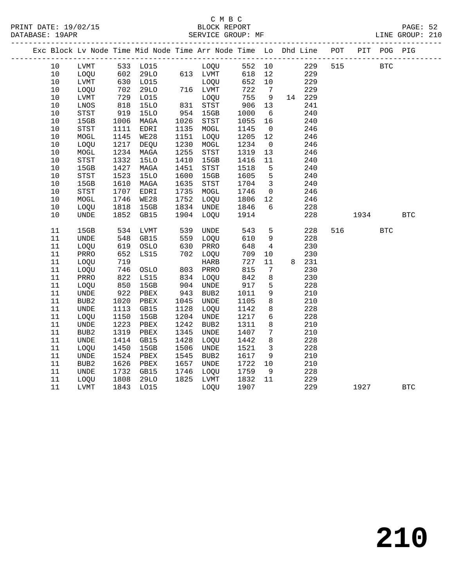|  |        |                              |      | Exc Block Lv Node Time Mid Node Time Arr Node Time Lo Dhd Line POT |      |              |        |                         |        |     |      | PIT POG PIG |              |
|--|--------|------------------------------|------|--------------------------------------------------------------------|------|--------------|--------|-------------------------|--------|-----|------|-------------|--------------|
|  | 10     | LVMT                         |      | 533 LO15                                                           |      | LOQU         | 552 10 |                         | 229    | 515 |      | <b>BTC</b>  |              |
|  | $10$   | LOQU                         | 602  | 29LO                                                               |      | 613 LVMT     | 618    | 12                      | 229    |     |      |             |              |
|  | 10     | LVMT                         | 630  | LO15                                                               |      | LOQU         | 652    | 10                      | 229    |     |      |             |              |
|  | 10     | LOQU                         | 702  | 29LO                                                               |      | 716 LVMT     | 722    | $7\overline{ }$         | 229    |     |      |             |              |
|  | $10$   | LVMT                         | 729  | L015                                                               |      | LOQU         | 755    | 9                       | 14 229 |     |      |             |              |
|  | 10     | LNOS                         | 818  | <b>15LO</b>                                                        | 831  | STST         | 906    | 13                      | 241    |     |      |             |              |
|  | 10     | STST                         | 919  | <b>15LO</b>                                                        | 954  | 15GB         | 1000   | 6                       | 240    |     |      |             |              |
|  | $10$   | 15GB                         | 1006 | MAGA                                                               | 1026 | <b>STST</b>  | 1055   | 16                      | 240    |     |      |             |              |
|  | 10     | STST                         | 1111 | EDRI                                                               | 1135 | MOGL         | 1145   | $\overline{0}$          | 246    |     |      |             |              |
|  | 10     | $\tt MOGL$                   | 1145 | WE28                                                               | 1151 | LOQU         | 1205   | 12                      | 246    |     |      |             |              |
|  | 10     | LOQU                         | 1217 | DEQU                                                               | 1230 | MOGL         | 1234   | $\overline{0}$          | 246    |     |      |             |              |
|  | $10$   | MOGL                         | 1234 | MAGA                                                               | 1255 | ${\tt STST}$ | 1319   | 13                      | 246    |     |      |             |              |
|  | 10     | STST                         | 1332 | <b>15LO</b>                                                        | 1410 | 15GB         | 1416   | 11                      | 240    |     |      |             |              |
|  | 10     | 15GB                         | 1427 | MAGA                                                               | 1451 | STST         | 1518   | 5                       | 240    |     |      |             |              |
|  | 10     | STST                         | 1523 | <b>15LO</b>                                                        | 1600 | 15GB         | 1605   | 5                       | 240    |     |      |             |              |
|  | 10     | 15GB                         | 1610 | MAGA                                                               | 1635 | STST         | 1704   | $\overline{\mathbf{3}}$ | 240    |     |      |             |              |
|  | 10     | <b>STST</b>                  | 1707 | EDRI                                                               | 1735 | MOGL         | 1746   | $\mathbf 0$             | 246    |     |      |             |              |
|  | 10     | $\tt MOGL$                   | 1746 | WE28                                                               | 1752 | LOQU         | 1806   | 12                      | 246    |     |      |             |              |
|  | $10$   | LOQU                         | 1818 | 15GB                                                               | 1834 | UNDE         | 1846   | 6                       | 228    |     |      |             |              |
|  | 10     | UNDE                         | 1852 | GB15                                                               | 1904 | LOQU         | 1914   |                         | 228    |     | 1934 |             | $_{\rm BTC}$ |
|  | 11     | 15GB                         | 534  | LVMT                                                               | 539  | UNDE         | 543    | 5                       | 228    | 516 |      | <b>BTC</b>  |              |
|  | $11\,$ | $\ensuremath{\mathsf{UNDE}}$ | 548  | GB15                                                               | 559  | LOQU         | 610    | 9                       | 228    |     |      |             |              |
|  | 11     | LOQU                         | 619  | OSLO                                                               | 630  | PRRO         | 648    | $\overline{4}$          | 230    |     |      |             |              |
|  | 11     | PRRO                         | 652  | LS15                                                               | 702  | LOQU         | 709    | 10                      | 230    |     |      |             |              |
|  | 11     | LOQU                         | 719  |                                                                    |      | <b>HARB</b>  | 727    | 11                      | 8 231  |     |      |             |              |
|  | $11\,$ | LOQU                         | 746  | OSLO                                                               | 803  | PRRO         | 815    | 7                       | 230    |     |      |             |              |
|  | 11     | PRRO                         | 822  | LS15                                                               | 834  | LOQU         | 842    | $\,8\,$                 | 230    |     |      |             |              |
|  | 11     | LOQU                         | 850  | 15GB                                                               | 904  | UNDE         | 917    | $\overline{5}$          | 228    |     |      |             |              |
|  | $11\,$ | $\ensuremath{\mathsf{UNDE}}$ | 922  | PBEX                                                               | 943  | BUB2         | 1011   | 9                       | 210    |     |      |             |              |
|  | 11     | BUB2                         | 1020 | PBEX                                                               | 1045 | UNDE         | 1105   | 8                       | 210    |     |      |             |              |
|  | $11\,$ | UNDE                         | 1113 | GB15                                                               | 1128 | LOQU         | 1142   | 8                       | 228    |     |      |             |              |
|  | 11     | LOQU                         | 1150 | 15GB                                                               | 1204 | UNDE         | 1217   | 6                       | 228    |     |      |             |              |
|  | 11     | UNDE                         | 1223 | PBEX                                                               | 1242 | BUB2         | 1311   | 8                       | 210    |     |      |             |              |
|  | 11     | BUB2                         | 1319 | PBEX                                                               | 1345 | <b>UNDE</b>  | 1407   | $7\phantom{.0}$         | 210    |     |      |             |              |
|  | 11     | UNDE                         | 1414 | GB15                                                               | 1428 | LOQU         | 1442   | 8                       | 228    |     |      |             |              |
|  | 11     | LOQU                         | 1450 | 15GB                                                               | 1506 | UNDE         | 1521   | $\overline{3}$          | 228    |     |      |             |              |
|  | $11\,$ | UNDE                         | 1524 | PBEX                                                               | 1545 | BUB2         | 1617   | 9                       | 210    |     |      |             |              |
|  | 11     | BUB2                         | 1626 | PBEX                                                               | 1657 | UNDE         | 1722   | 10                      | 210    |     |      |             |              |
|  | 11     | <b>UNDE</b>                  | 1732 | GB15                                                               | 1746 | LOQU         | 1759   | 9                       | 228    |     |      |             |              |
|  | 11     | LOQU                         | 1808 | 29LO                                                               | 1825 | LVMT         | 1832   | 11                      | 229    |     |      |             |              |
|  | 11     | <b>LVMT</b>                  | 1843 | L015                                                               |      | LOQU         | 1907   |                         | 229    |     | 1927 |             | <b>BTC</b>   |
|  |        |                              |      |                                                                    |      |              |        |                         |        |     |      |             |              |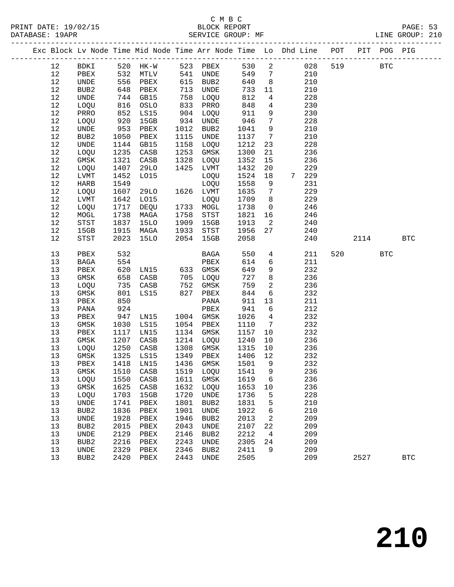#### C M B C SERVICE GROUP: MF

|  |      |                  |      |             |            | Exc Block Lv Node Time Mid Node Time Arr Node Time Lo Dhd Line POT |      |                 |       |     |      | PIT POG PIG  |            |
|--|------|------------------|------|-------------|------------|--------------------------------------------------------------------|------|-----------------|-------|-----|------|--------------|------------|
|  | 12   | BDKI             |      | 520 HK-W    |            | 523 PBEX                                                           | 530  | $\overline{2}$  | 028   | 519 |      | <b>BTC</b>   |            |
|  | 12   | PBEX             | 532  | MTLV        |            | 541 UNDE                                                           | 549  | $7\overline{ }$ | 210   |     |      |              |            |
|  | 12   | UNDE             | 556  | PBEX        |            | 615 BUB2                                                           | 640  | 8 <sup>8</sup>  | 210   |     |      |              |            |
|  | $12$ | BUB2             | 648  | PBEX        | 713        | UNDE                                                               | 733  | 11              | 210   |     |      |              |            |
|  | 12   | UNDE             | 744  | GB15        | 758        | LOQU                                                               | 812  | $\overline{4}$  | 228   |     |      |              |            |
|  | 12   | LOQU             | 816  | OSLO        | 833        | PRRO                                                               | 848  | $4\overline{ }$ | 230   |     |      |              |            |
|  | 12   | PRRO             | 852  | LS15        | 904        | LOQU                                                               | 911  | 9               | 230   |     |      |              |            |
|  | 12   | LOQU             | 920  | 15GB        | 934        | UNDE                                                               | 946  | $7\overline{ }$ | 228   |     |      |              |            |
|  | 12   | UNDE             | 953  | PBEX        | 1012       | BUB2                                                               | 1041 | 9               | 210   |     |      |              |            |
|  | 12   | BUB <sub>2</sub> | 1050 | PBEX        | 1115       | UNDE                                                               | 1137 | $7\overline{ }$ | 210   |     |      |              |            |
|  | 12   | UNDE             | 1144 | GB15        | 1158       | LOQU                                                               | 1212 | 23              | 228   |     |      |              |            |
|  | 12   | LOQU             | 1235 | CASB        | 1253       | GMSK                                                               | 1300 | 21              | 236   |     |      |              |            |
|  | 12   | GMSK             | 1321 | CASB        | 1328       | LOQU                                                               | 1352 | 15              | 236   |     |      |              |            |
|  | 12   | LOQU             | 1407 | <b>29LO</b> | 1425       | LVMT                                                               | 1432 | 20              | 229   |     |      |              |            |
|  | 12   | LVMT             | 1452 | L015        |            | LOQU                                                               | 1524 | 18              | 7 229 |     |      |              |            |
|  | 12   | <b>HARB</b>      | 1549 |             |            | LOQU                                                               | 1558 | 9               | 231   |     |      |              |            |
|  | 12   | LOQU             | 1607 | <b>29LO</b> |            | 1626 LVMT                                                          | 1635 | $7\phantom{.0}$ | 229   |     |      |              |            |
|  | 12   | LVMT             | 1642 | L015        |            | LOQU                                                               | 1709 | 8               | 229   |     |      |              |            |
|  | 12   | LOQU             | 1717 | DEQU        | 1733       | MOGL                                                               | 1738 | $\overline{0}$  | 246   |     |      |              |            |
|  | 12   | MOGL             | 1738 | MAGA        | 1758       | STST                                                               | 1821 | 16              | 246   |     |      |              |            |
|  | 12   | STST             | 1837 | <b>15LO</b> | 1909       | 15GB                                                               | 1913 | $\overline{2}$  | 240   |     |      |              |            |
|  | 12   | 15GB             | 1915 | MAGA        | 1933       | $_{\footnotesize\rm STST}$                                         | 1956 | 27              | 240   |     |      |              |            |
|  | 12   | STST             | 2023 | <b>15LO</b> | 2054       | 15GB                                                               | 2058 |                 | 240   |     | 2114 |              | <b>BTC</b> |
|  | 13   | PBEX             | 532  |             |            | BAGA                                                               | 550  | $4\overline{ }$ | 211   | 520 |      | $_{\rm BTC}$ |            |
|  | 13   | BAGA             | 554  |             |            | PBEX                                                               | 614  | 6               | 211   |     |      |              |            |
|  | 13   | PBEX             | 620  | LN15        | 633<br>705 | GMSK                                                               | 649  | 9               | 232   |     |      |              |            |
|  | 13   | GMSK             | 658  | CASB        | 705        | LOQU                                                               | 727  | 8               | 236   |     |      |              |            |
|  | 13   | LOQU             | 735  | CASB        | 752<br>827 | GMSK                                                               | 759  | $\overline{a}$  | 236   |     |      |              |            |
|  | 13   | GMSK             | 801  | LS15        |            | PBEX                                                               | 844  | $6\overline{6}$ | 232   |     |      |              |            |
|  | 13   | PBEX             | 850  |             |            | PANA                                                               | 911  | 13              | 211   |     |      |              |            |
|  | 13   | PANA             | 924  |             |            | PBEX                                                               | 941  | 6               | 212   |     |      |              |            |
|  | 13   | PBEX             | 947  | LN15        |            | 1004 GMSK                                                          | 1026 | $4\overline{ }$ | 232   |     |      |              |            |
|  | 13   | GMSK             | 1030 | LS15        | 1054       | PBEX                                                               | 1110 | $7\overline{ }$ | 232   |     |      |              |            |
|  | 13   | PBEX             | 1117 | LN15        | 1134       | GMSK                                                               | 1157 | 10              | 232   |     |      |              |            |
|  | 13   | GMSK             | 1207 | CASB        | 1214       | LOQU                                                               | 1240 | 10              | 236   |     |      |              |            |
|  | 13   | LOQU             | 1250 | CASB        | 1308       | GMSK                                                               | 1315 | 10              | 236   |     |      |              |            |
|  | 13   | GMSK             | 1325 | LS15        | 1349       | PBEX                                                               | 1406 | 12              | 232   |     |      |              |            |
|  | 13   | PBEX             | 1418 | LN15        | 1436       | GMSK                                                               | 1501 | 9               | 232   |     |      |              |            |
|  | 13   | GMSK             | 1510 | CASB        | 1519       | LOQU                                                               | 1541 | 9               | 236   |     |      |              |            |
|  | 13   | LOQU             | 1550 | CASB        | 1611       | GMSK                                                               | 1619 | 6               | 236   |     |      |              |            |
|  | 13   | GMSK             | 1625 | CASB        | 1632       | LOQU                                                               | 1653 | 10              | 236   |     |      |              |            |
|  | 13   | LOOU             | 1703 | 15GB        | 1720       | UNDE                                                               | 1736 | 5               | 228   |     |      |              |            |
|  | 13   | <b>UNDE</b>      | 1741 | PBEX        | 1801       | BUB <sub>2</sub>                                                   | 1831 | 5               | 210   |     |      |              |            |

 13 BUB2 1836 PBEX 1901 UNDE 1922 6 210 13 UNDE 1928 PBEX 1946 BUB2 2013 2 209 13 BUB2 2015 PBEX 2043 UNDE 2107 22 209 13 UNDE 2129 PBEX 2146 BUB2 2212 4 209 13 BUB2 2216 PBEX 2243 UNDE 2305 24 209 13 UNDE 2329 PBEX 2346 BUB2 2411 9 209

13 BUB2 2420 PBEX 2443 UNDE 2505 209 2527 BTC

**210**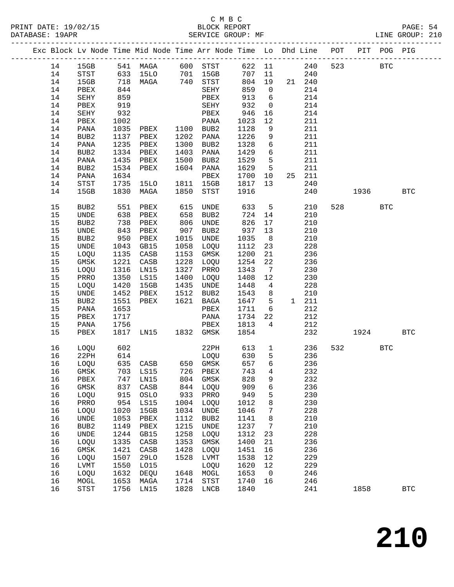|  |    |                  |      | Exc Block Lv Node Time Mid Node Time Arr Node Time Lo Dhd Line POT |      |              |      |                              |             |            |     |            | PIT POG PIG |              |
|--|----|------------------|------|--------------------------------------------------------------------|------|--------------|------|------------------------------|-------------|------------|-----|------------|-------------|--------------|
|  |    |                  |      |                                                                    |      |              |      |                              |             |            |     |            |             |              |
|  | 14 | 15GB             |      | 541 MAGA 600 STST                                                  |      |              |      |                              |             | 622 11 240 | 523 |            | <b>BTC</b>  |              |
|  | 14 | STST             |      | 633 15LO 701 15GB<br>718 MAGA 740 STST                             |      |              | 707  |                              | 11          | 240        |     |            |             |              |
|  | 14 | 15GB             |      |                                                                    |      |              | 804  | 19                           |             | 21 240     |     |            |             |              |
|  | 14 | PBEX             | 844  |                                                                    |      | SEHY         | 859  | $\overline{0}$               |             | 214        |     |            |             |              |
|  | 14 | SEHY             | 859  |                                                                    |      | PBEX         | 913  | 6                            |             | 214        |     |            |             |              |
|  | 14 | PBEX             | 919  |                                                                    |      | SEHY         | 932  | $\overline{0}$               |             | 214        |     |            |             |              |
|  | 14 | SEHY             | 932  |                                                                    |      | PBEX         | 946  | 16                           |             | 214        |     |            |             |              |
|  | 14 | PBEX             | 1002 |                                                                    |      | PANA         | 1023 | 12                           |             | 211        |     |            |             |              |
|  | 14 | PANA             | 1035 | ${\tt PBEX}$                                                       |      | 1100 BUB2    | 1128 | 9                            |             | 211        |     |            |             |              |
|  | 14 | BUB2             | 1137 | PBEX                                                               |      | 1202 PANA    | 1226 | 9                            |             | 211        |     |            |             |              |
|  | 14 | PANA             | 1235 | PBEX                                                               |      | 1300 BUB2    | 1328 | $6\overline{6}$              |             | 211        |     |            |             |              |
|  | 14 | BUB2             |      | 1334 PBEX                                                          | 1403 | PANA         | 1429 | 6                            |             | 211        |     |            |             |              |
|  | 14 | PANA             | 1435 | PBEX                                                               | 1500 | BUB2         | 1529 | 5                            |             | 211        |     |            |             |              |
|  | 14 | BUB2             | 1534 | PBEX                                                               |      | 1604 PANA    | 1629 | $5^{\circ}$                  |             | 211        |     |            |             |              |
|  | 14 | PANA             | 1634 |                                                                    |      | PBEX         | 1700 | 10                           |             | 25 211     |     |            |             |              |
|  | 14 | STST             | 1735 | 15LO                                                               |      | 1811 15GB    | 1817 | 13                           |             | 240        |     |            |             |              |
|  | 14 | 15GB             | 1830 | MAGA                                                               | 1850 | STST         | 1916 |                              |             | 240        |     | 1936 - 193 |             | $_{\rm BTC}$ |
|  |    |                  |      |                                                                    |      |              |      |                              |             |            |     |            |             |              |
|  | 15 | BUB2             | 551  | PBEX                                                               | 615  | UNDE         | 633  | $5^{\circ}$                  |             | 210        |     | 528 32     | <b>BTC</b>  |              |
|  | 15 | UNDE             | 638  | PBEX                                                               | 658  | BUB2         | 724  | 14                           |             | 210        |     |            |             |              |
|  | 15 | BUB <sub>2</sub> | 738  | PBEX                                                               | 806  | UNDE         | 826  | 17                           |             | 210        |     |            |             |              |
|  | 15 | UNDE             | 843  | PBEX                                                               | 907  | BUB2         | 937  | 13                           |             | 210        |     |            |             |              |
|  | 15 | BUB2             | 950  | PBEX                                                               | 1015 | UNDE         | 1035 | 8 <sup>8</sup>               |             | 210        |     |            |             |              |
|  | 15 | UNDE             | 1043 | GB15                                                               | 1058 | LOQU         | 1112 | 23                           |             | 228        |     |            |             |              |
|  | 15 | LOQU             | 1135 | CASB                                                               | 1153 | GMSK         | 1200 | 21                           |             | 236        |     |            |             |              |
|  | 15 | GMSK             | 1221 | CASB                                                               | 1228 | LOQU         | 1254 | 22                           |             | 236        |     |            |             |              |
|  | 15 | LOQU             | 1316 | LN15                                                               | 1327 | PRRO         | 1343 | $7\phantom{.0}\phantom{.0}7$ |             | 230        |     |            |             |              |
|  | 15 | PRRO             | 1350 | LS15                                                               | 1400 | LOQU         | 1408 | 12                           |             | 230        |     |            |             |              |
|  | 15 | LOQU             | 1420 | 15GB                                                               | 1435 | UNDE         | 1448 | $\overline{4}$               |             | 228        |     |            |             |              |
|  | 15 | UNDE             | 1452 | PBEX                                                               | 1512 | BUB2         | 1543 | 8                            |             | 210        |     |            |             |              |
|  | 15 | BUB2             | 1551 | PBEX                                                               |      | 1621 BAGA    | 1647 | 5                            |             | 1 211      |     |            |             |              |
|  | 15 | PANA             | 1653 |                                                                    |      | PBEX         | 1711 | 6                            |             | 212        |     |            |             |              |
|  | 15 | PBEX             | 1717 |                                                                    |      | PANA         | 1734 | 22                           |             | 212        |     |            |             |              |
|  | 15 | PANA             | 1756 |                                                                    |      | PBEX         | 1813 | $\overline{4}$               |             | 212        |     |            |             |              |
|  | 15 | PBEX             | 1817 | LN15 1832 GMSK                                                     |      |              | 1854 |                              |             | 232        |     | 1924       |             | <b>BTC</b>   |
|  |    |                  |      |                                                                    |      |              |      |                              |             |            |     |            |             |              |
|  | 16 | LOQU             | 602  |                                                                    |      | 22PH         | 613  |                              | $\mathbf 1$ | 236        |     | 532        | <b>BTC</b>  |              |
|  | 16 | 22PH             | 614  |                                                                    |      | LOQU         | 630  | 5                            |             | 236        |     |            |             |              |
|  | 16 | LOQU             |      | 635 CASB 650 GMSK                                                  |      |              | 657  | $6\overline{6}$              |             | 236        |     |            |             |              |
|  |    |                  |      | 16 GMSK 703 LS15 726 PBEX 743 4                                    |      |              |      |                              |             | 232        |     |            |             |              |
|  | 16 | ${\tt PBEX}$     | 747  | LN15                                                               | 804  | GMSK         | 828  | 9                            |             | 232        |     |            |             |              |
|  | 16 | GMSK             | 837  | CASB                                                               | 844  | LOQU         | 909  | 6                            |             | 236        |     |            |             |              |
|  | 16 | LOQU             | 915  | OSLO                                                               | 933  | PRRO         | 949  | 5                            |             | 230        |     |            |             |              |
|  | 16 | PRRO             | 954  | LS15                                                               | 1004 | LOQU         | 1012 | 8                            |             | 230        |     |            |             |              |
|  | 16 | LOQU             | 1020 | 15GB                                                               | 1034 | UNDE         | 1046 | 7                            |             | 228        |     |            |             |              |
|  | 16 | UNDE             | 1053 | PBEX                                                               | 1112 | BUB2         | 1141 | 8                            |             | 210        |     |            |             |              |
|  | 16 | BUB <sub>2</sub> | 1149 | PBEX                                                               | 1215 | UNDE         | 1237 | 7                            |             | 210        |     |            |             |              |
|  | 16 | UNDE             | 1244 | GB15                                                               | 1258 | LOQU         | 1312 | 23                           |             | 228        |     |            |             |              |
|  | 16 | LOQU             | 1335 | CASB                                                               | 1353 | GMSK         | 1400 | 21                           |             | 236        |     |            |             |              |
|  | 16 | GMSK             | 1421 | CASB                                                               | 1428 | LOQU         | 1451 | 16                           |             | 236        |     |            |             |              |
|  | 16 | LOQU             | 1507 | 29LO                                                               | 1528 | LVMT         | 1538 | 12                           |             | 229        |     |            |             |              |
|  | 16 | ${\rm LVMT}$     | 1550 | L015                                                               |      | LOQU         | 1620 | 12                           |             | 229        |     |            |             |              |
|  | 16 | LOQU             | 1632 | DEQU                                                               | 1648 | MOGL         | 1653 | $\mathbf 0$                  |             | 246        |     |            |             |              |
|  | 16 | MOGL             | 1653 | MAGA                                                               | 1714 | STST         | 1740 | 16                           |             | 246        |     |            |             |              |
|  | 16 | STST             | 1756 | LN15                                                               | 1828 | ${\rm LNCB}$ | 1840 |                              |             | 241        |     | 1858       |             | $_{\rm BTC}$ |
|  |    |                  |      |                                                                    |      |              |      |                              |             |            |     |            |             |              |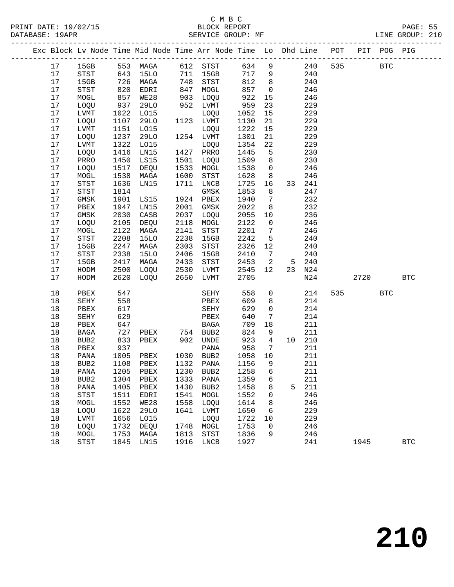|  |    |                                       |      | Exc Block Lv Node Time Mid Node Time Arr Node Time Lo Dhd Line POT                                       |      |                                       |      |                         |   |        |      | PIT POG PIG |            |
|--|----|---------------------------------------|------|----------------------------------------------------------------------------------------------------------|------|---------------------------------------|------|-------------------------|---|--------|------|-------------|------------|
|  | 17 |                                       |      | 15GB 553 MAGA 612 STST 634 9 240<br>STST 643 15LO 711 15GB 717 9 240<br>15GB 726 MAGA 748 STST 812 8 240 |      |                                       |      |                         |   |        | 535  | <b>BTC</b>  |            |
|  | 17 |                                       |      |                                                                                                          |      |                                       |      |                         |   |        |      |             |            |
|  | 17 |                                       |      |                                                                                                          |      |                                       |      |                         |   |        |      |             |            |
|  | 17 | STST                                  | 820  | EDRI                                                                                                     | 847  | MOGL                                  | 857  | $\overline{0}$          |   | 246    |      |             |            |
|  | 17 | MOGL                                  | 857  | WE28                                                                                                     | 903  | LOQU                                  | 922  | 15                      |   | 246    |      |             |            |
|  | 17 | LOQU                                  | 937  | 29LO                                                                                                     |      | 952 LVMT                              | 959  | 23                      |   | 229    |      |             |            |
|  | 17 | LVMT                                  | 1022 | L015                                                                                                     |      | LOQU                                  | 1052 | 15                      |   | 229    |      |             |            |
|  | 17 | LOQU                                  | 1107 | 29LO                                                                                                     |      | 1123 LVMT                             | 1130 | 21                      |   | 229    |      |             |            |
|  | 17 | LVMT                                  | 1151 | L015                                                                                                     |      | LOQU                                  | 1222 | 15                      |   | 229    |      |             |            |
|  | 17 | LOQU                                  | 1237 | 29LO                                                                                                     |      | 1254 LVMT                             | 1301 | 21                      |   | 229    |      |             |            |
|  | 17 | LVMT                                  | 1322 | LO15                                                                                                     |      | LOQU                                  | 1354 | 22                      |   | 229    |      |             |            |
|  | 17 | LOQU                                  | 1416 | LN15                                                                                                     |      | 1427 PRRO                             | 1445 | $5^{\circ}$             |   | 230    |      |             |            |
|  | 17 | PRRO                                  | 1450 | LS15                                                                                                     | 1501 | LOQU                                  | 1509 | 8                       |   | 230    |      |             |            |
|  | 17 | LOQU                                  | 1517 | DEQU                                                                                                     | 1533 | MOGL                                  | 1538 | $\overline{0}$          |   | 246    |      |             |            |
|  | 17 | $\tt MOGL$                            | 1538 | MAGA                                                                                                     | 1600 | STST                                  | 1628 | 8 <sup>1</sup>          |   | 246    |      |             |            |
|  | 17 | <b>STST</b>                           | 1636 | LN15                                                                                                     | 1711 | LNCB                                  | 1725 | 16                      |   | 33 241 |      |             |            |
|  | 17 | STST                                  | 1814 |                                                                                                          |      | GMSK                                  | 1853 | 8 <sup>8</sup>          |   | 247    |      |             |            |
|  | 17 | GMSK                                  | 1901 | LS15                                                                                                     |      | 1924 PBEX                             | 1940 | $\overline{7}$          |   | 232    |      |             |            |
|  | 17 | PBEX                                  | 1947 | LN15                                                                                                     | 2001 | GMSK                                  | 2022 | 8 <sup>8</sup>          |   | 232    |      |             |            |
|  | 17 | GMSK                                  | 2030 | CASB                                                                                                     | 2037 | LOQU                                  | 2055 | 10                      |   | 236    |      |             |            |
|  | 17 | LOQU                                  | 2105 | DEQU                                                                                                     | 2118 | MOGL                                  | 2122 | $\overline{0}$          |   | 246    |      |             |            |
|  | 17 | $\tt MOGL$                            | 2122 | MAGA                                                                                                     | 2141 | STST                                  | 2201 | $\overline{7}$          |   | 246    |      |             |            |
|  | 17 | $_{\footnotesize{\textnormal{STST}}}$ | 2208 | <b>15LO</b>                                                                                              | 2238 | 15GB                                  | 2242 | 5                       |   | 240    |      |             |            |
|  | 17 | 15GB                                  | 2247 | MAGA                                                                                                     | 2303 | STST                                  | 2326 | 12                      |   | 240    |      |             |            |
|  | 17 | STST                                  | 2338 | 15LO                                                                                                     | 2406 | 15GB                                  | 2410 | $\overline{7}$          |   | 240    |      |             |            |
|  | 17 | 15GB                                  | 2417 | MAGA                                                                                                     | 2433 | STST                                  | 2453 | $\overline{\mathbf{c}}$ |   | 5 240  |      |             |            |
|  | 17 | HODM                                  | 2500 | LOQU                                                                                                     | 2530 | LVMT                                  | 2545 | 12                      |   | 23 N24 |      |             |            |
|  | 17 | HODM                                  | 2620 | LOQU                                                                                                     | 2650 | LVMT                                  | 2705 |                         |   | N24    | 2720 |             | <b>BTC</b> |
|  | 18 | PBEX                                  | 547  |                                                                                                          |      | SEHY                                  | 558  | $\overline{0}$          |   | 214    | 535  | <b>BTC</b>  |            |
|  | 18 | SEHY                                  | 558  |                                                                                                          |      | PBEX                                  | 609  | 8                       |   | 214    |      |             |            |
|  | 18 | PBEX                                  | 617  |                                                                                                          |      | SEHY                                  | 629  | $\overline{0}$          |   | 214    |      |             |            |
|  | 18 | SEHY                                  | 629  |                                                                                                          |      | PBEX                                  | 640  | 7                       |   | 214    |      |             |            |
|  | 18 | PBEX                                  | 647  |                                                                                                          |      |                                       | 709  | 18                      |   | 211    |      |             |            |
|  | 18 | BAGA                                  | 727  |                                                                                                          |      |                                       | 824  | 9                       |   | 211    |      |             |            |
|  | 18 | BUB2                                  | 833  |                                                                                                          |      |                                       | 923  | $\overline{4}$          |   | 10 210 |      |             |            |
|  | 18 | PBEX                                  | 937  |                                                                                                          |      | PANA                                  | 958  | $\overline{7}$          |   | 211    |      |             |            |
|  | 18 | PANA                                  | 1005 | PBEX                                                                                                     |      | 1030 BUB2                             | 1058 | 10                      |   | 211    |      |             |            |
|  | 18 | BUB <sub>2</sub>                      | 1108 | PBEX                                                                                                     |      | 1132 PANA                             | 1156 | 9                       |   | 211    |      |             |            |
|  | 18 |                                       |      | PANA 1205 PBEX 1230 BUB2 1258 6                                                                          |      |                                       |      |                         |   | 211    |      |             |            |
|  | 18 | BUB2                                  | 1304 | PBEX                                                                                                     | 1333 | PANA                                  | 1359 | 6                       |   | 211    |      |             |            |
|  | 18 | PANA                                  | 1405 | PBEX                                                                                                     | 1430 | BUB2                                  | 1458 | 8                       | 5 | 211    |      |             |            |
|  | 18 | STST                                  | 1511 | EDRI                                                                                                     | 1541 | MOGL                                  | 1552 | 0                       |   | 246    |      |             |            |
|  | 18 | MOGL                                  | 1552 | WE28                                                                                                     | 1558 | LOQU                                  | 1614 | 8                       |   | 246    |      |             |            |
|  | 18 | LOQU                                  | 1622 | <b>29LO</b>                                                                                              | 1641 | LVMT                                  | 1650 | 6                       |   | 229    |      |             |            |
|  | 18 | LVMT                                  | 1656 | L015                                                                                                     |      | LOQU                                  | 1722 | 10                      |   | 229    |      |             |            |
|  | 18 | LOQU                                  | 1732 | DEQU                                                                                                     | 1748 | MOGL                                  | 1753 | 0                       |   | 246    |      |             |            |
|  | 18 | MOGL                                  | 1753 | MAGA                                                                                                     | 1813 | $_{\footnotesize{\textnormal{STST}}}$ | 1836 | 9                       |   | 246    |      |             |            |
|  | 18 | STST                                  | 1845 | LN15                                                                                                     | 1916 | LNCB                                  | 1927 |                         |   | 241    | 1945 |             | <b>BTC</b> |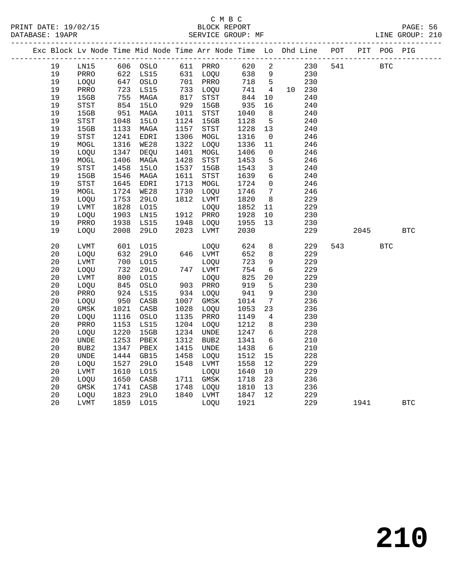|  |          |                            |              | Exc Block Lv Node Time Mid Node Time Arr Node Time Lo Dhd Line POT |              |                            |              |                          |            |     |      | PIT POG PIG |            |
|--|----------|----------------------------|--------------|--------------------------------------------------------------------|--------------|----------------------------|--------------|--------------------------|------------|-----|------|-------------|------------|
|  | 19       | LN15                       |              | 606 OSLO                                                           |              | 611 PRRO                   | 620          | $\overline{\phantom{a}}$ | 230        | 541 |      | <b>BTC</b>  |            |
|  | 19       | PRRO                       |              | 622 LS15                                                           |              | 631 LOQU                   | 638          | 9                        | 230        |     |      |             |            |
|  | 19       | LOQU                       |              | 647 OSLO                                                           |              | 701 PRRO                   | 718          | $5^{\circ}$              | 230        |     |      |             |            |
|  | 19       | PRRO                       | 723          | LS15                                                               |              | 733 LOQU                   | 741          | $\overline{4}$           | 10 230     |     |      |             |            |
|  | 19       | 15GB                       | 755          | MAGA                                                               | 817          | STST                       | 844          | 10                       | 240        |     |      |             |            |
|  | 19       | STST                       | 854          | <b>15LO</b>                                                        | 929          | 15GB                       | 935          | 16                       | 240        |     |      |             |            |
|  | 19       | 15GB                       | 951          | MAGA                                                               | 1011         | $_{\footnotesize\rm STST}$ | 1040         | 8                        | 240        |     |      |             |            |
|  | 19       | STST                       | 1048         | <b>15LO</b>                                                        | 1124         | 15GB                       | 1128         | 5                        | 240        |     |      |             |            |
|  | 19       | 15GB                       | 1133         | MAGA                                                               | 1157         | STST                       | 1228         | 13                       | 240        |     |      |             |            |
|  | 19       | STST                       | 1241         | EDRI                                                               | 1306         | MOGL                       | 1316         | $\overline{0}$           | 246        |     |      |             |            |
|  | 19       | $\tt MOGL$                 | 1316         | WE28                                                               | 1322         | LOQU                       | 1336         | 11                       | 246        |     |      |             |            |
|  | 19       | LOQU                       | 1347         | DEQU                                                               | 1401         | MOGL                       | 1406         | $\mathsf{O}$             | 246        |     |      |             |            |
|  | 19       | MOGL                       | 1406         | MAGA                                                               | 1428         | STST                       | 1453         | 5                        | 246        |     |      |             |            |
|  | 19       | $_{\footnotesize\rm STST}$ | 1458         | <b>15LO</b>                                                        | 1537         | 15GB                       | 1543         | $\mathbf{3}$             | 240        |     |      |             |            |
|  | 19       | 15GB                       | 1546         | MAGA                                                               | 1611         | STST                       | 1639         | $6\overline{6}$          | 240        |     |      |             |            |
|  | 19       | STST                       | 1645         | EDRI                                                               | 1713         | MOGL                       | 1724         | $\mathbf 0$              | 246        |     |      |             |            |
|  | 19<br>19 | $\tt MOGL$                 | 1724<br>1753 | WE28<br><b>29LO</b>                                                | 1730<br>1812 | LOQU                       | 1746         | $7\phantom{.0}$<br>8     | 246<br>229 |     |      |             |            |
|  | 19       | LOOU<br><b>LVMT</b>        | 1828         | L015                                                               |              | LVMT<br>LOQU               | 1820<br>1852 | 11                       | 229        |     |      |             |            |
|  | 19       | LOQU                       | 1903         | LN15                                                               |              | 1912 PRRO                  | 1928         | 10                       | 230        |     |      |             |            |
|  | 19       | PRRO                       | 1938         | LS15                                                               | 1948         | LOQU                       | 1955         | 13                       | 230        |     |      |             |            |
|  | 19       | LOQU                       | 2008         | <b>29LO</b>                                                        |              | 2023 LVMT                  | 2030         |                          | 229        |     | 2045 |             | <b>BTC</b> |
|  |          |                            |              |                                                                    |              |                            |              |                          |            |     |      |             |            |
|  | 20       | LVMT                       | 601          | L015                                                               |              | LOQU                       | 624          | 8                        | 229        | 543 |      | <b>BTC</b>  |            |
|  | 20       | LOQU                       | 632          | 29LO                                                               |              | 646 LVMT                   | 652          | 8                        | 229        |     |      |             |            |
|  | 20       | <b>LVMT</b>                | 700          | L015                                                               |              | LOQU                       | 723          | 9                        | 229        |     |      |             |            |
|  | 20       | LOQU                       | 732          | <b>29LO</b>                                                        |              | 747 LVMT                   | 754          | $6\overline{6}$          | 229        |     |      |             |            |
|  | 20       | LVMT                       | 800          | LO15                                                               |              | LOQU                       | 825          | 20                       | 229        |     |      |             |            |
|  | 20       | LOQU                       | 845          | OSLO                                                               |              | 903 PRRO                   | 919          | 5                        | 230        |     |      |             |            |
|  | 20       | PRRO                       | 924          | LS15                                                               |              | 934 LOQU                   | 941          | $\overline{9}$           | 230        |     |      |             |            |
|  | 20       | LOQU                       | 950          | CASB                                                               | 1007         | GMSK                       | 1014         | $7\phantom{.0}$          | 236        |     |      |             |            |
|  | 20       | GMSK                       | 1021         | CASB                                                               | 1028         | LOQU                       | 1053         | 23                       | 236        |     |      |             |            |
|  | 20       | LOQU                       | 1116         | OSLO                                                               | 1135         | PRRO                       | 1149         | 4                        | 230        |     |      |             |            |
|  | 20       | PRRO                       | 1153         | LS15                                                               | 1204         | LOQU                       | 1212         | 8                        | 230        |     |      |             |            |
|  | 20       | LOQU                       | 1220         | 15GB                                                               | 1234         | UNDE                       | 1247         | 6                        | 228        |     |      |             |            |
|  | 20       | UNDE                       | 1253         | PBEX                                                               | 1312         | BUB2                       | 1341         | 6                        | 210        |     |      |             |            |
|  | 20       | BUB2                       | 1347         | PBEX                                                               | 1415         | UNDE                       | 1438         | $\epsilon$               | 210        |     |      |             |            |
|  | 20       | UNDE                       | 1444         | GB15                                                               | 1458         | LOQU                       | 1512         | 15                       | 228        |     |      |             |            |
|  | 20       | LOQU                       | 1527         | <b>29LO</b>                                                        | 1548         | LVMT                       | 1558         | 12                       | 229        |     |      |             |            |
|  | 20<br>20 | <b>LVMT</b><br>LOQU        | 1610<br>1650 | L015<br>CASB                                                       |              | LOQU<br>1711 GMSK          | 1640<br>1718 | 10<br>23                 | 229<br>236 |     |      |             |            |
|  | 20       | $\rm{GMSK}$                | 1741         | CASB                                                               | 1748         | LOQU                       | 1810         | 13                       | 236        |     |      |             |            |
|  | 20       | LOQU                       | 1823         | <b>29LO</b>                                                        |              | 1840 LVMT                  | 1847         | 12                       | 229        |     |      |             |            |
|  | 20       | LVMT                       |              | 1859 LO15                                                          |              | LOQU                       | 1921         |                          | 229        |     | 1941 |             | <b>BTC</b> |
|  |          |                            |              |                                                                    |              |                            |              |                          |            |     |      |             |            |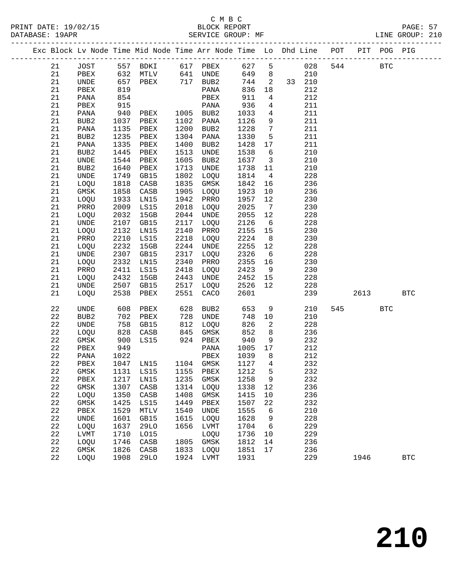|  |          |              |              | Exc Block Lv Node Time Mid Node Time Arr Node Time Lo Dhd Line POT PIT POG PIG |      |              |              |                         |                |            |     |            |            |              |
|--|----------|--------------|--------------|--------------------------------------------------------------------------------|------|--------------|--------------|-------------------------|----------------|------------|-----|------------|------------|--------------|
|  | 21       | JOST         |              | 557 BDKI 617 PBEX                                                              |      |              | 627 5        |                         |                | 028        | 544 | <b>BTC</b> |            |              |
|  | 21       | PBEX         |              | $632$ MTLV $641$ UNDE                                                          |      |              | 649          |                         | 8 <sup>1</sup> | 210        |     |            |            |              |
|  | 21       | UNDE         |              | 657 PBEX 717 BUB2                                                              |      |              | 744          | $\overline{\mathbf{2}}$ |                | 33 210     |     |            |            |              |
|  | 21       | PBEX         | 819          |                                                                                |      | PANA         | 836          | 18                      |                | 212        |     |            |            |              |
|  | 21       | PANA         | 854          |                                                                                |      | PBEX         | 911          | 4                       |                | 212        |     |            |            |              |
|  | 21       | PBEX         | 915          |                                                                                |      | PANA         | 936          | $\overline{4}$          |                | 211        |     |            |            |              |
|  | 21       | PANA         | 940          | PBEX 1005 BUB2                                                                 |      |              | 1033         | $\overline{4}$          |                | 211        |     |            |            |              |
|  | 21       | BUB2         | 1037         | PBEX                                                                           |      | 1102 PANA    | 1126         | 9                       |                | 211        |     |            |            |              |
|  | 21       | PANA         | 1135         | PBEX                                                                           |      | 1200 BUB2    | 1228         | $7\overline{ }$         |                | 211        |     |            |            |              |
|  | 21       | BUB2         | 1235         | PBEX                                                                           |      | 1304 PANA    | 1330         | $5^{\circ}$             |                | 211        |     |            |            |              |
|  | 21       | PANA         | 1335         | PBEX                                                                           | 1400 | BUB2         | 1428         | 17                      |                | 211        |     |            |            |              |
|  | 21       | BUB2         | 1445         | PBEX                                                                           | 1513 | UNDE         | 1538         | $6\overline{6}$         |                | 210        |     |            |            |              |
|  | 21       | UNDE         | 1544         | PBEX                                                                           | 1605 | BUB2         | 1637         | $\overline{\mathbf{3}}$ |                | 210        |     |            |            |              |
|  | 21       | BUB2         | 1640         | PBEX                                                                           | 1713 | UNDE         | 1738         | 11                      |                | 210        |     |            |            |              |
|  | 21       | UNDE         | 1749         | GB15                                                                           | 1802 | LOQU         | 1814         | $4\overline{4}$         |                | 228        |     |            |            |              |
|  | 21       | LOQU         | 1818         | CASB                                                                           |      | 1835 GMSK    | 1842         | 16                      |                | 236        |     |            |            |              |
|  | 21       | GMSK         | 1858         | CASB                                                                           |      | 1905 LOQU    | 1923         | 10                      |                | 236        |     |            |            |              |
|  | 21       | LOQU         | 1933         | LN15                                                                           | 1942 | PRRO         | 1957         | 12                      |                | 230        |     |            |            |              |
|  | 21       | PRRO         | 2009         | LS15                                                                           | 2018 | LOQU         | 2025         | $\overline{7}$          |                | 230        |     |            |            |              |
|  | 21       | LOQU         | 2032         | 15GB                                                                           | 2044 | UNDE         | 2055         | 12                      |                | 228        |     |            |            |              |
|  | 21       | UNDE         | 2107         | GB15                                                                           | 2117 | LOQU         | 2126         | 6                       |                | 228        |     |            |            |              |
|  | 21       | LOQU         | 2132         | LN15                                                                           | 2140 | PRRO         | 2155         | 15                      |                | 230        |     |            |            |              |
|  | 21       | PRRO         | 2210         | LS15                                                                           | 2218 | LOQU         | 2224         | 8 <sup>8</sup>          |                | 230        |     |            |            |              |
|  | 21       | LOQU         | 2232         | 15GB                                                                           |      | 2244 UNDE    | 2255         | 12                      |                | 228        |     |            |            |              |
|  | 21       | UNDE         | 2307         | GB15                                                                           | 2317 | LOQU         | 2326         | 6                       |                | 228        |     |            |            |              |
|  | 21       | LOQU         | 2332         | LNI5                                                                           | 2340 | PRRO         | 2355         | 16                      |                | 230        |     |            |            |              |
|  | 21       | PRRO         | 2411         | LS15                                                                           | 2418 | LOQU         | 2423         | 9                       |                | 230        |     |            |            |              |
|  | 21       | LOQU         | 2432         | 15GB                                                                           | 2443 | UNDE         | 2452         | 15                      |                | 228        |     |            |            |              |
|  | 21       | UNDE         | 2507         | GB15                                                                           | 2517 | LOQU         | 2526         | 12                      |                | 228        |     |            |            |              |
|  | 21       | LOQU         | 2538         | PBEX                                                                           | 2551 | CACO         | 2601         |                         |                | 239        |     | 2613       |            | $_{\rm BTC}$ |
|  |          |              |              |                                                                                |      |              |              |                         |                |            |     |            |            |              |
|  | 22       | <b>UNDE</b>  | 608          | PBEX                                                                           | 628  | BUB2         | 653          | 9                       |                | 210        |     | 545        | <b>BTC</b> |              |
|  | 22       | BUB2         | 702          | PBEX                                                                           |      | 728 UNDE     | 748          | 10                      |                | 210        |     |            |            |              |
|  | 22       | UNDE         | 758<br>828   | GB15                                                                           |      | 812 LOQU     | 826          | $\overline{2}$          |                | 228        |     |            |            |              |
|  | 22       | LOQU         |              | CASB                                                                           |      | 845 GMSK     | 852          | 8 <sup>8</sup>          |                | 236        |     |            |            |              |
|  | 22       | GMSK         | 900          | LS15                                                                           |      | 924 PBEX     | 940          | 9                       |                | 232        |     |            |            |              |
|  | 22       | PBEX         | 949          |                                                                                |      | PANA         | 1005         | 17                      |                | 212        |     |            |            |              |
|  | 22       | PANA         | 1022         |                                                                                |      | PBEX         | 1039         | 8 <sup>8</sup>          |                | 212        |     |            |            |              |
|  | 22       | PBEX         |              | 1047 LN15                                                                      |      | 1104 GMSK    | 1127         | $\overline{4}$          |                | 232        |     |            |            |              |
|  | 22       |              |              | GMSK 1131 LS15 1155 PBEX 1212                                                  |      |              |              | 5 <sub>5</sub>          |                | 232        |     |            |            |              |
|  | 22       | PBEX         | 1217         | LN15                                                                           | 1235 | GMSK         | 1258         | 9                       |                | 232        |     |            |            |              |
|  | 22       | GMSK         | 1307         | CASB                                                                           | 1314 | LOQU         | 1338         | 12                      |                | 236        |     |            |            |              |
|  | 22       | LOQU         | 1350         | CASB                                                                           | 1408 | GMSK         | 1415         | 10                      |                | 236        |     |            |            |              |
|  | 22       | GMSK         | 1425         | LS15                                                                           | 1449 | PBEX         | 1507         | 22                      |                | 232        |     |            |            |              |
|  | 22       | ${\tt PBEX}$ | 1529         | $\texttt{MTLV}$                                                                | 1540 | UNDE         | 1555         | 6                       |                | 210        |     |            |            |              |
|  | 22       | UNDE         | 1601         | GB15                                                                           | 1615 | LOQU         | 1628         | 9                       |                | 228        |     |            |            |              |
|  | 22<br>22 | LOQU         | 1637         | 29LO                                                                           | 1656 | LVMT         | 1704         | 6                       |                | 229<br>229 |     |            |            |              |
|  | 22       | LVMT<br>LOQU | 1710<br>1746 | L015<br>CASB                                                                   | 1805 | LOQU<br>GMSK | 1736<br>1812 | 10<br>14                |                | 236        |     |            |            |              |
|  | 22       | GMSK         | 1826         | $\mathtt{CASB}$                                                                | 1833 | LOQU         | 1851         | 17                      |                | 236        |     |            |            |              |
|  | 22       | LOQU         | 1908         | 29LO                                                                           | 1924 | LVMT         | 1931         |                         |                | 229        |     | 1946       |            | <b>BTC</b>   |
|  |          |              |              |                                                                                |      |              |              |                         |                |            |     |            |            |              |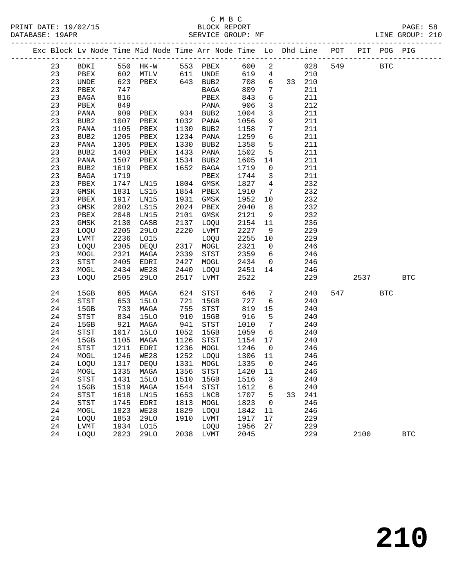|  |          |                                       |              | Exc Block Lv Node Time Mid Node Time Arr Node Time Lo Dhd Line POT |              |                                       |              |                         |    |            |     |      | PIT POG PIG |            |
|--|----------|---------------------------------------|--------------|--------------------------------------------------------------------|--------------|---------------------------------------|--------------|-------------------------|----|------------|-----|------|-------------|------------|
|  | 23       | BDKI                                  |              | ------------<br>550 HK-W 553 PBEX<br>200 Metals 611 UNDE           |              |                                       | 600          | $\overline{\mathbf{c}}$ |    | 028        | 549 |      | <b>BTC</b>  |            |
|  | 23       | PBEX                                  |              | 602 MTLV 611 UNDE                                                  |              |                                       | 619          | $\overline{4}$          |    | 210        |     |      |             |            |
|  | 23       | UNDE                                  | 623          | PBEX                                                               |              | 643 BUB2                              | 708          | 6                       |    | 33 210     |     |      |             |            |
|  | 23       | PBEX                                  | 747          |                                                                    |              | BAGA                                  | 809          | $7\phantom{.0}$         |    | 211        |     |      |             |            |
|  | 23       | BAGA                                  | 816          |                                                                    |              | PBEX                                  | 843          | $6\overline{6}$         |    | 211        |     |      |             |            |
|  | 23       | PBEX                                  | 849          |                                                                    |              | PANA                                  | 906          | $\mathbf{3}$            |    | 212        |     |      |             |            |
|  | 23       | PANA                                  | 909          | PBEX                                                               |              | 934 BUB2                              | 1004         | $\mathbf{3}$            |    | 211        |     |      |             |            |
|  | 23       | BUB2                                  | 1007         | PBEX                                                               |              | 1032 PANA                             | 1056         | 9                       |    | 211        |     |      |             |            |
|  | 23       | PANA                                  | 1105         | PBEX                                                               | 1130         | BUB2                                  | 1158         | $7\phantom{.0}$         |    | 211        |     |      |             |            |
|  | 23       | BUB2                                  | 1205         | PBEX                                                               | 1234         | PANA                                  | 1259         | 6                       |    | 211        |     |      |             |            |
|  | 23       | PANA                                  | 1305         | PBEX                                                               | 1330         | BUB2                                  | 1358         | $5^{\circ}$             |    | 211        |     |      |             |            |
|  | 23       | BUB2                                  | 1403         | PBEX                                                               | 1433         | PANA                                  | 1502         | 5                       |    | 211        |     |      |             |            |
|  | 23       | PANA                                  | 1507         | PBEX                                                               | 1534         | BUB2                                  | 1605         | 14                      |    | 211        |     |      |             |            |
|  | 23       | BUB2                                  | 1619         | PBEX                                                               | 1652         | BAGA                                  | 1719         | $\overline{0}$          |    | 211        |     |      |             |            |
|  | 23       | $_{\rm BAGA}$                         | 1719         |                                                                    |              | PBEX                                  | 1744         | $\overline{\mathbf{3}}$ |    | 211        |     |      |             |            |
|  | 23       | PBEX                                  | 1747         | LN15                                                               | 1804         | GMSK                                  | 1827         | $\overline{4}$          |    | 232        |     |      |             |            |
|  | 23       | $\rm{GMSK}$                           | 1831         | LS15                                                               | 1854         | PBEX                                  | 1910         | $\overline{7}$          |    | 232        |     |      |             |            |
|  | 23       | PBEX                                  | 1917         | LN15                                                               | 1931         | GMSK                                  | 1952         | 10                      |    | 232        |     |      |             |            |
|  | 23       | $\rm{GMSK}$                           | 2002         | LS15                                                               | 2024         | PBEX                                  | 2040         | 8 <sup>8</sup>          |    | 232        |     |      |             |            |
|  | 23       | PBEX                                  | 2048         | LN15                                                               | 2101         | GMSK                                  | 2121         | 9                       |    | 232        |     |      |             |            |
|  | 23       | GMSK                                  | 2130         | CASB                                                               | 2137         | LOQU                                  | 2154         | 11                      |    | 236        |     |      |             |            |
|  | 23       | LOQU                                  | 2205         | 29LO                                                               | 2220         | LVMT                                  | 2227         | 9                       |    | 229        |     |      |             |            |
|  | 23       | LVMT                                  | 2236         | L015                                                               |              | LOQU                                  | 2255         | 10                      |    | 229        |     |      |             |            |
|  | 23       | LOQU                                  | 2305         | DEQU                                                               | 2317         | MOGL                                  | 2321         | $\overline{0}$          |    | 246        |     |      |             |            |
|  | 23<br>23 | MOGL                                  | 2321         | MAGA                                                               | 2339<br>2427 | STST                                  | 2359<br>2434 | 6<br>$\overline{0}$     |    | 246        |     |      |             |            |
|  | 23       | $_{\footnotesize{\textnormal{STST}}}$ | 2405<br>2434 | EDRI<br>WE28                                                       | 2440         | MOGL                                  | 2451         | 14                      |    | 246        |     |      |             |            |
|  | 23       | MOGL<br>LOQU                          | 2505         | 29LO                                                               | 2517         | LOQU<br>LVMT                          | 2522         |                         |    | 246<br>229 |     | 2537 |             | <b>BTC</b> |
|  |          |                                       |              |                                                                    |              |                                       |              |                         |    |            |     |      |             |            |
|  | 24       | 15GB                                  | 605          | MAGA                                                               | 624          | $_{\footnotesize{\textnormal{STST}}}$ | 646          | $7\phantom{.0}$         |    | 240        | 547 |      | <b>BTC</b>  |            |
|  | 24       | STST                                  | 653          | 15LO                                                               | 721          | 15GB                                  | 727          | $6\overline{6}$         |    | 240        |     |      |             |            |
|  | 24       | 15GB                                  | 733          | MAGA                                                               | 755          | STST                                  | 819          | 15                      |    | 240        |     |      |             |            |
|  | 24       | STST                                  | 834          | 15LO                                                               | 910          | 15GB                                  | 916          | 5                       |    | 240        |     |      |             |            |
|  | 24       | 15GB                                  | 921          | MAGA                                                               | 941          | $_{\footnotesize{\textnormal{STST}}}$ | 1010         | $\overline{7}$          |    | 240        |     |      |             |            |
|  | 24       | STST                                  | 1017         | 15LO                                                               | 1052         | 15GB                                  | 1059         | $6\overline{6}$         |    | 240        |     |      |             |            |
|  | 24       | 15GB                                  | 1105         | MAGA                                                               | 1126         | STST                                  | 1154         | 17                      |    | 240        |     |      |             |            |
|  | 24       | STST                                  | 1211         | EDRI                                                               |              | 1236 MOGL                             | 1246         | $\overline{0}$          |    | 246        |     |      |             |            |
|  | 24       | MOGL                                  | 1246         | <b>WE28</b>                                                        | 1252         | LOQU                                  | 1306 11      |                         |    | 246        |     |      |             |            |
|  | 24       | LOQU                                  | 1317         | DEQU                                                               |              | 1331 MOGL                             | 1335         | $\overline{0}$          |    | 246        |     |      |             |            |
|  |          |                                       |              | 24 MOGL 1335 MAGA 1356 STST                                        |              |                                       | 1420 11      |                         |    | 246        |     |      |             |            |
|  | 24       | STST                                  | 1431         | <b>15LO</b>                                                        | 1510         | 15GB                                  | 1516         | 3                       |    | 240        |     |      |             |            |
|  | 24       | 15GB                                  | 1519         | MAGA                                                               | 1544         | STST                                  | 1612         | 6                       |    | 240        |     |      |             |            |
|  | 24<br>24 | <b>STST</b><br><b>STST</b>            | 1618<br>1745 | LN15<br>EDRI                                                       | 1653<br>1813 | LNCB<br>MOGL                          | 1707<br>1823 | 5<br>0                  | 33 | 241<br>246 |     |      |             |            |
|  | 24       | MOGL                                  | 1823         | <b>WE28</b>                                                        | 1829         | LOQU                                  | 1842         | 11                      |    | 246        |     |      |             |            |
|  | 24       | LOQU                                  | 1853         | 29LO                                                               | 1910         | LVMT                                  | 1917         | 17                      |    | 229        |     |      |             |            |
|  | 24       | LVMT                                  | 1934         | L015                                                               |              | LOQU                                  | 1956         | 27                      |    | 229        |     |      |             |            |
|  | 24       | LOQU                                  | 2023         | <b>29LO</b>                                                        | 2038         | LVMT                                  | 2045         |                         |    | 229        |     | 2100 |             | <b>BTC</b> |
|  |          |                                       |              |                                                                    |              |                                       |              |                         |    |            |     |      |             |            |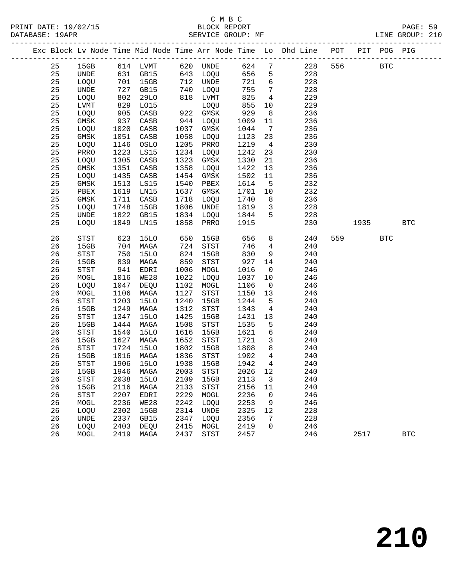|  |    |                                       |      |                   |      |                                       |         |                         | Exc Block Lv Node Time Mid Node Time Arr Node Time Lo Dhd Line POT PIT POG PIG |     |      |            |              |
|--|----|---------------------------------------|------|-------------------|------|---------------------------------------|---------|-------------------------|--------------------------------------------------------------------------------|-----|------|------------|--------------|
|  | 25 | 15GB                                  |      | 614 LVMT 620 UNDE |      |                                       | 624     | $7\overline{ }$         | 228                                                                            | 556 |      | <b>BTC</b> |              |
|  | 25 | UNDE                                  |      | 631 GB15          |      | 643 LOQU                              | 656     | 5                       | 228                                                                            |     |      |            |              |
|  | 25 | LOQU                                  | 701  | 15GB              |      | 712 UNDE                              | 721     | $6\overline{6}$         | 228                                                                            |     |      |            |              |
|  | 25 | UNDE                                  | 727  | GB15              |      | 740 LOQU                              | 755     | $7\overline{ }$         | 228                                                                            |     |      |            |              |
|  | 25 | LOQU                                  | 802  | 29LO              |      | 818 LVMT                              | 825     | 4                       | 229                                                                            |     |      |            |              |
|  | 25 | LVMT                                  | 829  | L015              |      | LOQU                                  | 855     | 10                      | 229                                                                            |     |      |            |              |
|  | 25 | LOQU                                  | 905  | CASB              |      | 922 GMSK                              | 929     | 8 <sup>8</sup>          | 236                                                                            |     |      |            |              |
|  | 25 | GMSK                                  | 937  | CASB              | 944  | LOQU                                  | 1009    | 11                      | 236                                                                            |     |      |            |              |
|  | 25 | LOQU                                  | 1020 | CASB              | 1037 | GMSK                                  | 1044    | $\overline{7}$          | 236                                                                            |     |      |            |              |
|  | 25 | GMSK                                  | 1051 | CASB              | 1058 | LOQU                                  | 1123    | 23                      | 236                                                                            |     |      |            |              |
|  | 25 | LOQU                                  | 1146 | OSLO              | 1205 | PRRO                                  | 1219    | $\overline{4}$          | 230                                                                            |     |      |            |              |
|  | 25 | PRRO                                  | 1223 | LS15              | 1234 | LOQU                                  | 1242    | 23                      | 230                                                                            |     |      |            |              |
|  | 25 | LOQU                                  | 1305 | CASB              | 1323 | GMSK                                  | 1330    | 21                      | 236                                                                            |     |      |            |              |
|  | 25 | GMSK                                  | 1351 | CASB              | 1358 | LOQU                                  | 1422    | 13                      | 236                                                                            |     |      |            |              |
|  | 25 | LOQU                                  | 1435 | CASB              | 1454 | GMSK                                  | 1502    | 11                      | 236                                                                            |     |      |            |              |
|  | 25 | GMSK                                  | 1513 | LS15              | 1540 | PBEX                                  | 1614    | $5^{\circ}$             | 232                                                                            |     |      |            |              |
|  | 25 | PBEX                                  | 1619 | LN15              | 1637 | GMSK                                  | 1701    | 10                      | 232                                                                            |     |      |            |              |
|  | 25 | GMSK                                  | 1711 | CASB              | 1718 | LOQU                                  | 1740    | 8 <sup>8</sup>          | 236                                                                            |     |      |            |              |
|  | 25 | LOQU                                  | 1748 | 15GB              | 1806 | UNDE                                  | 1819    | $\overline{\mathbf{3}}$ | 228                                                                            |     |      |            |              |
|  | 25 | UNDE                                  | 1822 | GB15              | 1834 | LOQU                                  | 1844    | 5                       | 228                                                                            |     |      |            |              |
|  | 25 | LOQU                                  | 1849 | LN15              | 1858 | PRRO                                  | 1915    |                         | 230                                                                            |     | 1935 |            | $_{\rm BTC}$ |
|  |    |                                       |      |                   |      |                                       |         |                         |                                                                                |     |      |            |              |
|  | 26 | STST                                  | 623  | <b>15LO</b>       | 650  | 15GB                                  | 656     | 8                       | 240                                                                            | 559 |      | <b>BTC</b> |              |
|  | 26 | 15GB                                  | 704  | MAGA              | 724  | STST                                  | 746     | $\overline{4}$          | 240                                                                            |     |      |            |              |
|  | 26 | STST                                  | 750  | 15LO              | 824  | 15GB                                  | 830     | 9                       | 240                                                                            |     |      |            |              |
|  | 26 | 15GB                                  | 839  | MAGA              | 859  | STST                                  | 927     | 14                      | 240                                                                            |     |      |            |              |
|  | 26 | STST                                  | 941  | EDRI              | 1006 | MOGL                                  | 1016    | $\overline{0}$          | 246                                                                            |     |      |            |              |
|  | 26 | MOGL                                  | 1016 | WE28              | 1022 | LOQU                                  | 1037    | 10                      | 246                                                                            |     |      |            |              |
|  | 26 | LOQU                                  | 1047 | DEQU              | 1102 | MOGL                                  | 1106    | $\overline{0}$          | 246                                                                            |     |      |            |              |
|  | 26 | MOGL                                  | 1106 | MAGA              | 1127 | STST                                  | 1150    | 13                      | 246                                                                            |     |      |            |              |
|  | 26 | $_{\footnotesize{\textnormal{STST}}}$ | 1203 | <b>15LO</b>       | 1240 | 15GB                                  | 1244    | $5\overline{5}$         | 240                                                                            |     |      |            |              |
|  | 26 | 15GB                                  | 1249 | MAGA              | 1312 | STST                                  | 1343    | $\overline{4}$          | 240                                                                            |     |      |            |              |
|  | 26 | STST                                  | 1347 | <b>15LO</b>       | 1425 | 15GB                                  | 1431    | 13                      | 240                                                                            |     |      |            |              |
|  | 26 | 15GB                                  | 1444 | MAGA              | 1508 | $_{\footnotesize{\textnormal{STST}}}$ | 1535    | 5                       | 240                                                                            |     |      |            |              |
|  | 26 | $_{\footnotesize\rm STST}$            | 1540 | <b>15LO</b>       | 1616 | 15GB                                  | 1621    | 6                       | 240                                                                            |     |      |            |              |
|  | 26 | 15GB                                  | 1627 | MAGA              | 1652 | STST                                  | 1721    | $\overline{\mathbf{3}}$ | 240                                                                            |     |      |            |              |
|  | 26 | STST                                  | 1724 | 15LO              | 1802 | 15GB                                  | 1808    | 8                       | 240                                                                            |     |      |            |              |
|  | 26 | 15GB                                  | 1816 | MAGA              | 1836 | STST                                  | 1902    | $4\overline{4}$         | 240                                                                            |     |      |            |              |
|  | 26 | STST                                  | 1906 | <b>15LO</b>       | 1938 | 15GB                                  | 1942    | $4\overline{ }$         | 240                                                                            |     |      |            |              |
|  | 26 | 15GB                                  |      | 1946 MAGA         |      | 2003 STST                             | 2026 12 |                         | 240                                                                            |     |      |            |              |
|  | 26 | STST                                  | 2038 | 15LO              | 2109 | 15GB                                  | 2113    | 3                       | 240                                                                            |     |      |            |              |
|  | 26 | 15GB                                  | 2116 | MAGA              | 2133 | STST                                  | 2156    | 11                      | 240                                                                            |     |      |            |              |
|  | 26 | <b>STST</b>                           | 2207 | EDRI              | 2229 | MOGL                                  | 2236    | $\mathbf 0$             | 246                                                                            |     |      |            |              |
|  | 26 | MOGL                                  | 2236 | WE28              | 2242 | LOQU                                  | 2253    | 9                       | 246                                                                            |     |      |            |              |
|  | 26 | LOQU                                  | 2302 | 15GB              | 2314 | UNDE                                  | 2325    | 12                      | 228                                                                            |     |      |            |              |
|  | 26 | UNDE                                  | 2337 | GB15              | 2347 | LOQU                                  | 2356    | 7                       | 228                                                                            |     |      |            |              |
|  | 26 | LOQU                                  | 2403 | DEQU              | 2415 | MOGL                                  | 2419    | 0                       | 246                                                                            |     |      |            |              |
|  | 26 | MOGL                                  | 2419 | MAGA              | 2437 | STST                                  | 2457    |                         | 246                                                                            |     | 2517 |            | <b>BTC</b>   |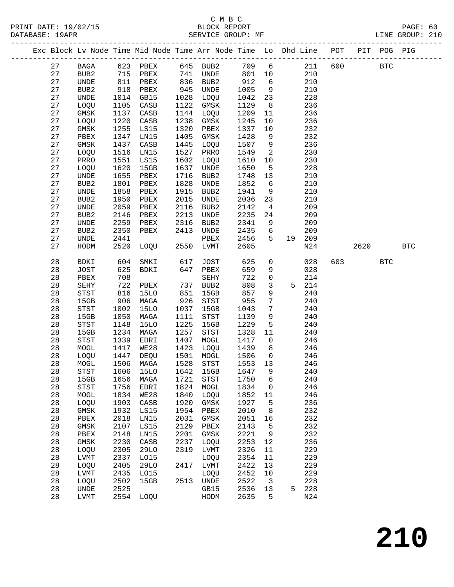|  |          |                              |              | Exc Block Lv Node Time Mid Node Time Arr Node Time Lo Dhd Line POT |              |                                               |              |                      |    |            |     |      | PIT POG PIG |            |
|--|----------|------------------------------|--------------|--------------------------------------------------------------------|--------------|-----------------------------------------------|--------------|----------------------|----|------------|-----|------|-------------|------------|
|  | 27       | BAGA                         | 623          | PBEX                                                               | 645          | BUB2                                          | 709          | $6\overline{6}$      |    | 211        | 600 |      | <b>BTC</b>  |            |
|  | 27       | BUB2                         | 715          | PBEX                                                               | 741          | UNDE                                          | 801          | 10                   |    | 210        |     |      |             |            |
|  | 27       | $\ensuremath{\mathsf{UNDE}}$ | 811          | PBEX                                                               | 836          | BUB2                                          | 912          | 6                    |    | 210        |     |      |             |            |
|  | 27       | BUB2                         | 918          | PBEX                                                               | 945          | UNDE                                          | 1005         | 9                    |    | 210        |     |      |             |            |
|  | 27       | UNDE                         | 1014         | GB15                                                               | 1028         | LOQU                                          | 1042         | 23                   |    | 228        |     |      |             |            |
|  | 27       | LOQU                         | 1105         | CASB                                                               | 1122         | GMSK                                          | 1129         | 8                    |    | 236        |     |      |             |            |
|  | 27       | $\rm{GMSK}$                  | 1137         | CASB                                                               | 1144         | LOQU                                          | 1209         | 11                   |    | 236        |     |      |             |            |
|  | 27       | LOQU                         | 1220         | CASB                                                               | 1238         | GMSK                                          | 1245         | 10                   |    | 236        |     |      |             |            |
|  | 27       | GMSK                         | 1255         | LS15                                                               | 1320         | PBEX                                          | 1337         | 10                   |    | 232        |     |      |             |            |
|  | 27       | PBEX                         | 1347         | LN15                                                               | 1405         | GMSK                                          | 1428         | 9                    |    | 232        |     |      |             |            |
|  | 27<br>27 | GMSK                         | 1437<br>1516 | CASB                                                               | 1445<br>1527 | LOQU                                          | 1507<br>1549 | 9<br>2               |    | 236<br>230 |     |      |             |            |
|  | 27       | LOQU<br>PRRO                 | 1551         | LN15<br>LS15                                                       | 1602         | PRRO<br>LOQU                                  | 1610         | 10                   |    | 230        |     |      |             |            |
|  | 27       | LOQU                         | 1620         | 15GB                                                               | 1637         | UNDE                                          | 1650         | 5                    |    | 228        |     |      |             |            |
|  | 27       | $\ensuremath{\mathsf{UNDE}}$ | 1655         | PBEX                                                               | 1716         | BUB2                                          | 1748         | 13                   |    | 210        |     |      |             |            |
|  | 27       | BUB2                         | 1801         | PBEX                                                               | 1828         | UNDE                                          | 1852         | 6                    |    | 210        |     |      |             |            |
|  | 27       | UNDE                         | 1858         | PBEX                                                               | 1915         | BUB2                                          | 1941         | 9                    |    | 210        |     |      |             |            |
|  | 27       | BUB2                         | 1950         | PBEX                                                               | 2015         | UNDE                                          | 2036         | 23                   |    | 210        |     |      |             |            |
|  | 27       | UNDE                         | 2059         | PBEX                                                               | 2116         | BUB2                                          | 2142         | $\overline{4}$       |    | 209        |     |      |             |            |
|  | 27       | BUB2                         | 2146         | PBEX                                                               | 2213         | UNDE                                          | 2235         | 24                   |    | 209        |     |      |             |            |
|  | 27       | UNDE                         | 2259         | PBEX                                                               | 2316         | BUB2                                          | 2341         | 9                    |    | 209        |     |      |             |            |
|  | 27       | BUB2                         | 2350         | PBEX                                                               | 2413         | UNDE                                          | 2435         | 6                    |    | 209        |     |      |             |            |
|  | 27       | UNDE                         | 2441         |                                                                    |              | PBEX                                          | 2456         | 5                    | 19 | 209        |     |      |             |            |
|  | 27       | HODM                         | 2520         | LOQU                                                               | 2550         | LVMT                                          | 2605         |                      |    | N24        |     | 2620 |             | <b>BTC</b> |
|  | 28       | BDKI                         | 604          | SMKI                                                               | 617          | JOST                                          | 625          | 0                    |    | 028        | 603 |      | <b>BTC</b>  |            |
|  | 28       | JOST                         | 625          | BDKI                                                               | 647          | PBEX                                          | 659          | 9                    |    | 028        |     |      |             |            |
|  | 28       | PBEX                         | 708          |                                                                    |              | SEHY                                          | 722          | $\mathsf 0$          |    | 214        |     |      |             |            |
|  | 28       | SEHY                         | 722          | PBEX                                                               | 737          | BUB2                                          | 808          | $\mathbf{3}$         |    | 5 214      |     |      |             |            |
|  | 28       | STST                         | 816          | <b>15LO</b>                                                        | 851          | 15GB                                          | 857          | 9                    |    | 240        |     |      |             |            |
|  | 28<br>28 | 15GB                         | 906          | MAGA                                                               | 926<br>1037  | ${\tt STST}$                                  | 955          | 7<br>$7\phantom{.0}$ |    | 240<br>240 |     |      |             |            |
|  | 28       | STST<br>15GB                 | 1002<br>1050 | 15LO<br>MAGA                                                       | 1111         | 15GB<br>$_{\footnotesize{\textnormal{STST}}}$ | 1043<br>1139 | 9                    |    | 240        |     |      |             |            |
|  | 28       | STST                         | 1148         | <b>15LO</b>                                                        | 1225         | 15GB                                          | 1229         | $\overline{5}$       |    | 240        |     |      |             |            |
|  | 28       | 15GB                         | 1234         | MAGA                                                               | 1257         | STST                                          | 1328         | 11                   |    | 240        |     |      |             |            |
|  | 28       | STST                         | 1339         | EDRI                                                               | 1407         | MOGL                                          | 1417         | $\mathsf{O}$         |    | 246        |     |      |             |            |
|  | 28       | MOGL                         | 1417         | WE28                                                               | 1423         | LOQU                                          | 1439         | 8                    |    | 246        |     |      |             |            |
|  | 28       | LOQU                         | 1447         | DEQU                                                               | 1501         | MOGL                                          | 1506         | $\overline{0}$       |    | 246        |     |      |             |            |
|  | 28       | MOGL                         | 1506         | MAGA                                                               | 1528         | STST                                          | 1553         | 13                   |    | 246        |     |      |             |            |
|  | 28       | STST                         |              | 1606 15LO 1642 15GB 1647 9                                         |              |                                               |              |                      |    | 240        |     |      |             |            |
|  | 28       | 15GB                         | 1656         | MAGA                                                               | 1721         | <b>STST</b>                                   | 1750         | 6                    |    | 240        |     |      |             |            |
|  | 28       | STST                         | 1756         | <b>EDRI</b>                                                        | 1824         | MOGL                                          | 1834         | 0                    |    | 246        |     |      |             |            |
|  | 28       | MOGL                         | 1834         | <b>WE28</b>                                                        | 1840         | LOQU                                          | 1852         | 11                   |    | 246        |     |      |             |            |
|  | 28       | LOQU                         | 1903         | CASB                                                               | 1920         | GMSK                                          | 1927         | 5                    |    | 236        |     |      |             |            |
|  | 28       | $\rm{GMSK}$                  | 1932         | LS15                                                               | 1954         | PBEX                                          | 2010         | 8                    |    | 232        |     |      |             |            |
|  | 28       | PBEX                         | 2018         | LN15                                                               | 2031         | GMSK                                          | 2051         | 16                   |    | 232        |     |      |             |            |
|  | 28       | $\rm{GMSK}$                  | 2107         | LS15                                                               | 2129         | PBEX                                          | 2143         | 5                    |    | 232        |     |      |             |            |
|  | 28<br>28 | PBEX<br>GMSK                 | 2148<br>2230 | LN15<br>$\mathtt{CASB}$                                            | 2201<br>2237 | GMSK<br>LOQU                                  | 2221<br>2253 | 9<br>12              |    | 232<br>236 |     |      |             |            |
|  | 28       | LOQU                         | 2305         | <b>29LO</b>                                                        | 2319         | LVMT                                          | 2326         | 11                   |    | 229        |     |      |             |            |
|  | 28       | LVMT                         | 2337         | L015                                                               |              | LOQU                                          | 2354         | 11                   |    | 229        |     |      |             |            |
|  | 28       | LOQU                         | 2405         | <b>29LO</b>                                                        | 2417         | LVMT                                          | 2422         | 13                   |    | 229        |     |      |             |            |
|  | 28       | LVMT                         | 2435         | L015                                                               |              | LOQU                                          | 2452         | 10                   |    | 229        |     |      |             |            |
|  | 28       | LOQU                         | 2502         | 15GB                                                               | 2513         | UNDE                                          | 2522         | 3                    |    | 228        |     |      |             |            |
|  | 28       | UNDE                         | 2525         |                                                                    |              | GB15                                          | 2536         | 13                   | 5  | 228        |     |      |             |            |
|  | 28       | ${\rm LVMT}$                 | 2554         | LOQU                                                               |              | HODM                                          | 2635         | 5                    |    | N24        |     |      |             |            |
|  |          |                              |              |                                                                    |              |                                               |              |                      |    |            |     |      |             |            |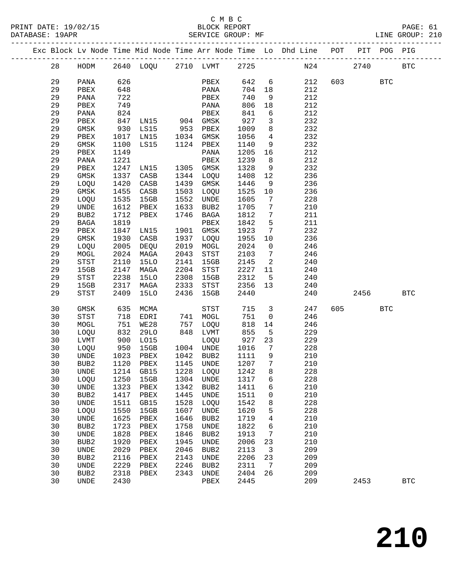|  |          |                                       |              |                                 |              |                  |              |                         | Exc Block Lv Node Time Mid Node Time Arr Node Time Lo Dhd Line POT |     | PIT  | POG PIG    |              |
|--|----------|---------------------------------------|--------------|---------------------------------|--------------|------------------|--------------|-------------------------|--------------------------------------------------------------------|-----|------|------------|--------------|
|  | 28       | HODM                                  |              | 2640 LOQU 2710 LVMT             |              |                  | 2725         |                         |                                                                    | N24 | 2740 |            | <b>BTC</b>   |
|  | 29       | PANA                                  | 626          |                                 |              | PBEX             | 642          | 6                       | 212                                                                | 603 |      | <b>BTC</b> |              |
|  | 29       | PBEX                                  | 648          |                                 |              | PANA             | 704          | 18                      | 212                                                                |     |      |            |              |
|  | 29       | PANA                                  | 722          |                                 |              | PBEX             | 740          | 9                       | 212                                                                |     |      |            |              |
|  | 29       | PBEX                                  | 749          |                                 |              | PANA             | 806          | 18                      | 212                                                                |     |      |            |              |
|  | 29       | PANA                                  | 824          |                                 |              | PBEX             | 841          | 6                       | 212                                                                |     |      |            |              |
|  | 29       | PBEX                                  | 847          | LN15 904 GMSK                   |              |                  | 927          | $\mathbf{3}$            | 232                                                                |     |      |            |              |
|  | 29       | GMSK                                  | 930          | LS15                            | 953          | PBEX             | 1009         | 8                       | 232                                                                |     |      |            |              |
|  | 29       | PBEX                                  | 1017         | LN15                            | 1034         | GMSK             | 1056         | $\overline{4}$          | 232                                                                |     |      |            |              |
|  | 29       | GMSK                                  | 1100         | LS15                            |              | 1124 PBEX        | 1140         | 9                       | 232                                                                |     |      |            |              |
|  | 29       | PBEX                                  | 1149         |                                 |              | PANA             | 1205         | 16                      | 212                                                                |     |      |            |              |
|  | 29       | PANA                                  | 1221         |                                 |              | PBEX             | 1239         | 8                       | 212                                                                |     |      |            |              |
|  | 29       | PBEX                                  | 1247         | LN15                            |              | 1305 GMSK        | 1328         | 9                       | 232                                                                |     |      |            |              |
|  | 29       | GMSK                                  | 1337         | CASB                            | 1344         | LOQU             | 1408         | 12                      | 236                                                                |     |      |            |              |
|  | 29       | LOQU                                  | 1420         | CASB                            | 1439         | GMSK             | 1446         | 9                       | 236                                                                |     |      |            |              |
|  | 29       | GMSK                                  | 1455         | CASB                            | 1503         | LOQU             | 1525         | 10                      | 236                                                                |     |      |            |              |
|  | 29       | LOQU                                  | 1535         | 15GB                            | 1552         | UNDE             | 1605         | 7                       | 228                                                                |     |      |            |              |
|  | 29       | UNDE                                  | 1612         | PBEX                            | 1633         | BUB2             | 1705         | $7\phantom{.0}$         | 210                                                                |     |      |            |              |
|  | 29       | BUB2                                  | 1712         | PBEX                            | 1746         | BAGA             | 1812         | 7                       | 211                                                                |     |      |            |              |
|  | 29       | BAGA                                  | 1819         |                                 |              | PBEX             | 1842         | 5                       | 211                                                                |     |      |            |              |
|  | 29       | PBEX                                  | 1847         | LN15                            | 1901         | GMSK             | 1923         | 7                       | 232                                                                |     |      |            |              |
|  | 29       | GMSK                                  | 1930         | CASB                            | 1937         | LOQU             | 1955         | 10                      | 236                                                                |     |      |            |              |
|  | 29       | LOQU                                  | 2005         | DEQU                            | 2019         | MOGL             | 2024         | $\overline{0}$          | 246                                                                |     |      |            |              |
|  | 29       | MOGL                                  | 2024         | MAGA                            | 2043         | STST             | 2103         | $7\phantom{.0}$         | 246                                                                |     |      |            |              |
|  | 29       | $_{\footnotesize{\textnormal{STST}}}$ | 2110         | <b>15LO</b>                     | 2141         | 15GB             | 2145         | $\overline{\mathbf{c}}$ | 240                                                                |     |      |            |              |
|  | 29       | 15GB                                  | 2147         | MAGA                            | 2204         | STST             | 2227         | 11                      | 240                                                                |     |      |            |              |
|  | 29       | STST                                  | 2238         | <b>15LO</b>                     | 2308         | 15GB             | 2312         | $5^{\circ}$             | 240                                                                |     |      |            |              |
|  | 29       | 15GB                                  | 2317         | MAGA                            | 2333         | STST             | 2356         | 13                      | 240                                                                |     |      |            |              |
|  | 29       | STST                                  | 2409         | 15LO                            | 2436         | 15GB             | 2440         |                         | 240                                                                |     | 2456 |            | <b>BTC</b>   |
|  | 30       | GMSK                                  | 635          | MCMA                            |              | STST             | 715          | $\overline{3}$          | 247                                                                | 605 |      | <b>BTC</b> |              |
|  | 30       | STST                                  | 718          | EDRI                            | 741          | MOGL             | 751          | $\overline{0}$          | 246                                                                |     |      |            |              |
|  | 30       | MOGL                                  | 751          | WE28                            | 757          | LOQU             | 818          | 14                      | 246                                                                |     |      |            |              |
|  | 30       | LOQU                                  | 832          | 29LO                            | 848          | LVMT             | 855          | $5^{\circ}$             | 229                                                                |     |      |            |              |
|  | 30       | LVMT                                  | 900          | L015                            |              | LOQU             | 927          | 23                      | 229                                                                |     |      |            |              |
|  | 30       | LOQU                                  | 950          | 15GB                            |              | 1004 UNDE        | 1016         | $\overline{7}$          | 228                                                                |     |      |            |              |
|  | 30       | UNDE                                  | 1023         | PBEX                            | 1042         | BUB2             | 1111         | 9                       | 210                                                                |     |      |            |              |
|  | 30       | BUB2                                  | 1120         | PBEX                            | 1145         | UNDE             | 1207         | $7\phantom{.0}$         | 210                                                                |     |      |            |              |
|  | 30       |                                       |              | UNDE 1214 GB15 1228 LOQU 1242 8 |              |                  |              |                         | 228                                                                |     |      |            |              |
|  | 30       | LOQU                                  | 1250         | 15GB                            | 1304         | UNDE             | 1317         | 6                       | 228                                                                |     |      |            |              |
|  | 30       | UNDE                                  | 1323         | PBEX                            | 1342         | BUB <sub>2</sub> | 1411         | 6                       | 210                                                                |     |      |            |              |
|  | 30       | BUB2                                  | 1417         | PBEX                            | 1445         | UNDE             | 1511         | 0                       | 210                                                                |     |      |            |              |
|  | 30       | UNDE                                  | 1511         | GB15                            | 1528         | LOQU             | 1542         | 8                       | 228                                                                |     |      |            |              |
|  | 30       | LOQU                                  | 1550         | 15GB                            | 1607         | UNDE             | 1620         | 5                       | 228                                                                |     |      |            |              |
|  | 30       | UNDE                                  | 1625         | PBEX                            | 1646         | BUB <sub>2</sub> | 1719         | 4                       | 210                                                                |     |      |            |              |
|  | 30       | BUB <sub>2</sub>                      | 1723         | PBEX                            | 1758         | UNDE             | 1822         | 6                       | 210                                                                |     |      |            |              |
|  | 30       | UNDE                                  | 1828         | PBEX                            | 1846         | BUB <sub>2</sub> | 1913         | 7                       | 210                                                                |     |      |            |              |
|  | 30       | BUB2                                  | 1920         | PBEX                            | 1945         | <b>UNDE</b>      | 2006         | 23                      | 210                                                                |     |      |            |              |
|  | 30       | UNDE                                  | 2029         | PBEX                            | 2046         | BUB <sub>2</sub> | 2113         | 3                       | 209                                                                |     |      |            |              |
|  | 30       | BUB <sub>2</sub>                      | 2116         | PBEX                            | 2143         | UNDE             | 2206         | 23                      | 209                                                                |     |      |            |              |
|  | 30<br>30 | UNDE                                  | 2229<br>2318 | PBEX                            | 2246<br>2343 | BUB2             | 2311<br>2404 | 7<br>26                 | 209<br>209                                                         |     |      |            |              |
|  | 30       | BUB2                                  | 2430         | PBEX                            |              | UNDE             | 2445         |                         | 209                                                                |     |      |            |              |
|  |          | UNDE                                  |              |                                 |              | PBEX             |              |                         |                                                                    |     | 2453 |            | $_{\rm BTC}$ |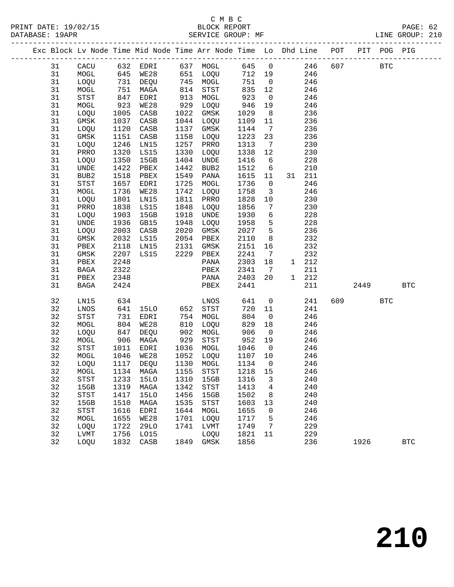|  |          |                                               |              | Exc Block Lv Node Time Mid Node Time Arr Node Time Lo Dhd Line POT PIT POG PIG |              |                                       |              |                         |            |           |            |              |
|--|----------|-----------------------------------------------|--------------|--------------------------------------------------------------------------------|--------------|---------------------------------------|--------------|-------------------------|------------|-----------|------------|--------------|
|  | 31       |                                               |              | CACU 632 EDRI 637 MOGL 645 0                                                   |              |                                       |              |                         | 246 607    |           | <b>BTC</b> |              |
|  | 31       | MOGL                                          |              | 645 WE28 651 LOQU                                                              |              |                                       | 712 19       |                         | 246        |           |            |              |
|  | 31       | LOQU                                          | 731          | DEQU 745 MOGL                                                                  |              |                                       | 751          | $\overline{0}$          | 246        |           |            |              |
|  | 31       | MOGL                                          | 751          | MAGA                                                                           | 814          | STST                                  | 835          | 12                      | 246        |           |            |              |
|  | 31       | STST                                          | 847<br>923   | EDRI                                                                           | 913          | MOGL                                  | 923          | $\overline{0}$          | 246        |           |            |              |
|  | 31       | MOGL                                          |              | <b>WE28</b>                                                                    | 929          | LOQU                                  | 946          | 19                      | 246        |           |            |              |
|  | 31       | LOQU                                          | 1005         | CASB                                                                           | 1022         | GMSK                                  | 1029         | 8 <sup>8</sup>          | 236        |           |            |              |
|  | 31       | GMSK                                          | 1037         | CASB                                                                           |              | 1044 LOQU                             | 1109         | 11                      | 236        |           |            |              |
|  | 31       | LOQU                                          | 1120         | CASB                                                                           | 1137         | GMSK                                  | 1144         | $\overline{7}$          | 236        |           |            |              |
|  | 31       | GMSK                                          | 1151         | CASB                                                                           | 1158         | LOQU                                  | 1223         | 23                      | 236        |           |            |              |
|  | 31       | LOQU                                          | 1246         | LN15                                                                           | 1257         | PRRO                                  | 1313         | $\overline{7}$          | 230        |           |            |              |
|  | 31       | PRRO                                          | 1320         | LS15                                                                           | 1330         | LOQU                                  | 1338         | 12                      | 230        |           |            |              |
|  | 31       | LOQU                                          | 1350         | 15GB                                                                           |              | 1404 UNDE                             | 1416         | 6                       | 228        |           |            |              |
|  | 31       | UNDE                                          | 1422         | PBEX                                                                           | 1442         | BUB2                                  | 1512         | $6\overline{6}$         | 210        |           |            |              |
|  | 31       | BUB2                                          | 1518         | PBEX                                                                           | 1549         | PANA                                  | 1615         | 11                      | 31 211     |           |            |              |
|  | 31       | STST                                          | 1657         | EDRI                                                                           | 1725         | MOGL                                  | 1736         | $\overline{0}$          | 246        |           |            |              |
|  | 31       | MOGL                                          | 1736         | WE28                                                                           | 1742         | LOQU                                  | 1758         | $\overline{\mathbf{3}}$ | 246        |           |            |              |
|  | 31       | LOQU                                          | 1801         | LN15                                                                           |              | 1811 PRRO                             | 1828         | 10                      | 230        |           |            |              |
|  | 31       | PRRO                                          | 1838         | LS15                                                                           | 1848         | LOQU                                  | 1856         | $\overline{7}$          | 230        |           |            |              |
|  | 31       | LOQU                                          | 1903         | 15GB                                                                           | 1918         | UNDE                                  | 1930         | $6\overline{6}$         | 228        |           |            |              |
|  | 31       | UNDE                                          | 1936         | GB15                                                                           | 1948         | LOQU                                  | 1958         | $5^{\circ}$             | 228        |           |            |              |
|  | 31       | LOQU                                          | 2003         | CASB                                                                           |              | 2020 GMSK                             | 2027         | $5^{\circ}$             | 236        |           |            |              |
|  | 31       | GMSK                                          | 2032         | LS15                                                                           |              | 2054 PBEX<br>2131 GMSK                | 2110         | 8                       | 232        |           |            |              |
|  | 31       | PBEX                                          | 2118         | LN15<br>LS15                                                                   |              |                                       | 2151         | 16                      | 232<br>232 |           |            |              |
|  | 31<br>31 | GMSK<br>PBEX                                  | 2207<br>2248 |                                                                                |              | 2229 PBEX<br>PANA                     | 2241<br>2303 | $\overline{7}$<br>18    | 1 212      |           |            |              |
|  | 31       | BAGA                                          | 2322         |                                                                                |              | PBEX                                  | 2341         | $\overline{7}$          | 211        |           |            |              |
|  | 31       | PBEX                                          | 2348         |                                                                                |              | PANA                                  | 2403         | 20                      | 1 212      |           |            |              |
|  | 31       | BAGA                                          | 2424         |                                                                                |              | PBEX                                  | 2441         |                         | 211        | 2449      |            | $_{\rm BTC}$ |
|  |          |                                               |              |                                                                                |              |                                       |              |                         |            |           |            |              |
|  | 32       | LN15                                          | 634          |                                                                                |              | LNOS                                  | 641          | $\overline{0}$          | 241        | 609 — 100 | <b>BTC</b> |              |
|  | 32       | LNOS                                          | 641          | 15LO                                                                           | 652          | STST                                  | 720          | 11                      | 241        |           |            |              |
|  | 32       | $_{\footnotesize{\textnormal{STST}}}$         | 731          | EDRI                                                                           | 754          | MOGL                                  | 804          | $\overline{0}$          | 246        |           |            |              |
|  | 32       | MOGL                                          | 804          | WE28                                                                           | 810          | LOQU                                  | 829          | 18                      | 246        |           |            |              |
|  | 32       | LOQU                                          | 847          | DEQU                                                                           | 902          | MOGL                                  | 906          | $\overline{0}$          | 246        |           |            |              |
|  | 32       | MOGL                                          | 906          | MAGA                                                                           | 929          | STST                                  | 952          | 19                      | 246        |           |            |              |
|  | 32       | STST                                          | 1011         | EDRI                                                                           | 1036         | MOGL                                  | 1046         | $\overline{0}$          | 246        |           |            |              |
|  | 32       | MOGL                                          | 1046         | <b>WE28</b>                                                                    | 1052         | LOQU                                  | 1107 10      |                         | 246        |           |            |              |
|  | 32       | LOQU                                          | 1117         | DEQU                                                                           |              | 1130 MOGL                             | 1134         | $\overline{0}$          | 246        |           |            |              |
|  | 32       |                                               |              | MOGL 1134 MAGA 1155                                                            |              | STST                                  | 1218 15      |                         | 246        |           |            |              |
|  | 32<br>32 | STST                                          | 1233         | 15LO                                                                           | 1310<br>1342 | 15GB                                  | 1316         | 3<br>$\overline{4}$     | 240<br>240 |           |            |              |
|  | 32       | 15GB<br>$_{\footnotesize{\textnormal{STST}}}$ | 1319<br>1417 | MAGA<br>15LO                                                                   | 1456         | STST<br>15GB                          | 1413<br>1502 | 8                       | 240        |           |            |              |
|  | 32       | 15GB                                          | 1510         | MAGA                                                                           | 1535         | $_{\footnotesize{\textnormal{STST}}}$ | 1603         | 13                      | 240        |           |            |              |
|  | 32       | STST                                          | 1616         | EDRI                                                                           | 1644         | MOGL                                  | 1655         | 0                       | 246        |           |            |              |
|  | 32       | MOGL                                          | 1655         | WE28                                                                           | 1701         | LOQU                                  | 1717         | 5                       | 246        |           |            |              |
|  | 32       | LOQU                                          | 1722         | 29LO                                                                           | 1741         | LVMT                                  | 1749         | 7                       | 229        |           |            |              |
|  | 32       | LVMT                                          | 1756         | LO15                                                                           |              | LOQU                                  | 1821         | 11                      | 229        |           |            |              |
|  | 32       | LOQU                                          | 1832         | CASB                                                                           | 1849         | GMSK                                  | 1856         |                         | 236        | 1926      |            | $_{\rm BTC}$ |
|  |          |                                               |              |                                                                                |              |                                       |              |                         |            |           |            |              |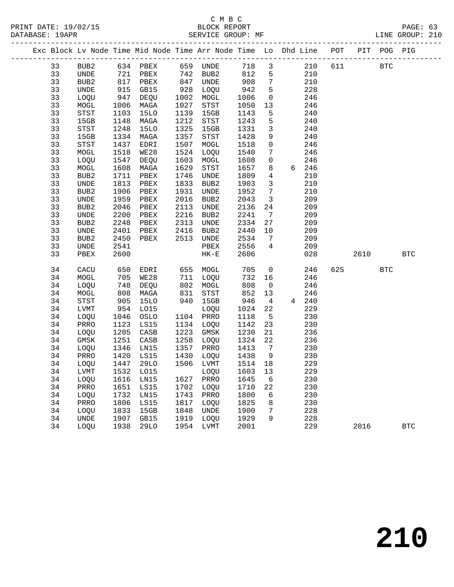DATABASE: 19APR<br>SERVICE: 19APR<br>---------------

#### C M B C PAGE: 63<br>BLOCK REPORT PAGE: 63<br>SERVICE GROUP: MF LINE GROUP: 210

|  | DATABASE: 19APR |                  |      |                                                                    |      | SEKATCE GKOOL: ME |      |                 |   |     |     |      |             | TIME GKOOL: SIO |
|--|-----------------|------------------|------|--------------------------------------------------------------------|------|-------------------|------|-----------------|---|-----|-----|------|-------------|-----------------|
|  |                 |                  |      | Exc Block Lv Node Time Mid Node Time Arr Node Time Lo Dhd Line POT |      |                   |      |                 |   |     |     |      | PIT POG PIG |                 |
|  | 33              | BUB2             | 634  | PBEX                                                               | 659  | UNDE              | 718  | 3 <sup>7</sup>  |   | 210 |     | 611  | <b>BTC</b>  |                 |
|  | 33              | UNDE             | 721  | PBEX                                                               | 742  | BUB <sub>2</sub>  | 812  | 5               |   | 210 |     |      |             |                 |
|  | 33              | BUB2             | 817  | PBEX                                                               | 847  | UNDE              | 908  | $7\phantom{.0}$ |   | 210 |     |      |             |                 |
|  | 33              | UNDE             | 915  | GB15                                                               | 928  | <b>LOOU</b>       | 942  | 5               |   | 228 |     |      |             |                 |
|  | 33              | LOQU             | 947  | DEQU                                                               | 1002 | MOGL              | 1006 | $\Omega$        |   | 246 |     |      |             |                 |
|  | 33              | MOGL             | 1006 | MAGA                                                               | 1027 | STST              | 1050 | 13              |   | 246 |     |      |             |                 |
|  | 33              | <b>STST</b>      | 1103 | 15LO                                                               | 1139 | 15GB              | 1143 | 5               |   | 240 |     |      |             |                 |
|  | 33              | 15GB             | 1148 | MAGA                                                               | 1212 | STST              | 1243 | 5               |   | 240 |     |      |             |                 |
|  | 33              | <b>STST</b>      | 1248 | 15LO                                                               | 1325 | 15GB              | 1331 | $\overline{3}$  |   | 240 |     |      |             |                 |
|  | 33              | 15GB             | 1334 | MAGA                                                               | 1357 | <b>STST</b>       | 1428 | 9               |   | 240 |     |      |             |                 |
|  | 33              | STST             | 1437 | EDRI                                                               | 1507 | MOGL              | 1518 | $\Omega$        |   | 246 |     |      |             |                 |
|  | 33              | MOGL             | 1518 | <b>WE28</b>                                                        | 1524 | LOQU              | 1540 | 7               |   | 246 |     |      |             |                 |
|  | 33              | LOQU             | 1547 | <b>DEOU</b>                                                        | 1603 | MOGL              | 1608 | $\overline{0}$  |   | 246 |     |      |             |                 |
|  | 33              | MOGL             | 1608 | MAGA                                                               | 1629 | STST              | 1657 | 8               | 6 | 246 |     |      |             |                 |
|  | 33              | BUB <sub>2</sub> | 1711 | PBEX                                                               | 1746 | <b>UNDE</b>       | 1809 | 4               |   | 210 |     |      |             |                 |
|  | 33              | <b>UNDE</b>      | 1813 | PBEX                                                               | 1833 | BUB <sub>2</sub>  | 1903 | 3               |   | 210 |     |      |             |                 |
|  | 33              | BUB <sub>2</sub> | 1906 | PBEX                                                               | 1931 | <b>UNDE</b>       | 1952 | 7               |   | 210 |     |      |             |                 |
|  | 33              | UNDE             | 1959 | PBEX                                                               | 2016 | BUB <sub>2</sub>  | 2043 | $\overline{3}$  |   | 209 |     |      |             |                 |
|  | 33              | BUB2             | 2046 | PBEX                                                               | 2113 | UNDE              | 2136 | 24              |   | 209 |     |      |             |                 |
|  | 33              | UNDE             | 2200 | PBEX                                                               | 2216 | BUB <sub>2</sub>  | 2241 | 7               |   | 209 |     |      |             |                 |
|  | 33              | BUB <sub>2</sub> | 2248 | PBEX                                                               | 2313 | <b>UNDE</b>       | 2334 | 27              |   | 209 |     |      |             |                 |
|  | 33              | UNDE             | 2401 | PBEX                                                               | 2416 | BUB <sub>2</sub>  | 2440 | 10              |   | 209 |     |      |             |                 |
|  | 33              | BUB <sub>2</sub> | 2450 | PBEX                                                               | 2513 | <b>UNDE</b>       | 2534 | 7               |   | 209 |     |      |             |                 |
|  | 33              | UNDE             | 2541 |                                                                    |      | PBEX              | 2556 | 4               |   | 209 |     |      |             |                 |
|  | 33              | PBEX             | 2600 |                                                                    |      | $HK-E$            | 2606 |                 |   | 028 |     | 2610 |             | <b>BTC</b>      |
|  | 34              | CACU             | 650  | EDRI                                                               | 655  | MOGL              | 705  | $\Omega$        |   | 246 | 625 |      | <b>BTC</b>  |                 |
|  | 34              | MOGL             | 705  | <b>WE28</b>                                                        | 711  | LOQU              | 732  | 16              |   | 246 |     |      |             |                 |
|  | 34              | LOOU             | 748  | DEOU                                                               | 802  | MOGL              | 808  | $\Omega$        |   | 246 |     |      |             |                 |

| 34 | LOQU        | 748  | DEQU | 802  | MOGL | 808  | $\mathbf 0$ |   | 246 |      |            |
|----|-------------|------|------|------|------|------|-------------|---|-----|------|------------|
| 34 | MOGL        | 808  | MAGA | 831  | STST | 852  | 13          |   | 246 |      |            |
| 34 | STST        | 905  | 15LO | 940  | 15GB | 946  | 4           | 4 | 240 |      |            |
| 34 | LVMT        | 954  | L015 |      | LOQU | 1024 | 22          |   | 229 |      |            |
| 34 | LOQU        | 1046 | OSLO | 1104 | PRRO | 1118 | -5          |   | 230 |      |            |
| 34 | PRRO        | 1123 | LS15 | 1134 | LOQU | 1142 | 23          |   | 230 |      |            |
| 34 | <b>LOOU</b> | 1205 | CASB | 1223 | GMSK | 1230 | 21          |   | 236 |      |            |
| 34 | GMSK        | 1251 | CASB | 1258 | LOQU | 1324 | 22          |   | 236 |      |            |
| 34 | <b>LOOU</b> | 1346 | LN15 | 1357 | PRRO | 1413 | 7           |   | 230 |      |            |
| 34 | PRRO        | 1420 | LS15 | 1430 | LOQU | 1438 | 9           |   | 230 |      |            |
| 34 | LOQU        | 1447 | 29LO | 1506 | LVMT | 1514 | 18          |   | 229 |      |            |
| 34 | LVMT        | 1532 | L015 |      | LOQU | 1603 | 13          |   | 229 |      |            |
| 34 | LOOU        | 1616 | LN15 | 1627 | PRRO | 1645 | 6           |   | 230 |      |            |
| 34 | PRRO        | 1651 | LS15 | 1702 | LOQU | 1710 | 22          |   | 230 |      |            |
| 34 | <b>LOOU</b> | 1732 | LN15 | 1743 | PRRO | 1800 | 6           |   | 230 |      |            |
| 34 | PRRO        | 1806 | LS15 | 1817 | LOQU | 1825 | 8           |   | 230 |      |            |
| 34 | LOQU        | 1833 | 15GB | 1848 | UNDE | 1900 | 7           |   | 228 |      |            |
| 34 | UNDE        | 1907 | GB15 | 1919 | LOQU | 1929 | 9           |   | 228 |      |            |
| 34 | <b>LOOU</b> | 1938 | 29LO | 1954 | LVMT | 2001 |             |   | 229 | 2016 | <b>BTC</b> |
|    |             |      |      |      |      |      |             |   |     |      |            |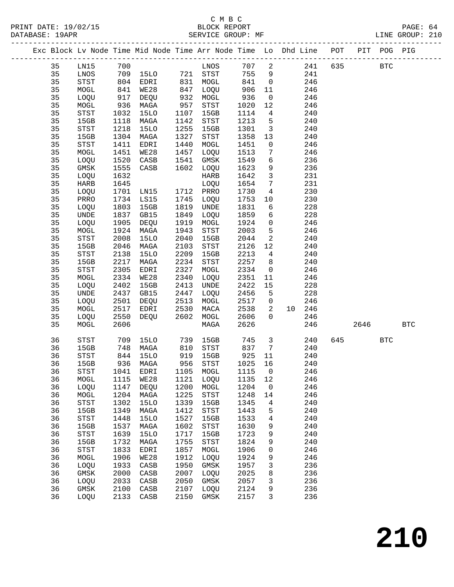|          |                                                     |              | Exc Block Lv Node Time Mid Node Time Arr Node Time Lo Dhd Line POT PIT POG PIG |              |                     |              |                                   |                                |         |            |              |            |
|----------|-----------------------------------------------------|--------------|--------------------------------------------------------------------------------|--------------|---------------------|--------------|-----------------------------------|--------------------------------|---------|------------|--------------|------------|
|          |                                                     |              |                                                                                |              |                     |              |                                   |                                |         |            |              |            |
| 35       | LN15                                                | 700          |                                                                                |              | LNOS                | 707          | $\overline{\mathbf{c}}$           |                                | 241 635 | <b>BTC</b> |              |            |
| 35       | LNOS                                                |              | 709 15LO 721 STST                                                              |              |                     | 755          | 9                                 | 241                            |         |            |              |            |
| 35       | STST                                                |              | 804 EDRI                                                                       |              | 831 MOGL            | 841          | $\overline{0}$                    | 246                            |         |            |              |            |
| 35<br>35 | MOGL                                                | 841<br>917   | WE28                                                                           | 847          | LOQU<br>932 MOGL    | 906<br>936   | 11<br>$\overline{0}$              | 246<br>246                     |         |            |              |            |
| 35       | LOQU<br>MOGL                                        | 936          | DEQU<br>MAGA                                                                   | 957          | STST                | 1020         | 12                                | 246                            |         |            |              |            |
| 35       | STST                                                | 1032         | 15LO                                                                           | 1107         | 15GB                | 1114         | $\overline{4}$                    | 240                            |         |            |              |            |
| 35       | 15GB                                                | 1118         | MAGA                                                                           | 1142         | STST                | 1213         | $5\phantom{.0}$                   | 240                            |         |            |              |            |
| 35       | STST                                                | 1218         | 15LO                                                                           | 1255         | 15GB                | 1301         | $\overline{\mathbf{3}}$           | 240                            |         |            |              |            |
| 35       | 15GB                                                |              | 1304 MAGA                                                                      | 1327         | STST                | 1358         | 13                                | 240                            |         |            |              |            |
| 35       | STST                                                | 1411         | EDRI                                                                           | 1440         | MOGL                | 1451         | $\overline{0}$                    | 246                            |         |            |              |            |
| 35       | MOGL                                                | 1451         | WE28                                                                           | 1457         | LOQU                | 1513         | 7                                 | 246                            |         |            |              |            |
| 35       | LOQU                                                | 1520         | CASB                                                                           | 1541         | GMSK                | 1549         | 6                                 | 236                            |         |            |              |            |
| 35       | GMSK                                                | 1555         | CASB                                                                           | 1602         | LOQU                | 1623         | 9                                 | 236                            |         |            |              |            |
| 35       | LOQU                                                | 1632         |                                                                                |              | HARB                | 1642         | $\mathbf{3}$                      | 231                            |         |            |              |            |
| 35       | HARB                                                | 1645         |                                                                                |              | LOQU                | 1654         | $7\phantom{.0}$                   | 231                            |         |            |              |            |
| 35       | LOQU                                                | 1701         | LN15                                                                           |              | 1712 PRRO           | 1730         | $\overline{4}$                    | 230                            |         |            |              |            |
| 35       | PRRO                                                |              | 1734 LS15                                                                      | 1745         | LOQU                | 1753         | 10                                | 230                            |         |            |              |            |
| 35       | LOQU                                                | 1803         | 15GB                                                                           | 1819         | UNDE                | 1831         | 6                                 | 228                            |         |            |              |            |
| 35       | UNDE                                                | 1837         | GB15                                                                           | 1849         | LOQU                | 1859         | 6                                 | 228                            |         |            |              |            |
| 35       | LOQU                                                | 1905         | DEQU                                                                           | 1919         | MOGL                | 1924         | $\overline{0}$<br>$5\phantom{.0}$ | 246                            |         |            |              |            |
| 35<br>35 | $\tt MOGL$<br>$_{\footnotesize{\textnormal{STST}}}$ | 1924<br>2008 | MAGA<br><b>15LO</b>                                                            | 1943<br>2040 | STST<br>15GB        | 2003<br>2044 | $\overline{a}$                    | 246<br>240                     |         |            |              |            |
| 35       | 15GB                                                | 2046         | MAGA                                                                           | 2103         | STST                | 2126         | 12                                | 240                            |         |            |              |            |
| 35       | $_{\footnotesize{\textnormal{STST}}}$               | 2138         | 15LO                                                                           | 2209         | 15GB                | 2213         | $4\overline{ }$                   | 240                            |         |            |              |            |
| 35       | 15GB                                                | 2217         | MAGA                                                                           | 2234         | STST                | 2257         | 8 <sup>8</sup>                    | 240                            |         |            |              |            |
| 35       | $_{\footnotesize{\textnormal{STST}}}$               | 2305         | EDRI                                                                           | 2327         | MOGL                | 2334         | $\overline{0}$                    | 246                            |         |            |              |            |
| 35       | MOGL                                                | 2334         | WE28                                                                           | 2340         | LOQU                | 2351         | 11                                | 246                            |         |            |              |            |
| 35       | LOQU                                                | 2402         | 15GB                                                                           | 2413         | UNDE                | 2422         | 15                                | 228                            |         |            |              |            |
| 35       | $\ensuremath{\mathsf{UNDE}}$                        | 2437         | GB15                                                                           | 2447         | LOQU                | 2456         | $5\overline{)}$                   | 228                            |         |            |              |            |
| 35       | LOQU                                                | 2501         | DEQU                                                                           | 2513         | MOGL                | 2517         | $\overline{0}$                    | 246                            |         |            |              |            |
| 35       | MOGL                                                | 2517         | EDRI                                                                           | 2530         | MACA                | 2538         | $\overline{\mathbf{c}}$           | 10 246                         |         |            |              |            |
| 35       | LOQU                                                | 2550         | DEQU                                                                           | 2602         | MOGL                | 2606         | $\Omega$                          | 246                            |         |            |              |            |
| 35       | MOGL                                                | 2606         |                                                                                |              | MAGA                | 2626         |                                   | 246                            |         | 2646       |              | <b>BTC</b> |
| 36       | STST                                                |              | 709 15LO                                                                       | 739          | 15GB                | 745          |                                   | $\overline{\mathbf{3}}$<br>240 |         | 645        | $_{\rm BTC}$ |            |
| 36       | 15GB                                                | 748          | MAGA                                                                           | 810          | STST                | 837          | $7\overline{ }$                   | 240                            |         |            |              |            |
| 36       | STST                                                | 844<br>936   | 15LO                                                                           |              | 919 15GB            | 925          | 11                                | 240                            |         |            |              |            |
| 36       | 15GB                                                |              | 936 MAGA                                                                       | 956          | STST                | 1025         | 16                                | 240                            |         |            |              |            |
| 36       | STST                                                |              | 1041 EDRI 1105 MOGL 1115 0                                                     |              |                     |              |                                   | 246                            |         |            |              |            |
| 36       | MOGL                                                | 1115         | <b>WE28</b>                                                                    | 1121         | LOQU                | 1135         | 12                                | 246                            |         |            |              |            |
| 36<br>36 | LOQU                                                | 1147<br>1204 | DEQU                                                                           | 1200<br>1225 | MOGL<br><b>STST</b> | 1204<br>1248 | $\overline{0}$                    | 246<br>246                     |         |            |              |            |
| 36       | MOGL<br>STST                                        | 1302         | MAGA<br><b>15LO</b>                                                            | 1339         | 15GB                | 1345         | 14<br>4                           | 240                            |         |            |              |            |
| 36       | 15GB                                                | 1349         | MAGA                                                                           | 1412         | STST                | 1443         | 5                                 | 240                            |         |            |              |            |
| 36       | ${\tt STST}$                                        | 1448         | 15LO                                                                           | 1527         | 15GB                | 1533         | 4                                 | 240                            |         |            |              |            |
| 36       | 15GB                                                | 1537         | MAGA                                                                           | 1602         | STST                | 1630         | 9                                 | 240                            |         |            |              |            |
| 36       | ${\tt STST}$                                        | 1639         | <b>15LO</b>                                                                    | 1717         | 15GB                | 1723         | 9                                 | 240                            |         |            |              |            |
| 36       | 15GB                                                | 1732         | MAGA                                                                           | 1755         | STST                | 1824         | 9                                 | 240                            |         |            |              |            |
| 36       | <b>STST</b>                                         | 1833         | EDRI                                                                           | 1857         | MOGL                | 1906         | 0                                 | 246                            |         |            |              |            |
| 36       | MOGL                                                | 1906         | WE28                                                                           | 1912         | LOQU                | 1924         | 9                                 | 246                            |         |            |              |            |
| 36       | LOQU                                                | 1933         | CASB                                                                           | 1950         | GMSK                | 1957         | 3                                 | 236                            |         |            |              |            |
| 36       | GMSK                                                | 2000         | CASB                                                                           | 2007         | LOQU                | 2025         | 8                                 | 236                            |         |            |              |            |
| 36       | LOQU                                                | 2033         | CASB                                                                           | 2050         | GMSK                | 2057         | 3                                 | 236                            |         |            |              |            |
| 36       | GMSK                                                | 2100         | CASB                                                                           | 2107         | LOQU                | 2124         | 9                                 | 236                            |         |            |              |            |
| 36       | LOQU                                                | 2133         | CASB                                                                           | 2150         | GMSK                | 2157         | 3                                 | 236                            |         |            |              |            |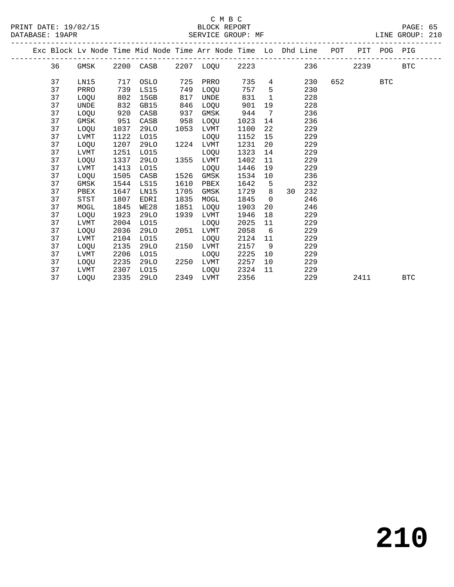|  |    |             |      | Exc Block Lv Node Time Mid Node Time Arr Node Time Lo Dhd Line POT |      |                |      |                |    |     |     |      | PIT POG PIG |            |  |
|--|----|-------------|------|--------------------------------------------------------------------|------|----------------|------|----------------|----|-----|-----|------|-------------|------------|--|
|  | 36 | GMSK        |      | 2200 CASB                                                          |      | 2207 LOQU 2223 |      |                |    | 236 |     | 2239 |             | <b>BTC</b> |  |
|  | 37 | LN15        | 717  | OSLO                                                               | 725  | PRRO           | 735  | 4              |    | 230 | 652 |      | <b>BTC</b>  |            |  |
|  | 37 | PRRO        | 739  | LS15                                                               | 749  | LOOU           | 757  | $5^{\circ}$    |    | 230 |     |      |             |            |  |
|  | 37 | LOQU        | 802  | 15GB                                                               | 817  | UNDE           | 831  | $\mathbf{1}$   |    | 228 |     |      |             |            |  |
|  | 37 | UNDE        | 832  | GB15                                                               | 846  | LOOU           | 901  | 19             |    | 228 |     |      |             |            |  |
|  | 37 | LOQU        | 920  | CASB                                                               | 937  | GMSK           | 944  | 7              |    | 236 |     |      |             |            |  |
|  | 37 | GMSK        | 951  | CASB                                                               | 958  | LOQU           | 1023 | 14             |    | 236 |     |      |             |            |  |
|  | 37 | LOQU        | 1037 | 29LO                                                               | 1053 | <b>LVMT</b>    | 1100 | 22             |    | 229 |     |      |             |            |  |
|  | 37 | LVMT        | 1122 | L015                                                               |      | LOQU           | 1152 | 15             |    | 229 |     |      |             |            |  |
|  | 37 | LOQU        | 1207 | 29LO                                                               | 1224 | LVMT           | 1231 | 20             |    | 229 |     |      |             |            |  |
|  | 37 | <b>LVMT</b> | 1251 | L015                                                               |      | <b>LOOU</b>    | 1323 | 14             |    | 229 |     |      |             |            |  |
|  | 37 | LOQU        | 1337 | 29LO                                                               | 1355 | LVMT           | 1402 | 11             |    | 229 |     |      |             |            |  |
|  | 37 | LVMT        | 1413 | L015                                                               |      | LOQU           | 1446 | 19             |    | 229 |     |      |             |            |  |
|  | 37 | LOQU        | 1505 | CASB                                                               | 1526 | GMSK           | 1534 | 10             |    | 236 |     |      |             |            |  |
|  | 37 | GMSK        | 1544 | LS15                                                               | 1610 | PBEX           | 1642 | 5              |    | 232 |     |      |             |            |  |
|  | 37 | PBEX        | 1647 | LN15                                                               | 1705 | GMSK           | 1729 | 8              | 30 | 232 |     |      |             |            |  |
|  | 37 | <b>STST</b> | 1807 | EDRI                                                               | 1835 | MOGL           | 1845 | $\overline{0}$ |    | 246 |     |      |             |            |  |
|  | 37 | MOGL        | 1845 | WE28                                                               | 1851 | LOQU           | 1903 | 20             |    | 246 |     |      |             |            |  |
|  | 37 | LOQU        | 1923 | 29LO                                                               | 1939 | LVMT           | 1946 | 18             |    | 229 |     |      |             |            |  |
|  | 37 | LVMT        | 2004 | L015                                                               |      | LOQU           | 2025 | 11             |    | 229 |     |      |             |            |  |
|  | 37 | LOQU        | 2036 | 29LO                                                               | 2051 | <b>LVMT</b>    | 2058 | 6              |    | 229 |     |      |             |            |  |
|  | 37 | LVMT        | 2104 | L015                                                               |      | LOQU           | 2124 | 11             |    | 229 |     |      |             |            |  |
|  | 37 | LOQU        | 2135 | 29LO                                                               | 2150 | LVMT           | 2157 | - 9            |    | 229 |     |      |             |            |  |
|  | 37 | LVMT        | 2206 | L015                                                               |      | LOQU           | 2225 | 10             |    | 229 |     |      |             |            |  |
|  | 37 | LOQU        | 2235 | 29LO                                                               | 2250 | LVMT           | 2257 | 10             |    | 229 |     |      |             |            |  |
|  | 37 | LVMT        | 2307 | L015                                                               |      | LOOU           | 2324 | 11             |    | 229 |     |      |             |            |  |
|  | 37 | LOOU        | 2335 | 29LO                                                               |      | 2349 LVMT      | 2356 |                |    | 229 |     | 2411 |             | <b>BTC</b> |  |
|  |    |             |      |                                                                    |      |                |      |                |    |     |     |      |             |            |  |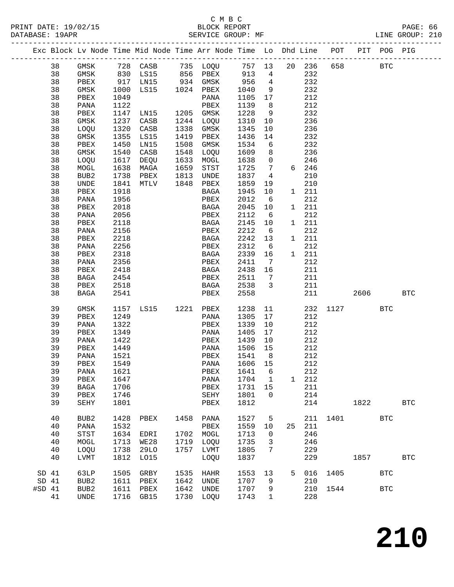|        |          |                  |              | Exc Block Lv Node Time Mid Node Time Arr Node Time Lo Dhd Line                                                   |      |                     |              |                         |    |              | POT      | PIT  | POG PIG    |              |
|--------|----------|------------------|--------------|------------------------------------------------------------------------------------------------------------------|------|---------------------|--------------|-------------------------|----|--------------|----------|------|------------|--------------|
|        | 38       | GMSK             |              |                                                                                                                  |      |                     |              |                         |    | 20 236       | 658      |      | <b>BTC</b> |              |
|        | 38       | GMSK             |              | 728    CASB           735    LOQU           757     13<br>830    LS15          856    PBEX           913       4 |      |                     |              |                         |    | 232          |          |      |            |              |
|        | 38       | PBEX             | 917          | LNI5                                                                                                             |      | 934 GMSK            | 956          | $\overline{4}$          |    | 232          |          |      |            |              |
|        | 38       | GMSK             | 1000         | LS15                                                                                                             |      | 1024 PBEX           | 1040         | 9                       |    | 232          |          |      |            |              |
|        | 38       | PBEX             | 1049         |                                                                                                                  |      | PANA                | 1105         | 17                      |    | 212          |          |      |            |              |
|        | 38       | PANA             | 1122         |                                                                                                                  |      | PBEX                | 1139         | 8 <sup>8</sup>          |    | 212          |          |      |            |              |
|        | 38       | PBEX             | 1147         | LN15                                                                                                             |      | 1205 GMSK           | 1228         | 9                       |    | 232          |          |      |            |              |
|        | 38       | GMSK             | 1237         | CASB                                                                                                             | 1244 | LOQU                | 1310         | 10                      |    | 236          |          |      |            |              |
|        | 38       | LOQU             | 1320         | CASB                                                                                                             | 1338 | GMSK                | 1345         | 10                      |    | 236          |          |      |            |              |
|        | 38       | GMSK             | 1355         | LS15                                                                                                             | 1419 | PBEX                | 1436         | 14                      |    | 232          |          |      |            |              |
|        | 38       | PBEX             | 1450         | LN15                                                                                                             | 1508 | GMSK                | 1534         | 6                       |    | 232          |          |      |            |              |
|        | 38       | GMSK             | 1540         | CASB                                                                                                             | 1548 | LOQU                | 1609         | 8                       |    | 236          |          |      |            |              |
|        | 38       | LOQU             | 1617         | DEQU                                                                                                             | 1633 | MOGL                | 1638         | $\mathsf{O}$            |    | 246          |          |      |            |              |
|        | 38       | MOGL             | 1638         | MAGA                                                                                                             | 1659 | STST                | 1725         | $7\overline{ }$         |    | 6 246        |          |      |            |              |
|        | 38       | BUB2             | 1738         | PBEX                                                                                                             | 1813 | UNDE                | 1837         | $\overline{4}$          |    | 210          |          |      |            |              |
|        | 38       | UNDE             | 1841         | MTLV                                                                                                             | 1848 | PBEX                | 1859         | 19                      |    | 210          |          |      |            |              |
|        | 38       | PBEX             | 1918         |                                                                                                                  |      | BAGA                | 1945         | 10                      |    | 1 211        |          |      |            |              |
|        | 38       | PANA             | 1956         |                                                                                                                  |      | PBEX                | 2012         | - 6                     |    | 212          |          |      |            |              |
|        | 38       | PBEX             | 2018         |                                                                                                                  |      | BAGA                | 2045         | 10                      |    | 1 211        |          |      |            |              |
|        | 38       | PANA             | 2056         |                                                                                                                  |      | PBEX                | 2112         | - 6                     |    | 212          |          |      |            |              |
|        | 38       | PBEX             | 2118         |                                                                                                                  |      | BAGA                | 2145         | 10                      |    | 1 211        |          |      |            |              |
|        | 38       | PANA             | 2156         |                                                                                                                  |      | PBEX                | 2212         | $6\overline{6}$         |    | 212          |          |      |            |              |
|        | 38       | PBEX             | 2218         |                                                                                                                  |      | BAGA                | 2242<br>2312 | 13                      |    | 1 211<br>212 |          |      |            |              |
|        | 38<br>38 | PANA<br>PBEX     | 2256<br>2318 |                                                                                                                  |      | PBEX<br>BAGA        | 2339         | $6\overline{6}$<br>16   |    | 1 211        |          |      |            |              |
|        | 38       | PANA             | 2356         |                                                                                                                  |      | PBEX                | 2411         | $\overline{7}$          |    | 212          |          |      |            |              |
|        | 38       | PBEX             | 2418         |                                                                                                                  |      | BAGA                | 2438         | 16                      |    | 211          |          |      |            |              |
|        | 38       | BAGA             | 2454         |                                                                                                                  |      | PBEX                | 2511         | $\overline{7}$          |    | 211          |          |      |            |              |
|        | 38       | PBEX             | 2518         |                                                                                                                  |      | BAGA                | 2538         | $\overline{\mathbf{3}}$ |    | 211          |          |      |            |              |
|        | 38       | BAGA             | 2541         |                                                                                                                  |      | PBEX                | 2558         |                         |    | 211          |          | 2606 |            | <b>BTC</b>   |
|        |          |                  |              |                                                                                                                  |      |                     |              |                         |    |              |          |      |            |              |
|        | 39       | GMSK             | 1157         | LS15                                                                                                             | 1221 | PBEX                | 1238         | 11                      |    |              | 232 1127 |      | <b>BTC</b> |              |
|        | 39       | PBEX             | 1249         |                                                                                                                  |      | PANA                | 1305         | 17                      |    | 212          |          |      |            |              |
|        | 39       | PANA             | 1322         |                                                                                                                  |      | PBEX                | 1339         | 10                      |    | 212          |          |      |            |              |
|        | 39       | PBEX             | 1349         |                                                                                                                  |      | PANA                | 1405         | 17                      |    | 212          |          |      |            |              |
|        | 39       | PANA             | 1422         |                                                                                                                  |      | PBEX                | 1439         | 10                      |    | 212          |          |      |            |              |
|        | 39       | PBEX             | 1449         |                                                                                                                  |      | PANA                | 1506         | 15                      |    | 212          |          |      |            |              |
|        | 39       | PANA             | 1521         |                                                                                                                  |      | PBEX                | 1541         | 8                       |    | 212          |          |      |            |              |
|        | 39       | PBEX             | 1549         |                                                                                                                  |      | PANA<br>PBEX 1641 6 | 1606 15      |                         |    | 212          |          |      |            |              |
|        | 39<br>39 | PANA<br>PBEX     | 1621<br>1647 |                                                                                                                  |      | PANA                | 1704         | $\overline{1}$          |    | 212<br>1 212 |          |      |            |              |
|        | 39       | <b>BAGA</b>      | 1706         |                                                                                                                  |      | PBEX                | 1731         | 15                      |    | 211          |          |      |            |              |
|        | 39       | PBEX             | 1746         |                                                                                                                  |      | SEHY                | 1801         | $\mathbf 0$             |    | 214          |          |      |            |              |
|        | 39       | SEHY             | 1801         |                                                                                                                  |      | PBEX                | 1812         |                         |    | 214          |          | 1822 |            | $_{\rm BTC}$ |
|        |          |                  |              |                                                                                                                  |      |                     |              |                         |    |              |          |      |            |              |
|        | 40       | BUB <sub>2</sub> | 1428         | PBEX                                                                                                             | 1458 | PANA                | 1527         | 5                       |    | 211          | 1401     |      | <b>BTC</b> |              |
|        | 40       | PANA             | 1532         |                                                                                                                  |      | PBEX                | 1559         | 10                      | 25 | 211          |          |      |            |              |
|        | 40       | <b>STST</b>      | 1634         | EDRI                                                                                                             | 1702 | MOGL                | 1713         | $\overline{0}$          |    | 246          |          |      |            |              |
|        | 40       | MOGL             | 1713         | WE28                                                                                                             | 1719 | LOQU                | 1735         | 3                       |    | 246          |          |      |            |              |
|        | 40       | LOQU             | 1738         | 29LO                                                                                                             | 1757 | LVMT                | 1805         | 7                       |    | 229          |          |      |            |              |
|        | 40       | LVMT             | 1812         | L015                                                                                                             |      | LOQU                | 1837         |                         |    | 229          |          | 1857 |            | <b>BTC</b>   |
| SD 41  |          | 63LP             | 1505         | GRBY                                                                                                             | 1535 | HAHR                | 1553         | 13                      | 5  | 016          | 1405     |      | <b>BTC</b> |              |
| SD 41  |          | BUB2             | 1611         | PBEX                                                                                                             | 1642 | UNDE                | 1707         | 9                       |    | 210          |          |      |            |              |
| #SD 41 |          | BUB2             | 1611         | PBEX                                                                                                             | 1642 | UNDE                | 1707         | 9                       |    | 210          | 1544     |      | <b>BTC</b> |              |
|        | 41       | UNDE             | 1716         | GB15                                                                                                             |      | 1730 LOQU           | 1743         | $\mathbf{1}$            |    | 228          |          |      |            |              |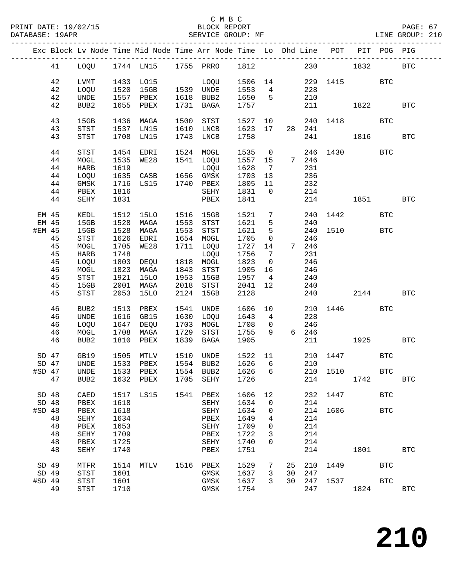|          |    |                  |      |                |      | Exc Block Lv Node Time Mid Node Time Arr Node Time Lo Dhd Line POT PIT POG PIG |         |                         |                 |        |          |              |            |              |
|----------|----|------------------|------|----------------|------|--------------------------------------------------------------------------------|---------|-------------------------|-----------------|--------|----------|--------------|------------|--------------|
|          | 41 |                  |      |                |      | LOQU 1744 LN15 1755 PRRO 1812 230 1832                                         |         |                         |                 |        |          |              |            | <b>BTC</b>   |
|          |    |                  |      |                |      |                                                                                | 1506 14 |                         |                 |        |          |              |            |              |
|          | 42 | LVMT             | 1520 | 1433 LO15      |      | LOQU<br>1539 UNDE                                                              |         |                         | $4\overline{ }$ |        |          | 229 1415 BTC |            |              |
|          | 42 | LOQU             |      | 15GB           |      |                                                                                | 1553    |                         |                 | 228    |          |              |            |              |
|          | 42 | <b>UNDE</b>      | 1557 | PBEX           |      | 1618 BUB2                                                                      | 1650    | $5^{\circ}$             |                 | 210    |          |              |            |              |
|          | 42 | BUB2             | 1655 | PBEX           |      | 1731 BAGA                                                                      | 1757    |                         |                 |        |          | 211 1822     |            | <b>BTC</b>   |
|          | 43 | 15GB             | 1436 | MAGA           | 1500 | STST                                                                           | 1527    | 10                      |                 |        | 240 1418 |              | <b>BTC</b> |              |
|          | 43 | <b>STST</b>      | 1537 | LN15           | 1610 | LNCB                                                                           | 1623    | 17                      |                 | 28 241 |          |              |            |              |
|          | 43 | <b>STST</b>      | 1708 | LN15           | 1743 | LNCB                                                                           | 1758    |                         |                 |        | 241      | 1816         |            | <b>BTC</b>   |
|          | 44 | STST             | 1454 | EDRI           |      | 1524 MOGL                                                                      | 1535    | $\overline{0}$          |                 |        | 246 1430 |              | <b>BTC</b> |              |
|          | 44 | MOGL             | 1535 | WE28           |      | 1541 LOQU                                                                      | 1557 15 |                         | 7 246           |        |          |              |            |              |
|          | 44 | HARB             | 1619 |                |      | LOQU                                                                           | 1628    | $\overline{7}$          |                 | 231    |          |              |            |              |
|          | 44 | LOQU             | 1635 | CASB 1656 GMSK |      |                                                                                | 1703    | 13                      |                 | 236    |          |              |            |              |
|          | 44 | GMSK             | 1716 | LS15           |      | 1740 PBEX                                                                      | 1805    | 11                      |                 | 232    |          |              |            |              |
|          | 44 | PBEX             | 1816 |                |      | SEHY                                                                           | 1831    | $\overline{0}$          |                 | 214    |          |              |            |              |
|          |    |                  | 1831 |                |      |                                                                                | 1841    |                         |                 |        | 214      |              |            | <b>BTC</b>   |
|          | 44 | SEHY             |      |                |      | PBEX                                                                           |         |                         |                 |        |          | 1851 1880    |            |              |
| EM 45    |    | KEDL             | 1512 | 15LO           |      | 1516 15GB                                                                      | 1521    | $7\overline{ }$         |                 |        | 240 1442 |              | <b>BTC</b> |              |
| EM 45    |    | 15GB             | 1528 | MAGA           |      | 1553 STST                                                                      | 1621    | 5                       |                 | 240    |          |              |            |              |
| #EM 45   |    | 15GB             | 1528 | MAGA           |      | 1553 STST                                                                      | 1621    | 5                       |                 |        | 240 1510 |              | <b>BTC</b> |              |
|          | 45 | STST             | 1626 | EDRI           |      | 1654 MOGL                                                                      | 1705    | $\overline{0}$          |                 | 246    |          |              |            |              |
|          | 45 | MOGL             | 1705 | WE28           |      | 1711 LOQU                                                                      | 1727    | 14                      |                 | 7 246  |          |              |            |              |
|          | 45 | <b>HARB</b>      | 1748 |                |      | LOQU                                                                           | 1756    | $\overline{7}$          |                 | 231    |          |              |            |              |
|          | 45 | LOQU             | 1803 | DEQU           |      | 1818 MOGL                                                                      | 1823    | $\overline{\mathbf{0}}$ |                 | 246    |          |              |            |              |
|          | 45 |                  | 1823 |                | 1843 | STST                                                                           | 1905    | 16                      |                 | 246    |          |              |            |              |
|          |    | MOGL             |      | MAGA           |      |                                                                                |         |                         |                 |        |          |              |            |              |
|          | 45 | STST             | 1921 | 15LO           | 1953 | 15GB                                                                           | 1957    | $\overline{4}$          |                 | 240    |          |              |            |              |
|          | 45 | 15GB             | 2001 | MAGA           | 2018 | STST                                                                           | 2041    | 12                      |                 | 240    |          |              |            |              |
|          | 45 | STST             | 2053 | 15LO           |      | 2124 15GB                                                                      | 2128    |                         |                 |        | 240      | 2144         |            | <b>BTC</b>   |
|          | 46 | BUB2             | 1513 | PBEX           |      | 1541 UNDE                                                                      | 1606    | 10                      |                 |        | 210 1446 |              | <b>BTC</b> |              |
|          | 46 | UNDE             | 1616 | GB15           | 1630 | LOQU                                                                           | 1643    | $\overline{4}$          |                 | 228    |          |              |            |              |
|          | 46 | LOQU             | 1647 | DEQU           | 1703 | MOGL                                                                           | 1708    | $\overline{0}$          |                 | 246    |          |              |            |              |
|          | 46 | MOGL             | 1708 | MAGA           | 1729 | STST                                                                           | 1755    | 9                       |                 | 6 246  |          |              |            |              |
|          | 46 | BUB2             | 1810 | PBEX           | 1839 | BAGA                                                                           | 1905    |                         |                 |        | 211 21   | 1925         |            | <b>BTC</b>   |
|          |    |                  |      |                |      |                                                                                |         |                         |                 |        |          |              |            |              |
| $SD$ 47  |    | GB19             | 1505 | MTLV           |      | 1510 UNDE                                                                      | 1522 11 |                         |                 |        | 210 1447 |              | <b>BTC</b> |              |
| $SD$ 47  |    | UNDE             |      | 1533 PBEX      |      | 1554 BUB2                                                                      | 1626    | 6                       |                 | 210    |          |              |            |              |
|          |    |                  |      |                |      | #SD 47 UNDE 1533 PBEX 1554 BUB2 1626 6 210 1510                                |         |                         |                 |        |          |              | <b>BTC</b> |              |
|          | 47 | BUB <sub>2</sub> | 1632 | PBEX           | 1705 | SEHY                                                                           | 1726    |                         |                 | 214    |          | 1742         |            | $_{\rm BTC}$ |
| SD 48    |    | CAED             | 1517 | LS15           | 1541 | PBEX                                                                           | 1606    | 12                      |                 | 232    | 1447     |              | <b>BTC</b> |              |
| SD 48    |    | PBEX             | 1618 |                |      | SEHY                                                                           | 1634    | 0                       |                 | 214    |          |              |            |              |
| $#SD$ 48 |    | PBEX             | 1618 |                |      | SEHY                                                                           | 1634    | 0                       |                 | 214    | 1606     |              | <b>BTC</b> |              |
|          | 48 | SEHY             | 1634 |                |      | PBEX                                                                           | 1649    | 4                       |                 | 214    |          |              |            |              |
|          | 48 | PBEX             | 1653 |                |      | SEHY                                                                           | 1709    | 0                       |                 | 214    |          |              |            |              |
|          | 48 | SEHY             | 1709 |                |      | PBEX                                                                           | 1722    | 3                       |                 | 214    |          |              |            |              |
|          | 48 |                  |      |                |      |                                                                                |         | 0                       |                 | 214    |          |              |            |              |
|          |    | PBEX             | 1725 |                |      | SEHY                                                                           | 1740    |                         |                 |        |          |              |            |              |
|          | 48 | SEHY             | 1740 |                |      | PBEX                                                                           | 1751    |                         |                 | 214    |          | 1801         |            | <b>BTC</b>   |
| SD 49    |    | MTFR             | 1514 | MTLV           |      | 1516 PBEX                                                                      | 1529    | 7                       | 25              | 210    | 1449     |              | <b>BTC</b> |              |
| SD 49    |    | <b>STST</b>      | 1601 |                |      | GMSK                                                                           | 1637    | 3                       | 30              | 247    |          |              |            |              |
| #SD 49   |    | <b>STST</b>      | 1601 |                |      | GMSK                                                                           | 1637    | 3                       | 30              | 247    | 1537     |              | <b>BTC</b> |              |
|          | 49 | STST             | 1710 |                |      | GMSK                                                                           | 1754    |                         |                 | 247    |          | 1824         |            | <b>BTC</b>   |
|          |    |                  |      |                |      |                                                                                |         |                         |                 |        |          |              |            |              |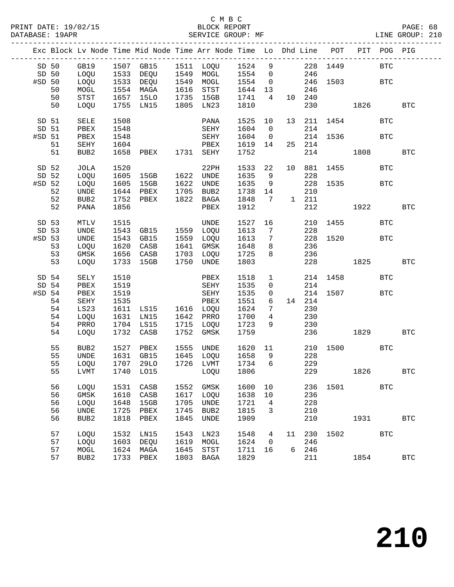|          |       |                  |      | Exc Block Lv Node Time Mid Node Time Arr Node Time Lo Dhd Line POT PIT POG PIG |      |             |                        |                 |                   |                                                                   |              |      |            |              |
|----------|-------|------------------|------|--------------------------------------------------------------------------------|------|-------------|------------------------|-----------------|-------------------|-------------------------------------------------------------------|--------------|------|------------|--------------|
|          | SD 50 |                  |      | GB19 1507 GB15 1511 LOQU 1524 9<br>LOQU 1533 DEQU 1549 MOGL 1554 0             |      |             |                        |                 |                   |                                                                   | 228 1449     |      | <b>BTC</b> |              |
| SD 50    |       | LOQU             |      |                                                                                |      |             |                        |                 |                   | 246                                                               |              |      |            |              |
| #SD 50   |       | LOQU             |      | 1533 DEQU 1549 MOGL                                                            |      |             | 1554 0                 |                 |                   |                                                                   | 246 1503 BTC |      |            |              |
|          | 50    |                  |      | 1554 MAGA                                                                      |      | 1616 STST   | 1644 13                |                 |                   |                                                                   |              |      |            |              |
|          |       | MOGL             |      |                                                                                |      |             |                        |                 |                   | 246                                                               |              |      |            |              |
|          | 50    | STST             |      | 1657 15LO<br>1755 T.N15                                                        |      | 1735 15GB   | 1741                   | $4\overline{4}$ |                   | 10 240                                                            |              |      |            |              |
|          | 50    | LOQU             |      | 1755 LN15                                                                      |      | 1805 LN23   | 1810                   |                 |                   |                                                                   | 230 1826     |      |            | <b>BTC</b>   |
| SD 51    |       | SELE             | 1508 |                                                                                |      | PANA        | 1525                   | 10              |                   |                                                                   | 13 211 1454  |      | <b>BTC</b> |              |
| SD 51    |       | PBEX             | 1548 |                                                                                |      | SEHY        | 1604                   | $\overline{0}$  |                   | 214                                                               |              |      |            |              |
| #SD 51   |       | PBEX             | 1548 |                                                                                |      | <b>SEHY</b> | 1604                   | $\overline{0}$  |                   |                                                                   | 214 1536 BTC |      |            |              |
|          | 51    | SEHY             | 1604 | <b>PBEX</b>                                                                    |      |             | 1619 14                |                 |                   | 25 214                                                            |              |      |            |              |
|          | 51    | BUB <sub>2</sub> |      | 1658 PBEX 1731 SEHY                                                            |      |             | 1752                   |                 |                   |                                                                   | 214 1808     |      |            | <b>BTC</b>   |
|          |       |                  |      |                                                                                |      |             |                        |                 |                   |                                                                   |              |      |            |              |
| SD 52    |       | JOLA             | 1520 |                                                                                |      | 22PH        | 1533                   | 22              |                   |                                                                   | 10 881 1455  |      | <b>BTC</b> |              |
| SD 52    |       | LOQU             |      | 1605 15GB 1622 UNDE                                                            |      |             | 1635                   | 9               |                   | 228                                                               |              |      |            |              |
| $#SD$ 52 |       | LOQU             |      | 1605 15GB                                                                      |      | 1622 UNDE   | 1635                   | 9               |                   |                                                                   | 228 1535     |      | <b>BTC</b> |              |
|          | 52    | UNDE             |      |                                                                                |      |             | 1738                   |                 |                   |                                                                   |              |      |            |              |
|          | 52    | BUB2             |      | 1644 PBEX 1705 BUB2<br>1752 PBEX 1822 BAGA                                     |      |             | 1848                   |                 |                   | $\begin{array}{cccc}\n14 & & & 210 \\ 7 & & 1 & 211\n\end{array}$ |              |      |            |              |
|          | 52    | PANA             | 1856 |                                                                                |      | PBEX        | 1912                   |                 |                   | 212                                                               | 1922         |      |            | $_{\rm BTC}$ |
|          |       |                  |      |                                                                                |      |             |                        |                 |                   |                                                                   |              |      |            |              |
| SD 53    |       | MTLV             | 1515 |                                                                                |      | UNDE        | 1527                   | 16              |                   |                                                                   | 210 1455     |      | <b>BTC</b> |              |
| SD 53    |       | UNDE             |      | 1543 GB15 1559 LOQU                                                            |      |             | $\frac{1}{1613}$       | $\overline{7}$  |                   | 228                                                               |              |      |            |              |
| #SD 53   |       | UNDE             | 1543 | GB15                                                                           |      | 1559 LOQU   | 1613                   | $\overline{7}$  |                   |                                                                   | 228 1520     |      | <b>BTC</b> |              |
|          |       |                  |      |                                                                                |      |             |                        |                 |                   |                                                                   |              |      |            |              |
|          | 53    | LOQU             |      | 1620 CASB                                                                      |      | 1641 GMSK   | 1648                   | 8 <sup>8</sup>  |                   | 236                                                               |              |      |            |              |
|          | 53    | GMSK             |      | 1656 CASB                                                                      |      | 1703 LOQU   | 1725                   | 8 <sup>8</sup>  |                   | 236                                                               |              |      |            |              |
|          | 53    | LOQU             |      | 1733 15GB                                                                      |      | 1750 UNDE   | 1803                   |                 |                   |                                                                   | 228 1825     |      |            | <b>BTC</b>   |
| SD 54    |       | SELY             | 1510 |                                                                                |      | PBEX        | 1518                   |                 | $1 \qquad \qquad$ |                                                                   | 214 1458     |      | <b>BTC</b> |              |
| SD 54    |       | PBEX             | 1519 |                                                                                |      | SEHY        | 1535                   | $\overline{0}$  |                   | 214                                                               |              |      |            |              |
| $#SD$ 54 |       | PBEX             | 1519 |                                                                                |      | SEHY        | 1535                   | $\overline{0}$  |                   |                                                                   | 214 1507 BTC |      |            |              |
|          | 54    | SEHY             | 1535 |                                                                                |      | PBEX        | 1551                   | 6               |                   | 14 214                                                            |              |      |            |              |
|          |       |                  |      |                                                                                |      |             |                        |                 |                   |                                                                   |              |      |            |              |
|          | 54    | LS23             |      | 1611 LS15 1616 LOQU                                                            |      |             | 1624                   | $7\phantom{.0}$ |                   | 230                                                               |              |      |            |              |
|          | 54    | LOQU             |      | 1631 LN15                                                                      |      | 1642 PRRO   | 1700                   | $\overline{4}$  |                   | 230                                                               |              |      |            |              |
|          | 54    | PRRO             |      | 1704 LS15                                                                      |      | 1715 LOQU   | 1723                   | 9               |                   | 230                                                               |              |      |            |              |
|          | 54    | LOQU             |      | 1732 CASB                                                                      |      | 1752 GMSK   | 1759                   |                 |                   |                                                                   | 236 1829 BTC |      |            |              |
|          | 55    | BUB2             | 1527 | PBEX                                                                           |      | 1555 UNDE   | 1620 11                |                 |                   |                                                                   | 210 1500 BTC |      |            |              |
|          | 55    | UNDE             |      | 1631 GB15                                                                      |      | 1645 LOQU   |                        | 9               |                   | 228                                                               |              |      |            |              |
|          | 55    | LOQU             |      | 1707 29LO                                                                      |      | 1726 LVMT   | 1658<br>1734<br>1734 6 |                 |                   | 229                                                               |              |      |            |              |
|          |       |                  |      |                                                                                |      |             |                        |                 |                   |                                                                   |              |      |            |              |
|          | 55    |                  |      | LVMT 1740 LO15 LOQU 1806                                                       |      |             |                        |                 |                   |                                                                   | 229 1826     |      |            | <b>BTC</b>   |
|          | 56    | LOQU             | 1531 | CASB                                                                           | 1552 | GMSK        | 1600                   | 10              |                   | 236                                                               | 1501         |      | <b>BTC</b> |              |
|          | 56    | GMSK             | 1610 | CASB                                                                           | 1617 | LOQU        | 1638                   | 10              |                   | 236                                                               |              |      |            |              |
|          | 56    | LOQU             | 1648 | 15GB                                                                           | 1705 | UNDE        | 1721                   | 4               |                   | 228                                                               |              |      |            |              |
|          | 56    | UNDE             | 1725 | PBEX                                                                           | 1745 | BUB2        | 1815                   | 3               |                   | 210                                                               |              |      |            |              |
|          |       |                  |      |                                                                                |      |             |                        |                 |                   |                                                                   |              |      |            |              |
|          | 56    | BUB <sub>2</sub> | 1818 | PBEX                                                                           | 1845 | UNDE        | 1909                   |                 |                   | 210                                                               |              | 1931 |            | <b>BTC</b>   |
|          | 57    | LOQU             | 1532 | LN15                                                                           | 1543 | LN23        | 1548                   | 4               | 11                | 230                                                               | 1502         |      | BTC        |              |
|          | 57    | LOQU             | 1603 | DEQU                                                                           | 1619 | MOGL        | 1624                   | $\mathbf 0$     |                   | 246                                                               |              |      |            |              |
|          | 57    | MOGL             | 1624 | MAGA                                                                           | 1645 | <b>STST</b> | 1711                   | 16              |                   | 6 246                                                             |              |      |            |              |
|          | 57    | BUB <sub>2</sub> | 1733 | PBEX                                                                           | 1803 | BAGA        | 1829                   |                 |                   | 211                                                               |              | 1854 |            | $_{\rm BTC}$ |
|          |       |                  |      |                                                                                |      |             |                        |                 |                   |                                                                   |              |      |            |              |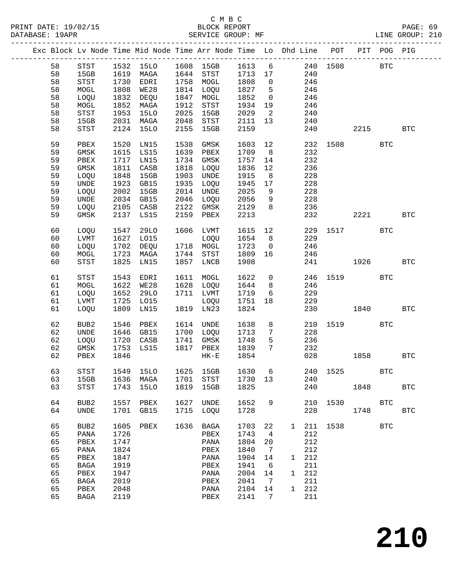| Exc Block Lv Node Time Mid Node Time Arr Node Time Lo Dhd Line POT PIT POG PIG<br>1532 15LO 1608 15GB 1613 6 240 1508 BTC<br>58<br>STST<br>1713 17<br>240<br>1619 MAGA 1644 STST<br>58<br>15GB<br>1758 MOGL<br>1808<br>58<br>STST<br>1730<br>EDRI<br>246<br>$\overline{0}$<br>58<br>1808<br>WE28<br>1814 LOQU<br>1827<br>$5^{\circ}$<br>246<br>MOGL |                    |
|-----------------------------------------------------------------------------------------------------------------------------------------------------------------------------------------------------------------------------------------------------------------------------------------------------------------------------------------------------|--------------------|
|                                                                                                                                                                                                                                                                                                                                                     |                    |
|                                                                                                                                                                                                                                                                                                                                                     |                    |
|                                                                                                                                                                                                                                                                                                                                                     |                    |
|                                                                                                                                                                                                                                                                                                                                                     |                    |
|                                                                                                                                                                                                                                                                                                                                                     |                    |
|                                                                                                                                                                                                                                                                                                                                                     |                    |
| 58<br>1832<br>DEQU<br>1847 MOGL<br>1852<br>$\overline{0}$<br>246<br>LOQU                                                                                                                                                                                                                                                                            |                    |
| 58<br>1852 MAGA<br>1912<br>1934<br>19<br>246<br>MOGL<br>STST                                                                                                                                                                                                                                                                                        |                    |
| 58<br>$_{\footnotesize{\textnormal{STST}}}$<br>1953<br>15LO<br>2025<br>2029<br>$\overline{\phantom{a}}$<br>240<br>15GB                                                                                                                                                                                                                              |                    |
| 58<br>15GB<br>2031 MAGA<br>2048<br>13<br>STST<br>2111<br>240                                                                                                                                                                                                                                                                                        |                    |
| 58<br>2124<br>15LO<br>2155<br>2159<br>240<br>STST<br>15GB<br>2215                                                                                                                                                                                                                                                                                   | <b>BTC</b>         |
|                                                                                                                                                                                                                                                                                                                                                     |                    |
| 59<br>12<br>232 1508<br>PBEX<br>1520<br>LN15<br>1538<br>1603<br>GMSK                                                                                                                                                                                                                                                                                | <b>BTC</b>         |
| 59<br>1615<br>1639<br>1709                                                                                                                                                                                                                                                                                                                          |                    |
| GMSK<br>LS15<br>PBEX<br>8 <sup>8</sup><br>232                                                                                                                                                                                                                                                                                                       |                    |
| 232<br>59<br>1717<br>1734 GMSK<br>1757<br>PBEX<br>LN15<br>14                                                                                                                                                                                                                                                                                        |                    |
| 59<br>1811<br>1818<br>1836<br>GMSK<br>CASB<br>12<br>236<br>LOQU                                                                                                                                                                                                                                                                                     |                    |
| 59<br>1848<br>15GB<br>1903<br>1915<br>8 <sup>8</sup><br>228<br>LOQU<br>UNDE                                                                                                                                                                                                                                                                         |                    |
| 59<br>$\ensuremath{\mathsf{UNDE}}$<br>1923<br>GB15<br>1935 LOQU<br>1945<br>17<br>228                                                                                                                                                                                                                                                                |                    |
| 59<br>2002<br>2014 UNDE<br>2025<br>228<br>LOQU<br>15GB<br>9                                                                                                                                                                                                                                                                                         |                    |
| 59<br>UNDE<br>2034 GB15<br>2046 LOQU<br>2056<br>228<br>9                                                                                                                                                                                                                                                                                            |                    |
| 59<br>2105 CASB<br>2122 GMSK<br>2129<br>236<br>LOQU<br>8 <sup>8</sup>                                                                                                                                                                                                                                                                               |                    |
| 59<br>2137 LS15<br>2159 PBEX<br>GMSK<br>2213<br>232                                                                                                                                                                                                                                                                                                 | 2221<br><b>BTC</b> |
|                                                                                                                                                                                                                                                                                                                                                     |                    |
| 12<br>60<br>1547<br>29LO<br>1606 LVMT                                                                                                                                                                                                                                                                                                               |                    |
| LOQU<br>1615<br>229 1517 BTC                                                                                                                                                                                                                                                                                                                        |                    |
| 60<br>LVMT<br>1627 LO15<br>1654<br>8 <sup>8</sup><br>229<br>LOQU                                                                                                                                                                                                                                                                                    |                    |
| 60<br>LOQU<br>1702 DEQU<br>1718 MOGL<br>1723<br>246<br>$\overline{0}$                                                                                                                                                                                                                                                                               |                    |
| 60<br>1723 MAGA<br>1744 STST<br>1809<br>16<br>246<br>MOGL                                                                                                                                                                                                                                                                                           |                    |
| 60<br>STST<br>1825<br>1857 LNCB<br>1908<br>241<br>LN15                                                                                                                                                                                                                                                                                              | 1926<br><b>BTC</b> |
|                                                                                                                                                                                                                                                                                                                                                     |                    |
| 1611 MOGL<br>1622<br>$\overline{0}$<br>61<br>STST<br>1543<br>EDRI<br>246 1519                                                                                                                                                                                                                                                                       | <b>BTC</b>         |
| 1622<br>WE28<br>1628 LOQU<br>1644<br>8 <sup>8</sup><br>61<br>MOGL<br>246                                                                                                                                                                                                                                                                            |                    |
| 61<br>LOQU<br>1652<br>29LO<br>1711 LVMT<br>1719<br>$6\overline{6}$<br>229                                                                                                                                                                                                                                                                           |                    |
| 61<br>1725 LO15<br>1751<br>229<br>LVMT<br>LOQU<br>18                                                                                                                                                                                                                                                                                                |                    |
| 1809 LN15<br>1819 LN23<br>1824<br>230<br>1840<br>61<br>LOQU                                                                                                                                                                                                                                                                                         | <b>BTC</b>         |
|                                                                                                                                                                                                                                                                                                                                                     |                    |
| 62<br>1614 UNDE<br>8                                                                                                                                                                                                                                                                                                                                | BTC                |
| BUB2<br>1546<br>PBEX<br>1638<br>210 1519                                                                                                                                                                                                                                                                                                            |                    |
| 62<br>1646 GB15<br>1700 LOQU<br>$7\overline{ }$<br>228<br>UNDE<br>1713                                                                                                                                                                                                                                                                              |                    |
| 62<br>1720<br>1741 GMSK<br>1748<br>5<br>236<br>LOQU<br>CASB                                                                                                                                                                                                                                                                                         |                    |
| 62<br>1753<br>1817 PBEX<br>1839<br>$7\overline{ }$<br>GMSK<br>LS15<br>232                                                                                                                                                                                                                                                                           |                    |
| 62<br>1846<br>1854<br>028<br>PBEX<br>$HK-E$<br>1858                                                                                                                                                                                                                                                                                                 | <b>BTC</b>         |
|                                                                                                                                                                                                                                                                                                                                                     |                    |
| STST<br>1549 15LO 1625 15GB 1630 6 240 1525<br>63                                                                                                                                                                                                                                                                                                   | $_{\rm BTC}$       |
| 63<br>15GB<br>1636<br>1701<br>STST<br>1730 13<br>240<br>MAGA                                                                                                                                                                                                                                                                                        |                    |
| 63<br>1743<br>1819<br>1825<br>240<br><b>STST</b><br>15LO<br>15GB<br>1848                                                                                                                                                                                                                                                                            | <b>BTC</b>         |
|                                                                                                                                                                                                                                                                                                                                                     |                    |
| 64<br>1627<br>BUB <sub>2</sub><br>1557<br>PBEX<br>UNDE<br>1652<br>9<br>210<br>1530 15                                                                                                                                                                                                                                                               | BTC                |
| 64<br>1715 LOQU<br>1728<br>228<br><b>UNDE</b><br>1701 GB15<br>1748                                                                                                                                                                                                                                                                                  | <b>BTC</b>         |
|                                                                                                                                                                                                                                                                                                                                                     |                    |
|                                                                                                                                                                                                                                                                                                                                                     |                    |
| 65<br>1636<br>BUB <sub>2</sub><br>1605 PBEX<br>BAGA<br>1703<br>22<br>1 211 1538                                                                                                                                                                                                                                                                     | BTC                |
| 65<br>212<br>PANA<br>1726<br>PBEX<br>1743<br>$\overline{4}$                                                                                                                                                                                                                                                                                         |                    |
| 212<br>65<br>1747<br>1804<br>PBEX<br>PANA<br>20                                                                                                                                                                                                                                                                                                     |                    |
| 65<br>212<br>PANA<br>1824<br>PBEX<br>1840<br>$\overline{7}$                                                                                                                                                                                                                                                                                         |                    |
| 65<br>1904<br>1 212<br>PBEX<br>1847<br>PANA<br>14                                                                                                                                                                                                                                                                                                   |                    |
| 65<br>211<br>1919<br>1941<br><b>BAGA</b><br>PBEX<br>6                                                                                                                                                                                                                                                                                               |                    |
| 65<br>1947<br>2004<br>1 212<br>PBEX<br>PANA<br>14                                                                                                                                                                                                                                                                                                   |                    |
|                                                                                                                                                                                                                                                                                                                                                     |                    |
| BAGA<br>$\overline{7}$                                                                                                                                                                                                                                                                                                                              |                    |
| 65<br>2019<br>211<br>PBEX<br>2041                                                                                                                                                                                                                                                                                                                   |                    |
| 65<br>2048<br>2104<br>1 212<br>PBEX<br>14<br>PANA<br>65<br>2119<br>211<br>PBEX<br>2141<br>$\overline{7}$<br>BAGA                                                                                                                                                                                                                                    |                    |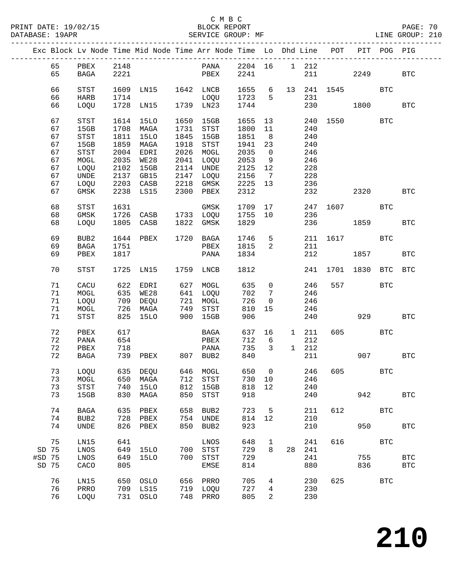|        |    |                                       |      |                      |      | Exc Block Lv Node Time Mid Node Time Arr Node Time Lo Dhd Line POT PIT POG PIG |         |                                |         |              |                       |         |              |            |
|--------|----|---------------------------------------|------|----------------------|------|--------------------------------------------------------------------------------|---------|--------------------------------|---------|--------------|-----------------------|---------|--------------|------------|
|        | 65 | PBEX 2148                             |      |                      |      | PANA 2204 16 1 212                                                             |         |                                |         |              |                       |         |              |            |
|        | 65 | BAGA                                  | 2221 |                      |      | PBEX                                                                           | 2241    |                                |         |              | 211 7                 | 2249    |              | <b>BTC</b> |
|        |    |                                       |      |                      |      |                                                                                |         |                                |         |              |                       |         |              |            |
|        | 66 | STST                                  | 1609 | LN15 1642 LNCB       |      |                                                                                | 1655    |                                |         |              | 6 13 241 1545         |         | <b>BTC</b>   |            |
|        | 66 | HARB                                  | 1714 |                      |      | LOQU                                                                           | 1723    | $5^{\circ}$                    |         | 231          |                       |         |              |            |
|        | 66 | LOQU                                  |      | 1728 LN15 1739 LN23  |      |                                                                                | 1744    |                                |         |              | 230                   | 1800    |              | <b>BTC</b> |
|        |    |                                       |      |                      |      |                                                                                |         |                                |         |              |                       |         |              |            |
|        | 67 | $_{\footnotesize\rm STST}$            | 1614 | 15LO                 | 1650 | 15GB                                                                           | 1655    | 13                             |         |              | 240 1550              |         | BTC          |            |
|        | 67 | 15GB                                  |      | 1708 MAGA            | 1731 | STST                                                                           | 1800    | 11                             |         | 240          |                       |         |              |            |
|        | 67 | $_{\footnotesize{\textnormal{STST}}}$ |      | 1811 15LO            |      | 1845 15GB                                                                      | 1851    | 8 <sup>8</sup>                 |         | 240          |                       |         |              |            |
|        |    |                                       |      | 1859 MAGA            |      |                                                                                |         |                                |         |              |                       |         |              |            |
|        | 67 | 15GB                                  |      |                      | 1918 | STST                                                                           | 1941    | 23                             |         | 240          |                       |         |              |            |
|        | 67 | STST                                  |      | 2004 EDRI            |      | 2026 MOGL                                                                      | 2035    | $\overline{0}$                 |         | 246          |                       |         |              |            |
|        | 67 | MOGL                                  | 2035 | <b>WE28</b>          |      | 2041 LOQU                                                                      | 2053    | 9                              |         | 246          |                       |         |              |            |
|        | 67 | LOQU                                  |      | 2102 15GB            |      | 2114 UNDE                                                                      | 2125    | 12                             |         | 228          |                       |         |              |            |
|        | 67 | UNDE                                  |      | 2137 GB15            | 2147 | LOQU                                                                           | 2156    | $\overline{7}$                 |         | 228          |                       |         |              |            |
|        | 67 | LOQU                                  |      | 2203 CASB            |      | 2218 GMSK                                                                      | 2225    | 13                             |         | 236          |                       |         |              |            |
|        | 67 | GMSK                                  |      | 2238 LS15            |      | 2300 PBEX                                                                      | 2312    |                                |         | 232          |                       | 2320    |              | <b>BTC</b> |
|        |    |                                       |      |                      |      |                                                                                |         |                                |         |              |                       |         |              |            |
|        | 68 | $_{\footnotesize{\textnormal{STST}}}$ | 1631 |                      |      | GMSK                                                                           | 1709 17 |                                |         |              | 247 1607 BTC          |         |              |            |
|        | 68 | GMSK                                  |      | 1726 CASB 1733 LOQU  |      |                                                                                | 1755    | 10                             |         | 236          |                       |         |              |            |
|        | 68 | LOQU                                  |      | 1805 CASB            |      | 1822 GMSK                                                                      | 1829    |                                |         |              | 236 1859              |         |              | <b>BTC</b> |
|        |    |                                       |      |                      |      |                                                                                |         |                                |         |              |                       |         |              |            |
|        | 69 | BUB2                                  |      | 1644 PBEX            |      | 1720 BAGA                                                                      | 1746    |                                | $5 - 5$ |              | 211 1617              |         | BTC          |            |
|        | 69 | $_{\rm BAGA}$                         | 1751 |                      |      | PBEX                                                                           | 1815    | $2 \left( \frac{1}{2} \right)$ |         | 211          |                       |         |              |            |
|        | 69 | PBEX                                  | 1817 |                      |      | PANA                                                                           | 1834    |                                |         |              | 212                   | 1857    |              | <b>BTC</b> |
|        |    |                                       |      |                      |      |                                                                                |         |                                |         |              |                       |         |              |            |
|        | 70 | STST                                  |      | 1725 LN15 1759 LNCB  |      |                                                                                | 1812    |                                |         |              | 241 1701 1830 BTC BTC |         |              |            |
|        |    |                                       |      |                      |      |                                                                                |         |                                |         |              |                       |         |              |            |
|        | 71 | CACU                                  |      | 622 EDRI             |      | 627 MOGL<br>641 LOQU<br>721 MOGL                                               | 635     | $\overline{0}$                 |         | 246          |                       | 557     | BTC          |            |
|        | 71 | MOGL                                  |      |                      |      |                                                                                | 702     | $\overline{7}$                 |         | 246          |                       |         |              |            |
|        | 71 | LOQU                                  |      | 635 WE28<br>709 DEQU |      |                                                                                | 726     | $\overline{0}$                 |         | 246          |                       |         |              |            |
|        | 71 | MOGL                                  |      | 726 MAGA             | 749  | STST                                                                           | 810     | 15                             |         | 246          |                       |         |              |            |
|        | 71 | STST                                  |      | 825 15LO             | 900  | 15GB                                                                           | 906     |                                |         | 240          |                       | 929     |              | <b>BTC</b> |
|        |    |                                       |      |                      |      |                                                                                |         |                                |         |              |                       |         |              |            |
|        | 72 | PBEX                                  | 617  |                      |      | BAGA                                                                           |         |                                |         | 637 16 1 211 |                       | 605 BTC |              |            |
|        | 72 | PANA                                  | 654  |                      |      | PBEX                                                                           | 712     | 6                              |         | 212          |                       |         |              |            |
|        | 72 | PBEX                                  | 718  |                      |      | PANA                                                                           | 735     | $\overline{\mathbf{3}}$        |         | 1 212        |                       |         |              |            |
|        | 72 | BAGA                                  |      | 739 PBEX 807 BUB2    |      |                                                                                | 840     |                                |         | 211          | 907                   |         |              | <b>BTC</b> |
|        |    |                                       |      |                      |      |                                                                                |         |                                |         |              |                       |         |              |            |
|        | 73 |                                       |      |                      |      | LOQU 635 DEQU 646 MOGL 650 0 246 605                                           |         |                                |         |              |                       |         | $_{\rm BTC}$ |            |
|        | 73 | MOGL                                  | 650  | MAGA                 | 712  | <b>STST</b>                                                                    | 730 10  |                                |         | 246          |                       |         |              |            |
|        | 73 | STST                                  | 740  | <b>15LO</b>          | 812  | 15GB                                                                           | 818     | 12                             |         | 240          |                       |         |              |            |
|        | 73 | 15GB                                  | 830  | MAGA                 | 850  | <b>STST</b>                                                                    | 918     |                                |         | 240          |                       | 942     |              | <b>BTC</b> |
|        |    |                                       |      |                      |      |                                                                                |         |                                |         |              |                       |         |              |            |
|        | 74 | <b>BAGA</b>                           | 635  | PBEX                 | 658  | BUB <sub>2</sub>                                                               | 723     | 5                              |         | 211          | 612                   |         | <b>BTC</b>   |            |
|        | 74 | BUB <sub>2</sub>                      | 728  | PBEX                 | 754  | UNDE                                                                           | 814     | 12                             |         | 210          |                       |         |              |            |
|        | 74 | <b>UNDE</b>                           | 826  | PBEX                 | 850  | BUB <sub>2</sub>                                                               | 923     |                                |         | 210          |                       | 950     |              | <b>BTC</b> |
|        |    |                                       |      |                      |      |                                                                                |         |                                |         |              |                       |         |              |            |
|        | 75 | LN15                                  | 641  |                      |      | LNOS                                                                           | 648     | 1                              |         | 241          | 616                   |         | <b>BTC</b>   |            |
| SD 75  |    | $\rm LNOS$                            | 649  | 15LO                 | 700  | $_{\footnotesize{\textnormal{STST}}}$                                          | 729     | 8                              | 28      | 241          |                       |         |              |            |
| #SD 75 |    | LNOS                                  | 649  | 15LO                 | 700  | STST                                                                           | 729     |                                |         | 241          |                       | 755     |              | <b>BTC</b> |
| SD 75  |    | CACO                                  | 805  |                      |      | EMSE                                                                           | 814     |                                |         | 880          |                       | 836     |              | <b>BTC</b> |
|        |    |                                       |      |                      |      |                                                                                |         |                                |         |              |                       |         |              |            |
|        | 76 | LN15                                  | 650  | OSLO                 | 656  | PRRO                                                                           | 705     | 4                              |         | 230          | 625                   |         | <b>BTC</b>   |            |
|        | 76 | PRRO                                  |      | 709 LS15             |      | 719 LOQU                                                                       | 727     | 4                              |         | 230          |                       |         |              |            |
|        | 76 | LOQU                                  | 731  | OSLO                 | 748  | PRRO                                                                           | 805     | 2                              |         | 230          |                       |         |              |            |
|        |    |                                       |      |                      |      |                                                                                |         |                                |         |              |                       |         |              |            |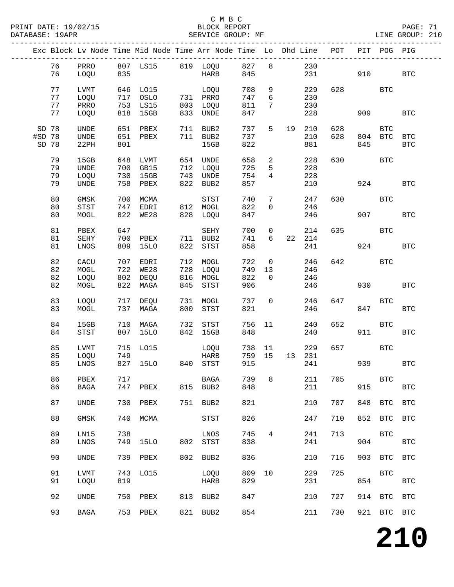PRINT DATE: 19/02/15 BLOCK REPORT BATABASE: 19APR BLOCK REPORT

### C M B C<br>BLOCK REPORT

PAGE: 71<br>LINE GROUP: 210

|        |    |             |     | Exc Block Lv Node Time Mid Node Time Arr Node Time Lo Dhd Line POT |     |                                |     |                 |                |         |     |       | PIT POG PIG  |              |
|--------|----|-------------|-----|--------------------------------------------------------------------|-----|--------------------------------|-----|-----------------|----------------|---------|-----|-------|--------------|--------------|
|        | 76 | PRRO        |     | 807 LS15 819 LOQU 827                                              |     |                                |     | 8               |                | 230     |     |       |              |              |
|        | 76 | LOQU        | 835 |                                                                    |     | HARB                           | 845 |                 |                | 231     |     | 910   |              | <b>BTC</b>   |
|        | 77 | LVMT        |     | 646 LO15                                                           |     | LOQU<br>731 PRRO<br>803 T.OOTT | 708 | 9               |                | 229     |     | 628 3 | BTC          |              |
|        | 77 | LOQU        |     | 717 OSLO                                                           |     |                                | 747 | $6\overline{6}$ |                | 230     |     |       |              |              |
|        | 77 | PRRO        |     | 753 LS15                                                           |     |                                | 811 | $7\phantom{.0}$ |                | 230     |     |       |              |              |
|        | 77 | LOQU        |     | 818 15GB                                                           |     | 833 UNDE                       | 847 |                 |                | 228     |     | 909   |              | <b>BTC</b>   |
|        |    |             |     |                                                                    |     |                                |     |                 |                |         |     |       |              |              |
| SD 78  |    | UNDE        |     | 651 PBEX                                                           |     | 711 BUB2                       | 737 | 5               |                | 19 210  | 628 |       | BTC          |              |
| #SD 78 |    | UNDE        |     | 651 PBEX                                                           |     | 711 BUB2                       | 737 |                 |                | 210     | 628 |       | 804 BTC      | <b>BTC</b>   |
| SD 78  |    | 22PH        | 801 |                                                                    |     | 15GB                           | 822 |                 |                | 881     |     | 845   |              | <b>BTC</b>   |
|        |    |             |     |                                                                    |     |                                |     |                 |                |         |     |       |              |              |
|        | 79 | 15GB        | 648 | LVMT                                                               |     | 654 UNDE                       | 658 | $2^{\circ}$     |                | 228     | 630 |       | BTC          |              |
|        | 79 | UNDE        |     | 700 GB15                                                           |     | 712 LOQU                       | 725 | 5               |                | 228     |     |       |              |              |
|        | 79 | LOQU        |     | 730 15GB                                                           | 743 | UNDE                           | 754 | $4\overline{ }$ |                | 228     |     |       |              |              |
|        | 79 | UNDE        |     | 758 PBEX                                                           | 822 | BUB2                           | 857 |                 |                | 210     |     | 924   |              | <b>BTC</b>   |
|        |    |             |     |                                                                    |     |                                |     |                 |                |         |     |       |              |              |
|        | 80 | GMSK        |     | 700 MCMA                                                           |     | STST                           | 740 | $7\phantom{.}$  |                | 247     | 630 |       | BTC          |              |
|        | 80 | STST        |     | 747 EDRI                                                           |     | 812 MOGL                       | 822 | $\mathsf{O}$    |                | 246     |     |       |              |              |
|        | 80 | MOGL        | 822 | WE28                                                               | 828 | LOQU                           | 847 |                 |                | 246     |     |       | 907 — 100    | <b>BTC</b>   |
|        |    |             |     |                                                                    |     |                                |     |                 |                |         |     |       |              |              |
|        | 81 | PBEX        | 647 |                                                                    |     | SEHY                           | 700 | $\overline{0}$  |                | 214     | 635 |       | <b>BTC</b>   |              |
|        | 81 | SEHY        |     | 700 PBEX                                                           |     | 711 BUB2                       | 741 | 6               |                | 22 214  |     |       |              |              |
|        | 81 | LNOS        |     | 809 15LO                                                           | 822 | STST                           | 858 |                 |                | 241     |     |       | 924          | <b>BTC</b>   |
|        |    |             |     |                                                                    |     |                                |     |                 |                |         |     |       |              |              |
|        | 82 | CACU        |     | 707 EDRI                                                           |     | 712 MOGL                       | 722 |                 | $\overline{0}$ | 246     | 642 |       | BTC          |              |
|        | 82 | MOGL        |     | 722 WE28                                                           |     | 728 LOQU                       | 749 | 13              |                | 246     |     |       |              |              |
|        | 82 | LOQU        |     | 802 DEQU                                                           | 816 | MOGL                           | 822 | $\overline{0}$  |                | 246     |     |       |              |              |
|        | 82 | MOGL        |     | 822 MAGA                                                           | 845 | STST                           | 906 |                 |                | 246     |     | 930   |              | <b>BTC</b>   |
|        |    |             |     |                                                                    |     |                                |     |                 |                |         |     |       |              |              |
|        | 83 | LOQU        |     | 717 DEQU                                                           | 731 | MOGL                           | 737 | $\overline{0}$  |                | 246     | 647 |       | <b>BTC</b>   |              |
|        | 83 | MOGL        |     | 737 MAGA                                                           | 800 | STST                           | 821 |                 |                | 246     |     | 847   |              | <b>BTC</b>   |
|        |    |             |     |                                                                    |     |                                |     |                 |                |         |     |       |              |              |
|        | 84 | 15GB        |     | 710 MAGA                                                           | 732 | STST                           | 756 | 11              |                | 240     | 652 |       | BTC          |              |
|        | 84 | STST        |     | 807 15LO                                                           | 842 | 15GB                           | 848 |                 |                | 240     |     | 911   |              | <b>BTC</b>   |
|        |    |             |     |                                                                    |     |                                |     |                 |                |         |     |       |              |              |
|        | 85 | LVMT        | 715 | LO15                                                               |     | LOQU                           | 738 | 11              |                | 229     | 657 |       | BTC          |              |
|        | 85 | LOQU        | 749 |                                                                    |     | HARB                           | 759 | 15              |                | 13  231 |     |       |              |              |
|        | 85 | LNOS        |     | 827 15LO 840 STST                                                  |     |                                | 915 |                 |                | 241     |     | 939   |              | <b>BTC</b>   |
|        |    |             |     |                                                                    |     |                                |     |                 |                |         |     |       |              |              |
|        | 86 | PBEX        | 717 |                                                                    |     | BAGA                           | 739 | 8               |                | 211     | 705 |       | $_{\rm BTC}$ |              |
|        | 86 | BAGA        | 747 | PBEX                                                               | 815 | BUB2                           | 848 |                 |                | 211     |     | 915   |              | <b>BTC</b>   |
|        |    |             |     |                                                                    |     |                                |     |                 |                |         |     |       |              |              |
|        | 87 | <b>UNDE</b> | 730 | PBEX                                                               | 751 | BUB2                           | 821 |                 |                | 210     | 707 | 848   | <b>BTC</b>   | $_{\rm BTC}$ |
|        |    |             |     |                                                                    |     |                                |     |                 |                |         |     |       |              |              |
|        | 88 | GMSK        | 740 | MCMA                                                               |     | STST                           | 826 |                 |                | 247     | 710 | 852   | BTC          | <b>BTC</b>   |
|        |    |             |     |                                                                    |     |                                |     |                 |                |         |     |       |              |              |
|        | 89 | LN15        | 738 |                                                                    |     | LNOS                           | 745 | $\overline{4}$  |                | 241     | 713 |       | $_{\rm BTC}$ |              |
|        | 89 | LNOS        | 749 | 15LO                                                               | 802 | STST                           | 838 |                 |                | 241     |     | 904   |              | $_{\rm BTC}$ |
|        | 90 | <b>UNDE</b> | 739 | PBEX                                                               | 802 | BUB2                           | 836 |                 |                | 210     | 716 | 903   | <b>BTC</b>   | <b>BTC</b>   |
|        |    |             |     |                                                                    |     |                                |     |                 |                |         |     |       |              |              |
|        | 91 | LVMT        | 743 | L015                                                               |     | LOQU                           | 809 | 10              |                | 229     | 725 |       | <b>BTC</b>   |              |
|        | 91 | LOQU        | 819 |                                                                    |     | HARB                           | 829 |                 |                | 231     |     | 854   |              | <b>BTC</b>   |
|        |    |             |     |                                                                    |     |                                |     |                 |                |         |     |       |              |              |
|        | 92 | UNDE        | 750 | PBEX                                                               | 813 | BUB2                           | 847 |                 |                | 210     | 727 | 914   | BTC          | <b>BTC</b>   |
|        |    |             |     |                                                                    |     |                                |     |                 |                |         |     |       |              |              |
|        | 93 | BAGA        | 753 | PBEX                                                               | 821 | BUB2                           | 854 |                 |                | 211     | 730 |       | 921 BTC BTC  |              |
|        |    |             |     |                                                                    |     |                                |     |                 |                |         |     |       |              |              |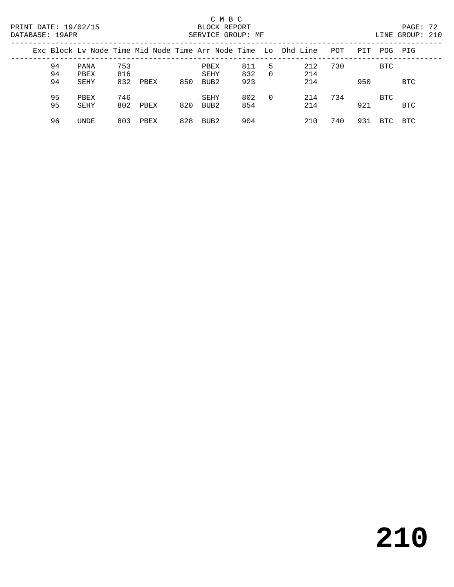| PRINT DATE: 19/02/15<br>DATABASE: 19APR |          |              |            |      | SERVICE GROUP: MF |                  |            |                | PAGE: 72<br>LINE GROUP: 210                                    |     |     |            |            |  |
|-----------------------------------------|----------|--------------|------------|------|-------------------|------------------|------------|----------------|----------------------------------------------------------------|-----|-----|------------|------------|--|
|                                         |          |              |            |      |                   |                  |            |                | Exc Block Ly Node Time Mid Node Time Arr Node Time Lo Dhd Line | POT | PIT |            | POG PIG    |  |
|                                         | 94<br>94 | PANA<br>PBEX | 753<br>816 |      |                   | PBEX<br>SEHY     | 811<br>832 | .5<br>$\Omega$ | 212<br>214                                                     | 730 |     | BTC        |            |  |
|                                         | 94       | SEHY         | 832        | PBEX | 850               | BUB <sub>2</sub> | 923        |                | 214                                                            |     | 950 |            | <b>BTC</b> |  |
|                                         | 95       | PBEX         | 746        |      |                   | SEHY             | 802        | $\Omega$       | 214                                                            | 734 |     | <b>BTC</b> |            |  |
|                                         | 95       | <b>SEHY</b>  | 802        | PBEX | 820               | BUB <sub>2</sub> | 854        |                | 214                                                            |     | 921 |            | <b>BTC</b> |  |
|                                         | 96       | UNDE         | 803        | PBEX | 828               | BUB2             | 904        |                | 210                                                            | 740 | 931 | BTC        | BTC        |  |

# **210**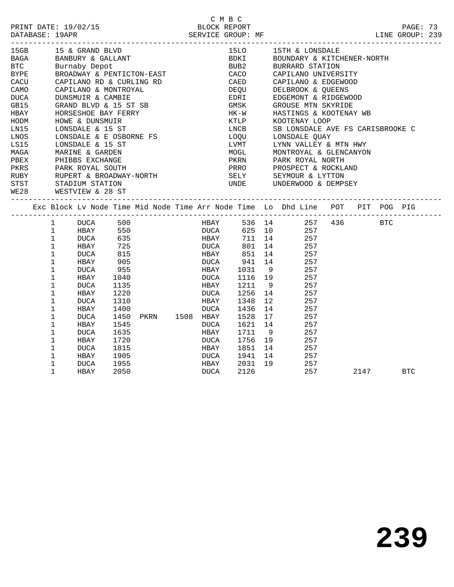|             |                                                                                                                                                                                                     |      |                     |      | C M B C              |                          |                                                                                 |      |                 |  |
|-------------|-----------------------------------------------------------------------------------------------------------------------------------------------------------------------------------------------------|------|---------------------|------|----------------------|--------------------------|---------------------------------------------------------------------------------|------|-----------------|--|
|             |                                                                                                                                                                                                     |      |                     |      |                      |                          |                                                                                 |      | PAGE: 73        |  |
|             | PRINT DATE: 19/02/15<br>BLOCK REPORT BLOCE TREE SERVICE GROUP: MF DATABASE: 19APR SERVICE GROUP: MF SERVICE GROUP:                                                                                  |      |                     |      |                      |                          |                                                                                 |      | LINE GROUP: 239 |  |
|             |                                                                                                                                                                                                     |      |                     |      |                      |                          |                                                                                 |      |                 |  |
| 15GB        | 15 & GRAND BLVD                                                                                                                                                                                     |      |                     |      | 15LO <b>15</b>       |                          | 15TH & LONSDALE                                                                 |      |                 |  |
| <b>BAGA</b> | BANBURY & GALLANT<br>Burnaby Depot                                                                                                                                                                  |      |                     |      |                      |                          | BDKI BOUNDARY & KITCHENER-NORTH<br>BUB2 BURRARD STATION                         |      |                 |  |
| <b>BTC</b>  | Burnaby Depot                                                                                                                                                                                       |      |                     |      |                      |                          |                                                                                 |      |                 |  |
|             | BYPE BROADWAY & PENTICTON-EAST                                                                                                                                                                      |      |                     |      |                      |                          | CACO CAPILANO UNIVERSITY                                                        |      |                 |  |
|             | CACU CAPILANO RD & CURLING RD<br>CAMO CAPILANO & MONTROYAL                                                                                                                                          |      |                     |      |                      |                          | CAED        CAPILANO & EDGEWOOD<br>DEQU         DELBROOK & QUEENS               |      |                 |  |
| CAMO        | CAPILANO & MONTROYAL                                                                                                                                                                                |      |                     |      |                      |                          |                                                                                 |      |                 |  |
| DUCA        | DUNSMUIR & CAMBIE                                                                                                                                                                                   |      |                     |      | EDRI                 |                          | EDGEMONT & RIDGEWOOD                                                            |      |                 |  |
| GB15        | GRAND BLVD & 15 ST SB<br>HORSESHOE BAY FERRY                                                                                                                                                        |      |                     |      | GMSK<br>$HK-W$       |                          | GROUSE MTN SKYRIDE                                                              |      |                 |  |
| <b>HBAY</b> |                                                                                                                                                                                                     |      |                     |      |                      |                          | HASTINGS & KOOTENAY WB                                                          |      |                 |  |
| HODM        | HOWE & DUNSMUIR                                                                                                                                                                                     |      |                     |      | KTLP<br>LNCB         |                          | KOOTENAY LOOP                                                                   |      |                 |  |
| LN15        | LONSDALE & 15 ST                                                                                                                                                                                    |      |                     |      |                      |                          | SB LONSDALE AVE FS CARISBROOKE C                                                |      |                 |  |
| LNOS        | LONSDALE & E OSBORNE FS                                                                                                                                                                             |      |                     |      | LOQU                 |                          | LONSDALE QUAY                                                                   |      |                 |  |
| LS15        | LONSDALE & 15 ST                                                                                                                                                                                    |      |                     |      | LVMT<br>LVMT<br>MOGL |                          | LYNN VALLEY & MTN HWY                                                           |      |                 |  |
| MAGA        | MARINE & GARDEN                                                                                                                                                                                     |      |                     |      | MOGL                 |                          | MONTROYAL & GLENCANYON                                                          |      |                 |  |
|             |                                                                                                                                                                                                     |      |                     |      |                      |                          |                                                                                 |      |                 |  |
|             | PERX PHIBBS EXCHANGE PARK PARK ROYAL NORTH PARK ROYAL MORTH PARK ROYAL NORTH PARK ROYAL NORTH PARK ROYAL NORTH PARK ROYAL NORTH PARK ROYAL NORTH PARK ROYAL NORTH PARK ROYAL NORTH PARK ROYAL MUSIC |      |                     |      |                      |                          |                                                                                 |      |                 |  |
|             |                                                                                                                                                                                                     |      |                     |      |                      |                          |                                                                                 |      |                 |  |
|             | STST STADIUM STATION                                                                                                                                                                                |      |                     |      |                      | UNDE UNDERWOOD & DEMPSEY |                                                                                 |      |                 |  |
|             | WE28 WESTVIEW & 28 ST                                                                                                                                                                               |      |                     |      |                      |                          |                                                                                 |      |                 |  |
|             | Exc Block Lv Node Time Mid Node Time Arr Node Time Lo Dhd Line POT PIT POG PIG                                                                                                                      |      |                     |      |                      |                          |                                                                                 |      |                 |  |
|             |                                                                                                                                                                                                     |      |                     |      |                      |                          |                                                                                 |      |                 |  |
|             | $\mathbf{1}$<br><b>DUCA</b>                                                                                                                                                                         | 500  |                     |      |                      |                          | HBAY 536 14 257 436 BTC                                                         |      |                 |  |
|             | $\mathbf 1$<br>HBAY                                                                                                                                                                                 | 550  |                     |      |                      |                          | DUCA 625 10 257<br>HBAY 711 14 257<br>DUCA 801 14 257<br>HBAY 851 14 257<br>257 |      |                 |  |
|             | DUCA 635<br>$\mathbf{1}$                                                                                                                                                                            |      |                     |      |                      |                          |                                                                                 |      |                 |  |
|             | $\mathbf{1}$<br>HBAY                                                                                                                                                                                | 725  |                     |      |                      |                          |                                                                                 |      |                 |  |
|             | $\mathbf 1$<br>DUCA                                                                                                                                                                                 | 815  |                     |      |                      |                          |                                                                                 |      |                 |  |
|             | HBAY 905<br>$\mathbf 1$                                                                                                                                                                             |      |                     |      |                      |                          | DUCA 941 14 257                                                                 |      |                 |  |
|             | $\mathbf 1$<br>DUCA                                                                                                                                                                                 | 955  |                     | HBAY |                      |                          |                                                                                 |      |                 |  |
|             | $\mathbf 1$<br>HBAY                                                                                                                                                                                 | 1040 |                     | DUCA |                      |                          | 1031 9 257<br>1116 19 257                                                       |      |                 |  |
|             | $\mathbf 1$<br>DUCA                                                                                                                                                                                 | 1135 |                     | HBAY | 1211                 | 9                        | 257                                                                             |      |                 |  |
|             | $\mathbf 1$<br>HBAY                                                                                                                                                                                 | 1220 |                     | DUCA | 1256                 | 14                       | 257                                                                             |      |                 |  |
|             | $\mathbf 1$<br>DUCA                                                                                                                                                                                 | 1310 |                     | HBAY | 1348                 |                          | 12<br>257                                                                       |      |                 |  |
|             | 1<br>HBAY                                                                                                                                                                                           | 1400 |                     | DUCA | 1436                 | 14                       | 257                                                                             |      |                 |  |
|             | $\mathbf 1$<br>DUCA                                                                                                                                                                                 |      | 1450 PKRN 1508 HBAY |      | 1436<br>1528         | 17                       | 257                                                                             |      |                 |  |
|             | $\mathbf 1$<br>HBAY                                                                                                                                                                                 | 1545 |                     | DUCA | 1621 14              |                          | 257                                                                             |      |                 |  |
|             | $\mathbf 1$<br>DUCA                                                                                                                                                                                 | 1635 |                     | HBAY | 1711                 | 9                        | 257                                                                             |      |                 |  |
|             | $\mathbf 1$<br>HBAY                                                                                                                                                                                 | 1720 |                     | DUCA | و 1711<br>1756 19    |                          | 257                                                                             |      |                 |  |
|             | $\mathbf 1$<br>DUCA                                                                                                                                                                                 | 1815 |                     | HBAY |                      |                          | 1851 14 257                                                                     |      |                 |  |
|             | $\mathbf{1}$<br>HBAY                                                                                                                                                                                | 1905 |                     | DUCA | 1941                 | 14                       | 257                                                                             |      |                 |  |
|             | 1<br>DUCA                                                                                                                                                                                           | 1955 |                     | HBAY | 2031 19              |                          | 257                                                                             |      |                 |  |
|             | $\mathbf{1}$<br>HBAY                                                                                                                                                                                | 2050 |                     | DUCA | 2126                 |                          | 257                                                                             | 2147 | <b>BTC</b>      |  |
|             |                                                                                                                                                                                                     |      |                     |      |                      |                          |                                                                                 |      |                 |  |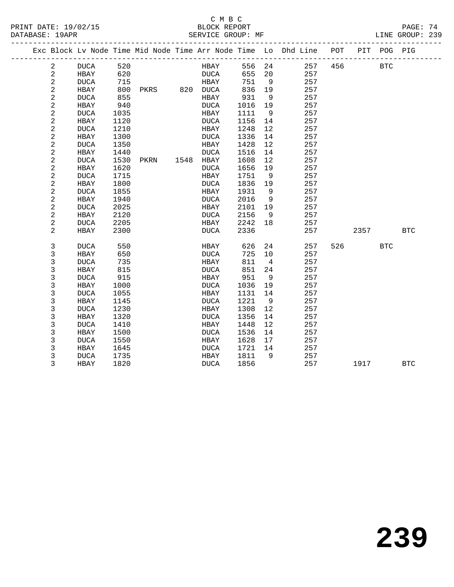#### C M B C<br>BLOCK REPORT PRINT DATE: 19/02/15 BLOCK REPORT PAGE: 74 SERVICE GROUP: MF

|  |              |             |      |               |             |        |                | Exc Block Lv Node Time Mid Node Time Arr Node Time Lo Dhd Line POT |     |      | PIT POG PIG |            |  |
|--|--------------|-------------|------|---------------|-------------|--------|----------------|--------------------------------------------------------------------|-----|------|-------------|------------|--|
|  | 2            | DUCA        | 520  |               | HBAY        | 556 24 |                | 257                                                                | 456 |      | <b>BTC</b>  |            |  |
|  | 2            | HBAY        | 620  |               | DUCA        | 655    | 20             | 257                                                                |     |      |             |            |  |
|  | $\sqrt{2}$   | <b>DUCA</b> | 715  |               | HBAY        | 751    | 9              | 257                                                                |     |      |             |            |  |
|  | $\mathbf{2}$ | HBAY        | 800  | PKRS 820 DUCA |             | 836    | 19             | 257                                                                |     |      |             |            |  |
|  | 2            | <b>DUCA</b> | 855  |               | HBAY        | 931    | - 9            | 257                                                                |     |      |             |            |  |
|  | $\sqrt{2}$   | HBAY        | 940  |               | <b>DUCA</b> | 1016   | 19             | 257                                                                |     |      |             |            |  |
|  | $\sqrt{2}$   | <b>DUCA</b> | 1035 |               | HBAY        | 1111   | 9              | 257                                                                |     |      |             |            |  |
|  | $\sqrt{2}$   | HBAY        | 1120 |               | DUCA        | 1156   | 14             | 257                                                                |     |      |             |            |  |
|  | $\mathbf{2}$ | <b>DUCA</b> | 1210 |               | HBAY        | 1248   | 12             | 257                                                                |     |      |             |            |  |
|  | $\sqrt{2}$   | HBAY        | 1300 |               | DUCA        | 1336   | 14             | 257                                                                |     |      |             |            |  |
|  | $\sqrt{2}$   | <b>DUCA</b> | 1350 |               | HBAY        | 1428   | 12             | 257                                                                |     |      |             |            |  |
|  | $\sqrt{2}$   | HBAY        | 1440 |               | DUCA        | 1516   | 14             | 257                                                                |     |      |             |            |  |
|  | $\sqrt{2}$   | <b>DUCA</b> | 1530 | PKRN          | 1548 HBAY   | 1608   | 12             | 257                                                                |     |      |             |            |  |
|  | $\sqrt{2}$   | HBAY        | 1620 |               | DUCA        | 1656   | 19             | 257                                                                |     |      |             |            |  |
|  | $\sqrt{2}$   | <b>DUCA</b> | 1715 |               | HBAY        | 1751   | 9              | 257                                                                |     |      |             |            |  |
|  | $\sqrt{2}$   | HBAY        | 1800 |               | <b>DUCA</b> | 1836   | 19             | 257                                                                |     |      |             |            |  |
|  | 2            | <b>DUCA</b> | 1855 |               | HBAY        | 1931   | 9              | 257                                                                |     |      |             |            |  |
|  | $\sqrt{2}$   | <b>HBAY</b> | 1940 |               | <b>DUCA</b> | 2016   | 9              | 257                                                                |     |      |             |            |  |
|  | $\sqrt{2}$   | <b>DUCA</b> | 2025 |               | HBAY        | 2101   | 19             | 257                                                                |     |      |             |            |  |
|  | $\sqrt{2}$   | HBAY        | 2120 |               | DUCA        | 2156   | 9              | 257                                                                |     |      |             |            |  |
|  | $\sqrt{2}$   | <b>DUCA</b> | 2205 |               | HBAY        | 2242   | 18             | 257                                                                |     |      |             |            |  |
|  | 2            | HBAY        | 2300 |               | DUCA        | 2336   |                | 257                                                                |     | 2357 |             | <b>BTC</b> |  |
|  | 3            | <b>DUCA</b> | 550  |               | HBAY        | 626    | 24             | 257                                                                | 526 |      | <b>BTC</b>  |            |  |
|  | 3            | HBAY        | 650  |               | DUCA        | 725    | 10             | 257                                                                |     |      |             |            |  |
|  | 3            | <b>DUCA</b> | 735  |               | HBAY        | 811    | $\overline{4}$ | 257                                                                |     |      |             |            |  |
|  | 3            | HBAY        | 815  |               | DUCA        | 851    | 24             | 257                                                                |     |      |             |            |  |
|  | 3            | <b>DUCA</b> | 915  |               | HBAY        | 951    | 9              | 257                                                                |     |      |             |            |  |
|  | 3            | HBAY        | 1000 |               | DUCA        | 1036   | 19             | 257                                                                |     |      |             |            |  |
|  | 3            | <b>DUCA</b> | 1055 |               | HBAY        | 1131   | 14             | 257                                                                |     |      |             |            |  |
|  | 3            | HBAY        | 1145 |               | <b>DUCA</b> | 1221   | 9              | 257                                                                |     |      |             |            |  |
|  | 3            | <b>DUCA</b> | 1230 |               | HBAY        | 1308   | 12             | 257                                                                |     |      |             |            |  |
|  | 3            | HBAY        | 1320 |               | <b>DUCA</b> | 1356   | 14             | 257                                                                |     |      |             |            |  |
|  | 3            | <b>DUCA</b> | 1410 |               | HBAY        | 1448   | 12             | 257                                                                |     |      |             |            |  |
|  | 3            | HBAY        | 1500 |               | <b>DUCA</b> | 1536   | 14             | 257                                                                |     |      |             |            |  |
|  | 3            | <b>DUCA</b> | 1550 |               | HBAY        | 1628   | 17             | 257                                                                |     |      |             |            |  |
|  | 3            | HBAY        | 1645 |               | DUCA        | 1721   | 14             | 257                                                                |     |      |             |            |  |
|  | 3            | <b>DUCA</b> | 1735 |               | HBAY        | 1811   | 9              | 257                                                                |     |      |             |            |  |
|  | 3            | HBAY        | 1820 |               | <b>DUCA</b> | 1856   |                | 257                                                                |     | 1917 |             | <b>BTC</b> |  |
|  |              |             |      |               |             |        |                |                                                                    |     |      |             |            |  |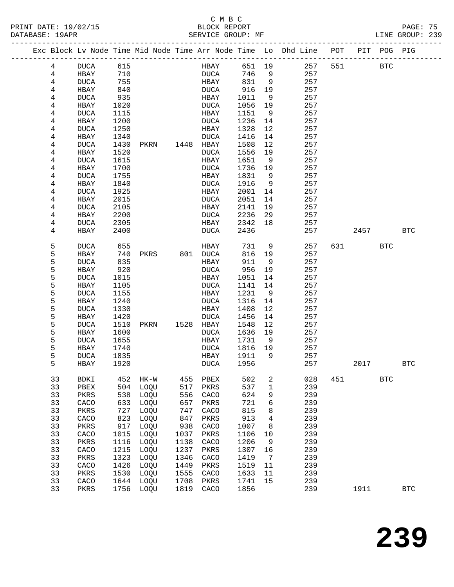#### C M B C<br>BLOCK REPORT PRINT DATE: 19/02/15 BLOCK REPORT PAGE: 75 SERVICE GROUP: MF

|    |             |      |                |      |             |        |                | Exc Block Lv Node Time Mid Node Time Arr Node Time Lo Dhd Line POT |     |      | PIT POG PIG |              |
|----|-------------|------|----------------|------|-------------|--------|----------------|--------------------------------------------------------------------|-----|------|-------------|--------------|
| 4  | DUCA        | 615  |                |      | <b>HBAY</b> | 651 19 |                | 257                                                                | 551 |      | <b>BTC</b>  |              |
| 4  | HBAY        | 710  |                |      | DUCA        | 746    | $\overline{9}$ | 257                                                                |     |      |             |              |
| 4  | <b>DUCA</b> | 755  |                |      | HBAY        | 831    | $\overline{9}$ | 257                                                                |     |      |             |              |
| 4  | HBAY        | 840  |                |      | DUCA        | 916    | 19             | 257                                                                |     |      |             |              |
| 4  | <b>DUCA</b> | 935  |                |      | HBAY        | 1011   | 9              | 257                                                                |     |      |             |              |
| 4  | HBAY        | 1020 |                |      | DUCA        | 1056   | 19             | 257                                                                |     |      |             |              |
| 4  | <b>DUCA</b> | 1115 |                |      | HBAY        | 1151   | - 9            | 257                                                                |     |      |             |              |
| 4  | HBAY        | 1200 |                |      | DUCA        | 1236   | 14             | 257                                                                |     |      |             |              |
| 4  | <b>DUCA</b> | 1250 |                |      | HBAY        | 1328   | 12             | 257                                                                |     |      |             |              |
| 4  | HBAY        | 1340 |                |      | DUCA        | 1416   | 14             | 257                                                                |     |      |             |              |
| 4  | <b>DUCA</b> | 1430 | PKRN           |      | 1448 HBAY   | 1508   | 12             | 257                                                                |     |      |             |              |
| 4  | HBAY        | 1520 |                |      | <b>DUCA</b> | 1556   | 19             | 257                                                                |     |      |             |              |
| 4  | <b>DUCA</b> | 1615 |                |      | HBAY        | 1651   | 9              | 257                                                                |     |      |             |              |
| 4  | HBAY        | 1700 |                |      | DUCA        | 1736   | 19             | 257                                                                |     |      |             |              |
| 4  | <b>DUCA</b> | 1755 |                |      | HBAY        | 1831   | 9              | 257                                                                |     |      |             |              |
| 4  | HBAY        | 1840 |                |      | DUCA        | 1916   | 9              | 257                                                                |     |      |             |              |
| 4  | <b>DUCA</b> | 1925 |                |      | HBAY        | 2001   | 14             | 257                                                                |     |      |             |              |
| 4  | HBAY        | 2015 |                |      | DUCA        | 2051   | 14             | 257                                                                |     |      |             |              |
| 4  | <b>DUCA</b> | 2105 |                |      | HBAY        | 2141   | 19             | 257                                                                |     |      |             |              |
| 4  | HBAY        | 2200 |                |      | DUCA        | 2236   | 29             | 257                                                                |     |      |             |              |
| 4  | <b>DUCA</b> | 2305 |                |      | HBAY        | 2342   | 18             | 257                                                                |     |      |             |              |
| 4  | HBAY        | 2400 |                |      | DUCA        | 2436   |                | 257                                                                |     | 2457 |             | BTC          |
| 5  | <b>DUCA</b> | 655  |                |      | HBAY        | 731    | 9              | 257                                                                | 631 |      | BTC         |              |
| 5  | HBAY        | 740  | PKRS           |      | 801 DUCA    | 816    | 19             | 257                                                                |     |      |             |              |
| 5  | <b>DUCA</b> | 835  |                |      | HBAY        | 911    | 9              | 257                                                                |     |      |             |              |
| 5  | HBAY        | 920  |                |      | DUCA        | 956    | 19             | 257                                                                |     |      |             |              |
| 5  | <b>DUCA</b> | 1015 |                |      | HBAY        | 1051   | 14             | 257                                                                |     |      |             |              |
| 5  | HBAY        | 1105 |                |      | DUCA        | 1141   | 14             | 257                                                                |     |      |             |              |
| 5  | <b>DUCA</b> | 1155 |                |      | HBAY        | 1231   | 9              | 257                                                                |     |      |             |              |
| 5  | HBAY        | 1240 |                |      | DUCA        | 1316   | 14             | 257                                                                |     |      |             |              |
| 5  | <b>DUCA</b> | 1330 |                |      | HBAY        | 1408   | 12             | 257                                                                |     |      |             |              |
| 5  | HBAY        | 1420 |                |      | DUCA        | 1456   | 14             | 257                                                                |     |      |             |              |
| 5  | <b>DUCA</b> | 1510 | PKRN 1528 HBAY |      |             | 1548   | 12             | 257                                                                |     |      |             |              |
| 5  | HBAY        | 1600 |                |      | <b>DUCA</b> | 1636   | 19             | 257                                                                |     |      |             |              |
| 5  | <b>DUCA</b> | 1655 |                |      | HBAY        | 1731   | 9              | 257                                                                |     |      |             |              |
| 5  | HBAY        | 1740 |                |      | DUCA        | 1816   | 19             | 257                                                                |     |      |             |              |
| 5  | <b>DUCA</b> | 1835 |                |      | HBAY        | 1911   | 9              | 257                                                                |     |      |             |              |
| 5  | HBAY        | 1920 |                |      | DUCA        | 1956   |                | 257                                                                |     | 2017 |             | BTC          |
| 33 | BDKI        | 452  | $HK-W$         | 455  | PBEX        | 502    | 2              | 028                                                                | 451 |      | <b>BTC</b>  |              |
| 33 | PBEX        | 504  | LOQU           | 517  | PKRS        | 537    | 1              | 239                                                                |     |      |             |              |
| 33 | PKRS        | 538  | LOQU           | 556  | CACO        | 624    | 9              | 239                                                                |     |      |             |              |
| 33 | CACO        | 633  | LOQU           | 657  | PKRS        | 721    | 6              | 239                                                                |     |      |             |              |
| 33 | PKRS        | 727  | LOQU           | 747  | CACO        | 815    | 8              | 239                                                                |     |      |             |              |
| 33 | CACO        | 823  | LOQU           | 847  | PKRS        | 913    | 4              | 239                                                                |     |      |             |              |
| 33 | PKRS        | 917  | LOQU           | 938  | CACO        | 1007   | 8              | 239                                                                |     |      |             |              |
| 33 | CACO        | 1015 | LOQU           | 1037 | PKRS        | 1106   | 10             | 239                                                                |     |      |             |              |
| 33 | PKRS        | 1116 | LOQU           | 1138 | CACO        | 1206   | 9              | 239                                                                |     |      |             |              |
| 33 | CACO        | 1215 | LOQU           | 1237 | PKRS        | 1307   | 16             | 239                                                                |     |      |             |              |
| 33 | PKRS        | 1323 | LOQU           | 1346 | CACO        | 1419   | 7              | 239                                                                |     |      |             |              |
| 33 | CACO        | 1426 | LOQU           | 1449 | PKRS        | 1519   | 11             | 239                                                                |     |      |             |              |
| 33 | PKRS        | 1530 | LOQU           | 1555 | CACO        | 1633   | 11             | 239                                                                |     |      |             |              |
| 33 | CACO        | 1644 | LOQU           | 1708 | PKRS        | 1741   | 15             | 239                                                                |     |      |             |              |
| 33 | PKRS        | 1756 | LOQU           | 1819 | CACO        | 1856   |                | 239                                                                |     | 1911 |             | $_{\rm BTC}$ |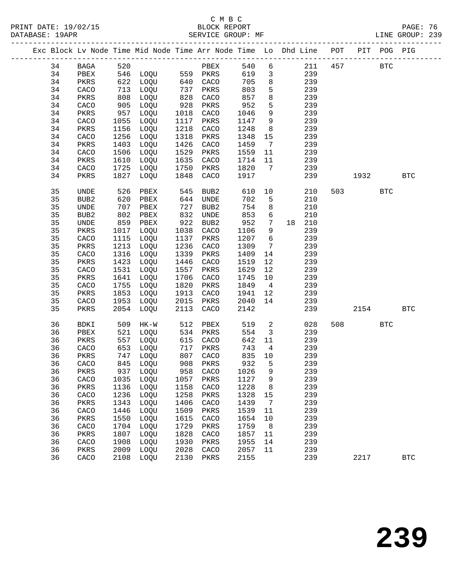|  |    |                  |      | Exc Block Lv Node Time Mid Node Time Arr Node Time Lo Dhd Line POT PIT POG PIG |            |                  |      |                         |        |     |      |            |              |
|--|----|------------------|------|--------------------------------------------------------------------------------|------------|------------------|------|-------------------------|--------|-----|------|------------|--------------|
|  | 34 | BAGA             | 520  |                                                                                |            | PBEX             | 540  | 6                       | 211    | 457 |      | <b>BTC</b> |              |
|  | 34 | PBEX             |      | 546 LOQU 559 PKRS                                                              |            |                  | 619  | $\overline{3}$          | 239    |     |      |            |              |
|  | 34 | PKRS             |      | 622 LOQU                                                                       |            | 640 CACO         | 705  | $8\phantom{1}$          | 239    |     |      |            |              |
|  | 34 | CACO             | 713  | LOQU                                                                           | 737        | PKRS             | 803  | 5                       | 239    |     |      |            |              |
|  | 34 | PKRS             | 808  | LOQU                                                                           | 828        | CACO             | 857  | 8                       | 239    |     |      |            |              |
|  | 34 | CACO             | 905  | LOQU                                                                           | 928        | PKRS             | 952  | 5                       | 239    |     |      |            |              |
|  | 34 | PKRS             | 957  | LOQU                                                                           | 1018       | CACO             | 1046 | 9                       | 239    |     |      |            |              |
|  | 34 | CACO             | 1055 | LOQU                                                                           | 1117       | PKRS             | 1147 | 9                       | 239    |     |      |            |              |
|  | 34 | PKRS             | 1156 | LOQU                                                                           | 1218       | CACO             | 1248 | 8                       | 239    |     |      |            |              |
|  | 34 | CACO             | 1256 | LOQU                                                                           | 1318       | PKRS             | 1348 | 15                      | 239    |     |      |            |              |
|  | 34 | PKRS             | 1403 | LOQU                                                                           | 1426       | CACO             | 1459 | $\overline{7}$          | 239    |     |      |            |              |
|  | 34 | CACO             | 1506 | LOQU                                                                           | 1529       | PKRS             | 1559 | 11                      | 239    |     |      |            |              |
|  | 34 | PKRS             | 1610 | LOQU                                                                           | 1635       | CACO             | 1714 | 11                      | 239    |     |      |            |              |
|  | 34 | CACO             | 1725 | LOQU                                                                           | 1750       | PKRS             | 1820 | 7                       | 239    |     |      |            |              |
|  | 34 | PKRS             | 1827 | LOQU                                                                           | 1848       | CACO             | 1917 |                         | 239    |     | 1932 |            | <b>BTC</b>   |
|  |    |                  |      |                                                                                |            |                  |      |                         |        |     |      |            |              |
|  | 35 | UNDE             | 526  | PBEX                                                                           | 545        | BUB <sub>2</sub> | 610  | 10                      | 210    |     | 503  | <b>BTC</b> |              |
|  | 35 | BUB <sub>2</sub> | 620  | PBEX                                                                           | 644        | UNDE             | 702  | 5                       | 210    |     |      |            |              |
|  | 35 | UNDE             | 707  | PBEX                                                                           | 727        | BUB2             | 754  | 8                       | 210    |     |      |            |              |
|  | 35 | BUB <sub>2</sub> | 802  | PBEX                                                                           | 832        | UNDE             | 853  | 6                       | 210    |     |      |            |              |
|  | 35 | UNDE             | 859  | PBEX                                                                           | 922        | BUB2             | 952  | $7\phantom{.0}$         | 18 210 |     |      |            |              |
|  | 35 | PKRS             | 1017 | LOQU                                                                           | 1038       | CACO             | 1106 | 9                       | 239    |     |      |            |              |
|  | 35 | CACO             | 1115 | LOQU                                                                           | 1137       | PKRS             | 1207 | $6\overline{6}$         | 239    |     |      |            |              |
|  | 35 | PKRS             | 1213 | LOQU                                                                           | 1236       | CACO             | 1309 | $7\overline{ }$         | 239    |     |      |            |              |
|  | 35 | CACO             | 1316 | LOQU                                                                           | 1339       | PKRS             | 1409 | 14                      | 239    |     |      |            |              |
|  | 35 | PKRS             | 1423 | LOQU                                                                           | 1446       | CACO             | 1519 | 12                      | 239    |     |      |            |              |
|  | 35 | CACO             | 1531 | LOQU                                                                           | 1557       | PKRS             | 1629 | 12                      | 239    |     |      |            |              |
|  | 35 | PKRS             | 1641 | LOQU                                                                           | 1706       | CACO             | 1745 | 10                      | 239    |     |      |            |              |
|  | 35 | CACO             | 1755 | LOQU                                                                           | 1820       | PKRS             | 1849 | $4\overline{4}$         | 239    |     |      |            |              |
|  | 35 | PKRS             | 1853 | LOQU                                                                           | 1913       | CACO             | 1941 | 12                      | 239    |     |      |            |              |
|  | 35 | CACO             | 1953 | LOQU                                                                           | 2015       | PKRS             | 2040 | 14                      | 239    |     |      |            |              |
|  | 35 | PKRS             | 2054 | LOQU                                                                           | 2113       | CACO             | 2142 |                         | 239    |     | 2154 |            | <b>BTC</b>   |
|  |    |                  |      |                                                                                |            |                  |      |                         |        |     |      |            |              |
|  | 36 | BDKI             | 509  | HK-W                                                                           | 512        | PBEX             | 519  | 2                       | 028    | 508 |      | <b>BTC</b> |              |
|  | 36 | PBEX             | 521  | LOQU                                                                           | 534        | PKRS             | 554  | $\overline{\mathbf{3}}$ | 239    |     |      |            |              |
|  | 36 | PKRS             | 557  | LOQU                                                                           | 615        | CACO             | 642  | 11                      | 239    |     |      |            |              |
|  | 36 | CACO             | 653  | LOQU                                                                           | 717<br>807 | PKRS             | 743  | $\overline{4}$          | 239    |     |      |            |              |
|  | 36 | PKRS             | 747  | LOQU                                                                           |            | CACO             | 835  | 10                      | 239    |     |      |            |              |
|  | 36 | CACO             |      | 845 LOQU                                                                       |            | 908 PKRS         | 932  | 5                       | 239    |     |      |            |              |
|  | 36 | PKRS             |      | 937 LOQU 958 CACO 1026 9                                                       |            |                  |      |                         | 239    |     |      |            |              |
|  | 36 | CACO             | 1035 | LOQU                                                                           | 1057       | PKRS             | 1127 | 9                       | 239    |     |      |            |              |
|  | 36 | PKRS             | 1136 | LOQU                                                                           | 1158       | CACO             | 1228 | 8                       | 239    |     |      |            |              |
|  | 36 | CACO             | 1236 | LOQU                                                                           | 1258       | PKRS             | 1328 | 15                      | 239    |     |      |            |              |
|  | 36 | PKRS             | 1343 | LOQU                                                                           | 1406       | CACO             | 1439 | 7                       | 239    |     |      |            |              |
|  | 36 | CACO             | 1446 | LOQU                                                                           | 1509       | PKRS             | 1539 | 11                      | 239    |     |      |            |              |
|  | 36 | PKRS             | 1550 | LOQU                                                                           | 1615       | CACO             | 1654 | 10                      | 239    |     |      |            |              |
|  | 36 | CACO             | 1704 | LOQU                                                                           | 1729       | PKRS             | 1759 | 8                       | 239    |     |      |            |              |
|  | 36 | PKRS             | 1807 | LOQU                                                                           | 1828       | CACO             | 1857 | 11                      | 239    |     |      |            |              |
|  | 36 | CACO             | 1908 | LOQU                                                                           | 1930       | PKRS             | 1955 | 14                      | 239    |     |      |            |              |
|  | 36 | PKRS             | 2009 | LOQU                                                                           | 2028       | CACO             | 2057 | 11                      | 239    |     |      |            |              |
|  | 36 | CACO             | 2108 | LOQU                                                                           | 2130       | PKRS             | 2155 |                         | 239    |     | 2217 |            | $_{\rm BTC}$ |
|  |    |                  |      |                                                                                |            |                  |      |                         |        |     |      |            |              |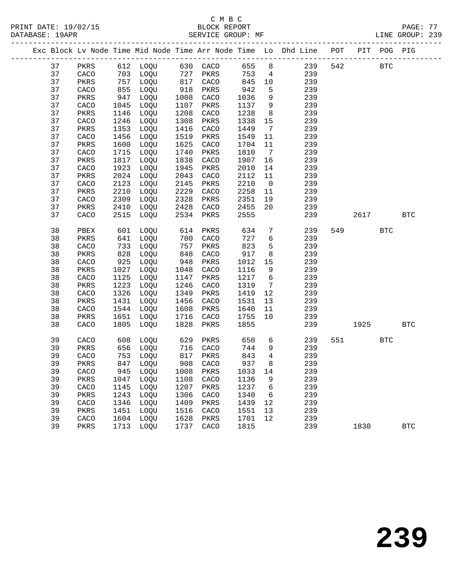|    |      |      |                                 |                                           |          |      |                              | Exc Block Lv Node Time Mid Node Time Arr Node Time Lo Dhd Line POT PIT POG PIG |     |       |            |              |
|----|------|------|---------------------------------|-------------------------------------------|----------|------|------------------------------|--------------------------------------------------------------------------------|-----|-------|------------|--------------|
| 37 | PKRS |      | 612 LOQU 630 CACO               |                                           |          | 655  | 8                            | 239                                                                            | 542 |       | <b>BTC</b> |              |
| 37 | CACO |      | 703 LOQU                        | $\begin{array}{c} 721 \\ 817 \end{array}$ | 727 PKRS | 753  | $\overline{4}$               | 239                                                                            |     |       |            |              |
| 37 | PKRS | 757  | LOQU                            |                                           | CACO     | 845  | 10                           | 239                                                                            |     |       |            |              |
| 37 | CACO | 855  | LOQU                            | 918                                       | PKRS     | 942  | 5                            | 239                                                                            |     |       |            |              |
| 37 | PKRS | 947  | LOQU                            | 1008                                      | CACO     | 1036 | 9                            | 239                                                                            |     |       |            |              |
| 37 | CACO | 1045 | LOQU                            | 1107                                      | PKRS     | 1137 | 9                            | 239                                                                            |     |       |            |              |
| 37 | PKRS | 1146 | LOQU                            | 1208                                      | CACO     | 1238 | 8 <sup>8</sup>               | 239                                                                            |     |       |            |              |
| 37 | CACO | 1246 | LOQU                            | 1308                                      | PKRS     | 1338 | 15                           | 239                                                                            |     |       |            |              |
| 37 | PKRS | 1353 | LOQU                            | 1416                                      | CACO     | 1449 | $7\phantom{.0}\phantom{.0}7$ | 239                                                                            |     |       |            |              |
| 37 | CACO | 1456 | LOQU                            | 1519                                      | PKRS     | 1549 | 11                           | 239                                                                            |     |       |            |              |
| 37 | PKRS | 1600 | LOQU                            | 1625                                      | CACO     | 1704 | 11                           | 239                                                                            |     |       |            |              |
| 37 | CACO | 1715 | LOQU                            | 1740                                      | PKRS     | 1810 | $\overline{7}$               | 239                                                                            |     |       |            |              |
| 37 | PKRS | 1817 | LOQU                            | 1838                                      | CACO     | 1907 | 16                           | 239                                                                            |     |       |            |              |
| 37 | CACO | 1923 | LOQU                            | 1945                                      | PKRS     | 2010 | 14                           | 239                                                                            |     |       |            |              |
| 37 | PKRS | 2024 | LOQU                            | 2043                                      | CACO     | 2112 | 11                           | 239                                                                            |     |       |            |              |
| 37 | CACO | 2123 | LOQU                            | 2145                                      | PKRS     | 2210 | $\overline{0}$               | 239                                                                            |     |       |            |              |
| 37 | PKRS | 2210 | LOQU                            | 2229                                      | CACO     | 2258 | 11                           | 239                                                                            |     |       |            |              |
| 37 | CACO | 2309 | LOQU                            | 2328                                      | PKRS     | 2351 | 19                           | 239                                                                            |     |       |            |              |
| 37 | PKRS | 2410 | LOQU                            | 2428                                      | CACO     | 2455 | 20                           | 239                                                                            |     |       |            |              |
| 37 | CACO | 2515 | LOQU                            | 2534                                      | PKRS     | 2555 |                              | 239                                                                            |     | 2617  |            | $_{\rm BTC}$ |
| 38 | PBEX | 601  | LOQU                            | 614                                       | PKRS     | 634  | $7\phantom{.0}$              | 239                                                                            |     | 549   | <b>BTC</b> |              |
| 38 | PKRS | 641  | LOQU                            | 700                                       | CACO     | 727  | $6\overline{6}$              | 239                                                                            |     |       |            |              |
| 38 | CACO | 733  | LOQU                            | 757                                       | PKRS     | 823  | 5                            | 239                                                                            |     |       |            |              |
| 38 | PKRS | 828  | LOQU                            | 848                                       | CACO     | 917  | $8\phantom{1}$               | 239                                                                            |     |       |            |              |
| 38 | CACO | 925  | LOQU                            | 948                                       | PKRS     | 1012 | 15                           | 239                                                                            |     |       |            |              |
| 38 | PKRS | 1027 | LOQU                            | 1048                                      | CACO     | 1116 | 9                            | 239                                                                            |     |       |            |              |
| 38 | CACO | 1125 | LOQU                            | 1147                                      | PKRS     | 1217 | $6\overline{6}$              | 239                                                                            |     |       |            |              |
| 38 | PKRS | 1223 | LOQU                            | 1246                                      | CACO     | 1319 | $7\overline{ }$              | 239                                                                            |     |       |            |              |
| 38 | CACO | 1326 | LOQU                            | 1349                                      | PKRS     | 1419 | 12                           | 239                                                                            |     |       |            |              |
| 38 | PKRS | 1431 | LOQU                            | 1456                                      | CACO     | 1531 | 13                           | 239                                                                            |     |       |            |              |
| 38 | CACO | 1544 | LOQU                            | 1608                                      | PKRS     | 1640 | 11                           | 239                                                                            |     |       |            |              |
| 38 | PKRS | 1651 | LOQU                            | 1716                                      | CACO     | 1755 | 10                           | 239                                                                            |     |       |            |              |
| 38 | CACO | 1805 | LOQU                            | 1828                                      | PKRS     | 1855 |                              | 239                                                                            |     | 1925  |            | <b>BTC</b>   |
| 39 | CACO | 608  | LOQU                            | 629                                       | PKRS     | 650  | $6\overline{6}$              | 239                                                                            |     | 551 7 | <b>BTC</b> |              |
| 39 | PKRS | 656  | LOQU                            |                                           | 716 CACO | 744  | 9                            | 239                                                                            |     |       |            |              |
| 39 | CACO | 753  | LOQU                            |                                           | 817 PKRS | 843  | $\overline{4}$               | 239                                                                            |     |       |            |              |
| 39 | PKRS |      | 847 LOQU                        | 908                                       | CACO     | 937  | 8                            | 239                                                                            |     |       |            |              |
| 39 |      |      | CACO 945 LOQU 1008 PKRS 1033 14 |                                           |          |      |                              | 239                                                                            |     |       |            |              |
| 39 | PKRS | 1047 | LOQU                            | 1108                                      | CACO     | 1136 | 9                            | 239                                                                            |     |       |            |              |
| 39 | CACO | 1145 | LOQU                            | 1207                                      | PKRS     | 1237 | 6                            | 239                                                                            |     |       |            |              |
| 39 | PKRS | 1243 | LOQU                            | 1306                                      | CACO     | 1340 | 6                            | 239                                                                            |     |       |            |              |
| 39 | CACO | 1346 | LOQU                            | 1409                                      | PKRS     | 1439 | 12                           | 239                                                                            |     |       |            |              |
| 39 | PKRS | 1451 | LOQU                            | 1516                                      | CACO     | 1551 | 13                           | 239                                                                            |     |       |            |              |
| 39 | CACO | 1604 | LOQU                            | 1628                                      | PKRS     | 1701 | 12                           | 239                                                                            |     |       |            |              |
| 39 | PKRS | 1713 | LOQU                            | 1737                                      | CACO     | 1815 |                              | 239                                                                            |     | 1830  |            | <b>BTC</b>   |
|    |      |      |                                 |                                           |          |      |                              |                                                                                |     |       |            |              |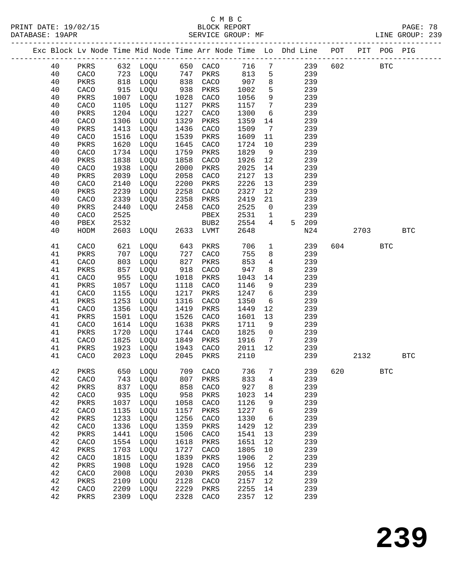# C M B C<br>BLOCK REPORT

| 40       |               |              |                                                                                   |              |                        |                 |                                    | PKRS 632 LOQU 650 CACO 716 7 239 602 BTC |     |      |                      |              |  |
|----------|---------------|--------------|-----------------------------------------------------------------------------------|--------------|------------------------|-----------------|------------------------------------|------------------------------------------|-----|------|----------------------|--------------|--|
| 40       |               |              |                                                                                   |              |                        |                 |                                    | CACO 723 LOQU 747 PKRS 813 5 239         |     |      |                      |              |  |
| 40       | PKRS          |              | 818 LOQU 838 CACO 907 8<br>915 LOQU 938 PKRS 1002 5<br>1007 LOQU 1028 CACO 1056 9 |              |                        |                 |                                    | 239                                      |     |      |                      |              |  |
| 40       | CACO          |              |                                                                                   |              |                        |                 |                                    | 239                                      |     |      |                      |              |  |
| 40       | PKRS          | 1007         | LOQU                                                                              | 1028         | CACO                   | 1056            |                                    | 9<br>239                                 |     |      |                      |              |  |
| 40       | CACO          | 1105         | LOQU                                                                              | 1127         | PKRS                   | 1157 7          |                                    | 239                                      |     |      |                      |              |  |
| 40       | PKRS          | 1204         | LOQU                                                                              | 1227         | CACO                   | 1300            | $6\overline{6}$                    | 239                                      |     |      |                      |              |  |
| 40       | CACO          | 1306         | LOQU                                                                              | 1329         | PKRS                   | 1359 14         |                                    | 239                                      |     |      |                      |              |  |
| 40       | PKRS          | 1413         | LOQU                                                                              | 1436         | CACO                   | 1509            | $\begin{array}{c}\n7\n\end{array}$ | 239                                      |     |      |                      |              |  |
| 40       | CACO          | 1516         | LOQU                                                                              | 1539         | PKRS                   | 1609            | 11                                 | 239                                      |     |      |                      |              |  |
| 40       | PKRS          | 1620         | LOQU                                                                              | 1645         | CACO                   | 1724            | 10                                 | 239                                      |     |      |                      |              |  |
| 40       | CACO          | 1734         | LOQU                                                                              | 1759         | PKRS                   | 1829            | 9                                  | 239                                      |     |      |                      |              |  |
| 40       | PKRS          | 1838         | LOQU                                                                              | 1858         | CACO                   | 1926            | 12                                 | 239                                      |     |      |                      |              |  |
| 40       | CACO          | 1938         | LOQU                                                                              | 2000         | PKRS                   | 2025            | 14                                 | 239                                      |     |      |                      |              |  |
| 40       | PKRS          | 2039         | LOQU                                                                              | 2058         | CACO                   | 2127            | 13                                 | 239                                      |     |      |                      |              |  |
| 40       | CACO          | 2140         | LOQU                                                                              | 2200         | PKRS                   | 2226            | 13                                 | 239                                      |     |      |                      |              |  |
| 40       | PKRS          | 2239         | LOQU                                                                              | 2258<br>2358 | CACO                   | 2327            | 12                                 | 239                                      |     |      |                      |              |  |
| 40       | CACO          | 2339         | LOQU                                                                              |              | PKRS                   | 2419            | 21                                 | 239                                      |     |      |                      |              |  |
| 40       | PKRS<br>CACO  | 2440<br>2525 | LOQU 2458 CACO                                                                    |              |                        | 2525<br>2531    | 1                                  | $0$ 239<br>239                           |     |      |                      |              |  |
| 40<br>40 |               |              |                                                                                   |              | PBEX                   | 2554            |                                    | $4\overline{ }$<br>5 209                 |     |      |                      |              |  |
| 40       | PBEX<br>HODM  |              |                                                                                   |              |                        | 2648            |                                    | N24                                      |     | 2703 |                      | <b>BTC</b>   |  |
|          |               |              |                                                                                   |              |                        |                 |                                    |                                          |     |      |                      |              |  |
| 41       | CACO          | 621          | LOQU                                                                              | 643          | PKRS                   | 706             | 1                                  | 239                                      |     | 604  | <b>BTC</b>           |              |  |
| 41       | PKRS          | 707<br>803   | LOQU                                                                              | 727          | CACO                   | 755             | 8                                  | 239                                      |     |      |                      |              |  |
| 41       | CACO          |              | LOQU                                                                              | 827          | PKRS                   | 853             |                                    | $4\overline{ }$<br>239                   |     |      |                      |              |  |
| 41       | PKRS          | 857          | LOQU                                                                              | 918          | CACO                   | 947             | 8                                  | 239                                      |     |      |                      |              |  |
| 41       | CACO          | 955          | LOQU                                                                              | 1018         | PKRS                   | 1043            | 14                                 | 239                                      |     |      |                      |              |  |
| 41       | PKRS          | 1057         | LOQU                                                                              | 1118         | CACO                   | 1146            | 9                                  | 239                                      |     |      |                      |              |  |
| 41       | CACO          | 1155         | LOQU                                                                              | 1217         | PKRS                   | 1247 6          |                                    | 239                                      |     |      |                      |              |  |
| 41       | PKRS          | 1253         | LOQU                                                                              | 1316         | CACO                   | 1350            |                                    | 6 <sup>6</sup><br>239                    |     |      |                      |              |  |
| 41       | CACO          | 1356         | LOQU                                                                              | 1419         | PKRS                   | 1449            | 12                                 | 239                                      |     |      |                      |              |  |
| 41       | PKRS          | 1501         | LOQU                                                                              | 1526         | CACO                   | 1601            | 13                                 | 239                                      |     |      |                      |              |  |
| 41       | CACO          | 1614         | LOQU                                                                              | 1638         | PKRS                   | 1711 9          |                                    | 239<br>239                               |     |      |                      |              |  |
| 41       | PKRS          | 1720<br>1825 | LOQU                                                                              |              | 1744 CACO<br>1849 PKRS | 1825 0          |                                    |                                          |     |      |                      |              |  |
| 41<br>41 | CACO<br>PKRS  | 1923         | LOQU<br>LOQU                                                                      |              | 1943 CACO              | 1916<br>2011 12 |                                    | 7 239<br>239                             |     |      |                      |              |  |
| 41       | CACO          |              |                                                                                   |              |                        |                 |                                    | 2023 LOQU 2045 PKRS 2110 239             |     | 2132 |                      | $_{\rm BTC}$ |  |
|          |               |              |                                                                                   |              |                        |                 |                                    |                                          |     |      |                      |              |  |
| 42       | PKRS          | 650          | LOQU                                                                              | 709          | CACO                   | 736             | 7                                  | 239                                      | 620 |      | $\operatorname{BTC}$ |              |  |
| 42       | CACO          | 743          | LOQU                                                                              | 807          | PKRS                   | 833             | 4                                  | 239                                      |     |      |                      |              |  |
| 42       | PKRS          | 837          | LOQU                                                                              | 858          | CACO                   | 927             | 8                                  | 239                                      |     |      |                      |              |  |
| 42       | CACO          | 935          | LOQU                                                                              | 958          | PKRS                   | 1023            | 14                                 | 239                                      |     |      |                      |              |  |
| 42       | PKRS          | 1037         | LOQU                                                                              | 1058         | CACO                   | 1126            | 9                                  | 239                                      |     |      |                      |              |  |
| 42       | CACO          | 1135         | LOQU                                                                              | 1157         | PKRS                   | 1227            | 6                                  | 239                                      |     |      |                      |              |  |
| $4\,2$   | $\mbox{PKRS}$ | 1233         | LOQU                                                                              | 1256         | CACO                   | 1330            | 6                                  | 239                                      |     |      |                      |              |  |
| 42       | CACO          | 1336         | LOQU                                                                              | 1359         | PKRS                   | 1429            | 12                                 | 239                                      |     |      |                      |              |  |
| 42       | PKRS          | 1441         | LOQU                                                                              | 1506         | CACO                   | 1541            | 13                                 | 239                                      |     |      |                      |              |  |
| 42       | CACO          | 1554         | LOQU                                                                              | 1618         | PKRS                   | 1651            | 12                                 | 239                                      |     |      |                      |              |  |
| 42       | $\mbox{PKRS}$ | 1703         | LOQU                                                                              | 1727         | CACO                   | 1805            | 10                                 | 239                                      |     |      |                      |              |  |
| 42<br>42 | CACO          | 1815         | LOQU                                                                              | 1839         | PKRS                   | 1906            | 2                                  | 239                                      |     |      |                      |              |  |
| 42       | PKRS<br>CACO  | 1908<br>2008 | LOQU<br>LOQU                                                                      | 1928<br>2030 | CACO<br>PKRS           | 1956<br>2055    | 12<br>14                           | 239<br>239                               |     |      |                      |              |  |
|          |               |              |                                                                                   |              |                        |                 |                                    |                                          |     |      |                      |              |  |

 42 PKRS 2109 LOQU 2128 CACO 2157 12 239 42 CACO 2209 LOQU 2229 PKRS 2255 14 239 42 PKRS 2309 LOQU 2328 CACO 2357 12 239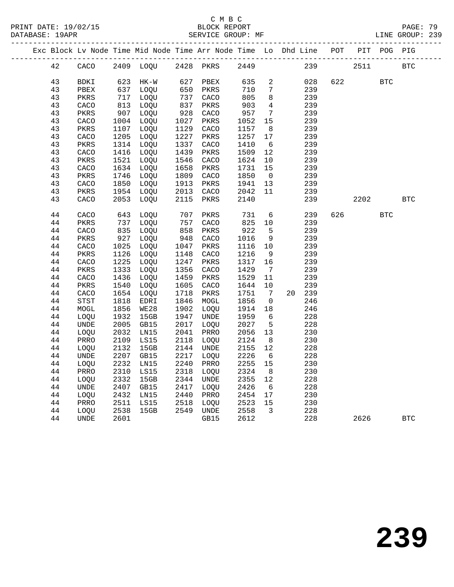# C M B C<br>BLOCK REPORT

LINE GROUP: 239

|        |              |      |                          |      |                   |         |                         | Exc Block Lv Node Time Mid Node Time Arr Node Time Lo Dhd Line POT PIT POG PIG |      |      |              |            |
|--------|--------------|------|--------------------------|------|-------------------|---------|-------------------------|--------------------------------------------------------------------------------|------|------|--------------|------------|
| 42     | CACO         |      | 2409 LOQU 2428 PKRS 2449 |      |                   |         |                         | 239                                                                            | 2511 |      |              | <b>BTC</b> |
| 43     | BDKI         |      | 623 HK-W                 |      | 627 PBEX          | 635 2   |                         | 028                                                                            | 622  |      | <b>BTC</b>   |            |
| 43     | ${\tt PBEX}$ | 637  | LOQU                     | 650  | PKRS              | 710     | $7\overline{ }$         | 239                                                                            |      |      |              |            |
| 43     | PKRS         | 717  | LOQU                     | 737  | CACO              | 805     | 8 <sup>8</sup>          | 239                                                                            |      |      |              |            |
| 43     | CACO         | 813  | LOQU                     | 837  | PKRS              | 903     | $4\overline{ }$         | 239                                                                            |      |      |              |            |
| 43     | PKRS         | 907  | LOQU                     | 928  | CACO              | 957     | $7\overline{ }$         | 239                                                                            |      |      |              |            |
| 43     | CACO         | 1004 | LOQU                     | 1027 | PKRS              | 1052    | 15                      | 239                                                                            |      |      |              |            |
| 43     | PKRS         | 1107 | LOQU                     | 1129 | CACO              | 1157    | 8 <sup>8</sup>          | 239                                                                            |      |      |              |            |
| 43     | CACO         | 1205 | LOQU                     | 1227 | PKRS              | 1257    | 17                      | 239                                                                            |      |      |              |            |
| 43     | PKRS         | 1314 | LOQU                     | 1337 | CACO              | 1410    | 6                       | 239                                                                            |      |      |              |            |
| 43     | CACO         | 1416 | LOQU                     | 1439 | PKRS              | 1509    | 12                      | 239                                                                            |      |      |              |            |
| 43     | PKRS         | 1521 | LOQU                     | 1546 | CACO              | 1624    | 10                      | 239                                                                            |      |      |              |            |
| 43     | CACO         | 1634 | LOQU                     | 1658 | PKRS              | 1731    | 15                      | 239                                                                            |      |      |              |            |
| 43     | PKRS         | 1746 | LOQU                     | 1809 | CACO              | 1850    | $\overline{0}$          | 239                                                                            |      |      |              |            |
| 43     | CACO         | 1850 | LOQU                     | 1913 | PKRS              | 1941    | 13                      | 239                                                                            |      |      |              |            |
| 43     | PKRS         | 1954 | LOQU                     | 2013 | CACO              | 2042    | 11                      | 239                                                                            |      |      |              |            |
| 43     | CACO         | 2053 | LOQU                     | 2115 | PKRS              | 2140    |                         | 239                                                                            |      | 2202 |              | <b>BTC</b> |
| $4\,4$ | CACO         | 643  | LOQU                     | 707  | PKRS              | 731     |                         | $6\overline{6}$<br>239                                                         | 626  |      | $_{\rm BTC}$ |            |
| 44     | PKRS         | 737  | LOOU                     | 757  | CACO              | 825 10  |                         | 239                                                                            |      |      |              |            |
| 44     | CACO         | 835  | LOQU                     | 858  | PKRS              | 922     | 5 <sup>5</sup>          | 239                                                                            |      |      |              |            |
| 44     | PKRS         | 927  | LOQU                     | 948  | CACO              | 1016    | 9                       | 239                                                                            |      |      |              |            |
| 44     | CACO         | 1025 | LOQU                     | 1047 | PKRS              | 1116    | 10                      | 239                                                                            |      |      |              |            |
| 44     | PKRS         | 1126 | LOQU                     | 1148 | CACO              | 1216    | 9                       | 239                                                                            |      |      |              |            |
| 44     | CACO         | 1225 | LOQU                     | 1247 | PKRS              | 1317    | 16                      | 239                                                                            |      |      |              |            |
| 44     | PKRS         | 1333 | LOQU                     | 1356 | CACO              | 1429    | $7\overline{ }$         | 239                                                                            |      |      |              |            |
| 44     | ${\tt CACO}$ | 1436 | LOQU                     | 1459 | PKRS              | 1529    | 11                      | 239                                                                            |      |      |              |            |
| 44     | PKRS         | 1540 | LOQU                     | 1605 | CACO              | 1644    | 10                      | 239                                                                            |      |      |              |            |
| 44     | CACO         | 1654 | LOQU                     | 1718 | PKRS              | 1751    | $7\overline{ }$         | 20 239                                                                         |      |      |              |            |
| 44     | STST         | 1818 | EDRI                     | 1846 | MOGL              | 1856    | $\overline{0}$          | 246                                                                            |      |      |              |            |
| 44     | MOGL         | 1856 | <b>WE28</b>              | 1902 | LOQU              | 1914    | 18                      | 246                                                                            |      |      |              |            |
| 44     | LOQU         | 1932 | 15GB                     | 1947 | UNDE              | 1959    | 6                       | 228                                                                            |      |      |              |            |
| 44     | <b>UNDE</b>  | 2005 | GB15                     | 2017 | LOQU              | 2027    | 5 <sup>5</sup>          | 228                                                                            |      |      |              |            |
| $4\,4$ | LOQU         | 2032 | LN15                     | 2041 | PRRO              | 2056    | 13                      | 230                                                                            |      |      |              |            |
| 44     | PRRO         | 2109 | LS15                     | 2118 | LOQU              | 2124    | 8 <sup>8</sup>          | 230                                                                            |      |      |              |            |
| 44     | LOQU         | 2132 | 15GB                     | 2144 | UNDE              | 2155    | 12                      | 228                                                                            |      |      |              |            |
| 44     | UNDE         | 2207 | GB15                     | 2217 | LOQU              | 2226    | $6\overline{6}$         | 228                                                                            |      |      |              |            |
| 44     | LOQU         | 2232 | LN15                     | 2240 | PRRO              | 2255    | 15                      | 230                                                                            |      |      |              |            |
| 44     | PRRO         | 2310 | LS15                     | 2318 | LOOU              | 2324    | 8 <sup>8</sup>          | 230                                                                            |      |      |              |            |
| 44     | LOQU         | 2332 | 15GB                     | 2344 | UNDE              | 2355    | 12                      | 228                                                                            |      |      |              |            |
| 44     | UNDE         | 2407 | GB15                     | 2417 | LOQU              | 2426    | 6                       | 228                                                                            |      |      |              |            |
| 44     | LOQU         | 2432 | LN15                     | 2440 | PRRO              | 2454 17 |                         | 230                                                                            |      |      |              |            |
| 44     | PRRO         | 2511 | LS15                     | 2518 | LOQU<br>2549 UNDE | 2523    | 15                      | 230                                                                            |      |      |              |            |
| 44     | LOQU         | 2538 | 15GB                     |      |                   | 2558    | $\overline{\mathbf{3}}$ | 228<br>228                                                                     |      |      |              |            |
| 44     | UNDE         | 2601 |                          |      | GB15              | 2612    |                         |                                                                                |      | 2626 |              | <b>BTC</b> |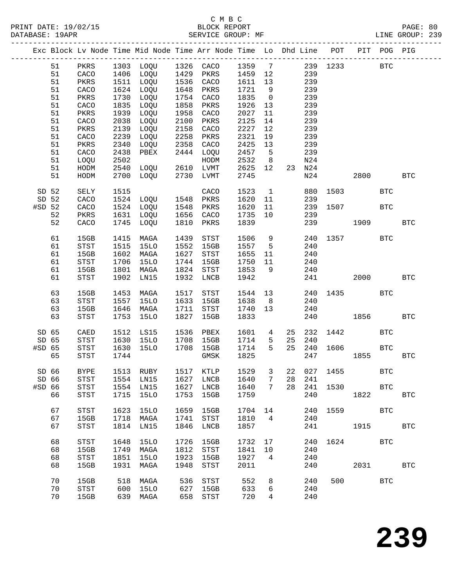|          |    |             |      |                                            |      | Exc Block Lv Node Time Mid Node Time Arr Node Time Lo Dhd Line POT PIT POG PIG |         |                 |    |        |      |                                                                                                             |              |              |
|----------|----|-------------|------|--------------------------------------------|------|--------------------------------------------------------------------------------|---------|-----------------|----|--------|------|-------------------------------------------------------------------------------------------------------------|--------------|--------------|
|          | 51 | PKRS        |      |                                            |      | 1303 LOQU 1326 CACO                                                            |         |                 |    |        |      | 1359 7 239 1233                                                                                             | <b>BTC</b>   |              |
|          | 51 | CACO        |      |                                            |      |                                                                                | 1459 12 |                 |    | 239    |      |                                                                                                             |              |              |
|          | 51 | PKRS        |      | 1406 LOQU 1429 PKRS<br>1511 LOQU 1536 CACO |      |                                                                                | 1611 13 |                 |    | 239    |      |                                                                                                             |              |              |
|          | 51 | CACO        |      | 1624 LOQU                                  | 1648 | PKRS                                                                           | 1721    | 9               |    | 239    |      |                                                                                                             |              |              |
|          | 51 | PKRS        | 1730 | LOQU                                       | 1754 | CACO                                                                           | 1835    | $\overline{0}$  |    | 239    |      |                                                                                                             |              |              |
|          | 51 | CACO        | 1835 | LOQU                                       | 1858 | PKRS                                                                           | 1926    | 13              |    | 239    |      |                                                                                                             |              |              |
|          | 51 | PKRS        | 1939 | LOQU                                       | 1958 | CACO                                                                           | 2027    | 11              |    | 239    |      |                                                                                                             |              |              |
|          | 51 | CACO        | 2038 | LOQU                                       | 2100 | PKRS                                                                           | 2125    | 14              |    | 239    |      |                                                                                                             |              |              |
|          | 51 | PKRS        | 2139 | LOQU                                       | 2158 | CACO                                                                           | 2227    | 12              |    | 239    |      |                                                                                                             |              |              |
|          | 51 | CACO        | 2239 | LOQU                                       | 2258 | PKRS                                                                           | 2321    | 19              |    | 239    |      |                                                                                                             |              |              |
|          | 51 | PKRS        | 2340 | LOQU                                       | 2358 | CACO                                                                           | 2425    | 13              |    | 239    |      |                                                                                                             |              |              |
|          | 51 | CACO        | 2438 | PBEX                                       | 2444 | LOQU                                                                           | 2457    | $-5$            |    | 239    |      |                                                                                                             |              |              |
|          | 51 | LOQU        | 2502 |                                            |      | HODM                                                                           | 2532    | 8 <sup>8</sup>  |    | N24    |      |                                                                                                             |              |              |
|          | 51 | HODM        | 2540 | LOQU 2610                                  |      | LVMT                                                                           | 2625    | 12              |    | 23 N24 |      |                                                                                                             |              |              |
|          | 51 | HODM        | 2700 | LOQU                                       | 2730 | LVMT                                                                           | 2745    |                 |    | N24    |      | 2800 000                                                                                                    |              | <b>BTC</b>   |
|          |    |             |      |                                            |      |                                                                                |         |                 |    |        |      |                                                                                                             |              |              |
| SD 52    |    | SELY        | 1515 |                                            |      | CACO                                                                           | 1523    | $\mathbf{1}$    |    | 880    |      | 1503 and 1503                                                                                               | <b>BTC</b>   |              |
| SD 52    |    | CACO        | 1524 | LOQU 1548                                  |      | PKRS                                                                           | 1620    | 11              |    | 239    |      |                                                                                                             |              |              |
| $#SD$ 52 |    | CACO        |      | 1524 LOQU                                  | 1548 | PKRS                                                                           | 1620    | 11              |    |        |      | 239 1507                                                                                                    | <b>BTC</b>   |              |
|          | 52 | PKRS        | 1631 | LOQU                                       | 1656 | CACO                                                                           | 1735    | 10              |    | 239    |      |                                                                                                             |              |              |
|          | 52 | CACO        | 1745 | LOQU                                       | 1810 | PKRS                                                                           | 1839    |                 |    | 239    |      | 1909                                                                                                        |              | $_{\rm BTC}$ |
|          |    |             |      |                                            |      |                                                                                |         |                 |    |        |      |                                                                                                             |              |              |
|          | 61 | 15GB        | 1415 | MAGA                                       | 1439 | STST                                                                           | 1506    | 9               |    | 240    |      | 1357                                                                                                        | <b>BTC</b>   |              |
|          | 61 | <b>STST</b> | 1515 | <b>15LO</b>                                | 1552 | 15GB                                                                           | 1557    | $5^{\circ}$     |    | 240    |      |                                                                                                             |              |              |
|          | 61 | 15GB        | 1602 | MAGA                                       | 1627 | STST                                                                           | 1655    | 11              |    | 240    |      |                                                                                                             |              |              |
|          | 61 | STST        | 1706 | 15LO                                       | 1744 | 15GB                                                                           | 1750    | 11              |    | 240    |      |                                                                                                             |              |              |
|          | 61 | 15GB        | 1801 | MAGA                                       | 1824 | STST                                                                           | 1853    | 9               |    | 240    |      |                                                                                                             |              |              |
|          | 61 | STST        | 1902 | LN15                                       | 1932 | LNCB                                                                           | 1942    |                 |    | 241    |      | 2000 - 2000 - 2000 - 2000 - 2000 - 2000 - 2000 - 2000 - 2010 - 2010 - 2010 - 2010 - 2010 - 2010 - 2010 - 20 |              | <b>BTC</b>   |
|          |    |             |      |                                            |      |                                                                                |         |                 |    |        |      |                                                                                                             |              |              |
|          | 63 | 15GB        | 1453 | MAGA                                       | 1517 | STST                                                                           | 1544    | 13              |    | 240    |      | 1435                                                                                                        | BTC          |              |
|          | 63 | <b>STST</b> | 1557 | <b>15LO</b>                                | 1633 | 15GB                                                                           | 1638    | 8 <sup>8</sup>  |    | 240    |      |                                                                                                             |              |              |
|          | 63 | 15GB        | 1646 | MAGA                                       | 1711 | STST                                                                           | 1740    | 13              |    | 240    |      |                                                                                                             |              |              |
|          | 63 | STST        | 1753 | 15LO                                       | 1827 | 15GB                                                                           | 1833    |                 |    | 240    |      | 1856 18                                                                                                     |              | <b>BTC</b>   |
|          |    |             |      |                                            |      |                                                                                |         |                 |    |        |      |                                                                                                             |              |              |
| SD 65    |    | CAED        | 1512 | LS15                                       | 1536 | PBEX                                                                           | 1601    | $4\overline{4}$ | 25 | 232    |      | 1442                                                                                                        | <b>BTC</b>   |              |
| SD 65    |    | STST        | 1630 | 15LO                                       | 1708 | 15GB                                                                           | 1714    | 5 <sup>5</sup>  | 25 | 240    |      |                                                                                                             |              |              |
| #SD 65   |    | STST        | 1630 | 15LO                                       | 1708 | 15GB                                                                           | 1714    | 5 <sup>5</sup>  |    | 25 240 |      | 1606                                                                                                        | <b>BTC</b>   |              |
|          | 65 | STST        | 1744 |                                            |      | GMSK                                                                           | 1825    |                 |    | 247    |      | 1855                                                                                                        |              | <b>BTC</b>   |
| SD 66    |    | <b>BYPE</b> |      |                                            |      | 1513 RUBY 1517 KTLP 1529 3 22 027 1455                                         |         |                 |    |        |      |                                                                                                             | $_{\rm BTC}$ |              |
| SD 66    |    | <b>STST</b> | 1554 | LN15                                       | 1627 | LNCB                                                                           | 1640    | 7               | 28 | 241    |      |                                                                                                             |              |              |
| #SD 66   |    | STST        | 1554 | LN15                                       | 1627 | LNCB                                                                           | 1640    | 7               | 28 | 241    | 1530 |                                                                                                             | $_{\rm BTC}$ |              |
|          | 66 | <b>STST</b> | 1715 | 15LO                                       | 1753 | 15GB                                                                           | 1759    |                 |    | 240    |      | 1822                                                                                                        |              | <b>BTC</b>   |
|          |    |             |      |                                            |      |                                                                                |         |                 |    |        |      |                                                                                                             |              |              |
|          | 67 | <b>STST</b> | 1623 | 15LO                                       | 1659 | 15GB                                                                           | 1704    | 14              |    | 240    | 1559 |                                                                                                             | <b>BTC</b>   |              |
|          | 67 | 15GB        | 1718 | MAGA                                       | 1741 | <b>STST</b>                                                                    | 1810    | 4               |    | 240    |      |                                                                                                             |              |              |
|          | 67 | <b>STST</b> | 1814 | LN15                                       | 1846 | LNCB                                                                           | 1857    |                 |    | 241    |      | 1915                                                                                                        |              | <b>BTC</b>   |
|          |    |             |      |                                            |      |                                                                                |         |                 |    |        |      |                                                                                                             |              |              |
|          | 68 | STST        | 1648 | 15LO                                       | 1726 | 15GB                                                                           | 1732    | 17              |    | 240    | 1624 |                                                                                                             | <b>BTC</b>   |              |
|          | 68 | 15GB        | 1749 | MAGA                                       | 1812 | <b>STST</b>                                                                    | 1841    | 10              |    | 240    |      |                                                                                                             |              |              |
|          | 68 | <b>STST</b> | 1851 | 15LO                                       | 1923 | 15GB                                                                           | 1927    | 4               |    | 240    |      |                                                                                                             |              |              |
|          | 68 | 15GB        | 1931 | MAGA                                       | 1948 | STST                                                                           | 2011    |                 |    | 240    |      | 2031                                                                                                        |              | <b>BTC</b>   |
|          |    |             |      |                                            |      |                                                                                |         |                 |    |        |      |                                                                                                             |              |              |
|          | 70 | 15GB        | 518  | MAGA                                       | 536  | STST                                                                           | 552     | 8               |    | 240    | 500  |                                                                                                             | <b>BTC</b>   |              |
|          | 70 | <b>STST</b> | 600  | <b>15LO</b>                                | 627  | 15GB                                                                           | 633     | 6               |    | 240    |      |                                                                                                             |              |              |
|          | 70 | 15GB        | 639  | MAGA                                       | 658  | STST                                                                           | 720     | 4               |    | 240    |      |                                                                                                             |              |              |
|          |    |             |      |                                            |      |                                                                                |         |                 |    |        |      |                                                                                                             |              |              |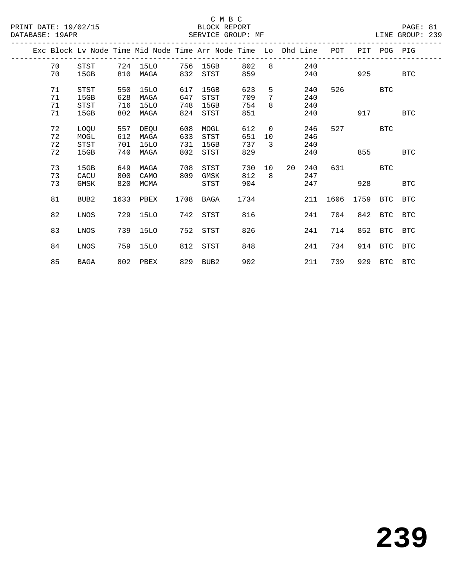|  |    |                  |      |      |      | Exc Block Ly Node Time Mid Node Time Arr Node Time Lo Dhd Line |      |                |    |     | POT  |          | PIT POG PIG |            |
|--|----|------------------|------|------|------|----------------------------------------------------------------|------|----------------|----|-----|------|----------|-------------|------------|
|  | 70 | STST             | 724  | 15LO | 756  | 15GB                                                           | 802  | 8              |    | 240 |      |          |             |            |
|  | 70 | 15GB             | 810  | MAGA | 832  | STST                                                           | 859  |                |    | 240 |      | 925      |             | <b>BTC</b> |
|  |    |                  |      |      |      |                                                                |      |                |    |     |      |          |             |            |
|  | 71 | STST             | 550  | 15LO | 617  | 15GB                                                           | 623  | 5              |    | 240 | 526  |          | <b>BTC</b>  |            |
|  | 71 | 15GB             | 628  | MAGA | 647  | STST                                                           | 709  | 7              |    | 240 |      |          |             |            |
|  | 71 | STST             | 716  | 15LO | 748  | 15GB                                                           | 754  | 8              |    | 240 |      |          |             |            |
|  | 71 | 15GB             | 802  | MAGA | 824  | STST                                                           | 851  |                |    | 240 |      | 917      |             | <b>BTC</b> |
|  | 72 | LOQU             | 557  | DEQU | 608  | MOGL                                                           | 612  | $\overline{0}$ |    | 246 | 527  |          | <b>BTC</b>  |            |
|  | 72 | MOGL             | 612  | MAGA | 633  | <b>STST</b>                                                    | 651  | 10             |    | 246 |      |          |             |            |
|  | 72 | <b>STST</b>      | 701  | 15LO | 731  | 15GB                                                           | 737  | 3              |    | 240 |      |          |             |            |
|  | 72 | 15GB             | 740  | MAGA | 802  | STST                                                           | 829  |                |    | 240 |      | 855      |             | <b>BTC</b> |
|  |    |                  |      |      |      |                                                                |      |                |    |     |      |          |             |            |
|  | 73 | 15GB             | 649  | MAGA | 708  | STST                                                           | 730  | 10             | 20 | 240 | 631  |          | <b>BTC</b>  |            |
|  | 73 | CACU             | 800  | CAMO | 809  | GMSK                                                           | 812  | 8              |    | 247 |      |          |             |            |
|  | 73 | GMSK             | 820  | MCMA |      | STST                                                           | 904  |                |    | 247 |      | 928      |             | <b>BTC</b> |
|  |    |                  |      |      |      |                                                                |      |                |    |     |      |          |             |            |
|  | 81 | BUB <sub>2</sub> | 1633 | PBEX | 1708 | BAGA                                                           | 1734 |                |    | 211 | 1606 | 1759 BTC |             | <b>BTC</b> |
|  | 82 | LNOS             | 729  | 15LO | 742  | STST                                                           | 816  |                |    | 241 | 704  | 842      | BTC         | <b>BTC</b> |
|  |    |                  |      |      |      |                                                                |      |                |    |     |      |          |             |            |
|  | 83 | LNOS             | 739  | 15LO | 752  | STST                                                           | 826  |                |    | 241 | 714  | 852      | BTC         | <b>BTC</b> |
|  |    |                  |      |      |      |                                                                |      |                |    |     |      |          |             |            |
|  | 84 | LNOS             | 759  | 15LO | 812  | STST                                                           | 848  |                |    | 241 | 734  | 914      | <b>BTC</b>  | <b>BTC</b> |
|  |    |                  |      |      |      |                                                                |      |                |    |     |      |          |             |            |
|  | 85 | <b>BAGA</b>      | 802  | PBEX |      | 829 BUB2                                                       | 902  |                |    | 211 | 739  |          | 929 BTC BTC |            |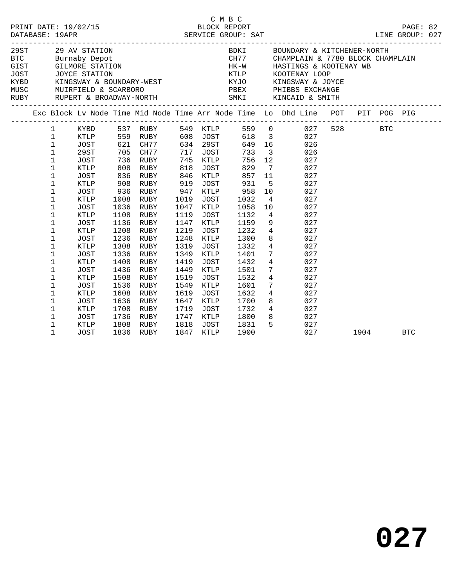|              |             |      |           |      |          |                                  |       |                         | $\begin{tabular}{lllllllllllllllllll} \multicolumn{3}{c}{29$ AV STATION & \multicolumn{3}{c}{\multicolumn{3}{c}{\multicolumn{3}{c}{\multicolumn{3}{c}{\multicolumn{3}{c}{\multicolumn{3}{c}{\multicolumn{3}{c}{\multicolumn{3}{c}{\multicolumn{3}{c}{\multicolumn{3}{c}{\multicolumn{3}{c}{\multicolumn{3}{c}{\multicolumn{3}{c}{\multicolumn{3}{c}{\multicolumn{3}{c}{\multicolumn{3}{c}{\multicolumn{3}{c}{\multicolumn{3}{c}{\multicolumn{3}{c}{\multicolumn{3}{c}{\multicolumn{3}{$ |         |            |  |
|--------------|-------------|------|-----------|------|----------|----------------------------------|-------|-------------------------|-----------------------------------------------------------------------------------------------------------------------------------------------------------------------------------------------------------------------------------------------------------------------------------------------------------------------------------------------------------------------------------------------------------------------------------------------------------------------------------------|---------|------------|--|
|              |             |      |           |      |          |                                  |       |                         |                                                                                                                                                                                                                                                                                                                                                                                                                                                                                         |         |            |  |
|              |             |      |           |      |          |                                  |       |                         |                                                                                                                                                                                                                                                                                                                                                                                                                                                                                         |         |            |  |
|              |             |      |           |      |          |                                  |       |                         |                                                                                                                                                                                                                                                                                                                                                                                                                                                                                         |         |            |  |
|              |             |      |           |      |          |                                  |       |                         |                                                                                                                                                                                                                                                                                                                                                                                                                                                                                         |         |            |  |
|              |             |      |           |      |          |                                  |       |                         | Exc Block Lv Node Time Mid Node Time Arr Node Time Lo Dhd Line POT PIT POG PIG                                                                                                                                                                                                                                                                                                                                                                                                          |         |            |  |
| $\mathbf{1}$ | KYBD        |      | 537 RUBY  |      |          | 549 KTLP<br>608 JOST<br>634 29ST | 559 0 |                         | 027                                                                                                                                                                                                                                                                                                                                                                                                                                                                                     | 528 BTC |            |  |
| $\mathbf{1}$ | KTLP        | 559  | RUBY      |      |          |                                  | 618   | $\overline{\mathbf{3}}$ | 027                                                                                                                                                                                                                                                                                                                                                                                                                                                                                     |         |            |  |
| $\mathbf 1$  | JOST        |      | 621 CH77  |      | 634 29ST |                                  | 649   | 16                      | 026                                                                                                                                                                                                                                                                                                                                                                                                                                                                                     |         |            |  |
| $\mathbf 1$  | 29ST        | 705  | CH77      | 717  | JOST     |                                  | 733   | $\overline{\mathbf{3}}$ | 026                                                                                                                                                                                                                                                                                                                                                                                                                                                                                     |         |            |  |
| $\mathbf 1$  | JOST        | 736  | RUBY      | 745  | KTLP     |                                  | 756   | 12                      | 027                                                                                                                                                                                                                                                                                                                                                                                                                                                                                     |         |            |  |
| $\mathbf 1$  | KTLP        | 808  | RUBY      | 818  | JOST     |                                  | 829   | $\overline{7}$          | 027                                                                                                                                                                                                                                                                                                                                                                                                                                                                                     |         |            |  |
| $\mathbf 1$  | JOST        | 836  | RUBY      | 846  | KTLP     |                                  | 857   | 11                      | 027                                                                                                                                                                                                                                                                                                                                                                                                                                                                                     |         |            |  |
| 1            | KTLP        | 908  | RUBY      | 919  | JOST     |                                  | 931   | 5                       | 027                                                                                                                                                                                                                                                                                                                                                                                                                                                                                     |         |            |  |
| $\mathbf 1$  | <b>JOST</b> | 936  | RUBY      | 947  | KTLP     |                                  | 958   | 10                      | 027                                                                                                                                                                                                                                                                                                                                                                                                                                                                                     |         |            |  |
| $\mathbf 1$  | KTLP        | 1008 | RUBY      | 1019 | JOST     |                                  | 1032  | $\overline{4}$          | 027                                                                                                                                                                                                                                                                                                                                                                                                                                                                                     |         |            |  |
| $\mathbf 1$  | JOST        | 1036 | RUBY      | 1047 | KTLP     |                                  | 1058  | 10                      | 027                                                                                                                                                                                                                                                                                                                                                                                                                                                                                     |         |            |  |
| 1            | KTLP        | 1108 | RUBY      | 1119 | JOST     |                                  | 1132  | $4\overline{4}$         | 027                                                                                                                                                                                                                                                                                                                                                                                                                                                                                     |         |            |  |
| 1            | JOST        | 1136 | RUBY      | 1147 | KTLP     |                                  | 1159  | 9                       | 027                                                                                                                                                                                                                                                                                                                                                                                                                                                                                     |         |            |  |
| $\mathbf 1$  | KTLP        | 1208 | RUBY      | 1219 | JOST     |                                  | 1232  | $4\overline{ }$         | 027                                                                                                                                                                                                                                                                                                                                                                                                                                                                                     |         |            |  |
| $\mathbf 1$  | <b>JOST</b> | 1236 | RUBY      | 1248 | KTLP     |                                  | 1300  | 8                       | 027                                                                                                                                                                                                                                                                                                                                                                                                                                                                                     |         |            |  |
| 1            | KTLP        | 1308 | RUBY      | 1319 | JOST     |                                  | 1332  | $\overline{4}$          | 027                                                                                                                                                                                                                                                                                                                                                                                                                                                                                     |         |            |  |
| $\mathbf 1$  | <b>JOST</b> | 1336 | RUBY      | 1349 | KTLP     |                                  | 1401  | 7 <sup>7</sup>          | 027                                                                                                                                                                                                                                                                                                                                                                                                                                                                                     |         |            |  |
| 1            | KTLP        | 1408 | RUBY      | 1419 | JOST     |                                  | 1432  | $\overline{4}$          | 027                                                                                                                                                                                                                                                                                                                                                                                                                                                                                     |         |            |  |
| $\mathbf 1$  | <b>JOST</b> | 1436 | RUBY      | 1449 | KTLP     |                                  | 1501  | $7\phantom{.0}$         | 027                                                                                                                                                                                                                                                                                                                                                                                                                                                                                     |         |            |  |
| 1            | KTLP        | 1508 | RUBY      | 1519 | JOST     |                                  | 1532  | $\overline{4}$          | 027                                                                                                                                                                                                                                                                                                                                                                                                                                                                                     |         |            |  |
| $\mathbf 1$  | JOST        | 1536 | RUBY      | 1549 | KTLP     |                                  | 1601  | $7\phantom{.0}$         | 027                                                                                                                                                                                                                                                                                                                                                                                                                                                                                     |         |            |  |
| $\mathbf 1$  | KTLP        | 1608 | RUBY      | 1619 | JOST     |                                  | 1632  | $\overline{4}$          | 027                                                                                                                                                                                                                                                                                                                                                                                                                                                                                     |         |            |  |
| 1            | <b>JOST</b> | 1636 | RUBY      | 1647 | KTLP     |                                  | 1700  | 8                       | 027                                                                                                                                                                                                                                                                                                                                                                                                                                                                                     |         |            |  |
| 1            | KTLP        | 1708 | RUBY      | 1719 | JOST     |                                  | 1732  |                         | $4\overline{ }$<br>027                                                                                                                                                                                                                                                                                                                                                                                                                                                                  |         |            |  |
| 1            | JOST        | 1736 | RUBY      | 1747 | KTLP     |                                  | 1800  | 8                       | 027                                                                                                                                                                                                                                                                                                                                                                                                                                                                                     |         |            |  |
| 1            | KTLP        | 1808 | RUBY      | 1818 | JOST     |                                  | 1831  | 5                       | 027                                                                                                                                                                                                                                                                                                                                                                                                                                                                                     |         |            |  |
| 1            | <b>JOST</b> |      | 1836 RUBY | 1847 | KTLP     |                                  | 1900  |                         | 027                                                                                                                                                                                                                                                                                                                                                                                                                                                                                     | 1904    | <b>BTC</b> |  |

C M B C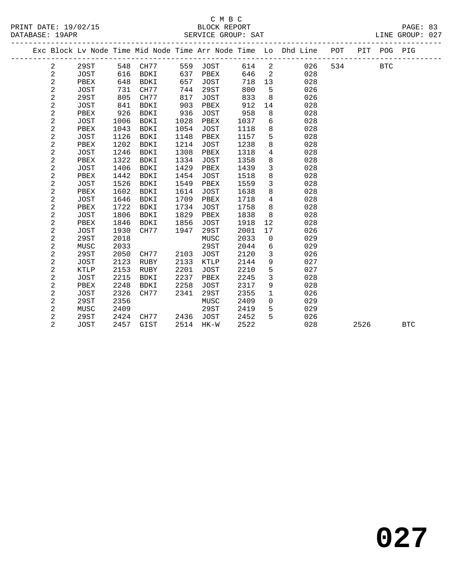|  |                |             |      |          |      |             |      |                | Exc Block Lv Node Time Mid Node Time Arr Node Time Lo Dhd Line POT |     |      | PIT POG PIG |            |
|--|----------------|-------------|------|----------|------|-------------|------|----------------|--------------------------------------------------------------------|-----|------|-------------|------------|
|  | 2              | 29ST        |      | 548 CH77 | 559  | JOST        | 614  | 2              | 026                                                                | 534 |      | <b>BTC</b>  |            |
|  | 2              | JOST        | 616  | BDKI     | 637  | PBEX        | 646  | $\overline{2}$ | 028                                                                |     |      |             |            |
|  | 2              | PBEX        | 648  | BDKI     | 657  | JOST        | 718  | 13             | 028                                                                |     |      |             |            |
|  | 2              | JOST        | 731  | CH77     | 744  | 29ST        | 800  | 5              | 026                                                                |     |      |             |            |
|  | 2              | 29ST        | 805  | CH77     | 817  | JOST        | 833  | 8              | 026                                                                |     |      |             |            |
|  | 2              | JOST        | 841  | BDKI     | 903  | PBEX        | 912  | 14             | 028                                                                |     |      |             |            |
|  | 2              | PBEX        | 926  | BDKI     | 936  | JOST        | 958  | 8              | 028                                                                |     |      |             |            |
|  | 2              | JOST        | 1006 | BDKI     | 1028 | PBEX        | 1037 | 6              | 028                                                                |     |      |             |            |
|  | $\mathbf{2}$   | PBEX        | 1043 | BDKI     | 1054 | <b>JOST</b> | 1118 | 8              | 028                                                                |     |      |             |            |
|  | $\overline{a}$ | JOST        | 1126 | BDKI     | 1148 | PBEX        | 1157 | 5              | 028                                                                |     |      |             |            |
|  | $\overline{a}$ | PBEX        | 1202 | BDKI     | 1214 | JOST        | 1238 | 8              | 028                                                                |     |      |             |            |
|  | $\overline{a}$ | JOST        | 1246 | BDKI     | 1308 | PBEX        | 1318 | $\overline{4}$ | 028                                                                |     |      |             |            |
|  | $\overline{a}$ | PBEX        | 1322 | BDKI     | 1334 | JOST        | 1358 | 8              | 028                                                                |     |      |             |            |
|  | $\mathbf 2$    | JOST        | 1406 | BDKI     | 1429 | PBEX        | 1439 | $\mathbf{3}$   | 028                                                                |     |      |             |            |
|  | 2              | PBEX        | 1442 | BDKI     | 1454 | <b>JOST</b> | 1518 | 8              | 028                                                                |     |      |             |            |
|  | $\mathbf 2$    | JOST        | 1526 | BDKI     | 1549 | PBEX        | 1559 | $\mathbf{3}$   | 028                                                                |     |      |             |            |
|  | $\mathbf 2$    | PBEX        | 1602 | BDKI     | 1614 | JOST        | 1638 | 8              | 028                                                                |     |      |             |            |
|  | 2              | JOST        | 1646 | BDKI     | 1709 | PBEX        | 1718 | $\overline{4}$ | 028                                                                |     |      |             |            |
|  | $\mathbf 2$    | PBEX        | 1722 | BDKI     | 1734 | JOST        | 1758 | 8              | 028                                                                |     |      |             |            |
|  | $\mathbf 2$    | JOST        | 1806 | BDKI     | 1829 | PBEX        | 1838 | 8              | 028                                                                |     |      |             |            |
|  | $\sqrt{2}$     | PBEX        | 1846 | BDKI     | 1856 | JOST        | 1918 | 12             | 028                                                                |     |      |             |            |
|  | $\mathbf 2$    | JOST        | 1930 | CH77     | 1947 | 29ST        | 2001 | 17             | 026                                                                |     |      |             |            |
|  | $\sqrt{2}$     | 29ST        | 2018 |          |      | MUSC        | 2033 | $\mathsf{O}$   | 029                                                                |     |      |             |            |
|  | $\sqrt{2}$     | MUSC        | 2033 |          |      | 29ST        | 2044 | 6              | 029                                                                |     |      |             |            |
|  | $\sqrt{2}$     | 29ST        | 2050 | CH77     | 2103 | JOST        | 2120 | $\mathbf{3}$   | 026                                                                |     |      |             |            |
|  | $\sqrt{2}$     | JOST        | 2123 | RUBY     | 2133 | KTLP        | 2144 | $\,9$          | 027                                                                |     |      |             |            |
|  | $\sqrt{2}$     | <b>KTLP</b> | 2153 | RUBY     | 2201 | JOST        | 2210 | $\mathsf S$    | 027                                                                |     |      |             |            |
|  | $\sqrt{2}$     | JOST        | 2215 | BDKI     | 2237 | PBEX        | 2245 | $\mathbf{3}$   | 028                                                                |     |      |             |            |
|  | $\sqrt{2}$     | PBEX        | 2248 | BDKI     | 2258 | JOST        | 2317 | 9              | 028                                                                |     |      |             |            |
|  | $\sqrt{2}$     | JOST        | 2326 | CH77     | 2341 | 29ST        | 2355 | $\mathbf{1}$   | 026                                                                |     |      |             |            |
|  | $\sqrt{2}$     | 29ST        | 2356 |          |      | MUSC        | 2409 | $\mathsf{O}$   | 029                                                                |     |      |             |            |
|  | $\sqrt{2}$     | MUSC        | 2409 |          |      | 29ST        | 2419 | 5              | 029                                                                |     |      |             |            |
|  | $\overline{a}$ | 29ST        | 2424 | CH77     | 2436 | JOST        | 2452 | 5              | 026                                                                |     |      |             |            |
|  | $\overline{2}$ | JOST        | 2457 | GIST     |      | 2514 HK-W   | 2522 |                | 028                                                                |     | 2526 |             | <b>BTC</b> |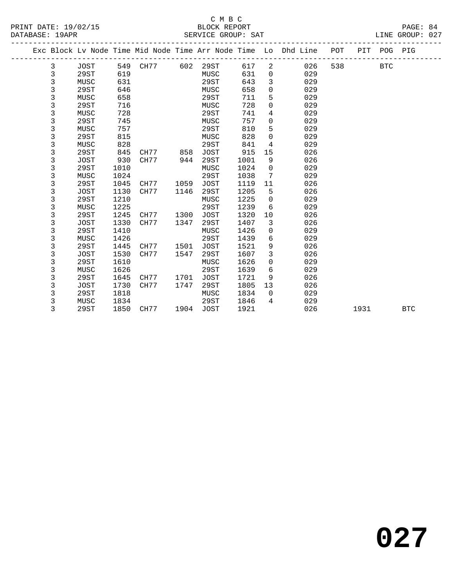|  |             |             |      |      |      |             |      |          | Exc Block Lv Node Time Mid Node Time Arr Node Time Lo Dhd Line | POT | PIT  | POG PIG    |            |
|--|-------------|-------------|------|------|------|-------------|------|----------|----------------------------------------------------------------|-----|------|------------|------------|
|  | 3           | JOST        | 549  | CH77 | 602  | 29ST        | 617  | 2        | 026                                                            | 538 |      | <b>BTC</b> |            |
|  | 3           | 29ST        | 619  |      |      | MUSC        | 631  | 0        | 029                                                            |     |      |            |            |
|  | 3           | MUSC        | 631  |      |      | 29ST        | 643  | 3        | 029                                                            |     |      |            |            |
|  | 3           | 29ST        | 646  |      |      | MUSC        | 658  | 0        | 029                                                            |     |      |            |            |
|  | 3           | MUSC        | 658  |      |      | 29ST        | 711  | 5        | 029                                                            |     |      |            |            |
|  | 3           | 29ST        | 716  |      |      | MUSC        | 728  | 0        | 029                                                            |     |      |            |            |
|  | $\mathsf 3$ | MUSC        | 728  |      |      | 29ST        | 741  | 4        | 029                                                            |     |      |            |            |
|  | 3           | 29ST        | 745  |      |      | MUSC        | 757  | 0        | 029                                                            |     |      |            |            |
|  | 3           | MUSC        | 757  |      |      | 29ST        | 810  | 5        | 029                                                            |     |      |            |            |
|  | 3           | 29ST        | 815  |      |      | MUSC        | 828  | 0        | 029                                                            |     |      |            |            |
|  | 3           | MUSC        | 828  |      |      | 29ST        | 841  | 4        | 029                                                            |     |      |            |            |
|  | 3           | 29ST        | 845  | CH77 | 858  | <b>JOST</b> | 915  | 15       | 026                                                            |     |      |            |            |
|  | 3           | <b>JOST</b> | 930  | CH77 | 944  | 29ST        | 1001 | 9        | 026                                                            |     |      |            |            |
|  | 3           | 29ST        | 1010 |      |      | MUSC        | 1024 | 0        | 029                                                            |     |      |            |            |
|  | 3           | MUSC        | 1024 |      |      | 29ST        | 1038 | 7        | 029                                                            |     |      |            |            |
|  | 3           | 29ST        | 1045 | CH77 | 1059 | <b>JOST</b> | 1119 | 11       | 026                                                            |     |      |            |            |
|  | 3           | <b>JOST</b> | 1130 | CH77 | 1146 | 29ST        | 1205 | 5        | 026                                                            |     |      |            |            |
|  | 3           | 29ST        | 1210 |      |      | MUSC        | 1225 | 0        | 029                                                            |     |      |            |            |
|  | 3           | MUSC        | 1225 |      |      | 29ST        | 1239 | 6        | 029                                                            |     |      |            |            |
|  | 3           | 29ST        | 1245 | CH77 | 1300 | <b>JOST</b> | 1320 | 10       | 026                                                            |     |      |            |            |
|  | 3           | <b>JOST</b> | 1330 | CH77 | 1347 | 29ST        | 1407 | 3        | 026                                                            |     |      |            |            |
|  | 3           | 29ST        | 1410 |      |      | MUSC        | 1426 | 0        | 029                                                            |     |      |            |            |
|  | 3           | MUSC        | 1426 |      |      | 29ST        | 1439 | 6        | 029                                                            |     |      |            |            |
|  | 3           | 29ST        | 1445 | CH77 | 1501 | <b>JOST</b> | 1521 | 9        | 026                                                            |     |      |            |            |
|  | 3           | <b>JOST</b> | 1530 | CH77 | 1547 | 29ST        | 1607 | 3        | 026                                                            |     |      |            |            |
|  | 3           | 29ST        | 1610 |      |      | MUSC        | 1626 | 0        | 029                                                            |     |      |            |            |
|  | 3           | MUSC        | 1626 |      |      | 29ST        | 1639 | 6        | 029                                                            |     |      |            |            |
|  | 3           | 29ST        | 1645 | CH77 | 1701 | <b>JOST</b> | 1721 | 9        | 026                                                            |     |      |            |            |
|  | 3           | JOST        | 1730 | CH77 | 1747 | 29ST        | 1805 | 13       | 026                                                            |     |      |            |            |
|  | 3           | 29ST        | 1818 |      |      | MUSC        | 1834 | $\Omega$ | 029                                                            |     |      |            |            |
|  | 3           | MUSC        | 1834 |      |      | 29ST        | 1846 | 4        | 029                                                            |     |      |            |            |
|  | 3           | 29ST        | 1850 | CH77 | 1904 | <b>JOST</b> | 1921 |          | 026                                                            |     | 1931 |            | <b>BTC</b> |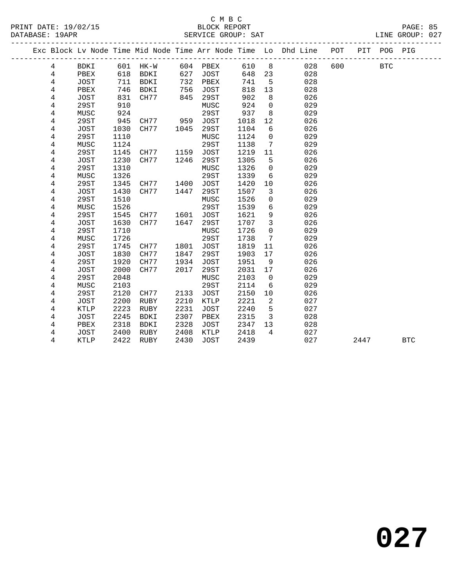#### C M B C<br>BLOCK REPORT PRINT DATE: 19/02/15 BLOCK REPORT PAGE: 85 SERVICE GROUP: SAT

| Exc Block Lv Node Time Mid Node Time Arr Node Time Lo Dhd Line POT<br>PIT POG PIG<br>_____________<br>8 <sup>8</sup><br>028<br>600<br>601 HK-W<br>604 PBEX<br>610<br><b>BTC</b><br>BDKI<br>4<br>618<br>627<br>028<br>4<br>PBEX<br>BDKI<br>JOST<br>648<br>23<br>4<br>711<br>BDKI<br>732<br>028<br>JOST<br>PBEX<br>741<br>5<br>818<br>13<br>4<br>PBEX<br>746<br>BDKI<br>756<br><b>JOST</b><br>028<br>902<br>4<br>JOST<br>831<br>CH77<br>845<br>29ST<br>8<br>026<br>4<br>924<br>29ST<br>910<br>$\mathsf{O}$<br>029<br>MUSC<br>4<br>924<br>29ST<br>937<br>029<br>MUSC<br>8<br>4<br>29ST<br>945<br>12<br>026<br>CH77<br>959<br>JOST<br>1018<br>4<br>1030<br>29ST<br>1104<br>6<br>026<br>JOST<br>CH77<br>1045<br><b>29ST</b><br>029<br>4<br>1110<br>1124<br>$\mathbf 0$<br>MUSC<br>1124<br>29ST<br>029<br>4<br>MUSC<br>1138<br>7<br>29ST<br>1145<br>JOST<br>1219<br>026<br>4<br>CH77<br>1159<br>11<br>1230<br>CH77<br>1246<br>29ST<br>1305<br>5<br>026<br>4<br>JOST<br>1310<br>4<br>29ST<br>1326<br>$\mathbf 0$<br>029<br>MUSC<br>1326<br>29ST<br>4<br>MUSC<br>1339<br>6<br>029<br>4<br>29ST<br>1345<br><b>JOST</b><br>1420<br>10<br>026<br>CH77<br>1400<br>4<br>1430<br>1507<br>026<br><b>JOST</b><br>CH77<br>1447<br>29ST<br>3<br>$\overline{4}$<br>1526<br>029<br>29ST<br>1510<br>MUSC<br>$\mathsf{O}\xspace$<br>$\epsilon$<br>1526<br>29ST<br>1539<br>029<br>4<br>MUSC<br>9<br>026<br>4<br>29ST<br>1545<br>CH77<br>1601<br>JOST<br>1621<br>$\mathbf{3}$<br>026<br>4<br><b>JOST</b><br>1630<br>CH77<br>1647<br>29ST<br>1707<br>29ST<br>1726<br>029<br>4<br>1710<br>MUSC<br>$\Omega$<br>029<br>1726<br>29ST<br>1738<br>7<br>4<br>MUSC<br>29ST<br>1745<br><b>JOST</b><br>1819<br>026<br>CH77<br>1801<br>11<br>4<br>JOST<br>1830<br>CH77<br>1847<br>29ST<br>1903<br>026<br>4<br>17<br>4<br><b>29ST</b><br>1920<br>CH77<br>1934<br>1951<br>026<br><b>JOST</b><br>9<br>4<br>2000<br>CH77<br>2017<br>29ST<br>026<br><b>JOST</b><br>2031<br>17<br>$\,4$<br><b>29ST</b><br>2048<br>2103<br>029<br>MUSC<br>$\mathbf 0$<br>4<br>MUSC<br>2103<br>29ST<br>2114<br>029<br>6<br>4<br>29ST<br>2120<br>CH77<br>2133<br><b>JOST</b><br>2150<br>10<br>026<br>$\overline{a}$<br>4<br>2200<br>2210<br>KTLP<br>2221<br>027<br>JOST<br>RUBY<br>2223<br>2231<br>5<br>027<br>4<br><b>KTLP</b><br>RUBY<br><b>JOST</b><br>2240<br>2245<br>2307<br>2315<br>$\overline{3}$<br>028<br>4<br>JOST<br>BDKI<br>PBEX<br>2318<br>2328<br>028<br>4<br>PBEX<br>BDKI<br><b>JOST</b><br>2347<br>13 |  |  |  |  |  |  |  |            |
|----------------------------------------------------------------------------------------------------------------------------------------------------------------------------------------------------------------------------------------------------------------------------------------------------------------------------------------------------------------------------------------------------------------------------------------------------------------------------------------------------------------------------------------------------------------------------------------------------------------------------------------------------------------------------------------------------------------------------------------------------------------------------------------------------------------------------------------------------------------------------------------------------------------------------------------------------------------------------------------------------------------------------------------------------------------------------------------------------------------------------------------------------------------------------------------------------------------------------------------------------------------------------------------------------------------------------------------------------------------------------------------------------------------------------------------------------------------------------------------------------------------------------------------------------------------------------------------------------------------------------------------------------------------------------------------------------------------------------------------------------------------------------------------------------------------------------------------------------------------------------------------------------------------------------------------------------------------------------------------------------------------------------------------------------------------------------------------------------------------------------------------------------------------------------------------------------------------------------------------------------------------------------------------------------------------------------------------------------------------------------------------------------------------------------------------------------------|--|--|--|--|--|--|--|------------|
|                                                                                                                                                                                                                                                                                                                                                                                                                                                                                                                                                                                                                                                                                                                                                                                                                                                                                                                                                                                                                                                                                                                                                                                                                                                                                                                                                                                                                                                                                                                                                                                                                                                                                                                                                                                                                                                                                                                                                                                                                                                                                                                                                                                                                                                                                                                                                                                                                                                          |  |  |  |  |  |  |  |            |
|                                                                                                                                                                                                                                                                                                                                                                                                                                                                                                                                                                                                                                                                                                                                                                                                                                                                                                                                                                                                                                                                                                                                                                                                                                                                                                                                                                                                                                                                                                                                                                                                                                                                                                                                                                                                                                                                                                                                                                                                                                                                                                                                                                                                                                                                                                                                                                                                                                                          |  |  |  |  |  |  |  |            |
|                                                                                                                                                                                                                                                                                                                                                                                                                                                                                                                                                                                                                                                                                                                                                                                                                                                                                                                                                                                                                                                                                                                                                                                                                                                                                                                                                                                                                                                                                                                                                                                                                                                                                                                                                                                                                                                                                                                                                                                                                                                                                                                                                                                                                                                                                                                                                                                                                                                          |  |  |  |  |  |  |  |            |
|                                                                                                                                                                                                                                                                                                                                                                                                                                                                                                                                                                                                                                                                                                                                                                                                                                                                                                                                                                                                                                                                                                                                                                                                                                                                                                                                                                                                                                                                                                                                                                                                                                                                                                                                                                                                                                                                                                                                                                                                                                                                                                                                                                                                                                                                                                                                                                                                                                                          |  |  |  |  |  |  |  |            |
|                                                                                                                                                                                                                                                                                                                                                                                                                                                                                                                                                                                                                                                                                                                                                                                                                                                                                                                                                                                                                                                                                                                                                                                                                                                                                                                                                                                                                                                                                                                                                                                                                                                                                                                                                                                                                                                                                                                                                                                                                                                                                                                                                                                                                                                                                                                                                                                                                                                          |  |  |  |  |  |  |  |            |
|                                                                                                                                                                                                                                                                                                                                                                                                                                                                                                                                                                                                                                                                                                                                                                                                                                                                                                                                                                                                                                                                                                                                                                                                                                                                                                                                                                                                                                                                                                                                                                                                                                                                                                                                                                                                                                                                                                                                                                                                                                                                                                                                                                                                                                                                                                                                                                                                                                                          |  |  |  |  |  |  |  |            |
|                                                                                                                                                                                                                                                                                                                                                                                                                                                                                                                                                                                                                                                                                                                                                                                                                                                                                                                                                                                                                                                                                                                                                                                                                                                                                                                                                                                                                                                                                                                                                                                                                                                                                                                                                                                                                                                                                                                                                                                                                                                                                                                                                                                                                                                                                                                                                                                                                                                          |  |  |  |  |  |  |  |            |
|                                                                                                                                                                                                                                                                                                                                                                                                                                                                                                                                                                                                                                                                                                                                                                                                                                                                                                                                                                                                                                                                                                                                                                                                                                                                                                                                                                                                                                                                                                                                                                                                                                                                                                                                                                                                                                                                                                                                                                                                                                                                                                                                                                                                                                                                                                                                                                                                                                                          |  |  |  |  |  |  |  |            |
|                                                                                                                                                                                                                                                                                                                                                                                                                                                                                                                                                                                                                                                                                                                                                                                                                                                                                                                                                                                                                                                                                                                                                                                                                                                                                                                                                                                                                                                                                                                                                                                                                                                                                                                                                                                                                                                                                                                                                                                                                                                                                                                                                                                                                                                                                                                                                                                                                                                          |  |  |  |  |  |  |  |            |
|                                                                                                                                                                                                                                                                                                                                                                                                                                                                                                                                                                                                                                                                                                                                                                                                                                                                                                                                                                                                                                                                                                                                                                                                                                                                                                                                                                                                                                                                                                                                                                                                                                                                                                                                                                                                                                                                                                                                                                                                                                                                                                                                                                                                                                                                                                                                                                                                                                                          |  |  |  |  |  |  |  |            |
|                                                                                                                                                                                                                                                                                                                                                                                                                                                                                                                                                                                                                                                                                                                                                                                                                                                                                                                                                                                                                                                                                                                                                                                                                                                                                                                                                                                                                                                                                                                                                                                                                                                                                                                                                                                                                                                                                                                                                                                                                                                                                                                                                                                                                                                                                                                                                                                                                                                          |  |  |  |  |  |  |  |            |
|                                                                                                                                                                                                                                                                                                                                                                                                                                                                                                                                                                                                                                                                                                                                                                                                                                                                                                                                                                                                                                                                                                                                                                                                                                                                                                                                                                                                                                                                                                                                                                                                                                                                                                                                                                                                                                                                                                                                                                                                                                                                                                                                                                                                                                                                                                                                                                                                                                                          |  |  |  |  |  |  |  |            |
|                                                                                                                                                                                                                                                                                                                                                                                                                                                                                                                                                                                                                                                                                                                                                                                                                                                                                                                                                                                                                                                                                                                                                                                                                                                                                                                                                                                                                                                                                                                                                                                                                                                                                                                                                                                                                                                                                                                                                                                                                                                                                                                                                                                                                                                                                                                                                                                                                                                          |  |  |  |  |  |  |  |            |
|                                                                                                                                                                                                                                                                                                                                                                                                                                                                                                                                                                                                                                                                                                                                                                                                                                                                                                                                                                                                                                                                                                                                                                                                                                                                                                                                                                                                                                                                                                                                                                                                                                                                                                                                                                                                                                                                                                                                                                                                                                                                                                                                                                                                                                                                                                                                                                                                                                                          |  |  |  |  |  |  |  |            |
|                                                                                                                                                                                                                                                                                                                                                                                                                                                                                                                                                                                                                                                                                                                                                                                                                                                                                                                                                                                                                                                                                                                                                                                                                                                                                                                                                                                                                                                                                                                                                                                                                                                                                                                                                                                                                                                                                                                                                                                                                                                                                                                                                                                                                                                                                                                                                                                                                                                          |  |  |  |  |  |  |  |            |
|                                                                                                                                                                                                                                                                                                                                                                                                                                                                                                                                                                                                                                                                                                                                                                                                                                                                                                                                                                                                                                                                                                                                                                                                                                                                                                                                                                                                                                                                                                                                                                                                                                                                                                                                                                                                                                                                                                                                                                                                                                                                                                                                                                                                                                                                                                                                                                                                                                                          |  |  |  |  |  |  |  |            |
|                                                                                                                                                                                                                                                                                                                                                                                                                                                                                                                                                                                                                                                                                                                                                                                                                                                                                                                                                                                                                                                                                                                                                                                                                                                                                                                                                                                                                                                                                                                                                                                                                                                                                                                                                                                                                                                                                                                                                                                                                                                                                                                                                                                                                                                                                                                                                                                                                                                          |  |  |  |  |  |  |  |            |
|                                                                                                                                                                                                                                                                                                                                                                                                                                                                                                                                                                                                                                                                                                                                                                                                                                                                                                                                                                                                                                                                                                                                                                                                                                                                                                                                                                                                                                                                                                                                                                                                                                                                                                                                                                                                                                                                                                                                                                                                                                                                                                                                                                                                                                                                                                                                                                                                                                                          |  |  |  |  |  |  |  |            |
|                                                                                                                                                                                                                                                                                                                                                                                                                                                                                                                                                                                                                                                                                                                                                                                                                                                                                                                                                                                                                                                                                                                                                                                                                                                                                                                                                                                                                                                                                                                                                                                                                                                                                                                                                                                                                                                                                                                                                                                                                                                                                                                                                                                                                                                                                                                                                                                                                                                          |  |  |  |  |  |  |  |            |
|                                                                                                                                                                                                                                                                                                                                                                                                                                                                                                                                                                                                                                                                                                                                                                                                                                                                                                                                                                                                                                                                                                                                                                                                                                                                                                                                                                                                                                                                                                                                                                                                                                                                                                                                                                                                                                                                                                                                                                                                                                                                                                                                                                                                                                                                                                                                                                                                                                                          |  |  |  |  |  |  |  |            |
|                                                                                                                                                                                                                                                                                                                                                                                                                                                                                                                                                                                                                                                                                                                                                                                                                                                                                                                                                                                                                                                                                                                                                                                                                                                                                                                                                                                                                                                                                                                                                                                                                                                                                                                                                                                                                                                                                                                                                                                                                                                                                                                                                                                                                                                                                                                                                                                                                                                          |  |  |  |  |  |  |  |            |
|                                                                                                                                                                                                                                                                                                                                                                                                                                                                                                                                                                                                                                                                                                                                                                                                                                                                                                                                                                                                                                                                                                                                                                                                                                                                                                                                                                                                                                                                                                                                                                                                                                                                                                                                                                                                                                                                                                                                                                                                                                                                                                                                                                                                                                                                                                                                                                                                                                                          |  |  |  |  |  |  |  |            |
|                                                                                                                                                                                                                                                                                                                                                                                                                                                                                                                                                                                                                                                                                                                                                                                                                                                                                                                                                                                                                                                                                                                                                                                                                                                                                                                                                                                                                                                                                                                                                                                                                                                                                                                                                                                                                                                                                                                                                                                                                                                                                                                                                                                                                                                                                                                                                                                                                                                          |  |  |  |  |  |  |  |            |
|                                                                                                                                                                                                                                                                                                                                                                                                                                                                                                                                                                                                                                                                                                                                                                                                                                                                                                                                                                                                                                                                                                                                                                                                                                                                                                                                                                                                                                                                                                                                                                                                                                                                                                                                                                                                                                                                                                                                                                                                                                                                                                                                                                                                                                                                                                                                                                                                                                                          |  |  |  |  |  |  |  |            |
|                                                                                                                                                                                                                                                                                                                                                                                                                                                                                                                                                                                                                                                                                                                                                                                                                                                                                                                                                                                                                                                                                                                                                                                                                                                                                                                                                                                                                                                                                                                                                                                                                                                                                                                                                                                                                                                                                                                                                                                                                                                                                                                                                                                                                                                                                                                                                                                                                                                          |  |  |  |  |  |  |  |            |
|                                                                                                                                                                                                                                                                                                                                                                                                                                                                                                                                                                                                                                                                                                                                                                                                                                                                                                                                                                                                                                                                                                                                                                                                                                                                                                                                                                                                                                                                                                                                                                                                                                                                                                                                                                                                                                                                                                                                                                                                                                                                                                                                                                                                                                                                                                                                                                                                                                                          |  |  |  |  |  |  |  |            |
|                                                                                                                                                                                                                                                                                                                                                                                                                                                                                                                                                                                                                                                                                                                                                                                                                                                                                                                                                                                                                                                                                                                                                                                                                                                                                                                                                                                                                                                                                                                                                                                                                                                                                                                                                                                                                                                                                                                                                                                                                                                                                                                                                                                                                                                                                                                                                                                                                                                          |  |  |  |  |  |  |  |            |
|                                                                                                                                                                                                                                                                                                                                                                                                                                                                                                                                                                                                                                                                                                                                                                                                                                                                                                                                                                                                                                                                                                                                                                                                                                                                                                                                                                                                                                                                                                                                                                                                                                                                                                                                                                                                                                                                                                                                                                                                                                                                                                                                                                                                                                                                                                                                                                                                                                                          |  |  |  |  |  |  |  |            |
|                                                                                                                                                                                                                                                                                                                                                                                                                                                                                                                                                                                                                                                                                                                                                                                                                                                                                                                                                                                                                                                                                                                                                                                                                                                                                                                                                                                                                                                                                                                                                                                                                                                                                                                                                                                                                                                                                                                                                                                                                                                                                                                                                                                                                                                                                                                                                                                                                                                          |  |  |  |  |  |  |  |            |
|                                                                                                                                                                                                                                                                                                                                                                                                                                                                                                                                                                                                                                                                                                                                                                                                                                                                                                                                                                                                                                                                                                                                                                                                                                                                                                                                                                                                                                                                                                                                                                                                                                                                                                                                                                                                                                                                                                                                                                                                                                                                                                                                                                                                                                                                                                                                                                                                                                                          |  |  |  |  |  |  |  |            |
|                                                                                                                                                                                                                                                                                                                                                                                                                                                                                                                                                                                                                                                                                                                                                                                                                                                                                                                                                                                                                                                                                                                                                                                                                                                                                                                                                                                                                                                                                                                                                                                                                                                                                                                                                                                                                                                                                                                                                                                                                                                                                                                                                                                                                                                                                                                                                                                                                                                          |  |  |  |  |  |  |  |            |
|                                                                                                                                                                                                                                                                                                                                                                                                                                                                                                                                                                                                                                                                                                                                                                                                                                                                                                                                                                                                                                                                                                                                                                                                                                                                                                                                                                                                                                                                                                                                                                                                                                                                                                                                                                                                                                                                                                                                                                                                                                                                                                                                                                                                                                                                                                                                                                                                                                                          |  |  |  |  |  |  |  |            |
|                                                                                                                                                                                                                                                                                                                                                                                                                                                                                                                                                                                                                                                                                                                                                                                                                                                                                                                                                                                                                                                                                                                                                                                                                                                                                                                                                                                                                                                                                                                                                                                                                                                                                                                                                                                                                                                                                                                                                                                                                                                                                                                                                                                                                                                                                                                                                                                                                                                          |  |  |  |  |  |  |  |            |
|                                                                                                                                                                                                                                                                                                                                                                                                                                                                                                                                                                                                                                                                                                                                                                                                                                                                                                                                                                                                                                                                                                                                                                                                                                                                                                                                                                                                                                                                                                                                                                                                                                                                                                                                                                                                                                                                                                                                                                                                                                                                                                                                                                                                                                                                                                                                                                                                                                                          |  |  |  |  |  |  |  |            |
|                                                                                                                                                                                                                                                                                                                                                                                                                                                                                                                                                                                                                                                                                                                                                                                                                                                                                                                                                                                                                                                                                                                                                                                                                                                                                                                                                                                                                                                                                                                                                                                                                                                                                                                                                                                                                                                                                                                                                                                                                                                                                                                                                                                                                                                                                                                                                                                                                                                          |  |  |  |  |  |  |  |            |
| JOST<br>2400<br>RUBY<br>2408<br>KTLP<br>2418<br>4<br>027<br>4                                                                                                                                                                                                                                                                                                                                                                                                                                                                                                                                                                                                                                                                                                                                                                                                                                                                                                                                                                                                                                                                                                                                                                                                                                                                                                                                                                                                                                                                                                                                                                                                                                                                                                                                                                                                                                                                                                                                                                                                                                                                                                                                                                                                                                                                                                                                                                                            |  |  |  |  |  |  |  |            |
| 2422<br>2430<br>2439<br>027<br>4<br><b>KTLP</b><br>RUBY<br>JOST<br>2447                                                                                                                                                                                                                                                                                                                                                                                                                                                                                                                                                                                                                                                                                                                                                                                                                                                                                                                                                                                                                                                                                                                                                                                                                                                                                                                                                                                                                                                                                                                                                                                                                                                                                                                                                                                                                                                                                                                                                                                                                                                                                                                                                                                                                                                                                                                                                                                  |  |  |  |  |  |  |  | <b>BTC</b> |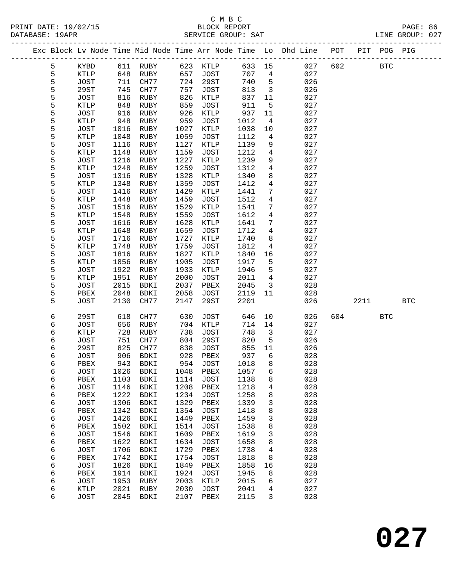|        |                     |              |              |              |                     |              |                 | Exc Block Lv Node Time Mid Node Time Arr Node Time Lo Dhd Line POT |     |      | PIT POG PIG  |            |  |
|--------|---------------------|--------------|--------------|--------------|---------------------|--------------|-----------------|--------------------------------------------------------------------|-----|------|--------------|------------|--|
| 5      | KYBD                | 611          | RUBY         | 623          | KTLP                | 633          | 15              | 027                                                                | 602 |      | $_{\rm BTC}$ |            |  |
| 5      | KTLP                | 648          | RUBY         | 657          | <b>JOST</b>         | 707          | 4               | 027                                                                |     |      |              |            |  |
| 5      | <b>JOST</b>         | 711          | CH77         | 724          | 29ST                | 740          | $5\phantom{.0}$ | 026                                                                |     |      |              |            |  |
| 5      | 29ST                | 745          | CH77         | 757          | <b>JOST</b>         | 813          | $\mathbf{3}$    | 026                                                                |     |      |              |            |  |
| 5      | <b>JOST</b>         | 816          | RUBY         | 826          | KTLP                | 837          | 11              | 027                                                                |     |      |              |            |  |
| 5      | KTLP                | 848          | RUBY         | 859          | <b>JOST</b>         | 911          | 5               | 027                                                                |     |      |              |            |  |
| 5      | <b>JOST</b>         | 916          | RUBY         | 926          | KTLP                | 937          | 11              | 027                                                                |     |      |              |            |  |
| 5      | KTLP                | 948          | RUBY         | 959          | <b>JOST</b>         | 1012         | 4               | 027                                                                |     |      |              |            |  |
| 5      | <b>JOST</b>         | 1016         | RUBY         | 1027         | KTLP                | 1038         | $10\,$          | 027                                                                |     |      |              |            |  |
| 5      | KTLP                | 1048         | RUBY         | 1059         | <b>JOST</b>         | 1112         | 4               | 027                                                                |     |      |              |            |  |
| 5      | <b>JOST</b>         | 1116         | RUBY         | 1127         | KTLP                | 1139         | 9               | 027                                                                |     |      |              |            |  |
| 5      | KTLP                | 1148         | RUBY         | 1159         | JOST                | 1212         | 4               | 027                                                                |     |      |              |            |  |
| 5<br>5 | JOST<br>KTLP        | 1216<br>1248 | RUBY<br>RUBY | 1227<br>1259 | KTLP<br><b>JOST</b> | 1239<br>1312 | 9<br>4          | 027<br>027                                                         |     |      |              |            |  |
| 5      | <b>JOST</b>         | 1316         | RUBY         | 1328         | KTLP                | 1340         | 8               | 027                                                                |     |      |              |            |  |
| 5      | KTLP                | 1348         | RUBY         | 1359         | <b>JOST</b>         | 1412         | $\overline{4}$  | 027                                                                |     |      |              |            |  |
| 5      | JOST                | 1416         | RUBY         | 1429         | KTLP                | 1441         | 7               | 027                                                                |     |      |              |            |  |
| 5      | KTLP                | 1448         | RUBY         | 1459         | <b>JOST</b>         | 1512         | 4               | 027                                                                |     |      |              |            |  |
| 5      | JOST                | 1516         | RUBY         | 1529         | KTLP                | 1541         | 7               | 027                                                                |     |      |              |            |  |
| 5      | KTLP                | 1548         | RUBY         | 1559         | JOST                | 1612         | $\overline{4}$  | 027                                                                |     |      |              |            |  |
| 5      | <b>JOST</b>         | 1616         | RUBY         | 1628         | <b>KTLP</b>         | 1641         | 7               | 027                                                                |     |      |              |            |  |
| 5      | KTLP                | 1648         | RUBY         | 1659         | <b>JOST</b>         | 1712         | 4               | 027                                                                |     |      |              |            |  |
| 5      | <b>JOST</b>         | 1716         | RUBY         | 1727         | KTLP                | 1740         | 8               | 027                                                                |     |      |              |            |  |
| 5      | KTLP                | 1748         | RUBY         | 1759         | <b>JOST</b>         | 1812         | 4               | 027                                                                |     |      |              |            |  |
| 5      | <b>JOST</b>         | 1816         | RUBY         | 1827         | KTLP                | 1840         | 16              | 027                                                                |     |      |              |            |  |
| 5      | KTLP                | 1856         | RUBY         | 1905         | <b>JOST</b>         | 1917         | 5               | 027                                                                |     |      |              |            |  |
| 5      | <b>JOST</b>         | 1922         | RUBY         | 1933         | KTLP                | 1946         | 5               | 027                                                                |     |      |              |            |  |
| 5      | KTLP                | 1951         | RUBY         | 2000         | <b>JOST</b>         | 2011         | $\overline{4}$  | 027                                                                |     |      |              |            |  |
| 5      | <b>JOST</b>         | 2015         | BDKI         | 2037         | PBEX                | 2045         | 3               | 028                                                                |     |      |              |            |  |
| 5      | PBEX                | 2048         | BDKI         | 2058         | <b>JOST</b>         | 2119         | 11              | 028                                                                |     |      |              |            |  |
| 5      | <b>JOST</b>         | 2130         | CH77         | 2147         | 29ST                | 2201         |                 | 026                                                                |     | 2211 |              | <b>BTC</b> |  |
| 6      | 29ST                | 618          | CH77         | 630          | JOST                | 646          | 10              | 026                                                                | 604 |      | <b>BTC</b>   |            |  |
| 6      | <b>JOST</b>         | 656          | RUBY         | 704          | KTLP                | 714          | 14              | 027                                                                |     |      |              |            |  |
| 6      | KTLP                | 728          | RUBY         | 738          | JOST                | 748          | 3               | 027                                                                |     |      |              |            |  |
| 6      | <b>JOST</b>         | 751          | CH77         | 804          | 29ST                | 820          | 5               | 026                                                                |     |      |              |            |  |
| 6      | 29ST                | 825          | CH77         | 838          | JOST                | 855          | 11              | 026                                                                |     |      |              |            |  |
| 6      | JOST                | 906          | BDKI         | 928          | PBEX                | 937          | 6               | 028                                                                |     |      |              |            |  |
| 6      | PBEX                | 943          | <b>BDKI</b>  | 954          | <b>JOST</b>         | 1018         | 8               | 028                                                                |     |      |              |            |  |
| 6      | JOST                |              | 1026 BDKI    |              | 1048 PBEX           | 1057 6       |                 | 028                                                                |     |      |              |            |  |
| 6      | PBEX                | 1103         | <b>BDKI</b>  | 1114         | JOST                | 1138         | 8               | 028                                                                |     |      |              |            |  |
| 6      | <b>JOST</b>         | 1146         | <b>BDKI</b>  | 1208         | PBEX                | 1218         | 4               | 028                                                                |     |      |              |            |  |
| 6      | PBEX                | 1222         | <b>BDKI</b>  | 1234         | <b>JOST</b>         | 1258         | 8               | 028                                                                |     |      |              |            |  |
| 6      | <b>JOST</b>         | 1306         | BDKI         | 1329         | PBEX                | 1339         | 3               | 028<br>028                                                         |     |      |              |            |  |
| 6      | PBEX                | 1342         | BDKI         | 1354         | <b>JOST</b>         | 1418         | 8               | 028                                                                |     |      |              |            |  |
| 6<br>6 | <b>JOST</b><br>PBEX | 1426<br>1502 | BDKI<br>BDKI | 1449<br>1514 | PBEX<br><b>JOST</b> | 1459<br>1538 | 3<br>8          | 028                                                                |     |      |              |            |  |
| 6      | <b>JOST</b>         | 1546         | BDKI         | 1609         | PBEX                | 1619         | 3               | 028                                                                |     |      |              |            |  |
| 6      | PBEX                | 1622         | BDKI         | 1634         | <b>JOST</b>         | 1658         | 8               | 028                                                                |     |      |              |            |  |
| 6      | <b>JOST</b>         | 1706         | <b>BDKI</b>  | 1729         | PBEX                | 1738         | 4               | 028                                                                |     |      |              |            |  |
| 6      | PBEX                | 1742         | <b>BDKI</b>  | 1754         | <b>JOST</b>         | 1818         | 8               | 028                                                                |     |      |              |            |  |
| 6      | <b>JOST</b>         | 1826         | BDKI         | 1849         | PBEX                | 1858         | 16              | 028                                                                |     |      |              |            |  |
| 6      | PBEX                | 1914         | BDKI         | 1924         | <b>JOST</b>         | 1945         | 8               | 028                                                                |     |      |              |            |  |
| 6      | <b>JOST</b>         | 1953         | RUBY         | 2003         | KTLP                | 2015         | 6               | 027                                                                |     |      |              |            |  |
| 6      | KTLP                | 2021         | RUBY         | 2030         | <b>JOST</b>         | 2041         | 4               | 027                                                                |     |      |              |            |  |
| 6      | <b>JOST</b>         | 2045         | <b>BDKI</b>  | 2107         | PBEX                | 2115         | 3               | 028                                                                |     |      |              |            |  |
|        |                     |              |              |              |                     |              |                 |                                                                    |     |      |              |            |  |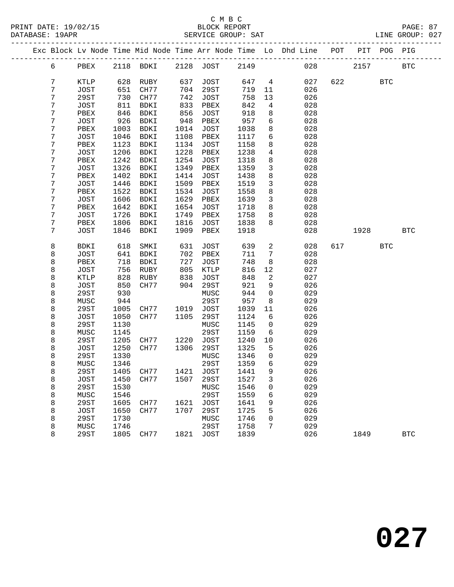|   |             |      |                          |      |             |      |                 | Exc Block Lv Node Time Mid Node Time Arr Node Time Lo Dhd Line POT |         |      | PIT POG PIG |            |  |
|---|-------------|------|--------------------------|------|-------------|------|-----------------|--------------------------------------------------------------------|---------|------|-------------|------------|--|
| 6 | PBEX        |      | 2118 BDKI 2128 JOST      |      |             | 2149 |                 |                                                                    | 028 028 | 2157 |             | <b>BTC</b> |  |
| 7 | KTLP        | 628  | RUBY                     | 637  | JOST        | 647  | $\overline{4}$  | 027                                                                | 622     |      | <b>BTC</b>  |            |  |
| 7 | JOST        | 651  | CH77                     | 704  | 29ST        | 719  | 11              | 026                                                                |         |      |             |            |  |
| 7 | 29ST        | 730  | CH77                     | 742  | JOST        | 758  | 13              | 026                                                                |         |      |             |            |  |
| 7 | JOST        | 811  | BDKI                     | 833  | PBEX        | 842  | $\overline{4}$  | 028                                                                |         |      |             |            |  |
| 7 | PBEX        | 846  | BDKI                     | 856  | JOST        | 918  | 8               | 028                                                                |         |      |             |            |  |
| 7 | JOST        | 926  | BDKI                     | 948  | PBEX        | 957  | 6               | 028                                                                |         |      |             |            |  |
| 7 | PBEX        | 1003 | BDKI                     | 1014 | JOST        | 1038 | 8               | 028                                                                |         |      |             |            |  |
| 7 | JOST        | 1046 | BDKI                     | 1108 | PBEX        | 1117 | $6\overline{6}$ | 028                                                                |         |      |             |            |  |
| 7 | PBEX        | 1123 | BDKI                     | 1134 | JOST        | 1158 | 8               | 028                                                                |         |      |             |            |  |
| 7 | JOST        | 1206 | BDKI                     | 1228 | PBEX        | 1238 | 4               | 028                                                                |         |      |             |            |  |
| 7 | PBEX        | 1242 | BDKI                     | 1254 | JOST        | 1318 | 8               | 028                                                                |         |      |             |            |  |
| 7 | JOST        | 1326 | BDKI                     | 1349 | PBEX        | 1359 | $\mathbf{3}$    | 028                                                                |         |      |             |            |  |
| 7 | PBEX        | 1402 | BDKI                     | 1414 | JOST        | 1438 | 8               | 028                                                                |         |      |             |            |  |
| 7 | JOST        | 1446 | BDKI                     | 1509 | PBEX        | 1519 | $\mathbf{3}$    | 028                                                                |         |      |             |            |  |
| 7 | PBEX        | 1522 | BDKI                     | 1534 | JOST        | 1558 | 8               | 028                                                                |         |      |             |            |  |
| 7 | JOST        | 1606 | BDKI                     | 1629 | PBEX        | 1639 | $\mathbf{3}$    | 028                                                                |         |      |             |            |  |
| 7 | PBEX        | 1642 | BDKI                     | 1654 | JOST        | 1718 | 8               | 028                                                                |         |      |             |            |  |
| 7 | JOST        | 1726 | BDKI                     | 1749 | PBEX        | 1758 | 8               | 028                                                                |         |      |             |            |  |
| 7 | PBEX        | 1806 | BDKI                     | 1816 | JOST        | 1838 | 8               | 028                                                                |         |      |             |            |  |
| 7 | JOST        | 1846 | BDKI                     | 1909 | PBEX        | 1918 |                 | 028                                                                |         | 1928 |             | <b>BTC</b> |  |
|   |             |      |                          |      |             |      |                 |                                                                    |         |      |             |            |  |
| 8 | BDKI        | 618  | SMKI                     | 631  | JOST        | 639  | $\overline{a}$  | 028                                                                |         | 617  | <b>BTC</b>  |            |  |
| 8 | JOST        | 641  | BDKI                     | 702  | PBEX        | 711  | 7               | 028                                                                |         |      |             |            |  |
| 8 | PBEX        | 718  | BDKI                     | 727  | JOST        | 748  | 8               | 028                                                                |         |      |             |            |  |
| 8 | JOST        | 756  | RUBY                     | 805  | KTLP        | 816  | 12              | 027                                                                |         |      |             |            |  |
| 8 | KTLP        | 828  | RUBY                     | 838  | JOST        | 848  | 2               | 027                                                                |         |      |             |            |  |
| 8 | JOST        | 850  | CH77                     | 904  | 29ST        | 921  | 9               | 026                                                                |         |      |             |            |  |
| 8 | 29ST        | 930  |                          |      | MUSC        | 944  | $\mathbf 0$     | 029                                                                |         |      |             |            |  |
| 8 | MUSC        | 944  |                          |      | 29ST        | 957  | 8               | 029                                                                |         |      |             |            |  |
| 8 | 29ST        | 1005 | CH77                     | 1019 | JOST        | 1039 | 11              | 026                                                                |         |      |             |            |  |
| 8 | JOST        | 1050 | CH77                     | 1105 | 29ST        | 1124 | 6               | 026                                                                |         |      |             |            |  |
| 8 | 29ST        | 1130 |                          |      | MUSC        | 1145 | $\mathsf{O}$    | 029                                                                |         |      |             |            |  |
| 8 | MUSC        | 1145 |                          |      | 29ST        | 1159 | 6               | 029                                                                |         |      |             |            |  |
| 8 | 29ST        | 1205 | CH77 1220                |      | JOST        | 1240 | 10              | 026                                                                |         |      |             |            |  |
| 8 | JOST        | 1250 | CH77                     | 1306 | 29ST        | 1325 | 5               | 026                                                                |         |      |             |            |  |
| 8 | 29ST        | 1330 |                          |      | MUSC        | 1346 | $\overline{0}$  | 029                                                                |         |      |             |            |  |
| 8 | MUSC        | 1346 |                          |      | 29ST        | 1359 | $6\overline{6}$ | 029                                                                |         |      |             |            |  |
| 8 | 29ST        |      | 1405 CH77 1421 JOST 1441 |      |             |      | 9               | 026                                                                |         |      |             |            |  |
| 8 | JOST        | 1450 | CH77                     | 1507 | 29ST        | 1527 | 3               | 026                                                                |         |      |             |            |  |
| 8 | <b>29ST</b> | 1530 |                          |      | MUSC        | 1546 | 0               | 029                                                                |         |      |             |            |  |
| 8 | MUSC        | 1546 |                          |      | 29ST        | 1559 | 6               | 029                                                                |         |      |             |            |  |
| 8 | <b>29ST</b> | 1605 | CH77                     | 1621 | <b>JOST</b> | 1641 | 9               | 026                                                                |         |      |             |            |  |
| 8 | <b>JOST</b> | 1650 | CH77                     | 1707 | 29ST        | 1725 | 5               | 026                                                                |         |      |             |            |  |
| 8 | 29ST        | 1730 |                          |      | MUSC        | 1746 | 0               | 029                                                                |         |      |             |            |  |
| 8 | MUSC        | 1746 |                          |      | 29ST        | 1758 | 7               | 029                                                                |         |      |             |            |  |
| 8 | 29ST        | 1805 | CH77                     | 1821 | JOST        | 1839 |                 | 026                                                                |         | 1849 |             | <b>BTC</b> |  |
|   |             |      |                          |      |             |      |                 |                                                                    |         |      |             |            |  |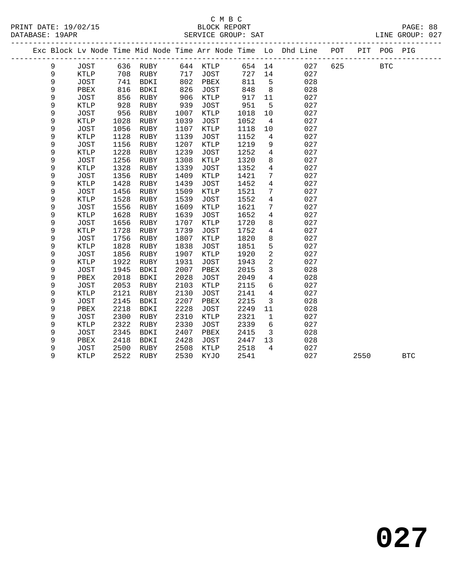## C M B C<br>BLOCK REPORT

LINE GROUP: 027

| PRINT DATE: 19/02/15 | BLOCK REPORT          | 88<br>PAGE:           |
|----------------------|-----------------------|-----------------------|
| DATABASE:<br>19APR   | SAT<br>SERVICE GROUP: | 027<br>GROUP:<br>LINE |

|  |   |             |      |             |      |             |      |                 | Exc Block Lv Node Time Mid Node Time Arr Node Time Lo Dhd Line POT |     |      | PIT POG PIG |            |
|--|---|-------------|------|-------------|------|-------------|------|-----------------|--------------------------------------------------------------------|-----|------|-------------|------------|
|  | 9 | <b>JOST</b> |      | 636 RUBY    |      | 644 KTLP    | 654  | 14              | 027                                                                | 625 |      | <b>BTC</b>  |            |
|  | 9 | KTLP        | 708  | RUBY        | 717  | <b>JOST</b> | 727  | 14              | 027                                                                |     |      |             |            |
|  | 9 | <b>JOST</b> | 741  | BDKI        | 802  | PBEX        | 811  | 5               | 028                                                                |     |      |             |            |
|  | 9 | PBEX        | 816  | <b>BDKI</b> | 826  | <b>JOST</b> | 848  | 8               | 028                                                                |     |      |             |            |
|  | 9 | <b>JOST</b> | 856  | RUBY        | 906  | KTLP        | 917  | 11              | 027                                                                |     |      |             |            |
|  | 9 | KTLP        | 928  | RUBY        | 939  | JOST        | 951  | $5\overline{5}$ | 027                                                                |     |      |             |            |
|  | 9 | <b>JOST</b> | 956  | RUBY        | 1007 | KTLP        | 1018 | 10              | 027                                                                |     |      |             |            |
|  | 9 | KTLP        | 1028 | RUBY        | 1039 | JOST        | 1052 | $\overline{4}$  | 027                                                                |     |      |             |            |
|  | 9 | <b>JOST</b> | 1056 | RUBY        | 1107 | KTLP        | 1118 | 10              | 027                                                                |     |      |             |            |
|  | 9 | <b>KTLP</b> | 1128 | RUBY        | 1139 | JOST        | 1152 | 4               | 027                                                                |     |      |             |            |
|  | 9 | <b>JOST</b> | 1156 | RUBY        | 1207 | KTLP        | 1219 | 9               | 027                                                                |     |      |             |            |
|  | 9 | KTLP        | 1228 | <b>RUBY</b> | 1239 | <b>JOST</b> | 1252 | $\overline{4}$  | 027                                                                |     |      |             |            |
|  | 9 | <b>JOST</b> | 1256 | <b>RUBY</b> | 1308 | KTLP        | 1320 | 8               | 027                                                                |     |      |             |            |
|  | 9 | KTLP        | 1328 | RUBY        | 1339 | JOST        | 1352 | $\overline{4}$  | 027                                                                |     |      |             |            |
|  | 9 | <b>JOST</b> | 1356 | RUBY        | 1409 | KTLP        | 1421 | 7               | 027                                                                |     |      |             |            |
|  | 9 | <b>KTLP</b> | 1428 | RUBY        | 1439 | JOST        | 1452 | $\overline{4}$  | 027                                                                |     |      |             |            |
|  | 9 | <b>JOST</b> | 1456 | RUBY        | 1509 | KTLP        | 1521 | $7\phantom{.0}$ | 027                                                                |     |      |             |            |
|  | 9 | <b>KTLP</b> | 1528 | RUBY        | 1539 | JOST        | 1552 | 4               | 027                                                                |     |      |             |            |
|  | 9 | <b>JOST</b> | 1556 | <b>RUBY</b> | 1609 | KTLP        | 1621 | $7\phantom{.0}$ | 027                                                                |     |      |             |            |
|  | 9 | <b>KTLP</b> | 1628 | RUBY        | 1639 | <b>JOST</b> | 1652 | $\overline{4}$  | 027                                                                |     |      |             |            |
|  | 9 | <b>JOST</b> | 1656 | RUBY        | 1707 | KTLP        | 1720 | 8               | 027                                                                |     |      |             |            |
|  | 9 | KTLP        | 1728 | RUBY        | 1739 | JOST        | 1752 | $\overline{4}$  | 027                                                                |     |      |             |            |
|  | 9 | <b>JOST</b> | 1756 | RUBY        | 1807 | KTLP        | 1820 | 8               | 027                                                                |     |      |             |            |
|  | 9 | KTLP        | 1828 | RUBY        | 1838 | JOST        | 1851 | 5               | 027                                                                |     |      |             |            |
|  | 9 | <b>JOST</b> | 1856 | RUBY        | 1907 | KTLP        | 1920 | $\overline{c}$  | 027                                                                |     |      |             |            |
|  | 9 | KTLP        | 1922 | RUBY        | 1931 | <b>JOST</b> | 1943 | $\overline{a}$  | 027                                                                |     |      |             |            |
|  | 9 | <b>JOST</b> | 1945 | <b>BDKI</b> | 2007 | PBEX        | 2015 | 3               | 028                                                                |     |      |             |            |
|  | 9 | PBEX        | 2018 | <b>BDKI</b> | 2028 | <b>JOST</b> | 2049 | $\overline{4}$  | 028                                                                |     |      |             |            |
|  | 9 | <b>JOST</b> | 2053 | <b>RUBY</b> | 2103 | KTLP        | 2115 | 6               | 027                                                                |     |      |             |            |
|  | 9 | <b>KTLP</b> | 2121 | RUBY        | 2130 | JOST        | 2141 | 4               | 027                                                                |     |      |             |            |
|  | 9 | <b>JOST</b> | 2145 | BDKI        | 2207 | PBEX        | 2215 | 3               | 028                                                                |     |      |             |            |
|  | 9 | PBEX        | 2218 | BDKI        | 2228 | <b>JOST</b> | 2249 | 11              | 028                                                                |     |      |             |            |
|  | 9 | <b>JOST</b> | 2300 | RUBY        | 2310 | KTLP        | 2321 | $\mathbf{1}$    | 027                                                                |     |      |             |            |
|  | 9 | <b>KTLP</b> | 2322 | RUBY        | 2330 | JOST        | 2339 | 6               | 027                                                                |     |      |             |            |
|  | 9 | <b>JOST</b> | 2345 | <b>BDKI</b> | 2407 | PBEX        | 2415 | 3               | 028                                                                |     |      |             |            |
|  | 9 | PBEX        | 2418 | <b>BDKI</b> | 2428 | JOST        | 2447 | 13              | 028                                                                |     |      |             |            |
|  | 9 | <b>JOST</b> | 2500 | RUBY        | 2508 | KTLP        | 2518 | $\overline{4}$  | 027                                                                |     |      |             |            |
|  | 9 | <b>KTLP</b> | 2522 | RUBY        | 2530 | KYJO        | 2541 |                 | 027                                                                |     | 2550 |             | <b>BTC</b> |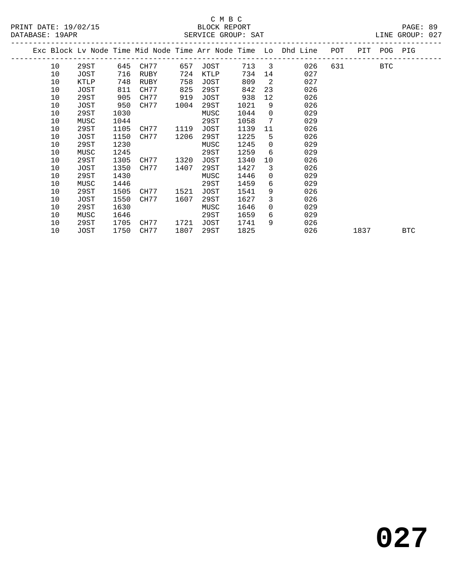#### C M B C<br>BLOCK REPORT SERVICE GROUP: SAT

| DAIADAJL. IJAFR |      |      |           |      | THG .JUULA TULANTG |       |                |                                                                |     |         | UIND GROUP. UZ / |  |
|-----------------|------|------|-----------|------|--------------------|-------|----------------|----------------------------------------------------------------|-----|---------|------------------|--|
|                 |      |      |           |      |                    |       |                | Exc Block Lv Node Time Mid Node Time Arr Node Time Lo Dhd Line | POT | PIT POG | PIG              |  |
| 10              | 29ST | 645  | CH77      | 657  | JOST               | 713 3 |                | 026                                                            | 631 | BTC     |                  |  |
| 10              | JOST | 716  | RUBY      | 724  | KTLP               | 734   | 14             | 027                                                            |     |         |                  |  |
| 10              | KTLP | 748  | RUBY      | 758  | JOST               | 809   | $\overline{2}$ | 027                                                            |     |         |                  |  |
| 10              | JOST | 811  | CH77      | 825  | 29ST               | 842   | 23             | 026                                                            |     |         |                  |  |
| 10              | 29ST | 905  | CH77      | 919  | JOST               | 938   | 12             | 026                                                            |     |         |                  |  |
| 10              | JOST | 950  | CH77      | 1004 | 29ST               | 1021  | 9              | 026                                                            |     |         |                  |  |
| 10              | 29ST | 1030 |           |      | MUSC               | 1044  | $\Omega$       | 029                                                            |     |         |                  |  |
| 10              | MUSC | 1044 |           |      | 29ST               | 1058  | 7              | 029                                                            |     |         |                  |  |
| 10              | 29ST | 1105 | CH77      | 1119 | JOST               | 1139  | 11             | 026                                                            |     |         |                  |  |
| 10              | JOST | 1150 | CH77      | 1206 | 29ST               | 1225  | 5              | 026                                                            |     |         |                  |  |
| 10              | 29ST | 1230 |           |      | MUSC               | 1245  | $\Omega$       | 029                                                            |     |         |                  |  |
| 10              | MUSC | 1245 |           |      | 29ST               | 1259  | 6              | 029                                                            |     |         |                  |  |
| 10              | 29ST | 1305 | CH77      | 1320 | JOST               | 1340  | 10             | 026                                                            |     |         |                  |  |
| 10              | JOST | 1350 | CH77      | 1407 | 29ST               | 1427  | 3              | 026                                                            |     |         |                  |  |
| 10              | 29ST | 1430 |           |      | MUSC               | 1446  | $\Omega$       | 029                                                            |     |         |                  |  |
| 10              | MUSC | 1446 |           |      | 29ST               | 1459  | 6              | 029                                                            |     |         |                  |  |
| 10              | 29ST |      | 1505 CH77 | 1521 | JOST               | 1541  | 9              | 026                                                            |     |         |                  |  |

10 JOST 1550 CH77 1607 29ST 1627 3 026

10 29ST 1705 CH77 1721 JOST 1741 9 026

 10 29ST 1630 MUSC 1646 0 029 10 MUSC 1646 29ST 1659 6 029

1837 BTC

**027**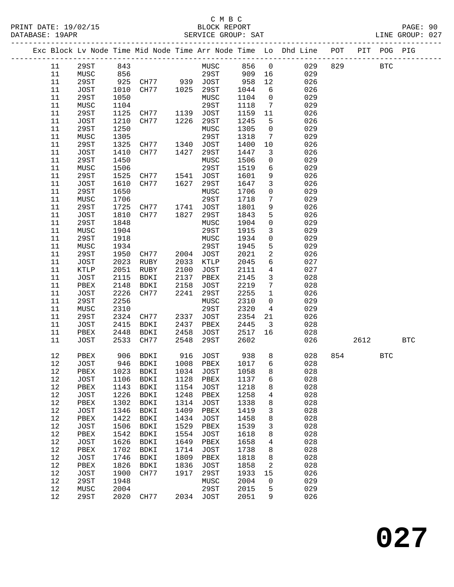## C M B C<br>BLOCK REPORT

| PRINT DATE: 19/02/15<br>DATARASE: 19APR |                                                                                        | BLOCK REPORT<br>SERVICE GROUP: SAT |                              | PAGE: 90<br>LINE GROUP: 027 |
|-----------------------------------------|----------------------------------------------------------------------------------------|------------------------------------|------------------------------|-----------------------------|
|                                         | Exc Block Ly Node Time Mid Node Time Arr Node Time Lo Dhd Line – POT – PIT - POG – PIG |                                    |                              |                             |
| $11 20$ $20$ $843$                      |                                                                                        |                                    | MITCC R56 $\alpha$ 0.29 8.29 | RTA                         |

| 11   | 29ST         | 843  |                                  |           | MUSC        | 856  | $\overline{0}$          | 029      | 829  | <b>BTC</b> |            |
|------|--------------|------|----------------------------------|-----------|-------------|------|-------------------------|----------|------|------------|------------|
| 11   | MUSC         | 856  |                                  |           | 29ST        | 909  | 16                      | 029      |      |            |            |
| 11   | 29ST         | 925  |                                  |           |             | 958  | 12                      | 026      |      |            |            |
| 11   | JOST         | 1010 |                                  |           |             | 1044 | 6                       | 026      |      |            |            |
| 11   | 29ST         | 1050 |                                  |           | MUSC        | 1104 | $\overline{0}$          | 029      |      |            |            |
| 11   | MUSC         | 1104 |                                  |           | 29ST        | 1118 | $7\overline{ }$         | 029      |      |            |            |
| 11   | 29ST         | 1125 | CH77 1139                        |           | JOST        | 1159 | 11                      | 026      |      |            |            |
| 11   | JOST         | 1210 | CH77                             | 1226      | 29ST        | 1245 | 5                       | 026      |      |            |            |
| 11   | 29ST         | 1250 |                                  |           | MUSC        | 1305 | $\overline{0}$          | 029      |      |            |            |
| 11   | ${\tt MUSC}$ | 1305 |                                  |           | 29ST        | 1318 | $7\overline{ }$         | 029      |      |            |            |
| 11   | 29ST         | 1325 |                                  |           | JOST        | 1400 | 10                      | 026      |      |            |            |
| 11   | JOST         | 1410 | CH77 1340<br>CH77 1427           |           | 29ST        | 1447 | $\mathbf{3}$            | 026      |      |            |            |
| 11   | 29ST         | 1450 |                                  |           | MUSC        | 1506 | $\mathsf{O}$            | 029      |      |            |            |
| 11   | MUSC         | 1506 |                                  |           | 29ST        | 1519 | 6                       | 029      |      |            |            |
| 11   | 29ST         |      |                                  |           |             | 1601 | 9                       | 026      |      |            |            |
|      |              | 1525 | CH77 1541 JOST                   |           |             |      |                         |          |      |            |            |
| 11   | JOST         | 1610 | CH77                             | 1627      | 29ST        | 1647 | $\mathbf{3}$            | 026      |      |            |            |
| 11   | 29ST         | 1650 |                                  |           | MUSC        | 1706 | $\mathsf{O}$            | 029      |      |            |            |
| 11   | MUSC         | 1706 |                                  |           | 29ST        | 1718 | $7\phantom{.0}$         | 029      |      |            |            |
| 11   | 29ST         | 1725 | CH77 1741 JOST<br>CH77 1827 29ST |           |             | 1801 | 9                       | 026      |      |            |            |
| 11   | JOST         | 1810 |                                  |           |             | 1843 | 5                       | 026      |      |            |            |
| 11   | 29ST         | 1848 |                                  |           | MUSC        | 1904 | $\mathsf{O}$            | 029      |      |            |            |
| 11   | MUSC         | 1904 |                                  |           | 29ST        | 1915 | $\mathbf{3}$            | 029      |      |            |            |
| 11   | 29ST         | 1918 |                                  |           | MUSC        | 1934 | $\overline{0}$          | 029      |      |            |            |
| 11   | MUSC         | 1934 |                                  |           | 29ST        | 1945 | $5\phantom{.}$          | 029      |      |            |            |
| 11   | 29ST         | 1950 | CH77                             | 2004 JOST |             | 2021 | $\overline{a}$          | 026      |      |            |            |
| 11   | JOST         | 2023 | RUBY                             | 2033      | KTLP        | 2045 | 6                       | 027      |      |            |            |
| 11   | KTLP         | 2051 | RUBY                             | 2100      | <b>JOST</b> | 2111 | $\overline{4}$          | 027      |      |            |            |
| 11   | JOST         | 2115 | BDKI                             | 2137      | PBEX        | 2145 | $\mathbf{3}$            | 028      |      |            |            |
| 11   | PBEX         | 2148 | BDKI                             | 2158      | JOST        | 2219 | $7\phantom{.0}$         | 028      |      |            |            |
| 11   | JOST         | 2226 | CH77                             | 2241      | 29ST        | 2255 | $\mathbf{1}$            | 026      |      |            |            |
| 11   | 29ST         | 2256 |                                  |           | MUSC        | 2310 | $\mathbf 0$             | 029      |      |            |            |
| 11   | MUSC         | 2310 |                                  |           | 29ST        | 2320 | $4\overline{ }$         | 029      |      |            |            |
| 11   | 29ST         | 2324 | CH77                             | 2337      | JOST        | 2354 | 21                      | 026      |      |            |            |
| 11   | JOST         | 2415 | BDKI                             | 2437      | PBEX        | 2445 | $\overline{\mathbf{3}}$ | 028      |      |            |            |
| 11   | PBEX         | 2448 | BDKI                             | 2458      | JOST        | 2517 | 16                      | 028      |      |            |            |
| 11   | JOST         | 2533 | CH77                             | 2548      | 29ST        | 2602 |                         | 026      | 2612 |            | <b>BTC</b> |
|      |              |      |                                  |           |             |      |                         |          |      |            |            |
| 12   | PBEX         | 906  | BDKI                             | 916       | JOST        | 938  |                         | 028<br>8 | 854  | <b>BTC</b> |            |
| 12   | JOST         | 946  | BDKI                             | 1008      | PBEX        | 1017 | 6                       | 028      |      |            |            |
| 12   | PBEX         | 1023 | BDKI                             | 1034      | JOST        | 1058 | 8                       | 028      |      |            |            |
| $12$ | JOST         | 1106 | BDKI                             | 1128      | PBEX        | 1137 | 6                       | 028      |      |            |            |
| 12   |              |      | PBEX 1143 BDKI 1154 JOST 1218    |           |             |      | 8                       | 028      |      |            |            |
| 12   | JOST         | 1226 | BDKI                             | 1248      | PBEX        | 1258 | 4                       | 028      |      |            |            |
| 12   | PBEX         | 1302 | BDKI                             | 1314      | JOST        | 1338 | 8                       | 028      |      |            |            |
| 12   | JOST         | 1346 | BDKI                             | 1409      | PBEX        | 1419 | 3                       | 028      |      |            |            |
| 12   | PBEX         | 1422 | BDKI                             | 1434      | JOST        | 1458 | 8                       | 028      |      |            |            |
| 12   | JOST         | 1506 | BDKI                             | 1529      | PBEX        | 1539 | 3                       | 028      |      |            |            |
| 12   | PBEX         | 1542 | BDKI                             | 1554      | JOST        | 1618 | 8                       | 028      |      |            |            |
| 12   | <b>JOST</b>  | 1626 | BDKI                             | 1649      | PBEX        | 1658 | 4                       | 028      |      |            |            |
| 12   | PBEX         | 1702 | BDKI                             | 1714      | JOST        | 1738 | 8                       | 028      |      |            |            |
| 12   | JOST         | 1746 | BDKI                             | 1809      | PBEX        | 1818 | 8                       | 028      |      |            |            |
| 12   | PBEX         | 1826 | BDKI                             | 1836      | <b>JOST</b> | 1858 | 2                       | 028      |      |            |            |
| 12   | <b>JOST</b>  | 1900 | CH77                             | 1917      | 29ST        | 1933 | 15                      | 026      |      |            |            |
| 12   | <b>29ST</b>  | 1948 |                                  |           | MUSC        | 2004 | $\mathbf 0$             | 029      |      |            |            |
| 12   | MUSC         | 2004 |                                  |           | 29ST        | 2015 | 5                       | 029      |      |            |            |
| 12   | <b>29ST</b>  | 2020 | CH77                             | 2034      | JOST        | 2051 | 9                       | 026      |      |            |            |
|      |              |      |                                  |           |             |      |                         |          |      |            |            |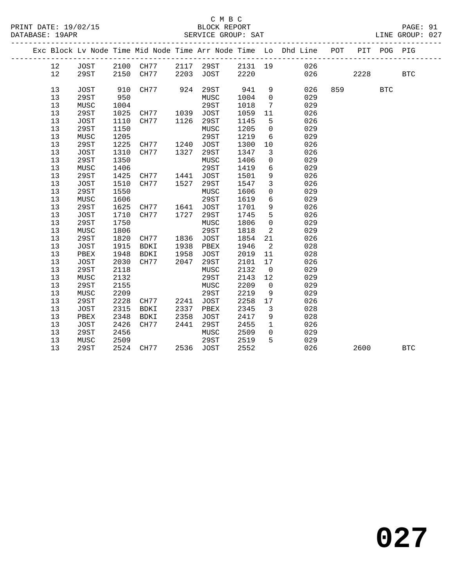#### C M B C<br>BLOCK REPORT SERVICE GROUP: SAT

|  |    |             |      |           |      |             |         |                 | Exc Block Lv Node Time Mid Node Time Arr Node Time Lo Dhd Line POT |                             | PIT POG PIG |            |
|--|----|-------------|------|-----------|------|-------------|---------|-----------------|--------------------------------------------------------------------|-----------------------------|-------------|------------|
|  | 12 | JOST        | 2100 | CH77      | 2117 | 29ST        |         |                 | 2131 19 026                                                        |                             |             |            |
|  | 12 | 29ST        | 2150 | CH77      | 2203 | JOST        | 2220    |                 | 026 02                                                             | 2228                        |             | <b>BTC</b> |
|  | 13 | <b>JOST</b> | 910  | CH77      | 924  | 29ST        | 941     | 9               | 026                                                                | 859 and the state of $\sim$ | <b>BTC</b>  |            |
|  | 13 | 29ST        | 950  |           |      | MUSC        | 1004    | $\overline{0}$  | 029                                                                |                             |             |            |
|  | 13 | MUSC        | 1004 |           |      | 29ST        | 1018    | $7\phantom{.0}$ | 029                                                                |                             |             |            |
|  | 13 | 29ST        | 1025 | CH77      | 1039 | JOST        | 1059    | 11              | 026                                                                |                             |             |            |
|  | 13 | <b>JOST</b> | 1110 | CH77      | 1126 | 29ST        | 1145    | 5               | 026                                                                |                             |             |            |
|  | 13 | 29ST        | 1150 |           |      | MUSC        | 1205    | $\overline{0}$  | 029                                                                |                             |             |            |
|  | 13 | MUSC        | 1205 |           |      | 29ST        | 1219    | 6               | 029                                                                |                             |             |            |
|  | 13 | 29ST        | 1225 | CH77 1240 |      | JOST        | 1300    | 10              | 026                                                                |                             |             |            |
|  | 13 | JOST        | 1310 | CH77      | 1327 | 29ST        | 1347    | 3               | 026                                                                |                             |             |            |
|  | 13 | 29ST        | 1350 |           |      | MUSC        | 1406    | $\overline{0}$  | 029                                                                |                             |             |            |
|  | 13 | MUSC        | 1406 |           |      | 29ST        | 1419    | 6               | 029                                                                |                             |             |            |
|  | 13 | 29ST        | 1425 | CH77      | 1441 | JOST        | 1501    | 9               | 026                                                                |                             |             |            |
|  | 13 | JOST        | 1510 | CH77      | 1527 | 29ST        | 1547    | $\overline{3}$  | 026                                                                |                             |             |            |
|  | 13 | 29ST        | 1550 |           |      | MUSC        | 1606    | 0               | 029                                                                |                             |             |            |
|  | 13 | MUSC        | 1606 |           |      | 29ST        | 1619    | 6               | 029                                                                |                             |             |            |
|  | 13 | 29ST        | 1625 | CH77      | 1641 | <b>JOST</b> | 1701    | 9               | 026                                                                |                             |             |            |
|  | 13 | <b>JOST</b> | 1710 | CH77      | 1727 | 29ST        | 1745    | 5               | 026                                                                |                             |             |            |
|  | 13 | 29ST        | 1750 |           |      | MUSC        | 1806    | $\mathbf 0$     | 029                                                                |                             |             |            |
|  | 13 | MUSC        | 1806 |           |      | 29ST        | 1818    | 2               | 029                                                                |                             |             |            |
|  | 13 | 29ST        | 1820 | CH77      | 1836 | <b>JOST</b> | 1854    | 21              | 026                                                                |                             |             |            |
|  | 13 | JOST        | 1915 | BDKI      | 1938 | PBEX        | 1946    | 2               | 028                                                                |                             |             |            |
|  | 13 | PBEX        | 1948 | BDKI      | 1958 | JOST        | 2019    | 11              | 028                                                                |                             |             |            |
|  | 13 | <b>JOST</b> | 2030 | CH77      | 2047 | 29ST        | 2101    | 17              | 026                                                                |                             |             |            |
|  | 13 | 29ST        | 2118 |           |      | MUSC        | 2132    | $\overline{0}$  | 029                                                                |                             |             |            |
|  | 13 | MUSC        | 2132 |           |      | 29ST        | 2143    | 12              | 029                                                                |                             |             |            |
|  | 13 | 29ST        | 2155 |           |      | MUSC        | 2209    | $\overline{0}$  | 029                                                                |                             |             |            |
|  | 13 | MUSC        | 2209 |           |      | 29ST        | 2219    | - 9             | 029                                                                |                             |             |            |
|  | 13 | 29ST        |      | 2228 CH77 | 2241 | JOST        | 2258 17 |                 | 026                                                                |                             |             |            |

13 29ST 2524 CH77 2536 JOST 2552 026 2600 BTC

 13 JOST 2315 BDKI 2337 PBEX 2345 3 028 13 PBEX 2348 BDKI 2358 JOST 2417 9 028 13 JOST 2426 CH77 2441 29ST 2455 1 026 13 29ST 2456 MUSC 2509 0 029

13 2931 2430<br>13 MUSC 2509 29ST 2519 5 029

**027**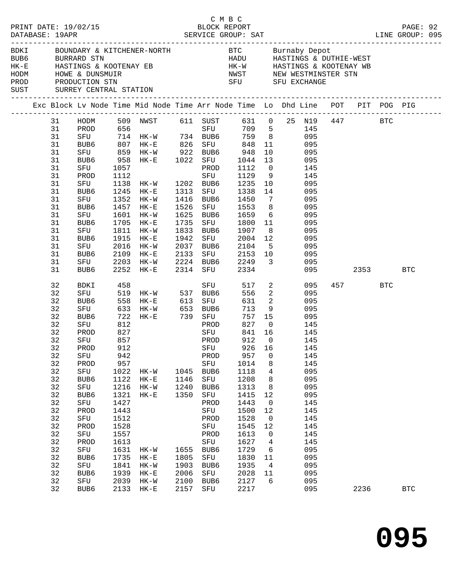|  | DATABASE: 19APR                                                                                                                                          | PRINT DATE: 19/02/15                                                                                                                                              |                                                                                                                                                                 | $\begin{array}{cccccccc}\n 0.2 & 0.1 & 0.0000 & 0.00000 & 0.00000 & 0.00000 & 0.00000 & 0.00000 & 0.00000 & 0.00000 & 0.0000 & 0.0000 & 0.0000 & 0.0000 & 0.0000 & 0.0000 & 0.0000 & 0.0000 & 0.0000 & 0.0000 & 0.0000 & 0.0000 & 0.0000 & 0.0000 & 0.0000 & 0.0000 & 0$                                                                                                                                                                                                                                                                                                                        |                                                                              |                                                                                                                                                             | C M B C                                                                                                                                                                                     |                                                                                                                                           |                                                                            |                                                                                                                                                               |                 |              |  |
|--|----------------------------------------------------------------------------------------------------------------------------------------------------------|-------------------------------------------------------------------------------------------------------------------------------------------------------------------|-----------------------------------------------------------------------------------------------------------------------------------------------------------------|-------------------------------------------------------------------------------------------------------------------------------------------------------------------------------------------------------------------------------------------------------------------------------------------------------------------------------------------------------------------------------------------------------------------------------------------------------------------------------------------------------------------------------------------------------------------------------------------------|------------------------------------------------------------------------------|-------------------------------------------------------------------------------------------------------------------------------------------------------------|---------------------------------------------------------------------------------------------------------------------------------------------------------------------------------------------|-------------------------------------------------------------------------------------------------------------------------------------------|----------------------------------------------------------------------------|---------------------------------------------------------------------------------------------------------------------------------------------------------------|-----------------|--------------|--|
|  |                                                                                                                                                          | HODM HOWE & DUNSMUIR<br>PROD PRODUCTION STN<br>SUST SURREY CENTRAL STATION                                                                                        |                                                                                                                                                                 | BDKI BOUNDARY & KITCHENER-NORTH BTC Burnaby Depot<br>BUB6 BURRARD STN HADU HASTINGS & DUTHIE-WEST<br>HK-E HASTINGS & KOOTENAY EB HK-W HASTINGS & KOOTENAY WB<br>MWST MEW WESTMINSTER STN SERIES AND MEW WESTMINSTER STN                                                                                                                                                                                                                                                                                                                                                                         |                                                                              |                                                                                                                                                             |                                                                                                                                                                                             |                                                                                                                                           |                                                                            |                                                                                                                                                               |                 |              |  |
|  |                                                                                                                                                          |                                                                                                                                                                   |                                                                                                                                                                 | Exc Block Lv Node Time Mid Node Time Arr Node Time Lo Dhd Line POT PIT POG PIG                                                                                                                                                                                                                                                                                                                                                                                                                                                                                                                  |                                                                              |                                                                                                                                                             |                                                                                                                                                                                             |                                                                                                                                           |                                                                            |                                                                                                                                                               |                 |              |  |
|  | 31<br>31<br>31<br>31<br>31<br>31<br>31<br>31<br>31<br>31<br>31<br>31<br>31<br>31<br>31<br>31<br>31<br>31<br>31<br>31                                     | SFU<br>PROD<br>SFU<br>BUB6<br>SFU<br>BUB6<br>SFU<br>BUB6<br>SFU<br>BUB6<br>SFU<br>BUB6<br>SFU<br>BUB6                                                             | 1457                                                                                                                                                            | HODM 509 NWST 611 SUST 631 0 25 N19 447 BTC<br>PROD 656 SFU 709 5 145<br>PROD 656 SFU 709 5 145<br>SFU 714 HK-W 734 BUB6 759 8 095<br>BUB6 807 HK-E 826 SFU 848 11 095<br>SFU 859 HK-W 922 BUB6 948 10 095<br>BUB6 958 HK-E 1022 SFU 1044 13 095<br>1057 PROD 1112 0 145<br>1112 SFU 1129 9 145<br>1138 HK-W 1202 BUB6 1235 10 095<br>1245 HK-E 1313 SFU 1338 14 095<br>1352 HK-W 1416 BUB6 1450<br>$HK-E$<br>1601 HK-W<br>1705 HK-E<br>1811 HK-W<br>1915 HK-E<br>2016 HK-W 2037 BUB6 2104 5 095<br>2109 HK-E 2133 SFU 2153 10 095<br>2203 HK-W 2224 BUB6 2249 3 095<br>2252 HK-E 2314 SFU 2334 | 1526<br>1942                                                                 |                                                                                                                                                             | SFU 1553 8 095<br>1625 BUB6 1659 6 095<br>1735 SFU 1800 11 095<br>1833 BUB6 1907<br>SFU 2004 12                                                                                             |                                                                                                                                           | $7\overline{ }$<br>8 095<br>095                                            | 095<br>095<br>095 2353                                                                                                                                        |                 | <b>BTC</b>   |  |
|  | 32<br>32<br>32<br>32<br>32<br>32<br>32<br>32<br>32<br>32<br>32<br>32<br>32<br>32<br>32<br>32<br>32<br>32<br>32<br>32<br>32<br>32<br>32<br>32<br>32<br>32 | BDKI<br>PROD<br>SFU<br>32 PROD 912<br>SFU<br>PROD<br>SFU<br>BUB6<br>SFU<br>BUB6<br>SFU<br>PROD<br>SFU<br>PROD<br>SFU<br>PROD<br>SFU<br>BUB6<br>SFU<br>BUB6<br>SFU | 458<br>827<br>857<br>942<br>957<br>1022<br>1122<br>1216<br>1321<br>1427<br>1443<br>1512<br>1528<br>1557<br>1613<br>1631<br>1735<br>1841<br>1939<br>2039<br>2133 | SFU 519 HK-W 537 BUB6<br>BUB6 558 HK-E 613 SFU<br>SFU 633 HK-W 653 BUB6<br>BUB6 722 HK-E 739 SFU<br>SFU 812 PROD<br><b>SFU</b><br>HK-W<br>$HK-E$<br>$HK-W$<br>$HK-E$<br>$HK-W$<br>$HK-E$<br>$HK-W$<br>$HK-E$<br>$HK-W$                                                                                                                                                                                                                                                                                                                                                                          | 1045<br>1146<br>1240<br>1350<br>1655<br>1805<br>1903<br>2006<br>2100<br>2157 | SFU<br>PROD<br>PROD<br>PROD<br>SFU<br>BUB6<br>SFU<br>BUB6<br>SFU<br>PROD<br>SFU<br>PROD<br>SFU<br>PROD<br>${\rm SFU}$<br>BUB6<br>SFU<br>BUB6<br>SFU<br>BUB6 | 556<br>757 15<br>841 16<br>912<br>SFU 926 16<br>957<br>1014<br>1118<br>1208<br>1313<br>1415<br>1443<br>1500<br>1528<br>1545<br>1613<br>1627<br>1729<br>1830<br>1935<br>2028<br>2127<br>2217 | $\overline{0}$<br>0<br>8<br>4<br>8<br>8<br>12<br>$\mathbf 0$<br>12<br>$\overline{0}$<br>12<br>$\mathbf 0$<br>4<br>6<br>11<br>4<br>11<br>6 | 517 2<br>$\overline{2}$<br>631 2<br>$713$ 9 095<br>827 0 145<br>145<br>145 | 095<br>095<br>095<br>095<br>145<br>145<br>145<br>095<br>095<br>095<br>095<br>145<br>145<br>145<br>145<br>145<br>145<br>095<br>095<br>095<br>095<br>095<br>095 | 457 BTC<br>2236 |              |  |
|  |                                                                                                                                                          | BUB6                                                                                                                                                              |                                                                                                                                                                 | $HK-E$                                                                                                                                                                                                                                                                                                                                                                                                                                                                                                                                                                                          |                                                                              | SFU                                                                                                                                                         |                                                                                                                                                                                             |                                                                                                                                           |                                                                            |                                                                                                                                                               |                 | $_{\rm BTC}$ |  |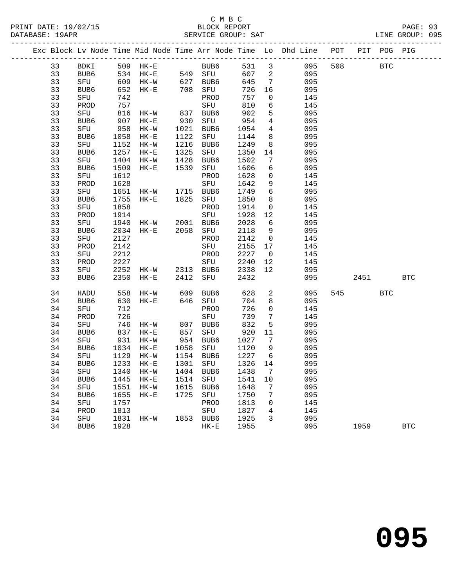|          |             |              |                                   |              |                     |              |                         | Exc Block Lv Node Time Mid Node Time Arr Node Time Lo Dhd Line POT PIT POG PIG |     |            |            |            |
|----------|-------------|--------------|-----------------------------------|--------------|---------------------|--------------|-------------------------|--------------------------------------------------------------------------------|-----|------------|------------|------------|
|          |             |              |                                   |              | BUB6                |              |                         |                                                                                |     | <b>BTC</b> |            |            |
| 33       | BDKI        |              |                                   |              |                     |              |                         | 531 3 095                                                                      | 508 |            |            |            |
| 33       | BUB6        |              | 609 HK-W 627 BUB6                 |              |                     | 607 2        |                         | 095                                                                            |     |            |            |            |
| 33       | SFU         |              |                                   |              |                     | 645          | $\overline{7}$          | 095                                                                            |     |            |            |            |
| 33       | BUB6        | 652          | $HK-E$                            | 708          | SFU                 | 726          | 16                      | 095                                                                            |     |            |            |            |
| 33       | SFU         | 742          |                                   |              | PROD                | 757          | $\overline{0}$          | 145                                                                            |     |            |            |            |
| 33       | PROD        | 757          |                                   |              | SFU                 | 810          | $6\overline{6}$         | 145                                                                            |     |            |            |            |
| 33       | SFU         | 816          | HK-W                              | 837          | BUB6                | 902          | 5                       | 095                                                                            |     |            |            |            |
| 33       | BUB6        | 907          | $HK-E$                            | 930          | SFU                 | 954          | $\overline{4}$          | 095                                                                            |     |            |            |            |
| 33       | SFU         | 958          | $HK-W$                            | 1021         | BUB6                | 1054         | $\overline{4}$          | 095                                                                            |     |            |            |            |
| 33       | BUB6        | 1058         | $HK-E$                            | 1122         | SFU                 | 1144         | 8                       | 095                                                                            |     |            |            |            |
| 33       | SFU         | 1152         | $HK-W$                            | 1216         | BUB6                | 1249         | 8                       | 095                                                                            |     |            |            |            |
| 33       | BUB6        | 1257         | $HK-E$                            | 1325         | SFU                 | 1350         | 14                      | 095                                                                            |     |            |            |            |
| 33<br>33 | SFU         | 1404         | HK-W                              | 1428<br>1539 | BUB6                | 1502<br>1606 | $7\phantom{.0}$<br>6    | 095                                                                            |     |            |            |            |
| 33       | BUB6        | 1509<br>1612 | $HK-E$                            |              | SFU<br>PROD         | 1628         | $\overline{0}$          | 095<br>145                                                                     |     |            |            |            |
| 33       | SFU         | 1628         |                                   |              | SFU                 | 1642         | 9                       | 145                                                                            |     |            |            |            |
| 33       | PROD<br>SFU | 1651         |                                   |              |                     | 1749         | $6\overline{6}$         | 095                                                                            |     |            |            |            |
| 33       | BUB6        | 1755         | HK-W 1715 BUB6<br>HK-E 1825 SFU   |              |                     | 1850         | 8 <sup>8</sup>          | 095                                                                            |     |            |            |            |
| 33       | SFU         | 1858         |                                   |              | PROD                | 1914         | $\overline{0}$          | 145                                                                            |     |            |            |            |
| 33       | PROD        | 1914         |                                   |              | SFU                 | 1928         | 12                      | 145                                                                            |     |            |            |            |
| 33       | SFU         | 1940         | HK-W 2001 BUB6                    |              |                     | 2028         | 6                       | 095                                                                            |     |            |            |            |
| 33       | BUB6        | 2034         | $HK-E$                            | 2058         | SFU                 | 2118         | 9                       | 095                                                                            |     |            |            |            |
| 33       | SFU         | 2127         |                                   |              | PROD                | 2142         | $\overline{0}$          | 145                                                                            |     |            |            |            |
| 33       | PROD        | 2142         |                                   |              | SFU                 | 2155         | 17                      | 145                                                                            |     |            |            |            |
| 33       | SFU         | 2212         |                                   |              | PROD                | 2227         | $\overline{\mathbf{0}}$ | 145                                                                            |     |            |            |            |
| 33       | PROD        | 2227         |                                   |              | SFU                 | 2240         | 12                      | 145                                                                            |     |            |            |            |
| 33       | SFU         |              | 2252 HK-W 2313 BUB6               |              |                     | 2338         | 12                      | 095                                                                            |     |            |            |            |
| 33       | BUB6        |              | 2350 HK-E                         | 2412         | SFU                 | 2432         |                         | 095                                                                            |     | 2451       |            | <b>BTC</b> |
|          |             |              |                                   |              |                     |              |                         |                                                                                |     |            |            |            |
| 34       | HADU        | 558          | HK-W                              |              | BUB6                | 628          | $\overline{a}$          | 095                                                                            |     | 545        | <b>BTC</b> |            |
| 34       | BUB6        |              | 630 HK-E                          |              | 609 BUB6<br>646 SFU | 704          | 8                       | 095                                                                            |     |            |            |            |
| 34       | SFU         | 712          |                                   |              | PROD                | 726          | $\overline{0}$          | 145                                                                            |     |            |            |            |
| 34       | PROD        | 726          |                                   |              | SFU                 | 739          | $7\overline{ }$         | 145                                                                            |     |            |            |            |
| 34       | SFU         | 746          | HK-W                              |              | BUB6                | 832          | 5                       | 095                                                                            |     |            |            |            |
| 34       | BUB6        |              | 837 HK-E                          | 807<br>857   | SFU                 | 920          | 11                      | 095                                                                            |     |            |            |            |
| 34       | SFU         | 931          | $HK-W$                            |              | 954 BUB6            | 1027         | $\overline{7}$          | 095                                                                            |     |            |            |            |
| 34       | BUB6        | 1034         | $HK-E$                            |              | 1058 SFU            | 1120         | 9                       | 095                                                                            |     |            |            |            |
| 34       | SFU         | 1129         | $HK-W$                            |              | 1154 BUB6           | 1227         | 6                       | 095                                                                            |     |            |            |            |
| 34       | BUB6        |              | 1233 HK-E                         |              | 1301 SFU            | 1326 14      |                         | 095                                                                            |     |            |            |            |
|          |             |              | 34 SFU 1340 HK-W 1404 BUB6 1438 7 |              |                     |              |                         | 095                                                                            |     |            |            |            |
| 34       | BUB6        | 1445         | $HK-E$                            |              | 1514 SFU            | 1541         | 10                      | 095                                                                            |     |            |            |            |
| 34       | SFU         | 1551         | HK-W                              | 1615         | BUB6                | 1648         | 7                       | 095                                                                            |     |            |            |            |
| 34       | BUB6        | 1655         | HK-E                              | 1725         | SFU                 | 1750         | 7                       | 095                                                                            |     |            |            |            |
| 34       | SFU         | 1757         |                                   |              | PROD                | 1813         | 0                       | 145                                                                            |     |            |            |            |
| 34       | PROD        | 1813         |                                   |              | SFU                 | 1827         | 4                       | 145                                                                            |     |            |            |            |
| 34       | SFU         | 1831         | HK-W                              |              | 1853 BUB6           | 1925         | 3                       | 095                                                                            |     |            |            |            |
| 34       | BUB6        | 1928         |                                   |              | $HK-E$              | 1955         |                         | 095                                                                            |     | 1959       |            | <b>BTC</b> |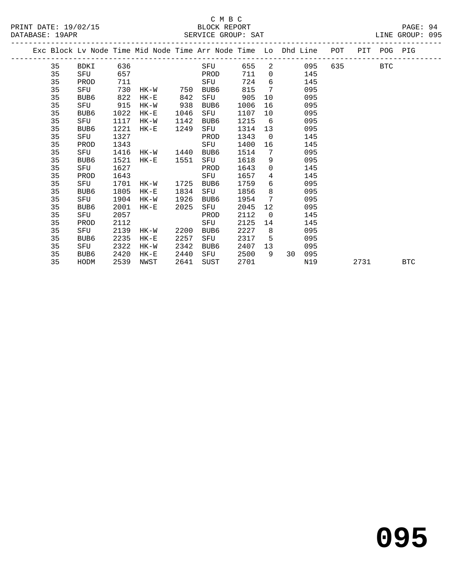|  |    | ---------------------- |      |           |      | Exc Block Lv Node Time Mid Node Time Arr Node Time Lo Dhd Line POT PIT POG PIG |      |                 |       |     |         |            |
|--|----|------------------------|------|-----------|------|--------------------------------------------------------------------------------|------|-----------------|-------|-----|---------|------------|
|  | 35 | BDKI                   | 636  |           |      | SFU                                                                            | 655  |                 | 2 095 |     | 635 BTC |            |
|  | 35 | SFU                    | 657  |           |      | PROD                                                                           | 711  | $\overline{0}$  |       | 145 |         |            |
|  | 35 | PROD                   | 711  |           |      | SFU                                                                            | 724  | 6               |       | 145 |         |            |
|  | 35 | SFU                    | 730  | $HK-W$    | 750  | BUB6                                                                           | 815  | 7               |       | 095 |         |            |
|  | 35 | BUB6                   | 822  | HK-E      | 842  | SFU                                                                            | 905  | 10              |       | 095 |         |            |
|  | 35 | SFU                    | 915  | HK-W      | 938  | BUB6                                                                           | 1006 | 16              |       | 095 |         |            |
|  | 35 | BUB6                   | 1022 | $HK-E$    | 1046 | SFU                                                                            | 1107 | 10              |       | 095 |         |            |
|  | 35 | SFU                    | 1117 | HK-W      | 1142 | BUB6                                                                           | 1215 | 6               |       | 095 |         |            |
|  | 35 | BUB6                   | 1221 | $HK-E$    | 1249 | SFU                                                                            | 1314 | 13              |       | 095 |         |            |
|  | 35 | SFU                    | 1327 |           |      | PROD                                                                           | 1343 | $\Omega$        |       | 145 |         |            |
|  | 35 | PROD                   | 1343 |           |      | SFU                                                                            | 1400 | 16              |       | 145 |         |            |
|  | 35 | SFU                    | 1416 | HK-W 1440 |      | BUB6                                                                           | 1514 | 7               |       | 095 |         |            |
|  | 35 | BUB6                   | 1521 | $HK-E$    | 1551 | SFU                                                                            | 1618 | 9               |       | 095 |         |            |
|  | 35 | SFU                    | 1627 |           |      | PROD                                                                           | 1643 | $\mathbf 0$     |       | 145 |         |            |
|  | 35 | PROD                   | 1643 |           |      | SFU                                                                            | 1657 | $4\overline{ }$ |       | 145 |         |            |
|  | 35 | SFU                    | 1701 | HK-W      | 1725 | BUB6                                                                           | 1759 | 6               |       | 095 |         |            |
|  | 35 | BUB6                   | 1805 | $HK-E$    | 1834 | SFU                                                                            | 1856 | 8               |       | 095 |         |            |
|  | 35 | SFU                    | 1904 | HK-W      | 1926 | BUB6                                                                           | 1954 | 7               |       | 095 |         |            |
|  | 35 | BUB6                   | 2001 | $HK-E$    | 2025 | SFU                                                                            | 2045 | 12 <sup>°</sup> |       | 095 |         |            |
|  | 35 | SFU                    | 2057 |           |      | PROD                                                                           | 2112 | $\Omega$        |       | 145 |         |            |
|  | 35 | PROD                   | 2112 |           |      | SFU                                                                            | 2125 | 14              |       | 145 |         |            |
|  | 35 | SFU                    | 2139 | HK-W      | 2200 | BUB6                                                                           | 2227 | 8               |       | 095 |         |            |
|  | 35 | BUB6                   | 2235 | HK-E      | 2257 | SFU                                                                            | 2317 | 5               |       | 095 |         |            |
|  | 35 | SFU                    | 2322 | HK-W      | 2342 | BUB6                                                                           | 2407 | 13              |       | 095 |         |            |
|  | 35 | BUB6                   | 2420 | HK-E      | 2440 | SFU                                                                            | 2500 | 9               | 30    | 095 |         |            |
|  | 35 | HODM                   | 2539 | NWST      | 2641 | SUST                                                                           | 2701 |                 |       | N19 | 2731    | <b>BTC</b> |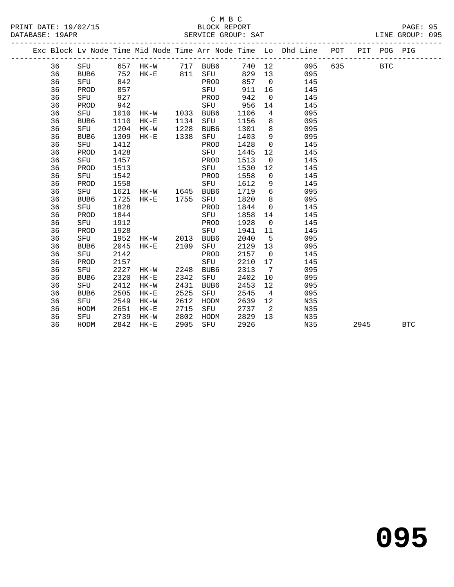#### C M B C SERVICE GROUP: SAT

| PRINT DATE: 19/02/15 | BLOCK REPORT   | $\Omega$<br>PAGE:     |
|----------------------|----------------|-----------------------|
| DATABASE:<br>19APR   | SERVICE GROUP: | 095<br>GROUP:<br>LINE |

|  |    |      |      |                |      |                       |        |                | Exc Block Lv Node Time Mid Node Time Arr Node Time Lo Dhd Line POT PIT POG PIG |      |            |            |
|--|----|------|------|----------------|------|-----------------------|--------|----------------|--------------------------------------------------------------------------------|------|------------|------------|
|  | 36 |      |      |                |      | SFU 657 HK-W 717 BUB6 |        |                | 740 12 095 635                                                                 |      | <b>BTC</b> |            |
|  | 36 | BUB6 |      |                |      | 752 HK-E 811 SFU      | 829 13 |                | 095                                                                            |      |            |            |
|  | 36 | SFU  | 842  |                |      | PROD                  | 857    | $\overline{0}$ | 145                                                                            |      |            |            |
|  | 36 | PROD | 857  |                |      | SFU                   | 911    | 16             | 145                                                                            |      |            |            |
|  | 36 | SFU  | 927  |                |      | PROD                  | 942    | $\overline{0}$ | 145                                                                            |      |            |            |
|  | 36 | PROD | 942  |                |      | SFU                   | 956    | 14             | 145                                                                            |      |            |            |
|  | 36 | SFU  | 1010 | HK-W 1033 BUB6 |      |                       | 1106   | $\overline{4}$ | 095                                                                            |      |            |            |
|  | 36 | BUB6 | 1110 | $HK-E$         | 1134 | SFU                   | 1156   | 8              | 095                                                                            |      |            |            |
|  | 36 | SFU  | 1204 | $HK-W$         | 1228 | BUB6                  | 1301   | 8              | 095                                                                            |      |            |            |
|  | 36 | BUB6 | 1309 | HK-E           | 1338 | SFU                   | 1403   | 9              | 095                                                                            |      |            |            |
|  | 36 | SFU  | 1412 |                |      | PROD                  | 1428   | $\overline{0}$ | 145                                                                            |      |            |            |
|  | 36 | PROD | 1428 |                |      | SFU                   | 1445   | 12             | 145                                                                            |      |            |            |
|  | 36 | SFU  | 1457 |                |      | PROD                  | 1513   | $\overline{0}$ | 145                                                                            |      |            |            |
|  | 36 | PROD | 1513 |                |      | SFU                   | 1530   | 12             | 145                                                                            |      |            |            |
|  | 36 | SFU  | 1542 |                |      | PROD                  | 1558   | $\mathbf 0$    | 145                                                                            |      |            |            |
|  | 36 | PROD | 1558 |                |      | SFU                   | 1612   | 9              | 145                                                                            |      |            |            |
|  | 36 | SFU  | 1621 | HK-W 1645 BUB6 |      |                       | 1719   | 6              | 095                                                                            |      |            |            |
|  | 36 | BUB6 | 1725 | $HK-E$         | 1755 | SFU                   | 1820   | 8              | 095                                                                            |      |            |            |
|  | 36 | SFU  | 1828 |                |      | PROD                  | 1844   | $\overline{0}$ | 145                                                                            |      |            |            |
|  | 36 | PROD | 1844 |                |      | SFU                   | 1858   | 14             | 145                                                                            |      |            |            |
|  | 36 | SFU  | 1912 |                |      | PROD                  | 1928   | $\overline{0}$ | 145                                                                            |      |            |            |
|  | 36 | PROD | 1928 |                |      | SFU                   | 1941   | 11             | 145                                                                            |      |            |            |
|  | 36 | SFU  | 1952 | HK-W 2013      |      | BUB6                  | 2040   | -5             | 095                                                                            |      |            |            |
|  | 36 | BUB6 | 2045 | $HK-E$         | 2109 | SFU                   | 2129   | 13             | 095                                                                            |      |            |            |
|  | 36 | SFU  | 2142 |                |      | PROD                  | 2157   | $\overline{0}$ | 145                                                                            |      |            |            |
|  | 36 | PROD | 2157 |                |      | SFU                   | 2210   | 17             | 145                                                                            |      |            |            |
|  | 36 | SFU  | 2227 | HK-W           | 2248 | BUB6                  | 2313   | $\overline{7}$ | 095                                                                            |      |            |            |
|  | 36 | BUB6 | 2320 | $HK-E$         | 2342 | SFU                   | 2402   | 10             | 095                                                                            |      |            |            |
|  | 36 | SFU  | 2412 | HK-W           | 2431 | BUB6                  | 2453   | 12             | 095                                                                            |      |            |            |
|  | 36 | BUB6 | 2505 | $HK-E$         | 2525 | SFU                   | 2545   | $\overline{4}$ | 095                                                                            |      |            |            |
|  | 36 | SFU  | 2549 | HK-W           | 2612 | HODM                  | 2639   | 12             | N35                                                                            |      |            |            |
|  | 36 | HODM | 2651 | $HK-E$         | 2715 | SFU                   | 2737   | $\overline{2}$ | N35                                                                            |      |            |            |
|  | 36 | SFU  | 2739 | HK-W           | 2802 | HODM                  | 2829   | 13             | N35                                                                            |      |            |            |
|  | 36 | HODM | 2842 | $HK-E$         | 2905 | SFU                   | 2926   |                | N35                                                                            | 2945 |            | <b>BTC</b> |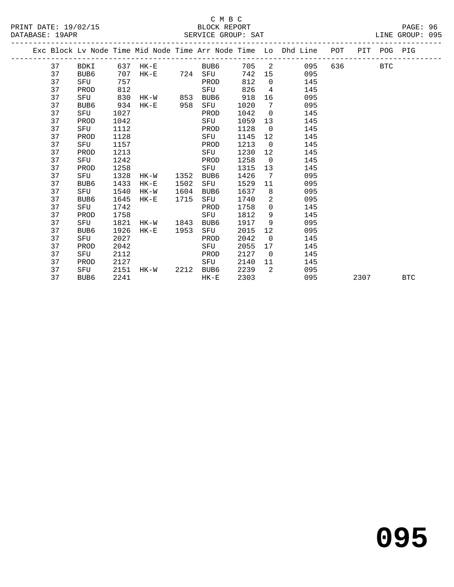|                      | C M B C            |                 |
|----------------------|--------------------|-----------------|
| PRINT DATE: 19/02/15 | BLOCK REPORT       | PAGE: 96        |
| DATABASE: 19APR      | SERVICE GROUP: SAT | LINE GROUP: 095 |

|  |    |      |      |          |      |      |      |                | Exc Block Lv Node Time Mid Node Time Arr Node Time Lo Dhd Line POT |     |      | PIT POG PIG |            |
|--|----|------|------|----------|------|------|------|----------------|--------------------------------------------------------------------|-----|------|-------------|------------|
|  | 37 | BDKI |      | 637 HK-E |      | BUB6 |      |                | 705 2<br>095                                                       | 636 |      | <b>BTC</b>  |            |
|  | 37 | BUB6 | 707  | HK-E 724 |      | SFU  | 742  | 15             | 095                                                                |     |      |             |            |
|  | 37 | SFU  | 757  |          |      | PROD | 812  | $\Omega$       | 145                                                                |     |      |             |            |
|  | 37 | PROD | 812  |          |      | SFU  | 826  | $\overline{4}$ | 145                                                                |     |      |             |            |
|  | 37 | SFU  | 830  | HK-W 853 |      | BUB6 | 918  | 16             | 095                                                                |     |      |             |            |
|  | 37 | BUB6 | 934  | $HK-E$   | 958  | SFU  | 1020 | 7              | 095                                                                |     |      |             |            |
|  | 37 | SFU  | 1027 |          |      | PROD | 1042 | $\overline{0}$ | 145                                                                |     |      |             |            |
|  | 37 | PROD | 1042 |          |      | SFU  | 1059 | 13             | 145                                                                |     |      |             |            |
|  | 37 | SFU  | 1112 |          |      | PROD | 1128 | $\overline{0}$ | 145                                                                |     |      |             |            |
|  | 37 | PROD | 1128 |          |      | SFU  | 1145 | 12             | 145                                                                |     |      |             |            |
|  | 37 | SFU  | 1157 |          |      | PROD | 1213 | $\overline{0}$ | 145                                                                |     |      |             |            |
|  | 37 | PROD | 1213 |          |      | SFU  | 1230 | 12             | 145                                                                |     |      |             |            |
|  | 37 | SFU  | 1242 |          |      | PROD | 1258 | $\overline{0}$ | 145                                                                |     |      |             |            |
|  | 37 | PROD | 1258 |          |      | SFU  | 1315 | 13             | 145                                                                |     |      |             |            |
|  | 37 | SFU  | 1328 | HK-W     | 1352 | BUB6 | 1426 | $\overline{7}$ | 095                                                                |     |      |             |            |
|  | 37 | BUB6 | 1433 | $HK-E$   | 1502 | SFU  | 1529 | 11             | 095                                                                |     |      |             |            |
|  | 37 | SFU  | 1540 | HK-W     | 1604 | BUB6 | 1637 | 8              | 095                                                                |     |      |             |            |
|  | 37 | BUB6 | 1645 | $HK-E$   | 1715 | SFU  | 1740 | $\overline{2}$ | 095                                                                |     |      |             |            |
|  | 37 | SFU  | 1742 |          |      | PROD | 1758 | $\overline{0}$ | 145                                                                |     |      |             |            |
|  | 37 | PROD | 1758 |          |      | SFU  | 1812 | 9              | 145                                                                |     |      |             |            |
|  | 37 | SFU  | 1821 | $HK-W$   | 1843 | BUB6 | 1917 | 9              | 095                                                                |     |      |             |            |
|  | 37 | BUB6 | 1926 | $HK-E$   | 1953 | SFU  | 2015 | 12             | 095                                                                |     |      |             |            |
|  | 37 | SFU  | 2027 |          |      | PROD | 2042 | $\overline{0}$ | 145                                                                |     |      |             |            |
|  | 37 | PROD | 2042 |          |      | SFU  | 2055 | 17             | 145                                                                |     |      |             |            |
|  | 37 | SFU  | 2112 |          |      | PROD | 2127 | $\overline{0}$ | 145                                                                |     |      |             |            |
|  | 37 | PROD | 2127 |          |      | SFU  | 2140 | 11             | 145                                                                |     |      |             |            |
|  | 37 | SFU  | 2151 | HK-W     | 2212 | BUB6 | 2239 | 2              | 095                                                                |     |      |             |            |
|  | 37 | BUB6 | 2241 |          |      | HK-E | 2303 |                | 095                                                                |     | 2307 |             | <b>BTC</b> |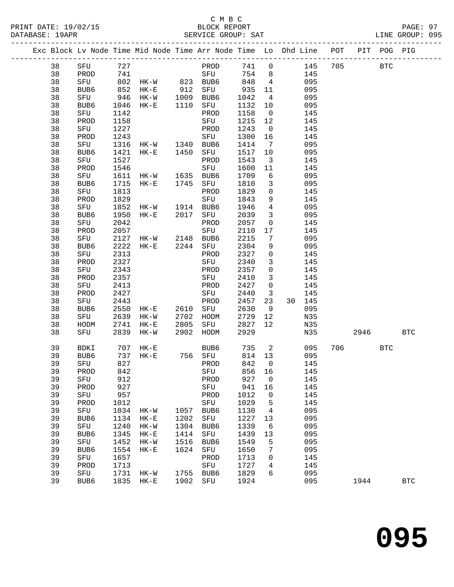## C M B C<br>BLOCK REPORT SERVICE GROUP: SAT

-------------------------------------------------------------------------------------------------

PRINT DATE: 19/02/15 BLOCK REPORT PAGE: 97

|  |    |                  |              | Exc Block Lv Node Time Mid Node Time Arr Node Time Lo Dhd Line |      |             |       |                |    |            | POT | $\verb PIT $ | POG PIG      |            |
|--|----|------------------|--------------|----------------------------------------------------------------|------|-------------|-------|----------------|----|------------|-----|--------------|--------------|------------|
|  | 38 | SFU              | 727          |                                                                |      | PROD        | 741   | 0              |    | 145        | 705 |              | $_{\rm BTC}$ |            |
|  | 38 | PROD             | 741          |                                                                |      | SFU         | 754   | 8              |    | 145        |     |              |              |            |
|  | 38 | SFU              | 802          | HK-W                                                           | 823  | BUB6        | 848   | 4              |    | 095        |     |              |              |            |
|  | 38 | BUB <sub>6</sub> | 852          | $HK-E$                                                         | 912  | SFU         | 935   | 11             |    | 095        |     |              |              |            |
|  | 38 | SFU              | 946          | $HK-W$                                                         | 1009 | BUB6        | 1042  | 4              |    | 095        |     |              |              |            |
|  | 38 | BUB6             | 1046         | $HK-E$                                                         | 1110 | SFU         | 1132  | 10             |    | 095        |     |              |              |            |
|  | 38 | SFU              | 1142         |                                                                |      | PROD        | 1158  | $\mathbf 0$    |    | 145        |     |              |              |            |
|  | 38 | PROD             | 1158         |                                                                |      | SFU         | 1215  | 12             |    | 145        |     |              |              |            |
|  | 38 | SFU              |              |                                                                |      | PROD        | 1243  |                |    |            |     |              |              |            |
|  | 38 | PROD             | 1227<br>1243 |                                                                |      | SFU         | 1300  | 0<br>16        |    | 145<br>145 |     |              |              |            |
|  | 38 | SFU              | 1316         | HK-W                                                           | 1340 | BUB6        | 1414  | 7              |    | 095        |     |              |              |            |
|  | 38 | BUB6             | 1421         | $HK-E$                                                         | 1450 | SFU         | 1517  | 10             |    | 095        |     |              |              |            |
|  | 38 | SFU              | 1527         |                                                                |      | PROD        | 1543  | 3              |    | 145        |     |              |              |            |
|  | 38 | PROD             | 1546         |                                                                |      | SFU         | 1600  | 11             |    | 145        |     |              |              |            |
|  | 38 | SFU              | 1611         | HK-W                                                           | 1635 | BUB6        | 1709  | 6              |    | 095        |     |              |              |            |
|  | 38 | BUB6             | 1715         | $HK-E$                                                         | 1745 | SFU         | 1810  | 3              |    | 095        |     |              |              |            |
|  | 38 | SFU              | 1813         |                                                                |      | PROD        | 1829  | 0              |    | 145        |     |              |              |            |
|  | 38 | PROD             | 1829         |                                                                |      | SFU         | 1843  | 9              |    | 145        |     |              |              |            |
|  | 38 | SFU              | 1852         | HK-W                                                           | 1914 | BUB6        | 1946  | $\overline{4}$ |    | 095        |     |              |              |            |
|  | 38 | BUB6             | 1950         | $HK-E$                                                         | 2017 | SFU         | 2039  | 3              |    | 095        |     |              |              |            |
|  | 38 | SFU              | 2042         |                                                                |      | PROD        | 2057  | 0              |    | 145        |     |              |              |            |
|  | 38 | PROD             | 2057         |                                                                |      | SFU         | 2110  | 17             |    | 145        |     |              |              |            |
|  | 38 | SFU              | 2127         | HK-W                                                           | 2148 | BUB6        | 2215  | 7              |    | 095        |     |              |              |            |
|  | 38 | BUB6             | 2222         | $HK-E$                                                         | 2244 | ${\tt SFU}$ | 2304  | 9              |    | 095        |     |              |              |            |
|  | 38 | SFU              | 2313         |                                                                |      | PROD        | 2327  | 0              |    | 145        |     |              |              |            |
|  | 38 | PROD             | 2327         |                                                                |      | SFU         | 2340  | 3              |    | 145        |     |              |              |            |
|  | 38 | SFU              | 2343         |                                                                |      | PROD        | 2357  | 0              |    | 145        |     |              |              |            |
|  | 38 | PROD             | 2357         |                                                                |      | SFU         | 2410  | 3              |    | 145        |     |              |              |            |
|  | 38 | SFU              | 2413         |                                                                |      | PROD        | 2427  | 0              |    | 145        |     |              |              |            |
|  | 38 | PROD             | 2427         |                                                                |      | SFU         | 2440  | 3              |    | 145        |     |              |              |            |
|  | 38 | SFU              | 2443         |                                                                |      | PROD        | 2457  | 23             | 30 | 145        |     |              |              |            |
|  | 38 | BUB6             | 2550         | $HK-E$                                                         | 2610 | SFU         | 2630  | 9              |    | 095        |     |              |              |            |
|  | 38 | SFU              | 2639         | HK-W                                                           | 2702 | HODM        | 2729  | 12             |    | N35        |     |              |              |            |
|  | 38 | HODM             | 2741         | $HK-E$                                                         | 2805 | SFU         | 2827  | 12             |    | N35        |     |              |              |            |
|  | 38 | SFU              | 2839         | HK-W                                                           | 2902 | HODM        | 2929  |                |    | N35        |     | 2946         |              | <b>BTC</b> |
|  |    |                  |              |                                                                |      |             |       |                |    |            |     |              |              |            |
|  | 39 | BDKI             | 707          | $HK-E$                                                         |      | BUB6        | 735   | 2              |    | 095        | 706 |              | <b>BTC</b>   |            |
|  | 39 | BUB6             | 737          | $HK-E$                                                         | 756  | SFU         | 814   | 13             |    | 095        |     |              |              |            |
|  | 39 | SFU              | 827          |                                                                |      | PROD        | 842   | $\overline{0}$ |    | 145        |     |              |              |            |
|  | 39 | PROD             | 842          |                                                                |      | SFU         | 856   | 16             |    | 145        |     |              |              |            |
|  | 39 | SFU              | 912          |                                                                |      | PROD        | 927 0 |                |    | 145        |     |              |              |            |
|  | 39 | PROD             | 927          |                                                                |      | SFU         | 941   | 16             |    | 145        |     |              |              |            |
|  | 39 | SFU              | 957          |                                                                |      | PROD        | 1012  | $\mathsf{O}$   |    | 145        |     |              |              |            |
|  | 39 | PROD             | 1012         |                                                                |      | ${\rm SFU}$ | 1029  | $\overline{5}$ |    | 145        |     |              |              |            |
|  | 39 | SFU              | 1034         | $HK-W$                                                         | 1057 | BUB6        | 1130  | $\overline{4}$ |    | 095        |     |              |              |            |
|  | 39 | BUB6             | 1134         | $HK-E$                                                         | 1202 | SFU         | 1227  | 13             |    | 095        |     |              |              |            |
|  | 39 | SFU              | 1240         | $HK-W$                                                         | 1304 | BUB6        | 1339  | 6              |    | 095        |     |              |              |            |
|  | 39 | BUB6             | 1345         | $HK-E$                                                         | 1414 | SFU         | 1439  | 13             |    | 095        |     |              |              |            |
|  | 39 | SFU              | 1452         | $HK-W$                                                         | 1516 | BUB6        | 1549  | 5              |    | 095        |     |              |              |            |
|  | 39 | BUB6             | 1554         | $HK-E$                                                         | 1624 | SFU         | 1650  | 7              |    | 095        |     |              |              |            |
|  | 39 | SFU              | 1657         |                                                                |      | PROD        | 1713  | 0              |    | 145        |     |              |              |            |
|  | 39 | PROD             | 1713         |                                                                |      | SFU         | 1727  | 4              |    | 145        |     |              |              |            |
|  | 39 | SFU              | 1731         | $HK-W$                                                         |      | 1755 BUB6   | 1829  | 6              |    | 095        |     |              |              |            |
|  | 39 | BUB6             | 1835         | HK-E                                                           | 1902 | SFU         | 1924  |                |    | 095        |     | 1944         |              | <b>BTC</b> |
|  |    |                  |              |                                                                |      |             |       |                |    |            |     |              |              |            |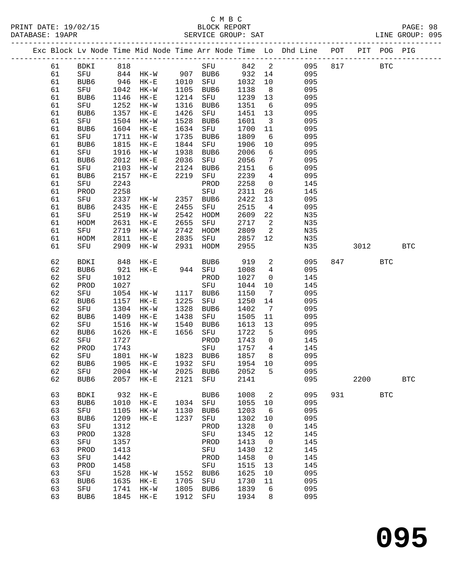#### C M B C<br>BLOCK REPORT DATABASE: 19APR SERVICE GROUP: SAT LINE GROUP: 095

-------------------------------------------------------------------------------------------------

PRINT DATE: 19/02/15 BLOCK REPORT PAGE: 98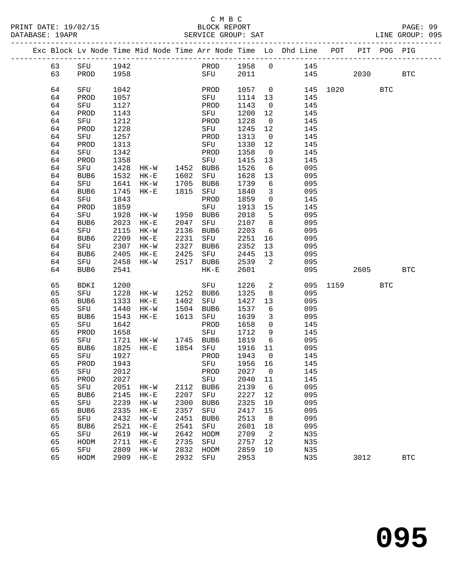|  |    |            |      |                |          |           |         |                         | Exc Block Lv Node Time Mid Node Time Arr Node Time Lo Dhd Line POT       |          |      | PIT POG PIG |              |
|--|----|------------|------|----------------|----------|-----------|---------|-------------------------|--------------------------------------------------------------------------|----------|------|-------------|--------------|
|  | 63 | SFU        | 1942 |                |          | PROD 1958 |         |                         | $\begin{matrix}0\end{matrix}\qquad \qquad \begin{matrix}145\end{matrix}$ |          |      |             |              |
|  | 63 | PROD       | 1958 |                |          | SFU       | 2011    |                         |                                                                          | 145      | 2030 |             | <b>BTC</b>   |
|  |    |            |      |                |          |           |         |                         |                                                                          |          |      |             |              |
|  | 64 | SFU        | 1042 |                |          | PROD      | 1057    | $\overline{0}$          |                                                                          | 145 1020 |      | <b>BTC</b>  |              |
|  | 64 | PROD       | 1057 |                |          | SFU       | 1114    | 13                      | 145                                                                      |          |      |             |              |
|  | 64 | SFU        | 1127 |                |          | PROD      | 1143    | $\overline{0}$          | 145                                                                      |          |      |             |              |
|  | 64 | PROD       | 1143 |                |          | SFU       | 1200    | 12                      | 145                                                                      |          |      |             |              |
|  | 64 | SFU        | 1212 |                |          | PROD      | 1228    | $\overline{0}$          | 145                                                                      |          |      |             |              |
|  | 64 | PROD       | 1228 |                |          | SFU       | 1245    | 12                      | 145                                                                      |          |      |             |              |
|  | 64 | SFU        | 1257 |                |          | PROD      | 1313    | $\overline{\mathbf{0}}$ | 145                                                                      |          |      |             |              |
|  | 64 | PROD       | 1313 |                |          | SFU       | 1330    | 12                      | 145                                                                      |          |      |             |              |
|  | 64 | SFU        | 1342 |                |          | PROD      | 1358    | $\overline{0}$          | 145                                                                      |          |      |             |              |
|  | 64 | PROD       | 1358 |                |          | SFU       | 1415    | 13                      | 145                                                                      |          |      |             |              |
|  | 64 | SFU        | 1428 | HK-W 1452 BUB6 |          |           | 1526    | $6\overline{6}$         | 095                                                                      |          |      |             |              |
|  | 64 | BUB6       | 1532 | $HK-E$         | 1602 SFU |           | 1628    | 13                      | 095                                                                      |          |      |             |              |
|  | 64 | SFU        | 1641 | HK-W           | 1705     | BUB6      | 1739    | 6                       | 095                                                                      |          |      |             |              |
|  | 64 | BUB6       | 1745 | $HK-E$         | 1815     | SFU       | 1840    | $\overline{\mathbf{3}}$ | 095                                                                      |          |      |             |              |
|  | 64 | SFU        | 1843 |                |          | PROD      | 1859    | $\overline{0}$          | 145                                                                      |          |      |             |              |
|  | 64 | PROD       | 1859 |                |          | SFU       | 1913    | 15                      | 145                                                                      |          |      |             |              |
|  | 64 | SFU        | 1928 | HK-W 1950      |          | BUB6      | 2018    | $-5$                    | 095                                                                      |          |      |             |              |
|  | 64 | BUB6       | 2023 | $HK-E$         | 2047     | SFU       | 2107    | 8                       | 095                                                                      |          |      |             |              |
|  | 64 | SFU        | 2115 | HK-W           | 2136     | BUB6      | 2203    | $6\overline{6}$         | 095                                                                      |          |      |             |              |
|  | 64 | BUB6       | 2209 | $HK-E$         | 2231     | SFU       | 2251    | 16                      | 095                                                                      |          |      |             |              |
|  | 64 | SFU        | 2307 | $HK-W$         | 2327     | BUB6      | 2352    | 13                      | 095                                                                      |          |      |             |              |
|  | 64 | BUB6       | 2405 | $HK-E$         | 2425     | SFU       | 2445    | 13                      | 095                                                                      |          |      |             |              |
|  | 64 | SFU        | 2458 | $HK-W$         | 2517     | BUB6      | 2539    | 2                       | 095                                                                      |          |      |             |              |
|  | 64 | BUB6       | 2541 |                |          | $HK-E$    | 2601    |                         | 095                                                                      |          | 2605 |             | <b>BTC</b>   |
|  | 65 | BDKI       | 1200 |                |          | SFU       | 1226    | $\overline{a}$          |                                                                          | 095 1159 |      | <b>BTC</b>  |              |
|  | 65 | SFU        | 1228 | HK-W 1252 BUB6 |          |           | 1325    | 8                       | 095                                                                      |          |      |             |              |
|  | 65 | BUB6       | 1333 | $HK-E$         | 1402     | SFU       | 1427    | 13                      | 095                                                                      |          |      |             |              |
|  | 65 | SFU        | 1440 | $HK-W$         | 1504     | BUB6      | 1537    | 6                       | 095                                                                      |          |      |             |              |
|  | 65 | BUB6       | 1543 | HK-E           | 1613     | SFU       | 1639    | $\mathbf{3}$            | 095                                                                      |          |      |             |              |
|  | 65 | SFU        | 1642 |                |          | PROD      | 1658    | $\overline{0}$          | 145                                                                      |          |      |             |              |
|  | 65 | PROD       | 1658 |                |          | SFU       | 1712    | 9                       | 145                                                                      |          |      |             |              |
|  | 65 | SFU        | 1721 | HK-W 1745 BUB6 |          |           | 1819    | $6\overline{6}$         | 095                                                                      |          |      |             |              |
|  | 65 | BUB6       | 1825 | $HK-E$         | 1854     | SFU       | 1916    | 11                      | 095                                                                      |          |      |             |              |
|  | 65 | SFU        | 1927 |                |          | PROD      | 1943    | $\overline{0}$          | 145                                                                      |          |      |             |              |
|  | 65 | PROD       | 1943 |                |          | SFU       | 1956 16 |                         | 145                                                                      |          |      |             |              |
|  | 65 | <b>SFU</b> | 2012 |                |          | PROD      | 2027 0  |                         | 145                                                                      |          |      |             |              |
|  | 65 | PROD       | 2027 |                |          | SFU       | 2040    | 11                      | 145                                                                      |          |      |             |              |
|  | 65 | SFU        | 2051 | HK-W           | 2112     | BUB6      | 2139    | 6                       | 095                                                                      |          |      |             |              |
|  | 65 | BUB6       | 2145 | $HK-E$         | 2207     | SFU       | 2227    | 12                      | 095                                                                      |          |      |             |              |
|  | 65 | SFU        | 2239 | $HK-W$         | 2300     | BUB6      | 2325    | 10                      | 095                                                                      |          |      |             |              |
|  | 65 | BUB6       | 2335 | $HK-E$         | 2357     | SFU       | 2417    | 15                      | 095                                                                      |          |      |             |              |
|  | 65 | SFU        | 2432 | $HK-W$         | 2451     | BUB6      | 2513    | 8                       | 095                                                                      |          |      |             |              |
|  | 65 | BUB6       | 2521 | $HK-E$         | 2541     | SFU       | 2601    | 18                      | 095                                                                      |          |      |             |              |
|  | 65 | SFU        | 2619 | $HK-W$         | 2642     | HODM      | 2709    | $\overline{2}$          | N35                                                                      |          |      |             |              |
|  | 65 | HODM       | 2711 | $HK-E$         | 2735     | SFU       | 2757    | 12                      | N35                                                                      |          |      |             |              |
|  | 65 | SFU        | 2809 | $HK-W$         | 2832     | HODM      | 2859    | 10                      | N35                                                                      |          |      |             |              |
|  | 65 | HODM       | 2909 | $HK-E$         | 2932     | SFU       | 2953    |                         | N35                                                                      |          | 3012 |             | $_{\rm BTC}$ |
|  |    |            |      |                |          |           |         |                         |                                                                          |          |      |             |              |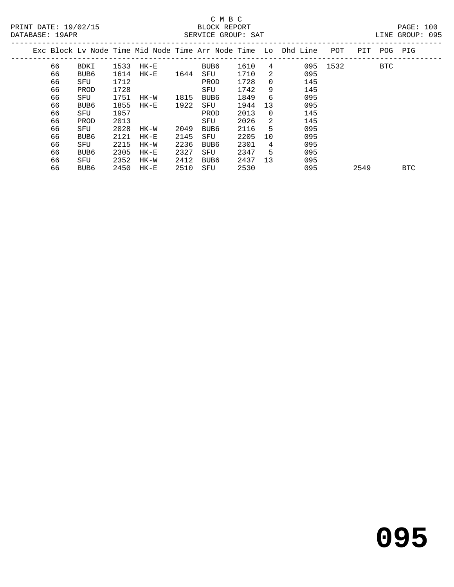|  |    |                  |      |          |      |      |      |    | Exc Block Lv Node Time Mid Node Time Arr Node Time Lo Dhd Line | POT      | PIT  | POG | PIG        |  |
|--|----|------------------|------|----------|------|------|------|----|----------------------------------------------------------------|----------|------|-----|------------|--|
|  | 66 | <b>BDKI</b>      | 1533 | HK-E     |      | BUB6 | 1610 | 4  |                                                                | 095 1532 |      | BTC |            |  |
|  | 66 | BUB <sub>6</sub> | 1614 | $HK - E$ | 1644 | SFU  | 1710 | 2  | 095                                                            |          |      |     |            |  |
|  | 66 | SFU              | 1712 |          |      | PROD | 1728 | 0  | 145                                                            |          |      |     |            |  |
|  | 66 | PROD             | 1728 |          |      | SFU  | 1742 | 9  | 145                                                            |          |      |     |            |  |
|  | 66 | SFU              | 1751 | HK-W     | 1815 | BUB6 | 1849 | 6  | 095                                                            |          |      |     |            |  |
|  | 66 | BUB6             | 1855 | HK-E     | 1922 | SFU  | 1944 | 13 | 095                                                            |          |      |     |            |  |
|  | 66 | SFU              | 1957 |          |      | PROD | 2013 | 0  | 145                                                            |          |      |     |            |  |
|  | 66 | PROD             | 2013 |          |      | SFU  | 2026 | 2  | 145                                                            |          |      |     |            |  |
|  | 66 | SFU              | 2028 | HK-W     | 2049 | BUB6 | 2116 | 5  | 095                                                            |          |      |     |            |  |
|  | 66 | BUB <sub>6</sub> | 2121 | $HK-E$   | 2145 | SFU  | 2205 | 10 | 095                                                            |          |      |     |            |  |
|  | 66 | SFU              | 2215 | HK-W     | 2236 | BUB6 | 2301 | 4  | 095                                                            |          |      |     |            |  |
|  | 66 | BUB <sub>6</sub> | 2305 | $HK-E$   | 2327 | SFU  | 2347 | 5  | 095                                                            |          |      |     |            |  |
|  | 66 | SFU              | 2352 | HK-W     | 2412 | BUB6 | 2437 | 13 | 095                                                            |          |      |     |            |  |
|  | 66 | BUB <sub>6</sub> | 2450 | $HK-E$   | 2510 | SFU  | 2530 |    | 095                                                            |          | 2549 |     | <b>BTC</b> |  |
|  |    |                  |      |          |      |      |      |    |                                                                |          |      |     |            |  |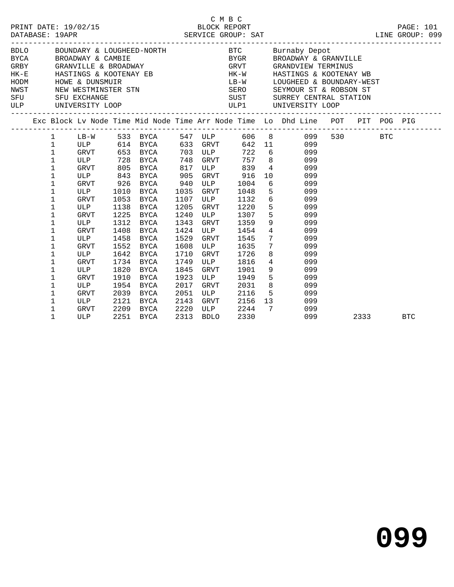| DATABASE: 19APR |                                                                                                | PRINT DATE: 19/02/15                                                                         |                                                                      |                                                                                                                               |                                                                      |                                                                                     | C M B C                                                                              |                 | C M B C<br>BLOCK REPORT PAGE: 101<br>SERVICE GROUP: SAT<br>LINE GROUP: 099                                                                                                                                                                                                                               |         |                               |
|-----------------|------------------------------------------------------------------------------------------------|----------------------------------------------------------------------------------------------|----------------------------------------------------------------------|-------------------------------------------------------------------------------------------------------------------------------|----------------------------------------------------------------------|-------------------------------------------------------------------------------------|--------------------------------------------------------------------------------------|-----------------|----------------------------------------------------------------------------------------------------------------------------------------------------------------------------------------------------------------------------------------------------------------------------------------------------------|---------|-------------------------------|
|                 |                                                                                                | SFU SFU EXCHANGE                                                                             |                                                                      |                                                                                                                               |                                                                      |                                                                                     |                                                                                      |                 | BDLO BOUNDARY & LOUGHEED-NORTH BTC BUTNADY Depot<br>BYCA BROADWAY & CAMBIE<br>GRBY GRANVILLE & BROADWAY<br>HK-E HASTINGS & KOOTENAY EB HK-W HASTINGS & KOOTENAY ER<br>HODM HOWE & DUNSMUIR<br>NEW MESTMINSTER STN SERIOR SEYMOUR ST & RO<br>LB-W LOUGHEED & BOUNDARY-WEST<br>SUST SURREY CENTRAL STATION |         | ----------------------------- |
|                 |                                                                                                | ULP UNIVERSITY LOOP                                                                          |                                                                      |                                                                                                                               |                                                                      |                                                                                     |                                                                                      |                 | ULP1 UNIVERSITY LOOP                                                                                                                                                                                                                                                                                     |         |                               |
|                 |                                                                                                |                                                                                              |                                                                      |                                                                                                                               |                                                                      |                                                                                     |                                                                                      |                 | Exc Block Lv Node Time Mid Node Time Arr Node Time Lo Dhd Line POT PIT POG PIG                                                                                                                                                                                                                           |         |                               |
|                 | $\mathbf{1}$<br>$\mathbf{1}$<br>$\mathbf{1}$<br>1<br>1<br>1<br>1<br>$\mathbf 1$<br>1<br>1<br>1 | ULP<br>GRVT<br>ULP<br>GRVT                                                                   | 1010<br>1053<br>1138<br>1225                                         | ULP 728 BYCA 748 GRVT<br>GRVT 805 BYCA 817 ULP 839 4<br>ULP 843 BYCA 905<br>GRVT 926 BYCA 940<br>BYCA<br>BYCA<br>BYCA<br>BYCA | 1035<br>1107<br>1205                                                 | <b>ULP</b><br>GRVT<br>ULP<br>GRVT<br>1240 ULP                                       | GRVT 916<br>1004<br>1048<br>1132<br>1220<br>1307                                     |                 | 757 8 099<br>099<br>10<br>099<br>$6\overline{6}$<br>099<br>5 <sub>1</sub><br>099<br>6 099<br>5 099                                                                                                                                                                                                       | 530 BTC |                               |
|                 | 1<br>$\mathbf 1$<br>1<br>1<br>1<br>1<br>1<br>1<br>1<br>1<br>1                                  | ULP<br><b>GRVT</b><br>ULP<br><b>GRVT</b><br>ULP<br>GRVT<br>ULP<br>GRVT<br>ULP<br>GRVT<br>ULP | 1312<br>1408<br>1458<br>1642<br>1820<br>1910<br>1954<br>2039<br>2121 | BYCA<br>BYCA<br>BYCA<br>1552 BYCA<br>BYCA<br>1734 BYCA<br>BYCA<br>BYCA<br>BYCA<br>BYCA<br>BYCA                                | 1343<br>1529<br>1608<br>1710<br>1749<br>1845<br>1923<br>2017<br>2051 | GRVT<br>1424 ULP<br>GRVT<br><b>ULP</b><br>GRVT<br>ULP<br>GRVT<br>ULP<br>GRVT<br>ULP | 1359<br>1454<br>1545<br>1635<br>1726<br>1816<br>1901<br>1949<br>2031<br>2116<br>2156 |                 | $\begin{array}{ccc} 5 & 0 & 0 & 0 \\ 9 & 0 & 9 & 9 \\ 4 & 0 & 9 & 9 \\ 7 & 0 & 9 & 7 \\ 7 & 0 & 9 & 9 \end{array}$<br>8<br>099<br>$4\degree$<br>099<br>$9 \left( \frac{1}{2} \right)$<br>099<br>$5^{\circ}$<br>099<br>8<br>099<br>5 099<br>13 099                                                        |         |                               |
|                 | 1<br>$\mathbf{1}$                                                                              | GRVT<br>ULP                                                                                  |                                                                      | 2209 BYCA<br>2251 BYCA                                                                                                        | 2313                                                                 | 2143 GRVT<br>2220 ULP<br>2313 BDLO<br>BDLO                                          | 2244<br>2330                                                                         | $7\overline{ }$ | 099<br>099                                                                                                                                                                                                                                                                                               | 2333    | <b>BTC</b>                    |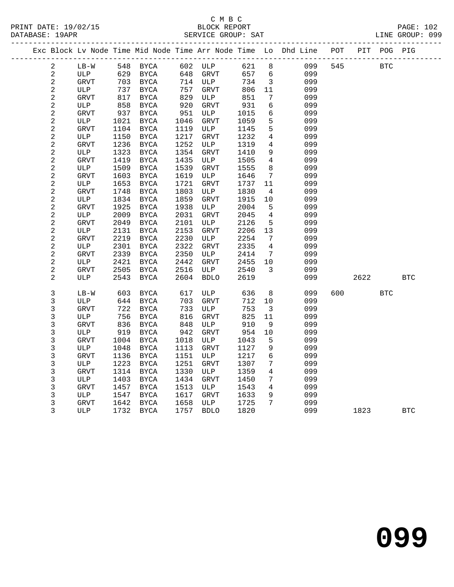|                         |             |      |                                |      |             |      |                         | Exc Block Lv Node Time Mid Node Time Arr Node Time Lo Dhd Line POT PIT POG PIG |     |             |            |            |
|-------------------------|-------------|------|--------------------------------|------|-------------|------|-------------------------|--------------------------------------------------------------------------------|-----|-------------|------------|------------|
| 2                       | $LB-W$      |      | 548 BYCA 602 ULP 621 8         |      |             |      |                         |                                                                                |     | 099 545 BTC |            |            |
| $\overline{c}$          | ULP         |      | 629 BYCA                       |      | 648 GRVT    |      |                         | 657 6<br>099                                                                   |     |             |            |            |
| $\sqrt{2}$              | GRVT        |      | 703 BYCA                       |      | 714 ULP     | 734  | $\overline{\mathbf{3}}$ | 099                                                                            |     |             |            |            |
| $\sqrt{2}$              | ULP         | 737  | BYCA                           | 757  | GRVT        | 806  | 11                      | 099                                                                            |     |             |            |            |
| $\sqrt{2}$              | GRVT        | 817  | BYCA                           | 829  | ULP         | 851  | $7\overline{ }$         | 099                                                                            |     |             |            |            |
| $\overline{c}$          | ULP         | 858  | BYCA                           | 920  | GRVT        | 931  | 6                       | 099                                                                            |     |             |            |            |
| $\mathbf 2$             | <b>GRVT</b> | 937  | BYCA                           | 951  | ULP         | 1015 | 6                       | 099                                                                            |     |             |            |            |
| $\mathbf 2$             | ULP         | 1021 | BYCA                           | 1046 | GRVT        | 1059 | 5 <sup>5</sup>          | 099                                                                            |     |             |            |            |
| $\overline{\mathbf{c}}$ | <b>GRVT</b> | 1104 | BYCA                           | 1119 | ULP         | 1145 | 5                       | 099                                                                            |     |             |            |            |
| $\overline{c}$          | ULP         | 1150 | BYCA                           | 1217 | GRVT        | 1232 | 4                       | 099                                                                            |     |             |            |            |
| $\boldsymbol{2}$        | <b>GRVT</b> | 1236 | BYCA                           | 1252 | ULP         | 1319 | 4                       | 099                                                                            |     |             |            |            |
| $\overline{c}$          | ULP         | 1323 | BYCA                           | 1354 | GRVT        | 1410 | 9                       | 099                                                                            |     |             |            |            |
| $\mathbf 2$             | <b>GRVT</b> | 1419 | BYCA                           | 1435 | ULP         | 1505 | $4\overline{ }$         | 099                                                                            |     |             |            |            |
| $\boldsymbol{2}$        | ULP         | 1509 | BYCA                           | 1539 | GRVT        | 1555 | 8                       | 099                                                                            |     |             |            |            |
| $\mathbf 2$             | <b>GRVT</b> | 1603 | BYCA                           | 1619 | ULP         | 1646 | $7\overline{ }$         | 099                                                                            |     |             |            |            |
| $\boldsymbol{2}$        | ULP         | 1653 | BYCA                           | 1721 | GRVT        | 1737 | 11                      | 099                                                                            |     |             |            |            |
| $\overline{c}$          | <b>GRVT</b> | 1748 | BYCA                           | 1803 | ULP         | 1830 | $\overline{4}$          | 099                                                                            |     |             |            |            |
| $\sqrt{2}$              | ULP         | 1834 | BYCA                           | 1859 | GRVT        | 1915 | 10                      | 099                                                                            |     |             |            |            |
| $\overline{c}$          | <b>GRVT</b> | 1925 | BYCA                           | 1938 | ULP         | 2004 | $5^{\circ}$             | 099                                                                            |     |             |            |            |
| $\overline{c}$          | ULP         | 2009 | BYCA                           | 2031 | GRVT        | 2045 | $\overline{4}$          | 099                                                                            |     |             |            |            |
| $\overline{c}$          | GRVT        | 2049 | BYCA                           | 2101 | ULP         | 2126 | $5^{\circ}$             | 099                                                                            |     |             |            |            |
| $\boldsymbol{2}$        | ULP         | 2131 | BYCA                           | 2153 | GRVT        | 2206 | 13                      | 099                                                                            |     |             |            |            |
| $\overline{c}$          | GRVT        | 2219 | BYCA                           | 2230 | ULP         | 2254 | $\overline{7}$          | 099                                                                            |     |             |            |            |
| $\mathbf{2}$            | ULP         | 2301 | BYCA                           | 2322 | GRVT        | 2335 | $\overline{4}$          | 099                                                                            |     |             |            |            |
| $\overline{c}$          | GRVT        | 2339 | BYCA                           | 2350 | ULP         | 2414 | $7\overline{ }$         | 099                                                                            |     |             |            |            |
| $\overline{c}$          | ULP         | 2421 | BYCA                           | 2442 | GRVT        | 2455 | 10                      | 099                                                                            |     |             |            |            |
| $\overline{c}$          | <b>GRVT</b> | 2505 | BYCA                           | 2516 | ULP         | 2540 | $\overline{\mathbf{3}}$ | 099                                                                            |     |             |            |            |
| 2                       | ULP         | 2543 | BYCA                           | 2604 | BDLO        | 2619 |                         | 099                                                                            |     | 2622        |            | <b>BTC</b> |
| 3                       | $LB-W$      | 603  | BYCA                           | 617  | ULP         | 636  |                         | 8<br>099                                                                       | 600 |             | <b>BTC</b> |            |
| 3                       | ULP         | 644  | BYCA                           | 703  | GRVT        | 712  | 10                      | 099                                                                            |     |             |            |            |
| 3                       | <b>GRVT</b> | 722  | BYCA                           | 733  | ULP         | 753  | $\overline{\mathbf{3}}$ | 099                                                                            |     |             |            |            |
| 3                       | ULP         | 756  | BYCA                           | 816  | GRVT        | 825  | 11                      | 099                                                                            |     |             |            |            |
| 3                       | <b>GRVT</b> | 836  | BYCA                           | 848  | ULP         | 910  | 9                       | 099                                                                            |     |             |            |            |
| 3                       | ULP         |      | 919 BYCA                       | 942  | <b>GRVT</b> | 954  | 10                      | 099                                                                            |     |             |            |            |
| 3                       | GRVT        |      | 1004 BYCA                      | 1018 | ULP         | 1043 | $5^{\circ}$             | 099                                                                            |     |             |            |            |
| 3                       | ULP         | 1048 | BYCA                           |      | 1113 GRVT   | 1127 | 9                       | 099                                                                            |     |             |            |            |
| 3                       |             |      | GRVT 1136 BYCA 1151 ULP 1217 6 |      |             |      |                         | 099                                                                            |     |             |            |            |
| 3                       | ULP         | 1223 | BYCA                           | 1251 | GRVT        | 1307 | 7                       | 099                                                                            |     |             |            |            |
| 3                       | <b>GRVT</b> | 1314 | <b>BYCA</b>                    | 1330 | ULP         | 1359 | 4                       | 099                                                                            |     |             |            |            |
| 3                       | ULP         | 1403 | <b>BYCA</b>                    | 1434 | GRVT        | 1450 | 7                       | 099                                                                            |     |             |            |            |
| 3                       | <b>GRVT</b> | 1457 | <b>BYCA</b>                    | 1513 | ULP         | 1543 | 4                       | 099                                                                            |     |             |            |            |
| 3                       | ULP         | 1547 | <b>BYCA</b>                    | 1617 | GRVT        | 1633 | 9                       | 099                                                                            |     |             |            |            |
| 3                       | GRVT        | 1642 | <b>BYCA</b>                    | 1658 | ULP         | 1725 | 7                       | 099                                                                            |     |             |            |            |
| 3                       | <b>ULP</b>  | 1732 | <b>BYCA</b>                    | 1757 | <b>BDLO</b> | 1820 |                         | 099                                                                            |     | 1823        |            | <b>BTC</b> |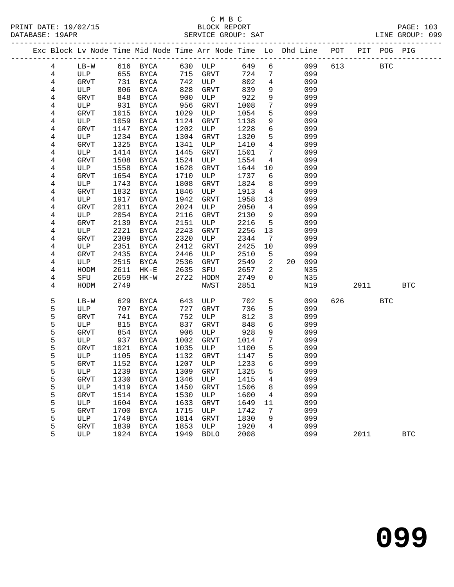## C M B C<br>BLOCK REPORT

| PRINT DATE: 19/02/15<br>DATABASE: 19APR |                 |             |      | Vert de la propone de la propone de la propone de la propone de la propone de la propone de la propone de la p<br>Maria de la propone de la propone de la propone de la propone de la propone de la propone de la propone de la |      | SERVICE GROUP: SAT  |      |                                       |                 |        |             |        |            | PAGE: 103<br>LINE GROUP: 099 |
|-----------------------------------------|-----------------|-------------|------|---------------------------------------------------------------------------------------------------------------------------------------------------------------------------------------------------------------------------------|------|---------------------|------|---------------------------------------|-----------------|--------|-------------|--------|------------|------------------------------|
|                                         |                 |             |      | Exc Block Lv Node Time Mid Node Time Arr Node Time Lo Dhd Line POT PIT POG PIG                                                                                                                                                  |      |                     |      |                                       |                 |        |             |        |            |                              |
|                                         | $4\overline{ }$ |             |      | LB-W 616 BYCA 630 ULP 649 6                                                                                                                                                                                                     |      |                     |      |                                       |                 |        | 099 613 BTC |        |            |                              |
|                                         | 4               | ULP         |      | 655 BYCA 715 GRVT                                                                                                                                                                                                               |      |                     | 724  |                                       | $7\overline{ }$ | 099    |             |        |            |                              |
|                                         | 4               | GRVT        |      | 731 BYCA<br>806 BYCA                                                                                                                                                                                                            |      | 742 ULP<br>828 GRVT | 802  | $\begin{array}{c} 4 \\ 9 \end{array}$ |                 | 099    |             |        |            |                              |
|                                         | $\overline{4}$  | ULP         | 806  | BYCA                                                                                                                                                                                                                            |      |                     | 839  |                                       |                 | 099    |             |        |            |                              |
|                                         | 4               | GRVT        | 848  | BYCA                                                                                                                                                                                                                            | 900  | ULP                 | 922  | 9                                     |                 | 099    |             |        |            |                              |
|                                         | 4               | ULP         | 931  | BYCA                                                                                                                                                                                                                            | 956  | GRVT                | 1008 | $7\phantom{.0}$                       |                 | 099    |             |        |            |                              |
|                                         | 4               | GRVT        | 1015 | BYCA                                                                                                                                                                                                                            | 1029 | ULP                 | 1054 | $5\overline{)}$                       |                 | 099    |             |        |            |                              |
|                                         | $\overline{4}$  | ULP         | 1059 | BYCA                                                                                                                                                                                                                            | 1124 | GRVT                | 1138 | 9                                     |                 | 099    |             |        |            |                              |
|                                         | 4               | GRVT        | 1147 | BYCA                                                                                                                                                                                                                            | 1202 | ULP                 | 1228 | $6\overline{6}$                       |                 | 099    |             |        |            |                              |
|                                         | 4               | ULP         | 1234 | BYCA                                                                                                                                                                                                                            | 1304 | GRVT                | 1320 | $5\overline{)}$                       |                 | 099    |             |        |            |                              |
|                                         | 4               | <b>GRVT</b> | 1325 | BYCA                                                                                                                                                                                                                            | 1341 | ULP                 | 1410 | $4\overline{ }$                       |                 | 099    |             |        |            |                              |
|                                         | $\overline{4}$  | ULP         | 1414 | BYCA                                                                                                                                                                                                                            | 1445 | GRVT                | 1501 | $7\overline{ }$                       |                 | 099    |             |        |            |                              |
|                                         | 4               | GRVT        | 1508 | BYCA                                                                                                                                                                                                                            | 1524 | ULP                 | 1554 | 4                                     |                 | 099    |             |        |            |                              |
|                                         | 4               | ULP         | 1558 | BYCA                                                                                                                                                                                                                            | 1628 | GRVT                | 1644 |                                       | 10              | 099    |             |        |            |                              |
|                                         | 4               | <b>GRVT</b> | 1654 | BYCA                                                                                                                                                                                                                            | 1710 | ULP                 | 1737 | $6\overline{}$                        |                 | 099    |             |        |            |                              |
|                                         | 4               | ULP         | 1743 | BYCA                                                                                                                                                                                                                            | 1808 | GRVT                | 1824 | 8 <sup>8</sup>                        |                 | 099    |             |        |            |                              |
|                                         | 4               | GRVT        | 1832 | BYCA                                                                                                                                                                                                                            | 1846 | ULP                 | 1913 | $\overline{4}$                        |                 | 099    |             |        |            |                              |
|                                         | 4               | ULP         | 1917 | BYCA                                                                                                                                                                                                                            | 1942 | GRVT                | 1958 | 13                                    |                 | 099    |             |        |            |                              |
|                                         | 4               | <b>GRVT</b> | 2011 | BYCA                                                                                                                                                                                                                            | 2024 | ULP                 | 2050 | $\overline{4}$                        |                 | 099    |             |        |            |                              |
|                                         | 4               | ULP         | 2054 | BYCA                                                                                                                                                                                                                            | 2116 | GRVT                | 2130 | 9                                     |                 | 099    |             |        |            |                              |
|                                         | $\overline{4}$  | GRVT        | 2139 | BYCA                                                                                                                                                                                                                            | 2151 | ULP                 | 2216 | $5\overline{)}$                       |                 | 099    |             |        |            |                              |
|                                         | 4               | ULP         | 2221 | BYCA                                                                                                                                                                                                                            | 2243 | GRVT                | 2256 | 13                                    |                 | 099    |             |        |            |                              |
|                                         | 4               | <b>GRVT</b> | 2309 | BYCA                                                                                                                                                                                                                            | 2320 | ULP                 | 2344 | $7\phantom{.0}\phantom{.0}7$          |                 | 099    |             |        |            |                              |
|                                         | 4               | ULP         | 2351 | BYCA                                                                                                                                                                                                                            | 2412 | GRVT                | 2425 | 10                                    |                 | 099    |             |        |            |                              |
|                                         | 4               | GRVT        | 2435 | BYCA                                                                                                                                                                                                                            | 2446 | ULP                 | 2510 | 5 <sup>5</sup>                        |                 | 099    |             |        |            |                              |
|                                         | 4               | ULP         | 2515 | BYCA                                                                                                                                                                                                                            | 2536 | GRVT                | 2549 | $\overline{2}$                        |                 | 20 099 |             |        |            |                              |
|                                         | 4               | HODM        | 2611 | $HK-E$                                                                                                                                                                                                                          | 2635 | SFU                 | 2657 | $\overline{a}$                        |                 | N35    |             |        |            |                              |
|                                         | 4               | SFU         | 2659 | $HK-W$                                                                                                                                                                                                                          | 2722 | HODM                | 2749 | $\overline{0}$                        |                 | N35    |             |        |            |                              |
|                                         | 4               | HODM        | 2749 |                                                                                                                                                                                                                                 |      | NWST                | 2851 |                                       |                 | N19    |             |        | 2911 2012  | <b>BTC</b>                   |
|                                         | 5               | $LB-W$      | 629  | BYCA                                                                                                                                                                                                                            | 643  | ULP                 | 702  | 5                                     |                 | 099    |             | 626 30 | <b>BTC</b> |                              |
|                                         | 5               | ULP         | 707  | BYCA                                                                                                                                                                                                                            | 727  | GRVT                | 736  | 5                                     |                 | 099    |             |        |            |                              |
|                                         | 5               | <b>GRVT</b> | 741  | BYCA                                                                                                                                                                                                                            | 752  | ULP                 | 812  | $\overline{3}$                        |                 | 099    |             |        |            |                              |
|                                         | 5               | ULP         | 815  | BYCA                                                                                                                                                                                                                            | 837  | GRVT                | 848  | 6                                     |                 | 099    |             |        |            |                              |
|                                         | 5               | GRVT        | 854  | BYCA                                                                                                                                                                                                                            | 906  | ULP                 | 928  | 9                                     |                 | 099    |             |        |            |                              |
|                                         | 5               | ULP         | 937  | BYCA                                                                                                                                                                                                                            | 1002 | GRVT                | 1014 | $7\overline{ }$                       |                 | 099    |             |        |            |                              |
|                                         | 5               | GRVT        |      | 1021 BYCA                                                                                                                                                                                                                       |      | 1035 ULP            | 1100 | 5                                     |                 | 099    |             |        |            |                              |
|                                         | 5               |             |      | ULP 1105 BYCA 1132 GRVT 1147                                                                                                                                                                                                    |      |                     |      | 5 <sup>5</sup>                        |                 | 099    |             |        |            |                              |
|                                         | 5               | GRVT        | 1152 | BYCA                                                                                                                                                                                                                            | 1207 | ULP                 | 1233 | 6                                     |                 | 099    |             |        |            |                              |
|                                         | 5               | ULP         | 1239 | BYCA                                                                                                                                                                                                                            | 1309 | GRVT                | 1325 | 5                                     |                 | 099    |             |        |            |                              |
|                                         | 5               | GRVT        | 1330 | BYCA                                                                                                                                                                                                                            | 1346 | ULP                 | 1415 | 4                                     |                 | 099    |             |        |            |                              |
|                                         | 5               | ULP         | 1419 | BYCA                                                                                                                                                                                                                            | 1450 | <b>GRVT</b>         | 1506 | 8                                     |                 | 099    |             |        |            |                              |
|                                         | 5               | <b>GRVT</b> | 1514 | <b>BYCA</b>                                                                                                                                                                                                                     | 1530 | ULP                 | 1600 | 4                                     |                 | 099    |             |        |            |                              |
|                                         | 5               | ULP         | 1604 | <b>BYCA</b>                                                                                                                                                                                                                     | 1633 | GRVT                | 1649 | 11                                    |                 | 099    |             |        |            |                              |
|                                         | 5               | <b>GRVT</b> | 1700 | BYCA                                                                                                                                                                                                                            | 1715 | ULP                 | 1742 | 7                                     |                 | 099    |             |        |            |                              |
|                                         | 5               | ULP         | 1749 | <b>BYCA</b>                                                                                                                                                                                                                     | 1814 | <b>GRVT</b>         | 1830 | 9                                     |                 | 099    |             |        |            |                              |
|                                         | 5               | <b>GRVT</b> | 1839 | <b>BYCA</b>                                                                                                                                                                                                                     | 1853 | ULP                 | 1920 | 4                                     |                 | 099    |             |        |            |                              |

5 ULP 1924 BYCA 1949 BDLO 2008 099 2011 BTC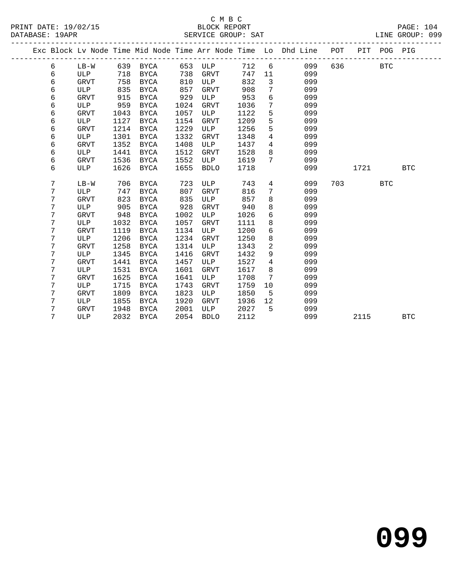|  |   |             |      |             |      |             |      |                | Exc Block Lv Node Time Mid Node Time Arr Node Time Lo Dhd Line | POT |      | PIT POG PIG |            |
|--|---|-------------|------|-------------|------|-------------|------|----------------|----------------------------------------------------------------|-----|------|-------------|------------|
|  | 6 | $LB-W$      | 639  | BYCA        | 653  | ULP         | 712  | 6              | 099                                                            | 636 |      | <b>BTC</b>  |            |
|  | 6 | <b>ULP</b>  | 718  | <b>BYCA</b> | 738  | <b>GRVT</b> | 747  | 11             | 099                                                            |     |      |             |            |
|  | 6 | <b>GRVT</b> | 758  | <b>BYCA</b> | 810  | ULP         | 832  | 3              | 099                                                            |     |      |             |            |
|  | 6 | ULP         | 835  | <b>BYCA</b> | 857  | <b>GRVT</b> | 908  | 7              | 099                                                            |     |      |             |            |
|  | 6 | GRVT        | 915  | <b>BYCA</b> | 929  | ULP         | 953  | 6              | 099                                                            |     |      |             |            |
|  | 6 | ULP         | 959  | <b>BYCA</b> | 1024 | GRVT        | 1036 | 7              | 099                                                            |     |      |             |            |
|  | 6 | GRVT        | 1043 | <b>BYCA</b> | 1057 | ULP         | 1122 | 5              | 099                                                            |     |      |             |            |
|  | 6 | ULP         | 1127 | BYCA        | 1154 | GRVT        | 1209 | 5              | 099                                                            |     |      |             |            |
|  | 6 | <b>GRVT</b> | 1214 | <b>BYCA</b> | 1229 | <b>ULP</b>  | 1256 | 5              | 099                                                            |     |      |             |            |
|  | 6 | ULP         | 1301 | <b>BYCA</b> | 1332 | <b>GRVT</b> | 1348 | 4              | 099                                                            |     |      |             |            |
|  | 6 | <b>GRVT</b> | 1352 | <b>BYCA</b> | 1408 | ULP         | 1437 | 4              | 099                                                            |     |      |             |            |
|  | 6 | ULP         | 1441 | <b>BYCA</b> | 1512 | <b>GRVT</b> | 1528 | 8              | 099                                                            |     |      |             |            |
|  | 6 | <b>GRVT</b> | 1536 | <b>BYCA</b> | 1552 | ULP         | 1619 | 7              | 099                                                            |     |      |             |            |
|  | 6 | ULP         | 1626 | <b>BYCA</b> | 1655 | <b>BDLO</b> | 1718 |                | 099                                                            |     | 1721 |             | <b>BTC</b> |
|  |   |             |      |             |      |             |      |                |                                                                |     |      |             |            |
|  | 7 | $LB-W$      | 706  | <b>BYCA</b> | 723  | ULP         | 743  | 4              | 099                                                            | 703 |      | <b>BTC</b>  |            |
|  | 7 | ULP         | 747  | <b>BYCA</b> | 807  | <b>GRVT</b> | 816  | 7              | 099                                                            |     |      |             |            |
|  | 7 | <b>GRVT</b> | 823  | <b>BYCA</b> | 835  | ULP         | 857  | 8              | 099                                                            |     |      |             |            |
|  | 7 | ULP         | 905  | <b>BYCA</b> | 928  | GRVT        | 940  | 8              | 099                                                            |     |      |             |            |
|  | 7 | <b>GRVT</b> | 948  | <b>BYCA</b> | 1002 | ULP         | 1026 | 6              | 099                                                            |     |      |             |            |
|  | 7 | ULP         | 1032 | <b>BYCA</b> | 1057 | GRVT        | 1111 | 8              | 099                                                            |     |      |             |            |
|  | 7 | <b>GRVT</b> | 1119 | <b>BYCA</b> | 1134 | <b>ULP</b>  | 1200 | 6              | 099                                                            |     |      |             |            |
|  | 7 | ULP         | 1206 | <b>BYCA</b> | 1234 | GRVT        | 1250 | 8              | 099                                                            |     |      |             |            |
|  | 7 | <b>GRVT</b> | 1258 | <b>BYCA</b> | 1314 | ULP         | 1343 | $\overline{a}$ | 099                                                            |     |      |             |            |
|  | 7 | ULP         | 1345 | <b>BYCA</b> | 1416 | <b>GRVT</b> | 1432 | 9              | 099                                                            |     |      |             |            |
|  | 7 | <b>GRVT</b> | 1441 | <b>BYCA</b> | 1457 | ULP         | 1527 | 4              | 099                                                            |     |      |             |            |
|  | 7 | ULP         | 1531 | <b>BYCA</b> | 1601 | <b>GRVT</b> | 1617 | 8              | 099                                                            |     |      |             |            |
|  | 7 | <b>GRVT</b> | 1625 | <b>BYCA</b> | 1641 | ULP         | 1708 | 7              | 099                                                            |     |      |             |            |
|  | 7 | ULP         | 1715 | <b>BYCA</b> | 1743 | <b>GRVT</b> | 1759 | 10             | 099                                                            |     |      |             |            |
|  | 7 | <b>GRVT</b> | 1809 | <b>BYCA</b> | 1823 | ULP         | 1850 | 5              | 099                                                            |     |      |             |            |
|  | 7 | ULP         | 1855 | <b>BYCA</b> | 1920 | <b>GRVT</b> | 1936 | 12             | 099                                                            |     |      |             |            |
|  | 7 | GRVT        | 1948 | <b>BYCA</b> | 2001 | ULP         | 2027 | 5              | 099                                                            |     |      |             |            |
|  | 7 | ULP         | 2032 | <b>BYCA</b> | 2054 | <b>BDLO</b> | 2112 |                | 099                                                            |     | 2115 |             | <b>BTC</b> |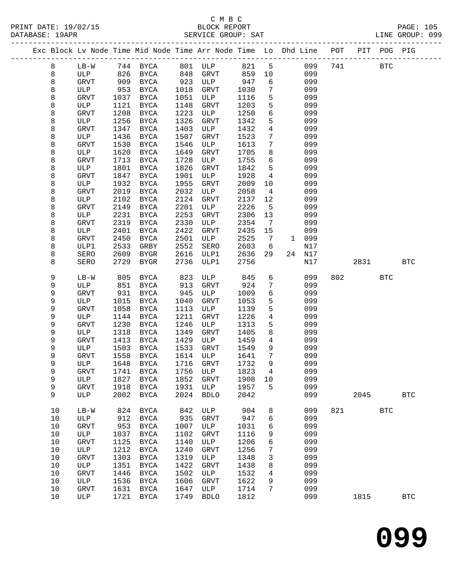#### C M B C<br>BLOCK REPORT SERVICE GROUP: SAT

PRINT DATE: 19/02/15 BLOCK REPORT PAGE: 105

|  |          |             |              |                         |              | Exc Block Lv Node Time Mid Node Time Arr Node Time Lo Dhd Line POT PIT POG PIG |              |                              |              |            |     |      |            |              |
|--|----------|-------------|--------------|-------------------------|--------------|--------------------------------------------------------------------------------|--------------|------------------------------|--------------|------------|-----|------|------------|--------------|
|  | 8        | $LB-W$      |              | 744 BYCA                |              | 801 ULP                                                                        | 821          | 5                            |              | 099        | 741 |      | <b>BTC</b> |              |
|  | 8        | ULP         | 826          | BYCA                    | 848          | GRVT                                                                           | 859          | 10                           |              | 099        |     |      |            |              |
|  | 8        | GRVT        | 909          | BYCA                    | 923          | ULP                                                                            | 947          | 6                            |              | 099        |     |      |            |              |
|  | 8        | ULP         | 953          | BYCA                    | 1018         | GRVT                                                                           | 1030         | 7                            |              | 099        |     |      |            |              |
|  | 8        | GRVT        | 1037         | BYCA                    | 1051         | ULP                                                                            | 1116         | 5                            |              | 099        |     |      |            |              |
|  | 8        | ULP         | 1121         | BYCA                    | 1148         | GRVT                                                                           | 1203         | 5                            |              | 099        |     |      |            |              |
|  | 8        | GRVT        | 1208         | BYCA                    | 1223         | ULP                                                                            | 1250         | 6                            |              | 099        |     |      |            |              |
|  | 8        | ULP         | 1256         | <b>BYCA</b>             | 1326         | <b>GRVT</b>                                                                    | 1342         | 5                            |              | 099        |     |      |            |              |
|  | 8        | <b>GRVT</b> | 1347         | BYCA                    | 1403         | ULP                                                                            | 1432         | $\overline{4}$               |              | 099        |     |      |            |              |
|  | 8        | ULP         | 1436         | BYCA                    | 1507         | GRVT                                                                           | 1523         | 7                            |              | 099        |     |      |            |              |
|  | 8        | <b>GRVT</b> | 1530         | BYCA                    | 1546         | ULP                                                                            | 1613         | 7                            |              | 099        |     |      |            |              |
|  | 8        | ULP         | 1620         | BYCA                    | 1649         | GRVT                                                                           | 1705         | 8                            |              | 099        |     |      |            |              |
|  | 8        | GRVT<br>ULP | 1713         | BYCA                    | 1728<br>1826 | ULP                                                                            | 1755         | 6<br>5                       |              | 099<br>099 |     |      |            |              |
|  | 8<br>8   |             | 1801<br>1847 | <b>BYCA</b>             | 1901         | GRVT<br>ULP                                                                    | 1842<br>1928 | $\overline{4}$               |              | 099        |     |      |            |              |
|  | 8        | GRVT<br>ULP | 1932         | BYCA<br>BYCA            | 1955         | <b>GRVT</b>                                                                    | 2009         | 10                           |              | 099        |     |      |            |              |
|  | 8        | <b>GRVT</b> | 2019         | BYCA                    | 2032         | ULP                                                                            | 2058         | 4                            |              | 099        |     |      |            |              |
|  | 8        | ULP         | 2102         | BYCA                    | 2124         | GRVT                                                                           | 2137         | 12                           |              | 099        |     |      |            |              |
|  | 8        | <b>GRVT</b> | 2149         | BYCA                    | 2201         | ULP                                                                            | 2226         | $5\overline{5}$              |              | 099        |     |      |            |              |
|  | 8        | ULP         | 2231         | BYCA                    | 2253         | GRVT                                                                           | 2306         | 13                           |              | 099        |     |      |            |              |
|  | 8        | GRVT        | 2319         | BYCA                    | 2330         | ULP                                                                            | 2354         | $7\phantom{.0}\phantom{.0}7$ |              | 099        |     |      |            |              |
|  | 8        | ULP         | 2401         | BYCA                    | 2422         | <b>GRVT</b>                                                                    | 2435         | 15                           |              | 099        |     |      |            |              |
|  | 8        | GRVT        | 2450         | BYCA                    | 2501         | ULP                                                                            | 2525         | 7                            | $\mathbf{1}$ | 099        |     |      |            |              |
|  | 8        | ULP1        | 2533         | GRBY                    | 2552         | SERO                                                                           | 2603         | 6                            |              | N17        |     |      |            |              |
|  | 8        | <b>SERO</b> | 2609         | BYGR                    | 2616         | ULP1                                                                           | 2636         | 29                           | 24           | N17        |     |      |            |              |
|  | 8        | SERO        | 2729         | BYGR                    | 2736         | ULP1                                                                           | 2756         |                              |              | N17        |     | 2831 |            | <b>BTC</b>   |
|  |          |             |              |                         |              |                                                                                |              |                              |              |            |     |      |            |              |
|  | 9        | $LB-W$      | 805          | BYCA                    | 823          | ULP                                                                            | 845          | 6                            |              | 099        | 802 |      | <b>BTC</b> |              |
|  | 9        | ULP         | 851          | BYCA                    | 913          | <b>GRVT</b>                                                                    | 924          | 7                            |              | 099        |     |      |            |              |
|  | 9        | GRVT        | 931          | BYCA                    | 945          | ULP                                                                            | 1009         | 6                            |              | 099        |     |      |            |              |
|  | 9        | ULP         | 1015         | BYCA                    | 1040         | <b>GRVT</b>                                                                    | 1053         | 5                            |              | 099        |     |      |            |              |
|  | 9<br>9   | GRVT<br>ULP | 1058         | BYCA                    | 1113<br>1211 | ULP                                                                            | 1139         | 5<br>4                       |              | 099        |     |      |            |              |
|  | 9        | <b>GRVT</b> | 1144<br>1230 | BYCA<br>BYCA            | 1246         | GRVT<br>ULP                                                                    | 1226<br>1313 | 5                            |              | 099<br>099 |     |      |            |              |
|  | 9        | ULP         | 1318         | BYCA                    | 1349         | GRVT                                                                           | 1405         | 8                            |              | 099        |     |      |            |              |
|  | 9        | <b>GRVT</b> | 1413         | BYCA                    | 1429         | ULP                                                                            | 1459         | $\overline{4}$               |              | 099        |     |      |            |              |
|  | 9        | ULP         | 1503         | BYCA                    | 1533         | GRVT                                                                           | 1549         | 9                            |              | 099        |     |      |            |              |
|  | 9        | GRVT        | 1558         | BYCA                    | 1614         | ULP                                                                            | 1641         | $7\phantom{.0}$              |              | 099        |     |      |            |              |
|  | 9        | ULP         | 1648         | BYCA                    | 1716         | GRVT                                                                           | 1732         | 9                            |              | 099        |     |      |            |              |
|  | 9        |             |              | GRVT 1741 BYCA 1756 ULP |              |                                                                                | 1823 4       |                              |              | 099        |     |      |            |              |
|  | 9        | ULP         | 1827         | BYCA                    | 1852         | GRVT                                                                           | 1908         | 10                           |              | 099        |     |      |            |              |
|  | 9        | <b>GRVT</b> | 1918         | BYCA                    | 1931         | ULP                                                                            | 1957         | 5                            |              | 099        |     |      |            |              |
|  | 9        | ULP         | 2002         | BYCA                    | 2024         | <b>BDLO</b>                                                                    | 2042         |                              |              | 099        |     | 2045 |            | $_{\rm BTC}$ |
|  |          |             |              |                         |              |                                                                                |              |                              |              |            |     |      |            |              |
|  | 10       | $LB-W$      | 824          | <b>BYCA</b>             | 842          | ULP                                                                            | 904          | 8                            |              | 099        | 821 |      | <b>BTC</b> |              |
|  | 10       | ULP         | 912          | <b>BYCA</b>             | 935          | <b>GRVT</b>                                                                    | 947          | 6                            |              | 099        |     |      |            |              |
|  | 10       | <b>GRVT</b> | 953          | BYCA                    | 1007         | ULP                                                                            | 1031         | 6                            |              | 099        |     |      |            |              |
|  | 10       | ULP         | 1037         | BYCA                    | 1102         | <b>GRVT</b>                                                                    | 1116         | 9                            |              | 099        |     |      |            |              |
|  | 10<br>10 | GRVT<br>ULP | 1125         | <b>BYCA</b>             | 1140<br>1240 | ULP<br><b>GRVT</b>                                                             | 1206         | 6                            |              | 099<br>099 |     |      |            |              |
|  | 10       | GRVT        | 1212<br>1303 | BYCA<br>BYCA            | 1319         | ULP                                                                            | 1256<br>1348 | 7<br>3                       |              | 099        |     |      |            |              |
|  | 10       | ULP         | 1351         | BYCA                    | 1422         | GRVT                                                                           | 1438         | 8                            |              | 099        |     |      |            |              |
|  | 10       | GRVT        | 1446         | BYCA                    | 1502         | ULP                                                                            | 1532         | 4                            |              | 099        |     |      |            |              |
|  | $10$     | ULP         | 1536         | BYCA                    | 1606         | GRVT                                                                           | 1622         | 9                            |              | 099        |     |      |            |              |
|  | 10       | GRVT        | 1631         | BYCA                    | 1647         | ULP                                                                            | 1714         | 7                            |              | 099        |     |      |            |              |
|  | 10       | ULP         | 1721         | BYCA                    | 1749         | <b>BDLO</b>                                                                    | 1812         |                              |              | 099        |     | 1815 |            | $_{\rm BTC}$ |
|  |          |             |              |                         |              |                                                                                |              |                              |              |            |     |      |            |              |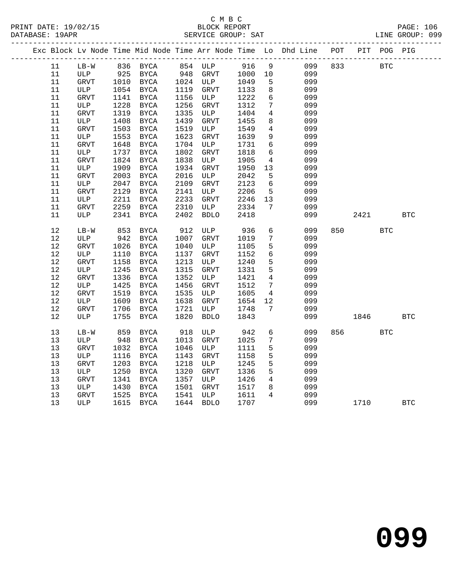|        |             |      |             |      |             |      |                 | Exc Block Lv Node Time Mid Node Time Arr Node Time Lo Dhd Line POT |     |      | PIT POG PIG |            |
|--------|-------------|------|-------------|------|-------------|------|-----------------|--------------------------------------------------------------------|-----|------|-------------|------------|
| 11     | $LB-W$      |      | 836 BYCA    |      | 854 ULP     | 916  | 9               | 099                                                                | 833 |      | BTC         |            |
| 11     | ULP         | 925  | BYCA        | 948  | GRVT        | 1000 | 10              | 099                                                                |     |      |             |            |
| 11     | GRVT        | 1010 | BYCA        |      | 1024 ULP    | 1049 | 5               | 099                                                                |     |      |             |            |
| 11     | ULP         | 1054 | BYCA        | 1119 | <b>GRVT</b> | 1133 | 8               | 099                                                                |     |      |             |            |
| 11     | GRVT        | 1141 | BYCA        | 1156 | ULP         | 1222 | $6\overline{6}$ | 099                                                                |     |      |             |            |
| 11     | ULP         | 1228 | BYCA        | 1256 | <b>GRVT</b> | 1312 | 7               | 099                                                                |     |      |             |            |
| 11     | <b>GRVT</b> | 1319 | <b>BYCA</b> | 1335 | ULP         | 1404 | 4               | 099                                                                |     |      |             |            |
| 11     | ULP         | 1408 | BYCA        | 1439 | GRVT        | 1455 | 8               | 099                                                                |     |      |             |            |
| 11     | <b>GRVT</b> | 1503 | <b>BYCA</b> | 1519 | ULP         | 1549 | $\overline{4}$  | 099                                                                |     |      |             |            |
| $11\,$ | ULP         | 1553 | BYCA        | 1623 | GRVT        | 1639 | 9               | 099                                                                |     |      |             |            |
| 11     | <b>GRVT</b> | 1648 | BYCA        | 1704 | ULP         | 1731 | 6               | 099                                                                |     |      |             |            |
| 11     | ULP         | 1737 | <b>BYCA</b> | 1802 | <b>GRVT</b> | 1818 | $6\overline{6}$ | 099                                                                |     |      |             |            |
| 11     | <b>GRVT</b> | 1824 | BYCA        | 1838 | ULP         | 1905 | 4               | 099                                                                |     |      |             |            |
| 11     | ULP         | 1909 | BYCA        | 1934 | GRVT        | 1950 | 13              | 099                                                                |     |      |             |            |
| 11     | <b>GRVT</b> | 2003 | <b>BYCA</b> | 2016 | ULP         | 2042 | 5               | 099                                                                |     |      |             |            |
| 11     | ULP         | 2047 | BYCA        | 2109 | GRVT        | 2123 | 6               | 099                                                                |     |      |             |            |
| 11     | GRVT        | 2129 | <b>BYCA</b> | 2141 | ULP         | 2206 | 5               | 099                                                                |     |      |             |            |
| 11     | ULP         | 2211 | <b>BYCA</b> | 2233 | <b>GRVT</b> | 2246 | 13              | 099                                                                |     |      |             |            |
| 11     | <b>GRVT</b> | 2259 | BYCA        | 2310 | ULP         | 2334 | 7               | 099                                                                |     |      |             |            |
| 11     | ULP         | 2341 | <b>BYCA</b> | 2402 | <b>BDLO</b> | 2418 |                 | 099                                                                |     | 2421 |             | <b>BTC</b> |
| 12     | $LB-W$      | 853  | BYCA        | 912  | ULP         | 936  | $6\overline{6}$ | 099                                                                | 850 |      | <b>BTC</b>  |            |
| 12     | ULP         | 942  | BYCA        | 1007 | GRVT        | 1019 | 7               | 099                                                                |     |      |             |            |
| 12     | <b>GRVT</b> | 1026 | <b>BYCA</b> | 1040 | ULP         | 1105 | 5               | 099                                                                |     |      |             |            |
| 12     | ULP         | 1110 | <b>BYCA</b> | 1137 | GRVT        | 1152 | $6\overline{6}$ | 099                                                                |     |      |             |            |
| 12     | <b>GRVT</b> | 1158 | <b>BYCA</b> | 1213 | ULP         | 1240 | 5               | 099                                                                |     |      |             |            |
| 12     | ULP         | 1245 | <b>BYCA</b> | 1315 | <b>GRVT</b> | 1331 | 5               | 099                                                                |     |      |             |            |
| 12     | <b>GRVT</b> | 1336 | BYCA        | 1352 | ULP         | 1421 | 4               | 099                                                                |     |      |             |            |
| 12     | ULP         | 1425 | BYCA        | 1456 | GRVT        | 1512 | $7\phantom{.0}$ | 099                                                                |     |      |             |            |
| 12     | GRVT        | 1519 | <b>BYCA</b> | 1535 | ULP         | 1605 | $\overline{4}$  | 099                                                                |     |      |             |            |
| 12     | ULP         | 1609 | <b>BYCA</b> | 1638 | GRVT        | 1654 | 12              | 099                                                                |     |      |             |            |
| 12     | GRVT        | 1706 | <b>BYCA</b> | 1721 | ULP         | 1748 | $7\phantom{.0}$ | 099                                                                |     |      |             |            |
| 12     | ULP         | 1755 | BYCA        | 1820 | <b>BDLO</b> | 1843 |                 | 099                                                                |     | 1846 |             | <b>BTC</b> |
|        |             |      |             |      |             |      |                 |                                                                    |     |      |             |            |
| 13     | $LB-W$      | 859  | <b>BYCA</b> | 918  | ULP         | 942  | $6\overline{6}$ | 099                                                                | 856 |      | <b>BTC</b>  |            |
| 13     | ULP         | 948  | <b>BYCA</b> | 1013 | <b>GRVT</b> | 1025 | $7\phantom{.0}$ | 099                                                                |     |      |             |            |
| 13     | GRVT        | 1032 | BYCA        | 1046 | ULP         | 1111 | 5               | 099                                                                |     |      |             |            |
| 13     | ULP         | 1116 | <b>BYCA</b> | 1143 | <b>GRVT</b> | 1158 | 5               | 099                                                                |     |      |             |            |
| 13     | <b>GRVT</b> | 1203 | BYCA        | 1218 | ULP         | 1245 | 5               | 099                                                                |     |      |             |            |
| 13     | ULP         | 1250 | BYCA        | 1320 | GRVT        | 1336 | 5               | 099                                                                |     |      |             |            |
| 13     | <b>GRVT</b> | 1341 | <b>BYCA</b> | 1357 | ULP         | 1426 | $\overline{4}$  | 099                                                                |     |      |             |            |
| 13     | ULP         | 1430 | <b>BYCA</b> | 1501 | <b>GRVT</b> | 1517 | 8               | 099                                                                |     |      |             |            |
| 13     | <b>GRVT</b> | 1525 | BYCA        | 1541 | ULP         | 1611 | $\overline{4}$  | 099                                                                |     |      |             |            |
| 13     | <b>ULP</b>  | 1615 | <b>BYCA</b> | 1644 | <b>BDLO</b> | 1707 |                 | 099                                                                |     | 1710 |             | <b>BTC</b> |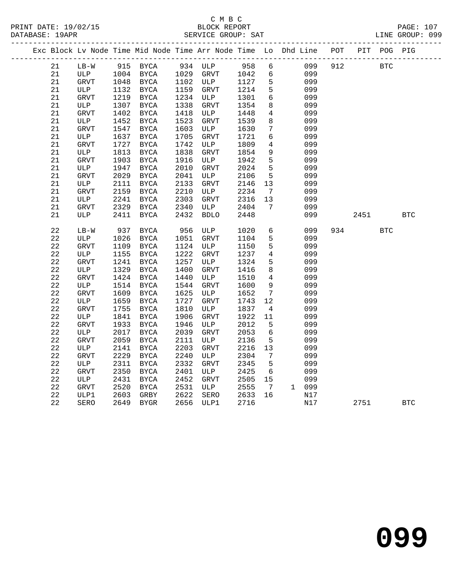|  |             |              |      |               |      | Exc Block Lv Node Time Mid Node Time Arr Node Time Lo Dhd Line POT PIT POG PIG |                      |                 |       |     |      |            |            |
|--|-------------|--------------|------|---------------|------|--------------------------------------------------------------------------------|----------------------|-----------------|-------|-----|------|------------|------------|
|  | 21          | LB-W         |      | 915 BYCA      |      | 934 ULP 958                                                                    |                      | 6               | 099   | 912 |      | BTC        |            |
|  | 21          | ULP          |      | 1004 BYCA     | 1029 | GRVT                                                                           |                      | 6               | 099   |     |      |            |            |
|  | 21          | GRVT         | 1048 | BYCA          | 1102 | ULP                                                                            | 1042<br>1127<br>1127 | $5^{\circ}$     | 099   |     |      |            |            |
|  | 21          | ULP          | 1132 | BYCA          | 1159 | GRVT                                                                           | 1214                 | 5               | 099   |     |      |            |            |
|  | 21          | GRVT         | 1219 | <b>BYCA</b>   | 1234 | ULP                                                                            | 1301                 | $\epsilon$      | 099   |     |      |            |            |
|  | 21          | ULP          | 1307 | <b>BYCA</b>   | 1338 | GRVT                                                                           | 1354                 | 8               | 099   |     |      |            |            |
|  | 21          | GRVT         | 1402 | $_{\rm BYCA}$ | 1418 | ULP                                                                            | 1448                 | $\overline{4}$  | 099   |     |      |            |            |
|  | 21          | ULP          | 1452 | BYCA          | 1523 | GRVT                                                                           | 1539                 | 8               | 099   |     |      |            |            |
|  | 21          | <b>GRVT</b>  | 1547 | <b>BYCA</b>   | 1603 | ULP                                                                            | 1630                 | $7\phantom{.0}$ | 099   |     |      |            |            |
|  | 21          | ULP          | 1637 | <b>BYCA</b>   | 1705 | GRVT                                                                           | 1721                 | 6               | 099   |     |      |            |            |
|  | 21          | <b>GRVT</b>  | 1727 | <b>BYCA</b>   | 1742 | ULP                                                                            | 1809                 | 4               | 099   |     |      |            |            |
|  | 21          | ULP          | 1813 | <b>BYCA</b>   | 1838 | ${\tt GRVT}$                                                                   | 1854                 | 9               | 099   |     |      |            |            |
|  | 21          | GRVT         | 1903 | <b>BYCA</b>   | 1916 | ULP                                                                            | 1942                 | 5               | 099   |     |      |            |            |
|  | 21          | ULP          | 1947 | BYCA          | 2010 | GRVT                                                                           | 2024                 | 5               | 099   |     |      |            |            |
|  | 21          | GRVT         | 2029 | BYCA          | 2041 | ULP                                                                            | 2106                 | 5               | 099   |     |      |            |            |
|  | 21          | ULP          | 2111 | <b>BYCA</b>   | 2133 | GRVT                                                                           | 2146                 | 13              | 099   |     |      |            |            |
|  | 21          | ${\tt GRVT}$ | 2159 | <b>BYCA</b>   | 2210 | ULP                                                                            | 2234                 | $7\overline{ }$ | 099   |     |      |            |            |
|  | 21          | ULP          | 2241 | <b>BYCA</b>   | 2303 | GRVT                                                                           | 2316                 | 13              | 099   |     |      |            |            |
|  | 21          | GRVT         | 2329 | <b>BYCA</b>   | 2340 | ULP                                                                            | 2404                 | $\overline{7}$  | 099   |     |      |            |            |
|  | 21          | ULP          | 2411 | BYCA          | 2432 | <b>BDLO</b>                                                                    | 2448                 |                 | 099   |     | 2451 |            | <b>BTC</b> |
|  |             |              |      |               |      |                                                                                |                      |                 |       |     |      |            |            |
|  | 22          | $LB-W$       | 937  | $_{\rm BYCA}$ | 956  | ULP                                                                            | 1020                 | 6               | 099   | 934 |      | <b>BTC</b> |            |
|  | $2\sqrt{2}$ | ULP          | 1026 | <b>BYCA</b>   | 1051 | GRVT                                                                           | 1104                 | 5               | 099   |     |      |            |            |
|  | $2\sqrt{2}$ | <b>GRVT</b>  | 1109 | <b>BYCA</b>   | 1124 | ULP                                                                            | 1150                 | $5\phantom{.0}$ | 099   |     |      |            |            |
|  | $2\sqrt{2}$ | ULP          | 1155 | <b>BYCA</b>   | 1222 | GRVT                                                                           | 1237                 | $\overline{4}$  | 099   |     |      |            |            |
|  | $2\sqrt{2}$ | GRVT         | 1241 | <b>BYCA</b>   | 1257 | ULP                                                                            | 1324                 | 5               | 099   |     |      |            |            |
|  | 22          | ULP          | 1329 | <b>BYCA</b>   | 1400 | ${\tt GRVT}$                                                                   | 1416                 | $\,8\,$         | 099   |     |      |            |            |
|  | $2\sqrt{2}$ | GRVT         | 1424 | $_{\rm BYCA}$ | 1440 | ULP                                                                            | 1510                 | $\overline{4}$  | 099   |     |      |            |            |
|  | 22          | ULP          | 1514 | <b>BYCA</b>   | 1544 | GRVT                                                                           | 1600                 | 9               | 099   |     |      |            |            |
|  | $2\sqrt{2}$ | <b>GRVT</b>  | 1609 | <b>BYCA</b>   | 1625 | ULP                                                                            | 1652                 | $7\phantom{.0}$ | 099   |     |      |            |            |
|  | $2\sqrt{2}$ | ULP          | 1659 | <b>BYCA</b>   | 1727 | ${\tt GRVT}$                                                                   | 1743                 | 12              | 099   |     |      |            |            |
|  | 22          | GRVT         | 1755 | BYCA          | 1810 | ULP                                                                            | 1837                 | $\overline{4}$  | 099   |     |      |            |            |
|  | 22          | ULP          | 1841 | <b>BYCA</b>   | 1906 | GRVT                                                                           | 1922                 | 11              | 099   |     |      |            |            |
|  | $2\sqrt{2}$ | GRVT         | 1933 | BYCA          | 1946 | ULP                                                                            | 2012                 | 5               | 099   |     |      |            |            |
|  | $2\sqrt{2}$ | ULP          | 2017 | $_{\rm BYCA}$ | 2039 | <b>GRVT</b>                                                                    | 2053                 | $\epsilon$      | 099   |     |      |            |            |
|  | $2\sqrt{2}$ | GRVT         | 2059 | <b>BYCA</b>   | 2111 | ULP                                                                            | 2136                 | 5               | 099   |     |      |            |            |
|  | $2\sqrt{2}$ | ULP          | 2141 | BYCA          | 2203 | ${\tt GRVT}$                                                                   | 2216                 | 13              | 099   |     |      |            |            |
|  | 22          | GRVT         | 2229 | <b>BYCA</b>   | 2240 | ULP                                                                            | 2304                 | 7               | 099   |     |      |            |            |
|  | 22          | ULP          | 2311 | BYCA          | 2332 | GRVT                                                                           | 2345                 | 5               | 099   |     |      |            |            |
|  | 22          | GRVT         | 2350 | BYCA          | 2401 | ULP                                                                            | 2425                 | 6               | 099   |     |      |            |            |
|  | 22          | ULP          | 2431 | BYCA          | 2452 | GRVT                                                                           | 2505                 | 15              | 099   |     |      |            |            |
|  | $2\sqrt{2}$ | <b>GRVT</b>  | 2520 | <b>BYCA</b>   | 2531 | ULP                                                                            | 2555                 | $\overline{7}$  | 1 099 |     |      |            |            |
|  | $2\sqrt{2}$ | ULP1         | 2603 | GRBY          | 2622 | SERO                                                                           | 2633                 | 16              | N17   |     |      |            |            |
|  | 22          | SERO         |      | 2649 BYGR     | 2656 | ULP1                                                                           | 2716                 |                 | N17   |     | 2751 |            | <b>BTC</b> |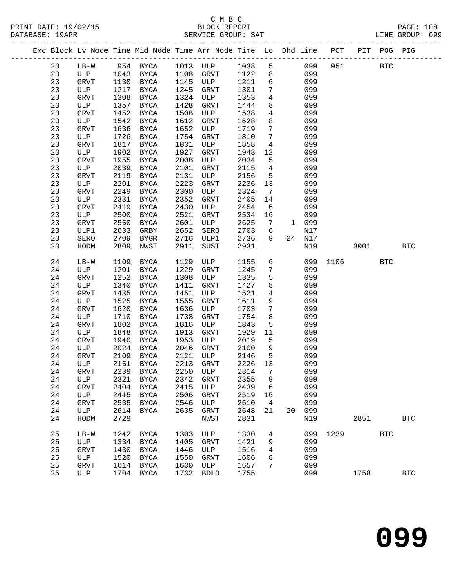PRINT DATE: 19/02/15 BLOCK REPORT PAGE: 108 DATABASE: 19APR

# C M B C<br>BLOCK REPORT

| DAIABASE · 19APR |    |             |      |                              |      | PERATCE GKOOL. PHI                                                 |      |                 |              |        |                                                      |      |             | TIME GKOOR. 022 |
|------------------|----|-------------|------|------------------------------|------|--------------------------------------------------------------------|------|-----------------|--------------|--------|------------------------------------------------------|------|-------------|-----------------|
|                  |    |             |      | -------------------------    |      | Exc Block Lv Node Time Mid Node Time Arr Node Time Lo Dhd Line POT |      |                 |              |        | --------------------------<br>---------------------- |      | PIT POG PIG |                 |
|                  | 23 | $LB-W$      |      | 954 BYCA                     |      | 1013 ULP                                                           | 1038 | 5               |              | 099    | 951                                                  |      | <b>BTC</b>  |                 |
|                  | 23 | ULP         | 1043 | BYCA                         | 1108 | GRVT                                                               | 1122 | 8               |              | 099    |                                                      |      |             |                 |
|                  | 23 | GRVT        | 1130 | BYCA                         | 1145 | ULP                                                                | 1211 | 6               |              | 099    |                                                      |      |             |                 |
|                  | 23 | ULP         | 1217 | BYCA                         | 1245 | GRVT                                                               | 1301 | $7\phantom{.0}$ |              | 099    |                                                      |      |             |                 |
|                  | 23 | GRVT        | 1308 | BYCA                         | 1324 | ULP                                                                | 1353 | $\overline{4}$  |              | 099    |                                                      |      |             |                 |
|                  | 23 | ULP         | 1357 | BYCA                         | 1428 | GRVT                                                               | 1444 | 8               |              | 099    |                                                      |      |             |                 |
|                  | 23 | GRVT        | 1452 | BYCA                         | 1508 | ULP                                                                | 1538 | $4\overline{ }$ |              | 099    |                                                      |      |             |                 |
|                  | 23 | ULP         | 1542 | BYCA                         | 1612 | GRVT                                                               | 1628 | 8               |              | 099    |                                                      |      |             |                 |
|                  | 23 | GRVT        | 1636 | BYCA                         | 1652 | ULP                                                                | 1719 | $7\phantom{.0}$ |              | 099    |                                                      |      |             |                 |
|                  | 23 | ULP         | 1726 | BYCA                         | 1754 | GRVT                                                               | 1810 | $7\phantom{.}$  |              | 099    |                                                      |      |             |                 |
|                  | 23 | GRVT        | 1817 | <b>BYCA</b>                  | 1831 | ULP                                                                | 1858 | $4\overline{ }$ |              | 099    |                                                      |      |             |                 |
|                  | 23 | ULP         | 1902 | BYCA                         | 1927 | GRVT                                                               | 1943 | 12              |              | 099    |                                                      |      |             |                 |
|                  | 23 | GRVT        | 1955 | BYCA                         | 2008 | ULP                                                                | 2034 | 5               |              | 099    |                                                      |      |             |                 |
|                  | 23 | ULP         | 2039 | BYCA                         | 2101 | GRVT                                                               | 2115 | $\overline{4}$  |              | 099    |                                                      |      |             |                 |
|                  | 23 | GRVT        | 2119 | BYCA                         | 2131 | ULP                                                                | 2156 | 5               |              | 099    |                                                      |      |             |                 |
|                  | 23 | ULP         | 2201 | BYCA                         | 2223 | GRVT                                                               | 2236 | 13              |              | 099    |                                                      |      |             |                 |
|                  | 23 | GRVT        | 2249 | <b>BYCA</b>                  | 2300 | ULP                                                                | 2324 | $7\phantom{.0}$ |              | 099    |                                                      |      |             |                 |
|                  | 23 | ULP         | 2331 | <b>BYCA</b>                  | 2352 | GRVT                                                               | 2405 | 14              |              | 099    |                                                      |      |             |                 |
|                  | 23 | GRVT        | 2419 | <b>BYCA</b>                  | 2430 | ULP                                                                | 2454 | 6               |              | 099    |                                                      |      |             |                 |
|                  | 23 | ULP         | 2500 | BYCA                         | 2521 | GRVT                                                               | 2534 | 16              |              | 099    |                                                      |      |             |                 |
|                  | 23 | GRVT        | 2550 | BYCA                         | 2601 | ULP                                                                | 2625 | $7\phantom{.}$  | $\mathbf{1}$ | 099    |                                                      |      |             |                 |
|                  | 23 | ULP1        | 2633 | GRBY                         | 2652 | SERO                                                               | 2703 | 6               |              | N17    |                                                      |      |             |                 |
|                  | 23 | SERO        | 2709 | BYGR                         | 2716 | ULP1                                                               | 2736 | 9               |              | 24 N17 |                                                      |      |             |                 |
|                  | 23 | HODM        | 2809 | NWST                         | 2911 | SUST                                                               | 2931 |                 |              | N19    |                                                      | 3001 |             | <b>BTC</b>      |
|                  | 24 | LB-W        | 1109 | BYCA                         | 1129 | ULP                                                                | 1155 | 6               |              | 099    | 1106                                                 |      | BTC         |                 |
|                  | 24 | ULP         | 1201 | BYCA                         | 1229 | GRVT                                                               | 1245 | $7\overline{ }$ |              | 099    |                                                      |      |             |                 |
|                  | 24 | GRVT        | 1252 | BYCA                         | 1308 | ULP                                                                | 1335 | 5               |              | 099    |                                                      |      |             |                 |
|                  | 24 | ULP         | 1340 | BYCA                         | 1411 | GRVT                                                               | 1427 | 8               |              | 099    |                                                      |      |             |                 |
|                  | 24 | GRVT        | 1435 | BYCA                         | 1451 | ULP                                                                | 1521 | $\overline{4}$  |              | 099    |                                                      |      |             |                 |
|                  | 24 | ULP         | 1525 | BYCA                         | 1555 | GRVT                                                               | 1611 | 9               |              | 099    |                                                      |      |             |                 |
|                  | 24 | GRVT        | 1620 | BYCA                         | 1636 | ULP                                                                | 1703 | 7               |              | 099    |                                                      |      |             |                 |
|                  | 24 | ULP         | 1710 | BYCA                         | 1738 | GRVT                                                               | 1754 | 8               |              | 099    |                                                      |      |             |                 |
|                  | 24 | GRVT        | 1802 | <b>BYCA</b>                  | 1816 | ULP                                                                | 1843 | 5               |              | 099    |                                                      |      |             |                 |
|                  | 24 | ULP         | 1848 | BYCA                         | 1913 | GRVT                                                               | 1929 | 11              |              | 099    |                                                      |      |             |                 |
|                  | 24 | GRVT        | 1940 | BYCA                         | 1953 | ULP                                                                | 2019 | 5               |              | 099    |                                                      |      |             |                 |
|                  | 24 | ULP         | 2024 | BYCA                         | 2046 | GRVT                                                               | 2100 | 9               |              | 099    |                                                      |      |             |                 |
|                  | 24 | GRVT        | 2109 | BYCA                         | 2121 | ULP                                                                | 2146 | 5               |              | 099    |                                                      |      |             |                 |
|                  | 24 | ULP         | 2151 | $\ensuremath{\mathsf{BYCA}}$ | 2213 | GRVT                                                               | 2226 | 13              |              | 099    |                                                      |      |             |                 |
|                  | 24 | <b>GRVT</b> | 2239 | <b>BYCA</b>                  | 2250 | ULP                                                                | 2314 | 7               |              | 099    |                                                      |      |             |                 |
|                  | 24 | ULP         | 2321 | <b>BYCA</b>                  | 2342 | <b>GRVT</b>                                                        | 2355 | 9               |              | 099    |                                                      |      |             |                 |
|                  | 24 | <b>GRVT</b> | 2404 | <b>BYCA</b>                  | 2415 | ULP                                                                | 2439 | 6               |              | 099    |                                                      |      |             |                 |
|                  | 24 | ULP         | 2445 | <b>BYCA</b>                  | 2506 | <b>GRVT</b>                                                        | 2519 | 16              |              | 099    |                                                      |      |             |                 |
|                  | 24 | <b>GRVT</b> | 2535 | <b>BYCA</b>                  | 2546 | ULP                                                                | 2610 | 4               |              | 099    |                                                      |      |             |                 |
|                  | 24 | ULP         | 2614 | <b>BYCA</b>                  | 2635 | GRVT                                                               | 2648 | 21              | 20           | 099    |                                                      |      |             |                 |
|                  | 24 | HODM        | 2729 |                              |      | NWST                                                               | 2831 |                 |              | N19    |                                                      | 2851 |             | <b>BTC</b>      |
|                  | 25 | $LB-W$      | 1242 | BYCA                         | 1303 | ULP                                                                | 1330 | 4               |              | 099    | 1239                                                 |      | <b>BTC</b>  |                 |

 25 ULP 1334 BYCA 1405 GRVT 1421 9 099 25 GRVT 1430 BYCA 1446 ULP 1516 4 099 25 ULP 1520 BYCA 1550 GRVT 1606 8 099 25 GRVT 1614 BYCA 1630 ULP 1657 7 099

25 ULP 1704 BYCA 1732 BDLO 1755 099 1758 BTC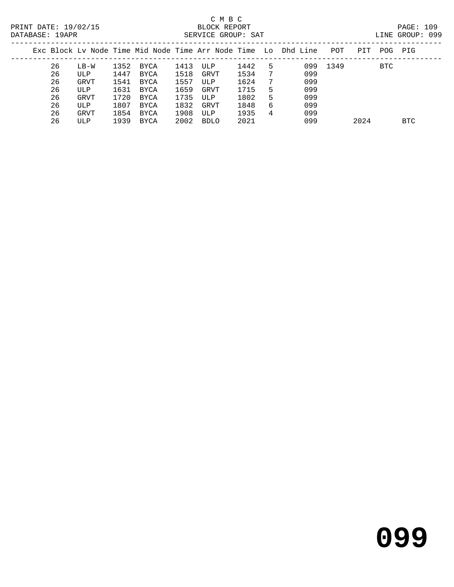# C M B C<br>BLOCK REPORT

| PRINT<br>DATE: 19/02/15 <sup>-</sup> | REPORT<br>BLC<br>ЭCК             |     | PAGE:  |     |
|--------------------------------------|----------------------------------|-----|--------|-----|
| DATARASE:<br>19 A PR                 | SAT<br>GROUP: .<br>.U.E<br>RRVTT | 'NE | GROUP: | 099 |
|                                      |                                  |     |        |     |

|  |    |        |      |      |      | Exc Block Ly Node Time Mid Node Time Arr Node Time Lo Dhd Line |      |   |     | POT  | PIT  | POG. | PIG        |
|--|----|--------|------|------|------|----------------------------------------------------------------|------|---|-----|------|------|------|------------|
|  | 26 | $LB-W$ | 1352 | BYCA | 1413 | ULP                                                            | 1442 |   | 099 | 1349 |      | BTC  |            |
|  | 26 | ULP    | 1447 | BYCA | 1518 | GRVT                                                           | 1534 |   | 099 |      |      |      |            |
|  | 26 | GRVT   | 1541 | BYCA | 1557 | ULP                                                            | 1624 |   | 099 |      |      |      |            |
|  | 26 | ULP    | 1631 | BYCA | 1659 | GRVT                                                           | 1715 | 5 | 099 |      |      |      |            |
|  | 26 | GRVT   | 1720 | BYCA | 1735 | ULP                                                            | 1802 |   | 099 |      |      |      |            |
|  | 26 | ULP    | 1807 | BYCA | 1832 | GRVT                                                           | 1848 | 6 | 099 |      |      |      |            |
|  | 26 | GRVT   | 1854 | BYCA | 1908 | ULP                                                            | 1935 | 4 | 099 |      |      |      |            |
|  | 26 | ULP    | 1939 | BYCA | 2002 | BDLO                                                           | 2021 |   | 099 |      | 2024 |      | <b>BTC</b> |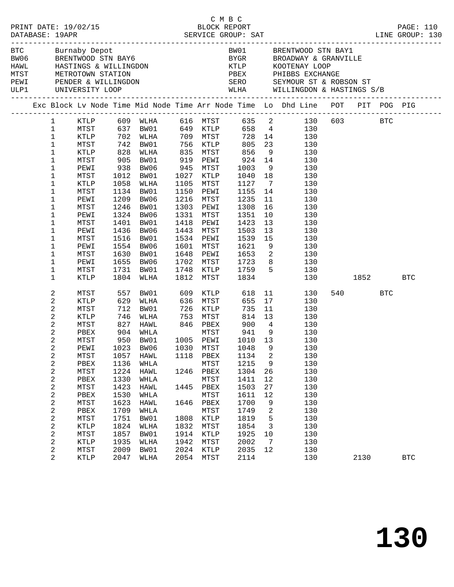|                                                                                                                                                                                                                                                                                                                |                                                                                                                                                                      |                                                                                                                            |                                                                                                                                                                                                                  |                                                                                                            | C M B C                                                                                                                                                   |                                                                                                                                                                      |                                                                                        | PRINT DATE: 19/02/15<br>BLOCK REPORT BLOCK PRESS TREES BLOCK PREPORT DATABASE: 19APR SERVICE GROUP: SAT LINE GROUP: 130                                                                                                                                                                                                                                                                                              |                 |            |            |
|----------------------------------------------------------------------------------------------------------------------------------------------------------------------------------------------------------------------------------------------------------------------------------------------------------------|----------------------------------------------------------------------------------------------------------------------------------------------------------------------|----------------------------------------------------------------------------------------------------------------------------|------------------------------------------------------------------------------------------------------------------------------------------------------------------------------------------------------------------|------------------------------------------------------------------------------------------------------------|-----------------------------------------------------------------------------------------------------------------------------------------------------------|----------------------------------------------------------------------------------------------------------------------------------------------------------------------|----------------------------------------------------------------------------------------|----------------------------------------------------------------------------------------------------------------------------------------------------------------------------------------------------------------------------------------------------------------------------------------------------------------------------------------------------------------------------------------------------------------------|-----------------|------------|------------|
|                                                                                                                                                                                                                                                                                                                |                                                                                                                                                                      |                                                                                                                            | HAWL HASTINGS & WILLINGDON<br>MTST METROTOWN STATION<br>PEWI PENDER & WILLINGDON                                                                                                                                 |                                                                                                            |                                                                                                                                                           |                                                                                                                                                                      |                                                                                        | BW01 BRENTWOOD STN BAY1<br>BUSICE BUILDING BRENTWOOD STN BAY6<br>BROADWAY & GRANVILLE<br>HAWL HASTINGS & WILLINGDON ETCLE AND EXERCUTENT COOP<br>MEST METROTOWN STATION PEEX PHIBBS EXCHANGE<br>PEWI PENDER & WILLINGDON SERO SEYMOUR ST & ROBSON ST<br>ULP1 UNIVER                                                                                                                                                  |                 |            |            |
|                                                                                                                                                                                                                                                                                                                |                                                                                                                                                                      |                                                                                                                            |                                                                                                                                                                                                                  |                                                                                                            |                                                                                                                                                           |                                                                                                                                                                      |                                                                                        | Exc Block Lv Node Time Mid Node Time Arr Node Time Lo Dhd Line POT PIT POG PIG                                                                                                                                                                                                                                                                                                                                       |                 |            |            |
| $\mathbf{1}$<br>$\mathbf{1}$<br>$\mathbf 1$<br>1<br>1<br>1<br>1<br>1<br>1<br>1<br>1<br>1<br>1<br>1<br>1<br>1<br>$\mathbf 1$<br>1<br>1                                                                                                                                                                          | MTST<br>PEWI<br>MTST<br>KTLP<br>MTST<br>PEWI<br>MTST<br>PEWI<br>MTST<br>PEWI<br>MTST<br>PEWI<br>MTST<br>PEWI<br>MTST                                                 | 1058<br>1209<br>1246<br>1401<br>1436<br>1516<br>1655<br>1731                                                               | 905 BW01<br>938 BW06<br>1012 RW01<br>1012 BW01<br>WLHA<br>1134 BW01<br>BW06<br>BW01<br>1324 BW06<br>BW01<br>BW06<br>BW01<br>1554 BW06<br>1630 BW01<br>BW06<br>BW01                                               | 919<br>945<br>1105<br>1150<br>1216<br>1303<br>1331<br>1418<br>1443<br>1534<br>1601<br>1648<br>1702<br>1748 | PEWI<br>MTST<br>1027 KTLP<br>MTST<br>PEWI<br>MTST<br>PEWI<br>MTST<br>PEWI<br>MTST<br>PEWI<br>MTST<br>PEWI<br>MTST<br>KTLP                                 | $924$<br>$1003$<br>$1040$<br>1127<br>1155<br>1235<br>1308<br>1351<br>1423<br>1503<br>1539<br>1621<br>1653<br>1723<br>1759<br>1834                                    | 14<br>11<br>16<br>13<br>15<br>$5\overline{)}$                                          | 1 KTLP 609 WLHA 616 MTST 635 2 130 603 BTC<br>MTST 637 BW01 649 KTLP 658 4 130<br>KTLP 702 WLHA 709 MTST 728 14 130<br>MTST 742 BW01 756 KTLP 805 23 130<br>KTLP 828 WLHA 835 MTST 856 9 130<br>14<br>130<br>$\begin{array}{ccc} 9 & & 130 \\ 18 & & 130 \end{array}$<br>$7\overline{ }$<br>130<br>130<br>130<br>130<br>10<br>130<br>13<br>130<br>130<br>130<br>9<br>130<br>$\overline{2}$<br>130<br>8<br>130<br>130 |                 |            |            |
| 1                                                                                                                                                                                                                                                                                                              | KTLP                                                                                                                                                                 |                                                                                                                            | 1804 WLHA                                                                                                                                                                                                        |                                                                                                            | 1812 MTST                                                                                                                                                 |                                                                                                                                                                      |                                                                                        | 130                                                                                                                                                                                                                                                                                                                                                                                                                  | 1852   1900     |            | BTC        |
| $\boldsymbol{2}$<br>$\sqrt{2}$<br>$\sqrt{2}$<br>2<br>2<br>$\overline{c}$<br>$\overline{c}$<br>2<br>2<br>2<br>$\overline{\mathbf{c}}$<br>$\boldsymbol{2}$<br>2<br>$\boldsymbol{2}$<br>$\sqrt{2}$<br>$\boldsymbol{2}$<br>$\sqrt{2}$<br>2<br>$\boldsymbol{2}$<br>$\overline{\mathbf{c}}$<br>$\boldsymbol{2}$<br>2 | MTST<br>KTLP<br>MTST<br>KTLP<br>MTST<br>PBEX<br>MTST<br>MTST<br>PBEX<br>MTST<br>PBEX<br>MTST<br>PBEX<br>MTST<br>PBEX<br>MTST<br>KTLP<br>MTST<br>KTLP<br>MTST<br>KTLP | 557<br>629<br>1057<br>1136<br>1224<br>1330<br>1423<br>1530<br>1623<br>1709<br>1751<br>1824<br>1857<br>1935<br>2009<br>2047 | BW01<br>WLHA<br>712 BW01<br>746 WLHA 753<br>827 HAWL 846 PBEX<br>PEWI 1023 BW06 1030 MTST 1048 9<br>HAWL<br>WHLA<br>HAWL<br>WHLA<br>HAWL<br>WHLA<br>HAWL<br>WHLA<br>BW01<br>WLHA<br>BW01<br>WLHA<br>BW01<br>WLHA | 609<br>1118<br>1246<br>1445<br>1808<br>1832<br>1914<br>1942<br>2024<br>2054                                | KTLP<br>636 MTST<br>726 KTLP<br>MTST<br>PBEX<br>MTST<br>PBEX<br>MTST<br>PBEX<br>MTST<br>1646 PBEX<br>MTST<br>KTLP<br>MTST<br>KTLP<br>MTST<br>KTLP<br>MTST | 618<br>655<br>735<br>$900$ 4<br>$941$ 9<br>$1010$ 13<br>1134<br>1215<br>1304<br>1411<br>1503<br>1611<br>1700<br>1749<br>1819<br>1854<br>1925<br>2002<br>2035<br>2114 | 17<br>2<br>9<br>26<br>12<br>27<br>12<br>9<br>2<br>5<br>3<br>10<br>$\overline{7}$<br>12 | 11<br>130<br>130<br>$\begin{array}{c}\n11\n\end{array}$<br>130<br>814 13<br>130<br>$4\overline{ }$<br>130<br>$\begin{array}{ccc} 9 & & 130 \\ 13 & & 130 \end{array}$<br>130<br>130<br>130<br>130<br>130<br>130<br>130<br>130<br>130<br>130<br>130<br>130<br>130<br>130<br>130                                                                                                                                       | 540 540<br>2130 | <b>BTC</b> | <b>BTC</b> |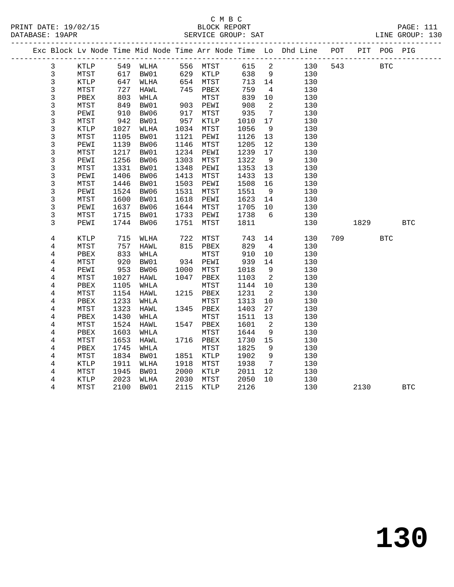|                |              |              |              |              |              |              |                            | Exc Block Lv Node Time Mid Node Time Arr Node Time Lo Dhd Line POT |     |      | PIT POG PIG |            |
|----------------|--------------|--------------|--------------|--------------|--------------|--------------|----------------------------|--------------------------------------------------------------------|-----|------|-------------|------------|
| 3              | KTLP         |              | 549 WLHA     |              | 556 MTST     | 615          | $\overline{\phantom{a}}^2$ | 130                                                                | 543 |      | BTC         |            |
| $\mathbf{3}$   | MTST         | 617          | BW01         |              | 629 KTLP     | 638          | 9                          | 130                                                                |     |      |             |            |
| $\mathbf{3}$   | KTLP         | 647          | WLHA         |              | 654 MTST     | 713          | 14                         | 130                                                                |     |      |             |            |
| 3              | MTST         | 727          | HAWL         |              | 745 PBEX     | 759          | $\overline{4}$             | 130                                                                |     |      |             |            |
| 3              | PBEX         | 803          | WHLA         |              | MTST         | 839          | 10                         | 130                                                                |     |      |             |            |
| 3              | MTST         | 849          | BW01         |              | 903 PEWI     | 908          | $\overline{2}$             | 130                                                                |     |      |             |            |
| 3              | PEWI         | 910          | BW06         | 917          | MTST         | 935          | $\overline{7}$             | 130                                                                |     |      |             |            |
| $\mathsf{3}$   | MTST         | 942          | BW01         | 957          | KTLP         | 1010         | 17                         | 130                                                                |     |      |             |            |
| 3              | KTLP         | 1027         | WLHA         | 1034         | MTST         | 1056         | 9                          | 130                                                                |     |      |             |            |
| 3              | MTST         | 1105         | BW01         | 1121         | PEWI         | 1126         | 13                         | 130                                                                |     |      |             |            |
| $\mathsf{3}$   | PEWI         | 1139         | BW06         | 1146         | MTST         | 1205         | $12$                       | 130                                                                |     |      |             |            |
| 3              | MTST         | 1217         | BW01         | 1234         | PEWI         | 1239         | 17                         | 130                                                                |     |      |             |            |
| 3              | PEWI         | 1256         | BW06         | 1303         | MTST         | 1322         | 9                          | 130                                                                |     |      |             |            |
| 3              | MTST         | 1331         | BW01         | 1348         | PEWI         | 1353         | 13                         | 130                                                                |     |      |             |            |
| 3              | PEWI         | 1406         | BW06         | 1413         | MTST         | 1433         | 13                         | 130                                                                |     |      |             |            |
| 3              | MTST         | 1446         | BW01         | 1503         | PEWI         | 1508         | 16                         | 130                                                                |     |      |             |            |
| $\overline{3}$ | PEWI         | 1524         | BW06         | 1531         | MTST         | 1551         | $\overline{9}$             | 130                                                                |     |      |             |            |
| 3              | MTST         | 1600         | BW01         | 1618         | PEWI         | 1623         | 14                         | 130                                                                |     |      |             |            |
| 3              | PEWI         | 1637         | BW06         | 1644         | MTST         | 1705         | 10                         | 130                                                                |     |      |             |            |
| 3              | MTST         | 1715         | BW01         | 1733         | PEWI         | 1738         | 6                          | 130                                                                |     |      |             |            |
| 3              | PEWI         | 1744         | BW06         | 1751         | MTST         | 1811         |                            | 130                                                                |     | 1829 |             | <b>BTC</b> |
|                |              |              |              |              |              |              |                            |                                                                    |     |      |             |            |
| 4              | KTLP         | 715          | WLHA         | 722          | MTST         | 743          | 14                         | 130                                                                | 709 |      | <b>BTC</b>  |            |
| 4              | MTST         | 757          | HAWL         | 815          | PBEX         | 829          | $\overline{4}$             | 130                                                                |     |      |             |            |
| 4              | PBEX         | 833          | WHLA         |              | MTST         | 910          | 10                         | 130                                                                |     |      |             |            |
| 4              | MTST         | 920          | BW01         |              | 934 PEWI     | 939          | 14                         | 130                                                                |     |      |             |            |
| 4              | PEWI         | 953          | BW06         | 1000         | MTST         | 1018         | 9                          | 130                                                                |     |      |             |            |
| 4              | MTST         | 1027         | HAWL         | 1047         | PBEX         | 1103         | $\overline{\phantom{0}}^2$ | 130                                                                |     |      |             |            |
| $\overline{4}$ | PBEX         | 1105         | WHLA         |              | MTST         | 1144         | 10                         | 130                                                                |     |      |             |            |
| 4              | MTST         | 1154         | HAWL         | 1215         | PBEX         | 1231         | $\overline{\phantom{a}}^2$ | 130                                                                |     |      |             |            |
| $\overline{4}$ | PBEX         | 1233         | WHLA         |              | MTST         | 1313         | 10                         | 130                                                                |     |      |             |            |
| $\overline{4}$ | MTST         | 1323         | HAWL         |              | 1345 PBEX    | 1403         | 27                         | 130                                                                |     |      |             |            |
| 4              | PBEX         | 1430         | WHLA         |              | MTST         | 1511         | 13                         | 130                                                                |     |      |             |            |
| 4              | MTST         | 1524         | HAWL         |              | 1547 PBEX    | 1601         | 2                          | 130                                                                |     |      |             |            |
| 4              | PBEX         | 1603         | WHLA         |              | MTST         | 1644         | 9                          | 130                                                                |     |      |             |            |
| 4              | MTST         | 1653         | HAWL         |              | 1716 PBEX    | 1730         | 15                         | 130                                                                |     |      |             |            |
| $\overline{4}$ | PBEX         | 1745         | WHLA         |              | MTST         | 1825         | 9                          | 130                                                                |     |      |             |            |
| 4              | MTST         | 1834<br>1911 | BW01         |              | 1851 KTLP    | 1902<br>1938 | 9<br>$\overline{7}$        | 130                                                                |     |      |             |            |
| 4<br>4         | KTLP<br>MTST | 1945         | WLHA<br>BW01 | 1918<br>2000 | MTST         | 2011         | 12                         | 130<br>130                                                         |     |      |             |            |
| 4              | KTLP         | 2023         | WLHA         | 2030         | KTLP<br>MTST | 2050         | 10                         | 130                                                                |     |      |             |            |
| 4              | MTST         | 2100         | BW01         | 2115         | KTLP         | 2126         |                            | 130                                                                |     | 2130 |             | <b>BTC</b> |
|                |              |              |              |              |              |              |                            |                                                                    |     |      |             |            |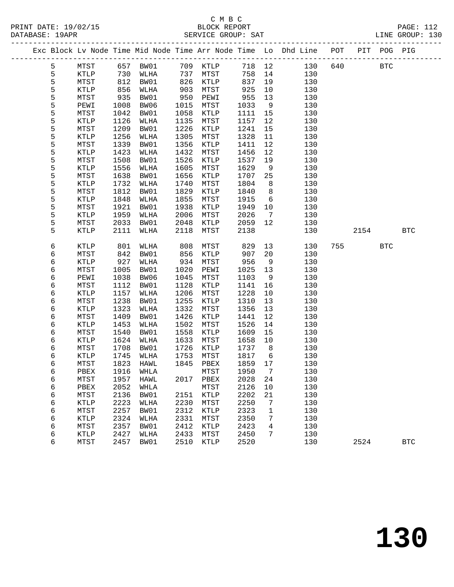|        |             |              |           |              |              |              |                              | Exc Block Lv Node Time Mid Node Time Arr Node Time Lo Dhd Line POT PIT POG PIG |     |      |            |              |
|--------|-------------|--------------|-----------|--------------|--------------|--------------|------------------------------|--------------------------------------------------------------------------------|-----|------|------------|--------------|
| 5      | MTST        |              | 657 BW01  |              | 709 KTLP     |              | 718 12                       | 130                                                                            | 640 |      | <b>BTC</b> |              |
| 5      | KTLP        | 730          | WLHA      | 737          | MTST         | 758          | 14                           | 130                                                                            |     |      |            |              |
| 5      | MTST        | 812          | BW01      | 826          | KTLP         | 837          | 19                           | 130                                                                            |     |      |            |              |
| 5      | KTLP        | 856          | WLHA      | 903          | MTST         | 925          | $10 \,$                      | 130                                                                            |     |      |            |              |
| 5      | MTST        | 935          | BW01      | 950          | PEWI         | 955          | 13                           | 130                                                                            |     |      |            |              |
| 5      | PEWI        | 1008         | BW06      | 1015         | MTST         | 1033         | 9                            | 130                                                                            |     |      |            |              |
| 5      | MTST        | 1042         | BW01      | 1058         | KTLP         | 1111         | 15                           | 130                                                                            |     |      |            |              |
| 5      | <b>KTLP</b> | 1126         | WLHA      | 1135         | MTST         | 1157         | 12                           | 130                                                                            |     |      |            |              |
| 5      | MTST        | 1209         | BW01      | 1226         | KTLP         | 1241         | 15                           | 130                                                                            |     |      |            |              |
| 5      | <b>KTLP</b> | 1256         | WLHA      | 1305         | MTST         | 1328         | 11                           | 130                                                                            |     |      |            |              |
| 5      | MTST        | 1339         | BW01      | 1356         | KTLP         | 1411         | 12                           | 130                                                                            |     |      |            |              |
| 5      | <b>KTLP</b> | 1423         | WLHA      | 1432         | MTST         | 1456         | 12                           | 130                                                                            |     |      |            |              |
| 5      | MTST        | 1508         | BW01      | 1526         | KTLP         | 1537         | 19                           | 130                                                                            |     |      |            |              |
| 5      | KTLP        | 1556         | WLHA      | 1605         | MTST         | 1629         | 9                            | 130                                                                            |     |      |            |              |
| 5      | MTST        | 1638         | BW01      | 1656         | KTLP         | 1707         | 25                           | 130                                                                            |     |      |            |              |
| 5      | KTLP        | 1732         | WLHA      | 1740         | MTST         | 1804         | 8                            | 130                                                                            |     |      |            |              |
| 5      | MTST        | 1812         | BW01      | 1829         | KTLP         | 1840         | 8                            | 130                                                                            |     |      |            |              |
| 5      | <b>KTLP</b> | 1848         | WLHA      | 1855         | MTST         | 1915         | 6                            | 130                                                                            |     |      |            |              |
| 5      | MTST        | 1921         | BW01      | 1938         | KTLP         | 1949         | 10                           | 130                                                                            |     |      |            |              |
| 5      | KTLP        | 1959         | WLHA      | 2006         | MTST         | 2026         | $7\phantom{.0}\phantom{.0}7$ | 130                                                                            |     |      |            |              |
| 5      | MTST        | 2033         | BW01      | 2048         | KTLP         | 2059         | 12                           | 130                                                                            |     |      |            |              |
| 5      | <b>KTLP</b> | 2111         | WLHA      | 2118         | MTST         | 2138         |                              | 130                                                                            |     | 2154 |            | <b>BTC</b>   |
| 6      | KTLP        | 801          | WLHA      | 808          | MTST         | 829          | 13                           | 130                                                                            | 755 |      | <b>BTC</b> |              |
| 6      | MTST        | 842          | BW01      | 856          | KTLP         | 907          | 20                           | 130                                                                            |     |      |            |              |
| 6      | <b>KTLP</b> | 927          | WLHA      | 934          | MTST         | 956          | 9                            | 130                                                                            |     |      |            |              |
| 6      | MTST        | 1005         | BW01      | 1020         | PEWI         | 1025         | 13                           | 130                                                                            |     |      |            |              |
| 6      | PEWI        | 1038         | BW06      | 1045         | MTST         | 1103         | 9                            | 130                                                                            |     |      |            |              |
| 6      | MTST        | 1112         | BW01      | 1128         | KTLP         | 1141         | 16                           | 130                                                                            |     |      |            |              |
| 6      | <b>KTLP</b> | 1157         | WLHA      | 1206         | MTST         | 1228         | $10\,$                       | 130                                                                            |     |      |            |              |
| 6      | MTST        | 1238         | BW01      | 1255         | KTLP         | 1310         | 13                           | 130                                                                            |     |      |            |              |
| 6      | KTLP        | 1323         | WLHA      | 1332         | MTST         | 1356         | 13                           | 130                                                                            |     |      |            |              |
| 6      | MTST        | 1409         | BW01      | 1426         | KTLP         | 1441         | 12                           | 130                                                                            |     |      |            |              |
| 6      | <b>KTLP</b> | 1453         | WLHA      | 1502         | MTST         | 1526         | 14                           | 130                                                                            |     |      |            |              |
| 6      | MTST        | 1540         | BW01      | 1558         | KTLP         | 1609         | 15                           | 130                                                                            |     |      |            |              |
| 6      | KTLP        | 1624         | WLHA      | 1633         | MTST         | 1658         | 10                           | 130                                                                            |     |      |            |              |
| 6      | MTST        | 1708         | BW01      | 1726         | KTLP         | 1737         | 8 <sup>8</sup>               | 130                                                                            |     |      |            |              |
| 6      | <b>KTLP</b> | 1745         | WLHA      | 1753         | MTST         | 1817         | 6                            | 130                                                                            |     |      |            |              |
| 6      | MTST        | 1823         | HAWL      | 1845         | PBEX         | 1859         | 17                           | 130                                                                            |     |      |            |              |
| 6      | PBEX        |              | 1916 WHLA |              | MTST         | 1950 7       |                              | 130                                                                            |     |      |            |              |
| 6      | MTST        | 1957         | HAWL      | 2017         | PBEX         | 2028         | 24                           | 130                                                                            |     |      |            |              |
| 6      | PBEX        | 2052         | WHLA      |              | MTST         | 2126         | 10                           | 130                                                                            |     |      |            |              |
| 6      | MTST        | 2136         | BW01      | 2151         | KTLP         | 2202         | 21                           | 130                                                                            |     |      |            |              |
| 6      | KTLP        | 2223         | WLHA      | 2230         | MTST         | 2250         | 7                            | 130                                                                            |     |      |            |              |
| 6      | MTST        | 2257         | BW01      | 2312         | KTLP         | 2323         | 1                            | 130                                                                            |     |      |            |              |
| 6      | KTLP        | 2324         | WLHA      | 2331         | MTST         | 2350         | 7                            | 130                                                                            |     |      |            |              |
| 6      | MTST        | 2357<br>2427 | BW01      | 2412<br>2433 | KTLP<br>MTST | 2423<br>2450 | 4                            | 130<br>130                                                                     |     |      |            |              |
| 6<br>6 | KTLP        | 2457         | WLHA      | 2510         |              | 2520         | 7                            | 130                                                                            |     | 2524 |            | $_{\rm BTC}$ |
|        | MTST        |              | BW01      |              | KTLP         |              |                              |                                                                                |     |      |            |              |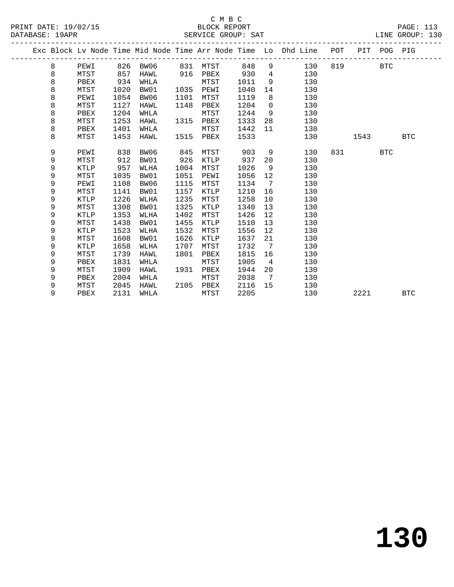|  |   |             |      |          |      |             |      |                              | Exc Block Lv Node Time Mid Node Time Arr Node Time Lo Dhd Line POT |     |      | PIT POG PIG |            |
|--|---|-------------|------|----------|------|-------------|------|------------------------------|--------------------------------------------------------------------|-----|------|-------------|------------|
|  | 8 | PEWI        |      | 826 BW06 |      | 831 MTST    | 848  | 9                            | 130                                                                | 819 |      | <b>BTC</b>  |            |
|  | 8 | MTST        | 857  | HAWL     | 916  | PBEX        | 930  | $4\overline{ }$              | 130                                                                |     |      |             |            |
|  | 8 | PBEX        | 934  | WHLA     |      | MTST        | 1011 | 9                            | 130                                                                |     |      |             |            |
|  | 8 | MTST        | 1020 | BW01     | 1035 | PEWI        | 1040 | 14                           | 130                                                                |     |      |             |            |
|  | 8 | PEWI        | 1054 | BW06     | 1101 | MTST        | 1119 | 8                            | 130                                                                |     |      |             |            |
|  | 8 | MTST        | 1127 | HAWL     | 1148 | PBEX        | 1204 | $\overline{0}$               | 130                                                                |     |      |             |            |
|  | 8 | PBEX        | 1204 | WHLA     |      | MTST        | 1244 | 9                            | 130                                                                |     |      |             |            |
|  | 8 | MTST        | 1253 | HAWL     | 1315 | PBEX        | 1333 | 28                           | 130                                                                |     |      |             |            |
|  | 8 | PBEX        | 1401 | WHLA     |      | MTST        | 1442 | 11                           | 130                                                                |     |      |             |            |
|  | 8 | MTST        | 1453 | HAWL     | 1515 | PBEX        | 1533 |                              | 130                                                                |     | 1543 |             | <b>BTC</b> |
|  |   |             |      |          |      |             |      |                              |                                                                    |     |      |             |            |
|  | 9 | PEWI        | 838  | BW06     | 845  | MTST        | 903  | 9                            | 130                                                                | 831 |      | <b>BTC</b>  |            |
|  | 9 | MTST        | 912  | BW01     | 926  | KTLP        | 937  | 20                           | 130                                                                |     |      |             |            |
|  | 9 | KTLP        | 957  | WLHA     | 1004 | MTST        | 1026 | 9                            | 130                                                                |     |      |             |            |
|  | 9 | MTST        | 1035 | BW01     | 1051 | PEWI        | 1056 | 12                           | 130                                                                |     |      |             |            |
|  | 9 | PEWI        | 1108 | BW06     | 1115 | MTST        | 1134 | $\overline{7}$               | 130                                                                |     |      |             |            |
|  | 9 | MTST        | 1141 | BW01     | 1157 | KTLP        | 1210 | 16                           | 130                                                                |     |      |             |            |
|  | 9 | KTLP        | 1226 | WLHA     | 1235 | MTST        | 1258 | 10                           | 130                                                                |     |      |             |            |
|  | 9 | MTST        | 1308 | BW01     | 1325 | KTLP        | 1340 | 13                           | 130                                                                |     |      |             |            |
|  | 9 | <b>KTLP</b> | 1353 | WLHA     | 1402 | MTST        | 1426 | 12                           | 130                                                                |     |      |             |            |
|  | 9 | MTST        | 1438 | BW01     | 1455 | <b>KTLP</b> | 1510 | 13                           | 130                                                                |     |      |             |            |
|  | 9 | KTLP        | 1523 | WLHA     | 1532 | MTST        | 1556 | 12                           | 130                                                                |     |      |             |            |
|  | 9 | MTST        | 1608 | BW01     | 1626 | KTLP        | 1637 | 21                           | 130                                                                |     |      |             |            |
|  | 9 | <b>KTLP</b> | 1658 | WLHA     | 1707 | MTST        | 1732 | $\overline{7}$               | 130                                                                |     |      |             |            |
|  | 9 | MTST        | 1739 | HAWL     | 1801 | PBEX        | 1815 | 16                           | 130                                                                |     |      |             |            |
|  | 9 | PBEX        | 1831 | WHLA     |      | MTST        | 1905 | 4                            | 130                                                                |     |      |             |            |
|  | 9 | MTST        | 1909 | HAWL     | 1931 | PBEX        | 1944 | 20                           | 130                                                                |     |      |             |            |
|  | 9 | PBEX        | 2004 | WHLA     |      | MTST        | 2038 | $7\phantom{.0}\phantom{.0}7$ | 130                                                                |     |      |             |            |
|  | 9 | MTST        | 2045 | HAWL     | 2105 | PBEX        | 2116 | 15                           | 130                                                                |     |      |             |            |
|  | 9 | PBEX        | 2131 | WHLA     |      | MTST        | 2205 |                              | 130                                                                |     | 2221 |             | <b>BTC</b> |
|  |   |             |      |          |      |             |      |                              |                                                                    |     |      |             |            |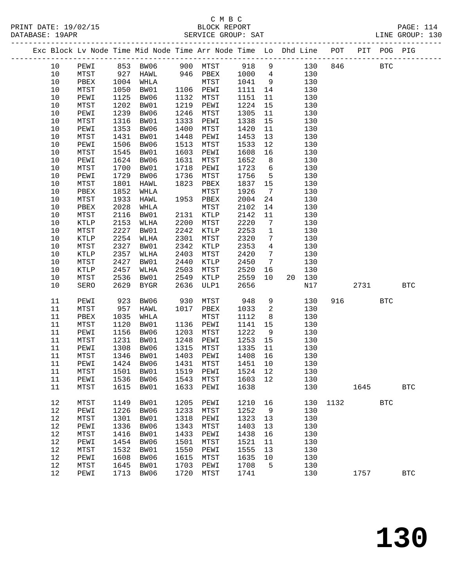-------------------------------------------------------------------------------------------------

|                      | C M B C            |                 |  |
|----------------------|--------------------|-----------------|--|
| PRINT DATE: 19/02/15 | BLOCK REPORT       | PAGE: 114       |  |
| DATABASE: 19APR      | SERVICE GROUP: SAT | LINE GROUP: 130 |  |

|          |                      |              | Exc Block Lv Node Time Mid Node Time Arr Node Time Lo Dhd Line |              |              |              |                 |    |            | POT  | PIT  | POG PIG      |              |
|----------|----------------------|--------------|----------------------------------------------------------------|--------------|--------------|--------------|-----------------|----|------------|------|------|--------------|--------------|
| $10 \,$  | PEWI                 |              | 853 BW06                                                       | 900          | MTST         | 918          | 9               |    | 130        | 846  |      | $_{\rm BTC}$ |              |
| 10       | MTST                 | 927          | HAWL                                                           | 946          | PBEX         | 1000         | $\overline{4}$  |    | 130        |      |      |              |              |
| 10       | PBEX                 | 1004         | WHLA                                                           |              | MTST         | 1041         | 9               |    | 130        |      |      |              |              |
| 10       | MTST                 | 1050         | BW01                                                           | 1106         | PEWI         | 1111         | 14              |    | 130        |      |      |              |              |
| 10       | PEWI                 | 1125         | BW06                                                           | 1132         | MTST         | 1151         | 11              |    | 130        |      |      |              |              |
| 10       | MTST                 | 1202         | BW01                                                           | 1219         | PEWI         | 1224         | 15              |    | 130        |      |      |              |              |
| 10       | PEWI                 | 1239         | BW06                                                           | 1246         | MTST         | 1305         | 11              |    | 130        |      |      |              |              |
| 10       | MTST                 | 1316         | BW01                                                           | 1333         | PEWI         | 1338         | 15              |    | 130        |      |      |              |              |
| 10       | PEWI                 | 1353         | BW06                                                           | 1400         | MTST         | 1420         | 11              |    | 130        |      |      |              |              |
| 10       | MTST                 | 1431         | BW01                                                           | 1448         | PEWI         | 1453         | 13              |    | 130        |      |      |              |              |
| 10       | PEWI                 | 1506         | BW06                                                           | 1513         | MTST         | 1533         | 12              |    | 130        |      |      |              |              |
| 10       | MTST                 | 1545         | BW01                                                           | 1603         | PEWI         | 1608         | 16              |    | 130        |      |      |              |              |
| 10       | PEWI                 | 1624         | BW06                                                           | 1631         | MTST         | 1652         | 8               |    | 130        |      |      |              |              |
| 10       | MTST                 | 1700         | BW01                                                           | 1718         | PEWI         | 1723         | 6               |    | 130        |      |      |              |              |
| 10       | PEWI                 | 1729         | BW06                                                           | 1736         | MTST         | 1756         | $\mathsf S$     |    | 130        |      |      |              |              |
| 10       | ${\tt MTST}$         | 1801         | HAWL                                                           | 1823         | PBEX         | 1837         | 15              |    | 130        |      |      |              |              |
| 10       | PBEX                 | 1852         | WHLA                                                           |              | MTST         | 1926         | $7\phantom{.0}$ |    | 130        |      |      |              |              |
| 10       | MTST                 | 1933         | HAWL                                                           | 1953         | PBEX         | 2004         | 24              |    | 130        |      |      |              |              |
| 10       | PBEX                 | 2028         | WHLA                                                           |              | MTST         | 2102         | 14              |    | 130        |      |      |              |              |
| 10       | MTST                 | 2116         | BW01                                                           | 2131         | KTLP         | 2142         | 11              |    | 130        |      |      |              |              |
| 10       | KTLP                 | 2153         | WLHA                                                           | 2200         | MTST         | 2220         | $\overline{7}$  |    | 130        |      |      |              |              |
| 10       | MTST                 | 2227         | BW01                                                           | 2242         | KTLP         | 2253         | 1               |    | 130        |      |      |              |              |
| 10       | KTLP                 | 2254         | WLHA                                                           | 2301         | MTST         | 2320         | $\overline{7}$  |    | 130        |      |      |              |              |
| 10       | MTST                 | 2327         | BW01                                                           | 2342         | KTLP         | 2353         | 4               |    | 130        |      |      |              |              |
| 10       | KTLP                 | 2357         | WLHA                                                           | 2403         | MTST         | 2420         | 7               |    | 130        |      |      |              |              |
| 10       | MTST                 | 2427         | BW01                                                           | 2440         | KTLP         | 2450         | $7\phantom{.0}$ |    | 130        |      |      |              |              |
| 10<br>10 | KTLP<br>${\tt MTST}$ | 2457<br>2536 | WLHA<br>BW01                                                   | 2503<br>2549 | MTST<br>KTLP | 2520<br>2559 | 16<br>10        | 20 | 130<br>130 |      |      |              |              |
| 10       | SERO                 | 2629         | <b>BYGR</b>                                                    | 2636         | ULP1         | 2656         |                 |    | N17        |      | 2731 |              | $_{\rm BTC}$ |
|          |                      |              |                                                                |              |              |              |                 |    |            |      |      |              |              |
| 11       | PEWI                 | 923          | BW06                                                           | 930          | MTST         | 948          | $\,9$           |    | 130        | 916  |      | $_{\rm BTC}$ |              |
| 11       | ${\tt MTST}$         | 957          | HAWL                                                           | 1017         | PBEX         | 1033         | 2               |    | 130        |      |      |              |              |
| 11       | PBEX                 | 1035         | WHLA                                                           |              | MTST         | 1112         | 8               |    | 130        |      |      |              |              |
| 11       | MTST                 | 1120         | BW01                                                           | 1136         | PEWI         | 1141         | 15              |    | 130        |      |      |              |              |
| 11       | PEWI                 | 1156         | BW06                                                           | 1203         | MTST         | 1222         | 9               |    | 130        |      |      |              |              |
| 11       | MTST                 | 1231         | BW01                                                           | 1248         | PEWI         | 1253         | 15              |    | 130        |      |      |              |              |
| 11       | PEWI                 | 1308         | BW06                                                           | 1315         | MTST         | 1335         | 11              |    | 130        |      |      |              |              |
| 11       | MTST                 | 1346         | BW01                                                           | 1403         | PEWI         | 1408         | 16              |    | 130        |      |      |              |              |
| 11       | PEWI                 | 1424         | BW06                                                           | 1431         | MTST         | 1451         | 10              |    | 130        |      |      |              |              |
| 11       | MTST                 | 1501         | BW01                                                           | 1519         | PEWI         | 1524         | 12              |    | 130        |      |      |              |              |
| 11       | PEWI                 |              | 1536 BW06                                                      | 1543         | ${\tt MTST}$ | 1603 12      |                 |    | 130        |      |      |              |              |
| 11       | MTST                 | 1615         | BW01                                                           | 1633         | PEWI         | 1638         |                 |    | 130        |      | 1645 |              | $_{\rm BTC}$ |
| 12       | MTST                 | 1149         | BW01                                                           | 1205         | PEWI         | 1210         | 16              |    | 130        | 1132 |      | <b>BTC</b>   |              |
| 12       | PEWI                 | 1226         | BW06                                                           | 1233         | MTST         | 1252         | $\overline{9}$  |    | 130        |      |      |              |              |
| 12       | MTST                 | 1301         | BW01                                                           | 1318         | PEWI         | 1323         | 13              |    | 130        |      |      |              |              |
| $12$     | PEWI                 | 1336         | BW06                                                           | 1343         | MTST         | 1403         | 13              |    | 130        |      |      |              |              |
| 12       | MTST                 | 1416         | BW01                                                           | 1433         | PEWI         | 1438         | 16              |    | 130        |      |      |              |              |
| 12       | PEWI                 | 1454         | BW06                                                           | 1501         | MTST         | 1521         | 11              |    | 130        |      |      |              |              |
| 12       | MTST                 | 1532         | BW01                                                           | 1550         | PEWI         | 1555         | 13              |    | 130        |      |      |              |              |
| $12$     | PEWI                 | 1608         | BW06                                                           | 1615         | MTST         | 1635         | 10              |    | 130        |      |      |              |              |
| 12       | MTST                 | 1645         | BW01                                                           | 1703         | PEWI         | 1708         | 5               |    | 130        |      |      |              |              |

12 PEWI 1713 BW06 1720 MTST 1741 130 1757 BTC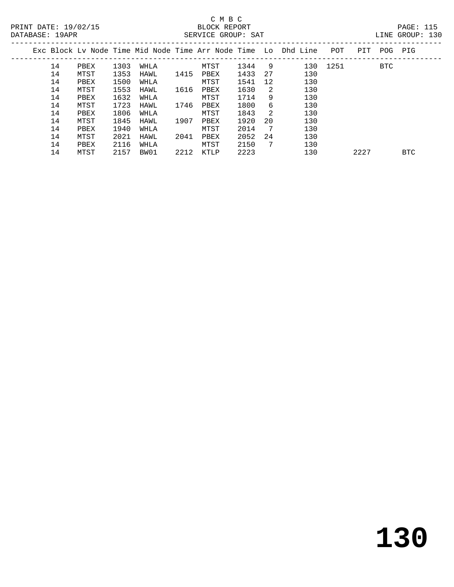# C M B C<br>BLOCK REPORT

| LINE GROUP: |  |
|-------------|--|

| DATABASE: 19APR |    |      |      |      |      | SERVICE GROUP: SAT |      |      |                                                                    |      |      |     | LINE GROUP: 130 |  |
|-----------------|----|------|------|------|------|--------------------|------|------|--------------------------------------------------------------------|------|------|-----|-----------------|--|
|                 |    |      |      |      |      |                    |      |      | Exc Block Lv Node Time Mid Node Time Arr Node Time Lo Dhd Line POT |      | PIT  |     | POG PIG         |  |
|                 | 14 | PBEX | 1303 | WHLA |      | MTST               | 1344 | - 9  | 130                                                                | 1251 |      | BTC |                 |  |
|                 | 14 | MTST | 1353 | HAWL | 1415 | PBEX               | 1433 | 27   | 130                                                                |      |      |     |                 |  |
|                 | 14 | PBEX | 1500 | WHLA |      | MTST               | 1541 | 12   | 130                                                                |      |      |     |                 |  |
|                 | 14 | MTST | 1553 | HAWL | 1616 | PBEX               | 1630 | -2   | 130                                                                |      |      |     |                 |  |
|                 | 14 | PBEX | 1632 | WHLA |      | MTST               | 1714 | 9    | 130                                                                |      |      |     |                 |  |
|                 | 14 | MTST | 1723 | HAWL | 1746 | PBEX               | 1800 | 6    | 130                                                                |      |      |     |                 |  |
|                 | 14 | PBEX | 1806 | WHLA |      | MTST               | 1843 | - 2. | 130                                                                |      |      |     |                 |  |
|                 | 14 | MTST | 1845 | HAWL | 1907 | PBEX               | 1920 | -20  | 130                                                                |      |      |     |                 |  |
|                 | 14 | PBEX | 1940 | WHLA |      | MTST               | 2014 | - 7  | 130                                                                |      |      |     |                 |  |
|                 | 14 | MTST | 2021 | HAWL | 2041 | PBEX               | 2052 | 24   | 130                                                                |      |      |     |                 |  |
|                 | 14 | PBEX | 2116 | WHLA |      | MTST               | 2150 | 7    | 130                                                                |      |      |     |                 |  |
|                 | 14 | MTST | 2157 | BW01 | 2212 | KTLP               | 2223 |      | 130                                                                |      | 2227 |     | <b>BTC</b>      |  |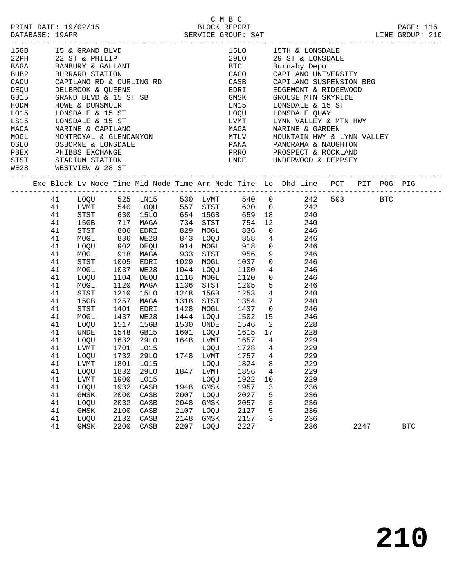|                  |    |                 |      | 15GB 15 & GRAND BLVD                                                                                                                                                                                                                             |      |           |                            |                         | 15LO 15TH & LONSDALE                                                                                                                           |      |            |  |
|------------------|----|-----------------|------|--------------------------------------------------------------------------------------------------------------------------------------------------------------------------------------------------------------------------------------------------|------|-----------|----------------------------|-------------------------|------------------------------------------------------------------------------------------------------------------------------------------------|------|------------|--|
|                  |    |                 |      |                                                                                                                                                                                                                                                  |      |           |                            |                         | 29LO 29 ST & LONSDALE<br>BTC Burnaby Depot                                                                                                     |      |            |  |
|                  |    |                 |      |                                                                                                                                                                                                                                                  |      |           |                            |                         |                                                                                                                                                |      |            |  |
| BUB <sub>2</sub> |    | BURRARD STATION |      |                                                                                                                                                                                                                                                  |      |           |                            |                         | CACO CAPILANO UNIVERSITY                                                                                                                       |      |            |  |
|                  |    |                 |      | CACU CAPILANO RD & CURLING RD                                                                                                                                                                                                                    |      |           |                            |                         | CASE CAPILANO SUSPENSION BRG<br>EDRI EDGEMONT & RIDGEWOOD<br>GMSK GROUSE MTN SKYRIDE<br>LN15 LONSDALE & 15 ST                                  |      |            |  |
|                  |    |                 |      |                                                                                                                                                                                                                                                  |      |           |                            |                         |                                                                                                                                                |      |            |  |
|                  |    |                 |      |                                                                                                                                                                                                                                                  |      |           |                            |                         |                                                                                                                                                |      |            |  |
|                  |    |                 |      |                                                                                                                                                                                                                                                  |      |           |                            |                         |                                                                                                                                                |      |            |  |
|                  |    |                 |      |                                                                                                                                                                                                                                                  |      |           |                            |                         | LOQU LONSDALE QUAY                                                                                                                             |      |            |  |
|                  |    |                 |      |                                                                                                                                                                                                                                                  |      |           |                            |                         | LVMT UYNN VALLEY & MTN HWY<br>MAGA MARINE & GARDEN<br>MTLV MOUNTAIN HWY & LYNN VALLEY                                                          |      |            |  |
|                  |    |                 |      |                                                                                                                                                                                                                                                  |      |           |                            |                         |                                                                                                                                                |      |            |  |
|                  |    |                 |      |                                                                                                                                                                                                                                                  |      |           |                            |                         |                                                                                                                                                |      |            |  |
|                  |    |                 |      |                                                                                                                                                                                                                                                  |      |           |                            |                         | PANA PANORAMA & NAUGHTON                                                                                                                       |      |            |  |
|                  |    |                 |      |                                                                                                                                                                                                                                                  |      |           |                            |                         |                                                                                                                                                |      |            |  |
|                  |    |                 |      |                                                                                                                                                                                                                                                  |      |           |                            |                         |                                                                                                                                                |      |            |  |
|                  |    |                 |      | NOTE CONSIDER & 15 ST<br>LG15 LONSDALE & 15 ST<br>LG15 LONSDALE & 15 ST<br>MACA MARINE & CAPILANO<br>MOGL MONTROYAL & GLENCANYON<br>OSLO OSBORNE & LONSDALE<br>PBEX PHIBBS EXCHANGE<br>STST STADIUM STATION<br>WE28 WESTVIEW & 28 ST<br>-------- |      |           |                            |                         |                                                                                                                                                |      |            |  |
|                  |    |                 |      |                                                                                                                                                                                                                                                  |      |           |                            |                         | Exc Block Lv Node Time Mid Node Time Arr Node Time Lo Dhd Line POT PIT POG PIG                                                                 |      |            |  |
|                  |    |                 |      |                                                                                                                                                                                                                                                  |      |           |                            |                         | 41 LOQU 525 LN15 530 LVMT 540 0 242 503 BTC                                                                                                    |      |            |  |
|                  | 41 |                 |      |                                                                                                                                                                                                                                                  |      |           |                            |                         | LVMT 540 LOQU 557 STST 630 0 242<br>STST 630 15LO 654 15GB 659 18 240<br>15GB 717 MAGA 734 STST 754 12 240<br>STST 806 EDRI 829 MOGL 836 0 246 |      |            |  |
|                  | 41 |                 |      |                                                                                                                                                                                                                                                  |      |           |                            |                         |                                                                                                                                                |      |            |  |
|                  | 41 |                 |      |                                                                                                                                                                                                                                                  |      |           |                            |                         |                                                                                                                                                |      |            |  |
|                  | 41 |                 |      |                                                                                                                                                                                                                                                  |      |           |                            |                         |                                                                                                                                                |      |            |  |
|                  | 41 | MOGL            |      | 836 WE28                                                                                                                                                                                                                                         |      |           |                            |                         | 843 LOQU 858 4 246                                                                                                                             |      |            |  |
|                  | 41 | LOQU            |      |                                                                                                                                                                                                                                                  |      | 914 MOGL  |                            |                         | $0$ 246                                                                                                                                        |      |            |  |
|                  | 41 | MOGL            |      |                                                                                                                                                                                                                                                  |      |           |                            |                         |                                                                                                                                                |      |            |  |
|                  | 41 | STST            |      |                                                                                                                                                                                                                                                  |      |           |                            |                         | $\begin{array}{ccc} 9 & \hspace{1.5cm} 246 \\ 0 & \hspace{1.5cm} 246 \end{array}$                                                              |      |            |  |
|                  | 41 | MOGL            | 1037 | WE28                                                                                                                                                                                                                                             |      |           | 1044 LOQU 1100             |                         | $4\overline{ }$<br>246                                                                                                                         |      |            |  |
|                  | 41 | LOQU            | 1104 | DEQU                                                                                                                                                                                                                                             |      |           | 1116 MOGL 1120             |                         | $\overline{0}$<br>246                                                                                                                          |      |            |  |
|                  | 41 | MOGL            | 1120 | MAGA                                                                                                                                                                                                                                             |      | 1136 STST |                            |                         | 246                                                                                                                                            |      |            |  |
|                  | 41 | STST            | 1210 | 15LO                                                                                                                                                                                                                                             | 1248 | 15GB      | 1205<br>1253               |                         | $\frac{5}{4}$<br>240                                                                                                                           |      |            |  |
|                  | 41 | 15GB            | 1257 | MAGA                                                                                                                                                                                                                                             | 1318 | STST      | 1354                       |                         | $7\overline{ }$<br>240                                                                                                                         |      |            |  |
|                  | 41 | STST            | 1401 | EDRI                                                                                                                                                                                                                                             | 1428 | MOGL      | 1437                       |                         | $\overline{0}$<br>246                                                                                                                          |      |            |  |
|                  | 41 | MOGL            | 1437 | WE28                                                                                                                                                                                                                                             |      | 1444 LOQU |                            |                         | 15<br>246                                                                                                                                      |      |            |  |
|                  | 41 | LOQU            | 1517 | 15GB                                                                                                                                                                                                                                             |      | 1530 UNDE | 1502<br>1546               | $\overline{\mathbf{2}}$ | 228                                                                                                                                            |      |            |  |
|                  | 41 | UNDE            | 1548 | GB15                                                                                                                                                                                                                                             |      |           |                            |                         | 1601 LOQU 1615 17 228                                                                                                                          |      |            |  |
|                  | 41 | LOQU            |      |                                                                                                                                                                                                                                                  |      |           |                            |                         | 1632 29LO 1648 LVMT 1657 4 229                                                                                                                 |      |            |  |
|                  | 41 | LVMT            |      |                                                                                                                                                                                                                                                  |      |           |                            |                         | 229                                                                                                                                            |      |            |  |
|                  | 41 | LOQU            |      |                                                                                                                                                                                                                                                  |      |           | LOQU 1728 4<br>LVMT 1757 4 |                         | 229                                                                                                                                            |      |            |  |
|                  |    |                 |      |                                                                                                                                                                                                                                                  |      |           |                            |                         | 41 LVMT 1801 LO15 LOQU 1824 8 229                                                                                                              |      |            |  |
|                  | 41 | LOQU            | 1832 | 29LO                                                                                                                                                                                                                                             | 1847 | LVMT      | 1856                       | 4                       | 229                                                                                                                                            |      |            |  |
|                  | 41 | LVMT            | 1900 | LO15                                                                                                                                                                                                                                             |      | LOQU      | 1922                       | 10                      | 229                                                                                                                                            |      |            |  |
|                  | 41 | LOQU            | 1932 | CASB                                                                                                                                                                                                                                             | 1948 | GMSK      | 1957                       | 3                       | 236                                                                                                                                            |      |            |  |
|                  | 41 | GMSK            | 2000 | CASB                                                                                                                                                                                                                                             | 2007 | LOQU      | 2027                       | 5                       | 236                                                                                                                                            |      |            |  |
|                  | 41 | LOQU            | 2032 | CASB                                                                                                                                                                                                                                             | 2048 | GMSK      | 2057                       | 3                       | 236                                                                                                                                            |      |            |  |
|                  | 41 | GMSK            | 2100 | CASB                                                                                                                                                                                                                                             | 2107 | LOQU      | 2127                       | 5                       | 236                                                                                                                                            |      |            |  |
|                  | 41 | LOQU            | 2132 | CASB                                                                                                                                                                                                                                             | 2148 | GMSK      | 2157                       | 3                       | 236                                                                                                                                            |      |            |  |
|                  | 41 | GMSK            | 2200 | CASB                                                                                                                                                                                                                                             | 2207 | LOQU      | 2227                       |                         | 236                                                                                                                                            | 2247 | <b>BTC</b> |  |
|                  |    |                 |      |                                                                                                                                                                                                                                                  |      |           |                            |                         |                                                                                                                                                |      |            |  |

C M B C<br>BLOCK REPORT PRINT DATE: 19/02/15 BLOCK REPORT PAGE: 116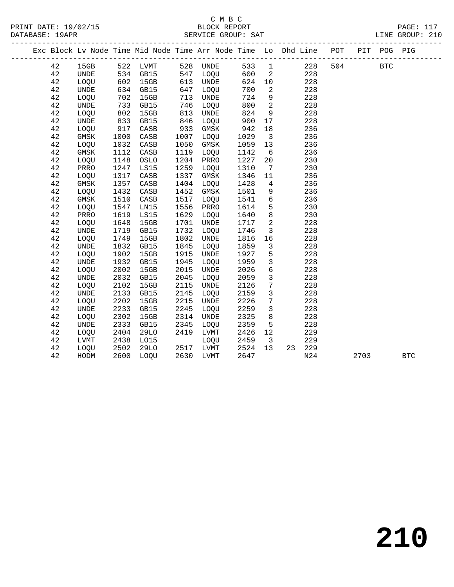### C M B C<br>BLOCK REPORT SERVICE GROUP: SAT

PRINT DATE: 19/02/15 BLOCK REPORT PAGE: 117

|    |                              |            | Exc Block Lv Node Time Mid Node Time Arr Node Time Lo Dhd Line POT |      |           |                      |                         |           |     | PIT POG PIG |            |
|----|------------------------------|------------|--------------------------------------------------------------------|------|-----------|----------------------|-------------------------|-----------|-----|-------------|------------|
| 42 | 15GB                         |            | 522 LVMT 528 UNDE                                                  |      |           |                      |                         | 533 1 228 | 504 | <b>BTC</b>  |            |
| 42 | UNDE                         |            | 534 GB15                                                           |      | 547 LOQU  | 600                  |                         | 2 228     |     |             |            |
| 42 | LOQU                         | 602<br>634 | 15GB                                                               |      | 613 UNDE  |                      | 624 10                  | 228       |     |             |            |
| 42 | UNDE                         |            | GB15                                                               | 647  | LOQU      | 700                  | $\overline{2}$          | 228       |     |             |            |
| 42 | LOQU                         | 702        | 15GB                                                               | 713  | UNDE      | 724                  | 9                       | 228       |     |             |            |
| 42 | <b>UNDE</b>                  | 733        | GB15                                                               | 746  | LOQU      | 800                  | $\overline{\mathbf{c}}$ | 228       |     |             |            |
| 42 | LOQU                         | 802        | 15GB                                                               | 813  | UNDE      | 824                  | 9                       | 228       |     |             |            |
| 42 | <b>UNDE</b>                  | 833        | GB15                                                               | 846  | LOQU      | 900                  | 17                      | 228       |     |             |            |
| 42 | LOQU                         | 917        | CASB                                                               | 933  | GMSK      | 942                  | 18                      | 236       |     |             |            |
| 42 | GMSK                         | 1000       | CASB                                                               | 1007 | LOQU      | 1029                 | $\overline{\mathbf{3}}$ | 236       |     |             |            |
| 42 | LOQU                         | 1032       | CASB                                                               | 1050 | GMSK      | 1059                 | 13                      | 236       |     |             |            |
| 42 | GMSK                         | 1112       | CASB                                                               | 1119 | LOQU      | 1142                 | $6\overline{6}$         | 236       |     |             |            |
| 42 | LOQU                         | 1148       | OSLO                                                               | 1204 | PRRO      | 1227                 | 20 <sub>o</sub>         | 230       |     |             |            |
| 42 | PRRO                         | 1247       | LS15                                                               | 1259 | LOQU      | 1310                 | $7\overline{ }$         | 230       |     |             |            |
| 42 | LOQU                         | 1317       | CASB                                                               | 1337 | GMSK      | 1346                 | 11                      | 236       |     |             |            |
| 42 | GMSK                         | 1357       | CASB                                                               | 1404 | LOQU      | 1428                 | $\overline{4}$          | 236       |     |             |            |
| 42 | LOQU                         | 1432       | CASB                                                               | 1452 | GMSK      | 1501                 | 9                       | 236       |     |             |            |
| 42 | GMSK                         | 1510       | CASB                                                               | 1517 | LOQU      | 1541                 | 6                       | 236       |     |             |            |
| 42 | LOQU                         | 1547       | LN15                                                               | 1556 | PRRO      | 1614                 | 5 <sup>5</sup>          | 230       |     |             |            |
| 42 | PRRO                         | 1619       | LS15                                                               | 1629 | LOQU      | 1640                 | 8 <sup>8</sup>          | 230       |     |             |            |
| 42 | LOQU                         | 1648       | 15GB                                                               | 1701 | UNDE      | 1717                 | $\overline{a}$          | 228       |     |             |            |
| 42 | <b>UNDE</b>                  | 1719       | GB15                                                               | 1732 | LOQU      | 1746                 | $\overline{3}$          | 228       |     |             |            |
| 42 | LOQU                         | 1749       | 15GB                                                               | 1802 | UNDE      | 1816                 | 16                      | 228       |     |             |            |
| 42 | <b>UNDE</b>                  | 1832       | GB15                                                               | 1845 | LOQU      | 1859                 | $\mathbf{3}$            | 228       |     |             |            |
| 42 | LOQU                         | 1902       | 15GB                                                               | 1915 | UNDE      | 1927                 | $5\overline{)}$         | 228       |     |             |            |
| 42 | UNDE                         | 1932       | GB15                                                               | 1945 | LOQU      | 1959                 | $\overline{3}$          | 228       |     |             |            |
| 42 | LOQU                         | 2002       | 15GB                                                               | 2015 | UNDE      | 2026                 | $6\overline{6}$         | 228       |     |             |            |
| 42 | <b>UNDE</b>                  | 2032       | GB15                                                               | 2045 | LOQU      | 2059                 | $\overline{3}$          | 228       |     |             |            |
| 42 | LOQU                         | 2102       | 15GB                                                               | 2115 | UNDE      | 2126                 | $7\overline{ }$         | 228       |     |             |            |
| 42 | <b>UNDE</b>                  | 2133       | GB15                                                               | 2145 | LOQU      | 2159                 | $\mathbf{3}$            | 228       |     |             |            |
| 42 | LOQU                         | 2202       | 15GB                                                               | 2215 | UNDE      | 2226                 | $7\overline{ }$         | 228       |     |             |            |
| 42 | $\ensuremath{\mathsf{UNDE}}$ | 2233       | GB15                                                               | 2245 | LOQU      | 2259                 | $\mathbf{3}$            | 228       |     |             |            |
| 42 | LOQU                         | 2302       | 15GB                                                               | 2314 | UNDE      | 2325                 | 8                       | 228       |     |             |            |
| 42 | <b>UNDE</b>                  | 2333       | GB15                                                               | 2345 | LOQU      | 2359                 | $5^{\circ}$             | 228       |     |             |            |
| 42 | LOQU                         | 2404       | 29LO                                                               | 2419 | LVMT      | 2426                 | 12                      | 229       |     |             |            |
| 42 | LVMT                         | 2438       | L015                                                               |      | LOQU      | 2459<br>2459<br>2524 | $\overline{\mathbf{3}}$ | 229       |     |             |            |
| 42 | LOQU                         | 2502       | 29LO                                                               |      | 2517 LVMT |                      | 13                      | 23 229    |     |             |            |
| 42 | HODM                         |            | 2600 LOQU                                                          |      | 2630 LVMT | 2647                 |                         | N24       |     | 2703        | <b>BTC</b> |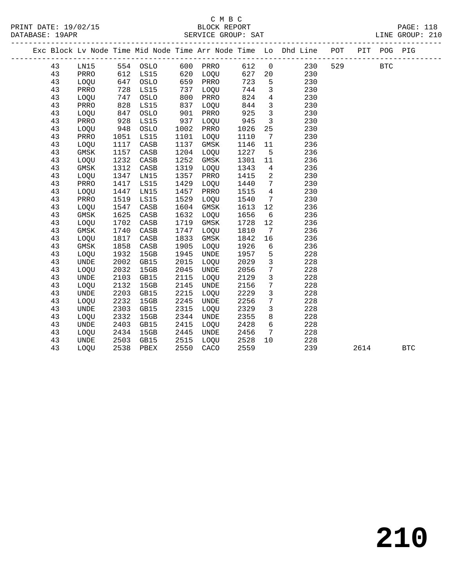### C M B C<br>BLOCK REPORT SERVICE GROUP: SAT

PRINT DATE: 19/02/15 BLOCK REPORT PAGE: 118

|    |             |      |          |      |          |      |                              | Exc Block Lv Node Time Mid Node Time Arr Node Time Lo Dhd Line POT |     |      | PIT POG PIG |            |
|----|-------------|------|----------|------|----------|------|------------------------------|--------------------------------------------------------------------|-----|------|-------------|------------|
| 43 | LN15        |      | 554 OSLO |      | 600 PRRO | 612  | $\overline{0}$               | 230                                                                | 529 |      | <b>BTC</b>  |            |
| 43 | PRRO        | 612  | LS15     | 620  | LOQU     | 627  | 20                           | 230                                                                |     |      |             |            |
| 43 | LOQU        | 647  | OSLO     | 659  | PRRO     | 723  | 5                            | 230                                                                |     |      |             |            |
| 43 | PRRO        | 728  | LS15     | 737  | LOQU     | 744  | $\mathbf{3}$                 | 230                                                                |     |      |             |            |
| 43 | LOQU        | 747  | OSLO     | 800  | PRRO     | 824  | $\overline{4}$               | 230                                                                |     |      |             |            |
| 43 | PRRO        | 828  | LS15     | 837  | LOQU     | 844  | $\overline{\mathbf{3}}$      | 230                                                                |     |      |             |            |
| 43 | LOQU        | 847  | OSLO     | 901  | PRRO     | 925  | $\overline{\mathbf{3}}$      | 230                                                                |     |      |             |            |
| 43 | PRRO        | 928  | LS15     | 937  | LOQU     | 945  | $\overline{3}$               | 230                                                                |     |      |             |            |
| 43 | LOQU        | 948  | OSLO     | 1002 | PRRO     | 1026 | 25                           | 230                                                                |     |      |             |            |
| 43 | PRRO        | 1051 | LS15     | 1101 | LOQU     | 1110 | $\overline{7}$               | 230                                                                |     |      |             |            |
| 43 | LOQU        | 1117 | CASB     | 1137 | GMSK     | 1146 | 11                           | 236                                                                |     |      |             |            |
| 43 | $\rm{GMSK}$ | 1157 | CASB     | 1204 | LOQU     | 1227 | $5\overline{5}$              | 236                                                                |     |      |             |            |
| 43 | LOQU        | 1232 | CASB     | 1252 | GMSK     | 1301 | 11                           | 236                                                                |     |      |             |            |
| 43 | GMSK        | 1312 | CASB     | 1319 | LOQU     | 1343 | $4\overline{4}$              | 236                                                                |     |      |             |            |
| 43 | LOQU        | 1347 | LN15     | 1357 | PRRO     | 1415 | $\overline{a}$               | 230                                                                |     |      |             |            |
| 43 | PRRO        | 1417 | LS15     | 1429 | LOQU     | 1440 | $7\phantom{.0}$              | 230                                                                |     |      |             |            |
| 43 | LOQU        | 1447 | LN15     | 1457 | PRRO     | 1515 | $\overline{4}$               | 230                                                                |     |      |             |            |
| 43 | PRRO        | 1519 | LS15     | 1529 | LOQU     | 1540 | $7\phantom{.0}\phantom{.0}7$ | 230                                                                |     |      |             |            |
| 43 | LOQU        | 1547 | CASB     | 1604 | GMSK     | 1613 | 12                           | 236                                                                |     |      |             |            |
| 43 | GMSK        | 1625 | CASB     | 1632 | LOQU     | 1656 | $6\overline{6}$              | 236                                                                |     |      |             |            |
| 43 | LOQU        | 1702 | CASB     | 1719 | GMSK     | 1728 | 12                           | 236                                                                |     |      |             |            |
| 43 | GMSK        | 1740 | CASB     | 1747 | LOQU     | 1810 | $7\phantom{.0}$              | 236                                                                |     |      |             |            |
| 43 | LOQU        | 1817 | CASB     | 1833 | GMSK     | 1842 | 16                           | 236                                                                |     |      |             |            |
| 43 | GMSK        | 1858 | CASB     | 1905 | LOQU     | 1926 | 6                            | 236                                                                |     |      |             |            |
| 43 | LOQU        | 1932 | 15GB     | 1945 | UNDE     | 1957 | 5                            | 228                                                                |     |      |             |            |
| 43 | UNDE        | 2002 | GB15     | 2015 | LOQU     | 2029 | $\mathbf{3}$                 | 228                                                                |     |      |             |            |
| 43 | LOQU        | 2032 | 15GB     | 2045 | UNDE     | 2056 | $7\phantom{.0}$              | 228                                                                |     |      |             |            |
| 43 | <b>UNDE</b> | 2103 | GB15     | 2115 | LOQU     | 2129 | $\mathbf{3}$                 | 228                                                                |     |      |             |            |
| 43 | LOQU        | 2132 | 15GB     | 2145 | UNDE     | 2156 | 7                            | 228                                                                |     |      |             |            |
| 43 | <b>UNDE</b> | 2203 | GB15     | 2215 | LOQU     | 2229 | $\mathbf{3}$                 | 228                                                                |     |      |             |            |
| 43 | LOQU        | 2232 | 15GB     | 2245 | UNDE     | 2256 | $7\phantom{.0}$              | 228                                                                |     |      |             |            |
| 43 | <b>UNDE</b> | 2303 | GB15     | 2315 | LOQU     | 2329 | $\overline{3}$               | 228                                                                |     |      |             |            |
| 43 | LOQU        | 2332 | 15GB     | 2344 | UNDE     | 2355 | 8                            | 228                                                                |     |      |             |            |
| 43 | <b>UNDE</b> | 2403 | GB15     | 2415 | LOQU     | 2428 | $6\overline{6}$              | 228                                                                |     |      |             |            |
| 43 | LOQU        | 2434 | 15GB     | 2445 | UNDE     | 2456 | $7\phantom{.0}\phantom{.0}7$ | 228                                                                |     |      |             |            |
| 43 | UNDE        | 2503 | GB15     | 2515 | LOOU     | 2528 | 10                           | 228                                                                |     |      |             |            |
| 43 | LOQU        | 2538 | PBEX     | 2550 | CACO     | 2559 |                              | 239                                                                |     | 2614 |             | <b>BTC</b> |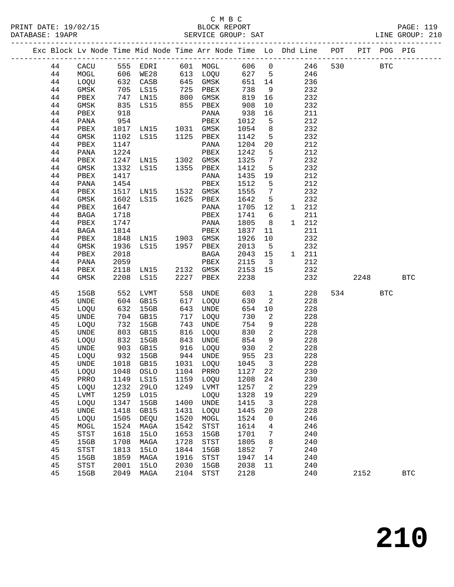|    |                            |      | Exc Block Lv Node Time Mid Node Time Arr Node Time Lo Dhd Line POT |      |                                       |       |                         |       |     |      | PIT POG PIG |              |  |
|----|----------------------------|------|--------------------------------------------------------------------|------|---------------------------------------|-------|-------------------------|-------|-----|------|-------------|--------------|--|
| 44 | CACU                       | 555  | EDRI                                                               |      | 601 MOGL                              | 606   | $\overline{0}$          | 246   | 530 |      | <b>BTC</b>  |              |  |
| 44 | MOGL                       | 606  | WE28                                                               |      | 613 LOQU                              | 627 5 |                         | 246   |     |      |             |              |  |
| 44 | LOQU                       | 632  | CASB                                                               |      | 645 GMSK                              | 651   | 14                      | 236   |     |      |             |              |  |
| 44 | GMSK                       |      | 705 LS15                                                           | 725  | PBEX                                  | 738   | 9                       | 232   |     |      |             |              |  |
| 44 | PBEX                       | 747  | LN15                                                               | 800  | GMSK                                  | 819   | 16                      | 232   |     |      |             |              |  |
| 44 | GMSK                       | 835  | LS15                                                               | 855  | PBEX                                  | 908   | 10                      | 232   |     |      |             |              |  |
| 44 | PBEX                       | 918  |                                                                    |      | PANA                                  | 938   | 16                      | 211   |     |      |             |              |  |
| 44 | PANA                       | 954  |                                                                    |      | PBEX                                  | 1012  | 5                       | 212   |     |      |             |              |  |
| 44 | PBEX                       | 1017 | LN15                                                               |      | 1031 GMSK                             | 1054  | 8                       | 232   |     |      |             |              |  |
| 44 | GMSK                       | 1102 | LS15                                                               |      | 1125 PBEX                             | 1142  | 5                       | 232   |     |      |             |              |  |
| 44 | PBEX                       | 1147 |                                                                    |      | PANA                                  | 1204  | 20                      | 212   |     |      |             |              |  |
| 44 | PANA                       | 1224 |                                                                    |      | PBEX                                  | 1242  | 5                       | 212   |     |      |             |              |  |
| 44 | PBEX                       | 1247 | LN15 1302 GMSK                                                     |      |                                       | 1325  | $7\phantom{.0}$         | 232   |     |      |             |              |  |
| 44 | GMSK                       | 1332 | LS15                                                               | 1355 | PBEX                                  | 1412  | 5                       | 232   |     |      |             |              |  |
|    |                            |      |                                                                    |      |                                       |       |                         |       |     |      |             |              |  |
| 44 | PBEX                       | 1417 |                                                                    |      | PANA                                  | 1435  | 19                      | 212   |     |      |             |              |  |
| 44 | PANA                       | 1454 |                                                                    |      | PBEX                                  | 1512  | 5                       | 212   |     |      |             |              |  |
| 44 | PBEX                       | 1517 | LNI5                                                               |      | 1532 GMSK                             | 1555  | $7\phantom{.0}$         | 232   |     |      |             |              |  |
| 44 | GMSK                       | 1602 | LS15                                                               |      | 1625 PBEX                             | 1642  | 5                       | 232   |     |      |             |              |  |
| 44 | PBEX                       | 1647 |                                                                    |      | PANA                                  | 1705  | 12                      | 1 212 |     |      |             |              |  |
| 44 | BAGA                       | 1718 |                                                                    |      | PBEX                                  | 1741  | 6                       | 211   |     |      |             |              |  |
| 44 | PBEX                       | 1747 |                                                                    |      | PANA                                  | 1805  | 8                       | 1 212 |     |      |             |              |  |
| 44 | BAGA                       | 1814 |                                                                    |      | PBEX                                  | 1837  | 11                      | 211   |     |      |             |              |  |
| 44 | PBEX                       | 1848 | LN15 1903 GMSK                                                     |      |                                       | 1926  | 10                      | 232   |     |      |             |              |  |
| 44 | GMSK                       | 1936 | LS15                                                               |      | 1957 PBEX                             | 2013  | $5^{\circ}$             | 232   |     |      |             |              |  |
| 44 | PBEX                       | 2018 |                                                                    |      | BAGA                                  | 2043  | 15                      | 1 211 |     |      |             |              |  |
| 44 | PANA                       | 2059 |                                                                    |      | PBEX                                  | 2115  | $\overline{\mathbf{3}}$ | 212   |     |      |             |              |  |
| 44 | PBEX                       | 2118 | LN15                                                               | 2132 | GMSK                                  | 2153  | 15                      | 232   |     |      |             |              |  |
| 44 | GMSK                       | 2208 | LS15                                                               | 2227 | PBEX                                  | 2238  |                         | 232   |     | 2248 |             | <b>BTC</b>   |  |
| 45 | 15GB                       | 552  | LVMT                                                               | 558  | UNDE                                  | 603   | $\mathbf{1}$            | 228   | 534 |      | <b>BTC</b>  |              |  |
| 45 | <b>UNDE</b>                | 604  | GB15                                                               | 617  | LOQU                                  | 630   | 2                       | 228   |     |      |             |              |  |
| 45 | LOQU                       | 632  | 15GB                                                               | 643  | UNDE                                  | 654   | 10                      | 228   |     |      |             |              |  |
| 45 | UNDE                       | 704  | GB15                                                               | 717  | LOQU                                  | 730   | 2                       | 228   |     |      |             |              |  |
| 45 | LOQU                       | 732  | 15GB                                                               | 743  | UNDE                                  | 754   | 9                       | 228   |     |      |             |              |  |
| 45 | <b>UNDE</b>                | 803  | GB15                                                               | 816  | LOQU                                  | 830   | 2                       | 228   |     |      |             |              |  |
| 45 | LOQU                       | 832  | 15GB                                                               | 843  | UNDE                                  | 854   | 9                       | 228   |     |      |             |              |  |
| 45 | UNDE                       | 903  | GB15                                                               | 916  | LOQU                                  | 930   | 2                       | 228   |     |      |             |              |  |
| 45 | LOQU                       | 932  | 15GB                                                               |      | 944 UNDE                              | 955   | 23                      | 228   |     |      |             |              |  |
| 45 | UNDE                       |      | 1018 GB15                                                          | 1031 | LOQU                                  | 1045  | $\mathbf{3}$            | 228   |     |      |             |              |  |
| 45 | <b>LOQU</b>                | 1048 | OSLO                                                               | 1104 | PRRO                                  | 1127  | 22                      | 230   |     |      |             |              |  |
| 45 | PRRO                       | 1149 | LS15                                                               | 1159 | LOQU                                  | 1208  | 24                      | 230   |     |      |             |              |  |
| 45 | LOQU                       | 1232 | <b>29LO</b>                                                        | 1249 | LVMT                                  | 1257  | 2                       | 229   |     |      |             |              |  |
| 45 | <b>LVMT</b>                | 1259 | L015                                                               |      | LOQU                                  | 1328  | 19                      | 229   |     |      |             |              |  |
| 45 | LOQU                       | 1347 | 15GB                                                               | 1400 | <b>UNDE</b>                           | 1415  | 3                       | 228   |     |      |             |              |  |
| 45 | UNDE                       | 1418 | GB15                                                               | 1431 | LOQU                                  | 1445  | 20                      | 228   |     |      |             |              |  |
| 45 | LOQU                       | 1505 | <b>DEQU</b>                                                        | 1520 | MOGL                                  | 1524  | 0                       | 246   |     |      |             |              |  |
| 45 | MOGL                       | 1524 | MAGA                                                               | 1542 | STST                                  | 1614  | 4                       | 246   |     |      |             |              |  |
| 45 | STST                       | 1618 | <b>15LO</b>                                                        | 1653 | 15GB                                  | 1701  | 7                       | 240   |     |      |             |              |  |
| 45 | 15GB                       | 1708 | MAGA                                                               | 1728 | STST                                  | 1805  | 8                       | 240   |     |      |             |              |  |
| 45 | $_{\footnotesize\rm STST}$ | 1813 | <b>15LO</b>                                                        | 1844 | 15GB                                  | 1852  | 7                       | 240   |     |      |             |              |  |
| 45 | 15GB                       | 1859 | MAGA                                                               | 1916 | $_{\footnotesize{\textnormal{STST}}}$ | 1947  | 14                      | 240   |     |      |             |              |  |
| 45 | <b>STST</b>                | 2001 | 15LO                                                               | 2030 | 15GB                                  | 2038  | 11                      | 240   |     |      |             |              |  |
| 45 | 15GB                       | 2049 | MAGA                                                               | 2104 | $_{\footnotesize{\textnormal{STST}}}$ | 2128  |                         | 240   |     | 2152 |             | $_{\rm BTC}$ |  |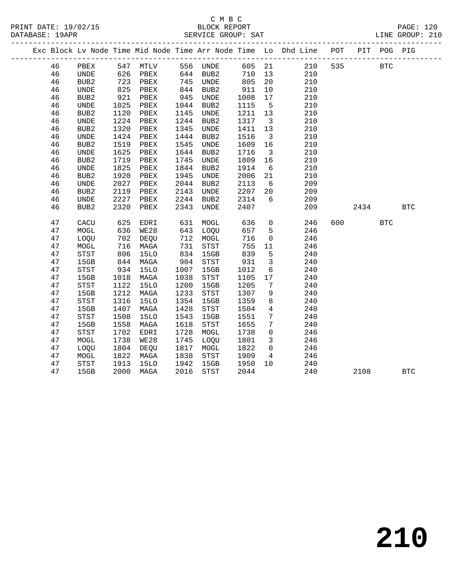### C M B C<br>BLOCK REPORT SERVICE GROUP: SAT

|    |                  |            |                   |      |                      |         |                         | Exc Block Lv Node Time Mid Node Time Arr Node Time Lo Dhd Line POT |     |         | PIT POG PIG |              |  |
|----|------------------|------------|-------------------|------|----------------------|---------|-------------------------|--------------------------------------------------------------------|-----|---------|-------------|--------------|--|
| 46 | PBEX             |            | 547 MTLV 556 UNDE |      |                      |         |                         | 605 21 210                                                         | 535 |         | <b>BTC</b>  |              |  |
| 46 | UNDE             | 626<br>723 | PBEX              |      | 644 BUB2<br>745 UNDE | 710 13  |                         | 210                                                                |     |         |             |              |  |
| 46 | BUB2             |            | PBEX              |      |                      | 805     | 20                      | 210                                                                |     |         |             |              |  |
| 46 | UNDE             | 825        | PBEX              | 844  | BUB2                 | 911     | 10                      | 210                                                                |     |         |             |              |  |
| 46 | BUB2             | 921        | PBEX              | 945  | UNDE                 | 1008    | 17                      | 210                                                                |     |         |             |              |  |
| 46 | <b>UNDE</b>      | 1025       | PBEX              |      | 1044 BUB2            | 1115    | $5^{\circ}$             | 210                                                                |     |         |             |              |  |
| 46 | BUB <sub>2</sub> | 1120       | PBEX              | 1145 | UNDE                 | 1211 13 |                         | 210                                                                |     |         |             |              |  |
| 46 | <b>UNDE</b>      | 1224       | PBEX              | 1244 | BUB2                 | 1317    | $\overline{\mathbf{3}}$ | 210                                                                |     |         |             |              |  |
| 46 | BUB <sub>2</sub> | 1320       | PBEX              | 1345 | UNDE                 | 1411    | 13                      | 210                                                                |     |         |             |              |  |
| 46 | UNDE             | 1424       | PBEX              | 1444 | BUB2                 | 1516    | $\overline{\mathbf{3}}$ | 210                                                                |     |         |             |              |  |
| 46 | BUB2             | 1519       | PBEX              | 1545 | UNDE                 | 1609    | 16                      | 210                                                                |     |         |             |              |  |
| 46 | UNDE             | 1625       | PBEX              | 1644 | BUB2                 | 1716    | $\overline{\mathbf{3}}$ | 210                                                                |     |         |             |              |  |
| 46 | BUB <sub>2</sub> | 1719       | PBEX              | 1745 | UNDE                 | 1809    | 16                      | 210                                                                |     |         |             |              |  |
| 46 | <b>UNDE</b>      | 1825       | PBEX              | 1844 | BUB2                 | 1914    | $6\overline{6}$         | 210                                                                |     |         |             |              |  |
| 46 | BUB <sub>2</sub> | 1920       | PBEX              | 1945 | UNDE                 | 2006    | 21                      | 210                                                                |     |         |             |              |  |
| 46 | <b>UNDE</b>      | 2027       | PBEX              | 2044 | BUB2                 | 2113    | 6                       | 209                                                                |     |         |             |              |  |
| 46 | BUB <sub>2</sub> | 2119       | PBEX              | 2143 | UNDE                 | 2207    | 20                      | 209                                                                |     |         |             |              |  |
| 46 | UNDE             | 2227       | PBEX              | 2244 | BUB2                 | 2314    | 6                       | 209                                                                |     |         |             |              |  |
| 46 | BUB2             | 2320       | PBEX              |      | 2343 UNDE            | 2407    |                         | 209                                                                |     | 2434    |             | $_{\rm BTC}$ |  |
| 47 | CACU             | 625        | EDRI              |      | 631 MOGL             | 636     | $\overline{0}$          | 246                                                                |     | 600 000 | <b>BTC</b>  |              |  |
| 47 | MOGL             | 636        | WE28              |      | 643 LOQU             | 657     | $5^{\circ}$             | 246                                                                |     |         |             |              |  |
| 47 | LOQU             | 702        | DEQU              |      | 712 MOGL             | 716     | $\mathsf{O}$            | 246                                                                |     |         |             |              |  |
| 47 | MOGL             | 716        | MAGA              | 731  | STST                 | 755     | 11                      | 246                                                                |     |         |             |              |  |
| 47 | STST             | 806        | <b>15LO</b>       | 834  | 15GB                 | 839     | 5                       | 240                                                                |     |         |             |              |  |
| 47 | 15GB             | 844        | MAGA              | 904  | STST                 | 931     | $\overline{\mathbf{3}}$ | 240                                                                |     |         |             |              |  |
| 47 | STST             | 934        | 15LO              | 1007 | 15GB                 | 1012    | $6\overline{6}$         | 240                                                                |     |         |             |              |  |
| 47 | 15GB             | 1018       | MAGA              | 1038 | STST                 | 1105    | 17                      | 240                                                                |     |         |             |              |  |
| 47 | STST             | 1122       | 15LO              | 1200 | 15GB                 | 1205    | $\overline{7}$          | 240                                                                |     |         |             |              |  |
| 47 | 15GB             | 1212       | MAGA              | 1233 | STST                 | 1307    | 9                       | 240                                                                |     |         |             |              |  |
| 47 | STST             | 1316       | 15LO              | 1354 | 15GB                 | 1359    | 8                       | 240                                                                |     |         |             |              |  |
| 47 | 15GB             | 1407       | MAGA              | 1428 | STST                 | 1504    | $\overline{4}$          | 240                                                                |     |         |             |              |  |
| 47 | STST             | 1508       | 15LO              | 1543 | 15GB                 | 1551    | $7\phantom{.0}$         | 240                                                                |     |         |             |              |  |
| 47 | 15GB             | 1558       | MAGA              | 1618 | STST                 | 1655    | $7\overline{ }$         | 240                                                                |     |         |             |              |  |
| 47 | STST             | 1702       | EDRI              | 1728 | MOGL                 | 1738    | $\overline{0}$          | 246                                                                |     |         |             |              |  |
| 47 | MOGL             | 1738       | WE28              | 1745 | LOQU                 | 1801    | $\mathbf{3}$            | 246                                                                |     |         |             |              |  |
| 47 | LOQU             | 1804       | DEQU              | 1817 | MOGL                 | 1822    | $\overline{0}$          | 246                                                                |     |         |             |              |  |
| 47 | MOGL             | 1822       | MAGA              | 1838 | <b>STST</b>          | 1909    | $\overline{4}$          | 246                                                                |     |         |             |              |  |

47 STST 1913 15LO 1942 15GB 1950 10 240

47 15GB 2000 MAGA 2016 STST 2044 240 2108 BTC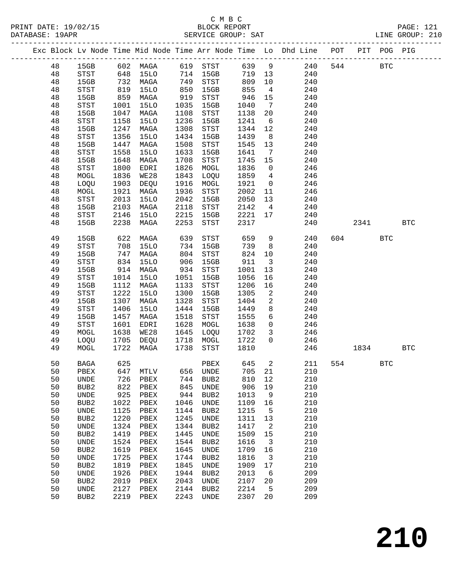|          |                                       |                                                                                              |              |              |                                       |              |                         | Exc Block Lv Node Time Mid Node Time Arr Node Time Lo Dhd Line POT<br>_______________________________ |     |      | PIT POG PIG |            |
|----------|---------------------------------------|----------------------------------------------------------------------------------------------|--------------|--------------|---------------------------------------|--------------|-------------------------|-------------------------------------------------------------------------------------------------------|-----|------|-------------|------------|
| 48       | 15GB                                  |                                                                                              | 602 MAGA     |              | 619 STST                              | 639          | $\overline{9}$          | 240                                                                                                   | 544 |      | <b>BTC</b>  |            |
| 48       | STST                                  | 648                                                                                          | 15LO         |              | 714 15GB                              | 719          | 13                      | 240                                                                                                   |     |      |             |            |
| 48       | 15GB                                  | $\begin{array}{c} \n \stackrel{\frown}{\phantom{}_{0}} \\  819 \\  \hline\n 0\n \end{array}$ | MAGA         | 749          | STST                                  | 809          | 10                      | 240                                                                                                   |     |      |             |            |
| 48       | STST                                  |                                                                                              | 15LO         | 850          | 15GB                                  | 855          | $\overline{4}$          | 240                                                                                                   |     |      |             |            |
| 48       | 15GB                                  | 859                                                                                          | MAGA         | 919          | STST                                  | 946          | 15                      | 240                                                                                                   |     |      |             |            |
| 48       | STST                                  | 1001                                                                                         | <b>15LO</b>  | 1035         | 15GB                                  | 1040         | $\overline{7}$          | 240                                                                                                   |     |      |             |            |
| 48       | 15GB                                  | 1047                                                                                         | MAGA         | 1108         | STST                                  | 1138         | 20                      | 240                                                                                                   |     |      |             |            |
| 48       | STST                                  | 1158                                                                                         | 15LO         | 1236         | 15GB                                  | 1241         | 6                       | 240                                                                                                   |     |      |             |            |
| 48       | 15GB                                  | 1247                                                                                         | MAGA         | 1308         | STST                                  | 1344         | 12                      | 240                                                                                                   |     |      |             |            |
| 48       | STST                                  | 1356                                                                                         | <b>15LO</b>  | 1434         | 15GB                                  | 1439         | 8 <sup>8</sup>          | 240                                                                                                   |     |      |             |            |
| 48       | 15GB                                  | 1447                                                                                         | MAGA         | 1508         | $_{\footnotesize{\textnormal{STST}}}$ | 1545         | 13                      | 240                                                                                                   |     |      |             |            |
| 48<br>48 | STST<br>15GB                          | 1558<br>1648                                                                                 | 15LO<br>MAGA | 1633<br>1708 | 15GB<br>STST                          | 1641<br>1745 | $\overline{7}$<br>15    | 240<br>240                                                                                            |     |      |             |            |
| 48       | STST                                  | 1800                                                                                         | EDRI         | 1826         | MOGL                                  | 1836         | $\overline{0}$          | 246                                                                                                   |     |      |             |            |
| 48       | MOGL                                  | 1836                                                                                         | WE28         | 1843         | LOQU                                  | 1859         | $4\overline{ }$         | 246                                                                                                   |     |      |             |            |
| 48       | LOQU                                  | 1903                                                                                         | DEQU         | 1916         | MOGL                                  | 1921         | $\overline{0}$          | 246                                                                                                   |     |      |             |            |
| 48       | MOGL                                  | 1921                                                                                         | MAGA         | 1936         | STST                                  | 2002         | 11                      | 246                                                                                                   |     |      |             |            |
| 48       | STST                                  | 2013                                                                                         | <b>15LO</b>  | 2042         | 15GB                                  | 2050         | 13                      | 240                                                                                                   |     |      |             |            |
| 48       | 15GB                                  | 2103                                                                                         | MAGA         | 2118         | $_{\footnotesize{\textnormal{STST}}}$ | 2142         | $\overline{4}$          | 240                                                                                                   |     |      |             |            |
| 48       | STST                                  | 2146                                                                                         | 15LO         | 2215         | 15GB                                  | 2221         | 17                      | 240                                                                                                   |     |      |             |            |
| 48       | 15GB                                  | 2238                                                                                         | MAGA         | 2253         | STST                                  | 2317         |                         | 240                                                                                                   |     | 2341 |             | <b>BTC</b> |
| 49       | 15GB                                  | 622                                                                                          | MAGA         | 639          | STST                                  | 659          | 9                       | 240                                                                                                   | 604 |      | <b>BTC</b>  |            |
| 49       | $_{\footnotesize{\textnormal{STST}}}$ | 708                                                                                          | <b>15LO</b>  | 734          | 15GB                                  | 739          | 8                       | 240                                                                                                   |     |      |             |            |
| 49       | 15GB                                  | 747                                                                                          | MAGA         | 804          | STST                                  | 824          | 10                      | 240                                                                                                   |     |      |             |            |
| 49       | STST                                  | 834                                                                                          | 15LO         | 906          | 15GB                                  | 911          | $\overline{\mathbf{3}}$ | 240                                                                                                   |     |      |             |            |
| 49       | 15GB                                  | 914                                                                                          | MAGA         | 934          | STST                                  | 1001         | 13                      | 240                                                                                                   |     |      |             |            |
| 49       | STST                                  | 1014                                                                                         | 15LO         | 1051         | 15GB                                  | 1056         | 16                      | 240                                                                                                   |     |      |             |            |
| 49       | 15GB                                  | 1112                                                                                         | MAGA         | 1133         | STST                                  | 1206         | 16                      | 240                                                                                                   |     |      |             |            |
| 49       | $_{\footnotesize{\textnormal{STST}}}$ | 1222<br>1307                                                                                 | <b>15LO</b>  | 1300<br>1328 | 15GB                                  | 1305         | 2                       | 240                                                                                                   |     |      |             |            |
| 49<br>49 | 15GB<br><b>STST</b>                   | 1406                                                                                         | MAGA<br>15LO | 1444         | STST<br>15GB                          | 1404<br>1449 | 2<br>8                  | 240<br>240                                                                                            |     |      |             |            |
| 49       | 15GB                                  | 1457                                                                                         | MAGA         | 1518         | STST                                  | 1555         | 6                       | 240                                                                                                   |     |      |             |            |
| 49       | STST                                  | 1601                                                                                         | EDRI         | 1628         | MOGL                                  | 1638         | $\overline{0}$          | 246                                                                                                   |     |      |             |            |
| 49       | MOGL                                  | 1638                                                                                         | WE28         | 1645         | LOQU                                  | 1702         | $\mathbf{3}$            | 246                                                                                                   |     |      |             |            |
| 49       | LOQU                                  | 1705                                                                                         | DEQU         | 1718         | MOGL                                  | 1722         | $\Omega$                | 246                                                                                                   |     |      |             |            |
| 49       | MOGL                                  | 1722                                                                                         | MAGA         | 1738         | STST                                  | 1810         |                         | 246                                                                                                   |     | 1834 |             | <b>BTC</b> |
| 50       | BAGA                                  | 625                                                                                          |              |              | PBEX                                  | 645          | $\overline{2}$          | 211                                                                                                   |     | 554  | <b>BTC</b>  |            |
| 50       | PBEX                                  | 647                                                                                          | MTLV         | 656          | UNDE                                  | 705          | 21                      | 210                                                                                                   |     |      |             |            |
| 50       | UNDE                                  | 726                                                                                          | PBEX         | 744          | BUB <sub>2</sub>                      | 810          | 12                      | 210                                                                                                   |     |      |             |            |
| 50       | BUB <sub>2</sub>                      | 822                                                                                          | PBEX         | 845          | UNDE                                  | 906          | 19                      | 210                                                                                                   |     |      |             |            |
| 50       | UNDE                                  | 925                                                                                          | PBEX         | 944          | BUB <sub>2</sub>                      | 1013         | 9                       | 210                                                                                                   |     |      |             |            |
| 50       | BUB <sub>2</sub>                      | 1022                                                                                         | PBEX         | 1046         | <b>UNDE</b>                           | 1109         | 16                      | 210                                                                                                   |     |      |             |            |
| 50       | UNDE                                  | 1125                                                                                         | PBEX         | 1144         | BUB <sub>2</sub>                      | 1215         | 5                       | 210<br>210                                                                                            |     |      |             |            |
| 50<br>50 | BUB <sub>2</sub><br>UNDE              | 1220<br>1324                                                                                 | PBEX<br>PBEX | 1245<br>1344 | <b>UNDE</b><br>BUB <sub>2</sub>       | 1311<br>1417 | 13<br>2                 | 210                                                                                                   |     |      |             |            |
| 50       | BUB <sub>2</sub>                      | 1419                                                                                         | PBEX         | 1445         | <b>UNDE</b>                           | 1509         | 15                      | 210                                                                                                   |     |      |             |            |
| 50       | UNDE                                  | 1524                                                                                         | ${\tt PBEX}$ | 1544         | BUB <sub>2</sub>                      | 1616         | 3                       | 210                                                                                                   |     |      |             |            |
| 50       | BUB <sub>2</sub>                      | 1619                                                                                         | ${\tt PBEX}$ | 1645         | <b>UNDE</b>                           | 1709         | 16                      | 210                                                                                                   |     |      |             |            |
| 50       | UNDE                                  | 1725                                                                                         | ${\tt PBEX}$ | 1744         | BUB <sub>2</sub>                      | 1816         | 3                       | 210                                                                                                   |     |      |             |            |
| 50       | BUB <sub>2</sub>                      | 1819                                                                                         | PBEX         | 1845         | UNDE                                  | 1909         | 17                      | 210                                                                                                   |     |      |             |            |
| 50       | UNDE                                  | 1926                                                                                         | ${\tt PBEX}$ | 1944         | BUB <sub>2</sub>                      | 2013         | 6                       | 209                                                                                                   |     |      |             |            |
| 50       | BUB <sub>2</sub>                      | 2019                                                                                         | PBEX         | 2043         | <b>UNDE</b>                           | 2107         | 20                      | 209                                                                                                   |     |      |             |            |
| 50       | $\ensuremath{\mathsf{UNDE}}$          | 2127                                                                                         | PBEX         | 2144         | BUB2                                  | 2214         | 5                       | 209                                                                                                   |     |      |             |            |
| 50       | BUB <sub>2</sub>                      | 2219                                                                                         | ${\tt PBEX}$ | 2243         | UNDE                                  | 2307         | 20                      | 209                                                                                                   |     |      |             |            |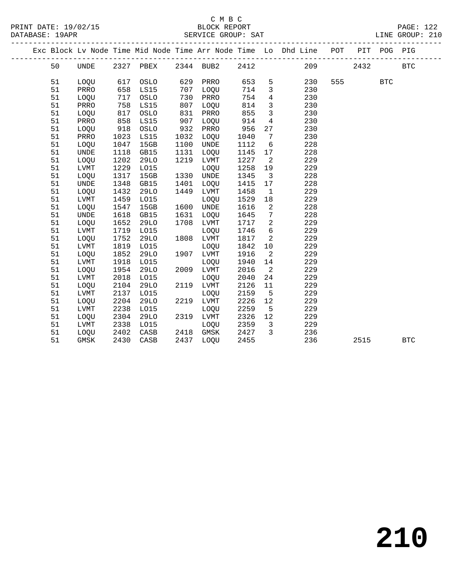## C M B C<br>BLOCK REPORT

| PRINT DATE: 19/02/15<br>DATABASE: 19APR | BLOCK REPORT<br>SERVICE GROUP: SAT                                             |  | PAGE: 122<br>LINE GROUP: 210 |  |
|-----------------------------------------|--------------------------------------------------------------------------------|--|------------------------------|--|
|                                         | Exc Block Ly Node Time Mid Node Time Arr Node Time Lo Dhd Line POT PIT POG PIG |  |                              |  |

| 2344 BUB2<br>2412<br>209<br>2432<br>50<br>2327<br>PBEX<br><b>BTC</b><br><b>UNDE</b><br>51<br>629<br>653<br>5<br>230<br>555<br>LOQU<br>617<br>OSLO<br>PRRO<br><b>BTC</b><br>658<br>3<br>230<br>51<br>PRRO<br>LS15<br>707<br>LOQU<br>714<br>717<br>730<br>754<br>$\overline{4}$<br>230<br>51<br>OSLO<br>PRRO<br>LOQU<br>758<br>230<br>51<br>LS15<br>807<br>814<br>3<br>PRRO<br>LOQU<br>$\mathbf{3}$<br>230<br>51<br>817<br>831<br>855<br>LOQU<br>OSLO<br>PRRO<br>51<br>858<br>LS15<br>907<br>914<br>230<br>PRRO<br>LOQU<br>4<br>51<br>918<br>932<br>956<br>27<br>230<br>LOQU<br>OSLO<br>PRRO<br>1023<br>1032<br>230<br>51<br>PRRO<br>LS15<br>LOQU<br>1040<br>7<br>1047<br>1100<br>228<br>51<br>LOQU<br>15GB<br>UNDE<br>1112<br>6<br>228<br>51<br><b>UNDE</b><br>1118<br>GB15<br>1131<br>LOQU<br>1145<br>17<br>229<br>51<br>LOQU<br>1202<br><b>29LO</b><br>1219<br>LVMT<br>1227<br>2<br>229<br>51<br>1229<br>1258<br>LVMT<br>L015<br>LOQU<br>19<br>228<br>51<br>1317<br>15GB<br>1330<br><b>UNDE</b><br>1345<br>LOQU<br>3<br>51<br>1348<br>GB15<br>1401<br>1415<br>228<br>UNDE<br>LOQU<br>17<br>51<br>1432<br><b>29LO</b><br>1449<br>1458<br>229<br>LOQU<br>LVMT<br>$\mathbf 1$<br>229<br>51<br>1459<br>L015<br>1529<br>18<br>LVMT<br>LOQU<br>51<br>15GB<br>1600<br>1616<br>2<br>228<br>LOQU<br>1547<br>UNDE<br>51<br>1618<br>1631<br>228<br><b>UNDE</b><br>GB15<br>LOQU<br>1645<br>7<br>2<br>51<br>1652<br>1708<br>1717<br>229<br>LOQU<br><b>29LO</b><br>LVMT<br>1719<br>6<br>229<br>51<br>${\rm LVMT}$<br>L015<br>LOQU<br>1746<br>1752<br>$\overline{a}$<br>229<br>51<br>LOQU<br><b>29LO</b><br>1808<br>LVMT<br>1817<br>1819<br>229<br>51<br>${\rm LVMT}$<br>L015<br>1842<br>10<br>LOQU<br>$\overline{a}$<br>51<br>1852<br><b>29LO</b><br>1916<br>229<br>LOQU<br>1907<br>LVMT<br>1918<br>229<br>51<br>L015<br>1940<br>14<br>LVMT<br>LOQU<br>$\overline{a}$<br>51<br>1954<br><b>29LO</b><br>2016<br>229<br>LOQU<br>2009<br>LVMT<br>51<br>2018<br>L015<br>2040<br>24<br>229<br>LVMT<br>LOQU<br>51<br>2104<br><b>29LO</b><br>2119<br>2126<br>229<br>LOQU<br>LVMT<br>11<br>2159<br>5<br>229<br>51<br>2137<br>L015<br>LOQU<br>LVMT<br>2226<br>229<br>51<br>LOQU<br>2204<br>29LO<br>2219<br><b>LVMT</b><br>12<br>229<br>51<br>2238<br>L015<br>LOQU<br>2259<br>5<br><b>LVMT</b><br>51<br>2304<br><b>29LO</b><br>2319<br>LVMT<br>2326<br>12<br>229<br>LOQU<br>229<br>51<br>2338<br>L015<br>LOQU<br>2359<br>LVMT<br>3<br>2402<br>2427<br>3<br>236<br>51<br>LOQU<br>CASB<br>2418<br>GMSK<br>51<br>2437<br>236<br>GMSK<br>2430<br>CASB<br>LOQU<br>2455<br>2515<br><b>BTC</b> |  |  | Exc Block Lv Node Time Mid Node Time Arr Node Time Lo |  |  | Dhd Line | POT | PIT | POG | PIG |  |
|-----------------------------------------------------------------------------------------------------------------------------------------------------------------------------------------------------------------------------------------------------------------------------------------------------------------------------------------------------------------------------------------------------------------------------------------------------------------------------------------------------------------------------------------------------------------------------------------------------------------------------------------------------------------------------------------------------------------------------------------------------------------------------------------------------------------------------------------------------------------------------------------------------------------------------------------------------------------------------------------------------------------------------------------------------------------------------------------------------------------------------------------------------------------------------------------------------------------------------------------------------------------------------------------------------------------------------------------------------------------------------------------------------------------------------------------------------------------------------------------------------------------------------------------------------------------------------------------------------------------------------------------------------------------------------------------------------------------------------------------------------------------------------------------------------------------------------------------------------------------------------------------------------------------------------------------------------------------------------------------------------------------------------------------------------------------------------------------------------------------------------------------------------------------------------------------------------------------------------------------------------------------------------------------------------------------------------------------------------------------------------------------------------------------------------------------------------------------------------------------------------------------------------------------------------------------|--|--|-------------------------------------------------------|--|--|----------|-----|-----|-----|-----|--|
|                                                                                                                                                                                                                                                                                                                                                                                                                                                                                                                                                                                                                                                                                                                                                                                                                                                                                                                                                                                                                                                                                                                                                                                                                                                                                                                                                                                                                                                                                                                                                                                                                                                                                                                                                                                                                                                                                                                                                                                                                                                                                                                                                                                                                                                                                                                                                                                                                                                                                                                                                                 |  |  |                                                       |  |  |          |     |     |     |     |  |
|                                                                                                                                                                                                                                                                                                                                                                                                                                                                                                                                                                                                                                                                                                                                                                                                                                                                                                                                                                                                                                                                                                                                                                                                                                                                                                                                                                                                                                                                                                                                                                                                                                                                                                                                                                                                                                                                                                                                                                                                                                                                                                                                                                                                                                                                                                                                                                                                                                                                                                                                                                 |  |  |                                                       |  |  |          |     |     |     |     |  |
|                                                                                                                                                                                                                                                                                                                                                                                                                                                                                                                                                                                                                                                                                                                                                                                                                                                                                                                                                                                                                                                                                                                                                                                                                                                                                                                                                                                                                                                                                                                                                                                                                                                                                                                                                                                                                                                                                                                                                                                                                                                                                                                                                                                                                                                                                                                                                                                                                                                                                                                                                                 |  |  |                                                       |  |  |          |     |     |     |     |  |
|                                                                                                                                                                                                                                                                                                                                                                                                                                                                                                                                                                                                                                                                                                                                                                                                                                                                                                                                                                                                                                                                                                                                                                                                                                                                                                                                                                                                                                                                                                                                                                                                                                                                                                                                                                                                                                                                                                                                                                                                                                                                                                                                                                                                                                                                                                                                                                                                                                                                                                                                                                 |  |  |                                                       |  |  |          |     |     |     |     |  |
|                                                                                                                                                                                                                                                                                                                                                                                                                                                                                                                                                                                                                                                                                                                                                                                                                                                                                                                                                                                                                                                                                                                                                                                                                                                                                                                                                                                                                                                                                                                                                                                                                                                                                                                                                                                                                                                                                                                                                                                                                                                                                                                                                                                                                                                                                                                                                                                                                                                                                                                                                                 |  |  |                                                       |  |  |          |     |     |     |     |  |
|                                                                                                                                                                                                                                                                                                                                                                                                                                                                                                                                                                                                                                                                                                                                                                                                                                                                                                                                                                                                                                                                                                                                                                                                                                                                                                                                                                                                                                                                                                                                                                                                                                                                                                                                                                                                                                                                                                                                                                                                                                                                                                                                                                                                                                                                                                                                                                                                                                                                                                                                                                 |  |  |                                                       |  |  |          |     |     |     |     |  |
|                                                                                                                                                                                                                                                                                                                                                                                                                                                                                                                                                                                                                                                                                                                                                                                                                                                                                                                                                                                                                                                                                                                                                                                                                                                                                                                                                                                                                                                                                                                                                                                                                                                                                                                                                                                                                                                                                                                                                                                                                                                                                                                                                                                                                                                                                                                                                                                                                                                                                                                                                                 |  |  |                                                       |  |  |          |     |     |     |     |  |
|                                                                                                                                                                                                                                                                                                                                                                                                                                                                                                                                                                                                                                                                                                                                                                                                                                                                                                                                                                                                                                                                                                                                                                                                                                                                                                                                                                                                                                                                                                                                                                                                                                                                                                                                                                                                                                                                                                                                                                                                                                                                                                                                                                                                                                                                                                                                                                                                                                                                                                                                                                 |  |  |                                                       |  |  |          |     |     |     |     |  |
|                                                                                                                                                                                                                                                                                                                                                                                                                                                                                                                                                                                                                                                                                                                                                                                                                                                                                                                                                                                                                                                                                                                                                                                                                                                                                                                                                                                                                                                                                                                                                                                                                                                                                                                                                                                                                                                                                                                                                                                                                                                                                                                                                                                                                                                                                                                                                                                                                                                                                                                                                                 |  |  |                                                       |  |  |          |     |     |     |     |  |
|                                                                                                                                                                                                                                                                                                                                                                                                                                                                                                                                                                                                                                                                                                                                                                                                                                                                                                                                                                                                                                                                                                                                                                                                                                                                                                                                                                                                                                                                                                                                                                                                                                                                                                                                                                                                                                                                                                                                                                                                                                                                                                                                                                                                                                                                                                                                                                                                                                                                                                                                                                 |  |  |                                                       |  |  |          |     |     |     |     |  |
|                                                                                                                                                                                                                                                                                                                                                                                                                                                                                                                                                                                                                                                                                                                                                                                                                                                                                                                                                                                                                                                                                                                                                                                                                                                                                                                                                                                                                                                                                                                                                                                                                                                                                                                                                                                                                                                                                                                                                                                                                                                                                                                                                                                                                                                                                                                                                                                                                                                                                                                                                                 |  |  |                                                       |  |  |          |     |     |     |     |  |
|                                                                                                                                                                                                                                                                                                                                                                                                                                                                                                                                                                                                                                                                                                                                                                                                                                                                                                                                                                                                                                                                                                                                                                                                                                                                                                                                                                                                                                                                                                                                                                                                                                                                                                                                                                                                                                                                                                                                                                                                                                                                                                                                                                                                                                                                                                                                                                                                                                                                                                                                                                 |  |  |                                                       |  |  |          |     |     |     |     |  |
|                                                                                                                                                                                                                                                                                                                                                                                                                                                                                                                                                                                                                                                                                                                                                                                                                                                                                                                                                                                                                                                                                                                                                                                                                                                                                                                                                                                                                                                                                                                                                                                                                                                                                                                                                                                                                                                                                                                                                                                                                                                                                                                                                                                                                                                                                                                                                                                                                                                                                                                                                                 |  |  |                                                       |  |  |          |     |     |     |     |  |
|                                                                                                                                                                                                                                                                                                                                                                                                                                                                                                                                                                                                                                                                                                                                                                                                                                                                                                                                                                                                                                                                                                                                                                                                                                                                                                                                                                                                                                                                                                                                                                                                                                                                                                                                                                                                                                                                                                                                                                                                                                                                                                                                                                                                                                                                                                                                                                                                                                                                                                                                                                 |  |  |                                                       |  |  |          |     |     |     |     |  |
|                                                                                                                                                                                                                                                                                                                                                                                                                                                                                                                                                                                                                                                                                                                                                                                                                                                                                                                                                                                                                                                                                                                                                                                                                                                                                                                                                                                                                                                                                                                                                                                                                                                                                                                                                                                                                                                                                                                                                                                                                                                                                                                                                                                                                                                                                                                                                                                                                                                                                                                                                                 |  |  |                                                       |  |  |          |     |     |     |     |  |
|                                                                                                                                                                                                                                                                                                                                                                                                                                                                                                                                                                                                                                                                                                                                                                                                                                                                                                                                                                                                                                                                                                                                                                                                                                                                                                                                                                                                                                                                                                                                                                                                                                                                                                                                                                                                                                                                                                                                                                                                                                                                                                                                                                                                                                                                                                                                                                                                                                                                                                                                                                 |  |  |                                                       |  |  |          |     |     |     |     |  |
|                                                                                                                                                                                                                                                                                                                                                                                                                                                                                                                                                                                                                                                                                                                                                                                                                                                                                                                                                                                                                                                                                                                                                                                                                                                                                                                                                                                                                                                                                                                                                                                                                                                                                                                                                                                                                                                                                                                                                                                                                                                                                                                                                                                                                                                                                                                                                                                                                                                                                                                                                                 |  |  |                                                       |  |  |          |     |     |     |     |  |
|                                                                                                                                                                                                                                                                                                                                                                                                                                                                                                                                                                                                                                                                                                                                                                                                                                                                                                                                                                                                                                                                                                                                                                                                                                                                                                                                                                                                                                                                                                                                                                                                                                                                                                                                                                                                                                                                                                                                                                                                                                                                                                                                                                                                                                                                                                                                                                                                                                                                                                                                                                 |  |  |                                                       |  |  |          |     |     |     |     |  |
|                                                                                                                                                                                                                                                                                                                                                                                                                                                                                                                                                                                                                                                                                                                                                                                                                                                                                                                                                                                                                                                                                                                                                                                                                                                                                                                                                                                                                                                                                                                                                                                                                                                                                                                                                                                                                                                                                                                                                                                                                                                                                                                                                                                                                                                                                                                                                                                                                                                                                                                                                                 |  |  |                                                       |  |  |          |     |     |     |     |  |
|                                                                                                                                                                                                                                                                                                                                                                                                                                                                                                                                                                                                                                                                                                                                                                                                                                                                                                                                                                                                                                                                                                                                                                                                                                                                                                                                                                                                                                                                                                                                                                                                                                                                                                                                                                                                                                                                                                                                                                                                                                                                                                                                                                                                                                                                                                                                                                                                                                                                                                                                                                 |  |  |                                                       |  |  |          |     |     |     |     |  |
|                                                                                                                                                                                                                                                                                                                                                                                                                                                                                                                                                                                                                                                                                                                                                                                                                                                                                                                                                                                                                                                                                                                                                                                                                                                                                                                                                                                                                                                                                                                                                                                                                                                                                                                                                                                                                                                                                                                                                                                                                                                                                                                                                                                                                                                                                                                                                                                                                                                                                                                                                                 |  |  |                                                       |  |  |          |     |     |     |     |  |
|                                                                                                                                                                                                                                                                                                                                                                                                                                                                                                                                                                                                                                                                                                                                                                                                                                                                                                                                                                                                                                                                                                                                                                                                                                                                                                                                                                                                                                                                                                                                                                                                                                                                                                                                                                                                                                                                                                                                                                                                                                                                                                                                                                                                                                                                                                                                                                                                                                                                                                                                                                 |  |  |                                                       |  |  |          |     |     |     |     |  |
|                                                                                                                                                                                                                                                                                                                                                                                                                                                                                                                                                                                                                                                                                                                                                                                                                                                                                                                                                                                                                                                                                                                                                                                                                                                                                                                                                                                                                                                                                                                                                                                                                                                                                                                                                                                                                                                                                                                                                                                                                                                                                                                                                                                                                                                                                                                                                                                                                                                                                                                                                                 |  |  |                                                       |  |  |          |     |     |     |     |  |
|                                                                                                                                                                                                                                                                                                                                                                                                                                                                                                                                                                                                                                                                                                                                                                                                                                                                                                                                                                                                                                                                                                                                                                                                                                                                                                                                                                                                                                                                                                                                                                                                                                                                                                                                                                                                                                                                                                                                                                                                                                                                                                                                                                                                                                                                                                                                                                                                                                                                                                                                                                 |  |  |                                                       |  |  |          |     |     |     |     |  |
|                                                                                                                                                                                                                                                                                                                                                                                                                                                                                                                                                                                                                                                                                                                                                                                                                                                                                                                                                                                                                                                                                                                                                                                                                                                                                                                                                                                                                                                                                                                                                                                                                                                                                                                                                                                                                                                                                                                                                                                                                                                                                                                                                                                                                                                                                                                                                                                                                                                                                                                                                                 |  |  |                                                       |  |  |          |     |     |     |     |  |
|                                                                                                                                                                                                                                                                                                                                                                                                                                                                                                                                                                                                                                                                                                                                                                                                                                                                                                                                                                                                                                                                                                                                                                                                                                                                                                                                                                                                                                                                                                                                                                                                                                                                                                                                                                                                                                                                                                                                                                                                                                                                                                                                                                                                                                                                                                                                                                                                                                                                                                                                                                 |  |  |                                                       |  |  |          |     |     |     |     |  |
|                                                                                                                                                                                                                                                                                                                                                                                                                                                                                                                                                                                                                                                                                                                                                                                                                                                                                                                                                                                                                                                                                                                                                                                                                                                                                                                                                                                                                                                                                                                                                                                                                                                                                                                                                                                                                                                                                                                                                                                                                                                                                                                                                                                                                                                                                                                                                                                                                                                                                                                                                                 |  |  |                                                       |  |  |          |     |     |     |     |  |
|                                                                                                                                                                                                                                                                                                                                                                                                                                                                                                                                                                                                                                                                                                                                                                                                                                                                                                                                                                                                                                                                                                                                                                                                                                                                                                                                                                                                                                                                                                                                                                                                                                                                                                                                                                                                                                                                                                                                                                                                                                                                                                                                                                                                                                                                                                                                                                                                                                                                                                                                                                 |  |  |                                                       |  |  |          |     |     |     |     |  |
|                                                                                                                                                                                                                                                                                                                                                                                                                                                                                                                                                                                                                                                                                                                                                                                                                                                                                                                                                                                                                                                                                                                                                                                                                                                                                                                                                                                                                                                                                                                                                                                                                                                                                                                                                                                                                                                                                                                                                                                                                                                                                                                                                                                                                                                                                                                                                                                                                                                                                                                                                                 |  |  |                                                       |  |  |          |     |     |     |     |  |
|                                                                                                                                                                                                                                                                                                                                                                                                                                                                                                                                                                                                                                                                                                                                                                                                                                                                                                                                                                                                                                                                                                                                                                                                                                                                                                                                                                                                                                                                                                                                                                                                                                                                                                                                                                                                                                                                                                                                                                                                                                                                                                                                                                                                                                                                                                                                                                                                                                                                                                                                                                 |  |  |                                                       |  |  |          |     |     |     |     |  |
|                                                                                                                                                                                                                                                                                                                                                                                                                                                                                                                                                                                                                                                                                                                                                                                                                                                                                                                                                                                                                                                                                                                                                                                                                                                                                                                                                                                                                                                                                                                                                                                                                                                                                                                                                                                                                                                                                                                                                                                                                                                                                                                                                                                                                                                                                                                                                                                                                                                                                                                                                                 |  |  |                                                       |  |  |          |     |     |     |     |  |
|                                                                                                                                                                                                                                                                                                                                                                                                                                                                                                                                                                                                                                                                                                                                                                                                                                                                                                                                                                                                                                                                                                                                                                                                                                                                                                                                                                                                                                                                                                                                                                                                                                                                                                                                                                                                                                                                                                                                                                                                                                                                                                                                                                                                                                                                                                                                                                                                                                                                                                                                                                 |  |  |                                                       |  |  |          |     |     |     |     |  |
|                                                                                                                                                                                                                                                                                                                                                                                                                                                                                                                                                                                                                                                                                                                                                                                                                                                                                                                                                                                                                                                                                                                                                                                                                                                                                                                                                                                                                                                                                                                                                                                                                                                                                                                                                                                                                                                                                                                                                                                                                                                                                                                                                                                                                                                                                                                                                                                                                                                                                                                                                                 |  |  |                                                       |  |  |          |     |     |     |     |  |
|                                                                                                                                                                                                                                                                                                                                                                                                                                                                                                                                                                                                                                                                                                                                                                                                                                                                                                                                                                                                                                                                                                                                                                                                                                                                                                                                                                                                                                                                                                                                                                                                                                                                                                                                                                                                                                                                                                                                                                                                                                                                                                                                                                                                                                                                                                                                                                                                                                                                                                                                                                 |  |  |                                                       |  |  |          |     |     |     |     |  |
|                                                                                                                                                                                                                                                                                                                                                                                                                                                                                                                                                                                                                                                                                                                                                                                                                                                                                                                                                                                                                                                                                                                                                                                                                                                                                                                                                                                                                                                                                                                                                                                                                                                                                                                                                                                                                                                                                                                                                                                                                                                                                                                                                                                                                                                                                                                                                                                                                                                                                                                                                                 |  |  |                                                       |  |  |          |     |     |     |     |  |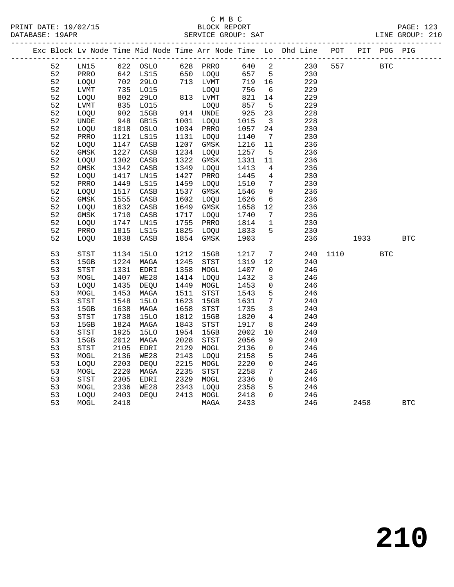|    |                                       |                                                                                                       |             |      |             |      |                         | Exc Block Lv Node Time Mid Node Time Arr Node Time Lo Dhd Line POT |      |      | PIT POG PIG |            |  |
|----|---------------------------------------|-------------------------------------------------------------------------------------------------------|-------------|------|-------------|------|-------------------------|--------------------------------------------------------------------|------|------|-------------|------------|--|
| 52 | LN15                                  |                                                                                                       | 622 OSLO    |      | 628 PRRO    | 640  | $\overline{\mathbf{2}}$ | 230                                                                | 557  |      | <b>BTC</b>  |            |  |
| 52 | PRRO                                  |                                                                                                       | 642 LS15    |      | 650 LOQU    | 657  | $5^{\circ}$             | 230                                                                |      |      |             |            |  |
| 52 | LOQU                                  | 702                                                                                                   | 29LO        |      | 713 LVMT    | 719  | 16                      | 229                                                                |      |      |             |            |  |
| 52 | <b>LVMT</b>                           | 735<br>$\begin{array}{c} \n \stackrel{\frown}{\phantom{}_{0}}\\ \n 802 \\  \hline\n 25\n \end{array}$ | LO15        |      | LOQU        | 756  | 6                       | 229                                                                |      |      |             |            |  |
| 52 | LOQU                                  |                                                                                                       | 29LO        |      | 813 LVMT    | 821  | 14                      | 229                                                                |      |      |             |            |  |
| 52 | LVMT                                  | 835                                                                                                   | L015        |      | LOQU        | 857  | $5\overline{5}$         | 229                                                                |      |      |             |            |  |
| 52 | LOQU                                  | 902                                                                                                   | 15GB        |      | 914 UNDE    | 925  | 23                      | 228                                                                |      |      |             |            |  |
| 52 | UNDE                                  | 948                                                                                                   | GB15        |      | 1001 LOQU   | 1015 | $\overline{\mathbf{3}}$ | 228                                                                |      |      |             |            |  |
| 52 | LOQU                                  | 1018                                                                                                  | OSLO        | 1034 | PRRO        | 1057 | 24                      | 230                                                                |      |      |             |            |  |
| 52 | PRRO                                  | 1121                                                                                                  | LS15        | 1131 | LOQU        | 1140 | $7\overline{ }$         | 230                                                                |      |      |             |            |  |
| 52 | LOQU                                  | 1147                                                                                                  | CASB        | 1207 | GMSK        | 1216 | 11                      | 236                                                                |      |      |             |            |  |
| 52 | <b>GMSK</b>                           | 1227                                                                                                  | CASB        | 1234 | LOQU        | 1257 | $5^{\circ}$             | 236                                                                |      |      |             |            |  |
| 52 | LOQU                                  | 1302                                                                                                  | CASB        | 1322 | GMSK        | 1331 | 11                      | 236                                                                |      |      |             |            |  |
| 52 | $\rm{GMSK}$                           | 1342                                                                                                  | CASB        | 1349 | LOQU        | 1413 | 4                       | 236                                                                |      |      |             |            |  |
| 52 | LOQU                                  | 1417                                                                                                  | LN15        | 1427 | PRRO        | 1445 | $\overline{4}$          | 230                                                                |      |      |             |            |  |
| 52 | PRRO                                  | 1449                                                                                                  | LS15        | 1459 | <b>LOOU</b> | 1510 | $7\phantom{.0}$         | 230                                                                |      |      |             |            |  |
| 52 | LOQU                                  | 1517                                                                                                  | CASB        | 1537 | GMSK        | 1546 | $\overline{9}$          | 236                                                                |      |      |             |            |  |
| 52 | <b>GMSK</b>                           | 1555                                                                                                  | CASB        | 1602 | LOQU        | 1626 | 6                       | 236                                                                |      |      |             |            |  |
| 52 | LOQU                                  | 1632                                                                                                  | CASB        | 1649 | GMSK        | 1658 | 12                      | 236                                                                |      |      |             |            |  |
| 52 | GMSK                                  | 1710                                                                                                  | CASB        | 1717 | LOQU        | 1740 | $7\phantom{.0}\,$       | 236                                                                |      |      |             |            |  |
| 52 | LOQU                                  | 1747                                                                                                  | LN15        | 1755 | PRRO        | 1814 | $\mathbf{1}$            | 230                                                                |      |      |             |            |  |
| 52 | PRRO                                  | 1815                                                                                                  | LS15        | 1825 | LOQU        | 1833 | 5                       | 230                                                                |      |      |             |            |  |
| 52 | LOQU                                  | 1838                                                                                                  | CASB        | 1854 | GMSK        | 1903 |                         | 236                                                                |      | 1933 |             | <b>BTC</b> |  |
| 53 | $_{\footnotesize{\textnormal{STST}}}$ | 1134                                                                                                  | <b>15LO</b> | 1212 | 15GB        | 1217 | $7\phantom{.0}$         | 240                                                                | 1110 |      | <b>BTC</b>  |            |  |
| 53 | 15GB                                  | 1224                                                                                                  | MAGA        | 1245 | STST        | 1319 | 12                      | 240                                                                |      |      |             |            |  |
| 53 | <b>STST</b>                           | 1331                                                                                                  | EDRI        | 1358 | MOGL        | 1407 | $\mathbf 0$             | 246                                                                |      |      |             |            |  |
| 53 | MOGL                                  | 1407                                                                                                  | WE28        | 1414 | LOQU        | 1432 | $\mathbf{3}$            | 246                                                                |      |      |             |            |  |
| 53 | LOQU                                  | 1435                                                                                                  | DEQU        | 1449 | MOGL        | 1453 | $\mathsf{O}$            | 246                                                                |      |      |             |            |  |
| 53 | MOGL                                  | 1453                                                                                                  | MAGA        | 1511 | STST        | 1543 | 5                       | 246                                                                |      |      |             |            |  |
| 53 | ${\tt STST}$                          | 1548                                                                                                  | <b>15LO</b> | 1623 | 15GB        | 1631 | $7\phantom{.0}$         | 240                                                                |      |      |             |            |  |
| 53 | 15GB                                  | 1638                                                                                                  | MAGA        | 1658 | STST        | 1735 | $\overline{3}$          | 240                                                                |      |      |             |            |  |
| 53 | STST                                  | 1738                                                                                                  | <b>15LO</b> | 1812 | 15GB        | 1820 | $\overline{4}$          | 240                                                                |      |      |             |            |  |
| 53 | 15GB                                  | 1824                                                                                                  | MAGA        | 1843 | STST        | 1917 | 8                       | 240                                                                |      |      |             |            |  |
| 53 | STST                                  | 1925                                                                                                  | <b>15LO</b> | 1954 | 15GB        | 2002 | 10                      | 240                                                                |      |      |             |            |  |
| 53 | 15GB                                  | 2012                                                                                                  | MAGA        | 2028 | STST        | 2056 | 9                       | 240                                                                |      |      |             |            |  |
| 53 | STST                                  | 2105                                                                                                  | EDRI        | 2129 | MOGL        | 2136 | $\mathsf{O}$            | 246                                                                |      |      |             |            |  |
| 53 | MOGL                                  | 2136                                                                                                  | WE28        | 2143 | LOQU        | 2158 | 5                       | 246                                                                |      |      |             |            |  |
| 53 | LOQU                                  | 2203                                                                                                  | DEQU        | 2215 | MOGL        | 2220 | $\mathsf{O}$            | 246                                                                |      |      |             |            |  |
| 53 | MOGL                                  | 2220                                                                                                  | MAGA        | 2235 | STST        | 2258 | $7\phantom{.0}$         | 246                                                                |      |      |             |            |  |
| 53 | ${\tt STST}$                          | 2305                                                                                                  | EDRI        | 2329 | MOGL        | 2336 | $\Omega$                | 246                                                                |      |      |             |            |  |
| 53 | $\tt MOGL$                            | 2336                                                                                                  | <b>WE28</b> | 2343 | LOQU        | 2358 | 5                       | 246                                                                |      |      |             |            |  |
| 53 | LOQU                                  | 2403                                                                                                  | DEQU        | 2413 | MOGL        | 2418 | $\Omega$                | 246                                                                |      |      |             |            |  |
| 53 | MOGL                                  | 2418                                                                                                  |             |      | MAGA        | 2433 |                         | 246                                                                |      | 2458 |             | <b>BTC</b> |  |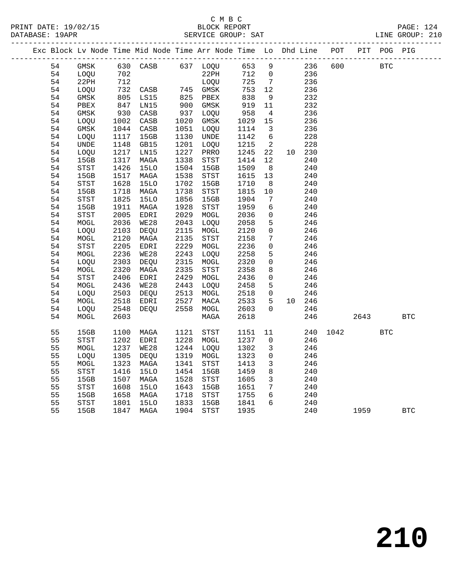### C M B C DATABASE: 19APR SERVICE GROUP: SAT

|  |    |             |      |                 |      | Exc Block Lv Node Time Mid Node Time Arr Node Time Lo Dhd Line POT |      |                     |    |     |      |      | PIT POG PIG |            |
|--|----|-------------|------|-----------------|------|--------------------------------------------------------------------|------|---------------------|----|-----|------|------|-------------|------------|
|  | 54 | GMSK        |      | 630 CASB        |      | 637 LOQU                                                           | 653  | 9                   |    | 236 | 600  |      | <b>BTC</b>  |            |
|  | 54 | LOQU        | 702  |                 |      | 22PH                                                               | 712  | $\mathbf 0$         |    | 236 |      |      |             |            |
|  | 54 | 22PH        | 712  |                 |      | LOQU                                                               | 725  | $7\phantom{.0}$     |    | 236 |      |      |             |            |
|  | 54 | LOQU        | 732  | CASB            | 745  | GMSK                                                               | 753  | 12                  |    | 236 |      |      |             |            |
|  | 54 | GMSK        | 805  | LS15            | 825  | PBEX                                                               | 838  | 9                   |    | 232 |      |      |             |            |
|  | 54 | PBEX        | 847  | LN15            | 900  | GMSK                                                               | 919  | 11                  |    | 232 |      |      |             |            |
|  | 54 | GMSK        | 930  | CASB            | 937  | LOQU                                                               | 958  | 4                   |    | 236 |      |      |             |            |
|  | 54 | LOQU        | 1002 | CASB            | 1020 | GMSK                                                               | 1029 | 15                  |    | 236 |      |      |             |            |
|  | 54 | GMSK        | 1044 | $\mathtt{CASB}$ | 1051 | LOQU                                                               | 1114 | $\overline{3}$      |    | 236 |      |      |             |            |
|  | 54 | LOQU        | 1117 | 15GB            | 1130 | UNDE                                                               | 1142 | 6                   |    | 228 |      |      |             |            |
|  | 54 | <b>UNDE</b> | 1148 | GB15            | 1201 | LOQU                                                               | 1215 | $\overline{c}$      |    | 228 |      |      |             |            |
|  | 54 | LOQU        | 1217 | LN15            | 1227 | PRRO                                                               | 1245 | 22                  | 10 | 230 |      |      |             |            |
|  | 54 | 15GB        | 1317 | MAGA            | 1338 | STST                                                               | 1414 | 12                  |    | 240 |      |      |             |            |
|  | 54 | STST        | 1426 | <b>15LO</b>     | 1504 | 15GB                                                               | 1509 | 8                   |    | 240 |      |      |             |            |
|  | 54 | 15GB        | 1517 | MAGA            | 1538 | STST                                                               | 1615 | 13                  |    | 240 |      |      |             |            |
|  | 54 | STST        | 1628 | 15LO            | 1702 | 15GB                                                               | 1710 | 8                   |    | 240 |      |      |             |            |
|  | 54 | 15GB        | 1718 | MAGA            | 1738 | STST                                                               | 1815 | 10                  |    | 240 |      |      |             |            |
|  | 54 | <b>STST</b> | 1825 | 15LO            | 1856 | 15GB                                                               | 1904 | 7                   |    | 240 |      |      |             |            |
|  | 54 | 15GB        | 1911 | MAGA            | 1928 | STST                                                               | 1959 | 6                   |    | 240 |      |      |             |            |
|  | 54 | STST        | 2005 | EDRI            | 2029 | $\tt MOGL$                                                         | 2036 | $\overline{0}$      |    | 246 |      |      |             |            |
|  | 54 | MOGL        | 2036 | <b>WE28</b>     | 2043 | LOQU                                                               | 2058 | 5                   |    | 246 |      |      |             |            |
|  | 54 | LOQU        | 2103 | DEQU            | 2115 | MOGL                                                               | 2120 | $\mathsf{O}$        |    | 246 |      |      |             |            |
|  | 54 | MOGL        | 2120 | MAGA            | 2135 | STST                                                               | 2158 | $7\phantom{.0}$     |    | 246 |      |      |             |            |
|  | 54 | STST        | 2205 | EDRI            | 2229 | $\tt MOGL$                                                         | 2236 | $\mathsf{O}\xspace$ |    | 246 |      |      |             |            |
|  | 54 | MOGL        | 2236 | <b>WE28</b>     | 2243 | LOQU                                                               | 2258 | 5                   |    | 246 |      |      |             |            |
|  | 54 | LOQU        | 2303 | DEQU            | 2315 | MOGL                                                               | 2320 | 0                   |    | 246 |      |      |             |            |
|  | 54 | $\tt MOGL$  | 2320 | MAGA            | 2335 | STST                                                               | 2358 | 8                   |    | 246 |      |      |             |            |
|  | 54 | <b>STST</b> | 2406 | EDRI            | 2429 | MOGL                                                               | 2436 | $\mathbf 0$         |    | 246 |      |      |             |            |
|  | 54 | MOGL        | 2436 | <b>WE28</b>     | 2443 | LOQU                                                               | 2458 | 5                   |    | 246 |      |      |             |            |
|  | 54 | LOQU        | 2503 | DEQU            | 2513 | MOGL                                                               | 2518 | 0                   |    | 246 |      |      |             |            |
|  | 54 | MOGL        | 2518 | EDRI            | 2527 | MACA                                                               | 2533 | 5                   | 10 | 246 |      |      |             |            |
|  | 54 | LOQU        | 2548 | DEOU            | 2558 | MOGL                                                               | 2603 | $\mathbf 0$         |    | 246 |      |      |             |            |
|  | 54 | MOGL        | 2603 |                 |      | MAGA                                                               | 2618 |                     |    | 246 |      | 2643 |             | <b>BTC</b> |
|  | 55 | 15GB        | 1100 | MAGA            | 1121 | STST                                                               | 1151 | 11                  |    | 240 | 1042 |      | <b>BTC</b>  |            |
|  | 55 | <b>STST</b> | 1202 | EDRI            | 1228 | MOGL                                                               | 1237 | $\mathbf 0$         |    | 246 |      |      |             |            |

 55 STST 1202 EDRI 1228 MOGL 1237 0 246 55 MOGL 1237 WE28 1244 LOQU 1302 3 246 55 LOQU 1305 DEQU 1319 MOGL 1323 0 246 55 MOGL 1323 MAGA 1341 STST 1413 3 246 55 STST 1416 15LO 1454 15GB 1459 8 240 55 15GB 1507 MAGA 1528 STST 1605 3 240 55 STST 1608 15LO 1643 15GB 1651 7 240 55 15GB 1658 MAGA 1718 STST 1755 6 240 55 STST 1801 15LO 1833 15GB 1841 6 240

55 15GB 1847 MAGA 1904 STST 1935 240 1959 BTC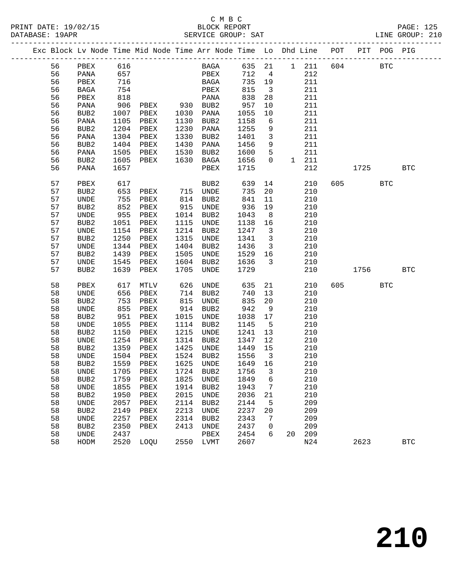|  |    |                  |      | Exc Block Lv Node Time Mid Node Time Arr Node Time Lo Dhd Line POT |      |                              |         |                         |    |       |     |         | PIT POG PIG |            |
|--|----|------------------|------|--------------------------------------------------------------------|------|------------------------------|---------|-------------------------|----|-------|-----|---------|-------------|------------|
|  | 56 | PBEX             | 616  |                                                                    |      | <b>BAGA</b>                  | 635 21  |                         |    | 1 211 | 604 |         | <b>BTC</b>  |            |
|  | 56 | PANA             | 657  |                                                                    |      | PBEX                         | 712     | $\overline{4}$          |    | 212   |     |         |             |            |
|  | 56 | PBEX             | 716  |                                                                    |      | BAGA                         | 735     | 19                      |    | 211   |     |         |             |            |
|  | 56 | BAGA             | 754  |                                                                    |      | PBEX                         | 815     | $\overline{\mathbf{3}}$ |    | 211   |     |         |             |            |
|  | 56 | PBEX             | 818  |                                                                    |      | PANA                         | 838     | 28                      |    | 211   |     |         |             |            |
|  | 56 | PANA             | 906  | PBEX 930 BUB2                                                      |      |                              | 957     | 10                      |    | 211   |     |         |             |            |
|  | 56 | BUB2             | 1007 | PBEX                                                               |      | 1030 PANA                    | 1055    | 10                      |    | 211   |     |         |             |            |
|  | 56 | PANA             | 1105 | PBEX                                                               | 1130 | BUB2                         | 1158    | $6\overline{6}$         |    | 211   |     |         |             |            |
|  | 56 | BUB2             | 1204 | PBEX                                                               | 1230 | PANA                         | 1255    | 9                       |    | 211   |     |         |             |            |
|  | 56 | PANA             | 1304 | PBEX                                                               | 1330 | BUB2                         | 1401    | $\overline{3}$          |    | 211   |     |         |             |            |
|  | 56 | BUB2             | 1404 | PBEX                                                               | 1430 | PANA                         | 1456    | 9                       |    | 211   |     |         |             |            |
|  | 56 | PANA             | 1505 | PBEX                                                               | 1530 | BUB2                         | 1600    | $5^{\circ}$             |    | 211   |     |         |             |            |
|  | 56 | BUB2             | 1605 | PBEX                                                               | 1630 | BAGA                         | 1656    | $\Omega$                |    | 1 211 |     |         |             |            |
|  | 56 | PANA             | 1657 |                                                                    |      | PBEX                         | 1715    |                         |    | 212   |     | 1725    |             | <b>BTC</b> |
|  |    |                  |      |                                                                    |      |                              |         |                         |    |       |     |         |             |            |
|  | 57 | PBEX             | 617  |                                                                    |      | BUB <sub>2</sub>             | 639     | 14                      |    | 210   |     | 605 000 | <b>BTC</b>  |            |
|  | 57 | BUB2             | 653  | PBEX                                                               |      | 715 UNDE                     | 735     | 20                      |    | 210   |     |         |             |            |
|  | 57 | UNDE             | 755  | PBEX                                                               | 814  | BUB2                         | 841     | 11                      |    | 210   |     |         |             |            |
|  | 57 | BUB2             | 852  | PBEX                                                               | 915  | UNDE                         | 936     | 19                      |    | 210   |     |         |             |            |
|  | 57 | UNDE             | 955  | PBEX                                                               | 1014 | BUB2                         | 1043    | 8 <sup>8</sup>          |    | 210   |     |         |             |            |
|  | 57 | BUB2             | 1051 | PBEX                                                               | 1115 | UNDE                         | 1138    | 16                      |    | 210   |     |         |             |            |
|  | 57 | UNDE             | 1154 | PBEX                                                               | 1214 | BUB <sub>2</sub>             | 1247    | $\overline{\mathbf{3}}$ |    | 210   |     |         |             |            |
|  | 57 | BUB2             | 1250 | PBEX                                                               | 1315 | UNDE                         | 1341    | $\overline{\mathbf{3}}$ |    | 210   |     |         |             |            |
|  | 57 | UNDE             | 1344 | PBEX                                                               | 1404 | BUB2                         | 1436    | $\overline{\mathbf{3}}$ |    | 210   |     |         |             |            |
|  | 57 | BUB2             | 1439 | PBEX                                                               | 1505 | UNDE                         | 1529    | 16                      |    | 210   |     |         |             |            |
|  | 57 | UNDE             | 1545 | PBEX                                                               | 1604 | BUB2                         | 1636    | $\overline{\mathbf{3}}$ |    | 210   |     |         |             |            |
|  | 57 | BUB <sub>2</sub> | 1639 | PBEX                                                               | 1705 | UNDE                         | 1729    |                         |    | 210   |     | 1756    |             | BTC        |
|  | 58 | PBEX             | 617  | MTLV                                                               | 626  | UNDE                         | 635     | 21                      |    | 210   | 605 |         | <b>BTC</b>  |            |
|  | 58 | UNDE             | 656  | PBEX                                                               | 714  | BUB2                         | 740     | 13                      |    | 210   |     |         |             |            |
|  | 58 | BUB2             | 753  | PBEX                                                               | 815  | UNDE                         | 835     | 20                      |    | 210   |     |         |             |            |
|  | 58 | UNDE             | 855  | PBEX                                                               | 914  | BUB2                         | 942     | 9                       |    | 210   |     |         |             |            |
|  | 58 | BUB2             | 951  | PBEX                                                               | 1015 | UNDE                         | 1038    | 17                      |    | 210   |     |         |             |            |
|  | 58 | UNDE             | 1055 | PBEX                                                               | 1114 | BUB2                         | 1145    | $5^{\circ}$             |    | 210   |     |         |             |            |
|  | 58 | BUB2             | 1150 | PBEX                                                               | 1215 | UNDE                         | 1241    | 13                      |    | 210   |     |         |             |            |
|  | 58 | UNDE             | 1254 | PBEX                                                               | 1314 | BUB2                         | 1347    | 12                      |    | 210   |     |         |             |            |
|  | 58 | BUB2             | 1359 | PBEX                                                               | 1425 | UNDE                         | 1449    | 15                      |    | 210   |     |         |             |            |
|  | 58 | UNDE             | 1504 | PBEX                                                               |      | 1524 BUB2                    | 1556    | $\overline{\mathbf{3}}$ |    | 210   |     |         |             |            |
|  | 58 | BUB2             | 1559 | PBEX                                                               | 1625 | UNDE                         | 1649 16 |                         |    | 210   |     |         |             |            |
|  | 58 |                  |      | UNDE 1705 PBEX 1724 BUB2 1756 3                                    |      |                              |         |                         |    | 210   |     |         |             |            |
|  | 58 | BUB2             | 1759 | PBEX                                                               | 1825 | UNDE                         | 1849    | 6                       |    | 210   |     |         |             |            |
|  | 58 | UNDE             | 1855 | PBEX                                                               | 1914 | BUB <sub>2</sub>             | 1943    | 7                       |    | 210   |     |         |             |            |
|  | 58 | BUB <sub>2</sub> | 1950 | PBEX                                                               | 2015 | <b>UNDE</b>                  | 2036    | 21                      |    | 210   |     |         |             |            |
|  | 58 | UNDE             | 2057 | PBEX                                                               | 2114 | BUB <sub>2</sub>             | 2144    | 5                       |    | 209   |     |         |             |            |
|  | 58 | BUB2             | 2149 | ${\tt PBEX}$                                                       | 2213 | $\ensuremath{\mathsf{UNDE}}$ | 2237    | 20                      |    | 209   |     |         |             |            |
|  | 58 | UNDE             | 2257 | PBEX                                                               | 2314 | BUB <sub>2</sub>             | 2343    | 7                       |    | 209   |     |         |             |            |
|  | 58 | BUB <sub>2</sub> | 2350 | PBEX                                                               | 2413 | UNDE                         | 2437    | 0                       |    | 209   |     |         |             |            |
|  | 58 | UNDE             | 2437 |                                                                    |      | PBEX                         | 2454    | 6                       | 20 | 209   |     |         |             |            |
|  | 58 | HODM             | 2520 | LOQU                                                               | 2550 | LVMT                         | 2607    |                         |    | N24   |     | 2623    |             | <b>BTC</b> |
|  |    |                  |      |                                                                    |      |                              |         |                         |    |       |     |         |             |            |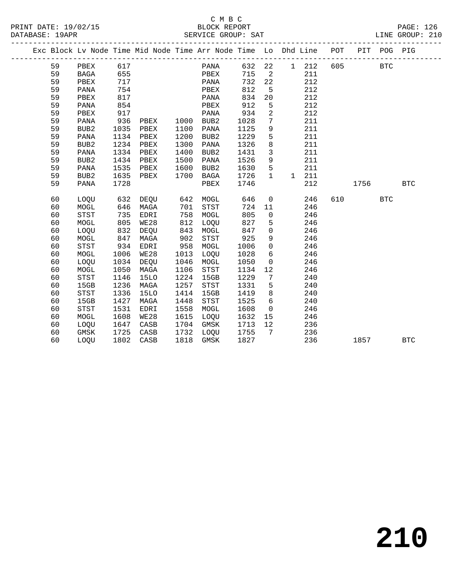|  |    |                  |      |             |      | Exc Block Lv Node Time Mid Node Time Arr Node Time Lo Dhd Line POT<br>______________________________________ |      |                 |              |     |     |      | PIT POG PIG |              |  |
|--|----|------------------|------|-------------|------|--------------------------------------------------------------------------------------------------------------|------|-----------------|--------------|-----|-----|------|-------------|--------------|--|
|  | 59 | PBEX             | 617  |             |      | PANA                                                                                                         | 632  | 22              | 1            | 212 | 605 |      | <b>BTC</b>  |              |  |
|  | 59 | <b>BAGA</b>      | 655  |             |      | PBEX                                                                                                         | 715  | 2               |              | 211 |     |      |             |              |  |
|  | 59 | PBEX             | 717  |             |      | PANA                                                                                                         | 732  | 22              |              | 212 |     |      |             |              |  |
|  | 59 | PANA             | 754  |             |      | PBEX                                                                                                         | 812  | 5               |              | 212 |     |      |             |              |  |
|  | 59 | PBEX             | 817  |             |      | PANA                                                                                                         | 834  | 20              |              | 212 |     |      |             |              |  |
|  | 59 | PANA             | 854  |             |      | PBEX                                                                                                         | 912  | 5               |              | 212 |     |      |             |              |  |
|  | 59 | PBEX             | 917  |             |      | PANA                                                                                                         | 934  | $\overline{a}$  |              | 212 |     |      |             |              |  |
|  | 59 | PANA             | 936  | PBEX        | 1000 | BUB2                                                                                                         | 1028 | 7               |              | 211 |     |      |             |              |  |
|  | 59 | BUB <sub>2</sub> | 1035 | PBEX        | 1100 | PANA                                                                                                         | 1125 | 9               |              | 211 |     |      |             |              |  |
|  | 59 | PANA             | 1134 | PBEX        | 1200 | BUB2                                                                                                         | 1229 | 5               |              | 211 |     |      |             |              |  |
|  | 59 | BUB2             | 1234 | PBEX        | 1300 | PANA                                                                                                         | 1326 | 8               |              | 211 |     |      |             |              |  |
|  | 59 | PANA             | 1334 | PBEX        | 1400 | BUB <sub>2</sub>                                                                                             | 1431 | $\mathbf{3}$    |              | 211 |     |      |             |              |  |
|  | 59 | BUB2             | 1434 | PBEX        | 1500 | PANA                                                                                                         | 1526 | 9               |              | 211 |     |      |             |              |  |
|  | 59 | PANA             | 1535 | PBEX        | 1600 | BUB2                                                                                                         | 1630 | 5               |              | 211 |     |      |             |              |  |
|  | 59 | BUB <sub>2</sub> | 1635 | PBEX        | 1700 | BAGA                                                                                                         | 1726 | $\mathbf{1}$    | $\mathbf{1}$ | 211 |     |      |             |              |  |
|  | 59 | PANA             | 1728 |             |      | PBEX                                                                                                         | 1746 |                 |              | 212 |     | 1756 |             | $_{\rm BTC}$ |  |
|  |    |                  |      |             |      |                                                                                                              |      |                 |              |     |     |      |             |              |  |
|  | 60 | LOOU             | 632  | DEOU        | 642  | MOGL                                                                                                         | 646  | $\mathsf{O}$    |              | 246 | 610 |      | <b>BTC</b>  |              |  |
|  | 60 | MOGL             | 646  | MAGA        | 701  | <b>STST</b>                                                                                                  | 724  | 11              |              | 246 |     |      |             |              |  |
|  | 60 | <b>STST</b>      | 735  | EDRI        | 758  | MOGL                                                                                                         | 805  | $\mathbf 0$     |              | 246 |     |      |             |              |  |
|  | 60 | MOGL             | 805  | WE28        | 812  | LOQU                                                                                                         | 827  | 5               |              | 246 |     |      |             |              |  |
|  | 60 | LOQU             | 832  | DEQU        | 843  | MOGL                                                                                                         | 847  | $\mathbf 0$     |              | 246 |     |      |             |              |  |
|  | 60 | MOGL             | 847  | MAGA        | 902  | <b>STST</b>                                                                                                  | 925  | 9               |              | 246 |     |      |             |              |  |
|  | 60 | <b>STST</b>      | 934  | EDRI        | 958  | MOGL                                                                                                         | 1006 | $\mathsf{O}$    |              | 246 |     |      |             |              |  |
|  | 60 | MOGL             | 1006 | WE28        | 1013 | LOQU                                                                                                         | 1028 | 6               |              | 246 |     |      |             |              |  |
|  | 60 | LOQU             | 1034 | DEQU        | 1046 | MOGL                                                                                                         | 1050 | $\mathbf 0$     |              | 246 |     |      |             |              |  |
|  | 60 | $\tt MOGL$       | 1050 | MAGA        | 1106 | STST                                                                                                         | 1134 | 12              |              | 246 |     |      |             |              |  |
|  | 60 | <b>STST</b>      | 1146 | <b>15LO</b> | 1224 | 15GB                                                                                                         | 1229 | 7               |              | 240 |     |      |             |              |  |
|  | 60 | 15GB             | 1236 | MAGA        | 1257 | STST                                                                                                         | 1331 | 5               |              | 240 |     |      |             |              |  |
|  | 60 | <b>STST</b>      | 1336 | <b>15LO</b> | 1414 | 15GB                                                                                                         | 1419 | 8               |              | 240 |     |      |             |              |  |
|  | 60 | 15GB             | 1427 | MAGA        | 1448 | STST                                                                                                         | 1525 | $6\overline{6}$ |              | 240 |     |      |             |              |  |
|  | 60 | <b>STST</b>      | 1531 | EDRI        | 1558 | MOGL                                                                                                         | 1608 | $\mathbf 0$     |              | 246 |     |      |             |              |  |
|  | 60 | MOGL             | 1608 | WE28        | 1615 | LOQU                                                                                                         | 1632 | 15              |              | 246 |     |      |             |              |  |
|  | 60 | LOQU             | 1647 | CASB        | 1704 | GMSK                                                                                                         | 1713 | 12              |              | 236 |     |      |             |              |  |
|  | 60 | GMSK             | 1725 | CASB        | 1732 | LOQU                                                                                                         | 1755 | $7\phantom{.0}$ |              | 236 |     |      |             |              |  |
|  | 60 | LOOU             | 1802 | CASB        | 1818 | <b>GMSK</b>                                                                                                  | 1827 |                 |              | 236 |     | 1857 |             | <b>BTC</b>   |  |
|  |    |                  |      |             |      |                                                                                                              |      |                 |              |     |     |      |             |              |  |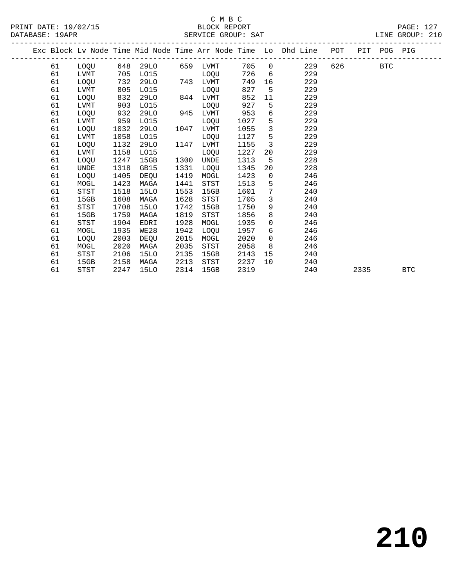### C M B C<br>BLOCK REPORT SERVICE GROUP: SAT

|  |    |             |      |             |      |                        |      |                 | Exc Block Lv Node Time Mid Node Time Arr Node Time Lo Dhd Line POT |        | PIT POG PIG |            |            |
|--|----|-------------|------|-------------|------|------------------------|------|-----------------|--------------------------------------------------------------------|--------|-------------|------------|------------|
|  | 61 |             |      |             |      | LOQU 648 29LO 659 LVMT | 705  |                 | 229<br>$\Omega$                                                    | 626 30 |             | <b>BTC</b> |            |
|  | 61 | LVMT        | 705  | L015        |      | LOOU                   | 726  | 6 <sup>6</sup>  | 229                                                                |        |             |            |            |
|  | 61 | LOOU        | 732  | 29LO        |      | 743 LVMT               | 749  |                 | 229                                                                |        |             |            |            |
|  | 61 | LVMT        | 805  | L015        |      | LOQU                   | 827  | 5               | 229                                                                |        |             |            |            |
|  | 61 | LOQU        | 832  | 29LO        | 844  | LVMT                   | 852  | 11              | 229                                                                |        |             |            |            |
|  | 61 | LVMT        | 903  | L015        |      | LOQU                   | 927  | $5^{\circ}$     | 229                                                                |        |             |            |            |
|  | 61 | LOQU        | 932  | 29LO        |      | 945 LVMT               | 953  | 6               | 229                                                                |        |             |            |            |
|  | 61 | LVMT        | 959  | L015        |      | LOQU                   | 1027 | 5               | 229                                                                |        |             |            |            |
|  | 61 | <b>LOOU</b> | 1032 | 29LO        | 1047 | LVMT                   | 1055 | $\overline{3}$  | 229                                                                |        |             |            |            |
|  | 61 | LVMT        | 1058 | L015        |      | LOQU                   | 1127 | $5\overline{)}$ | 229                                                                |        |             |            |            |
|  | 61 | LOQU        | 1132 | 29LO        | 1147 | LVMT                   | 1155 | $\mathbf{3}$    | 229                                                                |        |             |            |            |
|  | 61 | <b>LVMT</b> | 1158 | L015        |      | <b>LOOU</b>            | 1227 | 20              | 229                                                                |        |             |            |            |
|  | 61 | <b>LOOU</b> | 1247 | 15GB        | 1300 | UNDE                   | 1313 | -5              | 228                                                                |        |             |            |            |
|  | 61 | UNDE        | 1318 | GB15        | 1331 | LOQU                   | 1345 | 20              | 228                                                                |        |             |            |            |
|  | 61 | LOOU        | 1405 | DEOU        | 1419 | MOGL                   | 1423 | $\overline{0}$  | 246                                                                |        |             |            |            |
|  | 61 | MOGL        | 1423 | MAGA        | 1441 | STST                   | 1513 | 5               | 246                                                                |        |             |            |            |
|  | 61 | <b>STST</b> | 1518 | <b>15LO</b> | 1553 | 15GB                   | 1601 | 7               | 240                                                                |        |             |            |            |
|  | 61 | 15GB        | 1608 | MAGA        | 1628 | STST                   | 1705 | $\mathbf{3}$    | 240                                                                |        |             |            |            |
|  | 61 | STST        | 1708 | 15LO        | 1742 | 15GB                   | 1750 | 9               | 240                                                                |        |             |            |            |
|  | 61 | 15GB        | 1759 | MAGA        | 1819 | STST                   | 1856 | 8               | 240                                                                |        |             |            |            |
|  | 61 | <b>STST</b> | 1904 | EDRI        | 1928 | MOGL                   | 1935 | $\overline{0}$  | 246                                                                |        |             |            |            |
|  | 61 | MOGL        | 1935 | WE28        | 1942 | <b>LOOU</b>            | 1957 | 6               | 246                                                                |        |             |            |            |
|  | 61 | LOQU        | 2003 | DEQU        | 2015 | MOGL                   | 2020 | $\overline{0}$  | 246                                                                |        |             |            |            |
|  | 61 | MOGL        | 2020 | MAGA        | 2035 | <b>STST</b>            | 2058 | 8               | 246                                                                |        |             |            |            |
|  | 61 | <b>STST</b> | 2106 | <b>15LO</b> | 2135 | 15GB                   | 2143 | 15              | 240                                                                |        |             |            |            |
|  | 61 | 15GB        | 2158 | MAGA        | 2213 | STST                   | 2237 | 10              | 240                                                                |        |             |            |            |
|  | 61 | <b>STST</b> | 2247 | 15LO        | 2314 | 15GB                   | 2319 |                 | 240                                                                |        | 2335        |            | <b>BTC</b> |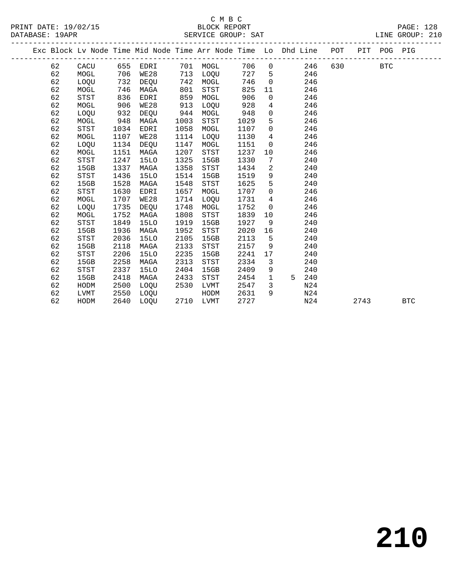# C M B C

DATABASE: 19APR SERVICE GROUP: SAT LINE GROUP: 210 ------------------------------------------------------------------------------------------------- Exc Block Lv Node Time Mid Node Time Arr Node Time Lo Dhd Line POT PIT POG PIG ------------------------------------------------------------------------------------------------- 62 CACU 655 EDRI 701 MOGL 706 0 246 630 BTC 62 MOGL 706 WE28 713 LOQU 727 5 246 62 LOQU 732 DEQU 742 MOGL 746 0 246 62 MOGL 746 MAGA 801 STST 825 11 246 62 STST 836 EDRI 859 MOGL 906 0 246

| 62 | MOGL        | 906  | WE28        | 913  | LOQU | 928  | 4           |   | 246             |      |            |  |
|----|-------------|------|-------------|------|------|------|-------------|---|-----------------|------|------------|--|
| 62 | LOQU        | 932  | DEQU        | 944  | MOGL | 948  | 0           |   | 246             |      |            |  |
| 62 | MOGL        | 948  | MAGA        | 1003 | STST | 1029 | 5           |   | 246             |      |            |  |
| 62 | STST        | 1034 | EDRI        | 1058 | MOGL | 1107 | 0           |   | 246             |      |            |  |
| 62 | MOGL        | 1107 | WE28        | 1114 | LOQU | 1130 | 4           |   | 246             |      |            |  |
| 62 | LOQU        | 1134 | DEQU        | 1147 | MOGL | 1151 | $\mathbf 0$ |   | 246             |      |            |  |
| 62 | MOGL        | 1151 | MAGA        | 1207 | STST | 1237 | 10          |   | 246             |      |            |  |
| 62 | STST        | 1247 | 15LO        | 1325 | 15GB | 1330 | 7           |   | 240             |      |            |  |
| 62 | 15GB        | 1337 | MAGA        | 1358 | STST | 1434 | 2           |   | 240             |      |            |  |
| 62 | STST        | 1436 | 15LO        | 1514 | 15GB | 1519 | 9           |   | 240             |      |            |  |
| 62 | 15GB        | 1528 | MAGA        | 1548 | STST | 1625 | 5           |   | 240             |      |            |  |
| 62 | STST        | 1630 | EDRI        | 1657 | MOGL | 1707 | 0           |   | 246             |      |            |  |
| 62 | MOGL        | 1707 | WE28        | 1714 | LOQU | 1731 | 4           |   | 246             |      |            |  |
| 62 | LOQU        | 1735 | DEQU        | 1748 | MOGL | 1752 | $\mathbf 0$ |   | 246             |      |            |  |
| 62 | MOGL        | 1752 | MAGA        | 1808 | STST | 1839 | 10          |   | 246             |      |            |  |
| 62 | STST        | 1849 | 15LO        | 1919 | 15GB | 1927 | 9           |   | 240             |      |            |  |
| 62 | 15GB        | 1936 | MAGA        | 1952 | STST | 2020 | 16          |   | 240             |      |            |  |
| 62 | STST        | 2036 | 15LO        | 2105 | 15GB | 2113 | 5           |   | 240             |      |            |  |
| 62 | 15GB        | 2118 | MAGA        | 2133 | STST | 2157 | 9           |   | 240             |      |            |  |
| 62 | STST        | 2206 | <b>15LO</b> | 2235 | 15GB | 2241 | 17          |   | 240             |      |            |  |
| 62 | 15GB        | 2258 | MAGA        | 2313 | STST | 2334 | 3           |   | 240             |      |            |  |
| 62 | <b>STST</b> | 2337 | <b>15LO</b> | 2404 | 15GB | 2409 | 9           |   | 240             |      |            |  |
| 62 | 15GB        | 2418 | MAGA        | 2433 | STST | 2454 | 1           | 5 | 240             |      |            |  |
| 62 | HODM        | 2500 | LOQU        | 2530 | LVMT | 2547 | 3           |   | N <sub>24</sub> |      |            |  |
| 62 | LVMT        | 2550 | LOQU        |      | HODM | 2631 | 9           |   | N24             |      |            |  |
| 62 | HODM        | 2640 | LOQU        | 2710 | LVMT | 2727 |             |   | N24             | 2743 | <b>BTC</b> |  |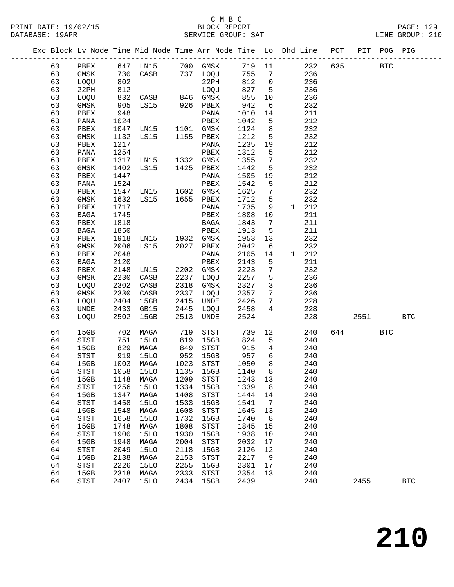## C M B C<br>BLOCK REPORT

-------------------------------------------------------------------------------------------------

LINE GROUP: 210

|  |          |                                       |              | Exc Block Lv Node Time Mid Node Time Arr Node Time Lo Dhd Line |              |                                       |              |                     |              | POT        | PIT  | POG PIG      |            |
|--|----------|---------------------------------------|--------------|----------------------------------------------------------------|--------------|---------------------------------------|--------------|---------------------|--------------|------------|------|--------------|------------|
|  | 63       | PBEX                                  | 647          | LN15                                                           |              | 700 GMSK                              | 719          | 11                  |              | 635<br>232 |      | $_{\rm BTC}$ |            |
|  | 63       | GMSK                                  | 730          | CASB                                                           |              | 737 LOQU                              | 755          | 7                   |              | 236        |      |              |            |
|  | 63       | LOQU                                  | 802          |                                                                |              | 22PH                                  | 812          | $\mathsf{O}\xspace$ |              | 236        |      |              |            |
|  | 63       | 22PH                                  | 812          |                                                                |              | LOQU                                  | 827          | 5                   |              | 236        |      |              |            |
|  | 63       | LOQU                                  | 832          | CASB                                                           | 846          | GMSK                                  | 855          | 10                  |              | 236        |      |              |            |
|  | 63       | GMSK                                  | 905          | LS15                                                           | 926          | PBEX                                  | 942          | 6                   |              | 232        |      |              |            |
|  | 63       |                                       | 948          |                                                                |              | $\mathtt{PANA}$                       |              |                     |              | 211        |      |              |            |
|  |          | ${\tt PBEX}$                          |              |                                                                |              |                                       | 1010         | 14                  |              | 212        |      |              |            |
|  | 63       | PANA                                  | 1024         |                                                                |              | PBEX                                  | 1042         | 5                   |              | 232        |      |              |            |
|  | 63       | PBEX                                  | 1047         | LN15                                                           | 1101         | GMSK                                  | 1124         | 8                   |              | 232        |      |              |            |
|  | 63       | GMSK                                  | 1132<br>1217 | LS15                                                           | 1155         | PBEX                                  | 1212<br>1235 | 5                   |              | 212        |      |              |            |
|  | 63       | ${\tt PBEX}$                          |              |                                                                |              | PANA<br>PBEX                          |              | 19                  |              | 212        |      |              |            |
|  | 63       | PANA                                  | 1254<br>1317 |                                                                |              |                                       | 1312         | 5<br>7              |              | 232        |      |              |            |
|  | 63<br>63 | PBEX                                  | 1402         | LN15                                                           | 1332<br>1425 | GMSK                                  | 1355<br>1442 | 5                   |              | 232        |      |              |            |
|  |          | $\rm{GMSK}$                           |              | LS15                                                           |              | PBEX                                  |              |                     |              | 212        |      |              |            |
|  | 63<br>63 | PBEX                                  | 1447         |                                                                |              | PANA                                  | 1505         | 19                  |              | 212        |      |              |            |
|  |          | PANA                                  | 1524         |                                                                |              | PBEX                                  | 1542         | 5                   |              |            |      |              |            |
|  | 63       | PBEX                                  | 1547         | LN15                                                           | 1602         | GMSK                                  | 1625         | 7                   |              | 232        |      |              |            |
|  | 63       | GMSK                                  | 1632         | LS15                                                           | 1655         | PBEX                                  | 1712         | 5                   |              | 232        |      |              |            |
|  | 63       | ${\tt PBEX}$                          | 1717         |                                                                |              | PANA                                  | 1735         | 9                   | $\mathbf{1}$ | 212        |      |              |            |
|  | 63       | BAGA                                  | 1745         |                                                                |              | PBEX                                  | 1808         | 10                  |              | 211        |      |              |            |
|  | 63       | PBEX                                  | 1818         |                                                                |              | BAGA                                  | 1843         | 7                   |              | 211        |      |              |            |
|  | 63       | <b>BAGA</b>                           | 1850         |                                                                |              | PBEX                                  | 1913         | 5                   |              | 211        |      |              |            |
|  | 63       | PBEX                                  | 1918         | LN15                                                           | 1932         | GMSK                                  | 1953         | 13                  |              | 232        |      |              |            |
|  | 63       | GMSK                                  | 2006         | LS15                                                           | 2027         | PBEX                                  | 2042         | 6                   |              | 232        |      |              |            |
|  | 63       | PBEX                                  | 2048         |                                                                |              | PANA                                  | 2105         | 14                  | 1            | 212        |      |              |            |
|  | 63       | $_{\rm BAGA}$                         | 2120         |                                                                |              | PBEX                                  | 2143         | 5                   |              | 211        |      |              |            |
|  | 63       | PBEX                                  | 2148         | LN15                                                           | 2202         | GMSK                                  | 2223         | 7                   |              | 232        |      |              |            |
|  | 63       | GMSK                                  | 2230         | CASB                                                           | 2237         | LOQU                                  | 2257         | $\overline{5}$      |              | 236        |      |              |            |
|  | 63<br>63 | LOQU<br>GMSK                          | 2302         | CASB                                                           | 2318<br>2337 | GMSK                                  | 2327         | $\mathbf{3}$<br>7   |              | 236<br>236 |      |              |            |
|  | 63       |                                       | 2330         | CASB<br>15GB                                                   | 2415         | LOQU<br>UNDE                          | 2357<br>2426 | 7                   |              | 228        |      |              |            |
|  | 63       | LOQU                                  | 2404<br>2433 |                                                                | 2445         |                                       |              | 4                   |              | 228        |      |              |            |
|  | 63       | UNDE                                  | 2502         | GB15<br>15GB                                                   | 2513         | LOQU<br>UNDE                          | 2458<br>2524 |                     |              | 228        | 2551 |              | <b>BTC</b> |
|  |          | LOQU                                  |              |                                                                |              |                                       |              |                     |              |            |      |              |            |
|  | 64       | 15GB                                  | 702          | MAGA                                                           | 719          | STST                                  | 739          | 12                  |              | 240<br>644 |      | BTC          |            |
|  | 64       | $_{\footnotesize{\textnormal{STST}}}$ | 751          | 15LO                                                           | 819          | 15GB                                  | 824          | 5                   |              | 240        |      |              |            |
|  | 64       | 15GB                                  | 829          | MAGA                                                           | 849          | STST                                  | 915          | 4                   |              | 240        |      |              |            |
|  | 64       | STST                                  | 919          | 15LO                                                           | 952          | 15GB                                  | 957          | 6                   |              | 240        |      |              |            |
|  | 64       | 15GB                                  | 1003         | MAGA                                                           | 1023         | $_{\footnotesize{\textnormal{STST}}}$ | 1050         | 8                   |              | 240        |      |              |            |
|  | 64       | STST                                  | 1058         | 15LO                                                           | 1135         | 15GB                                  | 1140         | 8                   |              | 240        |      |              |            |
|  | 64       | 15GB                                  |              | 1148 MAGA                                                      | 1209         | $_{\footnotesize{\textnormal{STST}}}$ | 1243 13      |                     |              | 240        |      |              |            |
|  | 64       | STST                                  | 1256         | 15LO                                                           | 1334         | 15GB                                  | 1339         | 8 <sup>8</sup>      |              | 240        |      |              |            |
|  | 64       | 15GB                                  | 1347         | MAGA                                                           | 1408         | $_{\footnotesize{\textnormal{STST}}}$ | 1444 14      |                     |              | 240        |      |              |            |
|  | 64       | STST                                  | 1458         | 15LO                                                           | 1533         | 15GB                                  | 1541         | $\overline{7}$      |              | 240        |      |              |            |
|  | 64       | 15GB                                  | 1548         | MAGA                                                           | 1608         | $_{\footnotesize\rm STST}$            | 1645         | 13                  |              | 240        |      |              |            |
|  | 64       | STST                                  | 1658         | 15LO                                                           | 1732         | 15GB                                  | 1740         | 8 <sup>8</sup>      |              | 240        |      |              |            |
|  | 64       | 15GB                                  | 1748         | MAGA                                                           | 1808         | $_{\footnotesize\rm STST}$            | 1845         | 15                  |              | 240        |      |              |            |
|  | 64       | <b>STST</b>                           | 1900         | 15LO                                                           | 1930         | 15GB                                  | 1938         | 10                  |              | 240        |      |              |            |
|  | 64       | 15GB                                  | 1948         | MAGA                                                           | 2004         | $_{\footnotesize\rm STST}$            | 2032         | 17                  |              | 240        |      |              |            |
|  | 64       | STST                                  | 2049         | 15LO                                                           | 2118         | 15GB                                  | 2126         | 12                  |              | 240        |      |              |            |
|  | 64       | 15GB                                  | 2138         | MAGA                                                           | 2153         | $_{\footnotesize\rm STST}$            | 2217         | 9                   |              | 240        |      |              |            |
|  | 64       | <b>STST</b>                           | 2226         | 15LO                                                           | 2255         | 15GB                                  | 2301         | 17                  |              | 240        |      |              |            |
|  | 64       | 15GB                                  | 2318         | MAGA                                                           | 2333         | STST                                  | 2354         | 13                  |              | 240        |      |              |            |
|  | 64       | STST                                  | 2407         | 15LO                                                           | 2434         | 15GB                                  | 2439         |                     |              | 240        | 2455 |              | <b>BTC</b> |
|  |          |                                       |              |                                                                |              |                                       |              |                     |              |            |      |              |            |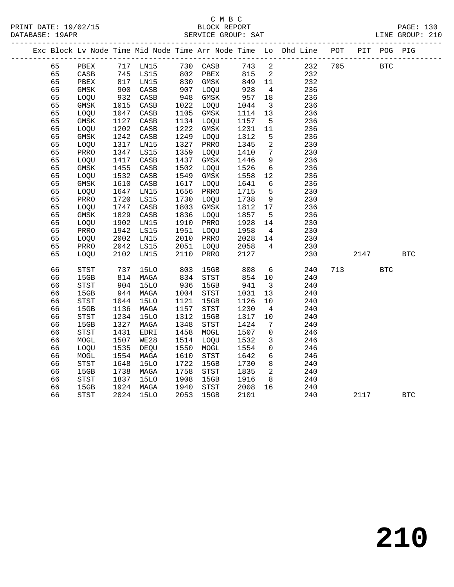|          | Exc Block Lv Node Time Mid Node Time Arr Node Time Lo Dhd Line POT |                                                                                                                |                     |                                   |             |      |                          |            |     |      | PIT POG PIG |            |
|----------|--------------------------------------------------------------------|----------------------------------------------------------------------------------------------------------------|---------------------|-----------------------------------|-------------|------|--------------------------|------------|-----|------|-------------|------------|
| 65       | PBEX                                                               |                                                                                                                | 717 LN15            | 730 CASB                          |             | 743  | $\overline{\phantom{a}}$ | 232        | 705 |      | <b>BTC</b>  |            |
| 65       | CASB                                                               |                                                                                                                | LS15                |                                   | 802 PBEX    | 815  | $\overline{\phantom{a}}$ | 232        |     |      |             |            |
| 65       | PBEX                                                               | $\begin{array}{c} \n \stackrel{\cdot}{\cancel{5}} \\ \n 817 \\ \n \stackrel{\cdot}{\cancel{5}} \n \end{array}$ | LN15                | $802 - 2$ $830$ $500$ $500$ $500$ |             | 849  | 11                       | 232        |     |      |             |            |
| 65       | $\rm{GMSK}$                                                        | 900                                                                                                            | CASB                | 907                               | LOQU        | 928  | $\overline{4}$           | 236        |     |      |             |            |
| 65       | LOQU                                                               | 932                                                                                                            | CASB                | 948                               | GMSK        | 957  | 18                       | 236        |     |      |             |            |
| 65       | GMSK                                                               | 1015                                                                                                           | CASB                | 1022                              | LOQU        | 1044 | $\overline{\mathbf{3}}$  | 236        |     |      |             |            |
| 65       | LOQU                                                               | 1047                                                                                                           | CASB                | 1105                              | GMSK        | 1114 | 13                       | 236        |     |      |             |            |
| 65       | $\rm{GMSK}$                                                        | 1127                                                                                                           | CASB                | 1134                              | LOQU        | 1157 | $5^{\circ}$              | 236        |     |      |             |            |
| 65       | LOQU                                                               | 1202                                                                                                           | CASB                | 1222                              | GMSK        | 1231 | 11                       | 236        |     |      |             |            |
| 65       | GMSK                                                               | 1242                                                                                                           | CASB                | 1249                              | LOQU        | 1312 | 5                        | 236        |     |      |             |            |
| 65       | LOQU                                                               | 1317                                                                                                           | LN15                | 1327                              | PRRO        | 1345 | 2                        | 230        |     |      |             |            |
| 65       | PRRO                                                               | 1347                                                                                                           | LS15                | 1359                              | <b>LOOU</b> | 1410 | $7\phantom{.0}$          | 230        |     |      |             |            |
| 65       | LOQU                                                               | 1417                                                                                                           | CASB                | 1437                              | GMSK        | 1446 | 9                        | 236        |     |      |             |            |
| 65       | GMSK                                                               | 1455                                                                                                           | CASB                | 1502                              | LOQU        | 1526 | $6\overline{6}$          | 236        |     |      |             |            |
| 65       | LOQU                                                               | 1532                                                                                                           | CASB                | 1549                              | $\rm{GMSK}$ | 1558 | $12$                     | 236        |     |      |             |            |
| 65       | $\rm{GMSK}$                                                        | 1610                                                                                                           | CASB                | 1617                              | LOQU        | 1641 | 6                        | 236        |     |      |             |            |
| 65       | LOQU                                                               | 1647                                                                                                           | LN15                | 1656                              | PRRO        | 1715 | 5                        | 230        |     |      |             |            |
| 65       | PRRO                                                               | 1720                                                                                                           | LS15                | 1730                              | LOQU        | 1738 | 9                        | 230        |     |      |             |            |
| 65       | LOQU                                                               | 1747                                                                                                           | CASB                | 1803                              | $\rm{GMSK}$ | 1812 | 17                       | 236        |     |      |             |            |
| 65       | $\rm{GMSK}$                                                        | 1829                                                                                                           | CASB                | 1836                              | LOQU        | 1857 | 5                        | 236        |     |      |             |            |
| 65       | LOQU                                                               | 1902                                                                                                           | LN15                | 1910                              | PRRO        | 1928 | 14                       | 230        |     |      |             |            |
| 65       | PRRO                                                               | 1942                                                                                                           | LS15                | 1951                              | LOQU        | 1958 | $\overline{4}$           | 230        |     |      |             |            |
| 65       | LOQU                                                               | 2002                                                                                                           | LN15                | 2010                              | PRRO        | 2028 | 14                       | 230        |     |      |             |            |
| 65       | PRRO                                                               | 2042                                                                                                           | LS15                | 2051                              | LOQU        | 2058 | $4\overline{ }$          | 230        |     |      |             |            |
| 65       | LOQU                                                               | 2102                                                                                                           | LN15                | 2110                              | PRRO        | 2127 |                          | 230        |     | 2147 |             | <b>BTC</b> |
|          |                                                                    |                                                                                                                |                     |                                   |             |      |                          |            |     |      |             |            |
| 66       | STST                                                               | 737                                                                                                            | <b>15LO</b>         | 803                               | 15GB        | 808  | 6                        | 240        | 713 |      | BTC         |            |
| 66       | 15GB                                                               | 814                                                                                                            | MAGA                | 834                               | STST        | 854  | 10                       | 240        |     |      |             |            |
| 66       | STST                                                               | 904                                                                                                            | <b>15LO</b>         | 936                               | 15GB        | 941  | $\overline{\mathbf{3}}$  | 240        |     |      |             |            |
| 66       | 15GB                                                               | 944                                                                                                            | MAGA<br><b>15LO</b> | 1004<br>1121                      | STST        | 1031 | 13                       | 240        |     |      |             |            |
| 66       | STST<br>15GB                                                       | 1044<br>1136                                                                                                   |                     | 1157                              | 15GB        | 1126 | 10                       | 240<br>240 |     |      |             |            |
| 66<br>66 |                                                                    | 1234                                                                                                           | MAGA                | 1312                              | STST        | 1230 | $\overline{4}$           |            |     |      |             |            |
|          | STST                                                               |                                                                                                                | <b>15LO</b>         |                                   | 15GB        | 1317 | 10                       | 240        |     |      |             |            |
| 66       | 15GB                                                               | 1327                                                                                                           | MAGA                | 1348                              | STST        | 1424 | 7                        | 240        |     |      |             |            |
| 66       | <b>STST</b>                                                        | 1431                                                                                                           | EDRI                | 1458                              | MOGL        | 1507 | 0                        | 246        |     |      |             |            |
| 66       | MOGL                                                               | 1507                                                                                                           | WE28                | 1514                              | LOQU        | 1532 | $\mathbf{3}$             | 246        |     |      |             |            |
| 66       | LOQU                                                               | 1535                                                                                                           | DEQU                | 1550                              | MOGL        | 1554 | $\mathbf 0$              | 246        |     |      |             |            |
| 66       | MOGL                                                               | 1554                                                                                                           | MAGA                | 1610                              | STST        | 1642 | 6                        | 246        |     |      |             |            |
| 66       | STST                                                               | 1648                                                                                                           | <b>15LO</b>         | 1722                              | 15GB        | 1730 | 8                        | 240        |     |      |             |            |
| 66       | 15GB                                                               | 1738                                                                                                           | MAGA                | 1758                              | STST        | 1835 | 2                        | 240        |     |      |             |            |
| 66       | STST                                                               | 1837                                                                                                           | <b>15LO</b>         | 1908                              | 15GB        | 1916 | 8                        | 240        |     |      |             |            |
| 66       | 15GB                                                               | 1924                                                                                                           | MAGA                | 1940                              | <b>STST</b> | 2008 | 16                       | 240        |     |      |             |            |
| 66       | <b>STST</b>                                                        | 2024                                                                                                           | <b>15LO</b>         | 2053                              | 15GB        | 2101 |                          | 240        |     | 2117 |             | <b>BTC</b> |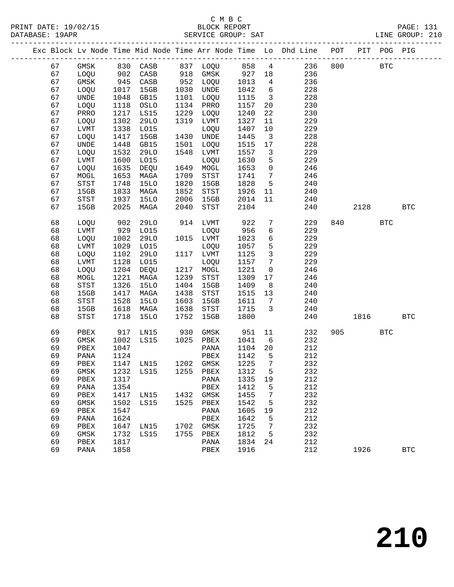|  |    |             |      |                                 |      |           |         |                              | Exc Block Lv Node Time Mid Node Time Arr Node Time Lo Dhd Line POT PIT POG PIG                                 |     |           |            |            |
|--|----|-------------|------|---------------------------------|------|-----------|---------|------------------------------|----------------------------------------------------------------------------------------------------------------|-----|-----------|------------|------------|
|  | 67 |             |      |                                 |      |           |         |                              | GMSK 830 CASB 837 LOQU 858 4 236 800<br>LOQU 902 CASB 918 GMSK 927 18 236<br>GMSK 945 CASB 952 LOQU 1013 4 236 |     |           | <b>BTC</b> |            |
|  | 67 |             |      |                                 |      |           |         |                              |                                                                                                                |     |           |            |            |
|  | 67 |             |      |                                 |      | 952 LOQU  |         |                              |                                                                                                                |     |           |            |            |
|  | 67 | LOQU        | 1017 | 15GB                            |      | 1030 UNDE | 1042    | $6\overline{6}$              | 228                                                                                                            |     |           |            |            |
|  | 67 | <b>UNDE</b> | 1048 | GB15                            | 1101 | LOQU      | 1115    | $\overline{\mathbf{3}}$      | 228                                                                                                            |     |           |            |            |
|  | 67 | LOQU        | 1118 | OSLO                            |      | 1134 PRRO | 1157    | 20                           | 230                                                                                                            |     |           |            |            |
|  | 67 | PRRO        | 1217 | LS15                            | 1229 | LOQU      | 1240    | 22                           | 230                                                                                                            |     |           |            |            |
|  | 67 | LOQU        | 1302 | 29LO                            | 1319 | LVMT      | 1327    | 11                           | 229                                                                                                            |     |           |            |            |
|  | 67 | LVMT        | 1338 | L015                            |      | LOQU      | 1407    | 10                           | 229                                                                                                            |     |           |            |            |
|  | 67 | LOQU        | 1417 | 15GB                            |      | 1430 UNDE | 1445    | $\overline{\mathbf{3}}$      | 228                                                                                                            |     |           |            |            |
|  | 67 | UNDE        | 1448 | GB15                            | 1501 | LOQU      | 1515    | 17                           | 228                                                                                                            |     |           |            |            |
|  | 67 | LOQU        | 1532 | 29LO                            | 1548 | LVMT      | 1557    | $\overline{\mathbf{3}}$      | 229                                                                                                            |     |           |            |            |
|  | 67 | LVMT        | 1600 | L015                            |      | LOQU      | 1630    | 5                            | 229                                                                                                            |     |           |            |            |
|  | 67 | LOQU        | 1635 | DEQU                            |      | 1649 MOGL | 1653    | $\overline{0}$               | 246                                                                                                            |     |           |            |            |
|  | 67 | MOGL        | 1653 | MAGA                            | 1709 | STST      | 1741    | $7\overline{ }$              | 246                                                                                                            |     |           |            |            |
|  | 67 | STST        | 1748 | 15LO                            | 1820 | 15GB      | 1828    | 5 <sup>5</sup>               | 240                                                                                                            |     |           |            |            |
|  | 67 | 15GB        | 1833 | MAGA                            | 1852 | STST      | 1926    | 11                           | 240                                                                                                            |     |           |            |            |
|  | 67 | STST        | 1937 | 15LO                            | 2006 | 15GB      | 2014    | 11                           | 240                                                                                                            |     |           |            |            |
|  | 67 | 15GB        | 2025 | MAGA                            | 2040 | STST      | 2104    |                              | 240                                                                                                            |     | 2128      |            | <b>BTC</b> |
|  |    |             |      |                                 |      |           |         |                              |                                                                                                                |     |           |            |            |
|  | 68 | LOQU        | 902  | 29LO                            |      | 914 LVMT  | 922     | $7\overline{ }$              | 229                                                                                                            | 840 |           | <b>BTC</b> |            |
|  | 68 | LVMT        | 929  | L015                            |      | LOQU      | 956     | 6                            | 229                                                                                                            |     |           |            |            |
|  | 68 | LOQU        | 1002 | 29LO                            |      | 1015 LVMT | 1023    | 6                            | 229                                                                                                            |     |           |            |            |
|  | 68 | LVMT        | 1029 | L015                            |      | LOQU      | 1057    | 5                            | 229                                                                                                            |     |           |            |            |
|  | 68 | LOQU        | 1102 | 29LO                            |      | 1117 LVMT | 1125    | $\mathbf{3}$                 | 229                                                                                                            |     |           |            |            |
|  | 68 | LVMT        | 1128 | L015                            |      | LOQU      | 1157    | $\overline{7}$               | 229                                                                                                            |     |           |            |            |
|  | 68 | LOQU        | 1204 | DEQU                            |      | 1217 MOGL | 1221    | $\overline{0}$               | 246                                                                                                            |     |           |            |            |
|  | 68 | MOGL        | 1221 | MAGA                            | 1239 | STST      | 1309    | 17                           | 246                                                                                                            |     |           |            |            |
|  | 68 | STST        | 1326 | <b>15LO</b>                     | 1404 | 15GB      | 1409    | 8 <sup>8</sup>               | 240                                                                                                            |     |           |            |            |
|  | 68 | 15GB        | 1417 | MAGA                            | 1438 | STST      | 1515    | 13                           | 240                                                                                                            |     |           |            |            |
|  | 68 | STST        | 1528 | <b>15LO</b>                     | 1603 | 15GB      | 1611    | $7\phantom{.0}\phantom{.0}7$ | 240                                                                                                            |     |           |            |            |
|  | 68 | 15GB        | 1618 | MAGA                            | 1638 | STST      | 1715    | $\overline{3}$               | 240                                                                                                            |     |           |            |            |
|  | 68 | STST        | 1718 | 15LO                            | 1752 | 15GB      | 1800    |                              | 240                                                                                                            |     | 1816      |            | <b>BTC</b> |
|  | 69 | PBEX        | 917  | LN15 930                        |      | GMSK      | 951     | 11                           | 232                                                                                                            |     | 905 — 100 | <b>BTC</b> |            |
|  | 69 | GMSK        | 1002 | $LS15$ 1025 PBEX                |      |           | 1041    | 6                            | 232                                                                                                            |     |           |            |            |
|  | 69 | PBEX        | 1047 |                                 |      | PANA      | 1104    | 20                           | 212                                                                                                            |     |           |            |            |
|  | 69 | PANA        | 1124 |                                 |      | PBEX      | 1142    | $5^{\circ}$                  | 212                                                                                                            |     |           |            |            |
|  | 69 | PBEX        |      | 1147 LN15 1202 GMSK             |      |           | 1225    | $\overline{7}$               | 232                                                                                                            |     |           |            |            |
|  | 69 |             |      | GMSK 1232 LS15 1255 PBEX 1312 5 |      |           |         |                              | 232                                                                                                            |     |           |            |            |
|  | 69 | PBEX        | 1317 |                                 |      | PANA      | 1335 19 |                              | 212                                                                                                            |     |           |            |            |
|  | 69 | PANA        | 1354 |                                 |      | PBEX      | 1412    | 5                            | 212                                                                                                            |     |           |            |            |
|  | 69 | PBEX        | 1417 | LN15                            |      | 1432 GMSK | 1455    | $7\phantom{.0}$              | 232                                                                                                            |     |           |            |            |
|  | 69 | GMSK        | 1502 | LS15                            | 1525 | PBEX      | 1542    | 5                            | 232                                                                                                            |     |           |            |            |
|  | 69 | PBEX        | 1547 |                                 |      | PANA      | 1605    | 19                           | 212                                                                                                            |     |           |            |            |
|  | 69 | PANA        | 1624 |                                 |      | PBEX      | 1642    | 5                            | 212                                                                                                            |     |           |            |            |
|  | 69 | PBEX        | 1647 | LN15                            | 1702 | GMSK      | 1725    | 7                            | 232                                                                                                            |     |           |            |            |
|  | 69 | GMSK        | 1732 | LS15                            | 1755 | PBEX      | 1812    | 5                            | 232                                                                                                            |     |           |            |            |
|  | 69 | PBEX        | 1817 |                                 |      | PANA      | 1834    | 24                           | 212                                                                                                            |     |           |            |            |
|  | 69 | PANA        | 1858 |                                 |      | PBEX      | 1916    |                              | 212                                                                                                            |     | 1926      |            | <b>BTC</b> |
|  |    |             |      |                                 |      |           |         |                              |                                                                                                                |     |           |            |            |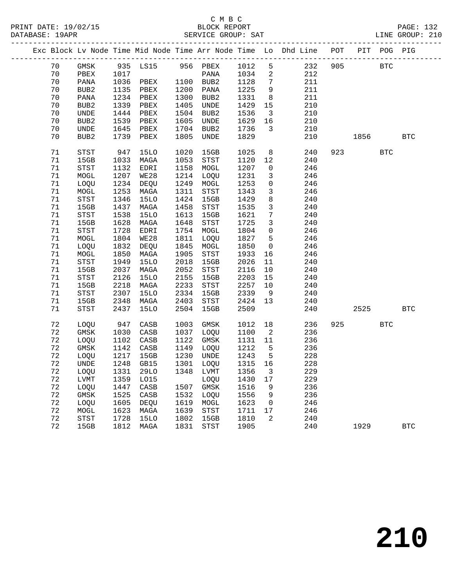|  |    |                                       |      |                          |      |                                       |        |                         | Exc Block Lv Node Time Mid Node Time Arr Node Time Lo Dhd Line POT |     |      | PIT POG PIG |              |
|--|----|---------------------------------------|------|--------------------------|------|---------------------------------------|--------|-------------------------|--------------------------------------------------------------------|-----|------|-------------|--------------|
|  | 70 | GMSK                                  |      | 935 LS15 956 PBEX 1012   |      |                                       |        | 5                       | 232                                                                | 905 |      | <b>BTC</b>  |              |
|  | 70 | PBEX                                  | 1017 |                          |      | PANA                                  | 1034   | $\overline{a}$          | 212                                                                |     |      |             |              |
|  | 70 | PANA                                  | 1036 | PBEX                     |      | 1100 BUB2                             | 1128   | $7\phantom{.0}$         | 211                                                                |     |      |             |              |
|  | 70 | BUB2                                  | 1135 | PBEX                     | 1200 | PANA                                  | 1225   | 9                       | 211                                                                |     |      |             |              |
|  | 70 | PANA                                  | 1234 | PBEX                     | 1300 | BUB2                                  | 1331   | 8                       | 211                                                                |     |      |             |              |
|  | 70 | BUB2                                  | 1339 | PBEX                     | 1405 | UNDE                                  | 1429   | 15                      | 210                                                                |     |      |             |              |
|  | 70 | UNDE                                  | 1444 | PBEX                     | 1504 | BUB2                                  | 1536   | $\overline{\mathbf{3}}$ | 210                                                                |     |      |             |              |
|  | 70 | BUB2                                  | 1539 | PBEX                     | 1605 | UNDE                                  | 1629   | 16                      | 210                                                                |     |      |             |              |
|  | 70 | UNDE                                  | 1645 | PBEX                     | 1704 | BUB2                                  | 1736   | $\mathbf{3}$            | 210                                                                |     |      |             |              |
|  | 70 | BUB <sub>2</sub>                      | 1739 | PBEX                     | 1805 | UNDE                                  | 1829   |                         | 210                                                                |     | 1856 |             | <b>BTC</b>   |
|  | 71 | <b>STST</b>                           | 947  | 15LO                     | 1020 | 15GB                                  | 1025   | 8                       | 240                                                                | 923 |      | <b>BTC</b>  |              |
|  | 71 | 15GB                                  | 1033 | MAGA                     | 1053 | <b>STST</b>                           | 1120   | 12                      | 240                                                                |     |      |             |              |
|  | 71 | <b>STST</b>                           | 1132 | EDRI                     | 1158 | MOGL                                  | 1207   | $\mathsf{O}$            | 246                                                                |     |      |             |              |
|  | 71 | MOGL                                  | 1207 | WE28                     | 1214 | LOQU                                  | 1231   | $\mathbf{3}$            | 246                                                                |     |      |             |              |
|  | 71 | LOQU                                  | 1234 | DEQU                     | 1249 | MOGL                                  | 1253   | $\mathbf 0$             | 246                                                                |     |      |             |              |
|  | 71 | MOGL                                  | 1253 | MAGA                     | 1311 | $_{\footnotesize{\textnormal{STST}}}$ | 1343   | $\mathbf{3}$            | 246                                                                |     |      |             |              |
|  | 71 | STST                                  | 1346 | <b>15LO</b>              | 1424 | 15GB                                  | 1429   | 8                       | 240                                                                |     |      |             |              |
|  | 71 | 15GB                                  | 1437 | MAGA                     | 1458 | $_{\footnotesize\rm STST}$            | 1535   | $\mathbf{3}$            | 240                                                                |     |      |             |              |
|  | 71 | STST                                  | 1538 | <b>15LO</b>              | 1613 | 15GB                                  | 1621   | $7\phantom{.0}$         | 240                                                                |     |      |             |              |
|  | 71 | 15GB                                  | 1628 | MAGA                     | 1648 | STST                                  | 1725   | $\mathbf{3}$            | 240                                                                |     |      |             |              |
|  | 71 | <b>STST</b>                           | 1728 | EDRI                     | 1754 | MOGL                                  | 1804   | $\mathsf 0$             | 246                                                                |     |      |             |              |
|  | 71 | MOGL                                  | 1804 | WE28                     | 1811 | LOQU                                  | 1827   | 5                       | 246                                                                |     |      |             |              |
|  | 71 | LOQU                                  | 1832 | DEQU                     | 1845 | MOGL                                  | 1850   | $\mathbf 0$             | 246                                                                |     |      |             |              |
|  | 71 | MOGL                                  | 1850 | MAGA                     | 1905 | $_{\footnotesize{\textnormal{STST}}}$ | 1933   | 16                      | 246                                                                |     |      |             |              |
|  | 71 | $_{\footnotesize{\textnormal{STST}}}$ | 1949 | <b>15LO</b>              | 2018 | 15GB                                  | 2026   | 11                      | 240                                                                |     |      |             |              |
|  | 71 | 15GB                                  | 2037 | MAGA                     | 2052 | STST                                  | 2116   | 10                      | 240                                                                |     |      |             |              |
|  | 71 | $_{\footnotesize{\textnormal{STST}}}$ | 2126 | <b>15LO</b>              | 2155 | 15GB                                  | 2203   | 15                      | 240                                                                |     |      |             |              |
|  | 71 | 15GB                                  | 2218 | MAGA                     | 2233 | STST                                  | 2257   | 10                      | 240                                                                |     |      |             |              |
|  | 71 | $_{\footnotesize{\textnormal{STST}}}$ | 2307 | 15LO                     | 2334 | 15GB                                  | 2339   | 9                       | 240                                                                |     |      |             |              |
|  | 71 | 15GB                                  | 2348 | MAGA                     | 2403 | STST                                  | 2424   | 13                      | 240                                                                |     |      |             |              |
|  | 71 | STST                                  | 2437 | <b>15LO</b>              | 2504 | 15GB                                  | 2509   |                         | 240                                                                |     | 2525 |             | $_{\rm BTC}$ |
|  | 72 | LOQU                                  | 947  | CASB                     | 1003 | GMSK                                  | 1012   | 18                      | 236                                                                | 925 |      | <b>BTC</b>  |              |
|  | 72 | GMSK                                  | 1030 | CASB                     | 1037 | LOQU                                  | 1100   | $\overline{2}$          | 236                                                                |     |      |             |              |
|  | 72 | LOQU                                  | 1102 | CASB                     | 1122 | GMSK                                  | 1131   | 11                      | 236                                                                |     |      |             |              |
|  | 72 | GMSK                                  | 1142 | CASB                     | 1149 | LOQU                                  | 1212   | $5^{\circ}$             | 236                                                                |     |      |             |              |
|  | 72 | LOQU                                  | 1217 | 15GB                     | 1230 | UNDE                                  | 1243   | $5^{\circ}$             | 228                                                                |     |      |             |              |
|  | 72 | UNDE                                  | 1248 | GB15                     | 1301 | LOQU                                  | 1315   | 16                      | 228                                                                |     |      |             |              |
|  | 72 |                                       |      | LOQU 1331 29LO 1348 LVMT |      |                                       | 1356 3 |                         | 229                                                                |     |      |             |              |
|  | 72 | LVMT                                  | 1359 | L015                     |      | LOQU                                  | 1430   | 17                      | 229                                                                |     |      |             |              |
|  | 72 | LOQU                                  | 1447 | CASB                     | 1507 | GMSK                                  | 1516   | 9                       | 236                                                                |     |      |             |              |
|  | 72 | GMSK                                  | 1525 | CASB                     | 1532 | LOQU                                  | 1556   | 9                       | 236                                                                |     |      |             |              |
|  | 72 | LOQU                                  | 1605 | DEQU                     | 1619 | MOGL                                  | 1623   | 0                       | 246                                                                |     |      |             |              |
|  | 72 | MOGL                                  | 1623 | MAGA                     | 1639 | <b>STST</b>                           | 1711   | 17                      | 246                                                                |     |      |             |              |
|  | 72 | <b>STST</b>                           | 1728 | <b>15LO</b>              | 1802 | 15GB                                  | 1810   | 2                       | 240                                                                |     |      |             |              |
|  | 72 | 15GB                                  | 1812 | MAGA                     | 1831 | STST                                  | 1905   |                         | 240                                                                |     | 1929 |             | $_{\rm BTC}$ |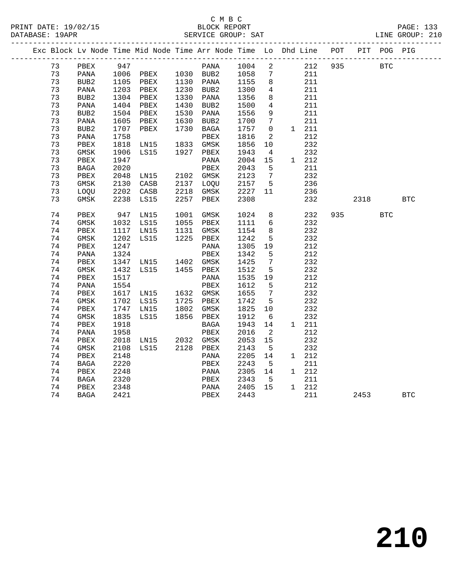|  |    |              |      | Exc Block Lv Node Time Mid Node Time Arr Node Time Lo Dhd Line POT |      |              |              |                            |               |     |            | PIT POG PIG |            |
|--|----|--------------|------|--------------------------------------------------------------------|------|--------------|--------------|----------------------------|---------------|-----|------------|-------------|------------|
|  | 73 | PBEX         | 947  |                                                                    |      | PANA         | 1004         | $\overline{\phantom{a}}^2$ | 212           | 935 | <b>BTC</b> |             |            |
|  | 73 | PANA         |      | 1006 PBEX 1030 BUB2                                                |      |              |              | 7                          | 211           |     |            |             |            |
|  | 73 | BUB2         |      | 1105 PBEX                                                          |      | 1130 PANA    | 1058<br>1155 | 8 <sup>8</sup>             | 211           |     |            |             |            |
|  | 73 | PANA         |      | 1203 PBEX                                                          |      | 1230 BUB2    | 1300         | 4                          | 211           |     |            |             |            |
|  | 73 | BUB2         | 1304 | PBEX                                                               |      | 1330 PANA    | 1356         | 8                          | 211           |     |            |             |            |
|  | 73 | PANA         | 1404 | PBEX                                                               |      | 1430 BUB2    | 1500         | $\overline{4}$             | 211           |     |            |             |            |
|  | 73 | BUB2         | 1504 | PBEX                                                               |      | 1530 PANA    | 1556         | 9                          | 211           |     |            |             |            |
|  | 73 | PANA         | 1605 | PBEX                                                               | 1630 | BUB2         | 1700         | $7\phantom{.0}$            | 211           |     |            |             |            |
|  | 73 | BUB2         | 1707 | PBEX                                                               |      | 1730 BAGA    | 1757         | $\mathbf{0}$               | $1 \quad 211$ |     |            |             |            |
|  | 73 | PANA         | 1758 |                                                                    |      | PBEX         | 1816         | 2                          | 212           |     |            |             |            |
|  | 73 | ${\tt PBEX}$ | 1818 | LNI5                                                               |      | 1833 GMSK    | 1856         | 10                         | 232           |     |            |             |            |
|  | 73 | GMSK         | 1906 | LS15                                                               |      | 1927 PBEX    | 1943         | $\overline{4}$             | 232           |     |            |             |            |
|  | 73 | ${\tt PBEX}$ | 1947 |                                                                    |      | PANA         | 2004         | 15                         | 1 212         |     |            |             |            |
|  | 73 | BAGA         | 2020 |                                                                    |      | PBEX         | 2043         | 5                          | 211           |     |            |             |            |
|  | 73 | PBEX         | 2048 | LN15                                                               |      | 2102 GMSK    | 2123         | $\overline{7}$             | 232           |     |            |             |            |
|  | 73 | <b>GMSK</b>  | 2130 | CASB                                                               |      | 2137 LOQU    | 2157         | $5^{\circ}$                | 236           |     |            |             |            |
|  | 73 | <b>LOOU</b>  | 2202 | CASB                                                               | 2218 | GMSK         | 2227         | 11                         | 236           |     |            |             |            |
|  | 73 | <b>GMSK</b>  | 2238 | LS15                                                               | 2257 | PBEX         | 2308         |                            | 232           |     | 2318       |             | <b>BTC</b> |
|  |    |              |      |                                                                    |      |              |              |                            |               |     |            |             |            |
|  | 74 | PBEX         | 947  | LN15                                                               | 1001 | GMSK         | 1024         | 8                          | 232           |     | 935 — 100  | <b>BTC</b>  |            |
|  | 74 | GMSK         |      | 1032 LS15                                                          |      | 1055 PBEX    | 1111         | $6\overline{6}$            | 232           |     |            |             |            |
|  | 74 | PBEX         | 1117 | LN15                                                               | 1131 | GMSK         | 1154         | 8                          | 232           |     |            |             |            |
|  | 74 | <b>GMSK</b>  | 1202 | LS15                                                               | 1225 | ${\tt PBEX}$ | 1242         | $5^{\circ}$                | 232           |     |            |             |            |
|  | 74 | PBEX         | 1247 |                                                                    |      | PANA         | 1305         | 19                         | 212           |     |            |             |            |
|  | 74 | PANA         | 1324 |                                                                    |      | PBEX         | 1342         | 5                          | 212           |     |            |             |            |
|  | 74 | ${\tt PBEX}$ |      | 1347 LN15 1402 GMSK                                                |      |              | 1425         | $\overline{7}$             | 232           |     |            |             |            |
|  | 74 | GMSK         | 1432 | LS15                                                               |      | 1455 PBEX    | 1512         | 5                          | 232           |     |            |             |            |
|  | 74 | ${\tt PBEX}$ | 1517 |                                                                    |      | PANA         | 1535         | 19                         | 212           |     |            |             |            |
|  | 74 | PANA         | 1554 |                                                                    |      | PBEX         | 1612         | - 5                        | 212           |     |            |             |            |
|  | 74 | ${\tt PBEX}$ |      | 1617 LN15                                                          |      | 1632 GMSK    | 1655         | 7                          | 232           |     |            |             |            |
|  | 74 | GMSK         |      | 1702 LS15                                                          |      | 1725 PBEX    | 1742         | 5                          | 232           |     |            |             |            |
|  | 74 | PBEX         | 1747 | LN15                                                               |      | 1802 GMSK    | 1825         | 10                         | 232           |     |            |             |            |
|  | 74 | GMSK         | 1835 | LS15                                                               |      | 1856 PBEX    | 1912         | 6                          | 232           |     |            |             |            |
|  | 74 | PBEX         | 1918 |                                                                    |      | BAGA         | 1943         | 14                         | 1 211         |     |            |             |            |
|  | 74 | PANA         | 1958 |                                                                    |      | PBEX         | 2016         | $\overline{\phantom{a}}$   | 212           |     |            |             |            |
|  | 74 | PBEX         | 2018 | LN15                                                               |      | 2032 GMSK    | 2053         | 15                         | 232           |     |            |             |            |
|  | 74 | GMSK         | 2108 | LS15                                                               |      | 2128 PBEX    | 2143         | $5^{\circ}$                | 232           |     |            |             |            |
|  | 74 | PBEX         | 2148 |                                                                    |      | PANA         | 2205         | 14                         | 1 212         |     |            |             |            |
|  | 74 | BAGA         | 2220 |                                                                    |      | PBEX         | 2243         | 5                          | 211           |     |            |             |            |
|  | 74 | PBEX         | 2248 |                                                                    |      | PANA         | 2305         | 14                         | 1 212         |     |            |             |            |
|  | 74 | BAGA         | 2320 |                                                                    |      | PBEX         | 2343         | 5                          | 211           |     |            |             |            |
|  | 74 | PBEX         | 2348 |                                                                    |      | PANA         | 2405         | 15                         | 1 212         |     |            |             |            |
|  | 74 | BAGA         | 2421 |                                                                    |      | PBEX         | 2443         |                            | 211           |     | 2453       |             | <b>BTC</b> |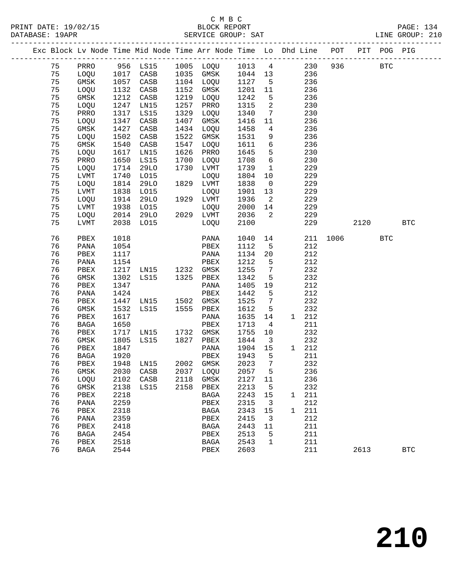# C M B C<br>BLOCK REPORT

|    |              |      |                     |      | Exc Block Lv Node Time Mid Node Time Arr Node Time Lo Dhd Line POT PIT POG PIG |                      |                            |                       |          |      |            |            |
|----|--------------|------|---------------------|------|--------------------------------------------------------------------------------|----------------------|----------------------------|-----------------------|----------|------|------------|------------|
|    |              |      |                     |      | 75 PRRO 956 LS15 1005 LOQU 1013 4 230 936 BTC                                  |                      |                            |                       |          |      |            |            |
| 75 |              |      |                     |      | LOQU 1017 CASB 1035 GMSK 1044 13                                               |                      |                            | 236                   |          |      |            |            |
| 75 | GMSK         |      | 1057 CASB           |      | 1104 LOQU                                                                      | 1127<br>1201<br>1242 |                            | 5 <sub>5</sub><br>236 |          |      |            |            |
| 75 | LOQU         |      | 1132 CASB           |      | 1152 GMSK                                                                      |                      | 11                         | 236                   |          |      |            |            |
| 75 | GMSK         |      | 1212 CASB           |      | 1219 LOQU                                                                      |                      | 5 <sub>5</sub>             | 236                   |          |      |            |            |
| 75 | LOQU         |      | 1247 LN15           | 1257 | PRRO                                                                           | 1315                 | $\overline{\phantom{a}}$   | 230                   |          |      |            |            |
| 75 | PRRO         |      | 1317 LS15           | 1329 | LOOU                                                                           | 1340                 | $7\overline{7}$            | 230                   |          |      |            |            |
| 75 | LOQU         |      | 1347 CASB           | 1407 | GMSK                                                                           | 1416                 | 11                         | 236                   |          |      |            |            |
| 75 | GMSK         |      | 1427 CASB           | 1434 | LOQU                                                                           | 1458                 | $\overline{4}$             | 236                   |          |      |            |            |
| 75 | LOQU         | 1502 | CASB                | 1522 | GMSK                                                                           | 1531                 |                            | 9<br>236              |          |      |            |            |
| 75 | GMSK         | 1540 | CASB                | 1547 | LOQU                                                                           | 1611                 | 6                          | 236                   |          |      |            |            |
| 75 | LOQU         | 1617 | LN15                | 1626 | PRRO                                                                           | 1645                 | 5 <sup>5</sup>             | 230                   |          |      |            |            |
| 75 | PRRO         | 1650 | LS15                | 1700 | LOQU                                                                           | 1708                 | $6\overline{6}$            | 230                   |          |      |            |            |
| 75 | LOQU         |      | 1714 29LO           | 1730 | LVMT                                                                           | 1739                 | $\overline{\phantom{a}}$   | 229                   |          |      |            |            |
| 75 | LVMT         | 1740 | LO15                |      | LOQU                                                                           | 1804                 | 10                         | 229                   |          |      |            |            |
| 75 | LOQU         | 1814 | 29LO                |      | 1829 LVMT                                                                      | 1838                 | $\overline{0}$             | 229                   |          |      |            |            |
| 75 | LVMT         |      | 1838 LO15           |      | LOQU                                                                           | 1901                 | 13                         | 229                   |          |      |            |            |
| 75 | LOQU         |      | 1914 29LO           |      | 1929 LVMT                                                                      | 1936                 |                            | $\overline{2}$<br>229 |          |      |            |            |
| 75 | LVMT         |      | 1938 LO15           |      | LOQU                                                                           | 2000                 |                            | 14<br>229             |          |      |            |            |
| 75 | LOQU         | 2014 | 29LO                |      | 2029 LVMT                                                                      | 2036                 | $\overline{\mathbf{2}}$    | 229                   |          |      |            |            |
| 75 | LVMT         |      | 2038 LO15           |      | LOQU                                                                           | 2100                 |                            | 229                   |          | 2120 |            | <b>BTC</b> |
| 76 | PBEX         | 1018 |                     |      | PANA                                                                           | 1040                 |                            | 14                    | 211 1006 |      | <b>BTC</b> |            |
| 76 | PANA         | 1054 |                     |      | PBEX                                                                           | 1112                 | $5^{\circ}$                | 212                   |          |      |            |            |
| 76 | PBEX         | 1117 |                     |      | PANA                                                                           | 1134                 | 20                         | 212                   |          |      |            |            |
| 76 | PANA         | 1154 |                     |      | PBEX                                                                           | 1212                 | $5^{\circ}$                | 212                   |          |      |            |            |
| 76 | PBEX         |      | 1217 LN15 1232 GMSK |      |                                                                                | 1255                 | $\overline{7}$             | 232                   |          |      |            |            |
| 76 | GMSK         | 1302 | LS15 1325 PBEX      |      |                                                                                | 1342                 | 5                          | 232                   |          |      |            |            |
| 76 | PBEX         | 1347 |                     |      | PANA                                                                           | 1405                 | 19                         | 212                   |          |      |            |            |
| 76 | PANA         | 1424 |                     |      | PBEX                                                                           | 1442                 | 5                          | 212                   |          |      |            |            |
| 76 | PBEX         |      | 1447 LN15 1502 GMSK |      |                                                                                | 1525                 | $\overline{7}$             | 232                   |          |      |            |            |
| 76 | GMSK         | 1532 | LS15 1555 PBEX      |      |                                                                                | 1612                 | 5                          | 232                   |          |      |            |            |
| 76 | PBEX         | 1617 |                     |      | PANA                                                                           | 1635                 | 14                         | 1 212                 |          |      |            |            |
| 76 | BAGA         | 1650 |                     |      | PBEX                                                                           | 1713                 | $\overline{4}$             | 211                   |          |      |            |            |
| 76 | PBEX         |      | 1717 LN15 1732 GMSK |      |                                                                                | 1755                 | 10                         | 232                   |          |      |            |            |
| 76 | GMSK         | 1805 | LS15 1827 PBEX      |      |                                                                                | 1844                 | $\overline{\phantom{a}}$ 3 | 232                   |          |      |            |            |
| 76 | PBEX         | 1847 |                     |      | PANA                                                                           | 1904 15              |                            | 1 212                 |          |      |            |            |
|    | 76 BAGA 1920 |      |                     |      | PBEX 1943 5 211                                                                |                      |                            |                       |          |      |            |            |
| 76 | PBEX         | 1948 | LN15                | 2002 | GMSK                                                                           | 2023                 | $\overline{7}$             | 232                   |          |      |            |            |
| 76 | $\rm{GMSK}$  | 2030 | CASB                | 2037 | LOQU                                                                           | 2057                 | 5                          | 236                   |          |      |            |            |
| 76 | LOQU         | 2102 | CASB                | 2118 | GMSK                                                                           | 2127                 | 11                         | 236                   |          |      |            |            |
| 76 | $\rm{GMSK}$  | 2138 | LS15                | 2158 | PBEX                                                                           | 2213                 | 5                          | 232                   |          |      |            |            |
| 76 | PBEX         | 2218 |                     |      | $_{\rm BAGA}$                                                                  | 2243                 | 15                         | 211<br>1              |          |      |            |            |
| 76 | PANA         | 2259 |                     |      | PBEX                                                                           | 2315                 | 3                          | 212                   |          |      |            |            |
| 76 | ${\tt PBEX}$ | 2318 |                     |      | $_{\rm BAGA}$                                                                  | 2343                 | 15                         | 211<br>1              |          |      |            |            |
| 76 | PANA         | 2359 |                     |      | PBEX                                                                           | 2415                 | 3                          | 212                   |          |      |            |            |
| 76 | PBEX         | 2418 |                     |      | <b>BAGA</b>                                                                    | 2443                 | 11                         | 211                   |          |      |            |            |
| 76 | <b>BAGA</b>  | 2454 |                     |      | PBEX                                                                           | 2513                 | 5                          | 211                   |          |      |            |            |
| 76 | PBEX         | 2518 |                     |      | BAGA                                                                           | 2543                 | 1                          | 211                   |          |      |            |            |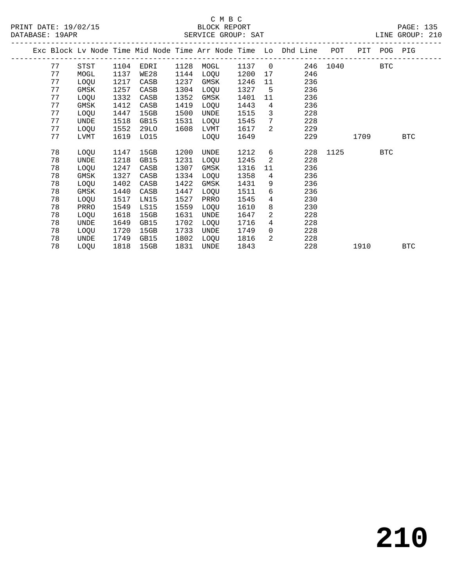### C M B C<br>BLOCK REPORT DATABASE: 19APR SERVICE GROUP: SAT LINE GROUP: 210

|    |      |      |      |      |      |      |                 | Exc Block Lv Node Time Mid Node Time Arr Node Time Lo Dhd Line POT |          |      | PIT POG PIG |            |
|----|------|------|------|------|------|------|-----------------|--------------------------------------------------------------------|----------|------|-------------|------------|
| 77 | STST | 1104 | EDRI | 1128 | MOGL | 1137 | $\overline{0}$  |                                                                    | 246 1040 |      | <b>BTC</b>  |            |
| 77 | MOGL | 1137 | WE28 | 1144 | LOQU | 1200 | 17              | 246                                                                |          |      |             |            |
| 77 | LOQU | 1217 | CASB | 1237 | GMSK | 1246 | 11              | 236                                                                |          |      |             |            |
| 77 | GMSK | 1257 | CASB | 1304 | LOQU | 1327 | 5               | 236                                                                |          |      |             |            |
| 77 | LOQU | 1332 | CASB | 1352 | GMSK | 1401 | 11              | 236                                                                |          |      |             |            |
| 77 | GMSK | 1412 | CASB | 1419 | LOQU | 1443 | $4\overline{ }$ | 236                                                                |          |      |             |            |
| 77 | LOQU | 1447 | 15GB | 1500 | UNDE | 1515 | 3               | 228                                                                |          |      |             |            |
| 77 | UNDE | 1518 | GB15 | 1531 | LOQU | 1545 | $7\overline{ }$ | 228                                                                |          |      |             |            |
| 77 | LOQU | 1552 | 29LO | 1608 | LVMT | 1617 | 2               | 229                                                                |          |      |             |            |
| 77 | LVMT | 1619 | L015 |      | LOQU | 1649 |                 | 229                                                                |          | 1709 |             | <b>BTC</b> |
| 78 | LOQU | 1147 | 15GB | 1200 | UNDE | 1212 | 6               | 228                                                                | 1125     |      | BTC         |            |
| 78 | UNDE | 1218 | GB15 | 1231 | LOQU | 1245 | 2               | 228                                                                |          |      |             |            |
| 78 | LOQU | 1247 | CASB | 1307 | GMSK | 1316 | 11              | 236                                                                |          |      |             |            |
| 78 | GMSK | 1327 | CASB | 1334 | LOQU | 1358 | $\overline{4}$  | 236                                                                |          |      |             |            |
| 78 | LOQU | 1402 | CASB | 1422 | GMSK | 1431 | 9               | 236                                                                |          |      |             |            |
| 78 | GMSK | 1440 | CASB | 1447 | LOQU | 1511 | 6               | 236                                                                |          |      |             |            |
| 78 | LOQU | 1517 | LN15 | 1527 | PRRO | 1545 | $4\overline{ }$ | 230                                                                |          |      |             |            |
| 78 | PRRO | 1549 | LS15 | 1559 | LOQU | 1610 | 8               | 230                                                                |          |      |             |            |
| 78 | LOQU | 1618 | 15GB | 1631 | UNDE | 1647 | 2               | 228                                                                |          |      |             |            |
| 78 | UNDE | 1649 | GB15 | 1702 | LOQU | 1716 | $4\overline{ }$ | 228                                                                |          |      |             |            |
| 78 | LOQU | 1720 | 15GB | 1733 | UNDE | 1749 | $\overline{0}$  | 228                                                                |          |      |             |            |
| 78 | UNDE | 1749 | GB15 | 1802 | LOQU | 1816 | 2               | 228                                                                |          |      |             |            |
| 78 | LOQU | 1818 | 15GB | 1831 | UNDE | 1843 |                 | 228                                                                |          | 1910 |             | BTC        |
|    |      |      |      |      |      |      |                 |                                                                    |          |      |             |            |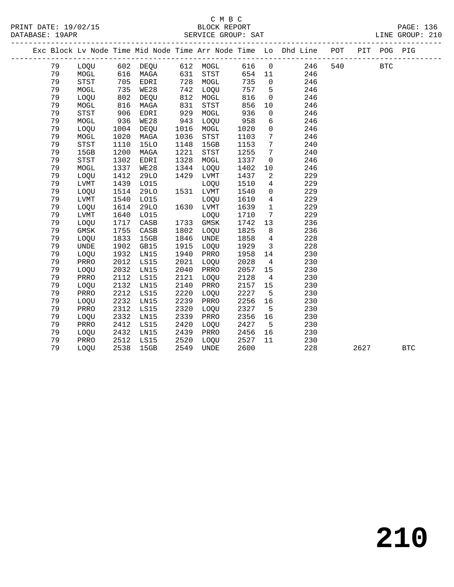### C M B C<br>BLOCK REPORT SERVICE GROUP: SAT

PRINT DATE: 19/02/15 BLOCK REPORT PAGE: 136

|  |          |              |              |                   |              |              |              |                         | Exc Block Lv Node Time Mid Node Time Arr Node Time Lo Dhd Line POT |     |      | PIT POG PIG |            |
|--|----------|--------------|--------------|-------------------|--------------|--------------|--------------|-------------------------|--------------------------------------------------------------------|-----|------|-------------|------------|
|  | 79       | LOQU         |              | 602 DEQU 612 MOGL |              |              | 616          | $\overline{0}$          | 246                                                                | 540 |      | <b>BTC</b>  |            |
|  | 79       | MOGL         | 616          | MAGA              | 631<br>728   | STST         | 654          | 11                      | 246                                                                |     |      |             |            |
|  | 79       | STST         | 705<br>735   | EDRI              | 728          | MOGL         | 735          | $\overline{0}$          | 246                                                                |     |      |             |            |
|  | 79       | MOGL         |              | WE28              | 742          | LOOU         | 757          | $5^{\circ}$             | 246                                                                |     |      |             |            |
|  | 79       | LOQU         | 802          | DEQU              | 812          | MOGL         | 816          | $\overline{0}$          | 246                                                                |     |      |             |            |
|  | 79       | MOGL         | 816          | MAGA              | 831          | STST         | 856          | 10                      | 246                                                                |     |      |             |            |
|  | 79       | STST         | 906          | EDRI              | 929          | MOGL         | 936          | $\mathbf 0$             | 246                                                                |     |      |             |            |
|  | 79       | MOGL         | 936          | WE28              | 943          | LOQU         | 958          | 6                       | 246                                                                |     |      |             |            |
|  | 79       | LOQU         | 1004         | DEQU              | 1016         | MOGL         | 1020         | $\mathsf{O}$            | 246                                                                |     |      |             |            |
|  | 79       | MOGL         | 1020         | MAGA              | 1036         | STST         | 1103         | $7\phantom{.0}$         | 246                                                                |     |      |             |            |
|  | 79       | <b>STST</b>  | 1110         | <b>15LO</b>       | 1148         | 15GB         | 1153         | $7\phantom{.0}$         | 240                                                                |     |      |             |            |
|  | 79       | 15GB         | 1200         | MAGA              | 1221         | STST         | 1255         | $7\phantom{.0}$         | 240                                                                |     |      |             |            |
|  | 79       | <b>STST</b>  | 1302         | EDRI              | 1328         | MOGL         | 1337         | $\overline{0}$          | 246                                                                |     |      |             |            |
|  | 79       | MOGL         | 1337         | WE28              | 1344         | LOQU         | 1402         | 10                      | 246                                                                |     |      |             |            |
|  | 79       | LOQU         | 1412         | 29LO              | 1429         | LVMT         | 1437         | 2                       | 229                                                                |     |      |             |            |
|  | 79       | LVMT         | 1439         | L015              |              | LOQU         | 1510         | $\overline{4}$          | 229                                                                |     |      |             |            |
|  | 79       | LOQU         | 1514         | 29LO              |              | 1531 LVMT    | 1540         | $\mathsf{O}$            | 229                                                                |     |      |             |            |
|  | 79       | LVMT         | 1540         | L015              |              | LOQU         | 1610         | $4\overline{ }$         | 229                                                                |     |      |             |            |
|  | 79       | LOQU         | 1614         | 29LO              |              | 1630 LVMT    | 1639         | $\mathbf{1}$            | 229                                                                |     |      |             |            |
|  | 79       | LVMT         | 1640         | L015              |              | LOQU         | 1710         | $7\phantom{.0}$         | 229                                                                |     |      |             |            |
|  | 79       | LOQU         | 1717         | CASB              | 1733         | GMSK         | 1742         | 13                      | 236                                                                |     |      |             |            |
|  | 79       | GMSK         | 1755         | CASB              | 1802         | LOQU         | 1825         | 8                       | 236                                                                |     |      |             |            |
|  | 79       | LOQU         | 1833         | 15GB              | 1846         | UNDE         | 1858         | $4\overline{4}$         | 228                                                                |     |      |             |            |
|  | 79       | UNDE         | 1902         | GB15              | 1915         | LOQU         | 1929         | $\overline{\mathbf{3}}$ | 228                                                                |     |      |             |            |
|  | 79       | LOQU         | 1932         | LN15              | 1940         | PRRO         | 1958         | 14                      | 230                                                                |     |      |             |            |
|  | 79       | PRRO         | 2012         | LS15              | 2021         | LOQU         | 2028         | $\overline{4}$          | 230                                                                |     |      |             |            |
|  | 79       | LOQU         | 2032         | LN15              | 2040         | PRRO         | 2057         | 15                      | 230                                                                |     |      |             |            |
|  | 79       | PRRO         | 2112         | LS15              | 2121         | LOQU         | 2128         | $\overline{4}$          | 230                                                                |     |      |             |            |
|  | 79       | LOQU         | 2132         | LN15              | 2140         | PRRO         | 2157         | 15                      | 230                                                                |     |      |             |            |
|  | 79       | PRRO         | 2212         | LS15              | 2220         | LOQU         | 2227         | $5^{\circ}$             | 230                                                                |     |      |             |            |
|  | 79       | LOQU         | 2232         | LN15              | 2239         | PRRO         | 2256         | 16                      | 230                                                                |     |      |             |            |
|  | 79       | PRRO         | 2312         | LS15              | 2320         | LOQU         | 2327         | $5^{\circ}$             | 230                                                                |     |      |             |            |
|  | 79       | LOQU         | 2332         | LN15              | 2339         | PRRO         | 2356         | 16                      | 230                                                                |     |      |             |            |
|  | 79<br>79 | PRRO         | 2412<br>2432 | LS15<br>LN15      | 2420<br>2439 | LOOU         | 2427<br>2456 | $-5$                    | 230<br>230                                                         |     |      |             |            |
|  | 79       | LOQU<br>PRRO | 2512         | LS15              | 2520         | PRRO         | 2527         | 16<br>11                | 230                                                                |     |      |             |            |
|  | 79       | LOQU         | 2538         | 15GB              | 2549         | LOQU<br>UNDE | 2600         |                         | 228                                                                |     | 2627 |             | <b>BTC</b> |
|  |          |              |              |                   |              |              |              |                         |                                                                    |     |      |             |            |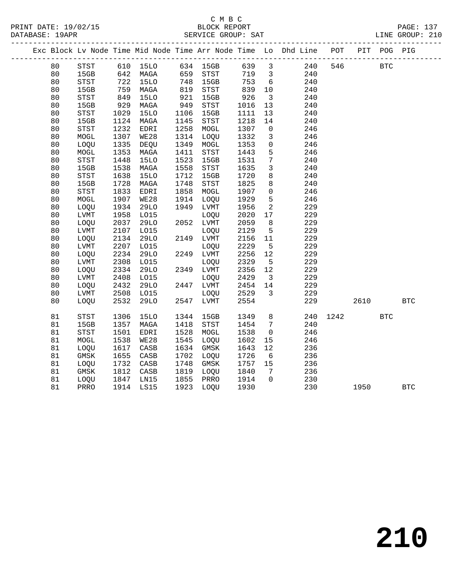### C M B C<br>BLOCK REPORT SERVICE GROUP: SAT

|    |              |      |             |      |           |       |                         | Exc Block Lv Node Time Mid Node Time Arr Node Time Lo Dhd Line POT |      |      | PIT POG PIG |              |
|----|--------------|------|-------------|------|-----------|-------|-------------------------|--------------------------------------------------------------------|------|------|-------------|--------------|
| 80 | STST         |      | 610 15LO    |      | 634 15GB  | 639 3 |                         | 240                                                                | 546  |      | <b>BTC</b>  |              |
| 80 | 15GB         | 642  | MAGA        |      | 659 STST  | 719   | $\overline{\mathbf{3}}$ | 240                                                                |      |      |             |              |
| 80 | STST         | 722  | 15LO        | 748  | 15GB      | 753   | $6\overline{6}$         | 240                                                                |      |      |             |              |
| 80 | 15GB         | 759  | MAGA        | 819  | STST      | 839   | 10                      | 240                                                                |      |      |             |              |
| 80 | STST         | 849  | <b>15LO</b> | 921  | 15GB      | 926   | $\overline{\mathbf{3}}$ | 240                                                                |      |      |             |              |
| 80 | 15GB         | 929  | MAGA        | 949  | STST      | 1016  | 13                      | 240                                                                |      |      |             |              |
| 80 | STST         | 1029 | <b>15LO</b> | 1106 | 15GB      | 1111  | 13                      | 240                                                                |      |      |             |              |
| 80 | 15GB         | 1124 | MAGA        | 1145 | STST      | 1218  | 14                      | 240                                                                |      |      |             |              |
| 80 | STST         | 1232 | EDRI        | 1258 | MOGL      | 1307  | $\overline{0}$          | 246                                                                |      |      |             |              |
| 80 | $\tt MOGL$   | 1307 | <b>WE28</b> | 1314 | LOQU      | 1332  | $\mathbf{3}$            | 246                                                                |      |      |             |              |
| 80 | LOQU         | 1335 | DEQU        | 1349 | MOGL      | 1353  | $\mathbf 0$             | 246                                                                |      |      |             |              |
| 80 | MOGL         | 1353 | MAGA        | 1411 | STST      | 1443  | 5                       | 246                                                                |      |      |             |              |
| 80 | STST         | 1448 | <b>15LO</b> | 1523 | 15GB      | 1531  | $7\phantom{.0}$         | 240                                                                |      |      |             |              |
| 80 | 15GB         | 1538 | MAGA        | 1558 | STST      | 1635  | $\mathbf{3}$            | 240                                                                |      |      |             |              |
| 80 | <b>STST</b>  | 1638 | <b>15LO</b> | 1712 | 15GB      | 1720  | 8                       | 240                                                                |      |      |             |              |
| 80 | 15GB         | 1728 | MAGA        | 1748 | STST      | 1825  | 8                       | 240                                                                |      |      |             |              |
| 80 | STST         | 1833 | EDRI        | 1858 | MOGL      | 1907  | $\mathbf 0$             | 246                                                                |      |      |             |              |
| 80 | MOGL         | 1907 | WE28        |      | 1914 LOQU | 1929  | $5\phantom{.0}$         | 246                                                                |      |      |             |              |
| 80 | LOQU         | 1934 | 29LO        | 1949 | LVMT      | 1956  | 2                       | 229                                                                |      |      |             |              |
| 80 | LVMT         | 1958 | L015        |      | LOQU      | 2020  | 17                      | 229                                                                |      |      |             |              |
| 80 | LOQU         | 2037 | 29LO        |      | 2052 LVMT | 2059  | 8                       | 229                                                                |      |      |             |              |
| 80 | LVMT         | 2107 | L015        |      | LOQU      | 2129  | 5                       | 229                                                                |      |      |             |              |
| 80 | LOQU         | 2134 | 29LO        |      | 2149 LVMT | 2156  | 11                      | 229                                                                |      |      |             |              |
| 80 | LVMT         | 2207 | L015        |      | LOQU      | 2229  | $5^{\circ}$             | 229                                                                |      |      |             |              |
| 80 | LOQU         | 2234 | 29LO        |      | 2249 LVMT | 2256  | 12                      | 229                                                                |      |      |             |              |
| 80 | LVMT         | 2308 | L015        |      | LOQU      | 2329  | $5^{\circ}$             | 229                                                                |      |      |             |              |
| 80 | LOQU         | 2334 | 29LO        |      | 2349 LVMT | 2356  | 12                      | 229                                                                |      |      |             |              |
| 80 | ${\rm LVMT}$ | 2408 | L015        |      | LOQU      | 2429  | $\overline{\mathbf{3}}$ | 229                                                                |      |      |             |              |
| 80 | LOQU         | 2432 | 29LO        |      | 2447 LVMT | 2454  | 14                      | 229                                                                |      |      |             |              |
| 80 | LVMT         | 2508 | L015        |      | LOQU      | 2529  | $\overline{\mathbf{3}}$ | 229                                                                |      |      |             |              |
| 80 | <b>LOOU</b>  | 2532 | <b>29LO</b> |      | 2547 LVMT | 2554  |                         | 229                                                                |      | 2610 |             | $_{\rm BTC}$ |
| 81 | <b>STST</b>  | 1306 | 15LO        | 1344 | 15GB      | 1349  | 8                       | 240                                                                | 1242 |      | <b>BTC</b>  |              |
| 81 | 15GB         | 1357 | MAGA        | 1418 | STST      | 1454  | $7\overline{ }$         | 240                                                                |      |      |             |              |
| 81 | <b>STST</b>  | 1501 | EDRI        | 1528 | MOGL      | 1538  | $\mathbf 0$             | 246                                                                |      |      |             |              |
| 81 | MOGL         | 1538 | WE28        | 1545 | LOQU      | 1602  | 15                      | 246                                                                |      |      |             |              |
| 81 | LOQU         | 1617 | CASB        | 1634 | GMSK      | 1643  | 12                      | 236                                                                |      |      |             |              |
| 81 | GMSK         | 1655 | CASB        | 1702 | LOQU      | 1726  | $6\overline{6}$         | 236                                                                |      |      |             |              |
| 81 | LOQU         | 1732 | CASB        | 1748 | GMSK      | 1757  | 15                      | 236                                                                |      |      |             |              |
| 81 | GMSK         | 1812 | CASB        | 1819 | LOQU      | 1840  | $7\overline{ }$         | 236                                                                |      |      |             |              |
| 81 | LOQU         | 1847 | LN15        | 1855 | PRRO      | 1914  | $\Omega$                | 230                                                                |      |      |             |              |
| 81 | PRRO         | 1914 | LS15        | 1923 | LOQU      | 1930  |                         | 230                                                                |      | 1950 |             | <b>BTC</b>   |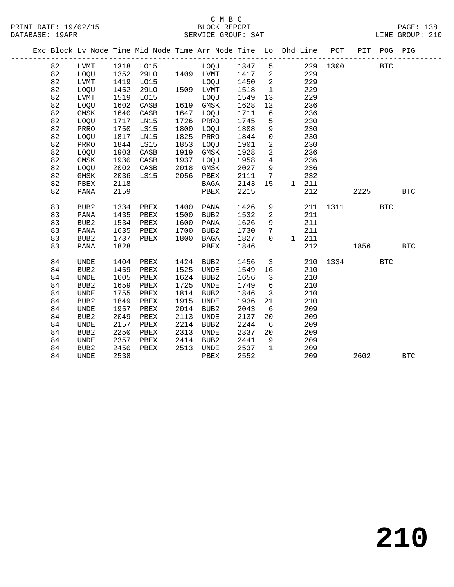#### C M B C<br>BLOCK REPORT SERVICE GROUP: SAT

| DAIADAQE · IJAIR |                                                                |      |             |      | DERVICE GROOF · DAI |        |               |     |      |     |            | LINE CROOL · ZIU |
|------------------|----------------------------------------------------------------|------|-------------|------|---------------------|--------|---------------|-----|------|-----|------------|------------------|
|                  | Exc Block Lv Node Time Mid Node Time Arr Node Time Lo Dhd Line |      |             |      |                     |        |               |     | POT  | PIT |            | POG PIG          |
| 82               | LVMT                                                           | 1318 | LO15        |      | LOOU                | 1347   | 5             | 229 | 1300 |     | <b>BTC</b> |                  |
| 82               | LOQU                                                           | 1352 | 29LO        | 1409 | LVMT                | 1417   | 2             | 229 |      |     |            |                  |
| 82               | LVMT                                                           | 1419 | L015        |      | LOOU                | 1450   | $\mathcal{L}$ | 229 |      |     |            |                  |
| 82               | LOQU                                                           | 1452 | 29LO        | 1509 | LVMT                | 1518   | 1             | 229 |      |     |            |                  |
| 82               | LVMT                                                           | 1519 | L015        |      | LOOU                | 1549   | 13            | 229 |      |     |            |                  |
| 82               | LOOU                                                           | 1602 | CASB        | 1619 | GMSK                | 1628   | 12            | 236 |      |     |            |                  |
| 82               | GMSK                                                           | 1640 | CASB        | 1647 | LOOU                | 1711   | 6             | 236 |      |     |            |                  |
| 82               | LOQU                                                           | 1717 | LN15        | 1726 | PRRO                | 1745   | 5             | 230 |      |     |            |                  |
| 82               | PRRO                                                           | 1750 | LS15        | 1800 | LOOU                | 1808   | 9             | 230 |      |     |            |                  |
| 82               | LOOU                                                           | 1817 | LN15        | 1825 | PRRO                | 1844   | $\Omega$      | 230 |      |     |            |                  |
| 82               | PRRO                                                           | 1844 | LS15        | 1853 | LOOU                | 1901   | 2             | 230 |      |     |            |                  |
| 82               | LOOU                                                           | 1903 | CASB        | 1919 | GMSK                | 1928   | 2             | 236 |      |     |            |                  |
| 82               | GMSK                                                           | 1930 | CASB        | 1937 | LOOU                | 1958   | 4             | 236 |      |     |            |                  |
| 82               | LOOU                                                           | 2002 | CASB        | 2018 | GMSK                | 2027   | 9             | 236 |      |     |            |                  |
| $\circ$ $\circ$  | CMCV                                                           |      | $2026$ TC15 | 2055 | עתמת                | $2111$ | 7             | つつつ |      |     |            |                  |

| 82<br>82 | LOQU<br>GMSK     | 2002<br>2036 | CASB<br>LS15 | 2018<br>2056 | GMSK<br>PBEX     | 2027<br>2111 | 9<br>7   |              | 236<br>232 |      |      |            |            |
|----------|------------------|--------------|--------------|--------------|------------------|--------------|----------|--------------|------------|------|------|------------|------------|
| 82       | PBEX             | 2118         |              |              | <b>BAGA</b>      | 2143         | 15       | 1            | 211        |      |      |            |            |
| 82       | PANA             | 2159         |              |              | PBEX             | 2215         |          |              | 212        |      | 2225 |            | <b>BTC</b> |
|          |                  |              |              |              |                  |              |          |              |            |      |      |            |            |
| 83       | BUB <sub>2</sub> | 1334         | PBEX         | 1400         | PANA             | 1426         | 9        |              | 211        | 1311 |      | <b>BTC</b> |            |
| 83       | PANA             | 1435         | PBEX         | 1500         | BUB <sub>2</sub> | 1532         | 2        |              | 211        |      |      |            |            |
| 83       | BUB <sub>2</sub> | 1534         | PBEX         | 1600         | PANA             | 1626         | 9        |              | 211        |      |      |            |            |
| 83       | PANA             | 1635         | PBEX         | 1700         | BUB <sub>2</sub> | 1730         | 7        |              | 211        |      |      |            |            |
| 83       | BUB <sub>2</sub> | 1737         | PBEX         | 1800         | <b>BAGA</b>      | 1827         | $\Omega$ | $\mathbf{1}$ | 211        |      |      |            |            |
| 83       | PANA             | 1828         |              |              | PBEX             | 1846         |          |              | 212        |      | 1856 |            | <b>BTC</b> |
|          |                  |              |              |              |                  |              |          |              |            |      |      |            |            |
| 84       | <b>UNDE</b>      | 1404         | PBEX         | 1424         | BUB2             | 1456         | 3        |              | 210        | 1334 |      | <b>BTC</b> |            |
| 84       | BUB <sub>2</sub> | 1459         | PBEX         | 1525         | UNDE             | 1549         | 16       |              | 210        |      |      |            |            |
| 84       | <b>UNDE</b>      | 1605         | PBEX         | 1624         | BUB <sub>2</sub> | 1656         | 3        |              | 210        |      |      |            |            |
| 84       | BUB <sub>2</sub> | 1659         | PBEX         | 1725         | UNDE             | 1749         | 6        |              | 210        |      |      |            |            |
| 84       | <b>UNDE</b>      | 1755         | PBEX         | 1814         | BUB2             | 1846         | 3        |              | 210        |      |      |            |            |
| 84       | BUB <sub>2</sub> | 1849         | PBEX         | 1915         | UNDE             | 1936         | 21       |              | 210        |      |      |            |            |
| 84       | <b>UNDE</b>      | 1957         | PBEX         | 2014         | BUB <sub>2</sub> | 2043         | 6        |              | 209        |      |      |            |            |
| 84       | BUB <sub>2</sub> | 2049         | PBEX         | 2113         | UNDE             | 2137         | 20       |              | 209        |      |      |            |            |
| 84       | <b>UNDE</b>      | 2157         | PBEX         | 2214         | BUB <sub>2</sub> | 2244         | 6        |              | 209        |      |      |            |            |
| 84       | BUB <sub>2</sub> | 2250         | PBEX         | 2313         | UNDE             | 2337         | 20       |              | 209        |      |      |            |            |
| 84       | <b>UNDE</b>      | 2357         | PBEX         | 2414         | BUB2             | 2441         | 9        |              | 209        |      |      |            |            |
| 84       | BUB <sub>2</sub> | 2450         | PBEX         | 2513         | UNDE             | 2537         | 1        |              | 209        |      |      |            |            |
| 84       | <b>UNDE</b>      | 2538         |              |              | PBEX             | 2552         |          |              | 209        |      | 2602 |            | <b>BTC</b> |
|          |                  |              |              |              |                  |              |          |              |            |      |      |            |            |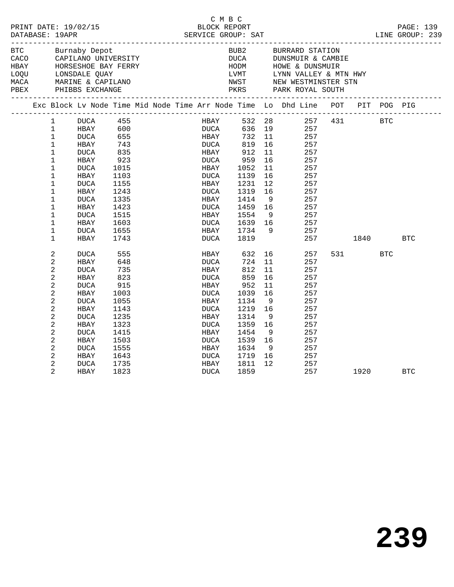| PRINT DATE: 19/02/15 |  |                |                    |            |                                                      | C M B C<br>BLOCK REPORT |             |             |                 |                                                                                |      |       |            | PAGE: 139  |
|----------------------|--|----------------|--------------------|------------|------------------------------------------------------|-------------------------|-------------|-------------|-----------------|--------------------------------------------------------------------------------|------|-------|------------|------------|
|                      |  |                | BTC Burnaby Depot  |            |                                                      |                         |             |             |                 | BUB2 BURRARD STATION                                                           |      |       |            |            |
|                      |  |                |                    |            |                                                      |                         |             |             |                 |                                                                                |      |       |            |            |
|                      |  |                |                    |            | CACO CAPILANO UNIVERSITY<br>HBAY HORSESHOE BAY FERRY |                         |             |             |                 | DUCA DUNSMUIR & CAMBIE<br>HODM HOWE & DUNSMUIR                                 |      |       |            |            |
|                      |  |                | LOQU LONSDALE QUAY |            |                                                      |                         |             |             |                 | LVMT UYNN VALLEY & MTN HWY                                                     |      |       |            |            |
|                      |  |                |                    |            |                                                      |                         |             |             |                 |                                                                                |      |       |            |            |
|                      |  |                |                    |            |                                                      |                         |             |             |                 | NWST – NEW WESTMINSTER STN<br>PKRS – PARK ROYAL SOUTH                          |      |       |            |            |
|                      |  |                |                    |            |                                                      |                         |             |             |                 | Exc Block Lv Node Time Mid Node Time Arr Node Time Lo Dhd Line POT PIT POG PIG |      |       |            |            |
|                      |  | 1              |                    |            |                                                      |                         |             |             |                 | HBAY 532 28 257 431 BTC<br>DUCA 636 19 257                                     |      |       |            |            |
|                      |  | 1              |                    |            |                                                      |                         |             |             |                 |                                                                                |      |       |            |            |
|                      |  | $\mathbf 1$    | <b>DUCA</b>        | 655        |                                                      |                         | <b>HBAY</b> | 732         | 11              | 257                                                                            |      |       |            |            |
|                      |  | $\mathbf 1$    | HBAY               | 743<br>835 |                                                      |                         | DUCA        | 819         | 16              | 257                                                                            |      |       |            |            |
|                      |  | $\mathbf 1$    | <b>DUCA</b>        |            |                                                      |                         | <b>HBAY</b> | 912         | 11              | 257                                                                            |      |       |            |            |
|                      |  | 1              | HBAY               | 923        |                                                      |                         | DUCA        | 959         | 16              | 257                                                                            |      |       |            |            |
|                      |  | $\mathbf{1}$   | DUCA               | 1015       |                                                      |                         | HBAY        | 959<br>1052 | 11              | 257                                                                            |      |       |            |            |
|                      |  | $\mathbf 1$    | HBAY               | 1103       |                                                      |                         | DUCA        | 1139        | 16              | 257                                                                            |      |       |            |            |
|                      |  | $\mathbf{1}$   | <b>DUCA</b>        | 1155       |                                                      |                         | HBAY        | 1231        | 12 <sup>°</sup> | 257                                                                            |      |       |            |            |
|                      |  | $\mathbf 1$    | HBAY               | 1243       |                                                      |                         | DUCA        | 1319        | 16              | 257                                                                            |      |       |            |            |
|                      |  | $\mathbf{1}$   | DUCA               | 1335       |                                                      |                         | HBAY        | 1414        | 9               | 257                                                                            |      |       |            |            |
|                      |  | $\mathbf 1$    | HBAY               | 1423       |                                                      |                         | DUCA        | 1459        | 16              | 257                                                                            |      |       |            |            |
|                      |  | $\mathbf 1$    | DUCA               | 1515       |                                                      |                         | HBAY        | 1554        | - 9             | 257                                                                            |      |       |            |            |
|                      |  | $\mathbf 1$    | HBAY               | 1603       |                                                      |                         | DUCA        | 1639 16     |                 | 257                                                                            |      |       |            |            |
|                      |  | $\mathbf 1$    | DUCA               | 1655       |                                                      |                         | HBAY        | 1734 9      |                 | 257                                                                            |      |       |            |            |
|                      |  | $\mathbf 1$    | HBAY               | 1743       |                                                      |                         | DUCA        | 1819        |                 | 257                                                                            | 1840 |       |            | <b>BTC</b> |
|                      |  | $\overline{c}$ | <b>DUCA</b>        | 555        |                                                      |                         | HBAY 632    |             |                 | 16<br>257                                                                      |      | 531 7 | <b>BTC</b> |            |
|                      |  | 2              | HBAY               | 648        |                                                      |                         | DUCA        | 724         | 11              | 257                                                                            |      |       |            |            |
|                      |  | 2              | <b>DUCA</b>        | 735        |                                                      |                         | HBAY        | 812         | 11              | 257                                                                            |      |       |            |            |
|                      |  | 2              | HBAY               | 823        |                                                      |                         | DUCA        | 859         | 16              | 257                                                                            |      |       |            |            |
|                      |  | 2              | <b>DUCA</b>        | 915        |                                                      |                         | HBAY        | 952         | 11              | 257                                                                            |      |       |            |            |
|                      |  | 2              | HBAY               | 1003       |                                                      |                         | DUCA        | 1039        | 16              | 257                                                                            |      |       |            |            |
|                      |  | 2              | <b>DUCA</b>        | 1055       |                                                      |                         | HBAY        | 1134        | - 9             | 257                                                                            |      |       |            |            |
|                      |  | 2              | HBAY               | 1143       |                                                      |                         | DUCA        | 1219        | 16              | 257                                                                            |      |       |            |            |
|                      |  | 2              | <b>DUCA</b>        | 1235       |                                                      |                         | HBAY        | 1314        | 9               | 257                                                                            |      |       |            |            |
|                      |  | 2              | HBAY               | 1323       |                                                      |                         | DUCA        | 1359        | 16              | 257                                                                            |      |       |            |            |
|                      |  | 2              | <b>DUCA</b>        | 1415       |                                                      |                         | HBAY        | 1454        | 9               | 257                                                                            |      |       |            |            |
|                      |  | 2              | HBAY               | 1503       |                                                      |                         | DUCA        | 1539        | 16              | 257                                                                            |      |       |            |            |
|                      |  | 2              | <b>DUCA</b>        | 1555       |                                                      |                         | HBAY        | 1634        | 9               | 257                                                                            |      |       |            |            |
|                      |  | 2              | HBAY               | 1643       |                                                      |                         | DUCA        | 1719        | 16              | 257                                                                            |      |       |            |            |
|                      |  | 2              | <b>DUCA</b>        | 1735       |                                                      |                         | HBAY        | 1811        | 12              | 257                                                                            |      |       |            |            |
|                      |  | $\overline{2}$ | HBAY               | 1823       |                                                      |                         | DUCA        | 1859        |                 | 257                                                                            |      | 1920  |            | <b>BTC</b> |
|                      |  |                |                    |            |                                                      |                         |             |             |                 |                                                                                |      |       |            |            |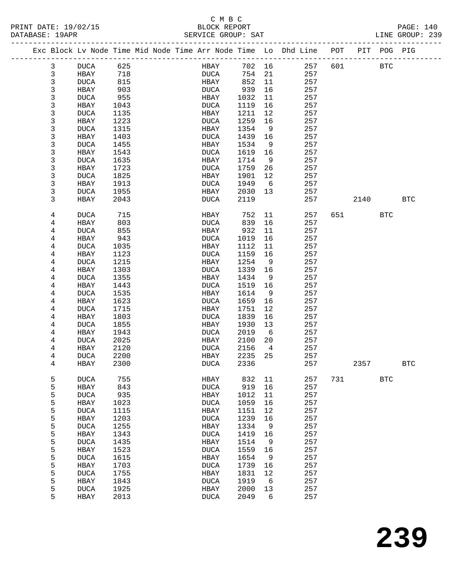### C M B C<br>BLOCK REPORT SERVICE GROUP: SAT

| PRINT DATE: 19/02/15<br>DATABASE: 19APR |                |             |      |  | BLOCK REPORT<br>SERVICE GROUP: SAT |         |                 |                                                                                |     |            |            | PAGE: 140<br>LINE GROUP: 239 |  |
|-----------------------------------------|----------------|-------------|------|--|------------------------------------|---------|-----------------|--------------------------------------------------------------------------------|-----|------------|------------|------------------------------|--|
|                                         |                |             |      |  |                                    |         |                 | Exc Block Lv Node Time Mid Node Time Arr Node Time Lo Dhd Line POT PIT POG PIG |     |            |            |                              |  |
|                                         | 3              | DUCA 625    |      |  |                                    |         |                 | HBAY 702 16 257                                                                | 601 | <b>BTC</b> |            |                              |  |
|                                         | $\mathfrak{Z}$ | HBAY        | 718  |  | <b>DUCA</b>                        | 754 21  |                 | 257                                                                            |     |            |            |                              |  |
|                                         | $\mathfrak{Z}$ | DUCA        | 815  |  | HBAY                               | 852     | 11              | 257                                                                            |     |            |            |                              |  |
|                                         | 3              | HBAY        | 903  |  | DUCA                               | 939     | 16              | 257                                                                            |     |            |            |                              |  |
|                                         | 3              | DUCA        | 955  |  | HBAY                               | 1032    | 11              | 257                                                                            |     |            |            |                              |  |
|                                         | 3              | HBAY        | 1043 |  | DUCA                               | 1119    | 16              | 257                                                                            |     |            |            |                              |  |
|                                         | 3              | DUCA        | 1135 |  | HBAY                               | 1211    | 12              | 257                                                                            |     |            |            |                              |  |
|                                         | 3              | HBAY        | 1223 |  | DUCA                               | 1259    | 16              | 257                                                                            |     |            |            |                              |  |
|                                         | 3              | DUCA        | 1315 |  | HBAY                               | 1354    | 9               | 257                                                                            |     |            |            |                              |  |
|                                         | 3              | HBAY        | 1403 |  | DUCA                               | 1439    | 16              | 257                                                                            |     |            |            |                              |  |
|                                         | 3              | DUCA        | 1455 |  | HBAY                               | 1534    | 9               | 257                                                                            |     |            |            |                              |  |
|                                         | 3              | HBAY        | 1543 |  | DUCA                               | 1619    | 16              | 257                                                                            |     |            |            |                              |  |
|                                         | 3              | DUCA        | 1635 |  | HBAY                               | 1714    | 9               | 257                                                                            |     |            |            |                              |  |
|                                         |                |             |      |  |                                    |         |                 |                                                                                |     |            |            |                              |  |
|                                         | 3              | HBAY        | 1723 |  | DUCA                               | 1759    | 26              | 257                                                                            |     |            |            |                              |  |
|                                         | 3              | DUCA        | 1825 |  | HBAY                               | 1901    | 12              | 257                                                                            |     |            |            |                              |  |
|                                         | 3              | HBAY        | 1913 |  | DUCA                               | 1949    | $6\overline{6}$ | 257                                                                            |     |            |            |                              |  |
|                                         | 3              | DUCA        | 1955 |  | HBAY                               | 2030    | 13              | 257                                                                            |     |            |            |                              |  |
|                                         | 3              | HBAY        | 2043 |  | DUCA                               | 2119    |                 | 257                                                                            |     | 2140       |            | BTC                          |  |
|                                         | 4              | DUCA        | 715  |  | HBAY                               | 752     | 11              | 257                                                                            |     |            | BTC        |                              |  |
|                                         | 4              | HBAY        | 803  |  | DUCA                               | 839     | 16              | 257                                                                            |     |            |            |                              |  |
|                                         | 4              | DUCA        | 855  |  | HBAY                               | 932     | 11              | 257                                                                            |     |            |            |                              |  |
|                                         | 4              | HBAY        | 943  |  | DUCA                               | 1019    | 16              | 257                                                                            |     |            |            |                              |  |
|                                         | 4              | DUCA        | 1035 |  | HBAY                               | 1112    | 11              | 257                                                                            |     |            |            |                              |  |
|                                         | 4              | HBAY        | 1123 |  | DUCA                               | 1159    | 16              | 257                                                                            |     |            |            |                              |  |
|                                         | 4              | DUCA        | 1215 |  | HBAY                               | 1254    | 9               | 257                                                                            |     |            |            |                              |  |
|                                         | 4              | HBAY        | 1303 |  | DUCA                               | 1339    | 16              | 257                                                                            |     |            |            |                              |  |
|                                         | 4              | DUCA        | 1355 |  | HBAY                               | 1434    | 9               | 257                                                                            |     |            |            |                              |  |
|                                         | 4              | HBAY        | 1443 |  | DUCA                               | 1519    | 16              | 257                                                                            |     |            |            |                              |  |
|                                         | 4              | DUCA        | 1535 |  | HBAY                               | 1614    | 9               | 257                                                                            |     |            |            |                              |  |
|                                         | 4              | HBAY        | 1623 |  | DUCA                               | 1659    | 16              | 257                                                                            |     |            |            |                              |  |
|                                         | 4              | DUCA        | 1715 |  | HBAY                               | 1751    | 12              | 257                                                                            |     |            |            |                              |  |
|                                         | 4              | HBAY        | 1803 |  | DUCA                               | 1839    | 16              | 257                                                                            |     |            |            |                              |  |
|                                         | 4              | DUCA        | 1855 |  | HBAY                               | 1930    | 13              | 257                                                                            |     |            |            |                              |  |
|                                         | 4              | HBAY        | 1943 |  | DUCA                               | 2019    | 6               | 257                                                                            |     |            |            |                              |  |
|                                         | 4              | DUCA        | 2025 |  | HBAY                               | 2100    | 20              | 257                                                                            |     |            |            |                              |  |
|                                         | 4              | HBAY        | 2120 |  | DUCA                               | 2156    | $\overline{4}$  | 257                                                                            |     |            |            |                              |  |
|                                         | 4              | DUCA        | 2200 |  | <b>HBAY</b>                        | 2235 25 |                 | 257                                                                            |     |            |            |                              |  |
|                                         | 4              |             | 2300 |  | <b>DUCA</b>                        | 2336    |                 | 257                                                                            |     | 2357       |            | <b>BTC</b>                   |  |
|                                         |                | HBAY        |      |  |                                    |         |                 |                                                                                |     |            |            |                              |  |
|                                         | 5              | DUCA        | 755  |  | HBAY                               | 832     | 11              | 257                                                                            | 731 |            | <b>BTC</b> |                              |  |
|                                         | 5              | HBAY        | 843  |  | DUCA                               | 919     | 16              | 257                                                                            |     |            |            |                              |  |
|                                         | 5              | <b>DUCA</b> | 935  |  | HBAY                               | 1012    | 11              | 257                                                                            |     |            |            |                              |  |
|                                         | 5              | HBAY        | 1023 |  | DUCA                               | 1059    | 16              | 257                                                                            |     |            |            |                              |  |
|                                         | 5              | DUCA        | 1115 |  | HBAY                               | 1151    | 12              | 257                                                                            |     |            |            |                              |  |
|                                         | 5              | HBAY        | 1203 |  | <b>DUCA</b>                        | 1239    | 16              | 257                                                                            |     |            |            |                              |  |
|                                         | 5              | <b>DUCA</b> | 1255 |  | HBAY                               | 1334    | 9               | 257                                                                            |     |            |            |                              |  |
|                                         | 5              | HBAY        | 1343 |  | <b>DUCA</b>                        | 1419    | 16              | 257                                                                            |     |            |            |                              |  |
|                                         | 5              | <b>DUCA</b> | 1435 |  | HBAY                               | 1514    | 9               | 257                                                                            |     |            |            |                              |  |
|                                         | 5              | HBAY        | 1523 |  | <b>DUCA</b>                        | 1559    | 16              | 257                                                                            |     |            |            |                              |  |
|                                         | 5              | <b>DUCA</b> | 1615 |  | HBAY                               | 1654    | 9               | 257                                                                            |     |            |            |                              |  |
|                                         | 5              | HBAY        | 1703 |  | DUCA                               | 1739    | 16              | 257                                                                            |     |            |            |                              |  |
|                                         | 5              | <b>DUCA</b> | 1755 |  | HBAY                               | 1831    | 12              | 257                                                                            |     |            |            |                              |  |

 5 HBAY 1843 DUCA 1919 6 257 5 DUCA 1925 HBAY 2000 13 257 5 HBAY 2013 DUCA 2049 6 257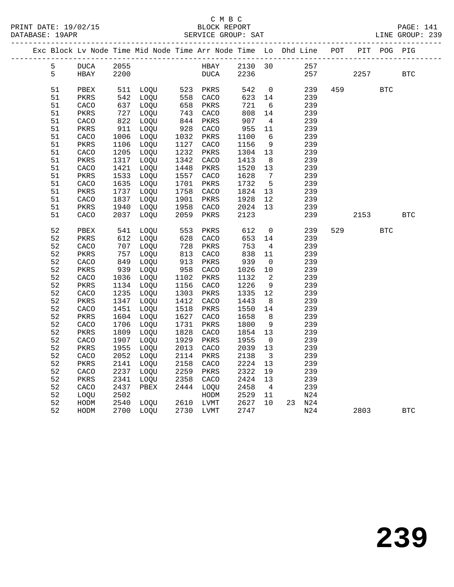### C M B C

| DATABASE: 19APR |                        |      |      |      | SERVICE GROUP: SAT                                                 |         |                         |    |                             |     |      |             | LINE GROUP: 239 |  |
|-----------------|------------------------|------|------|------|--------------------------------------------------------------------|---------|-------------------------|----|-----------------------------|-----|------|-------------|-----------------|--|
|                 |                        |      |      |      | Exc Block Lv Node Time Mid Node Time Arr Node Time Lo Dhd Line POT |         |                         |    | --------------------------- |     |      | PIT POG PIG |                 |  |
| 5               | $\tt DUCA$             | 2055 |      |      | HBAY                                                               | 2130 30 |                         |    | 257                         |     |      |             |                 |  |
| 5               | HBAY                   | 2200 |      |      | DUCA                                                               | 2236    |                         |    | 257                         |     | 2257 |             | <b>BTC</b>      |  |
| 51              | PBEX                   | 511  | LOOU |      | 523 PKRS                                                           | 542     | $\overline{0}$          |    | 239                         | 459 |      | <b>BTC</b>  |                 |  |
| 51              | PKRS                   | 542  | LOQU | 558  | CACO                                                               | 623     | 14                      |    | 239                         |     |      |             |                 |  |
| 51              | CACO                   | 637  | LOQU | 658  | PKRS                                                               | 721     | - 6                     |    | 239                         |     |      |             |                 |  |
| 51              | PKRS                   | 727  | LOQU | 743  | CACO                                                               | 808     | 14                      |    | 239                         |     |      |             |                 |  |
| 51              | CACO                   | 822  | LOQU | 844  | PKRS                                                               | 907     | $\overline{4}$          |    | 239                         |     |      |             |                 |  |
| 51              | PKRS                   | 911  | LOQU | 928  | CACO                                                               | 955     | 11                      |    | 239                         |     |      |             |                 |  |
| 51              | CACO                   | 1006 | LOQU | 1032 | PKRS                                                               | 1100    | 6                       |    | 239                         |     |      |             |                 |  |
| 51              | PKRS                   | 1106 | LOQU | 1127 | CACO                                                               | 1156    | 9                       |    | 239                         |     |      |             |                 |  |
| 51              | CACO                   | 1205 | LOQU | 1232 | PKRS                                                               | 1304    | 13                      |    | 239                         |     |      |             |                 |  |
| 51              | PKRS                   | 1317 | LOQU | 1342 | CACO                                                               | 1413    | 8                       |    | 239                         |     |      |             |                 |  |
| 51              | CACO                   | 1421 | LOQU | 1448 | PKRS                                                               | 1520    | 13                      |    | 239                         |     |      |             |                 |  |
| 51              | PKRS                   | 1533 | LOQU | 1557 | CACO                                                               | 1628    | $7\overline{ }$         |    | 239                         |     |      |             |                 |  |
| 51              | CACO                   | 1635 | LOQU | 1701 | PKRS                                                               | 1732    | $5^{\circ}$             |    | 239                         |     |      |             |                 |  |
| 51              | PKRS                   | 1737 | LOQU | 1758 | CACO                                                               | 1824    | 13                      |    | 239                         |     |      |             |                 |  |
| 51              | CACO                   | 1837 | LOQU | 1901 | PKRS                                                               | 1928    | 12                      |    | 239                         |     |      |             |                 |  |
| 51              | $\mbox{\texttt{PKRS}}$ | 1940 | LOQU | 1958 | CACO                                                               | 2024    | 13                      |    | 239                         |     |      |             |                 |  |
| 51              | CACO                   | 2037 | LOQU | 2059 | PKRS                                                               | 2123    |                         |    | 239                         |     | 2153 |             | <b>BTC</b>      |  |
| 52              | PBEX                   | 541  | LOQU | 553  | PKRS                                                               | 612     | $\mathbf 0$             |    | 239                         | 529 |      | <b>BTC</b>  |                 |  |
| 52              | PKRS                   | 612  | LOQU | 628  | CACO                                                               | 653     | 14                      |    | 239                         |     |      |             |                 |  |
| 52              | CACO                   | 707  | LOQU | 728  | PKRS                                                               | 753     | $\overline{4}$          |    | 239                         |     |      |             |                 |  |
| 52              | $\mbox{PKRS}$          | 757  | LOQU | 813  | CACO                                                               | 838     | 11                      |    | 239                         |     |      |             |                 |  |
| 52              | CACO                   | 849  | LOQU | 913  | PKRS                                                               | 939     | 0                       |    | 239                         |     |      |             |                 |  |
| 52              | PKRS                   | 939  | LOOU | 958  | CACO                                                               | 1026    | 10                      |    | 239                         |     |      |             |                 |  |
| 52              | CACO                   | 1036 | LOQU | 1102 | PKRS                                                               | 1132    | - 2                     |    | 239                         |     |      |             |                 |  |
| 52              | PKRS                   | 1134 | LOQU | 1156 | CACO                                                               | 1226    | - 9                     |    | 239                         |     |      |             |                 |  |
| 52              | CACO                   | 1235 | LOQU | 1303 | PKRS                                                               | 1335    | 12                      |    | 239                         |     |      |             |                 |  |
| 52              | PKRS                   | 1347 | LOQU | 1412 | CACO                                                               | 1443    | 8                       |    | 239                         |     |      |             |                 |  |
| 52              | CACO                   | 1451 | LOQU | 1518 | PKRS                                                               | 1550    | 14                      |    | 239                         |     |      |             |                 |  |
| 52              | PKRS                   | 1604 | LOQU | 1627 | CACO                                                               | 1658    | 8                       |    | 239                         |     |      |             |                 |  |
| 52              | CACO                   | 1706 | LOQU | 1731 | PKRS                                                               | 1800    | 9                       |    | 239                         |     |      |             |                 |  |
| 52              | PKRS                   | 1809 | LOQU | 1828 | CACO                                                               | 1854    | 13                      |    | 239                         |     |      |             |                 |  |
| 52              | CACO                   | 1907 | LOQU | 1929 | PKRS                                                               | 1955    | $\overline{0}$          |    | 239                         |     |      |             |                 |  |
| 52              | PKRS                   | 1955 | LOQU | 2013 | CACO                                                               | 2039    | 13                      |    | 239                         |     |      |             |                 |  |
| 52              | CACO                   | 2052 | LOQU | 2114 | PKRS                                                               | 2138    | $\overline{\mathbf{3}}$ |    | 239                         |     |      |             |                 |  |
| 52              | PKRS                   | 2141 | LOQU | 2158 | CACO                                                               | 2224    | 13                      |    | 239                         |     |      |             |                 |  |
| 52              | CACO                   | 2237 | LOQU | 2259 | PKRS                                                               | 2322    | 19                      |    | 239                         |     |      |             |                 |  |
| 52              | PKRS                   | 2341 | LOQU | 2358 | CACO                                                               | 2424    | 13                      |    | 239                         |     |      |             |                 |  |
| 52              | CACO                   | 2437 | PBEX | 2444 | LOQU                                                               | 2458    | $\overline{4}$          |    | 239                         |     |      |             |                 |  |
| 52              | LOQU                   | 2502 |      |      | HODM                                                               | 2529    | 11                      |    | N24                         |     |      |             |                 |  |
| 52              | HODM                   | 2540 | LOOU | 2610 | LVMT                                                               | 2627    | 10 <sup>°</sup>         | 23 | N24                         |     |      |             |                 |  |
| 52              | HODM                   | 2700 | LOOU | 2730 | LVMT                                                               | 2747    |                         |    | N24                         |     | 2803 |             | <b>BTC</b>      |  |
|                 |                        |      |      |      |                                                                    |         |                         |    |                             |     |      |             |                 |  |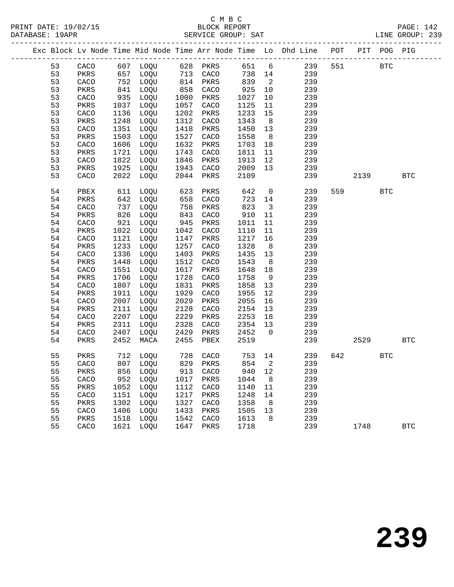|  |    |               |      |                          |            |          |        |                            | Exc Block Lv Node Time Mid Node Time Arr Node Time Lo Dhd Line POT |     |        | PIT POG PIG |              |
|--|----|---------------|------|--------------------------|------------|----------|--------|----------------------------|--------------------------------------------------------------------|-----|--------|-------------|--------------|
|  | 53 | CACO          |      |                          |            |          |        |                            | 651 6 239                                                          | 551 |        | <b>BTC</b>  |              |
|  | 53 | PKRS          |      |                          |            |          | 738 14 |                            | 239                                                                |     |        |             |              |
|  | 53 | CACO          | 752  | LOQU                     | 814        | PKRS     | 839    | $\overline{\phantom{a}}^2$ | 239                                                                |     |        |             |              |
|  | 53 | PKRS          | 841  | LOQU                     | 858        | CACO     | 925    | 10                         | 239                                                                |     |        |             |              |
|  | 53 | CACO          | 935  | LOQU                     | 1000       | PKRS     | 1027   | 10                         | 239                                                                |     |        |             |              |
|  | 53 | PKRS          | 1037 | LOQU                     | 1057       | CACO     | 1125   | 11                         | 239                                                                |     |        |             |              |
|  | 53 | CACO          | 1136 | LOQU                     | 1202       | PKRS     | 1233   | 15                         | 239                                                                |     |        |             |              |
|  | 53 | PKRS          | 1248 | LOQU                     | 1312       | CACO     | 1343   | 8 <sup>8</sup>             | 239                                                                |     |        |             |              |
|  | 53 | CACO          | 1351 | LOQU                     | 1418       | PKRS     | 1450   | 13                         | 239                                                                |     |        |             |              |
|  | 53 | PKRS          | 1503 | LOQU                     | 1527       | CACO     | 1558   | 8 <sup>8</sup>             | 239                                                                |     |        |             |              |
|  | 53 | CACO          | 1606 | LOQU                     | 1632       | PKRS     | 1703   | 18                         | 239                                                                |     |        |             |              |
|  | 53 | PKRS          | 1721 | LOQU                     | 1743       | CACO     | 1811   | 11                         | 239                                                                |     |        |             |              |
|  | 53 | CACO          | 1822 | LOQU                     | 1846       | PKRS     | 1913   | 12                         | 239                                                                |     |        |             |              |
|  | 53 | PKRS          | 1925 | LOQU                     | 1943       | CACO     | 2009   | 13                         | 239                                                                |     |        |             |              |
|  | 53 | CACO          | 2022 | LOQU                     | 2044       | PKRS     | 2109   |                            | 239                                                                |     | 2139   |             | <b>BTC</b>   |
|  | 54 | PBEX          | 611  | LOQU                     | 623        | PKRS     | 642    | $\overline{0}$             | 239                                                                |     | 559 75 | <b>BTC</b>  |              |
|  | 54 | PKRS          | 642  | LOQU                     | 658        | CACO     | 723    | 14                         | 239                                                                |     |        |             |              |
|  | 54 | CACO          | 737  | LOQU                     | 758        | PKRS     | 823    | $\overline{\mathbf{3}}$    | 239                                                                |     |        |             |              |
|  | 54 | PKRS          | 826  | LOQU                     | 843        | CACO     | 910    | 11                         | 239                                                                |     |        |             |              |
|  | 54 | CACO          | 921  | LOQU                     | 945        | PKRS     | 1011   | 11                         | 239                                                                |     |        |             |              |
|  | 54 | PKRS          | 1022 | LOQU                     | 1042       | CACO     | 1110   | 11                         | 239                                                                |     |        |             |              |
|  | 54 | CACO          | 1121 | LOQU                     | 1147       | PKRS     | 1217   | 16                         | 239                                                                |     |        |             |              |
|  | 54 | PKRS          | 1233 | LOQU                     | 1257       | CACO     | 1328   | 8                          | 239                                                                |     |        |             |              |
|  | 54 | CACO          | 1336 | LOQU                     | 1403       | PKRS     | 1435   | 13                         | 239                                                                |     |        |             |              |
|  | 54 | PKRS          | 1448 | LOQU                     | 1512       | CACO     | 1543   | 8 <sup>8</sup>             | 239                                                                |     |        |             |              |
|  | 54 | CACO          | 1551 | LOQU                     | 1617       | PKRS     | 1648   | 18                         | 239                                                                |     |        |             |              |
|  | 54 | PKRS          | 1706 | LOQU                     | 1728       | CACO     | 1758   | 9                          | 239                                                                |     |        |             |              |
|  | 54 | CACO          | 1807 | LOQU                     | 1831       | PKRS     | 1858   | 13                         | 239                                                                |     |        |             |              |
|  | 54 | PKRS          | 1911 | LOQU                     | 1929       | CACO     | 1955   | 12                         | 239                                                                |     |        |             |              |
|  | 54 | CACO          | 2007 | LOQU                     | 2029       | PKRS     | 2055   | 16                         | 239                                                                |     |        |             |              |
|  | 54 | PKRS          | 2111 | LOQU                     | 2128       | CACO     | 2154   | 13                         | 239                                                                |     |        |             |              |
|  | 54 | CACO          | 2207 | LOQU                     | 2229       | PKRS     | 2253   | 18                         | 239                                                                |     |        |             |              |
|  | 54 | PKRS          | 2311 | LOQU                     | 2328       | CACO     | 2354   | 13                         | 239                                                                |     |        |             |              |
|  | 54 | CACO          | 2407 | LOQU                     | 2429       | PKRS     | 2452   | $\overline{0}$             | 239                                                                |     |        |             |              |
|  | 54 | PKRS          | 2452 | MACA                     | 2455       | PBEX     | 2519   |                            | 239                                                                |     | 2529   |             | $_{\rm BTC}$ |
|  | 55 | PKRS          | 712  | LOQU                     | 728<br>829 | CACO     | 753 14 |                            | 239                                                                | 642 |        | <b>BTC</b>  |              |
|  | 55 | CACO          |      | 807 LOQU                 |            | 829 PKRS | 854    | $\overline{\phantom{a}}$   | 239                                                                |     |        |             |              |
|  | 55 | $\mbox{PKRS}$ |      | 856 LOQU 913 CACO 940 12 |            |          |        |                            | 239                                                                |     |        |             |              |
|  | 55 | CACO          |      | 952 LOQU                 | 1017       | PKRS     | 1044   | 8                          | 239                                                                |     |        |             |              |
|  | 55 | PKRS          | 1052 | LOQU                     | 1112       | CACO     | 1140   | 11                         | 239                                                                |     |        |             |              |
|  | 55 | CACO          | 1151 | LOQU                     | 1217       | PKRS     | 1248   | 14                         | 239                                                                |     |        |             |              |
|  | 55 | PKRS          | 1302 | LOQU                     | 1327       | CACO     | 1358   | 8                          | 239                                                                |     |        |             |              |
|  | 55 | CACO          | 1406 | LOQU                     | 1433       | PKRS     | 1505   | 13                         | 239                                                                |     |        |             |              |
|  | 55 | PKRS          | 1518 | LOQU                     | 1542       | CACO     | 1613   | 8                          | 239                                                                |     |        |             |              |
|  | 55 | CACO          | 1621 | LOQU                     | 1647       | PKRS     | 1718   |                            | 239                                                                |     | 1748   |             | $_{\rm BTC}$ |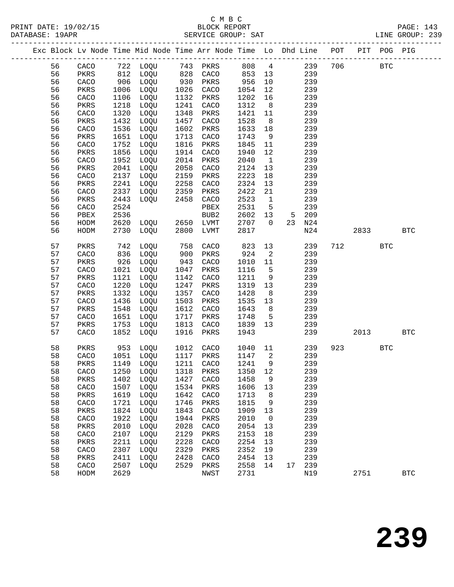|  |    |      |      | Exc Block Lv Node Time Mid Node Time Arr Node Time Lo Dhd Line POT |      |                  |      |                |    |     |     |      | PIT POG PIG |              |  |
|--|----|------|------|--------------------------------------------------------------------|------|------------------|------|----------------|----|-----|-----|------|-------------|--------------|--|
|  | 56 | CACO |      | 722 LOQU                                                           | 743  | PKRS             | 808  | $\overline{4}$ |    | 239 | 706 |      | <b>BTC</b>  |              |  |
|  | 56 | PKRS | 812  | LOQU                                                               | 828  | CACO             | 853  | 13             |    | 239 |     |      |             |              |  |
|  | 56 | CACO | 906  | LOQU                                                               | 930  | PKRS             | 956  | 10             |    | 239 |     |      |             |              |  |
|  | 56 | PKRS | 1006 | LOQU                                                               | 1026 | CACO             | 1054 | 12             |    | 239 |     |      |             |              |  |
|  | 56 | CACO | 1106 | LOQU                                                               | 1132 | PKRS             | 1202 | 16             |    | 239 |     |      |             |              |  |
|  | 56 | PKRS | 1218 | LOQU                                                               | 1241 | CACO             | 1312 | 8              |    | 239 |     |      |             |              |  |
|  | 56 | CACO | 1320 | LOQU                                                               | 1348 | PKRS             | 1421 | 11             |    | 239 |     |      |             |              |  |
|  | 56 | PKRS | 1432 | LOQU                                                               | 1457 | CACO             | 1528 | 8              |    | 239 |     |      |             |              |  |
|  | 56 | CACO | 1536 | LOQU                                                               | 1602 | PKRS             | 1633 | 18             |    | 239 |     |      |             |              |  |
|  | 56 | PKRS | 1651 | LOQU                                                               | 1713 | CACO             | 1743 | 9              |    | 239 |     |      |             |              |  |
|  | 56 | CACO | 1752 | LOQU                                                               | 1816 | PKRS             | 1845 | 11             |    | 239 |     |      |             |              |  |
|  | 56 | PKRS | 1856 | LOQU                                                               | 1914 | CACO             | 1940 | 12             |    | 239 |     |      |             |              |  |
|  | 56 | CACO | 1952 | LOQU                                                               | 2014 | PKRS             | 2040 | $\mathbf{1}$   |    | 239 |     |      |             |              |  |
|  | 56 | PKRS | 2041 | LOQU                                                               | 2058 | CACO             | 2124 | 13             |    | 239 |     |      |             |              |  |
|  | 56 | CACO | 2137 | LOQU                                                               | 2159 | PKRS             | 2223 | 18             |    | 239 |     |      |             |              |  |
|  | 56 | PKRS | 2241 | LOQU                                                               | 2258 | CACO             | 2324 | 13             |    | 239 |     |      |             |              |  |
|  | 56 | CACO | 2337 | LOQU                                                               | 2359 | PKRS             | 2422 | 21             |    | 239 |     |      |             |              |  |
|  | 56 | PKRS | 2443 | LOQU                                                               | 2458 | CACO             | 2523 | $\mathbf{1}$   |    | 239 |     |      |             |              |  |
|  | 56 | CACO | 2524 |                                                                    |      | PBEX             | 2531 | 5              |    | 239 |     |      |             |              |  |
|  | 56 | PBEX | 2536 |                                                                    |      | BUB <sub>2</sub> | 2602 | 13             | 5  | 209 |     |      |             |              |  |
|  | 56 | HODM | 2620 | LOQU                                                               | 2650 | LVMT             | 2707 | $\Omega$       | 23 | N24 |     |      |             |              |  |
|  | 56 | HODM | 2730 | LOQU                                                               | 2800 | LVMT             | 2817 |                |    | N24 |     | 2833 |             | <b>BTC</b>   |  |
|  |    |      |      |                                                                    |      |                  |      |                |    |     |     |      |             |              |  |
|  | 57 | PKRS | 742  | LOQU                                                               | 758  | CACO             | 823  | 13             |    | 239 | 712 |      | BTC         |              |  |
|  | 57 | CACO | 836  | LOQU                                                               | 900  | PKRS             | 924  | 2              |    | 239 |     |      |             |              |  |
|  | 57 | PKRS | 926  | LOQU                                                               | 943  | CACO             | 1010 | 11             |    | 239 |     |      |             |              |  |
|  | 57 | CACO | 1021 | LOQU                                                               | 1047 | PKRS             | 1116 | 5              |    | 239 |     |      |             |              |  |
|  | 57 | PKRS | 1121 | LOQU                                                               | 1142 | CACO             | 1211 | 9              |    | 239 |     |      |             |              |  |
|  | 57 | CACO | 1220 | LOQU                                                               | 1247 | PKRS             | 1319 | 13             |    | 239 |     |      |             |              |  |
|  | 57 | PKRS | 1332 | LOQU                                                               | 1357 | CACO             | 1428 | 8              |    | 239 |     |      |             |              |  |
|  | 57 | CACO | 1436 | LOQU                                                               | 1503 | PKRS             | 1535 | 13             |    | 239 |     |      |             |              |  |
|  | 57 | PKRS | 1548 | LOQU                                                               | 1612 | CACO             | 1643 | 8              |    | 239 |     |      |             |              |  |
|  | 57 | CACO | 1651 | LOQU                                                               | 1717 | PKRS             | 1748 | 5              |    | 239 |     |      |             |              |  |
|  | 57 | PKRS | 1753 | LOQU                                                               | 1813 | CACO             | 1839 | 13             |    | 239 |     |      |             |              |  |
|  | 57 | CACO | 1852 | LOQU                                                               | 1916 | PKRS             | 1943 |                |    | 239 |     | 2013 |             | <b>BTC</b>   |  |
|  |    |      |      |                                                                    |      |                  |      |                |    |     |     |      |             |              |  |
|  | 58 | PKRS | 953  | LOQU                                                               | 1012 | CACO             | 1040 | 11             |    | 239 | 923 |      | <b>BTC</b>  |              |  |
|  | 58 | CACO | 1051 | LOQU                                                               | 1117 | PKRS             | 1147 | 2              |    | 239 |     |      |             |              |  |
|  | 58 | PKRS | 1149 | LOQU                                                               | 1211 | CACO             | 1241 | 9              |    | 239 |     |      |             |              |  |
|  | 58 | CACO | 1250 | LOQU                                                               | 1318 | PKRS             | 1350 | 12             |    | 239 |     |      |             |              |  |
|  | 58 | PKRS | 1402 | LOQU                                                               | 1427 | CACO             | 1458 | 9              |    | 239 |     |      |             |              |  |
|  | 58 | CACO | 1507 | LOQU                                                               | 1534 | PKRS             | 1606 | 13             |    | 239 |     |      |             |              |  |
|  | 58 | PKRS | 1619 | LOQU                                                               | 1642 | CACO             | 1713 | 8              |    | 239 |     |      |             |              |  |
|  | 58 | CACO | 1721 | LOQU                                                               | 1746 | PKRS             | 1815 | 9              |    | 239 |     |      |             |              |  |
|  | 58 | PKRS | 1824 | LOQU                                                               | 1843 | CACO             | 1909 | 13             |    | 239 |     |      |             |              |  |
|  | 58 | CACO | 1922 | LOQU                                                               | 1944 | PKRS             | 2010 | 0              |    | 239 |     |      |             |              |  |
|  | 58 | PKRS | 2010 | LOQU                                                               | 2028 | CACO             | 2054 | 13             |    | 239 |     |      |             |              |  |
|  | 58 | CACO | 2107 | LOQU                                                               | 2129 | PKRS             | 2153 | 18             |    | 239 |     |      |             |              |  |
|  | 58 | PKRS | 2211 | LOQU                                                               | 2228 | CACO             | 2254 | 13             |    | 239 |     |      |             |              |  |
|  | 58 | CACO | 2307 | LOQU                                                               | 2329 | PKRS             | 2352 | 19             |    | 239 |     |      |             |              |  |
|  | 58 | PKRS | 2411 | LOQU                                                               | 2428 | CACO             | 2454 | 13             |    | 239 |     |      |             |              |  |
|  | 58 | CACO | 2507 | LOQU                                                               | 2529 | PKRS             | 2558 | 14             | 17 | 239 |     |      |             |              |  |
|  | 58 | HODM | 2629 |                                                                    |      | NWST             | 2731 |                |    | N19 |     | 2751 |             | $_{\rm BTC}$ |  |
|  |    |      |      |                                                                    |      |                  |      |                |    |     |     |      |             |              |  |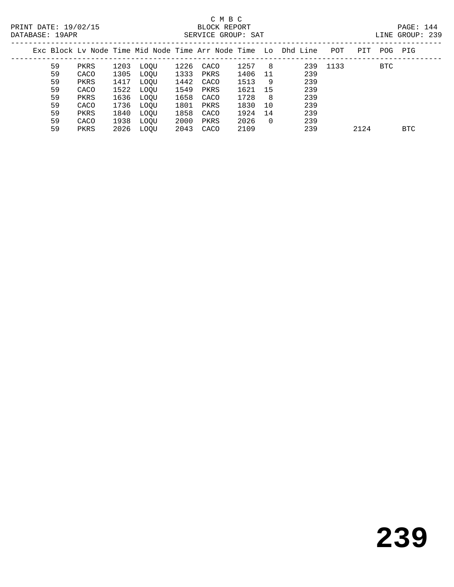|      | .      |  |
|------|--------|--|
| TNE. | GROUP: |  |

| Exc Block Ly Node Time Mid Node Time Arr Node Time Lo Dhd Line |      |      |      |      |      |      |          |     | POT  | PIT  | POG-       | PIG  |
|----------------------------------------------------------------|------|------|------|------|------|------|----------|-----|------|------|------------|------|
| 59                                                             | PKRS | 1203 | LOOU | 1226 | CACO | 1257 | -8       | 239 | 1133 |      | <b>BTC</b> |      |
| 59                                                             | CACO | 1305 | LOOU | 1333 | PKRS | 1406 | -11      | 239 |      |      |            |      |
| 59                                                             | PKRS | 1417 | LOOU | 1442 | CACO | 1513 | 9        | 239 |      |      |            |      |
| 59                                                             | CACO | 1522 | LOOU | 1549 | PKRS | 1621 | 15       | 239 |      |      |            |      |
| 59                                                             | PKRS | 1636 | LOOU | 1658 | CACO | 1728 | -8       | 239 |      |      |            |      |
| 59                                                             | CACO | 1736 | LOOU | 1801 | PKRS | 1830 | 10       | 239 |      |      |            |      |
| 59                                                             | PKRS | 1840 | LOOU | 1858 | CACO | 1924 | 14       | 239 |      |      |            |      |
| 59                                                             | CACO | 1938 | LOOU | 2000 | PKRS | 2026 | $\Omega$ | 239 |      |      |            |      |
| 59                                                             | PKRS | 2026 | LOOU | 2043 | CACO | 2109 |          | 239 |      | 2124 |            | BTC. |
|                                                                |      |      |      |      |      |      |          |     |      |      |            |      |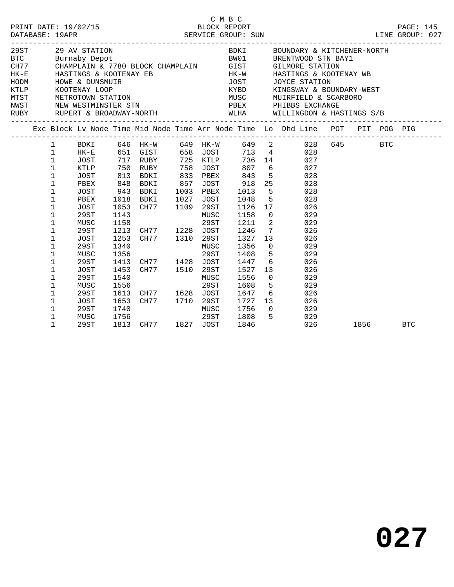|          |              |                        |      |                                                                                                  |      |           | C M B C              |                          |                                                                                                    |      |            |
|----------|--------------|------------------------|------|--------------------------------------------------------------------------------------------------|------|-----------|----------------------|--------------------------|----------------------------------------------------------------------------------------------------|------|------------|
|          |              |                        |      |                                                                                                  |      |           |                      |                          |                                                                                                    |      |            |
| 29ST 30  |              | 29 AV STATION          |      |                                                                                                  |      |           | <b>BDKI</b>          |                          | BOUNDARY & KITCHENER-NORTH                                                                         |      |            |
|          |              | BTC Burnaby Depot      |      | BW01                                                                                             |      |           |                      |                          | BRENTWOOD STN BAY1                                                                                 |      |            |
|          |              |                        |      | CH77 CHAMPLAIN & 7780 BLOCK CHAMPLAIN GIST                                                       |      |           |                      |                          | <b>GILMORE STATION</b>                                                                             |      |            |
| $HK - E$ |              | HASTINGS & KOOTENAY EB |      |                                                                                                  |      |           | $HK-W$               |                          | HASTINGS & KOOTENAY WB                                                                             |      |            |
|          |              |                        |      | HODM HOWE & DUNSMUIR<br>KTLP KOOTENAY LOOP<br>MTST METROTOWN STATION<br>NWST NEW WESTMINSTER STN |      |           | JOST                 |                          | JOYCE STATION                                                                                      |      |            |
|          |              |                        |      |                                                                                                  |      |           | KYBD<br>KYBD<br>MUSC |                          | KINGSWAY & BOUNDARY-WEST                                                                           |      |            |
|          |              |                        |      |                                                                                                  |      |           |                      |                          | MUIRFIELD & SCARBORO<br>PBEX PHIBBS EXCHANGE                                                       |      |            |
|          |              |                        |      |                                                                                                  |      |           |                      |                          |                                                                                                    |      |            |
|          |              |                        |      |                                                                                                  |      |           |                      |                          | RUBY RUPERT & BROADWAY-NORTH WLHA WILLINGDON & HASTINGS S/B                                        |      |            |
|          |              |                        |      |                                                                                                  |      |           |                      |                          | Exc Block Lv Node Time Mid Node Time Arr Node Time Lo Dhd Line POT PIT POG PIG                     |      |            |
|          | $\mathbf{1}$ | BDKI                   |      |                                                                                                  |      |           |                      |                          | 646 HK-W 649 HK-W 649 2 028 645 BTC<br>651 GIST 658 JOST 713 4 028<br>717 RUBY 725 KTLP 736 14 027 |      |            |
|          | $\mathbf{1}$ | $HK-E$                 |      |                                                                                                  |      |           |                      |                          |                                                                                                    |      |            |
|          | $\mathbf{1}$ | JOST                   |      | 717 RUBY                                                                                         |      |           |                      |                          | 736 14                                                                                             |      |            |
|          | $\mathbf{1}$ | KTLP                   | 750  | RUBY                                                                                             |      | 758 JOST  | 807                  |                          | 6 <sup>6</sup><br>027                                                                              |      |            |
|          | $\mathbf{1}$ | JOST                   | 813  | BDKI                                                                                             |      | 833 PBEX  | 843                  |                          | $5^{\circ}$<br>028                                                                                 |      |            |
|          | $\mathbf{1}$ | PBEX                   | 848  | BDKI                                                                                             | 857  | JOST      | 918                  |                          | 25 30<br>028                                                                                       |      |            |
|          | $\mathbf{1}$ | JOST                   | 943  | BDKI                                                                                             | 1003 | PBEX      | 1013                 | $5^{\circ}$              | 028                                                                                                |      |            |
|          | $\mathbf{1}$ | PBEX                   | 1018 | BDKI                                                                                             | 1027 | JOST      | 1048                 | 5                        | 028                                                                                                |      |            |
|          | $\mathbf 1$  | JOST                   | 1053 | CH77                                                                                             |      | 1109 29ST | 1126                 | 17                       | 026                                                                                                |      |            |
|          | $\mathbf 1$  | 29ST                   | 1143 |                                                                                                  |      | MUSC      | 1158                 | $\overline{0}$           | 029                                                                                                |      |            |
|          | $\mathbf{1}$ | MUSC                   | 1158 |                                                                                                  |      | 29ST      | 1211                 | $\overline{\phantom{a}}$ | 029                                                                                                |      |            |
|          | 1            | 29ST                   | 1213 | CH77 1228 JOST                                                                                   |      |           | 1246                 | $7\overline{ }$          | 026                                                                                                |      |            |
|          | $\mathbf 1$  | JOST                   | 1253 | CH77 1310                                                                                        |      | 29ST      | 1327                 | 13                       | 026                                                                                                |      |            |
|          | $\mathbf{1}$ | 29ST                   | 1340 |                                                                                                  |      | MUSC      | 1356                 | $\Omega$                 | 029                                                                                                |      |            |
|          | 1            | MUSC                   | 1356 |                                                                                                  |      | 29ST      | 1408                 | 5 <sup>5</sup>           | 029                                                                                                |      |            |
|          | $\mathbf{1}$ | 29ST                   | 1413 | CH77 1428 JOST                                                                                   |      |           | 1447                 | 6                        | 026                                                                                                |      |            |
|          | 1            | JOST                   | 1453 | CH77 1510 29ST                                                                                   |      |           | 1527                 | 13 <sup>7</sup>          | 026                                                                                                |      |            |
|          | $\mathbf 1$  | 29ST                   | 1540 |                                                                                                  |      | MUSC      | 1556                 | $\Omega$                 | 029                                                                                                |      |            |
|          | $\mathbf{1}$ | MUSC                   | 1556 |                                                                                                  |      | 29ST      | 1608                 | $-5$                     | 029                                                                                                |      |            |
|          | $\mathbf{1}$ | 29ST                   | 1613 | CH77 1628 JOST                                                                                   |      |           | 1647                 |                          | $6\overline{}$<br>026                                                                              |      |            |
|          | $\mathbf{1}$ | JOST                   | 1653 | CH77 1710 29ST                                                                                   |      |           | 1727                 | 13                       | 026                                                                                                |      |            |
|          | $\mathbf 1$  | 29ST                   | 1740 |                                                                                                  |      | MUSC      | 1756                 | $\Omega$                 | 029                                                                                                |      |            |
|          | 1            | MUSC                   | 1756 |                                                                                                  |      | 29ST      | 1808                 | $5^{\circ}$              | 029                                                                                                |      |            |
|          | $\mathbf{1}$ | 29ST                   | 1813 | CH77 1827 JOST                                                                                   |      |           | 1846                 |                          | 026                                                                                                | 1856 | <b>BTC</b> |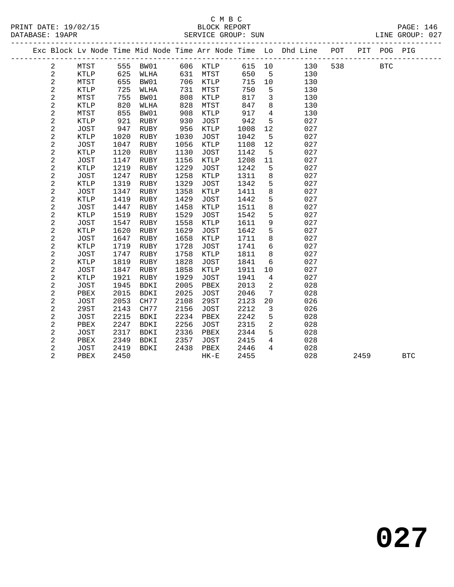|                |              |             |      |      |      |             |      |                         | Exc Block Lv Node Time Mid Node Time Arr Node Time Lo Dhd Line POT |     |      | PIT POG PIG |            |  |
|----------------|--------------|-------------|------|------|------|-------------|------|-------------------------|--------------------------------------------------------------------|-----|------|-------------|------------|--|
| $\overline{2}$ |              | MTST        | 555  | BW01 |      | 606 KTLP    |      | 615 10                  | 130                                                                | 538 |      | <b>BTC</b>  |            |  |
| 2              |              | KTLP        | 625  | WLHA | 631  | MTST        | 650  | $-5$                    | 130                                                                |     |      |             |            |  |
| $\sqrt{2}$     |              | MTST        | 655  | BW01 |      | 706 KTLP    | 715  | 10                      | 130                                                                |     |      |             |            |  |
| 2              |              | KTLP        | 725  | WLHA | 731  | MTST        | 750  | 5                       | 130                                                                |     |      |             |            |  |
| $\sqrt{2}$     |              | MTST        | 755  | BW01 | 808  | KTLP        | 817  | $\overline{\mathbf{3}}$ | 130                                                                |     |      |             |            |  |
| $\sqrt{2}$     |              | <b>KTLP</b> | 820  | WLHA | 828  | MTST        | 847  | 8                       | 130                                                                |     |      |             |            |  |
| $\sqrt{2}$     |              | MTST        | 855  | BW01 | 908  | KTLP        | 917  | $\overline{4}$          | 130                                                                |     |      |             |            |  |
| $\sqrt{2}$     |              | <b>KTLP</b> | 921  | RUBY | 930  | <b>JOST</b> | 942  | 5                       | 027                                                                |     |      |             |            |  |
| $\sqrt{2}$     |              | JOST        | 947  | RUBY | 956  | KTLP        | 1008 | 12                      | 027                                                                |     |      |             |            |  |
| $\sqrt{2}$     |              | KTLP        | 1020 | RUBY | 1030 | JOST        | 1042 | 5                       | 027                                                                |     |      |             |            |  |
| $\sqrt{2}$     |              | JOST        | 1047 | RUBY | 1056 | KTLP        | 1108 | 12                      | 027                                                                |     |      |             |            |  |
|                | $\mathbf{2}$ | <b>KTLP</b> | 1120 | RUBY | 1130 | <b>JOST</b> | 1142 | 5                       | 027                                                                |     |      |             |            |  |
| $\sqrt{2}$     |              | <b>JOST</b> | 1147 | RUBY | 1156 | KTLP        | 1208 | 11                      | 027                                                                |     |      |             |            |  |
| $\sqrt{2}$     |              | <b>KTLP</b> | 1219 | RUBY | 1229 | <b>JOST</b> | 1242 | 5                       | 027                                                                |     |      |             |            |  |
| $\sqrt{2}$     |              | <b>JOST</b> | 1247 | RUBY | 1258 | KTLP        | 1311 | 8                       | 027                                                                |     |      |             |            |  |
| 2              |              | <b>KTLP</b> | 1319 | RUBY | 1329 | <b>JOST</b> | 1342 | 5                       | 027                                                                |     |      |             |            |  |
| $\sqrt{2}$     |              | <b>JOST</b> | 1347 | RUBY | 1358 | KTLP        | 1411 | 8                       | 027                                                                |     |      |             |            |  |
| $\sqrt{2}$     |              | <b>KTLP</b> | 1419 | RUBY | 1429 | JOST        | 1442 | 5                       | 027                                                                |     |      |             |            |  |
| $\sqrt{2}$     |              | JOST        | 1447 | RUBY | 1458 | KTLP        | 1511 | $\,8\,$                 | 027                                                                |     |      |             |            |  |
| $\sqrt{2}$     |              | <b>KTLP</b> | 1519 | RUBY | 1529 | <b>JOST</b> | 1542 | 5                       | 027                                                                |     |      |             |            |  |
| $\sqrt{2}$     |              | JOST        | 1547 | RUBY | 1558 | KTLP        | 1611 | $\mathsf 9$             | 027                                                                |     |      |             |            |  |
| $\sqrt{2}$     |              | KTLP        | 1620 | RUBY | 1629 | <b>JOST</b> | 1642 | 5                       | 027                                                                |     |      |             |            |  |
| $\sqrt{2}$     |              | <b>JOST</b> | 1647 | RUBY | 1658 | KTLP        | 1711 | 8                       | 027                                                                |     |      |             |            |  |
|                | 2            | KTLP        | 1719 | RUBY | 1728 | <b>JOST</b> | 1741 | $6\overline{6}$         | 027                                                                |     |      |             |            |  |
| $\sqrt{2}$     |              | JOST        | 1747 | RUBY | 1758 | KTLP        | 1811 | 8                       | 027                                                                |     |      |             |            |  |
| $\sqrt{2}$     |              | <b>KTLP</b> | 1819 | RUBY | 1828 | <b>JOST</b> | 1841 | $6\overline{6}$         | 027                                                                |     |      |             |            |  |
| $\sqrt{2}$     |              | <b>JOST</b> | 1847 | RUBY | 1858 | KTLP        | 1911 | 10                      | 027                                                                |     |      |             |            |  |
| 2              |              | <b>KTLP</b> | 1921 | RUBY | 1929 | <b>JOST</b> | 1941 | $\overline{4}$          | 027                                                                |     |      |             |            |  |
| $\sqrt{2}$     |              | <b>JOST</b> | 1945 | BDKI | 2005 | PBEX        | 2013 | 2                       | 028                                                                |     |      |             |            |  |
|                | 2            | PBEX        | 2015 | BDKI | 2025 | JOST        | 2046 | 7                       | 028                                                                |     |      |             |            |  |
| $\sqrt{2}$     |              | <b>JOST</b> | 2053 | CH77 | 2108 | 29ST        | 2123 | 20                      | 026                                                                |     |      |             |            |  |
| $\sqrt{2}$     |              | 29ST        | 2143 | CH77 | 2156 | <b>JOST</b> | 2212 | $\mathbf{3}$            | 026                                                                |     |      |             |            |  |
| $\sqrt{2}$     |              | JOST        | 2215 | BDKI | 2234 | PBEX        | 2242 | 5                       | 028                                                                |     |      |             |            |  |
| 2              |              | PBEX        | 2247 | BDKI | 2256 | JOST        | 2315 | $\overline{2}$          | 028                                                                |     |      |             |            |  |
| $\sqrt{2}$     |              | JOST        | 2317 | BDKI | 2336 | PBEX        | 2344 | 5                       | 028                                                                |     |      |             |            |  |
|                | 2            | PBEX        | 2349 | BDKI | 2357 | JOST        | 2415 | $4\overline{ }$         | 028                                                                |     |      |             |            |  |
| $\overline{a}$ |              | JOST        | 2419 | BDKI | 2438 | PBEX        | 2446 | $\overline{4}$          | 028                                                                |     |      |             |            |  |
|                | 2            | PBEX        | 2450 |      |      | $HK-E$      | 2455 |                         | 028                                                                |     | 2459 |             | <b>BTC</b> |  |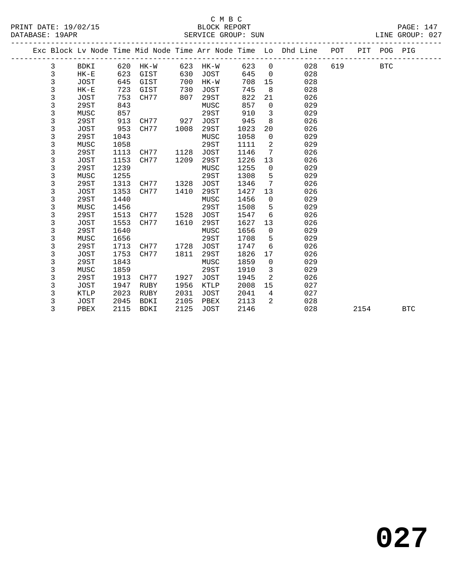#### C M B C PRINT DATE: 19/02/15 BLOCK REPORT PAGE: 147 SERVICE GROUP: SUN

|   |        |      |      |      |      |      |                | Exc Block Lv Node Time Mid Node Time Arr Node Time Lo Dhd Line | POT | PIT POG PIG |  |
|---|--------|------|------|------|------|------|----------------|----------------------------------------------------------------|-----|-------------|--|
| 3 | BDKI   | 620  | HK-W | 623  | HK-W | 623  | $\Omega$       | 028                                                            | 619 | BTC         |  |
| 3 | $HK-E$ | 623  | GIST | 630  | JOST | 645  | $\overline{0}$ | 028                                                            |     |             |  |
| 3 | JOST   | 645  | GIST | 700  | HK-W | 708  | 15             | 028                                                            |     |             |  |
| 3 | $HK-E$ | 723  | GIST | 730  | JOST | 745  | 8              | 028                                                            |     |             |  |
| 3 | JOST   | 753  | CH77 | 807  | 29ST | 822  | 21             | 026                                                            |     |             |  |
| 3 | 29ST   | 843  |      |      | MUSC | 857  | $\mathbf 0$    | 029                                                            |     |             |  |
| 3 | MUSC   | 857  |      |      | 29ST | 910  | 3              | 029                                                            |     |             |  |
| 3 | 29ST   | 913  | CH77 | 927  | JOST | 945  | 8              | 026                                                            |     |             |  |
| 3 | JOST   | 953  | CH77 | 1008 | 29ST | 1023 | 20             | 026                                                            |     |             |  |
| 3 | 29ST   | 1043 |      |      | MUSC | 1058 | $\mathbf 0$    | 029                                                            |     |             |  |
| 3 | MUSC   | 1058 |      |      | 29ST | 1111 | 2              | 029                                                            |     |             |  |
| 3 | 29ST   | 1113 | CH77 | 1128 | JOST | 1146 | 7              | 026                                                            |     |             |  |
| 3 | JOST   | 1153 | CH77 | 1209 | 29ST | 1226 | 13             | 026                                                            |     |             |  |
| 3 | 29ST   | 1239 |      |      | MUSC | 1255 | $\mathbf 0$    | 029                                                            |     |             |  |
| 3 | MUSC   | 1255 |      |      | 29ST | 1308 | 5              | 029                                                            |     |             |  |
| 3 | 29ST   | 1313 | CH77 | 1328 | JOST | 1346 | 7              | 026                                                            |     |             |  |
| 3 | JOST   | 1353 | CH77 | 1410 | 29ST | 1427 | 13             | 026                                                            |     |             |  |
| 3 | 29ST   | 1440 |      |      | MUSC | 1456 | $\mathbf 0$    | 029                                                            |     |             |  |
| 3 | MUSC   | 1456 |      |      | 29ST | 1508 | 5              | 029                                                            |     |             |  |
| 3 | 29ST   | 1513 | CH77 | 1528 | JOST | 1547 | 6              | 026                                                            |     |             |  |
| 3 | JOST   | 1553 | CH77 | 1610 | 29ST | 1627 | 13             | 026                                                            |     |             |  |
| 3 | 29ST   | 1640 |      |      | MUSC | 1656 | $\Omega$       | 029                                                            |     |             |  |
| 3 | MUSC   | 1656 |      |      | 29ST | 1708 | 5              | 029                                                            |     |             |  |
| 3 | 29ST   | 1713 | CH77 | 1728 | JOST | 1747 | 6              | 026                                                            |     |             |  |

 3 MUSC 1656 29ST 1708 5 029 3 29ST 1713 CH77 1728 JOST 1747 6 026 3 JOST 1753 CH77 1811 29ST 1826 17 026 3 29ST 1843 MUSC 1859 0 029 3 MUSC 1859 29ST 1910 3 029 3 29ST 1913 CH77 1927 JOST 1945 2 026 3 JOST 1947 RUBY 1956 KTLP 2008 15 027 3 KTLP 2023 RUBY 2031 JOST 2041 4 027 3 JOST 2045 BDKI 2105 PBEX 2113 2 028

3 PBEX 2115 BDKI 2125 JOST 2146 028 2154 BTC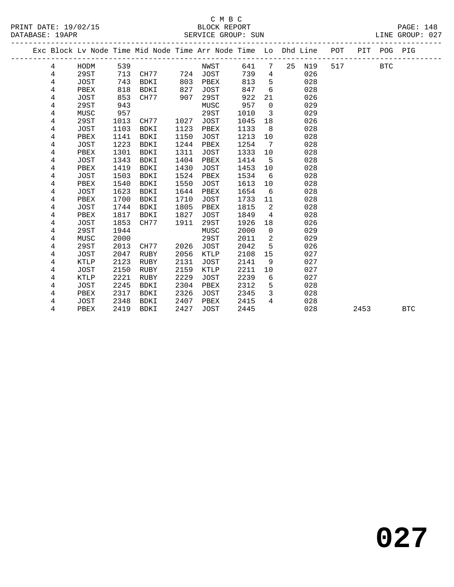## C M B C

| DATABASE: 19APR |        |                     |              |                     |              | SERVICE GROUP: SUN         |              |                |                                                                |     |      |             | LINE GROUP: 027 |  |
|-----------------|--------|---------------------|--------------|---------------------|--------------|----------------------------|--------------|----------------|----------------------------------------------------------------|-----|------|-------------|-----------------|--|
|                 |        |                     |              |                     |              |                            |              |                | Exc Block Lv Node Time Mid Node Time Arr Node Time Lo Dhd Line | POT |      | PIT POG PIG |                 |  |
|                 | 4      | HODM                | 539          |                     |              | NWST                       | 641          | 7              | 25<br>N19                                                      | 517 |      | <b>BTC</b>  |                 |  |
|                 | 4      | 29ST                | 713          | CH77                | 724          | <b>JOST</b>                | 739          | 4              | 026                                                            |     |      |             |                 |  |
|                 | 4      | <b>JOST</b>         | 743          | BDKI                | 803          | PBEX                       | 813          | 5              | 028                                                            |     |      |             |                 |  |
|                 | 4      | PBEX                | 818          | <b>BDKI</b>         | 827          | JOST                       | 847          | 6              | 028                                                            |     |      |             |                 |  |
|                 | 4      | <b>JOST</b>         | 853          | CH77                | 907          | 29ST                       | 922          | 21             | 026                                                            |     |      |             |                 |  |
|                 | 4      | 29ST                | 943          |                     |              | MUSC                       | 957          | 0              | 029                                                            |     |      |             |                 |  |
|                 | 4      | MUSC                | 957          |                     |              | 29ST                       | 1010         | 3              | 029                                                            |     |      |             |                 |  |
|                 | 4      | 29ST                | 1013         | CH77                | 1027         | JOST                       | 1045         | 18             | 026                                                            |     |      |             |                 |  |
|                 | 4      | <b>JOST</b>         | 1103         | BDKI                | 1123         | PBEX                       | 1133         | 8              | 028                                                            |     |      |             |                 |  |
|                 | 4      | PBEX                | 1141         | <b>BDKI</b>         | 1150         | <b>JOST</b>                | 1213         | 10             | 028                                                            |     |      |             |                 |  |
|                 | 4      | JOST                | 1223         | <b>BDKI</b>         | 1244         | PBEX                       | 1254         | 7              | 028                                                            |     |      |             |                 |  |
|                 | 4      | PBEX                | 1301         | <b>BDKI</b>         | 1311         | JOST                       | 1333         | 10             | 028                                                            |     |      |             |                 |  |
|                 | 4      | <b>JOST</b>         | 1343         | <b>BDKI</b>         | 1404         | PBEX                       | 1414         | 5              | 028                                                            |     |      |             |                 |  |
|                 | 4      | PBEX                | 1419         | <b>BDKI</b>         | 1430         | JOST                       | 1453         | 10             | 028                                                            |     |      |             |                 |  |
|                 | 4      | JOST                | 1503         | <b>BDKI</b>         | 1524         | PBEX                       | 1534         | 6              | 028                                                            |     |      |             |                 |  |
|                 | 4      | PBEX                | 1540         | <b>BDKI</b>         | 1550         | JOST                       | 1613         | 10             | 028                                                            |     |      |             |                 |  |
|                 | 4      | <b>JOST</b>         | 1623         | BDKI                | 1644         | PBEX                       | 1654         | 6              | 028                                                            |     |      |             |                 |  |
|                 | 4      | PBEX                | 1700         | BDKI                | 1710         | JOST                       | 1733         | 11             | 028                                                            |     |      |             |                 |  |
|                 | 4      | JOST                | 1744         | <b>BDKI</b>         | 1805         | PBEX                       | 1815         | 2              | 028                                                            |     |      |             |                 |  |
|                 | 4      | PBEX                | 1817         | BDKI                | 1827         | JOST                       | 1849         | 4              | 028                                                            |     |      |             |                 |  |
|                 | 4      | <b>JOST</b>         | 1853         | CH77                | 1911         | 29ST                       | 1926         | 18             | 026                                                            |     |      |             |                 |  |
|                 | 4      | 29ST                | 1944         |                     |              | MUSC                       | 2000         | $\mathbf 0$    | 029                                                            |     |      |             |                 |  |
|                 | 4      | MUSC                | 2000         |                     |              | 29ST                       | 2011         | $\overline{c}$ | 029                                                            |     |      |             |                 |  |
|                 | 4      | 29ST                | 2013         | CH77                | 2026         | JOST                       | 2042         | 5              | 026                                                            |     |      |             |                 |  |
|                 | 4<br>4 | <b>JOST</b><br>KTLP | 2047<br>2123 | <b>RUBY</b><br>RUBY | 2056<br>2131 | KTLP                       | 2108<br>2141 | 15<br>9        | 027<br>027                                                     |     |      |             |                 |  |
|                 |        | <b>JOST</b>         |              | <b>RUBY</b>         | 2159         | <b>JOST</b><br><b>KTLP</b> |              | 10             | 027                                                            |     |      |             |                 |  |
|                 | 4      |                     | 2150         |                     | 2229         |                            | 2211         |                | 027                                                            |     |      |             |                 |  |
|                 | 4<br>4 | KTLP<br><b>JOST</b> | 2221         | RUBY<br><b>BDKI</b> | 2304         | JOST<br>PBEX               | 2239<br>2312 | 6<br>5         | 028                                                            |     |      |             |                 |  |
|                 |        | PBEX                | 2245         | BDKI                |              |                            |              | 3              | 028                                                            |     |      |             |                 |  |
|                 | 4<br>4 | JOST                | 2317<br>2348 | <b>BDKI</b>         | 2326<br>2407 | JOST<br>PBEX               | 2345<br>2415 | 4              | 028                                                            |     |      |             |                 |  |
|                 | 4      | PBEX                | 2419         | <b>BDKI</b>         | 2427         | <b>JOST</b>                | 2445         |                | 028                                                            |     | 2453 |             | <b>BTC</b>      |  |
|                 |        |                     |              |                     |              |                            |              |                |                                                                |     |      |             |                 |  |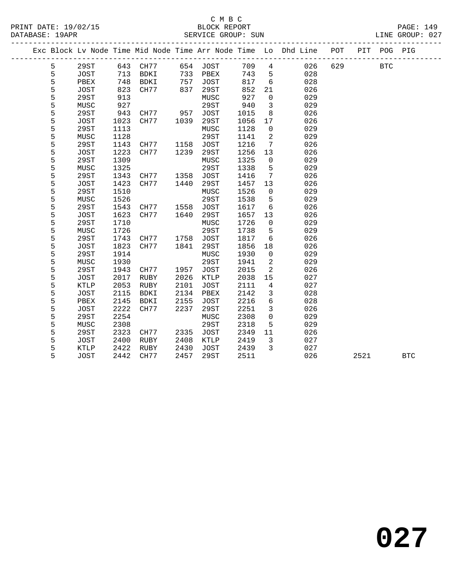#### C M B C<br>BLOCK REPORT PRINT DATE: 19/02/15 BLOCK REPORT PAGE: 149 SERVICE GROUP: SUN

| Exc Block Ly Node Time Mid Node Time Arr Node Time Lo Dhd Line |                        |         |                |         |      |      |          |                     | POT | PIT | POG | PIG |
|----------------------------------------------------------------|------------------------|---------|----------------|---------|------|------|----------|---------------------|-----|-----|-----|-----|
| 5.                                                             | 29ST                   | 643     | CH77           | 654     | JOST | 709  | 4        | 026                 | 629 |     | BTC |     |
|                                                                | JOST                   | 713     | BDKI           | 733     | PBEX | 743  | 5        | 028                 |     |     |     |     |
| 5                                                              | PBEX                   | 748     | BDKI           | 757     | JOST | 817  | 6        | 028                 |     |     |     |     |
| 5                                                              | JOST                   | 823     | CH77           | 837     | 29ST | 852  | 21       | 026                 |     |     |     |     |
|                                                                | 29ST                   | 913     |                |         | MUSC | 927  | $\Omega$ | 029                 |     |     |     |     |
| 5                                                              | MUSC                   | 927     |                |         | 29ST | 940  | 3        | 029                 |     |     |     |     |
| 5                                                              | 29ST                   | 943     | CH77           | 957     | JOST | 1015 | 8        | 026                 |     |     |     |     |
| 5                                                              | JOST                   | 1023    | CH77           | 1039    | 29ST | 1056 | 17       | 026                 |     |     |     |     |
| 5                                                              | 29ST                   | 1113    |                |         | MUSC | 1128 | $\Omega$ | 029                 |     |     |     |     |
|                                                                | MUSC                   | 1128    |                |         | 29ST | 1141 | 2        | 029                 |     |     |     |     |
|                                                                | 29ST                   | 1143    | CH77           | 1158    | JOST | 1216 |          | 026                 |     |     |     |     |
|                                                                | $T\cap C$ <sub>T</sub> | າ ດ ດ ດ | $\sqrt{11777}$ | 1 ດ ລ ດ | 000m | 125C | າາ       | $\cap \cap \subset$ |     |     |     |     |

| ັ | ムノロエ        | ᆂᆂᆂᇦ | <b>VIIII</b> | ᅩᅩᄀᇰ | ∪∪⊃⊥        | ⊥∠⊥∪ |          | ◡▵◡ |      |            |
|---|-------------|------|--------------|------|-------------|------|----------|-----|------|------------|
| 5 | JOST        | 1223 | CH77         | 1239 | 29ST        | 1256 | 13       | 026 |      |            |
| 5 | 29ST        | 1309 |              |      | MUSC        | 1325 | 0        | 029 |      |            |
| 5 | MUSC        | 1325 |              |      | 29ST        | 1338 | 5        | 029 |      |            |
| 5 | 29ST        | 1343 | CH77         | 1358 | <b>JOST</b> | 1416 | 7        | 026 |      |            |
| 5 | JOST        | 1423 | CH77         | 1440 | 29ST        | 1457 | 13       | 026 |      |            |
| 5 | 29ST        | 1510 |              |      | MUSC        | 1526 | $\Omega$ | 029 |      |            |
| 5 | MUSC        | 1526 |              |      | 29ST        | 1538 | 5        | 029 |      |            |
| 5 | 29ST        | 1543 | CH77         | 1558 | <b>JOST</b> | 1617 | 6        | 026 |      |            |
| 5 | JOST        | 1623 | CH77         | 1640 | 29ST        | 1657 | 13       | 026 |      |            |
| 5 | 29ST        | 1710 |              |      | MUSC        | 1726 | 0        | 029 |      |            |
| 5 | MUSC        | 1726 |              |      | 29ST        | 1738 | 5        | 029 |      |            |
| 5 | 29ST        | 1743 | CH77         | 1758 | <b>JOST</b> | 1817 | 6        | 026 |      |            |
| 5 | JOST        | 1823 | CH77         | 1841 | 29ST        | 1856 | 18       | 026 |      |            |
| 5 | 29ST        | 1914 |              |      | MUSC        | 1930 | 0        | 029 |      |            |
| 5 | MUSC        | 1930 |              |      | 29ST        | 1941 | 2        | 029 |      |            |
| 5 | 29ST        | 1943 | CH77         | 1957 | <b>JOST</b> | 2015 | 2        | 026 |      |            |
| 5 | JOST        | 2017 | RUBY         | 2026 | KTLP        | 2038 | 15       | 027 |      |            |
| 5 | <b>KTLP</b> | 2053 | RUBY         | 2101 | JOST        | 2111 | 4        | 027 |      |            |
| 5 | JOST        | 2115 | BDKI         | 2134 | PBEX        | 2142 | 3        | 028 |      |            |
| 5 | PBEX        | 2145 | <b>BDKI</b>  | 2155 | JOST        | 2216 | 6        | 028 |      |            |
| 5 | JOST        | 2222 | CH77         | 2237 | 29ST        | 2251 | 3        | 026 |      |            |
| 5 | 29ST        | 2254 |              |      | MUSC        | 2308 | 0        | 029 |      |            |
| 5 | MUSC        | 2308 |              |      | 29ST        | 2318 | 5        | 029 |      |            |
| 5 | 29ST        | 2323 | CH77         | 2335 | <b>JOST</b> | 2349 | 11       | 026 |      |            |
| 5 | JOST        | 2400 | RUBY         | 2408 | KTLP        | 2419 | 3        | 027 |      |            |
| 5 | KTLP        | 2422 | RUBY         | 2430 | JOST        | 2439 | 3        | 027 |      |            |
| 5 | JOST        | 2442 | CH77         | 2457 | 29ST        | 2511 |          | 026 | 2521 | <b>BTC</b> |
|   |             |      |              |      |             |      |          |     |      |            |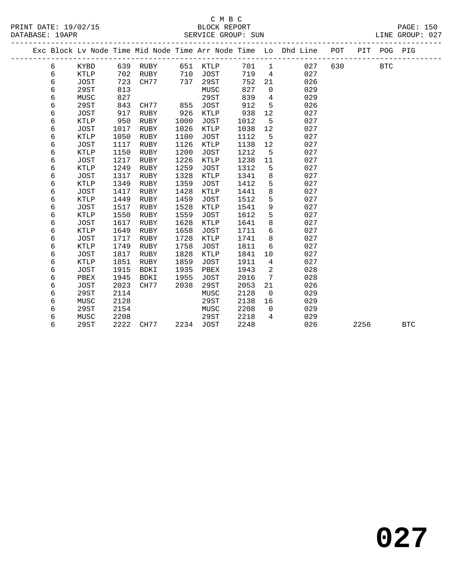|  |   |             |      |             |      |             |      |                 | Exc Block Lv Node Time Mid Node Time Arr Node Time Lo Dhd Line POT<br>_____________________________ |     |      | PIT POG PIG |            |  |
|--|---|-------------|------|-------------|------|-------------|------|-----------------|-----------------------------------------------------------------------------------------------------|-----|------|-------------|------------|--|
|  | 6 | KYBD        |      | 639 RUBY    |      | 651 KTLP    | 701  | $\mathbf{1}$    | 027                                                                                                 | 630 |      | <b>BTC</b>  |            |  |
|  | 6 | <b>KTLP</b> | 702  | RUBY        | 710  | JOST        | 719  | $\overline{4}$  | 027                                                                                                 |     |      |             |            |  |
|  | 6 | JOST        | 723  | CH77        | 737  | 29ST        | 752  | 21              | 026                                                                                                 |     |      |             |            |  |
|  | 6 | 29ST        | 813  |             |      | MUSC        | 827  | $\mathbf 0$     | 029                                                                                                 |     |      |             |            |  |
|  | 6 | MUSC        | 827  |             |      | 29ST        | 839  | $\overline{4}$  | 029                                                                                                 |     |      |             |            |  |
|  | 6 | 29ST        | 843  | CH77        | 855  | <b>JOST</b> | 912  | $5\phantom{.0}$ | 026                                                                                                 |     |      |             |            |  |
|  | 6 | <b>JOST</b> | 917  | RUBY        | 926  | KTLP        | 938  | 12              | 027                                                                                                 |     |      |             |            |  |
|  | 6 | <b>KTLP</b> | 950  | RUBY        | 1000 | <b>JOST</b> | 1012 | 5               | 027                                                                                                 |     |      |             |            |  |
|  | 6 | <b>JOST</b> | 1017 | RUBY        | 1026 | KTLP        | 1038 | 12              | 027                                                                                                 |     |      |             |            |  |
|  | 6 | KTLP        | 1050 | <b>RUBY</b> | 1100 | <b>JOST</b> | 1112 | 5               | 027                                                                                                 |     |      |             |            |  |
|  | 6 | <b>JOST</b> | 1117 | RUBY        | 1126 | KTLP        | 1138 | 12              | 027                                                                                                 |     |      |             |            |  |
|  | 6 | <b>KTLP</b> | 1150 | <b>RUBY</b> | 1200 | <b>JOST</b> | 1212 | 5               | 027                                                                                                 |     |      |             |            |  |
|  | 6 | <b>JOST</b> | 1217 | RUBY        | 1226 | KTLP        | 1238 | 11              | 027                                                                                                 |     |      |             |            |  |
|  | 6 | KTLP        | 1249 | RUBY        | 1259 | <b>JOST</b> | 1312 | 5               | 027                                                                                                 |     |      |             |            |  |
|  | 6 | <b>JOST</b> | 1317 | RUBY        | 1328 | <b>KTLP</b> | 1341 | 8               | 027                                                                                                 |     |      |             |            |  |
|  | 6 | KTLP        | 1349 | RUBY        | 1359 | <b>JOST</b> | 1412 | 5               | 027                                                                                                 |     |      |             |            |  |
|  | 6 | JOST        | 1417 | RUBY        | 1428 | KTLP        | 1441 | 8               | 027                                                                                                 |     |      |             |            |  |
|  | 6 | <b>KTLP</b> | 1449 | RUBY        | 1459 | <b>JOST</b> | 1512 | 5               | 027                                                                                                 |     |      |             |            |  |
|  | 6 | JOST        | 1517 | RUBY        | 1528 | <b>KTLP</b> | 1541 | 9               | 027                                                                                                 |     |      |             |            |  |
|  | 6 | KTLP        | 1550 | RUBY        | 1559 | <b>JOST</b> | 1612 | 5               | 027                                                                                                 |     |      |             |            |  |
|  | 6 | <b>JOST</b> | 1617 | RUBY        | 1628 | <b>KTLP</b> | 1641 | 8               | 027                                                                                                 |     |      |             |            |  |
|  | 6 | <b>KTLP</b> | 1649 | RUBY        | 1658 | <b>JOST</b> | 1711 | 6               | 027                                                                                                 |     |      |             |            |  |
|  | 6 | <b>JOST</b> | 1717 | RUBY        | 1728 | KTLP        | 1741 | 8               | 027                                                                                                 |     |      |             |            |  |
|  | 6 | <b>KTLP</b> | 1749 | RUBY        | 1758 | <b>JOST</b> | 1811 | 6               | 027                                                                                                 |     |      |             |            |  |
|  | 6 | <b>JOST</b> | 1817 | RUBY        | 1828 | <b>KTLP</b> | 1841 | 10              | 027                                                                                                 |     |      |             |            |  |
|  | 6 | KTLP        | 1851 | RUBY        | 1859 | JOST        | 1911 | 4               | 027                                                                                                 |     |      |             |            |  |
|  | 6 | <b>JOST</b> | 1915 | <b>BDKI</b> | 1935 | PBEX        | 1943 | 2               | 028                                                                                                 |     |      |             |            |  |
|  | 6 | PBEX        | 1945 | <b>BDKI</b> | 1955 | <b>JOST</b> | 2016 | 7               | 028                                                                                                 |     |      |             |            |  |
|  | 6 | <b>JOST</b> | 2023 | CH77        | 2038 | 29ST        | 2053 | 21              | 026                                                                                                 |     |      |             |            |  |
|  | 6 | 29ST        | 2114 |             |      | MUSC        | 2128 | $\mathbf 0$     | 029                                                                                                 |     |      |             |            |  |
|  | 6 | MUSC        | 2128 |             |      | 29ST        | 2138 | 16              | 029                                                                                                 |     |      |             |            |  |
|  | 6 | 29ST        | 2154 |             |      | MUSC        | 2208 | $\mathbf 0$     | 029                                                                                                 |     |      |             |            |  |
|  | 6 | MUSC        | 2208 |             |      | 29ST        | 2218 | $\overline{4}$  | 029                                                                                                 |     |      |             |            |  |
|  | 6 | 29ST        | 2222 | CH77        | 2234 | <b>JOST</b> | 2248 |                 | 026                                                                                                 |     | 2256 |             | <b>BTC</b> |  |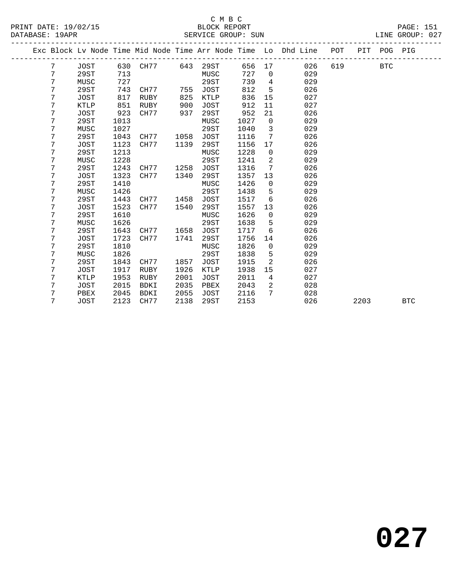## C M B C<br>BLOCK REPORT

LINE GROUP: 027<br>---------------

| PRINT DATE:<br>19/02/15 | BLOCK<br>REPORT          |     | PAGE:  | 5   |
|-------------------------|--------------------------|-----|--------|-----|
| 19 A PR<br>DATABASE:    | SUN<br>GROUP:<br>SERVICE | NE. | GROUP: | 027 |
|                         |                          |     |        |     |

|  |   |             |      |             |      |             |        |                | Exc Block Lv Node Time Mid Node Time Arr Node Time Lo Dhd Line | POT | PIT  | POG PIG    |            |
|--|---|-------------|------|-------------|------|-------------|--------|----------------|----------------------------------------------------------------|-----|------|------------|------------|
|  | 7 | JOST        |      | 630 CH77    | 643  | 29ST        | 656 17 |                | 026                                                            | 619 |      | <b>BTC</b> |            |
|  | 7 | 29ST        | 713  |             |      | MUSC        | 727    | $\mathbf 0$    | 029                                                            |     |      |            |            |
|  | 7 | MUSC        | 727  |             |      | 29ST        | 739    | $\overline{4}$ | 029                                                            |     |      |            |            |
|  | 7 | 29ST        | 743  | CH77        | 755  | <b>JOST</b> | 812    | 5              | 026                                                            |     |      |            |            |
|  | 7 | JOST        | 817  | RUBY        | 825  | KTLP        | 836    | 15             | 027                                                            |     |      |            |            |
|  | 7 | KTLP        | 851  | RUBY        | 900  | <b>JOST</b> | 912    | 11             | 027                                                            |     |      |            |            |
|  | 7 | <b>JOST</b> | 923  | CH77        | 937  | 29ST        | 952    | 21             | 026                                                            |     |      |            |            |
|  | 7 | 29ST        | 1013 |             |      | MUSC        | 1027   | $\mathbf 0$    | 029                                                            |     |      |            |            |
|  | 7 | MUSC        | 1027 |             |      | 29ST        | 1040   | 3              | 029                                                            |     |      |            |            |
|  | 7 | 29ST        | 1043 | CH77        | 1058 | <b>JOST</b> | 1116   | 7              | 026                                                            |     |      |            |            |
|  | 7 | JOST        | 1123 | CH77        | 1139 | 29ST        | 1156   | 17             | 026                                                            |     |      |            |            |
|  | 7 | 29ST        | 1213 |             |      | MUSC        | 1228   | $\mathbf 0$    | 029                                                            |     |      |            |            |
|  | 7 | MUSC        | 1228 |             |      | 29ST        | 1241   | $\overline{a}$ | 029                                                            |     |      |            |            |
|  | 7 | 29ST        | 1243 | CH77        | 1258 | <b>JOST</b> | 1316   | 7              | 026                                                            |     |      |            |            |
|  | 7 | JOST        | 1323 | CH77        | 1340 | 29ST        | 1357   | 13             | 026                                                            |     |      |            |            |
|  | 7 | 29ST        | 1410 |             |      | MUSC        | 1426   | $\mathbf 0$    | 029                                                            |     |      |            |            |
|  | 7 | MUSC        | 1426 |             |      | 29ST        | 1438   | 5              | 029                                                            |     |      |            |            |
|  | 7 | 29ST        | 1443 | CH77        | 1458 | <b>JOST</b> | 1517   | 6              | 026                                                            |     |      |            |            |
|  | 7 | JOST        | 1523 | CH77        | 1540 | 29ST        | 1557   | 13             | 026                                                            |     |      |            |            |
|  | 7 | 29ST        | 1610 |             |      | MUSC        | 1626   | $\mathbf 0$    | 029                                                            |     |      |            |            |
|  | 7 | MUSC        | 1626 |             |      | 29ST        | 1638   | 5              | 029                                                            |     |      |            |            |
|  | 7 | 29ST        | 1643 | CH77        | 1658 | <b>JOST</b> | 1717   | 6              | 026                                                            |     |      |            |            |
|  | 7 | JOST        | 1723 | CH77        | 1741 | 29ST        | 1756   | 14             | 026                                                            |     |      |            |            |
|  | 7 | 29ST        | 1810 |             |      | MUSC        | 1826   | $\mathbf 0$    | 029                                                            |     |      |            |            |
|  | 7 | MUSC        | 1826 |             |      | 29ST        | 1838   | 5              | 029                                                            |     |      |            |            |
|  | 7 | 29ST        | 1843 | CH77        | 1857 | JOST        | 1915   | 2              | 026                                                            |     |      |            |            |
|  | 7 | JOST        | 1917 | RUBY        | 1926 | KTLP        | 1938   | 15             | 027                                                            |     |      |            |            |
|  | 7 | KTLP        | 1953 | RUBY        | 2001 | JOST        | 2011   | $\overline{4}$ | 027                                                            |     |      |            |            |
|  | 7 | JOST        | 2015 | BDKI        | 2035 | PBEX        | 2043   | $\overline{2}$ | 028                                                            |     |      |            |            |
|  | 7 | PBEX        | 2045 | <b>BDKI</b> | 2055 | <b>JOST</b> | 2116   | 7              | 028                                                            |     |      |            |            |
|  | 7 | <b>JOST</b> | 2123 | CH77        | 2138 | 29ST        | 2153   |                | 026                                                            |     | 2203 |            | <b>BTC</b> |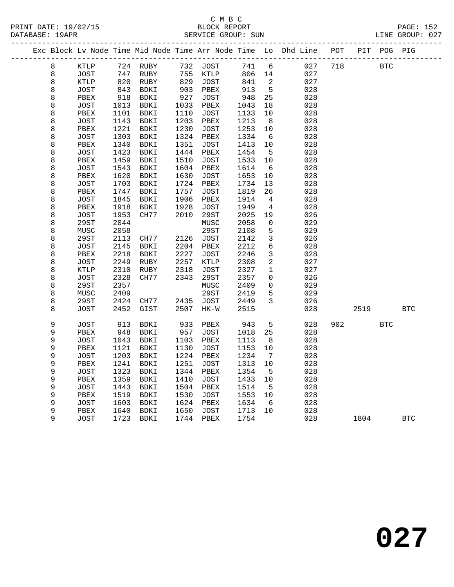# C M B C

| PRINT DATE: 19/02/15<br>DATABASE: 19APR |   |              |      |                            |      |             |         |                          |                                                                                |           |            | 2/15 BLOCK REPORT PAGE: 152<br>SERVICE GROUP: SUN LINE GROUP: 027 |
|-----------------------------------------|---|--------------|------|----------------------------|------|-------------|---------|--------------------------|--------------------------------------------------------------------------------|-----------|------------|-------------------------------------------------------------------|
|                                         |   |              |      |                            |      |             |         |                          | Exc Block Lv Node Time Mid Node Time Arr Node Time Lo Dhd Line POT PIT POG PIG |           |            |                                                                   |
|                                         | 8 |              |      |                            |      |             |         |                          | KTLP 724 RUBY 732 JOST 741 6 027                                               | 718 BTC   |            |                                                                   |
|                                         | 8 | JOST         | 747  | RUBY                       |      | 755 KTLP    |         |                          | 806 14 027                                                                     |           |            |                                                                   |
|                                         | 8 | KTLP         | 820  | RUBY                       | 829  | JOST        | 841     | $\overline{\phantom{a}}$ | 027                                                                            |           |            |                                                                   |
|                                         | 8 | JOST         | 843  | BDKI                       | 903  | PBEX        | 913     | 5 <sup>5</sup>           | 028                                                                            |           |            |                                                                   |
|                                         | 8 | PBEX         | 918  | BDKI                       | 927  | JOST        | 948     | 25                       | 028                                                                            |           |            |                                                                   |
|                                         | 8 | JOST         | 1013 | BDKI                       | 1033 | PBEX        | 1043    | 18                       | 028                                                                            |           |            |                                                                   |
|                                         | 8 | PBEX         | 1101 | BDKI                       | 1110 | JOST        | 1133    | 10                       | 028                                                                            |           |            |                                                                   |
|                                         | 8 | JOST         | 1143 | BDKI                       | 1203 | PBEX        | 1213    | 8 <sup>8</sup>           | 028                                                                            |           |            |                                                                   |
|                                         | 8 | PBEX         | 1221 | BDKI                       | 1230 | JOST        | 1253    | 10                       | 028                                                                            |           |            |                                                                   |
|                                         | 8 | JOST         | 1303 | BDKI                       | 1324 | PBEX        | 1334    | 6                        | 028                                                                            |           |            |                                                                   |
|                                         | 8 | PBEX         | 1340 | BDKI                       | 1351 | JOST        | 1413    | 10                       | 028                                                                            |           |            |                                                                   |
|                                         | 8 | JOST         | 1423 | BDKI                       | 1444 | PBEX        | 1454    | $5^{\circ}$              | 028                                                                            |           |            |                                                                   |
|                                         | 8 | PBEX         | 1459 | BDKI                       | 1510 | JOST        | 1533    | 10                       | 028                                                                            |           |            |                                                                   |
|                                         | 8 | JOST         | 1543 | BDKI                       | 1604 | PBEX        | 1614    | 6                        | 028                                                                            |           |            |                                                                   |
|                                         | 8 | PBEX         | 1620 | BDKI                       | 1630 | JOST        | 1653    | 10                       | 028                                                                            |           |            |                                                                   |
|                                         | 8 | JOST         | 1703 | BDKI                       | 1724 | PBEX        | 1734    | 13                       | 028                                                                            |           |            |                                                                   |
|                                         | 8 | PBEX         | 1747 | BDKI                       | 1757 | JOST        | 1819    | 26                       | 028                                                                            |           |            |                                                                   |
|                                         | 8 | JOST         | 1845 | BDKI                       | 1906 | PBEX        | 1914    | $\overline{4}$           | 028                                                                            |           |            |                                                                   |
|                                         | 8 | PBEX         | 1918 | BDKI                       | 1928 | JOST        | 1949    | $\overline{4}$           | 028                                                                            |           |            |                                                                   |
|                                         | 8 | JOST         | 1953 | CH77                       | 2010 | 29ST        | 2025    | 19                       | 026                                                                            |           |            |                                                                   |
|                                         | 8 | 29ST         | 2044 |                            |      | MUSC        | 2058    | $\mathsf{O}$             | 029                                                                            |           |            |                                                                   |
|                                         | 8 | MUSC         | 2058 |                            |      | 29ST        | 2108    | 5                        | 029                                                                            |           |            |                                                                   |
|                                         | 8 | 29ST         | 2113 | CH77                       | 2126 | JOST        | 2142    | $\mathbf{3}$             | 026                                                                            |           |            |                                                                   |
|                                         | 8 | JOST         | 2145 | BDKI                       | 2204 | PBEX        | 2212    | $6\overline{6}$          | 028                                                                            |           |            |                                                                   |
|                                         | 8 | PBEX         | 2218 | BDKI                       | 2227 | JOST        | 2246    | $\mathbf{3}$             | 028                                                                            |           |            |                                                                   |
|                                         | 8 | JOST         | 2249 | RUBY                       | 2257 | KTLP        | 2308    | $\overline{a}$           | 027                                                                            |           |            |                                                                   |
|                                         | 8 | KTLP         | 2310 | RUBY                       | 2318 | JOST        | 2327    | $\mathbf{1}$             | 027                                                                            |           |            |                                                                   |
|                                         | 8 | JOST         | 2328 | CH77                       | 2343 | 29ST        | 2357    | $\overline{0}$           | 026                                                                            |           |            |                                                                   |
|                                         | 8 | 29ST         | 2357 |                            |      | MUSC        | 2409    | $\overline{0}$           | 029                                                                            |           |            |                                                                   |
|                                         | 8 | MUSC         | 2409 |                            |      | 29ST        | 2419    | 5                        | 029                                                                            |           |            |                                                                   |
|                                         | 8 | 29ST         | 2424 | CH77                       | 2435 | JOST        | 2449    | $\mathbf{3}$             | 026                                                                            |           |            |                                                                   |
|                                         | 8 | JOST         | 2452 | GIST                       | 2507 | $HK-W$      | 2515    |                          | 028                                                                            |           | 2519       | <b>BTC</b>                                                        |
|                                         | 9 | JOST         | 913  | BDKI                       | 933  | PBEX        | 943     | 5 <sub>5</sub>           | 028                                                                            | 902 — 100 | <b>BTC</b> |                                                                   |
|                                         | 9 | PBEX         | 948  | BDKI                       | 957  | JOST        | 1018    | 25                       | 028                                                                            |           |            |                                                                   |
|                                         | 9 | JOST         | 1043 | BDKI                       | 1103 | PBEX        | 1113    | 8 <sup>8</sup>           | 028                                                                            |           |            |                                                                   |
|                                         | 9 | PBEX         | 1121 | BDKI                       | 1130 | JOST        | 1153 10 |                          | 028                                                                            |           |            |                                                                   |
|                                         | 9 | JOST         |      | 1203 BDKI 1224 PBEX 1234 7 |      |             |         |                          | 028                                                                            |           |            |                                                                   |
|                                         | 9 | PBEX         | 1241 | BDKI                       | 1251 | JOST        | 1313    | 10                       | 028                                                                            |           |            |                                                                   |
|                                         | 9 | JOST         | 1323 | BDKI                       | 1344 | PBEX        | 1354    | 5                        | 028                                                                            |           |            |                                                                   |
|                                         | 9 | PBEX         | 1359 | BDKI                       | 1410 | <b>JOST</b> | 1433    | 10                       | 028                                                                            |           |            |                                                                   |
|                                         | 9 | <b>JOST</b>  | 1443 | BDKI                       | 1504 | PBEX        | 1514    | 5                        | 028                                                                            |           |            |                                                                   |
|                                         | 9 | PBEX         | 1519 | BDKI                       | 1530 | <b>JOST</b> | 1553    | 10                       | 028                                                                            |           |            |                                                                   |
|                                         | 9 | <b>JOST</b>  | 1603 | BDKI                       | 1624 | PBEX        | 1634    | 6                        | 028                                                                            |           |            |                                                                   |
|                                         | 9 | ${\tt PBEX}$ | 1640 | BDKI                       | 1650 | <b>JOST</b> | 1713    | 10                       | 028                                                                            |           |            |                                                                   |
|                                         | 9 | <b>JOST</b>  | 1723 | <b>BDKI</b>                | 1744 | PBEX        | 1754    |                          | 028                                                                            | 1804      |            | <b>BTC</b>                                                        |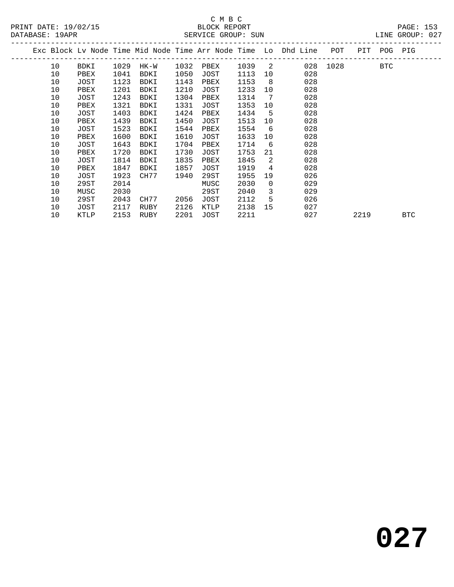# C M B C<br>BLOCK REPORT

| DATABASE: 19APR |    |      |      |      |      | SERVICE GROUP: SUN |        |                 |                                                                    |          |      |             | LINE GROUP: 027 |  |
|-----------------|----|------|------|------|------|--------------------|--------|-----------------|--------------------------------------------------------------------|----------|------|-------------|-----------------|--|
|                 |    |      |      |      |      |                    |        |                 | Exc Block Lv Node Time Mid Node Time Arr Node Time Lo Dhd Line POT |          |      | PIT POG PIG |                 |  |
|                 | 10 | BDKI | 1029 | HK-W | 1032 | PBEX               | 1039 2 |                 |                                                                    | 028 1028 |      | <b>BTC</b>  |                 |  |
|                 | 10 | PBEX | 1041 | BDKI | 1050 | JOST               | 1113   | 10              | 028                                                                |          |      |             |                 |  |
|                 | 10 | JOST | 1123 | BDKI | 1143 | PBEX               | 1153   | 8               | 028                                                                |          |      |             |                 |  |
|                 | 10 | PBEX | 1201 | BDKI | 1210 | JOST               | 1233   | 10              | 028                                                                |          |      |             |                 |  |
|                 | 10 | JOST | 1243 | BDKI | 1304 | PBEX               | 1314   | $7\overline{ }$ | 028                                                                |          |      |             |                 |  |
|                 | 10 | PBEX | 1321 | BDKI | 1331 | JOST               | 1353   | 10              | 028                                                                |          |      |             |                 |  |
|                 | 10 | JOST | 1403 | BDKI | 1424 | PBEX               | 1434   | $-5$            | 028                                                                |          |      |             |                 |  |
|                 | 10 | PBEX | 1439 | BDKI | 1450 | JOST               | 1513   | 10              | 028                                                                |          |      |             |                 |  |
|                 | 10 | JOST | 1523 | BDKI | 1544 | PBEX               | 1554   | 6               | 028                                                                |          |      |             |                 |  |
|                 | 10 | PBEX | 1600 | BDKI | 1610 | JOST               | 1633   | 10              | 028                                                                |          |      |             |                 |  |
|                 | 10 | JOST | 1643 | BDKI | 1704 | PBEX               | 1714   | 6               | 028                                                                |          |      |             |                 |  |
|                 | 10 | PBEX | 1720 | BDKI | 1730 | JOST               | 1753   | 21              | 028                                                                |          |      |             |                 |  |
|                 | 10 | JOST | 1814 | BDKI | 1835 | PBEX               | 1845   | 2               | 028                                                                |          |      |             |                 |  |
|                 | 10 | PBEX | 1847 | BDKI | 1857 | JOST               | 1919   | $4^{\circ}$     | 028                                                                |          |      |             |                 |  |
|                 | 10 | JOST | 1923 | CH77 | 1940 | 29ST               | 1955   | 19              | 026                                                                |          |      |             |                 |  |
|                 | 10 | 29ST | 2014 |      |      | MUSC               | 2030   | $\overline{0}$  | 029                                                                |          |      |             |                 |  |
|                 | 10 | MUSC | 2030 |      |      | 29ST               | 2040   | $\overline{3}$  | 029                                                                |          |      |             |                 |  |
|                 | 10 | 29ST | 2043 | CH77 | 2056 | JOST               | 2112   | 5               | 026                                                                |          |      |             |                 |  |
|                 | 10 | JOST | 2117 | RUBY | 2126 | KTLP               | 2138   | 15              | 027                                                                |          |      |             |                 |  |
|                 | 10 | KTLP | 2153 | RUBY | 2201 | JOST               | 2211   |                 | 027                                                                |          | 2219 |             | <b>BTC</b>      |  |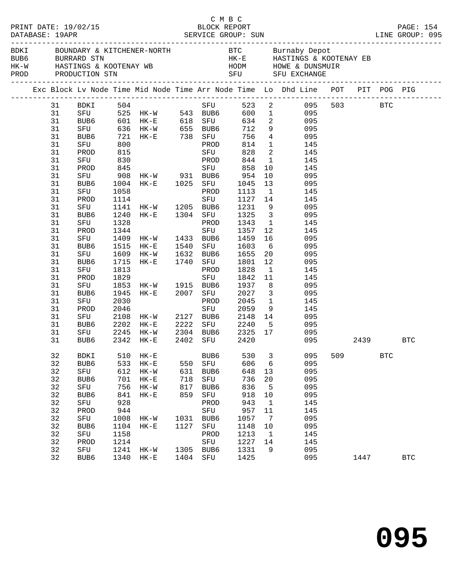|          |             |              |                                                                                         |      | C M B C     |                                                           |                         |                                                                                                                                                                                                                                                      |     |      |            |            |  |
|----------|-------------|--------------|-----------------------------------------------------------------------------------------|------|-------------|-----------------------------------------------------------|-------------------------|------------------------------------------------------------------------------------------------------------------------------------------------------------------------------------------------------------------------------------------------------|-----|------|------------|------------|--|
|          |             |              |                                                                                         |      |             |                                                           |                         | ${\tt HK-W}\qquad\qquad {\tt HASTINGS\ \&\ KOOTENAY\ \ {\tt WB}\qquad\qquad {\tt HODM}\qquad\qquad {\tt HOWE\ \&\ DUNSMUIR}\nonumber\\ {\tt PROD}\qquad\qquad {\tt PRODUCTION\ \ {\tt STN}}\qquad\qquad {\tt SFU}\qquad\qquad {\tt SFU\ \ EXCHANGE}$ |     |      |            |            |  |
|          |             |              |                                                                                         |      |             |                                                           |                         | Exc Block Lv Node Time Mid Node Time Arr Node Time Lo Dhd Line POT PIT POG PIG                                                                                                                                                                       |     |      |            |            |  |
| 31       |             |              |                                                                                         |      |             |                                                           |                         |                                                                                                                                                                                                                                                      |     |      |            |            |  |
| 31       |             |              |                                                                                         |      |             |                                                           |                         |                                                                                                                                                                                                                                                      |     |      |            |            |  |
| 31       |             |              | BUB6 601 HK-E 618 SFU                                                                   |      |             |                                                           |                         | 634 2 095                                                                                                                                                                                                                                            |     |      |            |            |  |
| 31       |             |              | SFU 636 HK-W 655 BUB6 712                                                               |      |             |                                                           |                         | 9 095                                                                                                                                                                                                                                                |     |      |            |            |  |
| 31       | BUB6        |              | BUB6 721 HK-E 738 SFU<br>SFU 800 PROD                                                   |      |             | 756                                                       |                         | $\begin{array}{ccc} 4 & \hspace{1.5cm} & 095 \\ 1 & \hspace{1.5cm} & 145 \end{array}$                                                                                                                                                                |     |      |            |            |  |
| 31       |             | 815          |                                                                                         |      | SFU         | 814                                                       |                         | 2 145                                                                                                                                                                                                                                                |     |      |            |            |  |
| 31       | PROD        |              |                                                                                         |      |             | 828                                                       |                         |                                                                                                                                                                                                                                                      |     |      |            |            |  |
| 31       | SFU         | 830          |                                                                                         |      | PROD        | 844                                                       |                         | 1 145                                                                                                                                                                                                                                                |     |      |            |            |  |
| 31       |             |              | 97 908 HK-W 931 BUB6 954<br>97 908 HK-W 931 BUB6 954<br>97 BUB6 1004 HK-E 1025 SFU 1045 |      |             |                                                           |                         | $\frac{10}{11}$ $\frac{145}{11}$                                                                                                                                                                                                                     |     |      |            |            |  |
| 31       |             |              |                                                                                         |      |             |                                                           | 10                      | 095                                                                                                                                                                                                                                                  |     |      |            |            |  |
| 31       |             |              |                                                                                         |      |             |                                                           | 13                      | 095                                                                                                                                                                                                                                                  |     |      |            |            |  |
| 31<br>31 | SFU<br>PROD | 1058<br>1114 |                                                                                         |      | SFU         | PROD 1113<br>1127 14                                      | $\overline{1}$          | 145                                                                                                                                                                                                                                                  |     |      |            |            |  |
| 31       | SFU         |              |                                                                                         |      |             | 1127<br>1231                                              | 9                       | 145<br>095                                                                                                                                                                                                                                           |     |      |            |            |  |
| 31       | BUB6        |              | 1141 HK-W 1205 BUB6 1231<br>1240 HK-E 1304 SFU 1325                                     |      |             |                                                           |                         | 3 095                                                                                                                                                                                                                                                |     |      |            |            |  |
| 31       | SFU         | 1328         |                                                                                         |      |             | PROD 1343                                                 |                         | $\mathbf{1}$<br>145                                                                                                                                                                                                                                  |     |      |            |            |  |
| 31       | PROD        |              |                                                                                         |      |             |                                                           | 12                      | 145                                                                                                                                                                                                                                                  |     |      |            |            |  |
| 31       | SFU         |              | 1344<br>1409 HK-W 1433 BUB6 1459<br>1515 HK-E 1540 SFU 1603                             |      |             |                                                           | 16                      | 095                                                                                                                                                                                                                                                  |     |      |            |            |  |
| 31       | BUB6        |              |                                                                                         |      |             |                                                           |                         | $6\overline{6}$<br>095                                                                                                                                                                                                                               |     |      |            |            |  |
| 31       | SFU         |              | 1609 HK-W 1632 BUB6 1655                                                                |      |             |                                                           | 20 <sub>o</sub>         | 095                                                                                                                                                                                                                                                  |     |      |            |            |  |
| 31       | BUB6        | 1715         | HK-E 1740 SFU 1801                                                                      |      |             |                                                           | 12                      | 095                                                                                                                                                                                                                                                  |     |      |            |            |  |
| 31       | SFU         | 1813         |                                                                                         |      | PROD        | 1828                                                      | $\overline{1}$          | 145                                                                                                                                                                                                                                                  |     |      |            |            |  |
| 31       | PROD        | 1829         |                                                                                         |      | SFU         | 1842                                                      | 11                      | 145                                                                                                                                                                                                                                                  |     |      |            |            |  |
| 31       | SFU         |              | 1853 HK-W 1915 BUB6                                                                     |      |             | 1937                                                      | 8 <sup>8</sup>          | 095                                                                                                                                                                                                                                                  |     |      |            |            |  |
| 31       | BUB6        | 1945         | HK-E 2007 SFU 2027                                                                      |      |             |                                                           | $\overline{\mathbf{3}}$ | 095                                                                                                                                                                                                                                                  |     |      |            |            |  |
| 31       | SFU         | 2030         |                                                                                         |      |             | 2045                                                      |                         | 145                                                                                                                                                                                                                                                  |     |      |            |            |  |
| 31       | PROD        | 2046         |                                                                                         |      | PROD<br>SFU | 2059                                                      |                         | $\frac{1}{9}$<br>145                                                                                                                                                                                                                                 |     |      |            |            |  |
| 31       | SFU         |              | 2108 HK-W 2127 BUB6 2148                                                                |      |             |                                                           |                         | 14<br>095                                                                                                                                                                                                                                            |     |      |            |            |  |
| 31       | BUB6        | 2202         | $HK-E$                                                                                  |      |             | 2222 SFU 2240                                             |                         | 5 095                                                                                                                                                                                                                                                |     |      |            |            |  |
| 31       | SFU         | 2245         | HK-W                                                                                    |      |             |                                                           |                         | 095                                                                                                                                                                                                                                                  |     |      |            |            |  |
| 31       | BUB6        |              | 2342 HK-E                                                                               |      |             | 2304   BUB6       2325    17<br>2402    SFU          2420 |                         | 095                                                                                                                                                                                                                                                  |     |      | 2439       | BTC        |  |
| 32       | <b>BDKI</b> | 510          | $HK - E$                                                                                |      | BUB6        | 530                                                       | 3                       | 095                                                                                                                                                                                                                                                  | 509 |      | <b>BTC</b> |            |  |
| 32       | BUB6        | 533          | $\rm{HK}\!-\!\rm{E}$                                                                    | 550  | SFU         | 606                                                       | 6                       | 095                                                                                                                                                                                                                                                  |     |      |            |            |  |
| 32       | ${\rm SFU}$ | 612          | $HK-W$                                                                                  | 631  | BUB6        | 648                                                       | 13                      | 095                                                                                                                                                                                                                                                  |     |      |            |            |  |
| 32       | BUB6        | 701          | $HK-E$                                                                                  | 718  | SFU         | 736                                                       | 20                      | 095                                                                                                                                                                                                                                                  |     |      |            |            |  |
| 32       | SFU         | 756          | $HK-W$                                                                                  | 817  | BUB6        | 836                                                       | 5                       | 095                                                                                                                                                                                                                                                  |     |      |            |            |  |
| 32       | BUB6        | 841          | $HK - E$                                                                                | 859  | SFU         | 918                                                       | $10$                    | 095                                                                                                                                                                                                                                                  |     |      |            |            |  |
| 32       | SFU         | 928          |                                                                                         |      | PROD        | 943                                                       | 1                       | 145                                                                                                                                                                                                                                                  |     |      |            |            |  |
| 32       | PROD        | 944          |                                                                                         |      | ${\tt SFU}$ | 957                                                       | 11                      | 145                                                                                                                                                                                                                                                  |     |      |            |            |  |
| 32       | SFU         | 1008         | HK-W                                                                                    | 1031 | BUB6        | 1057                                                      | 7                       | 095                                                                                                                                                                                                                                                  |     |      |            |            |  |
| 32       | BUB6        | 1104         | $HK - E$                                                                                | 1127 | SFU         | 1148                                                      | 10                      | 095                                                                                                                                                                                                                                                  |     |      |            |            |  |
| 32       | SFU         | 1158         |                                                                                         |      | PROD        | 1213                                                      | $\mathbf{1}$            | 145                                                                                                                                                                                                                                                  |     |      |            |            |  |
| 32       | PROD        | 1214         |                                                                                         |      | ${\tt SFU}$ | 1227                                                      | 14                      | 145                                                                                                                                                                                                                                                  |     |      |            |            |  |
| 32       | SFU         | 1241         | $HK-W$                                                                                  | 1305 | BUB6        | 1331                                                      | 9                       | 095                                                                                                                                                                                                                                                  |     |      |            |            |  |
| 32       | BUB6        | 1340         | $HK-E$                                                                                  | 1404 | SFU         | 1425                                                      |                         | 095                                                                                                                                                                                                                                                  |     | 1447 |            | <b>BTC</b> |  |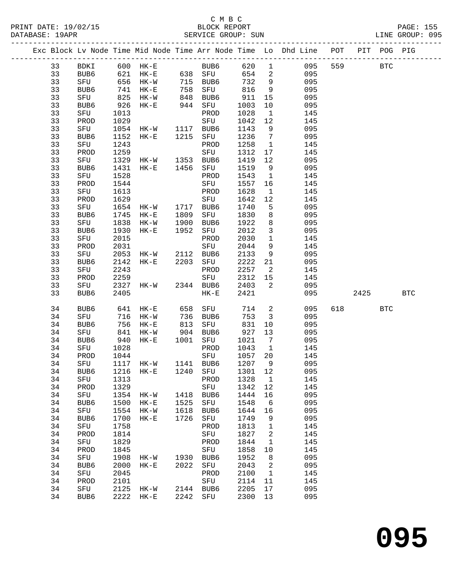#### C M B C<br>BLOCK REPORT PRINT DATE: 19/02/15 BLOCK REPORT PAGE: 155 SERVICE GROUP: SUN

|  |          |                  |      |                                 |      |                     |              |                          | Exc Block Lv Node Time Mid Node Time Arr Node Time Lo Dhd Line POT |     |          | PIT POG PIG |            |
|--|----------|------------------|------|---------------------------------|------|---------------------|--------------|--------------------------|--------------------------------------------------------------------|-----|----------|-------------|------------|
|  | 33       | BDKI             |      |                                 |      | BUB6 620            |              |                          | $1$ 095                                                            | 559 |          | <b>BTC</b>  |            |
|  | 33       | BUB6             |      |                                 |      |                     | 654          | $\overline{\phantom{a}}$ | 095                                                                |     |          |             |            |
|  | 33       | SFU              |      | $656$ HK-W                      |      | 715 BUB6            | 732          | 9                        | 095                                                                |     |          |             |            |
|  | 33       | BUB6             | 741  | $HK-E$                          |      | 758 SFU             | 816          | $\overline{9}$           | 095                                                                |     |          |             |            |
|  | 33       | SFU              | 825  | $HK-W$                          |      | BUB6                | 911          | 15                       | 095                                                                |     |          |             |            |
|  | 33       | BUB6             | 926  | $HK-E$                          |      | 848 BUB6<br>944 SFU | 1003         | 10                       | 095                                                                |     |          |             |            |
|  | 33       | SFU              | 1013 |                                 |      | PROD                | 1028         | $\overline{1}$           | 145                                                                |     |          |             |            |
|  | 33       | PROD             | 1029 |                                 |      | SFU                 | 1042         | 12                       | 145                                                                |     |          |             |            |
|  | 33       | SFU              | 1054 | HK-W 1117                       |      | BUB6                | 1143         | 9                        | 095                                                                |     |          |             |            |
|  | 33       | BUB6             | 1152 | HK-E 1215 SFU                   |      |                     | 1236         | $\overline{7}$           | 095                                                                |     |          |             |            |
|  | 33       | SFU              | 1243 |                                 |      | PROD                | 1258         | $\overline{1}$           | 145                                                                |     |          |             |            |
|  | 33       | PROD             | 1259 |                                 |      | SFU                 | 1312         | 17                       | 145                                                                |     |          |             |            |
|  | 33       | SFU              | 1329 | HK-W 1353 BUB6                  |      |                     | 1419         | 12                       | 095                                                                |     |          |             |            |
|  | 33       | BUB6             | 1431 | $HK-E$                          |      | 1456 SFU            | 1519         | 9                        | 095                                                                |     |          |             |            |
|  | 33       | SFU              | 1528 |                                 |      | PROD                | 1543         | $\overline{1}$           | 145                                                                |     |          |             |            |
|  | 33       | PROD             | 1544 |                                 |      | SFU                 | 1557         | 16                       | 145                                                                |     |          |             |            |
|  | 33       | SFU              | 1613 |                                 |      | PROD                | 1628         | $\mathbf{1}$             | 145                                                                |     |          |             |            |
|  | 33       | PROD             | 1629 | 1629 SFU<br>1654 HK-W 1717 BUB6 |      | SFU                 | 1642         | 12                       | 145                                                                |     |          |             |            |
|  | 33       | SFU              |      |                                 |      |                     | 1740         | $5^{\circ}$              | 095                                                                |     |          |             |            |
|  | 33       | BUB6             | 1745 | $HK-E$                          | 1809 | SFU                 | 1830         | 8                        | 095                                                                |     |          |             |            |
|  | 33       | SFU              | 1838 | $HK-W$                          | 1900 | BUB6                | 1922         | 8                        | 095                                                                |     |          |             |            |
|  | 33       | BUB6             | 1930 | $HK-E$                          | 1952 | SFU                 | 2012         | $\overline{3}$           | 095                                                                |     |          |             |            |
|  | 33       | SFU              | 2015 |                                 |      | PROD                | 2030         | $\mathbf{1}$             | 145                                                                |     |          |             |            |
|  | 33       | PROD             | 2031 |                                 |      | SFU                 | 2044         | 9                        | 145                                                                |     |          |             |            |
|  | 33       | SFU              | 2053 | HK-W 2112                       |      | BUB6                | 2133         | 9                        | 095                                                                |     |          |             |            |
|  | 33       | BUB6             | 2142 | $HK-E$                          |      | 2203 SFU            | 2222         | 21                       | 095                                                                |     |          |             |            |
|  | 33       | SFU              | 2243 |                                 |      | PROD                | 2257         | $\overline{2}$           | 145                                                                |     |          |             |            |
|  | 33       | PROD             | 2259 |                                 |      | SFU                 | 2312         | 15                       | 145                                                                |     |          |             |            |
|  | 33       | SFU              | 2327 | HK-W 2344 BUB6                  |      |                     | 2403         | $\overline{\phantom{a}}$ | 095                                                                |     |          |             |            |
|  | 33       | BUB <sub>6</sub> | 2405 |                                 |      | $HK-E$              | 2421         |                          | 095                                                                |     | 2425     |             | <b>BTC</b> |
|  | 34       | BUB6             | 641  | $HK-E$                          | 658  | SFU                 | 714          | $\overline{a}$           | 095                                                                |     | 618 — 18 | <b>BTC</b>  |            |
|  | 34       | SFU              |      | 716 HK-W                        |      | 736 BUB6            | 753          | $\overline{\mathbf{3}}$  | 095                                                                |     |          |             |            |
|  | 34       | BUB <sub>6</sub> | 756  | HK-E                            | 813  | SFU                 | 831          | 10                       | 095                                                                |     |          |             |            |
|  | 34       | SFU              | 841  | HK-W                            | 904  | BUB6                | 927          | 13                       | 095                                                                |     |          |             |            |
|  | 34       | BUB6             | 940  | $HK-E$                          | 1001 | SFU                 | 1021         | $\overline{7}$           | 095                                                                |     |          |             |            |
|  | 34       | SFU              | 1028 |                                 |      | PROD                | 1043         | $\overline{\phantom{a}}$ | 145                                                                |     |          |             |            |
|  | 34       | PROD             | 1044 |                                 |      | SFU                 | 1057 20      |                          | 145                                                                |     |          |             |            |
|  | 34       | SFU              |      | 1117 HK-W                       |      | 1141 BUB6           | 1207         | $\overline{9}$           | 095                                                                |     |          |             |            |
|  | 34       |                  |      | BUB6 1216 HK-E 1240 SFU 1301 12 |      |                     |              |                          | 095                                                                |     |          |             |            |
|  | 34       | SFU              | 1313 |                                 |      | PROD                | 1328         | $\mathbf{1}$             | 145                                                                |     |          |             |            |
|  | 34       | PROD             | 1329 |                                 |      | SFU                 | 1342         | 12                       | 145                                                                |     |          |             |            |
|  | 34       | SFU              | 1354 | HK-W                            |      | 1418 BUB6           | 1444         | 16                       | 095                                                                |     |          |             |            |
|  | 34       | BUB6             | 1500 | $HK-E$                          | 1525 | SFU                 | 1548         | $6\overline{6}$          | 095                                                                |     |          |             |            |
|  | 34       | SFU              | 1554 | $HK-W$                          | 1618 | BUB6                | 1644         | 16                       | 095                                                                |     |          |             |            |
|  | 34       | BUB6             | 1700 | $HK-E$                          | 1726 | SFU                 | 1749         | 9                        | 095                                                                |     |          |             |            |
|  | 34       | SFU              | 1758 |                                 |      | PROD                | 1813         | $\mathbf 1$              | 145                                                                |     |          |             |            |
|  | 34       | PROD             | 1814 |                                 |      | SFU                 | 1827         | 2                        | 145                                                                |     |          |             |            |
|  | 34       | SFU              | 1829 |                                 |      | PROD                | 1844         | $\mathbf{1}$             | 145                                                                |     |          |             |            |
|  | 34       | PROD             | 1845 |                                 |      | SFU                 | 1858         | 10                       | 145                                                                |     |          |             |            |
|  | 34       | SFU              | 1908 | HK-W                            |      | 1930 BUB6           | 1952         | 8                        | 095                                                                |     |          |             |            |
|  | 34       | BUB6             | 2000 | $HK-E$                          |      | 2022 SFU            | 2043         | 2                        | 095                                                                |     |          |             |            |
|  | 34       | SFU              | 2045 |                                 |      | PROD                | 2100         | $\overline{1}$           | 145                                                                |     |          |             |            |
|  | 34<br>34 | PROD             | 2101 |                                 |      | SFU<br>2144 BUB6    | 2114<br>2205 | 11<br>17                 | 145<br>095                                                         |     |          |             |            |
|  | 34       | SFU<br>BUB6      | 2125 | $HK - W$<br>2222 HK-E           |      | 2242 SFU            | 2300 13      |                          | 095                                                                |     |          |             |            |
|  |          |                  |      |                                 |      |                     |              |                          |                                                                    |     |          |             |            |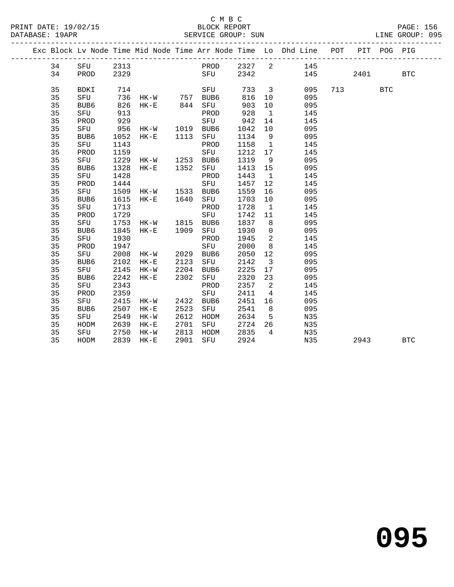|  |    |      |      |                |      |             |         |                          | Exc Block Lv Node Time Mid Node Time Arr Node Time Lo Dhd Line POT |     |      | PIT POG PIG |            |  |
|--|----|------|------|----------------|------|-------------|---------|--------------------------|--------------------------------------------------------------------|-----|------|-------------|------------|--|
|  | 34 | SFU  | 2313 |                |      | PROD 2327 2 |         |                          | 145                                                                |     |      |             |            |  |
|  | 34 | PROD | 2329 |                |      | SFU         | 2342    |                          |                                                                    | 145 | 2401 |             | <b>BTC</b> |  |
|  |    |      |      |                |      |             |         |                          |                                                                    |     |      |             |            |  |
|  | 35 | BDKI |      |                |      | SFU         | 733     |                          | $\overline{\mathbf{3}}$<br>095                                     |     | 713  | <b>BTC</b>  |            |  |
|  | 35 | SFU  |      |                |      |             | 816     | 10 <sub>1</sub>          | 095                                                                |     |      |             |            |  |
|  | 35 | BUB6 |      |                |      |             | 903     | 10                       | 095                                                                |     |      |             |            |  |
|  | 35 | SFU  | 913  |                |      | PROD        | 928     | $\overline{1}$           | 145                                                                |     |      |             |            |  |
|  | 35 | PROD | 929  |                |      | SFU         | 942     | 14                       | 145                                                                |     |      |             |            |  |
|  | 35 | SFU  | 956  | HK-W 1019      |      | BUB6        | 1042    | 10                       | 095                                                                |     |      |             |            |  |
|  | 35 | BUB6 | 1052 | $HK-E$         | 1113 | SFU         | 1134    | 9                        | 095                                                                |     |      |             |            |  |
|  | 35 | SFU  | 1143 |                |      | PROD        | 1158    | $\overline{1}$           | 145                                                                |     |      |             |            |  |
|  | 35 | PROD | 1159 |                |      | SFU         | 1212    | 17                       | 145                                                                |     |      |             |            |  |
|  | 35 | SFU  | 1229 | HK-W 1253 BUB6 |      |             | 1319    | 9                        | 095                                                                |     |      |             |            |  |
|  | 35 | BUB6 | 1328 | HK-E 1352      |      | SFU         | 1413 15 |                          | 095                                                                |     |      |             |            |  |
|  | 35 | SFU  | 1428 |                |      | PROD        | 1443    | $\overline{1}$           | 145                                                                |     |      |             |            |  |
|  | 35 | PROD | 1444 |                |      | SFU         | 1457    | 12                       | 145                                                                |     |      |             |            |  |
|  | 35 | SFU  | 1509 | HK-W 1533 BUB6 |      |             | 1559    | 16                       | 095                                                                |     |      |             |            |  |
|  | 35 | BUB6 | 1615 | HK-E 1640      |      | SFU         | 1703    | 10                       | 095                                                                |     |      |             |            |  |
|  | 35 | SFU  | 1713 |                |      | PROD        | 1728    | $\overline{1}$           | 145                                                                |     |      |             |            |  |
|  | 35 | PROD | 1729 |                |      | SFU         | 1742    | 11                       | 145                                                                |     |      |             |            |  |
|  | 35 | SFU  | 1753 | HK-W 1815 BUB6 |      |             | 1837    | 8 <sup>8</sup>           | 095                                                                |     |      |             |            |  |
|  | 35 | BUB6 | 1845 | HK-E 1909      |      | SFU         | 1930    | $\overline{0}$           | 095                                                                |     |      |             |            |  |
|  | 35 | SFU  | 1930 |                |      | PROD        | 1945    | $\overline{a}$           | 145                                                                |     |      |             |            |  |
|  | 35 | PROD | 1947 |                |      | SFU         | 2000    | 8                        | 145                                                                |     |      |             |            |  |
|  | 35 | SFU  | 2008 | HK-W 2029 BUB6 |      |             | 2050    | 12                       | 095                                                                |     |      |             |            |  |
|  | 35 | BUB6 | 2102 | $HK-E$         | 2123 | SFU         | 2142    | $\overline{\mathbf{3}}$  | 095                                                                |     |      |             |            |  |
|  | 35 | SFU  | 2145 | HK-W           | 2204 | BUB6        | 2225    | 17                       | 095                                                                |     |      |             |            |  |
|  | 35 | BUB6 | 2242 | $HK-E$         | 2302 | SFU         | 2320    | 23                       | 095                                                                |     |      |             |            |  |
|  | 35 | SFU  | 2343 |                |      | PROD        | 2357    | $\overline{\phantom{a}}$ | 145                                                                |     |      |             |            |  |
|  | 35 | PROD | 2359 |                |      | SFU         | 2411    | $\overline{4}$           | 145                                                                |     |      |             |            |  |
|  | 35 | SFU  | 2415 | HK-W           | 2432 | BUB6        | 2451    | 16                       | 095                                                                |     |      |             |            |  |
|  | 35 | BUB6 | 2507 | HK-E           | 2523 | SFU         | 2541    | 8 <sup>8</sup>           | 095                                                                |     |      |             |            |  |
|  | 35 | SFU  | 2549 | $HK-W$         | 2612 | HODM        | 2634    | $-5$                     | N35                                                                |     |      |             |            |  |
|  | 35 | HODM | 2639 | $HK-E$         | 2701 | SFU         | 2724    | 26                       | N35                                                                |     |      |             |            |  |
|  | 35 | SFU  | 2750 | HK-W           | 2813 | HODM        | 2835    | $\overline{4}$           | N35                                                                |     |      |             |            |  |
|  | 35 | HODM | 2839 | $HK-E$         | 2901 | SFU         | 2924    |                          | N35                                                                |     | 2943 |             | <b>BTC</b> |  |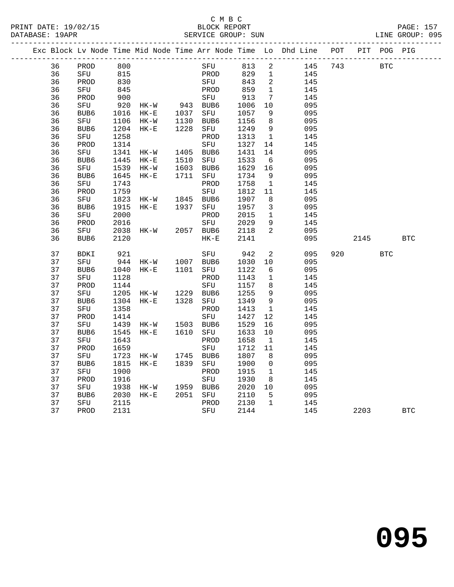|  |    |             |      |                    |          |           |      |                | Exc Block Lv Node Time Mid Node Time Arr Node Time Lo Dhd Line POT |     |            | PIT POG PIG |            |  |
|--|----|-------------|------|--------------------|----------|-----------|------|----------------|--------------------------------------------------------------------|-----|------------|-------------|------------|--|
|  | 36 | PROD        | 800  |                    |          | SFU       | 813  | 2              | 145                                                                | 743 | <b>BTC</b> |             |            |  |
|  | 36 | SFU         | 815  |                    |          | PROD      | 829  | $\overline{1}$ | 145                                                                |     |            |             |            |  |
|  | 36 | PROD        | 830  |                    |          | SFU       | 843  | $\overline{2}$ | 145                                                                |     |            |             |            |  |
|  | 36 | SFU         | 845  |                    |          | PROD      | 859  | $\mathbf{1}$   | 145                                                                |     |            |             |            |  |
|  | 36 | PROD        | 900  |                    |          | SFU       | 913  | 7              | 145                                                                |     |            |             |            |  |
|  | 36 | SFU         | 920  | HK-W               |          | 943 BUB6  | 1006 | 10             | 095                                                                |     |            |             |            |  |
|  | 36 | BUB6        | 1016 | $HK-E$             | 1037 SFU |           | 1057 | 9              | 095                                                                |     |            |             |            |  |
|  | 36 | SFU         | 1106 | HK-W               |          | 1130 BUB6 | 1156 | 8              | 095                                                                |     |            |             |            |  |
|  | 36 | BUB6        | 1204 | $HK-E$             |          | 1228 SFU  | 1249 | 9              | 095                                                                |     |            |             |            |  |
|  | 36 | SFU         | 1258 |                    |          | PROD      | 1313 | $\overline{1}$ | 145                                                                |     |            |             |            |  |
|  | 36 | PROD        | 1314 |                    |          | SFU       | 1327 | 14             | 145                                                                |     |            |             |            |  |
|  | 36 | SFU         | 1341 | HK-W               |          | 1405 BUB6 | 1431 | 14             | 095                                                                |     |            |             |            |  |
|  | 36 | BUB6        | 1445 | $HK-E$             | 1510     | SFU       | 1533 | - 6            | 095                                                                |     |            |             |            |  |
|  | 36 | SFU         | 1539 | HK-W               |          | 1603 BUB6 | 1629 | 16             | 095                                                                |     |            |             |            |  |
|  | 36 | BUB6        | 1645 | $HK-E$             | 1711     | SFU       | 1734 | 9              | 095                                                                |     |            |             |            |  |
|  | 36 | SFU         | 1743 |                    |          | PROD      | 1758 | $\overline{1}$ | 145                                                                |     |            |             |            |  |
|  | 36 | PROD        | 1759 |                    |          | SFU       | 1812 | 11             | 145                                                                |     |            |             |            |  |
|  | 36 | SFU         | 1823 | HK-W 1845 BUB6     |          |           | 1907 | 8              | 095                                                                |     |            |             |            |  |
|  | 36 | BUB6        | 1915 | $HK-E$             |          | 1937 SFU  | 1957 | 3              | 095                                                                |     |            |             |            |  |
|  | 36 | SFU         | 2000 |                    |          | PROD      | 2015 | $\mathbf{1}$   | 145                                                                |     |            |             |            |  |
|  | 36 | PROD        | 2016 |                    |          | SFU       | 2029 | 9              | 145                                                                |     |            |             |            |  |
|  | 36 | SFU         | 2038 | HK-W               |          | 2057 BUB6 | 2118 | $\overline{a}$ | 095                                                                |     |            |             |            |  |
|  | 36 | BUB6        | 2120 |                    |          | $HK-E$    | 2141 |                | 095                                                                |     | 2145       |             | BTC        |  |
|  | 37 | <b>BDKI</b> | 921  |                    |          | SFU       | 942  | $\overline{2}$ | 095                                                                | 920 |            | <b>BTC</b>  |            |  |
|  | 37 | SFU         |      | 944 HK-W 1007 BUB6 |          |           | 1030 | 10             | 095                                                                |     |            |             |            |  |
|  | 37 | BUB6        | 1040 | $HK-E$             |          | 1101 SFU  | 1122 | 6              | 095                                                                |     |            |             |            |  |
|  | 37 | SFU         | 1128 |                    |          | PROD      | 1143 | $\mathbf{1}$   | 145                                                                |     |            |             |            |  |
|  | 37 | PROD        | 1144 |                    |          | SFU       | 1157 | 8              | 145                                                                |     |            |             |            |  |
|  | 37 | SFU         | 1205 | HK-W 1229 BUB6     |          |           | 1255 | 9              | 095                                                                |     |            |             |            |  |
|  | 37 | BUB6        | 1304 | $HK-E$             |          | 1328 SFU  | 1349 | 9              | 095                                                                |     |            |             |            |  |
|  | 37 | SFU         | 1358 |                    |          | PROD      | 1413 | $\mathbf{1}$   | 145                                                                |     |            |             |            |  |
|  | 37 | PROD        | 1414 |                    |          | SFU       | 1427 | 12             | 145                                                                |     |            |             |            |  |
|  | 37 | SFU         | 1439 | $HK-W$             |          | 1503 BUB6 | 1529 | 16             | 095                                                                |     |            |             |            |  |
|  | 37 | BUB6        | 1545 | $HK-E$             |          | 1610 SFU  | 1633 | 10             | 095                                                                |     |            |             |            |  |
|  | 37 | SFU         | 1643 |                    |          | PROD      | 1658 | $\mathbf{1}$   | 145                                                                |     |            |             |            |  |
|  | 37 | PROD        | 1659 |                    |          | SFU       | 1712 | 11             | 145                                                                |     |            |             |            |  |
|  | 37 | SFU         | 1723 | HK-W               |          | 1745 BUB6 | 1807 | 8              | 095                                                                |     |            |             |            |  |
|  | 37 | BUB6        | 1815 | $HK-E$             |          | 1839 SFU  | 1900 | $\mathbf 0$    | 095                                                                |     |            |             |            |  |
|  | 37 | SFU         | 1900 |                    |          | PROD      | 1915 | $\mathbf{1}$   | 145                                                                |     |            |             |            |  |
|  | 37 | PROD        | 1916 |                    |          | SFU       | 1930 | 8              | 145                                                                |     |            |             |            |  |
|  | 37 | SFU         | 1938 | HK-W               |          | 1959 BUB6 | 2020 | 10             | 095                                                                |     |            |             |            |  |
|  | 37 | BUB6        | 2030 | HK-E               |          | 2051 SFU  | 2110 | 5              | 095                                                                |     |            |             |            |  |
|  | 37 | SFU         | 2115 |                    |          | PROD      | 2130 | $\overline{1}$ | 145                                                                |     |            |             |            |  |
|  | 37 | PROD        | 2131 |                    |          | SFU       | 2144 |                | 145                                                                |     | 2203       |             | <b>BTC</b> |  |
|  |    |             |      |                    |          |           |      |                |                                                                    |     |            |             |            |  |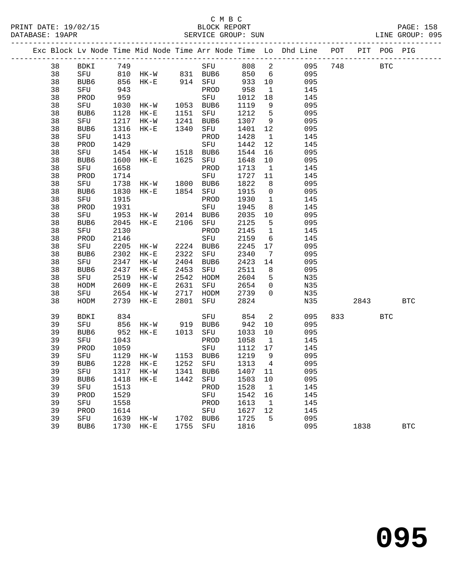#### C M B C<br>BLOCK REPORT SERVICE GROUP: SUN

|  |    |                  |      |                      |      |      |       |                 | Exc Block Lv Node Time Mid Node Time Arr Node Time Lo Dhd Line POT PIT POG PIG |     |      |            |            |
|--|----|------------------|------|----------------------|------|------|-------|-----------------|--------------------------------------------------------------------------------|-----|------|------------|------------|
|  | 38 | BDKI             | 749  |                      |      | SFU  | 808 2 |                 | 095                                                                            |     | 748  | <b>BTC</b> |            |
|  | 38 | SFU              |      | 810 HK-W 831 BUB6    |      |      | 850   |                 | $6\overline{6}$<br>095                                                         |     |      |            |            |
|  | 38 | BUB6             | 856  | $HK-E$               | 914  | SFU  | 933   | 10              | 095                                                                            |     |      |            |            |
|  | 38 | SFU              | 943  |                      |      | PROD | 958   | $\mathbf{1}$    | 145                                                                            |     |      |            |            |
|  | 38 | PROD             | 959  |                      |      | SFU  | 1012  | 18              | 145                                                                            |     |      |            |            |
|  | 38 | SFU              | 1030 | $HK-W$               | 1053 | BUB6 | 1119  | 9               | 095                                                                            |     |      |            |            |
|  | 38 | BUB6             | 1128 | $HK-E$               | 1151 | SFU  | 1212  | $5\overline{)}$ | 095                                                                            |     |      |            |            |
|  | 38 | SFU              | 1217 | $HK-W$               | 1241 | BUB6 | 1307  | 9               | 095                                                                            |     |      |            |            |
|  | 38 | BUB6             | 1316 | $HK-E$               | 1340 | SFU  | 1401  | 12              | 095                                                                            |     |      |            |            |
|  | 38 | SFU              | 1413 |                      |      | PROD | 1428  | $\mathbf{1}$    | 145                                                                            |     |      |            |            |
|  | 38 | PROD             | 1429 |                      |      | SFU  | 1442  | 12              | 145                                                                            |     |      |            |            |
|  | 38 | SFU              | 1454 | HK-W                 | 1518 | BUB6 | 1544  | 16              | 095                                                                            |     |      |            |            |
|  | 38 | BUB6             | 1600 | $HK-E$               | 1625 | SFU  | 1648  | 10              | 095                                                                            |     |      |            |            |
|  | 38 | SFU              | 1658 |                      |      | PROD | 1713  | $\mathbf{1}$    | 145                                                                            |     |      |            |            |
|  | 38 | PROD             | 1714 |                      |      | SFU  | 1727  | 11              | 145                                                                            |     |      |            |            |
|  | 38 | SFU              | 1738 | HK-W                 | 1800 | BUB6 | 1822  | 8               | 095                                                                            |     |      |            |            |
|  | 38 | BUB6             | 1830 | $HK-E$               | 1854 | SFU  | 1915  | $\overline{0}$  | 095                                                                            |     |      |            |            |
|  | 38 | SFU              | 1915 |                      |      | PROD | 1930  | $\mathbf{1}$    | 145                                                                            |     |      |            |            |
|  | 38 | PROD             | 1931 |                      |      | SFU  | 1945  | 8               | 145                                                                            |     |      |            |            |
|  | 38 | SFU              | 1953 | HK-W                 | 2014 | BUB6 | 2035  | 10              | 095                                                                            |     |      |            |            |
|  | 38 | BUB6             | 2045 | $HK-E$               | 2106 | SFU  | 2125  | 5               | 095                                                                            |     |      |            |            |
|  | 38 | SFU              | 2130 |                      |      | PROD | 2145  | $\mathbf{1}$    | 145                                                                            |     |      |            |            |
|  | 38 | PROD             | 2146 |                      |      | SFU  | 2159  | 6               | 145                                                                            |     |      |            |            |
|  | 38 | SFU              | 2205 | $HK-W$               | 2224 | BUB6 | 2245  | 17              | 095                                                                            |     |      |            |            |
|  | 38 | BUB6             | 2302 | $HK-E$               | 2322 | SFU  | 2340  | 7               | 095                                                                            |     |      |            |            |
|  | 38 | SFU              | 2347 | $HK-W$               | 2404 | BUB6 | 2423  | 14              | 095                                                                            |     |      |            |            |
|  | 38 | BUB6             | 2437 | $\rm{HK}\!-\!\rm{E}$ | 2453 | SFU  | 2511  | 8               | 095                                                                            |     |      |            |            |
|  | 38 | SFU              | 2519 | $HK-W$               | 2542 | HODM | 2604  | 5               | N35                                                                            |     |      |            |            |
|  | 38 | HODM             | 2609 | $HK-E$               | 2631 | SFU  | 2654  | 0               | N35                                                                            |     |      |            |            |
|  | 38 | SFU              | 2654 | HK-W                 | 2717 | HODM | 2739  | $\mathbf 0$     | N35                                                                            |     |      |            |            |
|  | 38 | HODM             | 2739 | $HK-E$               | 2801 | SFU  | 2824  |                 | N35                                                                            |     | 2843 |            | <b>BTC</b> |
|  | 39 | <b>BDKI</b>      | 834  |                      |      | SFU  | 854   | 2               | 095                                                                            | 833 |      | <b>BTC</b> |            |
|  | 39 | SFU              | 856  | HK-W                 | 919  | BUB6 | 942   | 10              | 095                                                                            |     |      |            |            |
|  | 39 | BUB6             | 952  | $HK-E$               | 1013 | SFU  | 1033  | 10              | 095                                                                            |     |      |            |            |
|  | 39 | SFU              | 1043 |                      |      | PROD | 1058  | 1               | 145                                                                            |     |      |            |            |
|  | 39 | PROD             | 1059 |                      |      | SFU  | 1112  | 17              | 145                                                                            |     |      |            |            |
|  | 39 | SFU              | 1129 | HK-W                 | 1153 | BUB6 | 1219  | 9               | 095                                                                            |     |      |            |            |
|  | 39 | BUB <sub>6</sub> | 1228 | $HK-E$               | 1252 | SFU  | 1313  | $\overline{4}$  | 095                                                                            |     |      |            |            |

39 SFU 1317 HK-W 1341 BUB6 1407 11 095

 39 SFU 1513 PROD 1528 1 145 39 PROD 1529 SFU 1542 16 145 39 SFU 1558 PROD 1613 1 145 39 PROD 1614 SFU 1627 12 145

39 BUB6 1418 HK-E 1442 SFU 1503 10 095

39 SFU 1639 HK-W 1702 BUB6 1725 5 095

39 BUB6 1730 HK-E 1755 SFU 1816 095 1838 BTC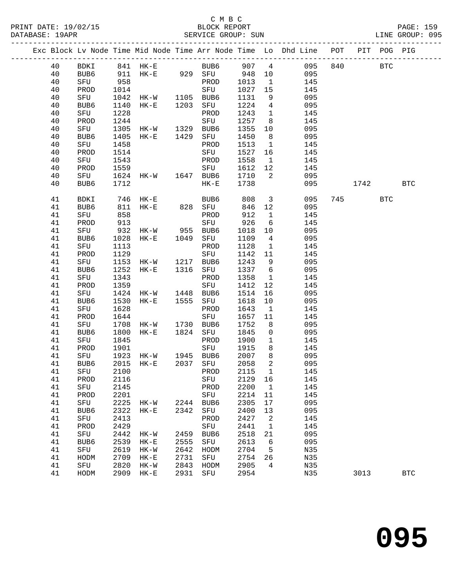## C M B C

| PRINT DATE: 19/02/15 BLOCK REPORT<br>DATABASE: 19APR |      |      |                |      | SERVICE GROUP: SUN |         |                          |                                                                                |      |            | PAGE: 159<br>LINE GROUP: 095 |
|------------------------------------------------------|------|------|----------------|------|--------------------|---------|--------------------------|--------------------------------------------------------------------------------|------|------------|------------------------------|
|                                                      |      |      |                |      |                    |         |                          | Exc Block Lv Node Time Mid Node Time Arr Node Time Lo Dhd Line POT PIT POG PIG |      |            |                              |
| 40                                                   |      |      |                |      |                    |         |                          | BDKI 841 HK-E BUB6 907 4 095 840 BTC                                           |      |            |                              |
| 40                                                   | BUB6 |      | 911 HK-E 929   |      | SFU 948            |         |                          | 10 095                                                                         |      |            |                              |
| 40                                                   | SFU  | 958  |                |      | PROD               | 1013    |                          | 145<br>$\sim$ 1                                                                |      |            |                              |
| 40                                                   | PROD | 1014 |                |      | SFU                | 1027 15 |                          | 145                                                                            |      |            |                              |
| 40                                                   | SFU  | 1042 | HK-W           | 1105 | BUB6               | 1131    | 9                        | 095                                                                            |      |            |                              |
| 40                                                   | BUB6 | 1140 | $HK-E$         | 1203 | SFU                | 1224    | $4\overline{ }$          | 095                                                                            |      |            |                              |
| 40                                                   | SFU  | 1228 |                |      | PROD               | 1243    | $\overline{1}$           | 145                                                                            |      |            |                              |
| 40                                                   | PROD | 1244 |                |      | SFU                | 1257    | 8                        | 145                                                                            |      |            |                              |
| 40                                                   | SFU  | 1305 | HK-W 1329      |      | BUB6               | 1355    | 10                       | 095                                                                            |      |            |                              |
| 40                                                   | BUB6 | 1405 | $HK-E$         | 1429 | SFU                | 1450    | 8 <sup>8</sup>           | 095                                                                            |      |            |                              |
| 40                                                   | SFU  | 1458 |                |      | PROD               | 1513    | $\overline{1}$           | 145                                                                            |      |            |                              |
| 40                                                   | PROD | 1514 |                |      | SFU                | 1527    | 16                       | 145                                                                            |      |            |                              |
| 40                                                   | SFU  | 1543 |                |      | PROD               | 1558    | $\mathbf{1}$             | 145                                                                            |      |            |                              |
| 40                                                   | PROD | 1559 |                |      | SFU                | 1612    | 12                       | 145                                                                            |      |            |                              |
| 40                                                   | SFU  |      | 1624 HK-W 1647 |      | BUB6               | 1710    | $2^{1}$                  | 095                                                                            |      |            |                              |
| 40                                                   | BUB6 | 1712 |                |      | $HK-E$             | 1738    |                          | 095                                                                            | 1742 |            | BTC                          |
| 41                                                   | BDKI | 746  | $HK - E$       |      | BUB6               | 808     | $\overline{\phantom{a}}$ | 095                                                                            | 745  | <b>BTC</b> |                              |
| 41                                                   | BUB6 | 811  | HK-E 828       |      | SFU                | 846     | 12                       | 095                                                                            |      |            |                              |
| 41                                                   | SFU  | 858  |                |      | PROD               | 912     | $\overline{1}$           | 145                                                                            |      |            |                              |
| 41                                                   | PROD | 913  |                |      | SFU                | 926     | 6                        | 145                                                                            |      |            |                              |
| 41                                                   | SFU  |      | 932 HK-W 955   |      | BUB6               | 1018    |                          | 10<br>095                                                                      |      |            |                              |
| 41                                                   | BUB6 | 1028 | $HK-E$         | 1049 | SFU                | 1109    | $\overline{4}$           | 095                                                                            |      |            |                              |
| 41                                                   | SFU  | 1113 |                |      | PROD               | 1128    | $\overline{1}$           | 145                                                                            |      |            |                              |

| ᅚ  | טפטפ        | ⊥ / ⊥∠ |           |      | пn-в         | 1120 |                | しシン |     | ᆠ/ᆂ스 |            | 그나다          |
|----|-------------|--------|-----------|------|--------------|------|----------------|-----|-----|------|------------|--------------|
| 41 | <b>BDKI</b> | 746    | $HK-E$    |      | BUB6         | 808  | $\overline{3}$ | 095 | 745 |      | <b>BTC</b> |              |
| 41 | BUB6        | 811    | $HK-E$    | 828  | SFU          | 846  | 12             | 095 |     |      |            |              |
| 41 | SFU         | 858    |           |      | ${\tt PROD}$ | 912  | $\mathbf{1}$   | 145 |     |      |            |              |
| 41 | PROD        | 913    |           |      | SFU          | 926  | $\sqrt{6}$     | 145 |     |      |            |              |
| 41 | SFU         | 932    | HK-W 955  |      | BUB6         | 1018 | $10$           | 095 |     |      |            |              |
| 41 | BUB6        | 1028   | $HK-E$    | 1049 | SFU          | 1109 | $\overline{4}$ | 095 |     |      |            |              |
| 41 | SFU         | 1113   |           |      | PROD         | 1128 | $\mathbf{1}$   | 145 |     |      |            |              |
| 41 | PROD        | 1129   |           |      | SFU          | 1142 | 11             | 145 |     |      |            |              |
| 41 | SFU         | 1153   | $HK-W$    | 1217 | BUB6         | 1243 | 9              | 095 |     |      |            |              |
| 41 | BUB6        | 1252   | $HK-E$    | 1316 | SFU          | 1337 | $\epsilon$     | 095 |     |      |            |              |
| 41 | SFU         | 1343   |           |      | PROD         | 1358 | $\mathbf{1}$   | 145 |     |      |            |              |
| 41 | PROD        | 1359   |           |      | SFU          | 1412 | 12             | 145 |     |      |            |              |
| 41 | SFU         | 1424   | $HK-W$    | 1448 | BUB6         | 1514 | 16             | 095 |     |      |            |              |
| 41 | BUB6        | 1530   | $HK-E$    | 1555 | SFU          | 1618 | $10$           | 095 |     |      |            |              |
| 41 | SFU         | 1628   |           |      | PROD         | 1643 | $\mathbf{1}$   | 145 |     |      |            |              |
| 41 | PROD        | 1644   |           |      | SFU          | 1657 | 11             | 145 |     |      |            |              |
| 41 | SFU         | 1708   | $HK-W$    | 1730 | BUB6         | 1752 | $\,8\,$        | 095 |     |      |            |              |
| 41 | BUB6        | 1800   | $HK-E$    | 1824 | SFU          | 1845 | $\mathbb O$    | 095 |     |      |            |              |
| 41 | SFU         | 1845   |           |      | PROD         | 1900 | $\mathbf{1}$   | 145 |     |      |            |              |
| 41 | PROD        | 1901   |           |      | SFU          | 1915 | 8              | 145 |     |      |            |              |
| 41 | SFU         | 1923   | $HK-W$    | 1945 | BUB6         | 2007 | 8              | 095 |     |      |            |              |
| 41 | BUB6        | 2015   | $HK-E$    | 2037 | SFU          | 2058 | 2              | 095 |     |      |            |              |
| 41 | SFU         | 2100   |           |      | PROD         | 2115 | $\mathbf{1}$   | 145 |     |      |            |              |
| 41 | PROD        | 2116   |           |      | SFU          | 2129 | 16             | 145 |     |      |            |              |
| 41 | SFU         | 2145   |           |      | PROD         | 2200 | $\mathbf{1}$   | 145 |     |      |            |              |
| 41 | PROD        | 2201   |           |      | SFU          | 2214 | 11             | 145 |     |      |            |              |
| 41 | SFU         | 2225   | HK-W 2244 |      | BUB6         | 2305 | 17             | 095 |     |      |            |              |
| 41 | BUB6        | 2322   | $HK-E$    | 2342 | SFU          | 2400 | 13             | 095 |     |      |            |              |
| 41 | SFU         | 2413   |           |      | PROD         | 2427 | $\sqrt{2}$     | 145 |     |      |            |              |
| 41 | PROD        | 2429   |           |      | SFU          | 2441 | $\mathbf{1}$   | 145 |     |      |            |              |
| 41 | SFU         | 2442   | $HK-W$    | 2459 | BUB6         | 2518 | 21             | 095 |     |      |            |              |
| 41 | BUB6        | 2539   | $HK-E$    | 2555 | SFU          | 2613 | 6              | 095 |     |      |            |              |
| 41 | SFU         | 2619   | $HK-W$    | 2642 | HODM         | 2704 | 5              | N35 |     |      |            |              |
| 41 | HODM        | 2709   | $HK-E$    | 2731 | SFU          | 2754 | 26             | N35 |     |      |            |              |
| 41 | SFU         | 2820   | $HK-W$    | 2843 | HODM         | 2905 | $\overline{4}$ | N35 |     |      |            |              |
| 41 | HODM        | 2909   | $HK-E$    | 2931 | SFU          | 2954 |                | N35 |     | 3013 |            | $_{\rm BTC}$ |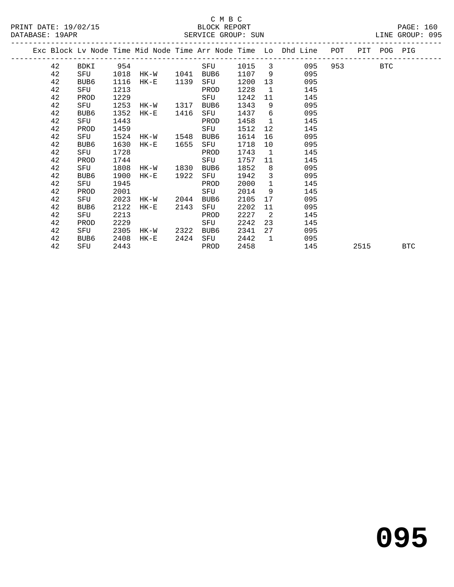|  |    |                  |      |        |      |      |      |              | Exc Block Lv Node Time Mid Node Time Arr Node Time Lo Dhd Line | POT |      | PIT POG    | PIG        |
|--|----|------------------|------|--------|------|------|------|--------------|----------------------------------------------------------------|-----|------|------------|------------|
|  | 42 | BDKI             | 954  |        |      | SFU  | 1015 | 3            | 095                                                            | 953 |      | <b>BTC</b> |            |
|  | 42 | SFU              | 1018 | HK-W   | 1041 | BUB6 | 1107 | - 9          | 095                                                            |     |      |            |            |
|  | 42 | BUB6             | 1116 | $HK-E$ | 1139 | SFU  | 1200 | 13           | 095                                                            |     |      |            |            |
|  | 42 | SFU              | 1213 |        |      | PROD | 1228 | $\mathbf{1}$ | 145                                                            |     |      |            |            |
|  | 42 | PROD             | 1229 |        |      | SFU  | 1242 | 11           | 145                                                            |     |      |            |            |
|  | 42 | SFU              | 1253 | HK-W   | 1317 | BUB6 | 1343 | 9            | 095                                                            |     |      |            |            |
|  | 42 | BUB <sub>6</sub> | 1352 | $HK-E$ | 1416 | SFU  | 1437 | 6            | 095                                                            |     |      |            |            |
|  | 42 | SFU              | 1443 |        |      | PROD | 1458 | 1            | 145                                                            |     |      |            |            |
|  | 42 | PROD             | 1459 |        |      | SFU  | 1512 | 12           | 145                                                            |     |      |            |            |
|  | 42 | SFU              | 1524 | HK-W   | 1548 | BUB6 | 1614 | 16           | 095                                                            |     |      |            |            |
|  | 42 | BUB <sub>6</sub> | 1630 | $HK-E$ | 1655 | SFU  | 1718 | 10           | 095                                                            |     |      |            |            |
|  | 42 | SFU              | 1728 |        |      | PROD | 1743 | $\mathbf{1}$ | 145                                                            |     |      |            |            |
|  | 42 | PROD             | 1744 |        |      | SFU  | 1757 | 11           | 145                                                            |     |      |            |            |
|  | 42 | SFU              | 1808 | HK-W   | 1830 | BUB6 | 1852 | 8            | 095                                                            |     |      |            |            |
|  | 42 | BUB <sub>6</sub> | 1900 | $HK-E$ | 1922 | SFU  | 1942 | 3            | 095                                                            |     |      |            |            |
|  | 42 | SFU              | 1945 |        |      | PROD | 2000 | $\mathbf{1}$ | 145                                                            |     |      |            |            |
|  | 42 | PROD             | 2001 |        |      | SFU  | 2014 | 9            | 145                                                            |     |      |            |            |
|  | 42 | SFU              | 2023 | HK-W   | 2044 | BUB6 | 2105 | 17           | 095                                                            |     |      |            |            |
|  | 42 | BUB6             | 2122 | $HK-E$ | 2143 | SFU  | 2202 | 11           | 095                                                            |     |      |            |            |
|  | 42 | SFU              | 2213 |        |      | PROD | 2227 | 2            | 145                                                            |     |      |            |            |
|  | 42 | PROD             | 2229 |        |      | SFU  | 2242 | 23           | 145                                                            |     |      |            |            |
|  | 42 | SFU              | 2305 | HK-W   | 2322 | BUB6 | 2341 | 27           | 095                                                            |     |      |            |            |
|  | 42 | BUB6             | 2408 | $HK-E$ | 2424 | SFU  | 2442 | 1            | 095                                                            |     |      |            |            |
|  | 42 | SFU              | 2443 |        |      | PROD | 2458 |              | 145                                                            |     | 2515 |            | <b>BTC</b> |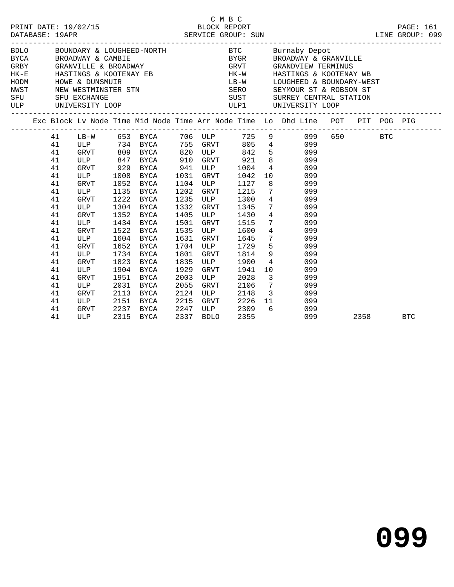| PRINT DATE: 19/02/15<br>DATABASE: 19APR |                                                                      |                                                                                       |                                              | C M B C<br>2/15 BLOCK REPORT<br>SERVICE GROUP: SUN                                                                         |                                                                              |                                                                                                |                                                                                                           |                 | LINE GROUP: 099                                                                                                                                                                                                                                                                                       |      | PAGE: 161  |
|-----------------------------------------|----------------------------------------------------------------------|---------------------------------------------------------------------------------------|----------------------------------------------|----------------------------------------------------------------------------------------------------------------------------|------------------------------------------------------------------------------|------------------------------------------------------------------------------------------------|-----------------------------------------------------------------------------------------------------------|-----------------|-------------------------------------------------------------------------------------------------------------------------------------------------------------------------------------------------------------------------------------------------------------------------------------------------------|------|------------|
| SFU<br>ULP                              |                                                                      | SFU EXCHANGE                                                                          |                                              | BYCA BROADWAY & CAMBIE<br>GRBY     GRANVILLE & BROADWAY<br>HK-E HASTINGS & KOOTENAY EB                                     |                                                                              |                                                                                                |                                                                                                           |                 | BDLO BOUNDARY & LOUGHEED-NORTH BTC Burnaby Depot<br>BYGR BROADWAY & GRANVILLE<br>GRVT GRANDVIEW TERMINUS<br>HK-W HASTINGS & KOOTENAY WB<br>LB-W LOUGHEED & BOUNDARY-WEST<br>SERO SEYMOUR ST & ROBSON ST<br>SUST SURREY CENTRAL STATION                                                                |      |            |
|                                         |                                                                      |                                                                                       |                                              |                                                                                                                            |                                                                              |                                                                                                |                                                                                                           |                 | Exc Block Lv Node Time Mid Node Time Arr Node Time Lo Dhd Line POT PIT POG PIG                                                                                                                                                                                                                        |      |            |
|                                         | 41<br>41<br>41<br>41<br>41<br>41<br>41<br>41<br>41<br>41<br>41       | <b>ULP</b><br>GRVT<br>ULP<br>GRVT<br>ULP<br>GRVT                                      | 1008<br>1052<br>1135<br>1222<br>1352         | ULP 847 BYCA 910 GRVT 921<br>GRVT 929 BYCA 941 ULP 1004<br>BYCA 1031<br>BYCA<br>BYCA<br>BYCA<br>1304 BYCA<br>BYCA          | 1104<br>1202<br>1235<br>1332<br>1405                                         | ULP<br>GRVT<br><b>ULP</b><br>GRVT                                                              | GRVT 1042<br>1127<br>1215<br>1300<br>1345<br>ULP 1430                                                     |                 | LB-W 653 BYCA 706 ULP 725 9 099 650 BTC<br>ULP 734 BYCA 755 GRVT 805 4 099<br>GRVT 809 BYCA 820 ULP 842 5 099<br>8<br>099<br>$4\overline{ }$<br>099<br>10<br>099<br>8<br>099<br>$7\overline{ }$<br>099<br>$4\overline{ }$<br>099<br>$\begin{array}{c}\n7\n\end{array}$<br>099<br>$\frac{4}{7}$<br>099 |      |            |
|                                         | 41<br>41<br>41<br>41<br>41<br>41<br>41<br>41<br>41<br>41<br>41<br>41 | ULP<br>GRVT<br>ULP<br><b>GRVT</b><br>ULP<br>GRVT<br>ULP<br>GRVT<br>ULP<br>GRVT<br>ULP | 1823<br>1904<br>1951<br>2031<br>2113<br>2151 | 1434 BYCA<br>1522 BYCA<br>1604 BYCA<br>1652 BYCA<br>1734 BYCA<br>BYCA<br>BYCA<br>BYCA<br>BYCA<br>BYCA<br>BYCA<br>2237 BYCA | 1501<br>1535<br>1631<br>1704<br>1801<br>1835<br>1929<br>2003<br>2055<br>2124 | GRVT<br>GRVT<br><b>ULP</b><br>GRVT<br>ULP<br>GRVT<br>ULP<br>2215 GRVT<br>2247 ULP<br>2337 BDLO | 1515<br>ULP 1600<br>1645<br>ULP 1729<br>GRVT 1814<br>1900<br>1941<br>2028<br>2106<br>2148<br>2226<br>2309 | $6\overline{6}$ | 099<br>$\frac{1}{4}$<br>099<br>$7\overline{ }$<br>099<br>5 <sub>1</sub><br>099<br>$9 \left( \frac{1}{2} \right)$<br>099<br>$4\overline{ }$<br>099<br>10<br>099<br>$3 \quad \blacksquare$<br>099<br>$7\overline{ }$<br>099<br>3 <sup>1</sup><br>099<br>11 099<br>099                                   |      |            |
|                                         | 41                                                                   | GRVT<br>ULP                                                                           |                                              | 2315 BYCA                                                                                                                  | 2337                                                                         | BDLO                                                                                           | 2355                                                                                                      |                 | 099                                                                                                                                                                                                                                                                                                   | 2358 | <b>BTC</b> |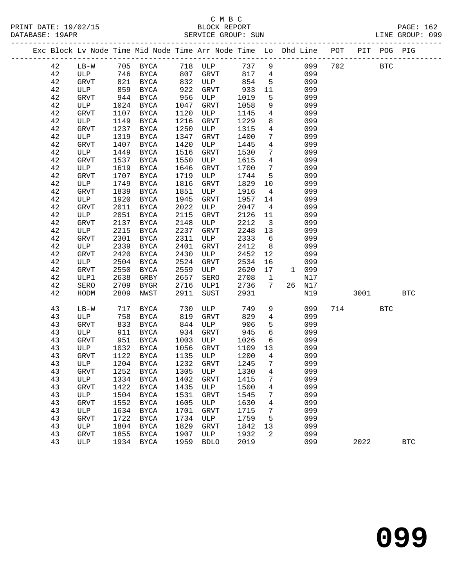# C M B C<br>BLOCK REPORT

| PRINT DATE: 19/02/15<br>DATABASE: 19APR |  |                             | BLOCK REPORT<br>SERVICE GROUP: SUN |       |                                                                                |  |      | PAGE: 162<br>LINE GROUP: 099 |  |
|-----------------------------------------|--|-----------------------------|------------------------------------|-------|--------------------------------------------------------------------------------|--|------|------------------------------|--|
|                                         |  |                             |                                    |       | Exc Block Lv Node Time Mid Node Time Arr Node Time Lo Dhd Line POT PIT POG PIG |  |      |                              |  |
|                                         |  | T.R.– W. 705 RVCA 718 III.D |                                    | 737 Q | በዓዓ 7 በ2                                                                       |  | מידם |                              |  |

| 42          | $LB-W$       |      | 705 BYCA      |      | 718 ULP     | 737 9  |                 |              | 099    | 702 | <b>BTC</b> |            |
|-------------|--------------|------|---------------|------|-------------|--------|-----------------|--------------|--------|-----|------------|------------|
| 42          | ULP          | 746  | BYCA          | 807  | GRVT        | 817    | $\overline{4}$  |              | 099    |     |            |            |
| 42          | GRVT         | 821  | BYCA          | 832  | ULP         | 854    | 5               |              | 099    |     |            |            |
| 42          | ULP          | 859  | BYCA          | 922  | GRVT        | 933    | 11              |              | 099    |     |            |            |
| 42          | GRVT         | 944  | BYCA          | 956  | ULP         | 1019   | $5\phantom{.0}$ |              | 099    |     |            |            |
| $4\,2$      | ULP          | 1024 | BYCA          | 1047 | GRVT        | 1058   | 9               |              | 099    |     |            |            |
| 42          | GRVT         | 1107 | BYCA          | 1120 | ULP         | 1145   | $\overline{4}$  |              | 099    |     |            |            |
| 42          | ULP          | 1149 | <b>BYCA</b>   | 1216 | GRVT        | 1229   | 8               |              | 099    |     |            |            |
| $4\sqrt{2}$ | GRVT         | 1237 | BYCA          | 1250 | ULP         | 1315   | $\overline{4}$  |              | 099    |     |            |            |
| $4\,2$      | ULP          | 1319 | <b>BYCA</b>   | 1347 | GRVT        | 1400   | $7\phantom{.}$  |              | 099    |     |            |            |
| $4\,2$      | GRVT         | 1407 | <b>BYCA</b>   | 1420 | ULP         | 1445   | $\overline{4}$  |              | 099    |     |            |            |
| $4\,2$      | ULP          | 1449 | <b>BYCA</b>   | 1516 | GRVT        | 1530   | $7\phantom{.}$  |              | 099    |     |            |            |
| $4\,2$      | GRVT         | 1537 | <b>BYCA</b>   | 1550 | ULP         | 1615   | $\overline{4}$  |              | 099    |     |            |            |
| $4\,2$      | ULP          | 1619 | <b>BYCA</b>   | 1646 | GRVT        | 1700   | $7\phantom{.}$  |              | 099    |     |            |            |
| $4\sqrt{2}$ | GRVT         | 1707 | <b>BYCA</b>   | 1719 | ULP         | 1744   | 5               |              | 099    |     |            |            |
| 42          | ULP          | 1749 | $_{\rm BYCA}$ | 1816 | GRVT        | 1829   | 10              |              | 099    |     |            |            |
| $4\sqrt{2}$ | GRVT         | 1839 | $_{\rm BYCA}$ | 1851 | ULP         | 1916   | $\overline{4}$  |              | 099    |     |            |            |
| $4\,2$      | ULP          | 1920 | BYCA          | 1945 | GRVT        | 1957   | 14              |              | 099    |     |            |            |
| $4\,2$      | GRVT         | 2011 | <b>BYCA</b>   | 2022 | ULP         | 2047   | $\overline{4}$  |              | 099    |     |            |            |
| 42          | ULP          | 2051 | <b>BYCA</b>   | 2115 | GRVT        | 2126   | 11              |              | 099    |     |            |            |
| 42          | GRVT         | 2137 | BYCA          | 2148 | ULP         | 2212   | $\overline{3}$  |              | 099    |     |            |            |
| $4\,2$      | ULP          | 2215 | BYCA          | 2237 | GRVT        | 2248   | 13              |              | 099    |     |            |            |
| $4\,2$      | GRVT         | 2301 | <b>BYCA</b>   | 2311 | ULP         | 2333   | 6               |              | 099    |     |            |            |
| 42          | ULP          | 2339 | <b>BYCA</b>   | 2401 | GRVT        | 2412   | 8               |              | 099    |     |            |            |
| $4\,2$      | GRVT         | 2420 | $_{\rm BYCA}$ | 2430 | ULP         | 2452   | 12              |              | 099    |     |            |            |
| $4\,2$      | ULP          | 2504 | BYCA          | 2524 | GRVT        | 2534   | 16              |              | 099    |     |            |            |
| $4\,2$      | GRVT         | 2550 | <b>BYCA</b>   | 2559 | ULP         | 2620   | 17              | $\mathbf{1}$ | 099    |     |            |            |
| 42          | ULP1         | 2638 | GRBY          | 2657 | SERO        | 2708   | $\mathbf{1}$    |              | N17    |     |            |            |
| 42          | SERO         | 2709 | BYGR          | 2716 | ULP1        | 2736   | $7\overline{ }$ |              | 26 N17 |     |            |            |
| 42          | HODM         | 2809 | NWST          | 2911 | SUST        | 2931   |                 |              | N19    |     | 3001       | <b>BTC</b> |
|             |              |      |               |      |             |        |                 |              |        |     |            |            |
| 43          | $LB-W$       | 717  | BYCA          | 730  | ULP         | 749    | 9               |              | 099    | 714 | <b>BTC</b> |            |
| 43          | ULP          | 758  | BYCA          | 819  | GRVT        | 829    | $\overline{4}$  |              | 099    |     |            |            |
| 43          | GRVT         | 833  | <b>BYCA</b>   | 844  | ULP         | 906    | $\mathsf S$     |              | 099    |     |            |            |
| 43          | ULP          | 911  | BYCA          | 934  | GRVT        | 945    | $\sqrt{6}$      |              | 099    |     |            |            |
| 43          | GRVT         | 951  | <b>BYCA</b>   | 1003 | ULP         | 1026   | 6               |              | 099    |     |            |            |
| 43          | ULP          | 1032 | <b>BYCA</b>   | 1056 | GRVT        | 1109   | 13              |              | 099    |     |            |            |
| 43          | GRVT         | 1122 | BYCA          | 1135 | ULP         | 1200   | $\overline{4}$  |              | 099    |     |            |            |
| 43          | ULP          | 1204 | BYCA          | 1232 | GRVT        | 1245   | $7\phantom{.}$  |              | 099    |     |            |            |
| 43          | GRVT         | 1252 | $_{\rm BYCA}$ | 1305 | ULP         | 1330   | $\overline{4}$  |              | 099    |     |            |            |
| 43          | ULP          | 1334 | <b>BYCA</b>   | 1402 | <b>GRVT</b> | 1415   | $7\overline{ }$ |              | 099    |     |            |            |
| 43          | ${\tt GRVT}$ |      | 1422 BYCA     |      | 1435 ULP    | 1500 4 |                 |              | 099    |     |            |            |
| 43          | ULP          | 1504 | BYCA          | 1531 | GRVT        | 1545   | 7               |              | 099    |     |            |            |
| 43          | GRVT         | 1552 | BYCA          | 1605 | ULP         | 1630   | 4               |              | 099    |     |            |            |
| 43          | ULP          | 1634 | BYCA          | 1701 | GRVT        | 1715   | 7               |              | 099    |     |            |            |
| 43          | GRVT         | 1722 | BYCA          | 1734 | ULP         | 1759   | 5               |              | 099    |     |            |            |
| 43          | ULP          | 1804 | BYCA          | 1829 | <b>GRVT</b> | 1842   | 13              |              | 099    |     |            |            |
| 43          | <b>GRVT</b>  | 1855 | BYCA          | 1907 | ULP         | 1932   | 2               |              | 099    |     |            |            |
| 43          | ULP          | 1934 | BYCA          | 1959 | <b>BDLO</b> | 2019   |                 |              | 099    |     | 2022       | <b>BTC</b> |
|             |              |      |               |      |             |        |                 |              |        |     |            |            |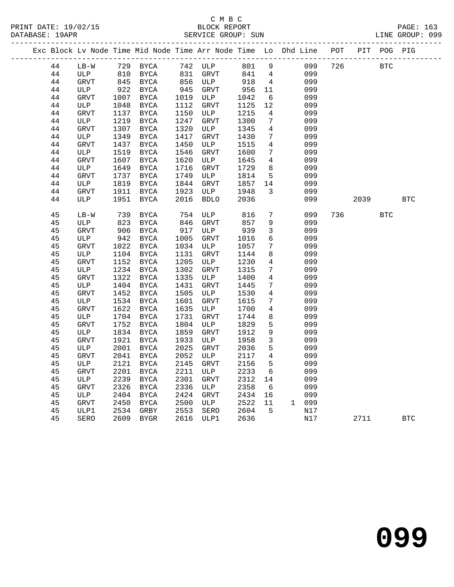|  |    |              |      | Exc Block Lv Node Time Mid Node Time Arr Node Time Lo Dhd Line POT |      |             |      |                 |       |     |      | PIT POG PIG |            |  |
|--|----|--------------|------|--------------------------------------------------------------------|------|-------------|------|-----------------|-------|-----|------|-------------|------------|--|
|  | 44 | LB-W         |      | 729 BYCA                                                           |      | 742 ULP     | 801  | 9               | 099   | 726 |      | <b>BTC</b>  |            |  |
|  | 44 | ULP          | 810  | <b>BYCA</b>                                                        | 831  | GRVT        | 841  | $\overline{4}$  | 099   |     |      |             |            |  |
|  | 44 | GRVT         |      | 845 BYCA                                                           |      | 856 ULP     | 918  | 4               | 099   |     |      |             |            |  |
|  | 44 | ULP          | 922  | <b>BYCA</b>                                                        | 945  | GRVT        | 956  | 11              | 099   |     |      |             |            |  |
|  | 44 | <b>GRVT</b>  | 1007 | BYCA                                                               | 1019 | ULP         | 1042 | 6               | 099   |     |      |             |            |  |
|  | 44 | ULP          | 1048 | BYCA                                                               | 1112 | GRVT        | 1125 | 12              | 099   |     |      |             |            |  |
|  | 44 | <b>GRVT</b>  | 1137 | BYCA                                                               | 1150 | ULP         | 1215 | 4               | 099   |     |      |             |            |  |
|  | 44 | ULP          | 1219 | BYCA                                                               | 1247 | GRVT        | 1300 | 7               | 099   |     |      |             |            |  |
|  | 44 | <b>GRVT</b>  | 1307 | BYCA                                                               | 1320 | ULP         | 1345 | $\overline{4}$  | 099   |     |      |             |            |  |
|  | 44 | ULP          | 1349 | $_{\rm BYCA}$                                                      | 1417 | GRVT        | 1430 | 7               | 099   |     |      |             |            |  |
|  | 44 | <b>GRVT</b>  | 1437 | <b>BYCA</b>                                                        | 1450 | ULP         | 1515 | $\overline{4}$  | 099   |     |      |             |            |  |
|  | 44 | ULP          | 1519 | $_{\rm BYCA}$                                                      | 1546 | <b>GRVT</b> | 1600 | 7               | 099   |     |      |             |            |  |
|  | 44 | <b>GRVT</b>  | 1607 | BYCA                                                               | 1620 | ULP         | 1645 | $\overline{4}$  | 099   |     |      |             |            |  |
|  | 44 | ULP          | 1649 | BYCA                                                               | 1716 | GRVT        | 1729 | 8               | 099   |     |      |             |            |  |
|  | 44 | <b>GRVT</b>  | 1737 | BYCA                                                               | 1749 | ULP         | 1814 | 5               | 099   |     |      |             |            |  |
|  | 44 | ULP          | 1819 | BYCA                                                               | 1844 | <b>GRVT</b> | 1857 | 14              | 099   |     |      |             |            |  |
|  | 44 | GRVT         | 1911 | BYCA                                                               | 1923 | ULP         | 1948 | $\mathbf{3}$    | 099   |     |      |             |            |  |
|  | 44 | ULP          | 1951 | BYCA                                                               | 2016 | <b>BDLO</b> | 2036 |                 | 099   |     | 2039 |             | <b>BTC</b> |  |
|  |    |              |      |                                                                    |      |             |      |                 |       |     |      |             |            |  |
|  | 45 | $LB-W$       | 739  | BYCA                                                               | 754  | ULP         | 816  | $7\phantom{.0}$ | 099   | 736 |      | <b>BTC</b>  |            |  |
|  | 45 | ULP          | 823  | BYCA                                                               | 846  | GRVT        | 857  | 9               | 099   |     |      |             |            |  |
|  | 45 | ${\tt GRVT}$ | 906  | <b>BYCA</b>                                                        | 917  | ULP         | 939  | $\mathbf{3}$    | 099   |     |      |             |            |  |
|  | 45 | ULP          | 942  | BYCA                                                               | 1005 | GRVT        | 1016 | 6               | 099   |     |      |             |            |  |
|  | 45 | GRVT         | 1022 | <b>BYCA</b>                                                        | 1034 | ULP         | 1057 | 7               | 099   |     |      |             |            |  |
|  | 45 | ULP          | 1104 | <b>BYCA</b>                                                        | 1131 | GRVT        | 1144 | 8               | 099   |     |      |             |            |  |
|  | 45 | GRVT         | 1152 | BYCA                                                               | 1205 | ULP         | 1230 | $\overline{4}$  | 099   |     |      |             |            |  |
|  | 45 | ULP          | 1234 | <b>BYCA</b>                                                        | 1302 | <b>GRVT</b> | 1315 | 7               | 099   |     |      |             |            |  |
|  | 45 | <b>GRVT</b>  | 1322 | <b>BYCA</b>                                                        | 1335 | ULP         | 1400 | $\overline{4}$  | 099   |     |      |             |            |  |
|  | 45 | ULP          | 1404 | <b>BYCA</b>                                                        | 1431 | GRVT        | 1445 | $7\phantom{.0}$ | 099   |     |      |             |            |  |
|  | 45 | GRVT         | 1452 | BYCA                                                               | 1505 | ULP         | 1530 | 4               | 099   |     |      |             |            |  |
|  | 45 | ULP          | 1534 | BYCA                                                               | 1601 | GRVT        | 1615 | 7               | 099   |     |      |             |            |  |
|  | 45 | <b>GRVT</b>  | 1622 | BYCA                                                               | 1635 | ULP         | 1700 | 4               | 099   |     |      |             |            |  |
|  | 45 | ULP          | 1704 | BYCA                                                               | 1731 | GRVT        | 1744 | 8               | 099   |     |      |             |            |  |
|  | 45 | <b>GRVT</b>  | 1752 | BYCA                                                               | 1804 | ULP         | 1829 | $5\phantom{.0}$ | 099   |     |      |             |            |  |
|  | 45 | ULP          | 1834 | BYCA                                                               | 1859 | GRVT        | 1912 | $\overline{9}$  | 099   |     |      |             |            |  |
|  | 45 | <b>GRVT</b>  | 1921 | BYCA                                                               | 1933 | ULP         | 1958 | $\overline{3}$  | 099   |     |      |             |            |  |
|  | 45 | ULP          | 2001 | BYCA                                                               | 2025 | GRVT        | 2036 | 5               | 099   |     |      |             |            |  |
|  | 45 | <b>GRVT</b>  | 2041 | BYCA                                                               | 2052 | ULP         | 2117 | $\overline{4}$  | 099   |     |      |             |            |  |
|  | 45 | ULP          | 2121 | BYCA                                                               | 2145 | <b>GRVT</b> | 2156 | 5               | 099   |     |      |             |            |  |
|  | 45 | <b>GRVT</b>  | 2201 | <b>BYCA</b>                                                        | 2211 | ULP         | 2233 | 6               | 099   |     |      |             |            |  |
|  | 45 | ULP          | 2239 | BYCA                                                               | 2301 | <b>GRVT</b> | 2312 | 14              | 099   |     |      |             |            |  |
|  | 45 | <b>GRVT</b>  | 2326 | BYCA                                                               | 2336 | ULP         | 2358 | 6               | 099   |     |      |             |            |  |
|  | 45 | ULP          | 2404 | BYCA                                                               | 2424 | GRVT        | 2434 | 16              | 099   |     |      |             |            |  |
|  | 45 | GRVT         | 2450 | BYCA                                                               | 2500 | ULP         | 2522 | 11              | 1 099 |     |      |             |            |  |
|  | 45 | ULP1         | 2534 | GRBY                                                               | 2553 | SERO        | 2604 | 5               | N17   |     |      |             |            |  |
|  | 45 | SERO         |      | 2609 BYGR                                                          | 2616 | ULP1        | 2636 |                 | N17   |     | 2711 |             | <b>BTC</b> |  |
|  |    |              |      |                                                                    |      |             |      |                 |       |     |      |             |            |  |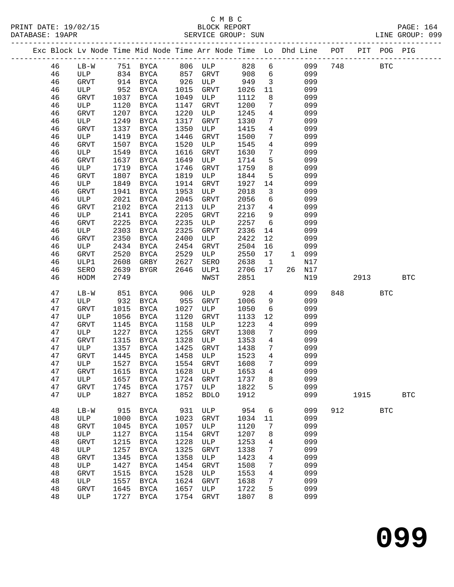| PRINT DATE: 19/02/15 | BLOCK REPORT       | <b>PAGE: 164</b> |
|----------------------|--------------------|------------------|
| DATABASE: 19APR      | SERVICE GROUP: SUN | LINE GROUP: 099  |

|          |              |              |                           |              |              |              |                                 | Exc Block Lv Node Time Mid Node Time Arr Node Time Lo Dhd Line POT PIT POG PIG |     |      |            |              |
|----------|--------------|--------------|---------------------------|--------------|--------------|--------------|---------------------------------|--------------------------------------------------------------------------------|-----|------|------------|--------------|
| 46       |              |              | LB-W 751 BYCA 806 ULP 828 |              |              |              |                                 | 6 099                                                                          | 748 |      | <b>BTC</b> |              |
| 46       | ULP          |              | 834 BYCA 857              |              | GRVT         | 908          | $6\overline{6}$                 | 099                                                                            |     |      |            |              |
| 46       | GRVT         |              | 914 BYCA                  | 926          | ULP          | 949          | $\overline{\mathbf{3}}$         | 099                                                                            |     |      |            |              |
| 46       | ULP          | 952          | BYCA                      | 1015         | GRVT         | 1026         | 11                              | 099                                                                            |     |      |            |              |
| 46       | GRVT         | 1037         | BYCA                      | 1049         | ULP          | 1112         | 8                               | 099                                                                            |     |      |            |              |
| 46       | ULP          | 1120         | BYCA                      | 1147         | GRVT         | 1200         | $7\phantom{.0}$                 | 099                                                                            |     |      |            |              |
| 46       | GRVT         | 1207         | BYCA                      | 1220         | ULP          | 1245         | $\overline{4}$                  | 099                                                                            |     |      |            |              |
| 46       | ULP          | 1249         | BYCA                      | 1317         | GRVT         | 1330         | $7\phantom{.0}$                 | 099                                                                            |     |      |            |              |
| 46       | GRVT         | 1337         | BYCA                      | 1350         | ULP          | 1415         | $\overline{4}$                  | 099                                                                            |     |      |            |              |
| 46       | ULP          | 1419         | BYCA                      | 1446         | <b>GRVT</b>  | 1500         | $7\phantom{.0}$                 | 099                                                                            |     |      |            |              |
| 46       | GRVT         | 1507         | BYCA                      | 1520         | ULP          | 1545         | $\overline{4}$                  | 099                                                                            |     |      |            |              |
| 46       | ULP          | 1549         | BYCA                      | 1616         | GRVT         | 1630         | $7\phantom{.0}$                 | 099                                                                            |     |      |            |              |
| 46       | GRVT         | 1637         | BYCA                      | 1649         | ULP          | 1714         | 5                               | 099                                                                            |     |      |            |              |
| 46       | ULP          | 1719         | BYCA                      | 1746         | GRVT         | 1759         | 8                               | 099                                                                            |     |      |            |              |
| 46       | GRVT         | 1807         | BYCA                      | 1819         | ULP          | 1844         | 5                               | 099                                                                            |     |      |            |              |
| 46       | ULP          | 1849         | BYCA                      | 1914         | GRVT         | 1927         | 14                              | 099                                                                            |     |      |            |              |
| 46       | GRVT         | 1941         | BYCA<br>BYCA              | 1953         | ULP          | 2018<br>2056 | $\mathbf{3}$<br>$6\overline{6}$ | 099<br>099                                                                     |     |      |            |              |
| 46       | ULP          | 2021<br>2102 |                           | 2045         | GRVT<br>ULP  | 2137         | $\overline{4}$                  | 099                                                                            |     |      |            |              |
| 46       | GRVT<br>ULP  |              | BYCA                      | 2113         |              | 2216         | 9                               | 099                                                                            |     |      |            |              |
| 46       |              | 2141         | BYCA                      | 2205         | GRVT         |              | $6\overline{6}$                 |                                                                                |     |      |            |              |
| 46       | GRVT         | 2225         | BYCA                      | 2235<br>2325 | ULP          | 2257         |                                 | 099                                                                            |     |      |            |              |
| 46       | ULP          | 2303         | BYCA                      |              | GRVT         | 2336         | 14                              | 099                                                                            |     |      |            |              |
| 46       | GRVT<br>ULP  | 2350<br>2434 | BYCA                      | 2400<br>2454 | ULP          | 2422<br>2504 | 12                              | 099<br>099                                                                     |     |      |            |              |
| 46       | GRVT         | 2520         | BYCA                      | 2529         | GRVT         | 2550         | 16                              | 1 099                                                                          |     |      |            |              |
| 46<br>46 | ULP1         | 2608         | BYCA<br>GRBY              | 2627         | ULP<br>SERO  | 2638         | 17<br>$\overline{\mathbf{1}}$   | N17                                                                            |     |      |            |              |
| 46       | SERO         | 2639         | BYGR                      | 2646         | ULP1         | 2706         | 17                              | 26 N17                                                                         |     |      |            |              |
| 46       | HODM         | 2749         |                           |              | NWST         | 2851         |                                 | N19                                                                            |     | 2913 |            | <b>BTC</b>   |
|          |              |              |                           |              |              |              |                                 |                                                                                |     |      |            |              |
| 47       | LB-W         | 851          | BYCA                      | 906          | ULP          | 928          | $\overline{4}$                  | 099                                                                            | 848 |      | <b>BTC</b> |              |
| 47       | ULP          | 932          | <b>BYCA</b>               | 955          | GRVT         | 1006         | 9                               | 099                                                                            |     |      |            |              |
| 47       | GRVT         | 1015         | BYCA                      | 1027         | ULP          | 1050         | 6                               | 099                                                                            |     |      |            |              |
| 47       | ULP          | 1056         | BYCA                      | 1120         | GRVT         | 1133         | 12                              | 099                                                                            |     |      |            |              |
| 47       | GRVT         | 1145         | BYCA                      | 1158         | ULP          | 1223         | $\overline{4}$                  | 099                                                                            |     |      |            |              |
| 47       | ULP          | 1227         | BYCA                      | 1255         | GRVT         | 1308         | $7\phantom{.0}$                 | 099                                                                            |     |      |            |              |
| 47       | GRVT         | 1315         | BYCA                      | 1328         | ULP          | 1353         | $\overline{4}$                  | 099                                                                            |     |      |            |              |
| 47       | ULP          | 1357         | BYCA                      | 1425         | GRVT         | 1438         | $7\phantom{.0}$                 | 099                                                                            |     |      |            |              |
| 47       | <b>GRVT</b>  | 1445         | BYCA                      | 1458         | ULP          | 1523         | $\overline{4}$                  | 099                                                                            |     |      |            |              |
| 47       | ULP          |              | 1527 BYCA                 |              | 1554 GRVT    | 1608         | $7\phantom{.0}$                 | 099                                                                            |     |      |            |              |
| 47       | ${\tt GRVT}$ |              | 1615 BYCA 1628 ULP 1653 4 |              |              |              |                                 | 099                                                                            |     |      |            |              |
| 47       | ULP          | 1657         | BYCA                      | 1724         | GRVT         | 1737         | 8                               | 099                                                                            |     |      |            |              |
| 47       | <b>GRVT</b>  | 1745         | BYCA                      | 1757         | ULP          | 1822         | 5                               | 099                                                                            |     |      |            |              |
| 47       | ULP          | 1827         | BYCA                      | 1852         | <b>BDLO</b>  | 1912         |                                 | 099                                                                            |     | 1915 |            | $_{\rm BTC}$ |
| 48       | $LB-W$       | 915          | <b>BYCA</b>               | 931          | ULP          | 954          | 6                               | 099                                                                            | 912 |      | <b>BTC</b> |              |
| 48       | ULP          | 1000         | BYCA                      | 1023         | <b>GRVT</b>  | 1034         | 11                              | 099                                                                            |     |      |            |              |
| 48       | GRVT         | 1045         | BYCA                      | 1057         | ULP          | 1120         | $7\phantom{.0}$                 | 099                                                                            |     |      |            |              |
| 48       | ULP          | 1127         | BYCA                      | 1154         | <b>GRVT</b>  | 1207         | 8                               | 099                                                                            |     |      |            |              |
| 48       | GRVT         | 1215         | BYCA                      | 1228         | ULP          | 1253         | 4                               | 099                                                                            |     |      |            |              |
| 48       | ULP          | 1257         | <b>BYCA</b>               | 1325         | GRVT         | 1338         | 7                               | 099                                                                            |     |      |            |              |
| 48       | GRVT         | 1345         | <b>BYCA</b>               | 1358         | ULP          | 1423         | 4                               | 099                                                                            |     |      |            |              |
| 48       | ULP          | 1427         | <b>BYCA</b>               | 1454         | <b>GRVT</b>  | 1508         | 7                               | 099                                                                            |     |      |            |              |
| 48       | <b>GRVT</b>  | 1515         | BYCA                      | 1528         | ULP          | 1553         | 4                               | 099                                                                            |     |      |            |              |
| 48       | ULP          | 1557         | BYCA                      | 1624         | <b>GRVT</b>  | 1638         | 7                               | 099                                                                            |     |      |            |              |
| 48       | <b>GRVT</b>  | 1645         | BYCA                      | 1657         | ULP          | 1722         | 5                               | 099                                                                            |     |      |            |              |
| 48       | ULP          | 1727         | BYCA                      | 1754         | ${\tt GRVT}$ | 1807         | 8                               | 099                                                                            |     |      |            |              |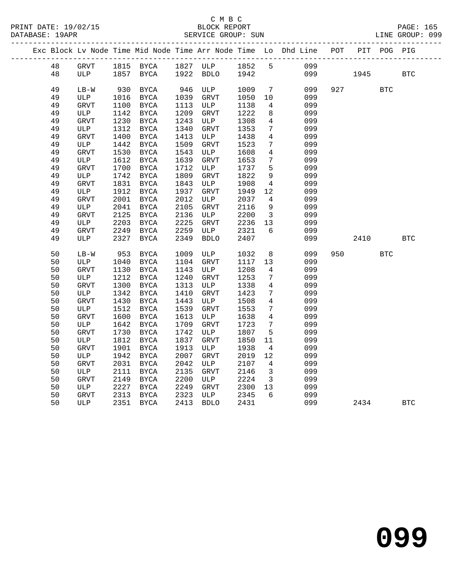|  |          |                    |              |                            |              |                    |              |                         | Exc Block Lv Node Time Mid Node Time Arr Node Time Lo Dhd Line POT |     |      | PIT POG PIG |            |
|--|----------|--------------------|--------------|----------------------------|--------------|--------------------|--------------|-------------------------|--------------------------------------------------------------------|-----|------|-------------|------------|
|  | 48       | GRVT               |              | 1815 BYCA                  |              | 1827 ULP           | 1852         | $5^{\circ}$             | 099                                                                |     |      |             |            |
|  | 48       | ULP                | 1857         | BYCA                       |              | 1922 BDLO          | 1942         |                         | 099                                                                |     | 1945 |             | <b>BTC</b> |
|  |          |                    |              |                            |              |                    |              |                         |                                                                    |     |      |             |            |
|  | 49       | $LB-W$             | 930          | BYCA                       | 946          | ULP                | 1009         | $7\overline{ }$         | 099                                                                | 927 |      | <b>BTC</b>  |            |
|  | 49       | ULP                | 1016         | BYCA                       | 1039         | GRVT               | 1050         | 10                      | 099<br>099                                                         |     |      |             |            |
|  | 49<br>49 | GRVT<br>ULP        | 1100<br>1142 | <b>BYCA</b><br><b>BYCA</b> | 1113<br>1209 | ULP<br><b>GRVT</b> | 1138<br>1222 | 4<br>8                  | 099                                                                |     |      |             |            |
|  | 49       | <b>GRVT</b>        | 1230         | BYCA                       | 1243         | ULP                | 1308         | 4                       | 099                                                                |     |      |             |            |
|  | 49       | ULP                | 1312         | <b>BYCA</b>                | 1340         | <b>GRVT</b>        | 1353         | 7                       | 099                                                                |     |      |             |            |
|  | 49       | <b>GRVT</b>        | 1400         | BYCA                       | 1413         | ULP                | 1438         | 4                       | 099                                                                |     |      |             |            |
|  | 49       | ULP                | 1442         | <b>BYCA</b>                | 1509         | GRVT               | 1523         | 7                       | 099                                                                |     |      |             |            |
|  | 49       | <b>GRVT</b>        | 1530         | <b>BYCA</b>                | 1543         | ULP                | 1608         | $\overline{4}$          | 099                                                                |     |      |             |            |
|  | 49       | ULP                | 1612         | BYCA                       | 1639         | GRVT               | 1653         | 7                       | 099                                                                |     |      |             |            |
|  | 49       | <b>GRVT</b>        | 1700         | BYCA                       | 1712         | ULP                | 1737         | 5                       | 099                                                                |     |      |             |            |
|  | 49       | ULP                | 1742         | <b>BYCA</b>                | 1809         | <b>GRVT</b>        | 1822         | $\overline{9}$          | 099                                                                |     |      |             |            |
|  | 49       | <b>GRVT</b>        | 1831         | <b>BYCA</b>                | 1843         | ULP                | 1908         | $\overline{4}$          | 099                                                                |     |      |             |            |
|  | 49       | ULP                | 1912         | <b>BYCA</b>                | 1937         | GRVT               | 1949         | 12                      | 099                                                                |     |      |             |            |
|  | 49       | <b>GRVT</b>        | 2001         | <b>BYCA</b>                | 2012         | ULP                | 2037         | 4                       | 099                                                                |     |      |             |            |
|  | 49       | ULP                | 2041         | <b>BYCA</b>                | 2105         | <b>GRVT</b>        | 2116         | 9                       | 099                                                                |     |      |             |            |
|  | 49       | GRVT               | 2125         | <b>BYCA</b>                | 2136         | ULP                | 2200         | $\overline{\mathbf{3}}$ | 099                                                                |     |      |             |            |
|  | 49       | ULP                | 2203         | <b>BYCA</b>                | 2225         | GRVT               | 2236         | 13                      | 099                                                                |     |      |             |            |
|  | 49       | <b>GRVT</b>        | 2249         | BYCA                       | 2259         | ULP                | 2321         | 6                       | 099                                                                |     |      |             |            |
|  | 49       | ULP                | 2327         | BYCA                       | 2349         | <b>BDLO</b>        | 2407         |                         | 099                                                                |     | 2410 |             | <b>BTC</b> |
|  |          |                    |              |                            |              |                    |              |                         |                                                                    |     |      |             |            |
|  | 50       | $LB-W$             | 953          | <b>BYCA</b>                | 1009         | ULP                | 1032         | 8                       | 099                                                                | 950 |      | <b>BTC</b>  |            |
|  | 50       | ULP                | 1040         | BYCA                       | 1104         | GRVT               | 1117         | 13                      | 099<br>099                                                         |     |      |             |            |
|  | 50<br>50 | <b>GRVT</b><br>ULP | 1130<br>1212 | <b>BYCA</b><br><b>BYCA</b> | 1143<br>1240 | ULP<br><b>GRVT</b> | 1208<br>1253 | $\overline{4}$<br>7     | 099                                                                |     |      |             |            |
|  | 50       | <b>GRVT</b>        | 1300         | <b>BYCA</b>                | 1313         | ULP                | 1338         | 4                       | 099                                                                |     |      |             |            |
|  | 50       | ULP                | 1342         | <b>BYCA</b>                | 1410         | GRVT               | 1423         | 7                       | 099                                                                |     |      |             |            |
|  | 50       | <b>GRVT</b>        | 1430         | BYCA                       | 1443         | ULP                | 1508         | 4                       | 099                                                                |     |      |             |            |
|  | 50       | ULP                | 1512         | <b>BYCA</b>                | 1539         | GRVT               | 1553         | 7                       | 099                                                                |     |      |             |            |
|  | 50       | <b>GRVT</b>        | 1600         | <b>BYCA</b>                | 1613         | ULP                | 1638         | 4                       | 099                                                                |     |      |             |            |
|  | 50       | ULP                | 1642         | <b>BYCA</b>                | 1709         | <b>GRVT</b>        | 1723         | 7                       | 099                                                                |     |      |             |            |
|  | 50       | <b>GRVT</b>        | 1730         | BYCA                       | 1742         | ULP                | 1807         | 5                       | 099                                                                |     |      |             |            |
|  | 50       | ULP                | 1812         | <b>BYCA</b>                | 1837         | <b>GRVT</b>        | 1850         | 11                      | 099                                                                |     |      |             |            |
|  | 50       | <b>GRVT</b>        | 1901         | <b>BYCA</b>                | 1913         | ULP                | 1938         | $\overline{4}$          | 099                                                                |     |      |             |            |
|  | 50       | ULP                | 1942         | <b>BYCA</b>                | 2007         | <b>GRVT</b>        | 2019         | 12                      | 099                                                                |     |      |             |            |
|  | 50       | <b>GRVT</b>        | 2031         | BYCA                       | 2042         | ULP                | 2107         | 4                       | 099                                                                |     |      |             |            |
|  | 50       | ULP                | 2111         | BYCA                       | 2135         | GRVT               | 2146         | $\overline{3}$          | 099                                                                |     |      |             |            |
|  | 50       | <b>GRVT</b>        | 2149         | <b>BYCA</b>                | 2200         | ULP                | 2224         | $\overline{3}$          | 099                                                                |     |      |             |            |
|  | 50       | ULP                | 2227         | <b>BYCA</b>                | 2249         | GRVT               | 2300         | 13                      | 099                                                                |     |      |             |            |
|  | 50       | <b>GRVT</b>        | 2313         | <b>BYCA</b>                | 2323         | ULP                | 2345         | 6                       | 099                                                                |     |      |             |            |
|  | 50       | ULP                | 2351         | <b>BYCA</b>                | 2413         | <b>BDLO</b>        | 2431         |                         | 099                                                                |     | 2434 |             | <b>BTC</b> |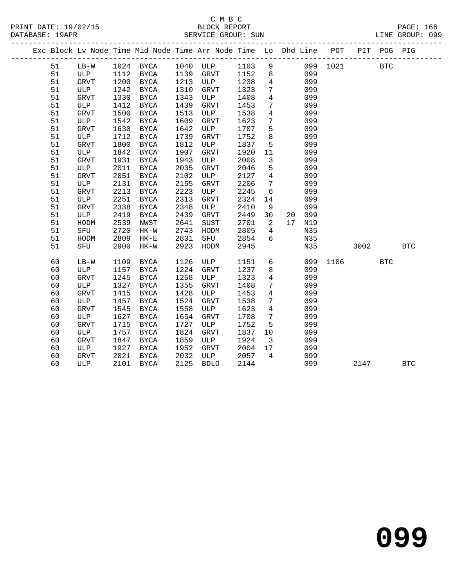# C M B C

| DATABASE: 19APR |    |        |      | SERVICE GROUP: SUN                                                             |      |           |      |                 |                 |     |                     |      |     | LINE GROUP: 099 |  |
|-----------------|----|--------|------|--------------------------------------------------------------------------------|------|-----------|------|-----------------|-----------------|-----|---------------------|------|-----|-----------------|--|
|                 |    |        |      | Exc Block Lv Node Time Mid Node Time Arr Node Time Lo Dhd Line POT PIT POG PIG |      |           |      |                 |                 |     |                     |      |     |                 |  |
|                 | 51 | $LB-W$ |      | 1024 BYCA 1040 ULP                                                             |      |           |      |                 |                 |     | 1103 9 099 1021 BTC |      |     |                 |  |
|                 | 51 | ULP    |      | 1112 BYCA                                                                      | 1139 | GRVT      | 1152 |                 | 8               | 099 |                     |      |     |                 |  |
|                 | 51 | GRVT   | 1200 | BYCA                                                                           | 1213 | ULP       | 1238 |                 | $4\overline{ }$ | 099 |                     |      |     |                 |  |
|                 | 51 | ULP    | 1242 | BYCA                                                                           | 1310 | GRVT      | 1323 | $7\phantom{.0}$ |                 | 099 |                     |      |     |                 |  |
|                 | 51 | GRVT   | 1330 | BYCA                                                                           | 1343 | ULP       | 1408 | $\overline{4}$  |                 | 099 |                     |      |     |                 |  |
|                 | 51 | ULP    | 1412 | BYCA                                                                           | 1439 | GRVT      | 1453 | $7\phantom{.0}$ |                 | 099 |                     |      |     |                 |  |
|                 | 51 | GRVT   | 1500 | BYCA                                                                           | 1513 | ULP       | 1538 | $\overline{4}$  |                 | 099 |                     |      |     |                 |  |
|                 | 51 | ULP    | 1542 | BYCA                                                                           | 1609 | GRVT      | 1623 | $7\phantom{.0}$ |                 | 099 |                     |      |     |                 |  |
|                 | 51 | GRVT   | 1630 | BYCA                                                                           | 1642 | ULP       | 1707 | 5               |                 | 099 |                     |      |     |                 |  |
|                 | 51 | ULP    | 1712 | BYCA                                                                           | 1739 | GRVT      | 1752 | 8               |                 | 099 |                     |      |     |                 |  |
|                 | 51 | GRVT   | 1800 | BYCA                                                                           | 1812 | ULP       | 1837 | 5               |                 | 099 |                     |      |     |                 |  |
|                 | 51 | ULP    | 1842 | BYCA                                                                           | 1907 | GRVT      | 1920 | 11              |                 | 099 |                     |      |     |                 |  |
|                 | 51 | GRVT   | 1931 | BYCA                                                                           | 1943 | ULP       | 2008 | $\mathbf{3}$    |                 | 099 |                     |      |     |                 |  |
|                 | 51 | ULP    | 2011 | BYCA                                                                           | 2035 | GRVT      | 2046 | 5               |                 | 099 |                     |      |     |                 |  |
|                 | 51 | GRVT   | 2051 | <b>BYCA</b>                                                                    | 2102 | ULP       | 2127 | $\overline{4}$  |                 | 099 |                     |      |     |                 |  |
|                 | 51 | ULP    | 2131 | BYCA                                                                           | 2155 | GRVT      | 2206 | $7\phantom{.0}$ |                 | 099 |                     |      |     |                 |  |
|                 | 51 | GRVT   | 2213 | BYCA                                                                           | 2223 | ULP       | 2245 | 6               |                 | 099 |                     |      |     |                 |  |
|                 | 51 | ULP    | 2251 | BYCA                                                                           | 2313 | GRVT      | 2324 | 14              |                 | 099 |                     |      |     |                 |  |
|                 | 51 | GRVT   | 2338 | BYCA                                                                           | 2348 | ULP       | 2410 | 9               |                 | 099 |                     |      |     |                 |  |
|                 | 51 | ULP    | 2419 | BYCA                                                                           | 2439 | GRVT      | 2449 | 30              | 20              | 099 |                     |      |     |                 |  |
|                 | 51 | HODM   | 2539 | NWST                                                                           | 2641 | SUST      | 2701 | $\overline{2}$  | 17              | N19 |                     |      |     |                 |  |
|                 | 51 | SFU    | 2720 | HK-W                                                                           | 2743 | HODM      | 2805 | $\overline{4}$  |                 | N35 |                     |      |     |                 |  |
|                 | 51 | HODM   | 2809 | $HK-E$                                                                         | 2831 | SFU       | 2854 | 6               |                 | N35 |                     |      |     |                 |  |
|                 | 51 | SFU    | 2900 | HK-W                                                                           | 2923 | HODM      | 2945 |                 |                 | N35 |                     | 3002 |     | <b>BTC</b>      |  |
|                 | 60 | $LB-W$ |      | 1109 BYCA                                                                      | 1126 | ULP       | 1151 |                 |                 |     | 6 099 1106          |      | BTC |                 |  |
|                 | 60 | ULP    |      | 1157 BYCA                                                                      |      | 1224 GRVT | 1237 |                 |                 | 099 |                     |      |     |                 |  |

60 ULP 2101 BYCA 2125 BDLO 2144 099 2147 BTC

 60 ULP 1157 BYCA 1224 GRVT 1237 8 099 60 GRVT 1245 BYCA 1258 ULP 1323 4 099 60 ULP 1327 BYCA 1355 GRVT 1408 7 099 60 GRVT 1415 BYCA 1428 ULP 1453 4 099 60 ULP 1457 BYCA 1524 GRVT 1538 7 099 60 GRVT 1545 BYCA 1558 ULP 1623 4 099

 60 ULP 1757 BYCA 1824 GRVT 1837 10 099 60 GRVT 1847 BYCA 1859 ULP 1924 3 099 60 ULP 1927 BYCA 1952 GRVT 2004 17 099 60 GRVT 2021 BYCA 2032 ULP 2057 4 099

 60 ULP 1627 BYCA 1654 GRVT 1708 7 099 60 GRVT 1715 BYCA 1727 ULP 1752 5 099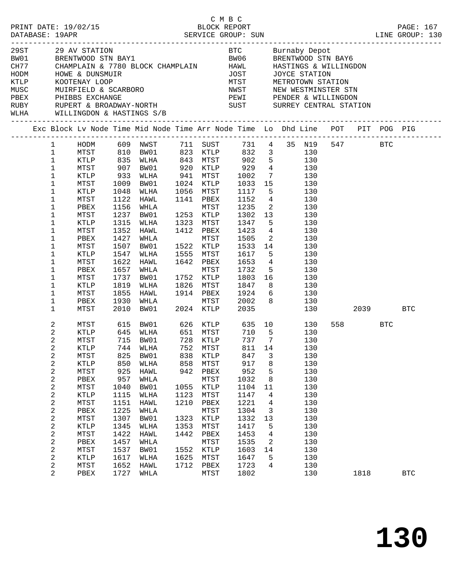| HODM | 29 AV STATION AND RESERVE DE CONTROLLER EN BUTTADY DEPOTMENT OF PRENTWOOD STRIBATG<br>1980 BRENTWOOD STRIBAY1 BAVAND BE BRENTWOOD STRIBAY6<br>2017 CHAMPLAIN & 7780 BLOCK CHAMPLAIN HAWL HASTINGS & WILLINGDON<br>HOWE & DUNSMUIR<br>RUBY      RUPERT & BROADWAY-NORTH                         SUST        SURREY CENTRAL STATION<br>WLHA WILLINGDON & HASTINGS S/B                                                                                         |                                                                                                                                             |                                                                                                                                                                                                                     |                                                                                           |                                                                                                                                                                     |                                                                                                                                                                                                |                                                                                                                     | THE MISSING CONTRACT CONTRACT THE METROTOWN STATION<br>NETROTOWN STATION<br>NETROTOWN STATION<br>NEW MESTMINSTER STN<br>PEWI PENDER & WILLINGDON                                                                                                                                                                                                                                     |          |                 |            |
|------|-------------------------------------------------------------------------------------------------------------------------------------------------------------------------------------------------------------------------------------------------------------------------------------------------------------------------------------------------------------------------------------------------------------------------------------------------------------|---------------------------------------------------------------------------------------------------------------------------------------------|---------------------------------------------------------------------------------------------------------------------------------------------------------------------------------------------------------------------|-------------------------------------------------------------------------------------------|---------------------------------------------------------------------------------------------------------------------------------------------------------------------|------------------------------------------------------------------------------------------------------------------------------------------------------------------------------------------------|---------------------------------------------------------------------------------------------------------------------|--------------------------------------------------------------------------------------------------------------------------------------------------------------------------------------------------------------------------------------------------------------------------------------------------------------------------------------------------------------------------------------|----------|-----------------|------------|
|      | Exc Block Lv Node Time Mid Node Time Arr Node Time Lo Dhd Line POT PIT POG PIG                                                                                                                                                                                                                                                                                                                                                                              |                                                                                                                                             |                                                                                                                                                                                                                     |                                                                                           |                                                                                                                                                                     |                                                                                                                                                                                                |                                                                                                                     |                                                                                                                                                                                                                                                                                                                                                                                      |          |                 |            |
|      | 1<br>$\mathbf{1}$<br>$\mathbf{1}$<br>$\mathbf 1$<br>MTST<br>$\mathbf 1$<br>KTLP<br>$\mathbf 1$<br>MTST<br>$\mathbf{1}$<br>KTLP<br>$\mathbf{1}$<br>MTST<br>$\mathbf 1$<br>PBEX<br>$\mathbf 1$<br>MTST<br>$\mathbf 1$<br>KTLP<br>$\mathbf 1$<br>MTST<br>$\mathbf 1$<br>PBEX<br>1<br>MTST<br>$\mathbf 1$<br>KTLP<br>1<br>MTST<br>$\mathbf 1$<br>PBEX<br>1<br>MTST<br>$\mathbf 1$<br>KTLP<br>$\mathbf 1$<br>MTST<br>$\mathbf 1$<br>PBEX<br>$\mathbf{1}$<br>MTST | 933<br>1009<br>1048<br>1122<br>1156<br>1237<br>1315<br>1352<br>1427<br>1507<br>1547<br>1622<br>1657<br>1737<br>1819<br>1855<br>1930<br>2010 | 907 BW01<br>WLHA<br>BW01<br>WLHA<br>HAWL<br>WHLA<br>BW01<br>WLHA<br>HAWL<br>WHLA<br>BW01<br>WLHA<br>HAWL<br>WHLA<br>BW01<br>WLHA<br>HAWL 1914 PBEX<br>WHLA<br>BW01                                                  |                                                                                           | 1056 MTST<br>1141 PBEX<br>MTST<br>1253 KTLP<br>1323 MTST<br>1412 PBEX<br>MTST<br>1522 KTLP<br>1555 MTST<br>1642 PBEX<br>MTST<br>1752 KTLP<br>1826 MTST<br>2024 KTLP | 920 KTLP 929<br>941 MTST 1002<br>1024 KTLP 1033<br>1056 MTST 1117<br>1152<br>1235<br>1302<br>1347<br>1423<br>1505<br>1533<br>1617<br>1653<br>1732<br>1803<br>1847<br>1924<br>MTST 2002<br>2035 | 15<br>13<br>5 <sub>5</sub><br>$\overline{\phantom{a}}$<br>14<br>5 <sub>5</sub><br>$5\overline{)}$<br>8 <sup>8</sup> | HODM 609 NWST 711 SUST 731 4 35 N19 547 BTC<br>MTST 810 BW01 823 KTLP 832 3 130<br>KTLP 835 WLHA 843 MTST 902 5 130<br>4 130<br>7 130<br>130<br>$5\overline{)}$<br>130<br>$4\overline{ }$<br>130<br>$\overline{2}$<br>130<br>130<br>130<br>$4\overline{ }$<br>130<br>130<br>130<br>130<br>$4\overline{ }$<br>130<br>130<br>16 10<br>130<br>130<br>$6\overline{6}$<br>130<br>8<br>130 | 130 2039 |                 | <b>BTC</b> |
|      | 2<br>MTST<br>2<br>KTLP<br>2<br>MTST<br>2<br>KTLP<br>2<br>MTST<br>$\boldsymbol{2}$<br>KTLP<br>2<br>MTST<br>$\boldsymbol{2}$<br>PBEX<br>$\boldsymbol{2}$<br>MTST<br>$\boldsymbol{2}$<br>KTLP<br>2<br>MTST<br>$\boldsymbol{2}$<br>PBEX<br>$\overline{c}$<br>MTST<br>2<br>KTLP<br>2<br>MTST<br>2<br>PBEX<br>$\boldsymbol{2}$<br>MTST<br>2<br>KTLP<br>2<br>MTST<br>2<br>PBEX                                                                                     | 825<br>850<br>925<br>957<br>1040<br>1115<br>1151<br>1225<br>1307<br>1345<br>1422<br>1457<br>1537<br>1617<br>1652<br>1727                    | 615 BW01 626 KTLP 635 10<br>645 WLHA<br>715 BW01<br>744 WLHA 752 MTST 811 14<br>BW01<br>WLHA<br>HAWL<br>WHLA<br>BW01<br>WLHA<br><b>HAWL</b><br>WHLA<br>BW01<br>WLHA<br>HAWL<br>WHLA<br>BW01<br>WLHA<br>HAWL<br>WHLA | 838<br>858<br>942<br>1055<br>1123<br>1210<br>1323<br>1353<br>1442<br>1552<br>1625<br>1712 | KTLP<br>MTST<br>PBEX<br>MTST<br>KTLP<br>MTST<br>PBEX<br>MTST<br>KTLP<br>MTST<br>PBEX<br>MTST<br>KTLP<br>MTST<br>PBEX<br>MTST                                        | 651 MTST 710 5<br>728 KTLP 737 7<br>847<br>917<br>952<br>1032<br>1104<br>1147<br>1221<br>1304<br>1332<br>1417<br>1453<br>1535<br>1603<br>1647<br>1723<br>1802                                  | 3<br>8<br>5<br>8<br>11<br>4<br>4<br>3<br>13<br>5<br>4<br>2<br>14<br>5<br>4                                          | 130<br>130<br>130<br>130<br>130<br>130<br>130<br>130<br>130<br>130<br>130<br>130<br>130<br>130<br>130<br>130<br>130<br>130<br>130<br>130                                                                                                                                                                                                                                             |          | 558 BTC<br>1818 | <b>BTC</b> |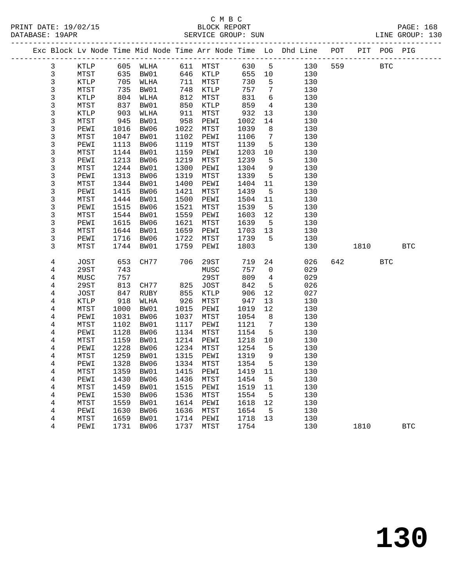|              |              |              |                   |              |                   |              |                   | Exc Block Lv Node Time Mid Node Time Arr Node Time Lo Dhd Line POT PIT POG PIG |     |        |            |            |
|--------------|--------------|--------------|-------------------|--------------|-------------------|--------------|-------------------|--------------------------------------------------------------------------------|-----|--------|------------|------------|
| $\mathbf{3}$ | KTLP         |              | 605 WLHA 611 MTST |              |                   | 630          | $5^{\circ}$       | 130                                                                            | 559 |        | <b>BTC</b> |            |
| $\mathbf{3}$ | MTST         | 635          | BW01              |              | 646 KTLP          | 655 10       |                   | 130                                                                            |     |        |            |            |
| 3            | KTLP         | 705          | WLHA              |              | 711 MTST          | 730          | 5                 | 130                                                                            |     |        |            |            |
| 3            | MTST         | 735          | BW01              | 748          | KTLP              | 757          | $7\phantom{.0}$   | 130                                                                            |     |        |            |            |
| 3            | KTLP         | 804          | WLHA              | 812          | MTST              | 831          | $6\overline{6}$   | 130                                                                            |     |        |            |            |
| 3            | MTST         | 837          | BW01              | 850          | KTLP              | 859          | $\overline{4}$    | 130                                                                            |     |        |            |            |
| 3            | KTLP         | 903          | WLHA              | 911          | MTST              | 932          | 13                | 130                                                                            |     |        |            |            |
| 3            | MTST         | 945          | BW01              | 958          | PEWI              | 1002         | 14                | 130                                                                            |     |        |            |            |
| 3            | PEWI         | 1016         | BW06              | 1022         | MTST              | 1039         | 8                 | 130                                                                            |     |        |            |            |
| 3            | MTST         | 1047         | BW01              | 1102         | PEWI              | 1106         | $7\overline{ }$   | 130                                                                            |     |        |            |            |
| 3            | PEWI         | 1113         | BW06              | 1119         | MTST              | 1139         | 5                 | 130                                                                            |     |        |            |            |
| 3            | MTST         | 1144         | BW01              | 1159         | PEWI              | 1203         | 10                | 130                                                                            |     |        |            |            |
| 3            | PEWI         | 1213         | BW06              | 1219         | MTST              | 1239         | 5                 | 130                                                                            |     |        |            |            |
| 3            | MTST         | 1244         | BW01              | 1300         | PEWI              | 1304         | 9                 | 130                                                                            |     |        |            |            |
| 3            | PEWI         | 1313         | BW06              | 1319         | MTST              | 1339         | $5^{\circ}$       | 130                                                                            |     |        |            |            |
| 3            | MTST         | 1344         | BW01              | 1400         | PEWI              | 1404         | 11                | 130                                                                            |     |        |            |            |
| 3<br>3       | PEWI         | 1415<br>1444 | BW06              | 1421<br>1500 | MTST              | 1439         | $5^{\circ}$       | 130                                                                            |     |        |            |            |
| 3            | MTST<br>PEWI | 1515         | BW01<br>BW06      | 1521         | PEWI<br>MTST      | 1504<br>1539 | 11<br>$5^{\circ}$ | 130<br>130                                                                     |     |        |            |            |
| 3            | MTST         | 1544         | BW01              | 1559         | PEWI              | 1603         | 12                | 130                                                                            |     |        |            |            |
| 3            | PEWI         | 1615         | BW06              | 1621         | MTST              | 1639         | $5^{\circ}$       | 130                                                                            |     |        |            |            |
| 3            | MTST         | 1644         | BW01              | 1659         | PEWI              | 1703         | 13                | 130                                                                            |     |        |            |            |
| 3            | PEWI         | 1716         | BW06              | 1722         | MTST              | 1739         | 5                 | 130                                                                            |     |        |            |            |
| 3            | MTST         | 1744         | BW01              | 1759         | PEWI              | 1803         |                   | 130                                                                            |     | 1810   |            | <b>BTC</b> |
|              |              |              |                   |              |                   |              |                   |                                                                                |     |        |            |            |
| 4            | JOST         | 653          | CH77              | 706          | 29ST              | 719          | 24                | 026                                                                            |     | 642 64 | <b>BTC</b> |            |
| 4            | 29ST         | 743          |                   |              | MUSC              | 757          | $\overline{0}$    | 029                                                                            |     |        |            |            |
| 4            | MUSC         | 757          |                   |              | 29ST              | 809          | $\overline{4}$    | 029                                                                            |     |        |            |            |
| 4            | 29ST         | 813          | CH77              | 825          | JOST              | 842          | $5\overline{5}$   | 026                                                                            |     |        |            |            |
| 4            | JOST         | 847          | RUBY              | 855          | KTLP              | 906          | 12                | 027                                                                            |     |        |            |            |
| 4            | KTLP         | 918          | WLHA              | 926          | MTST              | 947          | 13                | 130                                                                            |     |        |            |            |
| 4            | MTST         | 1000         | BW01              | 1015         | PEWI              | 1019         | 12                | 130                                                                            |     |        |            |            |
| 4            | PEWI         | 1031         | BW06              | 1037         | MTST              | 1054         | 8                 | 130                                                                            |     |        |            |            |
| 4            | MTST         | 1102         | BW01              | 1117         | PEWI              | 1121         | $\overline{7}$    | 130                                                                            |     |        |            |            |
| 4            | PEWI         | 1128         | BW06              | 1134         | MTST              | 1154         | 5                 | 130                                                                            |     |        |            |            |
| 4            | MTST         | 1159         | BW01              | 1214         | PEWI              | 1218         | $10 \,$           | 130                                                                            |     |        |            |            |
| 4            | PEWI         | 1228         | BW06              | 1234<br>1315 | MTST              | 1254         | 5                 | 130                                                                            |     |        |            |            |
| 4            | MTST<br>PEWI | 1259<br>1328 | BW01<br>BW06      |              | PEWI<br>1334 MTST | 1319<br>1354 | 9<br>$5^{\circ}$  | 130                                                                            |     |        |            |            |
| 4<br>4       |              |              |                   |              |                   |              |                   | 130                                                                            |     |        |            |            |
|              | MTST         |              | 1359 BW01<br>BW06 | 1436         | 1415 PEWI 1419 11 |              |                   | 130                                                                            |     |        |            |            |
| 4<br>4       | PEWI<br>MTST | 1430<br>1459 | BW01              | 1515         | MTST<br>PEWI      | 1454<br>1519 | 5<br>11           | 130<br>130                                                                     |     |        |            |            |
| 4            | PEWI         | 1530         | BW06              | 1536         | MTST              | 1554         | $5^{\circ}$       | 130                                                                            |     |        |            |            |
| 4            | MTST         | 1559         | BW01              | 1614         | PEWI              | 1618         | 12                | 130                                                                            |     |        |            |            |
| 4            | PEWI         | 1630         | BW06              | 1636         | MTST              | 1654         | 5                 | 130                                                                            |     |        |            |            |
| 4            | MTST         | 1659         | BW01              | 1714         | PEWI              | 1718         | 13                | 130                                                                            |     |        |            |            |
| 4            | PEWI         | 1731         | BW06              | 1737         | MTST              | 1754         |                   | 130                                                                            |     | 1810   |            | <b>BTC</b> |
|              |              |              |                   |              |                   |              |                   |                                                                                |     |        |            |            |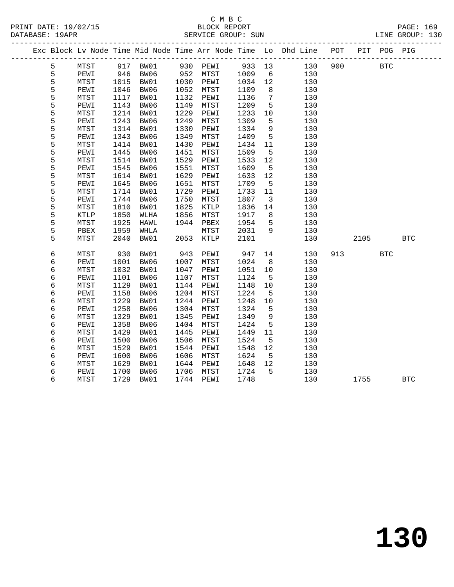#### C M B C<br>BLOCK REPORT SERVICE GROUP: SUN

|  |   |             |      |      |      |      |        |                 | Exc Block Lv Node Time Mid Node Time Arr Node Time Lo Dhd Line POT |     |      | PIT POG PIG |            |
|--|---|-------------|------|------|------|------|--------|-----------------|--------------------------------------------------------------------|-----|------|-------------|------------|
|  | 5 | MTST        | 917  | BW01 | 930  | PEWI | 933 13 |                 | 130                                                                | 900 |      | <b>BTC</b>  |            |
|  | 5 | PEWI        | 946  | BW06 | 952  | MTST | 1009   | 6               | 130                                                                |     |      |             |            |
|  | 5 | MTST        | 1015 | BW01 | 1030 | PEWI | 1034   | 12              | 130                                                                |     |      |             |            |
|  | 5 | PEWI        | 1046 | BW06 | 1052 | MTST | 1109   | 8               | 130                                                                |     |      |             |            |
|  | 5 | MTST        | 1117 | BW01 | 1132 | PEWI | 1136   | $7\phantom{.0}$ | 130                                                                |     |      |             |            |
|  | 5 | PEWI        | 1143 | BW06 | 1149 | MTST | 1209   | 5               | 130                                                                |     |      |             |            |
|  | 5 | MTST        | 1214 | BW01 | 1229 | PEWI | 1233   | 10              | 130                                                                |     |      |             |            |
|  | 5 | PEWI        | 1243 | BW06 | 1249 | MTST | 1309   | 5               | 130                                                                |     |      |             |            |
|  | 5 | <b>MTST</b> | 1314 | BW01 | 1330 | PEWI | 1334   | 9               | 130                                                                |     |      |             |            |
|  | 5 | PEWI        | 1343 | BW06 | 1349 | MTST | 1409   | 5               | 130                                                                |     |      |             |            |
|  | 5 | MTST        | 1414 | BW01 | 1430 | PEWI | 1434   | 11              | 130                                                                |     |      |             |            |
|  | 5 | PEWI        | 1445 | BW06 | 1451 | MTST | 1509   | 5               | 130                                                                |     |      |             |            |
|  | 5 | MTST        | 1514 | BW01 | 1529 | PEWI | 1533   | 12              | 130                                                                |     |      |             |            |
|  | 5 | PEWI        | 1545 | BW06 | 1551 | MTST | 1609   | 5               | 130                                                                |     |      |             |            |
|  | 5 | MTST        | 1614 | BW01 | 1629 | PEWI | 1633   | 12              | 130                                                                |     |      |             |            |
|  | 5 | PEWI        | 1645 | BW06 | 1651 | MTST | 1709   | 5               | 130                                                                |     |      |             |            |
|  | 5 | MTST        | 1714 | BW01 | 1729 | PEWI | 1733   | 11              | 130                                                                |     |      |             |            |
|  | 5 | PEWI        | 1744 | BW06 | 1750 | MTST | 1807   | 3               | 130                                                                |     |      |             |            |
|  | 5 | MTST        | 1810 | BW01 | 1825 | KTLP | 1836   | 14              | 130                                                                |     |      |             |            |
|  | 5 | KTLP        | 1850 | WLHA | 1856 | MTST | 1917   | 8               | 130                                                                |     |      |             |            |
|  | 5 | MTST        | 1925 | HAWL | 1944 | PBEX | 1954   | 5               | 130                                                                |     |      |             |            |
|  | 5 | PBEX        | 1959 | WHLA |      | MTST | 2031   | 9               | 130                                                                |     |      |             |            |
|  | 5 | MTST        | 2040 | BW01 | 2053 | KTLP | 2101   |                 | 130                                                                |     | 2105 |             | <b>BTC</b> |
|  |   |             |      |      |      |      |        |                 |                                                                    |     |      |             |            |
|  | 6 | MTST        | 930  | BW01 | 943  | PEWI | 947    | 14              | 130                                                                | 913 |      | <b>BTC</b>  |            |
|  | 6 | PEWI        | 1001 | BW06 | 1007 | MTST | 1024   | 8               | 130                                                                |     |      |             |            |
|  | 6 | MTST        | 1032 | BW01 | 1047 | PEWI | 1051   | 10              | 130                                                                |     |      |             |            |
|  | 6 | PEWI        | 1101 | BW06 | 1107 | MTST | 1124   | 5               | 130                                                                |     |      |             |            |
|  | 6 | MTST        | 1129 | BW01 | 1144 | PEWI | 1148   | 10              | 130                                                                |     |      |             |            |
|  | 6 | PEWI        | 1158 | BW06 | 1204 | MTST | 1224   | 5               | 130                                                                |     |      |             |            |
|  | 6 | MTST        | 1229 | BW01 | 1244 | PEWI | 1248   | 10              | 130                                                                |     |      |             |            |
|  | 6 | PEWI        | 1258 | BW06 | 1304 | MTST | 1324   | 5               | 130                                                                |     |      |             |            |
|  | 6 | MTST        | 1329 | BW01 | 1345 | PEWI | 1349   | 9               | 130                                                                |     |      |             |            |
|  | 6 | PEWI        | 1358 | BW06 | 1404 | MTST | 1424   | 5               | 130                                                                |     |      |             |            |
|  | 6 | MTST        | 1429 | BW01 | 1445 | PEWI | 1449   | 11              | 130                                                                |     |      |             |            |
|  | 6 | PEWI        | 1500 | BW06 | 1506 | MTST | 1524   | 5               | 130                                                                |     |      |             |            |
|  | 6 | MTST        | 1529 | BW01 | 1544 | PEWI | 1548   | 12              | 130                                                                |     |      |             |            |
|  | 6 | PEWI        | 1600 | BW06 | 1606 | MTST | 1624   | 5               | 130                                                                |     |      |             |            |

 6 MTST 1629 BW01 1644 PEWI 1648 12 130 6 PEWI 1700 BW06 1706 MTST 1724 5 130

6 MTST 1729 BW01 1744 PEWI 1748 130 1755 BTC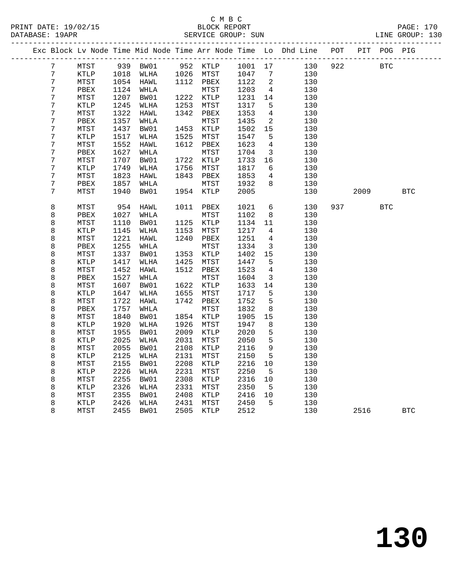| Exc Block Lv Node Time Mid Node Time Arr Node Time Lo Dhd Line POT<br>PIT POG PIG<br>952 KTLP 1001 17<br>922<br>7<br>MTST<br>939 BW01<br>130<br>BTC<br>7<br>KTLP<br>1018<br>WLHA<br>1026 MTST<br>1047<br>130<br>7<br>$\overline{7}$<br>MTST<br>1054<br>1112 PBEX<br>HAWL<br>1122<br>2<br>130<br>7<br>PBEX<br>1124<br>WHLA<br>MTST<br>1203<br>$\overline{4}$<br>130<br>7<br>1207<br>1222 KTLP<br>MTST<br>BW01<br>1231<br>14<br>130<br>7<br><b>KTLP</b><br>1245<br>WLHA<br>1253<br>MTST<br>1317<br>5<br>130<br>7<br>1322<br>$\overline{4}$<br>${\tt MTST}$<br>HAWL<br>1342<br>PBEX<br>1353<br>130<br>7<br>1357<br>WHLA<br>1435<br>2<br>130<br>PBEX<br>MTST<br>7<br>15<br>MTST<br>1437<br>BW01<br>1453<br>KTLP<br>1502<br>130<br>7<br>KTLP<br>1517<br>WLHA<br>1525<br>MTST<br>1547<br>5<br>130<br>7<br>1552<br>HAWL<br>1612<br>1623<br>4<br>130<br>MTST<br>PBEX<br>7<br>1627<br>WHLA<br>MTST<br>1704<br>3<br>130<br>PBEX<br>7<br>MTST<br>1707<br>BW01<br>1722<br>KTLP<br>1733<br>16<br>130<br>7<br>KTLP<br>1749<br>1756<br>MTST<br>1817<br>6<br>130<br>WLHA<br>7<br>MTST<br>1823<br>HAWL<br>1843<br>1853<br>$\overline{4}$<br>130<br>PBEX<br>7<br>1857<br>WHLA<br>1932<br>8<br>PBEX<br>MTST<br>130<br>7<br>MTST<br>1940<br>BW01<br>1954<br>KTLP<br>2005<br>130<br>2009<br><b>BTC</b><br>8<br>MTST<br>954<br>1011<br>1021<br>6<br>130<br>937<br><b>BTC</b><br>HAWL<br>PBEX<br>8<br>1102<br>130<br>PBEX<br>1027<br>WHLA<br>MTST<br>8<br>8<br>1110<br>1125 KTLP<br>MTST<br>BW01<br>1134<br>11<br>130<br>8<br>1153<br>KTLP<br>1145<br>WLHA<br>MTST<br>1217<br>4<br>130 |  |
|-----------------------------------------------------------------------------------------------------------------------------------------------------------------------------------------------------------------------------------------------------------------------------------------------------------------------------------------------------------------------------------------------------------------------------------------------------------------------------------------------------------------------------------------------------------------------------------------------------------------------------------------------------------------------------------------------------------------------------------------------------------------------------------------------------------------------------------------------------------------------------------------------------------------------------------------------------------------------------------------------------------------------------------------------------------------------------------------------------------------------------------------------------------------------------------------------------------------------------------------------------------------------------------------------------------------------------------------------------------------------------------------------------------------------------------------------------------------------------------------------------------------------------------------------------------------|--|
|                                                                                                                                                                                                                                                                                                                                                                                                                                                                                                                                                                                                                                                                                                                                                                                                                                                                                                                                                                                                                                                                                                                                                                                                                                                                                                                                                                                                                                                                                                                                                                 |  |
|                                                                                                                                                                                                                                                                                                                                                                                                                                                                                                                                                                                                                                                                                                                                                                                                                                                                                                                                                                                                                                                                                                                                                                                                                                                                                                                                                                                                                                                                                                                                                                 |  |
|                                                                                                                                                                                                                                                                                                                                                                                                                                                                                                                                                                                                                                                                                                                                                                                                                                                                                                                                                                                                                                                                                                                                                                                                                                                                                                                                                                                                                                                                                                                                                                 |  |
|                                                                                                                                                                                                                                                                                                                                                                                                                                                                                                                                                                                                                                                                                                                                                                                                                                                                                                                                                                                                                                                                                                                                                                                                                                                                                                                                                                                                                                                                                                                                                                 |  |
|                                                                                                                                                                                                                                                                                                                                                                                                                                                                                                                                                                                                                                                                                                                                                                                                                                                                                                                                                                                                                                                                                                                                                                                                                                                                                                                                                                                                                                                                                                                                                                 |  |
|                                                                                                                                                                                                                                                                                                                                                                                                                                                                                                                                                                                                                                                                                                                                                                                                                                                                                                                                                                                                                                                                                                                                                                                                                                                                                                                                                                                                                                                                                                                                                                 |  |
|                                                                                                                                                                                                                                                                                                                                                                                                                                                                                                                                                                                                                                                                                                                                                                                                                                                                                                                                                                                                                                                                                                                                                                                                                                                                                                                                                                                                                                                                                                                                                                 |  |
|                                                                                                                                                                                                                                                                                                                                                                                                                                                                                                                                                                                                                                                                                                                                                                                                                                                                                                                                                                                                                                                                                                                                                                                                                                                                                                                                                                                                                                                                                                                                                                 |  |
|                                                                                                                                                                                                                                                                                                                                                                                                                                                                                                                                                                                                                                                                                                                                                                                                                                                                                                                                                                                                                                                                                                                                                                                                                                                                                                                                                                                                                                                                                                                                                                 |  |
|                                                                                                                                                                                                                                                                                                                                                                                                                                                                                                                                                                                                                                                                                                                                                                                                                                                                                                                                                                                                                                                                                                                                                                                                                                                                                                                                                                                                                                                                                                                                                                 |  |
|                                                                                                                                                                                                                                                                                                                                                                                                                                                                                                                                                                                                                                                                                                                                                                                                                                                                                                                                                                                                                                                                                                                                                                                                                                                                                                                                                                                                                                                                                                                                                                 |  |
|                                                                                                                                                                                                                                                                                                                                                                                                                                                                                                                                                                                                                                                                                                                                                                                                                                                                                                                                                                                                                                                                                                                                                                                                                                                                                                                                                                                                                                                                                                                                                                 |  |
|                                                                                                                                                                                                                                                                                                                                                                                                                                                                                                                                                                                                                                                                                                                                                                                                                                                                                                                                                                                                                                                                                                                                                                                                                                                                                                                                                                                                                                                                                                                                                                 |  |
|                                                                                                                                                                                                                                                                                                                                                                                                                                                                                                                                                                                                                                                                                                                                                                                                                                                                                                                                                                                                                                                                                                                                                                                                                                                                                                                                                                                                                                                                                                                                                                 |  |
|                                                                                                                                                                                                                                                                                                                                                                                                                                                                                                                                                                                                                                                                                                                                                                                                                                                                                                                                                                                                                                                                                                                                                                                                                                                                                                                                                                                                                                                                                                                                                                 |  |
|                                                                                                                                                                                                                                                                                                                                                                                                                                                                                                                                                                                                                                                                                                                                                                                                                                                                                                                                                                                                                                                                                                                                                                                                                                                                                                                                                                                                                                                                                                                                                                 |  |
|                                                                                                                                                                                                                                                                                                                                                                                                                                                                                                                                                                                                                                                                                                                                                                                                                                                                                                                                                                                                                                                                                                                                                                                                                                                                                                                                                                                                                                                                                                                                                                 |  |
|                                                                                                                                                                                                                                                                                                                                                                                                                                                                                                                                                                                                                                                                                                                                                                                                                                                                                                                                                                                                                                                                                                                                                                                                                                                                                                                                                                                                                                                                                                                                                                 |  |
|                                                                                                                                                                                                                                                                                                                                                                                                                                                                                                                                                                                                                                                                                                                                                                                                                                                                                                                                                                                                                                                                                                                                                                                                                                                                                                                                                                                                                                                                                                                                                                 |  |
|                                                                                                                                                                                                                                                                                                                                                                                                                                                                                                                                                                                                                                                                                                                                                                                                                                                                                                                                                                                                                                                                                                                                                                                                                                                                                                                                                                                                                                                                                                                                                                 |  |
|                                                                                                                                                                                                                                                                                                                                                                                                                                                                                                                                                                                                                                                                                                                                                                                                                                                                                                                                                                                                                                                                                                                                                                                                                                                                                                                                                                                                                                                                                                                                                                 |  |
|                                                                                                                                                                                                                                                                                                                                                                                                                                                                                                                                                                                                                                                                                                                                                                                                                                                                                                                                                                                                                                                                                                                                                                                                                                                                                                                                                                                                                                                                                                                                                                 |  |
|                                                                                                                                                                                                                                                                                                                                                                                                                                                                                                                                                                                                                                                                                                                                                                                                                                                                                                                                                                                                                                                                                                                                                                                                                                                                                                                                                                                                                                                                                                                                                                 |  |
| 8<br>1221<br>1240<br>1251<br>4<br>MTST<br>HAWL<br>PBEX<br>130                                                                                                                                                                                                                                                                                                                                                                                                                                                                                                                                                                                                                                                                                                                                                                                                                                                                                                                                                                                                                                                                                                                                                                                                                                                                                                                                                                                                                                                                                                   |  |
| 8<br>1255<br>$\overline{\mathbf{3}}$<br>130<br>PBEX<br>WHLA<br>MTST<br>1334                                                                                                                                                                                                                                                                                                                                                                                                                                                                                                                                                                                                                                                                                                                                                                                                                                                                                                                                                                                                                                                                                                                                                                                                                                                                                                                                                                                                                                                                                     |  |
| 8<br>MTST<br>1337<br>BW01<br>1353<br>KTLP<br>1402<br>15<br>130                                                                                                                                                                                                                                                                                                                                                                                                                                                                                                                                                                                                                                                                                                                                                                                                                                                                                                                                                                                                                                                                                                                                                                                                                                                                                                                                                                                                                                                                                                  |  |
| 8<br>1417<br>1425<br>5<br>KTLP<br>WLHA<br>MTST<br>1447<br>130                                                                                                                                                                                                                                                                                                                                                                                                                                                                                                                                                                                                                                                                                                                                                                                                                                                                                                                                                                                                                                                                                                                                                                                                                                                                                                                                                                                                                                                                                                   |  |
| 8<br>1452<br>1512<br>1523<br>$\overline{4}$<br>${\tt MTST}$<br>HAWL<br>PBEX<br>130                                                                                                                                                                                                                                                                                                                                                                                                                                                                                                                                                                                                                                                                                                                                                                                                                                                                                                                                                                                                                                                                                                                                                                                                                                                                                                                                                                                                                                                                              |  |
| 8<br>1527<br>WHLA<br>MTST<br>1604<br>3<br>130<br>PBEX                                                                                                                                                                                                                                                                                                                                                                                                                                                                                                                                                                                                                                                                                                                                                                                                                                                                                                                                                                                                                                                                                                                                                                                                                                                                                                                                                                                                                                                                                                           |  |
| 8<br>1607<br>130<br>MTST<br>BW01<br>1622<br>KTLP<br>1633<br>14                                                                                                                                                                                                                                                                                                                                                                                                                                                                                                                                                                                                                                                                                                                                                                                                                                                                                                                                                                                                                                                                                                                                                                                                                                                                                                                                                                                                                                                                                                  |  |
| 8<br>1647<br>1655<br>MTST<br>1717<br>5<br>130<br>KTLP<br>WLHA                                                                                                                                                                                                                                                                                                                                                                                                                                                                                                                                                                                                                                                                                                                                                                                                                                                                                                                                                                                                                                                                                                                                                                                                                                                                                                                                                                                                                                                                                                   |  |
| 8<br>1752<br>5<br>MTST<br>1722<br>HAWL<br>1742<br>PBEX<br>130                                                                                                                                                                                                                                                                                                                                                                                                                                                                                                                                                                                                                                                                                                                                                                                                                                                                                                                                                                                                                                                                                                                                                                                                                                                                                                                                                                                                                                                                                                   |  |
| 8<br>1757<br>1832<br>8<br>PBEX<br>WHLA<br>MTST<br>130                                                                                                                                                                                                                                                                                                                                                                                                                                                                                                                                                                                                                                                                                                                                                                                                                                                                                                                                                                                                                                                                                                                                                                                                                                                                                                                                                                                                                                                                                                           |  |
| 8<br>1840<br>BW01<br>1854<br>1905<br>15<br>MTST<br>KTLP<br>130                                                                                                                                                                                                                                                                                                                                                                                                                                                                                                                                                                                                                                                                                                                                                                                                                                                                                                                                                                                                                                                                                                                                                                                                                                                                                                                                                                                                                                                                                                  |  |
| 8<br>1920<br>1926<br>KTLP<br>WLHA<br>MTST<br>1947<br>8<br>130                                                                                                                                                                                                                                                                                                                                                                                                                                                                                                                                                                                                                                                                                                                                                                                                                                                                                                                                                                                                                                                                                                                                                                                                                                                                                                                                                                                                                                                                                                   |  |
| 8<br>1955<br>BW01<br>2009<br>2020<br>5<br>130<br>MTST<br>KTLP                                                                                                                                                                                                                                                                                                                                                                                                                                                                                                                                                                                                                                                                                                                                                                                                                                                                                                                                                                                                                                                                                                                                                                                                                                                                                                                                                                                                                                                                                                   |  |
| 8<br>2025<br>5<br><b>KTLP</b><br>WLHA<br>2031<br>MTST<br>2050<br>130                                                                                                                                                                                                                                                                                                                                                                                                                                                                                                                                                                                                                                                                                                                                                                                                                                                                                                                                                                                                                                                                                                                                                                                                                                                                                                                                                                                                                                                                                            |  |
| 8<br>2055<br>BW01<br>2108<br>9<br>MTST<br>KTLP<br>2116<br>130                                                                                                                                                                                                                                                                                                                                                                                                                                                                                                                                                                                                                                                                                                                                                                                                                                                                                                                                                                                                                                                                                                                                                                                                                                                                                                                                                                                                                                                                                                   |  |
| 8<br>$5\phantom{.0}$<br>KTLP<br>2125<br>2131<br>2150<br>130<br>WLHA<br>MTST                                                                                                                                                                                                                                                                                                                                                                                                                                                                                                                                                                                                                                                                                                                                                                                                                                                                                                                                                                                                                                                                                                                                                                                                                                                                                                                                                                                                                                                                                     |  |
| 8<br>2155<br>BW01<br>2208<br>2216<br>130<br>MTST<br>KTLP<br>10                                                                                                                                                                                                                                                                                                                                                                                                                                                                                                                                                                                                                                                                                                                                                                                                                                                                                                                                                                                                                                                                                                                                                                                                                                                                                                                                                                                                                                                                                                  |  |
|                                                                                                                                                                                                                                                                                                                                                                                                                                                                                                                                                                                                                                                                                                                                                                                                                                                                                                                                                                                                                                                                                                                                                                                                                                                                                                                                                                                                                                                                                                                                                                 |  |
| 8<br>2226<br>2231<br>2250<br>KTLP<br>WLHA<br>MTST<br>$-5$<br>130                                                                                                                                                                                                                                                                                                                                                                                                                                                                                                                                                                                                                                                                                                                                                                                                                                                                                                                                                                                                                                                                                                                                                                                                                                                                                                                                                                                                                                                                                                |  |
| 8<br>MTST<br>2255<br>BW01<br>2308<br>2316<br>130<br>KTLP<br>10                                                                                                                                                                                                                                                                                                                                                                                                                                                                                                                                                                                                                                                                                                                                                                                                                                                                                                                                                                                                                                                                                                                                                                                                                                                                                                                                                                                                                                                                                                  |  |
| 8<br>2326<br>2331<br>2350<br>5<br>130<br>KTLP<br>WLHA<br>MTST                                                                                                                                                                                                                                                                                                                                                                                                                                                                                                                                                                                                                                                                                                                                                                                                                                                                                                                                                                                                                                                                                                                                                                                                                                                                                                                                                                                                                                                                                                   |  |
| 8<br>2355<br>MTST<br>BW01<br>2408<br>KTLP<br>2416<br>10<br>130                                                                                                                                                                                                                                                                                                                                                                                                                                                                                                                                                                                                                                                                                                                                                                                                                                                                                                                                                                                                                                                                                                                                                                                                                                                                                                                                                                                                                                                                                                  |  |
| 8<br>2426<br>5<br>KTLP<br>WLHA<br>2431<br>MTST<br>2450<br>130                                                                                                                                                                                                                                                                                                                                                                                                                                                                                                                                                                                                                                                                                                                                                                                                                                                                                                                                                                                                                                                                                                                                                                                                                                                                                                                                                                                                                                                                                                   |  |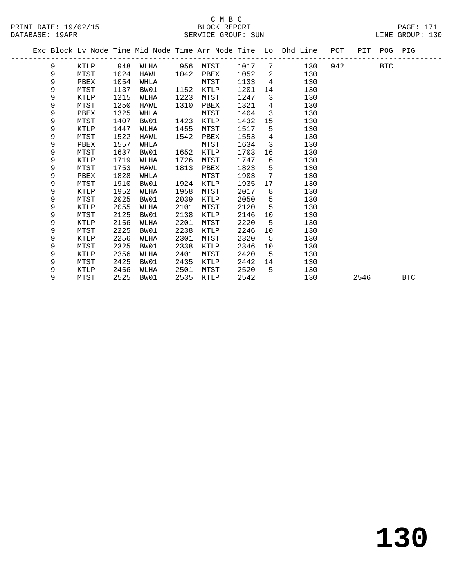|  |   |             |      |      |      |             |      |                 | Exc Block Lv Node Time Mid Node Time Arr Node Time Lo Dhd Line POT PIT POG PIG |     |      |            |            |
|--|---|-------------|------|------|------|-------------|------|-----------------|--------------------------------------------------------------------------------|-----|------|------------|------------|
|  | 9 | KTLP        | 948  | WLHA |      | 956 MTST    | 1017 | $7\overline{ }$ | 130                                                                            | 942 |      | <b>BTC</b> |            |
|  | 9 | MTST        | 1024 | HAWL | 1042 | PBEX        | 1052 | $\overline{2}$  | 130                                                                            |     |      |            |            |
|  | 9 | PBEX        | 1054 | WHLA |      | MTST        | 1133 | $\overline{4}$  | 130                                                                            |     |      |            |            |
|  | 9 | MTST        | 1137 | BW01 | 1152 | KTLP        | 1201 | 14              | 130                                                                            |     |      |            |            |
|  | 9 | KTLP        | 1215 | WLHA | 1223 | MTST        | 1247 | $\overline{3}$  | 130                                                                            |     |      |            |            |
|  | 9 | MTST        | 1250 | HAWL | 1310 | PBEX        | 1321 | $4\overline{ }$ | 130                                                                            |     |      |            |            |
|  | 9 | PBEX        | 1325 | WHLA |      | MTST        | 1404 | $\overline{3}$  | 130                                                                            |     |      |            |            |
|  | 9 | MTST        | 1407 | BW01 | 1423 | KTLP        | 1432 | 15              | 130                                                                            |     |      |            |            |
|  | 9 | KTLP        | 1447 | WLHA | 1455 | MTST        | 1517 | 5               | 130                                                                            |     |      |            |            |
|  | 9 | MTST        | 1522 | HAWL | 1542 | PBEX        | 1553 | $\overline{4}$  | 130                                                                            |     |      |            |            |
|  | 9 | PBEX        | 1557 | WHLA |      | MTST        | 1634 | $\overline{3}$  | 130                                                                            |     |      |            |            |
|  | 9 | MTST        | 1637 | BW01 | 1652 | KTLP        | 1703 | 16              | 130                                                                            |     |      |            |            |
|  | 9 | KTLP        | 1719 | WLHA | 1726 | MTST        | 1747 | 6               | 130                                                                            |     |      |            |            |
|  | 9 | MTST        | 1753 | HAWL | 1813 | PBEX        | 1823 | 5               | 130                                                                            |     |      |            |            |
|  | 9 | PBEX        | 1828 | WHLA |      | MTST        | 1903 | 7               | 130                                                                            |     |      |            |            |
|  | 9 | MTST        | 1910 | BW01 | 1924 | KTLP        | 1935 | 17              | 130                                                                            |     |      |            |            |
|  | 9 | <b>KTLP</b> | 1952 | WLHA | 1958 | MTST        | 2017 | 8               | 130                                                                            |     |      |            |            |
|  | 9 | MTST        | 2025 | BW01 | 2039 | KTLP        | 2050 | 5               | 130                                                                            |     |      |            |            |
|  | 9 | KTLP        | 2055 | WLHA | 2101 | MTST        | 2120 | 5               | 130                                                                            |     |      |            |            |
|  | 9 | MTST        | 2125 | BW01 | 2138 | KTLP        | 2146 | 10              | 130                                                                            |     |      |            |            |
|  | 9 | <b>KTLP</b> | 2156 | WLHA | 2201 | MTST        | 2220 | 5               | 130                                                                            |     |      |            |            |
|  | 9 | MTST        | 2225 | BW01 | 2238 | KTLP        | 2246 | 10              | 130                                                                            |     |      |            |            |
|  | 9 | KTLP        | 2256 | WLHA | 2301 | MTST        | 2320 | 5               | 130                                                                            |     |      |            |            |
|  | 9 | MTST        | 2325 | BW01 | 2338 | <b>KTLP</b> | 2346 | 10              | 130                                                                            |     |      |            |            |
|  | 9 | KTLP        | 2356 | WLHA | 2401 | MTST        | 2420 | -5              | 130                                                                            |     |      |            |            |
|  | 9 | MTST        | 2425 | BW01 | 2435 | KTLP        | 2442 | 14              | 130                                                                            |     |      |            |            |
|  | 9 | KTLP        | 2456 | WLHA | 2501 | MTST        | 2520 | 5               | 130                                                                            |     |      |            |            |
|  | 9 | MTST        | 2525 | BW01 | 2535 | KTLP        | 2542 |                 | 130                                                                            |     | 2546 |            | <b>BTC</b> |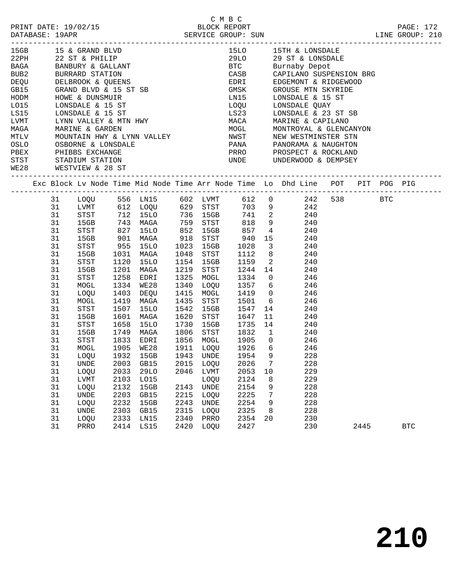|  | DATABASE: 19APR |                                                                                                  |      |                                                                                                                                                                                                                                                  |      |           |                                  |    |    |                                                                                                                                                                                                         |      |              |  |
|--|-----------------|--------------------------------------------------------------------------------------------------|------|--------------------------------------------------------------------------------------------------------------------------------------------------------------------------------------------------------------------------------------------------|------|-----------|----------------------------------|----|----|---------------------------------------------------------------------------------------------------------------------------------------------------------------------------------------------------------|------|--------------|--|
|  |                 | 15GB 15 & GRAND BLVD                                                                             |      | 15GB 15 & GRAND BLVD<br>22PH 22 ST & PHILIP<br>BAGA BANBURY & GALLANT<br>BUB2 BURRARD STATION<br>DEQU DELBROOK & QUEENS<br>GB15 GRAND BLVD & 15 ST SB<br>HODM HOWE & DUNSMUIR<br>LO15 LONSDALE & 15 ST<br>LS15 LONSDALE & 15 ST<br>LVMT LYNN VAL |      |           |                                  |    |    | 15LO 15TH & LONSDALE                                                                                                                                                                                    |      |              |  |
|  |                 |                                                                                                  |      |                                                                                                                                                                                                                                                  |      |           |                                  |    |    | 29LO 29 ST & LONSDALE<br>BTC Burnaby Depot                                                                                                                                                              |      |              |  |
|  |                 |                                                                                                  |      |                                                                                                                                                                                                                                                  |      |           |                                  |    |    |                                                                                                                                                                                                         |      |              |  |
|  |                 |                                                                                                  |      |                                                                                                                                                                                                                                                  |      |           |                                  |    |    | CASB CAPILANO SUSPENSION BRG                                                                                                                                                                            |      |              |  |
|  |                 |                                                                                                  |      |                                                                                                                                                                                                                                                  |      |           |                                  |    |    | EDRI EDGEMONT & RIDGEWOOD<br>GMSK GROUSE MTN SKYRIDE<br>LN15 LONSDALE & 15 ST                                                                                                                           |      |              |  |
|  |                 |                                                                                                  |      |                                                                                                                                                                                                                                                  |      |           |                                  |    |    |                                                                                                                                                                                                         |      |              |  |
|  |                 |                                                                                                  |      |                                                                                                                                                                                                                                                  |      |           |                                  |    |    | LOQU LONSDALE QUAY                                                                                                                                                                                      |      |              |  |
|  |                 |                                                                                                  |      |                                                                                                                                                                                                                                                  |      |           |                                  |    |    |                                                                                                                                                                                                         |      |              |  |
|  |                 |                                                                                                  |      |                                                                                                                                                                                                                                                  |      |           |                                  |    |    |                                                                                                                                                                                                         |      |              |  |
|  |                 |                                                                                                  |      |                                                                                                                                                                                                                                                  |      |           |                                  |    |    |                                                                                                                                                                                                         |      |              |  |
|  |                 |                                                                                                  |      |                                                                                                                                                                                                                                                  |      |           |                                  |    |    |                                                                                                                                                                                                         |      |              |  |
|  |                 |                                                                                                  |      |                                                                                                                                                                                                                                                  |      |           |                                  |    |    |                                                                                                                                                                                                         |      |              |  |
|  |                 |                                                                                                  |      |                                                                                                                                                                                                                                                  |      |           |                                  |    |    |                                                                                                                                                                                                         |      |              |  |
|  |                 |                                                                                                  |      |                                                                                                                                                                                                                                                  |      |           |                                  |    |    |                                                                                                                                                                                                         |      |              |  |
|  |                 | OSLO OSBORNE & LONSDALE<br>PBEX PHIBBS EXCHANGE<br>STST STADIUM STATION<br>WE28 WESTVIEW & 28 ST |      |                                                                                                                                                                                                                                                  |      |           |                                  |    |    | LONE ENGLAND MARINE & 23 ST SB<br>MACA MARINE & CAPILANO<br>MOGL MONTROYAL & GLENCANYON<br>NWST NEW WESTMINSTER STN<br>PANA PANORAMA & NAUGHTON<br>PRRO PROSPECT & ROCKLAND<br>UNDE UNDERWOOD & DEMPSEY |      |              |  |
|  |                 |                                                                                                  |      |                                                                                                                                                                                                                                                  |      |           |                                  |    |    | Exc Block Lv Node Time Mid Node Time Arr Node Time Lo Dhd Line POT PIT POG PIG                                                                                                                          |      |              |  |
|  |                 |                                                                                                  |      |                                                                                                                                                                                                                                                  |      |           |                                  |    |    | 31 LOQU 556 LN15 602 LVMT 612 0 242 538 BTC                                                                                                                                                             |      |              |  |
|  | 31              |                                                                                                  |      |                                                                                                                                                                                                                                                  |      |           |                                  |    |    | LVMT 612 LOQU 629 STST 703 9 242<br>STST 712 15LO 736 15GB 741 2 240<br>15GB 743 MAGA 759 STST 818 9 240<br>STST 827 15LO 852 15GB 857 4 240                                                            |      |              |  |
|  | 31              |                                                                                                  |      |                                                                                                                                                                                                                                                  |      |           |                                  |    |    |                                                                                                                                                                                                         |      |              |  |
|  | 31              |                                                                                                  |      |                                                                                                                                                                                                                                                  |      |           |                                  |    |    |                                                                                                                                                                                                         |      |              |  |
|  | 31              |                                                                                                  |      |                                                                                                                                                                                                                                                  |      |           |                                  |    |    |                                                                                                                                                                                                         |      |              |  |
|  | 31              |                                                                                                  |      | 15GB 901 MAGA 918 STST 940                                                                                                                                                                                                                       |      |           |                                  |    |    | 15 240                                                                                                                                                                                                  |      |              |  |
|  | 31              | STST                                                                                             |      | 955 15LO<br>1031 MAGA<br>1120 15LO                                                                                                                                                                                                               |      |           |                                  |    |    | 1023 15GB 1028 3 240<br>1048 STST 1112 8 240<br>1154 15GB 1159 2 240                                                                                                                                    |      |              |  |
|  | 31              | 15GB                                                                                             |      |                                                                                                                                                                                                                                                  |      |           |                                  |    |    |                                                                                                                                                                                                         |      |              |  |
|  | 31              | STST                                                                                             |      | 1120 15LO                                                                                                                                                                                                                                        |      |           |                                  |    |    |                                                                                                                                                                                                         |      |              |  |
|  | 31              | 15GB                                                                                             | 1201 | MAGA                                                                                                                                                                                                                                             |      |           |                                  |    |    | 1219 STST 1244 14 240                                                                                                                                                                                   |      |              |  |
|  | 31              | STST                                                                                             | 1258 | EDRI                                                                                                                                                                                                                                             |      | 1325 MOGL |                                  |    |    | 1334 0 246                                                                                                                                                                                              |      |              |  |
|  | 31              | MOGL                                                                                             |      | 1334 WE28<br>1403 DEQU                                                                                                                                                                                                                           |      | 1340 LOQU |                                  |    |    | 1357 6 246<br>1419 0 246                                                                                                                                                                                |      |              |  |
|  | 31              | LOQU                                                                                             |      |                                                                                                                                                                                                                                                  |      | 1415 MOGL |                                  |    |    |                                                                                                                                                                                                         |      |              |  |
|  | 31              | MOGL                                                                                             |      | 1419 MAGA                                                                                                                                                                                                                                        | 1435 |           | STST 1501                        |    |    | 6 246                                                                                                                                                                                                   |      |              |  |
|  | 31              | STST                                                                                             | 1507 | 15LO                                                                                                                                                                                                                                             | 1542 | 15GB      | 1547                             |    |    | 14<br>240                                                                                                                                                                                               |      |              |  |
|  | 31              | 15GB                                                                                             | 1601 | MAGA                                                                                                                                                                                                                                             |      |           | 1620 STST 1647<br>1730 15GB 1735 |    |    | $\frac{11}{14}$<br>240                                                                                                                                                                                  |      |              |  |
|  | 31              | STST                                                                                             | 1658 | 15LO                                                                                                                                                                                                                                             |      |           |                                  |    | 14 | 240<br>1806 STST 1832 1 240                                                                                                                                                                             |      |              |  |
|  | 31              | 15GB                                                                                             |      | 1749 MAGA                                                                                                                                                                                                                                        |      |           |                                  |    |    |                                                                                                                                                                                                         |      |              |  |
|  | 31<br>31        | STST                                                                                             |      |                                                                                                                                                                                                                                                  |      |           |                                  |    |    | 1833 EDRI 1856 MOGL 1905 0 246                                                                                                                                                                          |      |              |  |
|  | 31              | MOGL<br>LOQU                                                                                     |      | 1905 WE28<br>1932 15GB                                                                                                                                                                                                                           |      |           |                                  |    |    | 1911 LOQU 1926 6 246<br>1943 UNDE 1954 9 228                                                                                                                                                            |      |              |  |
|  |                 |                                                                                                  |      | 31 UNDE 2003 GB15 2015 LOQU 2026 7                                                                                                                                                                                                               |      |           |                                  |    |    | 228                                                                                                                                                                                                     |      |              |  |
|  | 31              | LOQU                                                                                             | 2033 | 29LO                                                                                                                                                                                                                                             | 2046 | LVMT      | 2053                             | 10 |    | 229                                                                                                                                                                                                     |      |              |  |
|  | 31              | LVMT                                                                                             | 2103 | L015                                                                                                                                                                                                                                             |      | LOQU      | 2124                             |    | 8  | 229                                                                                                                                                                                                     |      |              |  |
|  | 31              | LOQU                                                                                             | 2132 | 15GB                                                                                                                                                                                                                                             |      | 2143 UNDE | 2154                             |    | 9  | 228                                                                                                                                                                                                     |      |              |  |
|  | 31              | UNDE                                                                                             | 2203 | GB15                                                                                                                                                                                                                                             | 2215 | LOQU      | 2225                             |    | 7  | 228                                                                                                                                                                                                     |      |              |  |
|  | 31              | LOQU                                                                                             | 2232 | 15GB                                                                                                                                                                                                                                             | 2243 | UNDE      | 2254                             |    | 9  | 228                                                                                                                                                                                                     |      |              |  |
|  | 31              | UNDE                                                                                             | 2303 | GB15                                                                                                                                                                                                                                             | 2315 | LOQU      | 2325                             |    | 8  | 228                                                                                                                                                                                                     |      |              |  |
|  | 31              | LOQU                                                                                             | 2333 | LN15                                                                                                                                                                                                                                             | 2340 | PRRO      | 2354                             | 20 |    | 230                                                                                                                                                                                                     |      |              |  |
|  | 31              | PRRO                                                                                             |      | 2414 LS15                                                                                                                                                                                                                                        | 2420 | LOQU      | 2427                             |    |    | 230                                                                                                                                                                                                     | 2445 | $_{\rm BTC}$ |  |
|  |                 |                                                                                                  |      |                                                                                                                                                                                                                                                  |      |           |                                  |    |    |                                                                                                                                                                                                         |      |              |  |

C M B C<br>BLOCK REPORT PRINT DATE: 19/02/15 BLOCK REPORT PAGE: 172

**210**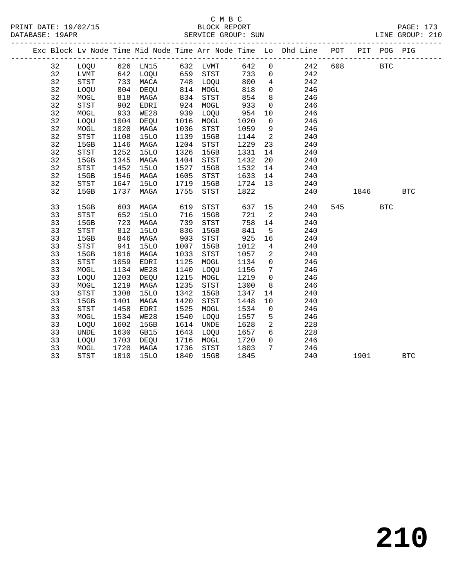|  |    |             |      |                                                                                           |           |      |      |                          | Exc Block Lv Node Time Mid Node Time Arr Node Time Lo Dhd Line POT |         | PIT POG PIG |            |  |
|--|----|-------------|------|-------------------------------------------------------------------------------------------|-----------|------|------|--------------------------|--------------------------------------------------------------------|---------|-------------|------------|--|
|  | 32 |             |      | LOQU 626 LN15 632 LVMT                                                                    |           |      | 642  | $\overline{0}$           | 242                                                                | 608 000 | <b>BTC</b>  |            |  |
|  | 32 | LVMT        |      |                                                                                           |           |      | 733  | $\overline{0}$           | 242                                                                |         |             |            |  |
|  | 32 | STST        |      | 642 LOQU       659   STST<br>733   MACA        748   LOQU<br>804   DEQU        814   MOGL |           |      | 800  | $\overline{4}$           | 242                                                                |         |             |            |  |
|  | 32 | LOQU        |      |                                                                                           | 814 MOGL  |      | 818  | $\overline{0}$           | 246                                                                |         |             |            |  |
|  | 32 | MOGL        | 818  | MAGA                                                                                      | 834       | STST | 854  | 8 <sup>8</sup>           | 246                                                                |         |             |            |  |
|  | 32 | STST        | 902  | EDRI                                                                                      | 924       | MOGL | 933  | $\overline{0}$           | 246                                                                |         |             |            |  |
|  | 32 | MOGL        | 933  | WE28                                                                                      | 939       | LOQU | 954  | 10                       | 246                                                                |         |             |            |  |
|  | 32 | LOQU        | 1004 | DEQU                                                                                      | 1016 MOGL |      | 1020 | $\overline{0}$           | 246                                                                |         |             |            |  |
|  | 32 | MOGL        | 1020 | MAGA                                                                                      | 1036      | STST | 1059 | 9                        | 246                                                                |         |             |            |  |
|  | 32 | STST        | 1108 | <b>15LO</b>                                                                               | 1139      | 15GB | 1144 | $\overline{\phantom{a}}$ | 240                                                                |         |             |            |  |
|  | 32 | 15GB        | 1146 | MAGA                                                                                      | 1204      | STST | 1229 | 23                       | 240                                                                |         |             |            |  |
|  | 32 | STST        | 1252 | 15LO                                                                                      | 1326      | 15GB | 1331 | 14                       | 240                                                                |         |             |            |  |
|  | 32 | 15GB        | 1345 | MAGA                                                                                      | 1404      | STST | 1432 | 20                       | 240                                                                |         |             |            |  |
|  | 32 | STST        | 1452 | 15LO                                                                                      | 1527      | 15GB | 1532 | 14                       | 240                                                                |         |             |            |  |
|  | 32 | 15GB        | 1546 | MAGA                                                                                      | 1605      | STST | 1633 | 14                       | 240                                                                |         |             |            |  |
|  | 32 | STST        | 1647 | 15LO                                                                                      | 1719      | 15GB | 1724 | 13                       | 240                                                                |         |             |            |  |
|  | 32 | 15GB        |      | 1737 MAGA                                                                                 | 1755      | STST | 1822 |                          | 240                                                                | 1846    |             | <b>BTC</b> |  |
|  |    |             |      |                                                                                           |           |      |      |                          |                                                                    |         |             |            |  |
|  | 33 | 15GB        | 603  | MAGA                                                                                      | 619       | STST |      |                          | 637 15<br>240                                                      | 545     | <b>BTC</b>  |            |  |
|  | 33 | STST        | 652  | 15LO                                                                                      | 716       | 15GB | 721  | $\overline{\phantom{a}}$ | 240                                                                |         |             |            |  |
|  | 33 | 15GB        | 723  | MAGA                                                                                      | 739       | STST | 758  | 14                       | 240                                                                |         |             |            |  |
|  | 33 | STST        | 812  | <b>15LO</b>                                                                               | 836       | 15GB | 841  | $5^{\circ}$              | 240                                                                |         |             |            |  |
|  | 33 | 15GB        | 846  | MAGA                                                                                      | 903       | STST | 925  | 16                       | 240                                                                |         |             |            |  |
|  | 33 | STST        | 941  | 15LO                                                                                      | 1007      | 15GB | 1012 | $\overline{4}$           | 240                                                                |         |             |            |  |
|  | 33 | 15GB        | 1016 | MAGA                                                                                      | 1033      | STST | 1057 | $\overline{2}$           | 240                                                                |         |             |            |  |
|  | 33 | STST        | 1059 | EDRI                                                                                      | 1125      | MOGL | 1134 | $\overline{0}$           | 246                                                                |         |             |            |  |
|  | 33 | MOGL        | 1134 | <b>WE28</b>                                                                               | 1140      | LOQU | 1156 | $7\overline{ }$          | 246                                                                |         |             |            |  |
|  | 33 | LOQU        | 1203 | DEQU                                                                                      | 1215      | MOGL | 1219 | $\overline{0}$           | 246                                                                |         |             |            |  |
|  | 33 | MOGL        | 1219 | MAGA                                                                                      | 1235      | STST | 1300 | 8 <sup>8</sup>           | 246                                                                |         |             |            |  |
|  | 33 | STST        | 1308 | <b>15LO</b>                                                                               | 1342      | 15GB | 1347 | 14                       | 240                                                                |         |             |            |  |
|  | 33 | 15GB        | 1401 | MAGA                                                                                      | 1420      | STST | 1448 | 10                       | 240                                                                |         |             |            |  |
|  | 33 | <b>STST</b> | 1458 | EDRI                                                                                      | 1525      | MOGL | 1534 | $\overline{0}$           | 246                                                                |         |             |            |  |
|  | 33 | MOGL        | 1534 | WE28                                                                                      | 1540      | LOQU | 1557 | 5                        | 246                                                                |         |             |            |  |
|  | 33 | LOQU        | 1602 | 15GB                                                                                      | 1614      | UNDE | 1628 | 2                        | 228                                                                |         |             |            |  |
|  | 33 | <b>UNDE</b> | 1630 | GB15                                                                                      | 1643      | LOOU | 1657 | $6\overline{6}$          | 228                                                                |         |             |            |  |
|  | 33 | LOQU        | 1703 | DEQU                                                                                      | 1716      | MOGL | 1720 | $\overline{0}$           | 246                                                                |         |             |            |  |
|  | 33 | MOGL        | 1720 | MAGA                                                                                      | 1736      | STST | 1803 | $7\overline{ }$          | 246                                                                |         |             |            |  |
|  | 33 | STST        | 1810 | 15LO                                                                                      | 1840      | 15GB | 1845 |                          | 240                                                                | 1901    |             | <b>BTC</b> |  |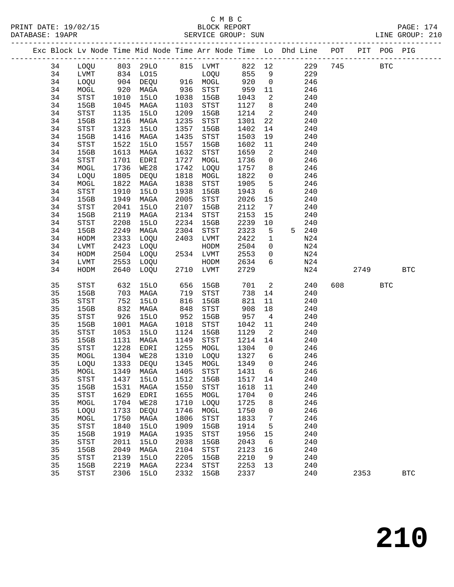|  |    |                                       |      | Exc Block Lv Node Time Mid Node Time Arr Node Time Lo Dhd Line POT |      |                                       |        |                 |   |     |     |      | PIT POG PIG |            |  |
|--|----|---------------------------------------|------|--------------------------------------------------------------------|------|---------------------------------------|--------|-----------------|---|-----|-----|------|-------------|------------|--|
|  | 34 | LOQU                                  |      | 803 29LO                                                           |      | 815 LVMT                              | 822 12 |                 |   | 229 | 745 |      | <b>BTC</b>  |            |  |
|  | 34 | LVMT                                  | 834  | LO15                                                               |      | LOQU                                  | 855    | 9               |   | 229 |     |      |             |            |  |
|  | 34 | LOQU                                  | 904  | DEQU                                                               |      | 916 MOGL                              | 920    | $\mathsf{O}$    |   | 246 |     |      |             |            |  |
|  | 34 | MOGL                                  | 920  | MAGA                                                               | 936  | STST                                  | 959    | 11              |   | 246 |     |      |             |            |  |
|  | 34 | STST                                  | 1010 | <b>15LO</b>                                                        | 1038 | 15GB                                  | 1043   | 2               |   | 240 |     |      |             |            |  |
|  | 34 | 15GB                                  | 1045 | MAGA                                                               | 1103 | STST                                  | 1127   | 8               |   | 240 |     |      |             |            |  |
|  | 34 | STST                                  | 1135 | <b>15LO</b>                                                        | 1209 | 15GB                                  | 1214   | $\overline{a}$  |   | 240 |     |      |             |            |  |
|  | 34 | 15GB                                  | 1216 | MAGA                                                               | 1235 | $_{\footnotesize{\textnormal{STST}}}$ | 1301   | 22              |   | 240 |     |      |             |            |  |
|  | 34 | STST                                  | 1323 | <b>15LO</b>                                                        | 1357 | 15GB                                  | 1402   | 14              |   | 240 |     |      |             |            |  |
|  | 34 | 15GB                                  | 1416 | MAGA                                                               | 1435 | STST                                  | 1503   | 19              |   | 240 |     |      |             |            |  |
|  | 34 | STST                                  | 1522 | 15LO                                                               | 1557 | 15GB                                  | 1602   | 11              |   | 240 |     |      |             |            |  |
|  | 34 | 15GB                                  | 1613 | MAGA                                                               | 1632 | STST                                  | 1659   | 2               |   | 240 |     |      |             |            |  |
|  | 34 | STST                                  | 1701 | EDRI                                                               | 1727 | MOGL                                  | 1736   | $\mathsf{O}$    |   | 246 |     |      |             |            |  |
|  | 34 | MOGL                                  | 1736 | <b>WE28</b>                                                        | 1742 | LOQU                                  | 1757   | 8               |   | 246 |     |      |             |            |  |
|  | 34 | LOQU                                  | 1805 | DEQU                                                               | 1818 | MOGL                                  | 1822   | $\mathsf{O}$    |   | 246 |     |      |             |            |  |
|  | 34 | MOGL                                  | 1822 | MAGA                                                               | 1838 | STST                                  | 1905   | 5               |   | 246 |     |      |             |            |  |
|  | 34 | STST                                  | 1910 | <b>15LO</b>                                                        | 1938 | 15GB                                  | 1943   | 6               |   | 240 |     |      |             |            |  |
|  | 34 | 15GB                                  | 1949 | MAGA                                                               | 2005 | STST                                  | 2026   | 15              |   | 240 |     |      |             |            |  |
|  | 34 | STST                                  | 2041 | <b>15LO</b>                                                        | 2107 | 15GB                                  | 2112   | 7               |   | 240 |     |      |             |            |  |
|  | 34 | 15GB                                  | 2119 | MAGA                                                               | 2134 | $_{\footnotesize{\textnormal{STST}}}$ | 2153   | 15              |   | 240 |     |      |             |            |  |
|  | 34 | STST                                  | 2208 | <b>15LO</b>                                                        | 2234 | 15GB                                  | 2239   | 10              |   | 240 |     |      |             |            |  |
|  | 34 | 15GB                                  | 2249 | MAGA                                                               | 2304 | STST                                  | 2323   | 5               | 5 | 240 |     |      |             |            |  |
|  | 34 | HODM                                  | 2333 | LOQU                                                               | 2403 | LVMT                                  | 2422   | $\mathbf 1$     |   | N24 |     |      |             |            |  |
|  | 34 | LVMT                                  | 2423 | LOQU                                                               |      | HODM                                  | 2504   | $\mathbf 0$     |   | N24 |     |      |             |            |  |
|  | 34 | HODM                                  | 2504 | LOQU                                                               |      | 2534 LVMT                             | 2553   | $\mathbf 0$     |   | N24 |     |      |             |            |  |
|  | 34 | LVMT                                  | 2553 | LOQU                                                               |      | HODM                                  | 2634   | 6               |   | N24 |     |      |             |            |  |
|  | 34 | HODM                                  | 2640 | LOQU                                                               | 2710 | LVMT                                  | 2729   |                 |   | N24 |     | 2749 |             | <b>BTC</b> |  |
|  |    |                                       |      |                                                                    |      |                                       |        |                 |   |     |     |      |             |            |  |
|  | 35 | $_{\footnotesize{\textnormal{STST}}}$ | 632  | 15LO                                                               | 656  | 15GB                                  | 701    | $\overline{a}$  |   | 240 | 608 |      | <b>BTC</b>  |            |  |
|  | 35 | 15GB                                  | 703  | MAGA                                                               | 719  | STST                                  | 738    | 14              |   | 240 |     |      |             |            |  |
|  | 35 | STST                                  | 752  | 15LO                                                               | 816  | 15GB                                  | 821    | 11              |   | 240 |     |      |             |            |  |
|  | 35 | 15GB                                  | 832  | MAGA                                                               | 848  | $_{\footnotesize{\textnormal{STST}}}$ | 908    | 18              |   | 240 |     |      |             |            |  |
|  | 35 | STST                                  | 926  | 15LO                                                               | 952  | 15GB                                  | 957    | $\overline{4}$  |   | 240 |     |      |             |            |  |
|  | 35 | 15GB                                  | 1001 | MAGA                                                               | 1018 | STST                                  | 1042   | 11              |   | 240 |     |      |             |            |  |
|  | 35 | STST                                  | 1053 | <b>15LO</b>                                                        | 1124 | 15GB                                  | 1129   | 2               |   | 240 |     |      |             |            |  |
|  | 35 | 15GB                                  | 1131 | MAGA                                                               | 1149 | $_{\footnotesize{\textnormal{STST}}}$ | 1214   | 14              |   | 240 |     |      |             |            |  |
|  | 35 | STST                                  | 1228 | EDRI                                                               | 1255 | MOGL                                  | 1304   | $\overline{0}$  |   | 246 |     |      |             |            |  |
|  | 35 | MOGL                                  | 1304 | WE28                                                               | 1310 | LOQU                                  | 1327   | 6               |   | 246 |     |      |             |            |  |
|  | 35 | LOQU                                  | 1333 | DEQU                                                               | 1345 | MOGL                                  | 1349   | $\Omega$        |   | 246 |     |      |             |            |  |
|  | 35 | MOGL                                  | 1349 | MAGA                                                               | 1405 | STST                                  | 1431   | $6\overline{6}$ |   | 246 |     |      |             |            |  |
|  | 35 | <b>STST</b>                           | 1437 | <b>15LO</b>                                                        | 1512 | 15GB                                  | 1517   | 14              |   | 240 |     |      |             |            |  |
|  | 35 | 15GB                                  | 1531 | MAGA                                                               | 1550 | STST                                  | 1618   | 11              |   | 240 |     |      |             |            |  |
|  | 35 | STST                                  | 1629 | EDRI                                                               | 1655 | MOGL                                  | 1704   | 0               |   | 246 |     |      |             |            |  |
|  | 35 | MOGL                                  | 1704 | <b>WE28</b>                                                        | 1710 | LOQU                                  | 1725   | 8               |   | 246 |     |      |             |            |  |
|  | 35 | LOQU                                  | 1733 | DEQU                                                               | 1746 | MOGL                                  | 1750   | 0               |   | 246 |     |      |             |            |  |
|  | 35 | MOGL                                  | 1750 | MAGA                                                               | 1806 | STST                                  | 1833   | 7               |   | 246 |     |      |             |            |  |
|  | 35 | STST                                  | 1840 | <b>15LO</b>                                                        | 1909 | 15GB                                  | 1914   | 5               |   | 240 |     |      |             |            |  |
|  | 35 | 15GB                                  | 1919 | MAGA                                                               | 1935 | $_{\footnotesize{\textnormal{STST}}}$ | 1956   | 15              |   | 240 |     |      |             |            |  |
|  | 35 | STST                                  | 2011 | <b>15LO</b>                                                        | 2038 | 15GB                                  | 2043   | 6               |   | 240 |     |      |             |            |  |
|  | 35 | 15GB                                  | 2049 | MAGA                                                               | 2104 | ${\tt STST}$                          | 2123   | 16              |   | 240 |     |      |             |            |  |
|  | 35 | STST                                  | 2139 | <b>15LO</b>                                                        | 2205 | 15GB                                  | 2210   | 9               |   | 240 |     |      |             |            |  |
|  | 35 | 15GB                                  | 2219 | MAGA                                                               | 2234 | STST                                  | 2253   | 13              |   | 240 |     |      |             |            |  |
|  | 35 | <b>STST</b>                           | 2306 | <b>15LO</b>                                                        | 2332 | 15GB                                  | 2337   |                 |   | 240 |     | 2353 |             | <b>BTC</b> |  |
|  |    |                                       |      |                                                                    |      |                                       |        |                 |   |     |     |      |             |            |  |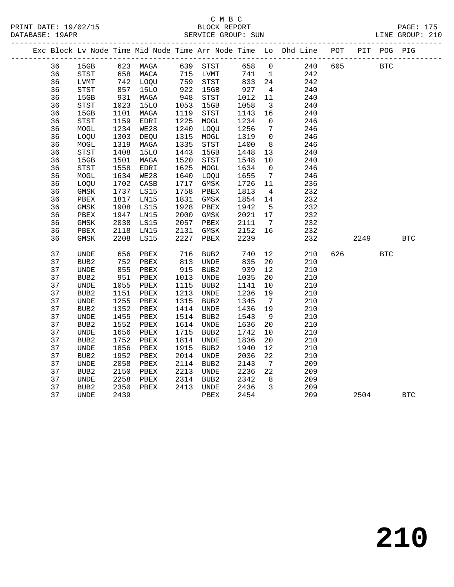### C M B C<br>BLOCK REPORT SERVICE GROUP: SUN

|  |    |                  |      |                      |      |                         |      |                         | Exc Block Lv Node Time Mid Node Time Arr Node Time Lo Dhd Line POT PIT POG PIG |     |            |            |            |
|--|----|------------------|------|----------------------|------|-------------------------|------|-------------------------|--------------------------------------------------------------------------------|-----|------------|------------|------------|
|  | 36 | 15GB             |      | 623 MAGA             |      | 639 STST                | 658  | $\overline{0}$          | 240 605                                                                        |     | <b>BTC</b> |            |            |
|  | 36 | STST             |      |                      |      | 715 LVMT                | 741  | 1                       | 242                                                                            |     |            |            |            |
|  | 36 | LVMT             |      | 658 Maca<br>742 Loqu |      | $715 - 275$<br>759 STST | 833  | 24                      | 242                                                                            |     |            |            |            |
|  | 36 | STST             | 857  | 15LO                 | 922  | 15GB                    | 927  | $\overline{4}$          | 240                                                                            |     |            |            |            |
|  | 36 | 15GB             | 931  | MAGA                 | 948  | STST                    | 1012 | 11                      | 240                                                                            |     |            |            |            |
|  | 36 | STST             | 1023 | 15LO                 | 1053 | 15GB                    | 1058 | $\overline{\mathbf{3}}$ | 240                                                                            |     |            |            |            |
|  | 36 | 15GB             | 1101 | MAGA                 | 1119 | STST                    | 1143 | 16                      | 240                                                                            |     |            |            |            |
|  | 36 | STST             | 1159 | EDRI                 | 1225 | MOGL                    | 1234 | $\overline{0}$          | 246                                                                            |     |            |            |            |
|  | 36 | MOGL             | 1234 | WE28                 | 1240 | LOOU                    | 1256 | $7\phantom{.0}$         | 246                                                                            |     |            |            |            |
|  | 36 | LOQU             | 1303 | DEQU                 | 1315 | MOGL                    | 1319 | $\overline{0}$          | 246                                                                            |     |            |            |            |
|  | 36 | MOGL             | 1319 | MAGA                 | 1335 | STST                    | 1400 | 8                       | 246                                                                            |     |            |            |            |
|  | 36 | STST             | 1408 | <b>15LO</b>          | 1443 | 15GB                    | 1448 | 13                      | 240                                                                            |     |            |            |            |
|  | 36 | 15GB             | 1501 | MAGA                 | 1520 | STST                    | 1548 | 10                      | 240                                                                            |     |            |            |            |
|  | 36 | STST             | 1558 | EDRI                 | 1625 | MOGL                    | 1634 | $\overline{\mathbf{0}}$ | 246                                                                            |     |            |            |            |
|  | 36 | MOGL             | 1634 | WE28                 | 1640 | LOOU                    | 1655 | $\overline{7}$          | 246                                                                            |     |            |            |            |
|  | 36 | LOQU             | 1702 | CASB                 | 1717 | GMSK                    | 1726 | 11                      | 236                                                                            |     |            |            |            |
|  | 36 | $\rm{GMSK}$      | 1737 | LS15                 | 1758 | PBEX                    | 1813 | $\overline{4}$          | 232                                                                            |     |            |            |            |
|  | 36 | PBEX             | 1817 | LN15                 | 1831 | GMSK                    | 1854 | 14                      | 232                                                                            |     |            |            |            |
|  | 36 | GMSK             | 1908 | LS15                 | 1928 | PBEX                    | 1942 | $5^{\circ}$             | 232                                                                            |     |            |            |            |
|  | 36 | PBEX             | 1947 | LN15                 | 2000 | GMSK                    | 2021 | 17                      | 232                                                                            |     |            |            |            |
|  | 36 | $\rm{GMSK}$      | 2038 | LS15                 | 2057 | PBEX                    | 2111 | $\overline{7}$          | 232                                                                            |     |            |            |            |
|  | 36 | PBEX             | 2118 | LN15                 | 2131 | GMSK                    | 2152 | 16                      | 232                                                                            |     |            |            |            |
|  | 36 | $\rm{GMSK}$      | 2208 | LS15                 | 2227 | PBEX                    | 2239 |                         | 232                                                                            |     | 2249       |            | <b>BTC</b> |
|  |    |                  |      |                      |      |                         |      |                         |                                                                                |     |            |            |            |
|  | 37 | UNDE             | 656  | PBEX                 | 716  | BUB2                    | 740  | 12                      | 210                                                                            | 626 |            | <b>BTC</b> |            |
|  | 37 | BUB2             | 752  | PBEX                 | 813  | UNDE                    | 835  | 20                      | 210                                                                            |     |            |            |            |
|  | 37 | UNDE             | 855  | PBEX                 | 915  | BUB2                    | 939  | 12                      | 210                                                                            |     |            |            |            |
|  | 37 | BUB <sub>2</sub> | 951  | PBEX                 | 1013 | UNDE                    | 1035 | 20                      | 210                                                                            |     |            |            |            |
|  | 37 | UNDE             | 1055 | PBEX                 | 1115 | BUB2                    | 1141 | 10                      | 210                                                                            |     |            |            |            |
|  | 37 | BUB2             | 1151 | PBEX                 | 1213 | UNDE                    | 1236 | 19                      | 210                                                                            |     |            |            |            |
|  | 37 | UNDE             | 1255 | PBEX                 | 1315 | BUB2                    | 1345 | $\overline{7}$          | 210                                                                            |     |            |            |            |
|  | 37 | BUB2             | 1352 | PBEX                 | 1414 | UNDE                    | 1436 | 19                      | 210                                                                            |     |            |            |            |
|  | 37 | UNDE             | 1455 | PBEX                 | 1514 | BUB2                    | 1543 | 9                       | 210                                                                            |     |            |            |            |
|  | 37 | BUB <sub>2</sub> | 1552 | PBEX                 | 1614 | UNDE                    | 1636 | 20                      | 210                                                                            |     |            |            |            |
|  | 37 | UNDE             | 1656 | PBEX                 | 1715 | BUB2                    | 1742 | 10                      | 210                                                                            |     |            |            |            |
|  | 37 | BUB2             | 1752 | PBEX                 | 1814 | UNDE                    | 1836 | 20                      | 210                                                                            |     |            |            |            |
|  | 37 | <b>UNDE</b>      | 1856 | PBEX                 | 1915 | BUB2                    | 1940 | 12                      | 210                                                                            |     |            |            |            |
|  | 37 | BUB2             | 1952 | PBEX                 | 2014 | UNDE                    | 2036 | 22                      | 210                                                                            |     |            |            |            |
|  | 37 | UNDE             | 2058 | PBEX                 | 2114 | BUB2                    | 2143 | $\overline{7}$          | 209                                                                            |     |            |            |            |
|  | 37 | BUB2             | 2150 | PBEX                 | 2213 | UNDE                    | 2236 | 22                      | 209                                                                            |     |            |            |            |
|  | 37 | UNDE             | 2258 | PBEX                 | 2314 | BUB2                    | 2342 | 8                       | 209                                                                            |     |            |            |            |
|  | 37 | BUB2             | 2350 | PBEX                 |      | 2413 UNDE               | 2436 | $\overline{\mathbf{3}}$ | 209                                                                            |     |            |            |            |
|  | 37 | <b>UNDE</b>      | 2439 |                      |      | PBEX                    | 2454 |                         | 209                                                                            |     | 2504       |            | <b>BTC</b> |

**210**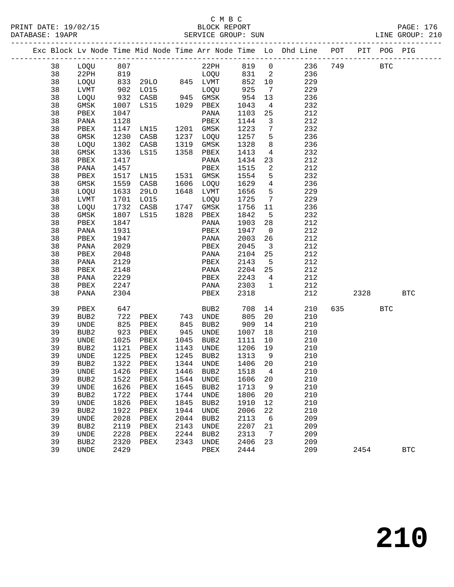|  |          |                  |              |                   |              |                  |              |                                 | Exc Block Lv Node Time Mid Node Time Arr Node Time Lo Dhd Line POT |     |      | PIT POG PIG |            |
|--|----------|------------------|--------------|-------------------|--------------|------------------|--------------|---------------------------------|--------------------------------------------------------------------|-----|------|-------------|------------|
|  | 38       | LOQU             | 807          |                   |              | 22PH             | 819          | $\overline{0}$                  | 236                                                                | 749 |      | <b>BTC</b>  |            |
|  | 38       | 22PH             | 819          |                   |              | LOQU             | 831          | $\overline{a}$                  | 236                                                                |     |      |             |            |
|  | 38       | LOQU             |              | 833 29LO 845 LVMT |              |                  | 852          | 10                              | 229                                                                |     |      |             |            |
|  | 38       | LVMT             |              | 902 LO15          |              | LOQU             | 925          | $\overline{7}$                  | 229                                                                |     |      |             |            |
|  | 38       | LOQU             | 932          | CASB              |              | 945 GMSK         | 954          | 13                              | 236                                                                |     |      |             |            |
|  | 38       | GMSK             | 1007         | LS15              |              | 1029 PBEX        | 1043         | $\overline{4}$                  | 232                                                                |     |      |             |            |
|  | 38       | PBEX             | 1047         |                   |              | PANA             | 1103         | 25                              | 212                                                                |     |      |             |            |
|  | 38       | PANA             | 1128         |                   |              | PBEX             | 1144         | $\mathbf{3}$                    | 212                                                                |     |      |             |            |
|  | 38       | PBEX             | 1147         | LN15              |              | 1201 GMSK        | 1223         | $7\phantom{.0}$                 | 232                                                                |     |      |             |            |
|  | 38       | GMSK             | 1230         | CASB              | 1237         | LOQU             | 1257         | 5                               | 236                                                                |     |      |             |            |
|  | 38       | LOQU             | 1302         | CASB              | 1319         | GMSK             | 1328         | 8                               | 236                                                                |     |      |             |            |
|  | 38       | GMSK             | 1336         | LS15              | 1358         | PBEX             | 1413         | $\overline{4}$                  | 232                                                                |     |      |             |            |
|  | 38       | PBEX             | 1417         |                   |              | PANA             | 1434         | 23                              | 212                                                                |     |      |             |            |
|  | 38       | PANA             | 1457         |                   |              | PBEX             | 1515         | 2                               | 212                                                                |     |      |             |            |
|  | 38       | PBEX             | 1517         | LN15              | 1531         | GMSK             | 1554         | 5                               | 232                                                                |     |      |             |            |
|  | 38       | <b>GMSK</b>      | 1559         | CASB              | 1606         | LOQU             | 1629         | $\overline{4}$                  | 236                                                                |     |      |             |            |
|  | 38       | LOQU             | 1633         | 29LO              |              | 1648 LVMT        | 1656         | 5                               | 229                                                                |     |      |             |            |
|  | 38       | <b>LVMT</b>      | 1701         | L015              |              | LOQU             | 1725         | 7                               | 229                                                                |     |      |             |            |
|  | 38       | LOQU             | 1732         | CASB              | 1747         | GMSK             | 1756         | 11                              | 236                                                                |     |      |             |            |
|  | 38       | GMSK             | 1807         | LS15              | 1828         | PBEX             | 1842         | 5                               | 232                                                                |     |      |             |            |
|  | 38       | PBEX             | 1847         |                   |              | PANA             | 1903         | 28                              | 212                                                                |     |      |             |            |
|  | 38       | PANA             | 1931         |                   |              | PBEX             | 1947         | $\overline{0}$                  | 212                                                                |     |      |             |            |
|  | 38       | PBEX             | 1947         |                   |              | PANA             | 2003         | 26                              | 212                                                                |     |      |             |            |
|  | 38       | PANA             | 2029         |                   |              | PBEX             | 2045         | $\overline{\mathbf{3}}$         | 212                                                                |     |      |             |            |
|  | 38       | PBEX             | 2048         |                   |              | PANA             | 2104         | 25                              | 212                                                                |     |      |             |            |
|  | 38       | PANA             | 2129         |                   |              | PBEX             | 2143         | 5                               | 212                                                                |     |      |             |            |
|  | 38       | PBEX             | 2148         |                   |              | PANA             | 2204         | 25                              | 212                                                                |     |      |             |            |
|  | 38<br>38 | PANA             | 2229<br>2247 |                   |              | PBEX             | 2243<br>2303 | $4\overline{ }$<br>$\mathbf{1}$ | 212<br>212                                                         |     |      |             |            |
|  | 38       | PBEX<br>PANA     | 2304         |                   |              | PANA<br>PBEX     | 2318         |                                 | 212                                                                |     | 2328 |             | <b>BTC</b> |
|  |          |                  |              |                   |              |                  |              |                                 |                                                                    |     |      |             |            |
|  | 39       | PBEX             | 647          |                   |              | BUB2             | 708          | 14                              | 210                                                                | 635 |      | <b>BTC</b>  |            |
|  | 39       | BUB2             | 722          | PBEX              | 743          | UNDE             | 805          | 20                              | 210                                                                |     |      |             |            |
|  | 39       | UNDE             | 825          | PBEX              | 845          | BUB2             | 909          | 14                              | 210                                                                |     |      |             |            |
|  | 39<br>39 | BUB2             | 923<br>1025  | PBEX              | 945          | UNDE             | 1007         | 18                              | 210                                                                |     |      |             |            |
|  | 39       | UNDE<br>BUB2     | 1121         | PBEX<br>PBEX      | 1045<br>1143 | BUB2<br>UNDE     | 1111<br>1206 | 10<br>19                        | 210<br>210                                                         |     |      |             |            |
|  | 39       | UNDE             | 1225         | PBEX              | 1245         | BUB2             | 1313         | 9                               | 210                                                                |     |      |             |            |
|  | 39       | BUB <sub>2</sub> | 1322         | PBEX              | 1344         | <b>UNDE</b>      | 1406         | 20                              | 210                                                                |     |      |             |            |
|  | 39       | UNDE             | 1426         | PBEX              | 1446         | BUB <sub>2</sub> | 1518         | 4                               | 210                                                                |     |      |             |            |
|  | 39       | BUB <sub>2</sub> | 1522         | PBEX              | 1544         | UNDE             | 1606         | 20                              | 210                                                                |     |      |             |            |
|  | 39       | UNDE             | 1626         | PBEX              | 1645         | BUB <sub>2</sub> | 1713         | 9                               | 210                                                                |     |      |             |            |
|  | 39       | BUB2             | 1722         | PBEX              | 1744         | <b>UNDE</b>      | 1806         | 20                              | 210                                                                |     |      |             |            |
|  | 39       | UNDE             | 1826         | PBEX              | 1845         | BUB <sub>2</sub> | 1910         | 12                              | 210                                                                |     |      |             |            |
|  | 39       | BUB <sub>2</sub> | 1922         | PBEX              | 1944         | UNDE             | 2006         | 22                              | 210                                                                |     |      |             |            |
|  | 39       | UNDE             | 2028         | PBEX              | 2044         | BUB2             | 2113         | $\epsilon$                      | 209                                                                |     |      |             |            |
|  | 39       | BUB <sub>2</sub> | 2119         | PBEX              | 2143         | <b>UNDE</b>      | 2207         | 21                              | 209                                                                |     |      |             |            |
|  | 39       | UNDE             | 2228         | ${\tt PBEX}$      | 2244         | BUB <sub>2</sub> | 2313         | 7                               | 209                                                                |     |      |             |            |
|  | 39       | BUB2             | 2320         | ${\tt PBEX}$      | 2343         | UNDE             | 2406         | 23                              | 209                                                                |     |      |             |            |
|  | 39       | UNDE             | 2429         |                   |              | PBEX             | 2444         |                                 | 209                                                                |     | 2454 |             | <b>BTC</b> |
|  |          |                  |              |                   |              |                  |              |                                 |                                                                    |     |      |             |            |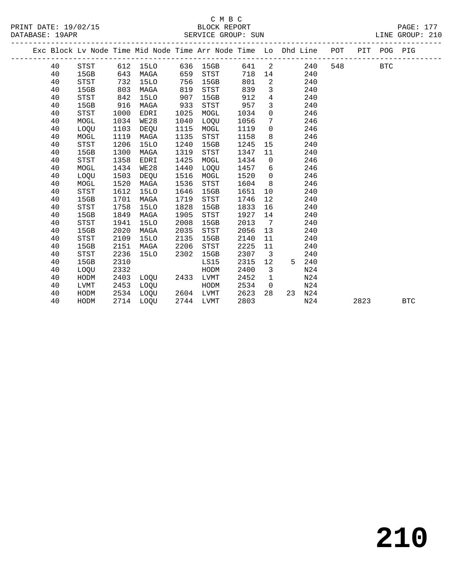# C M B C

| 40 | STST                                                                                                                             |                                                                                                                                                                                                              |                                                                                                                                                                                      |                                                                                                                                                                                                 |                                                                                                                                                     | 641                                                                                                                                                                                                                                   | 2                                                                                                                                                                                           |                                                                                                                                                                                                                     | 240     | 548                                                                                                                                                           |  | <b>BTC</b>                                                                 |                                              |
|----|----------------------------------------------------------------------------------------------------------------------------------|--------------------------------------------------------------------------------------------------------------------------------------------------------------------------------------------------------------|--------------------------------------------------------------------------------------------------------------------------------------------------------------------------------------|-------------------------------------------------------------------------------------------------------------------------------------------------------------------------------------------------|-----------------------------------------------------------------------------------------------------------------------------------------------------|---------------------------------------------------------------------------------------------------------------------------------------------------------------------------------------------------------------------------------------|---------------------------------------------------------------------------------------------------------------------------------------------------------------------------------------------|---------------------------------------------------------------------------------------------------------------------------------------------------------------------------------------------------------------------|---------|---------------------------------------------------------------------------------------------------------------------------------------------------------------|--|----------------------------------------------------------------------------|----------------------------------------------|
| 40 | 15GB                                                                                                                             | 643                                                                                                                                                                                                          | MAGA                                                                                                                                                                                 |                                                                                                                                                                                                 | <b>STST</b>                                                                                                                                         | 718                                                                                                                                                                                                                                   | 14                                                                                                                                                                                          |                                                                                                                                                                                                                     | 240     |                                                                                                                                                               |  |                                                                            |                                              |
| 40 | STST                                                                                                                             | 732                                                                                                                                                                                                          | <b>15LO</b>                                                                                                                                                                          | 756                                                                                                                                                                                             | 15GB                                                                                                                                                | 801                                                                                                                                                                                                                                   | 2                                                                                                                                                                                           |                                                                                                                                                                                                                     | 240     |                                                                                                                                                               |  |                                                                            |                                              |
| 40 | 15GB                                                                                                                             | 803                                                                                                                                                                                                          | MAGA                                                                                                                                                                                 | 819                                                                                                                                                                                             | <b>STST</b>                                                                                                                                         | 839                                                                                                                                                                                                                                   | 3                                                                                                                                                                                           |                                                                                                                                                                                                                     | 240     |                                                                                                                                                               |  |                                                                            |                                              |
| 40 | STST                                                                                                                             | 842                                                                                                                                                                                                          | 15LO                                                                                                                                                                                 | 907                                                                                                                                                                                             | 15GB                                                                                                                                                | 912                                                                                                                                                                                                                                   | $\overline{4}$                                                                                                                                                                              |                                                                                                                                                                                                                     | 240     |                                                                                                                                                               |  |                                                                            |                                              |
| 40 | 15GB                                                                                                                             | 916                                                                                                                                                                                                          | MAGA                                                                                                                                                                                 |                                                                                                                                                                                                 | <b>STST</b>                                                                                                                                         |                                                                                                                                                                                                                                       | 3                                                                                                                                                                                           |                                                                                                                                                                                                                     | 240     |                                                                                                                                                               |  |                                                                            |                                              |
| 40 | <b>STST</b>                                                                                                                      | 1000                                                                                                                                                                                                         | EDRI                                                                                                                                                                                 |                                                                                                                                                                                                 | MOGL                                                                                                                                                | 1034                                                                                                                                                                                                                                  | $\mathbf 0$                                                                                                                                                                                 |                                                                                                                                                                                                                     | 246     |                                                                                                                                                               |  |                                                                            |                                              |
| 40 | MOGL                                                                                                                             |                                                                                                                                                                                                              | WE28                                                                                                                                                                                 |                                                                                                                                                                                                 | LOQU                                                                                                                                                |                                                                                                                                                                                                                                       | 7                                                                                                                                                                                           |                                                                                                                                                                                                                     |         |                                                                                                                                                               |  |                                                                            |                                              |
| 40 | LOQU                                                                                                                             | 1103                                                                                                                                                                                                         | DEQU                                                                                                                                                                                 | 1115                                                                                                                                                                                            | MOGL                                                                                                                                                | 1119                                                                                                                                                                                                                                  | $\mathbf 0$                                                                                                                                                                                 |                                                                                                                                                                                                                     | 246     |                                                                                                                                                               |  |                                                                            |                                              |
|    | MOGL                                                                                                                             |                                                                                                                                                                                                              | MAGA                                                                                                                                                                                 |                                                                                                                                                                                                 | STST                                                                                                                                                |                                                                                                                                                                                                                                       | 8                                                                                                                                                                                           |                                                                                                                                                                                                                     |         |                                                                                                                                                               |  |                                                                            |                                              |
|    |                                                                                                                                  |                                                                                                                                                                                                              |                                                                                                                                                                                      |                                                                                                                                                                                                 |                                                                                                                                                     |                                                                                                                                                                                                                                       |                                                                                                                                                                                             |                                                                                                                                                                                                                     |         |                                                                                                                                                               |  |                                                                            |                                              |
|    |                                                                                                                                  |                                                                                                                                                                                                              |                                                                                                                                                                                      |                                                                                                                                                                                                 |                                                                                                                                                     |                                                                                                                                                                                                                                       |                                                                                                                                                                                             |                                                                                                                                                                                                                     |         |                                                                                                                                                               |  |                                                                            |                                              |
|    |                                                                                                                                  |                                                                                                                                                                                                              |                                                                                                                                                                                      |                                                                                                                                                                                                 |                                                                                                                                                     |                                                                                                                                                                                                                                       |                                                                                                                                                                                             |                                                                                                                                                                                                                     |         |                                                                                                                                                               |  |                                                                            |                                              |
|    |                                                                                                                                  |                                                                                                                                                                                                              |                                                                                                                                                                                      |                                                                                                                                                                                                 |                                                                                                                                                     |                                                                                                                                                                                                                                       |                                                                                                                                                                                             |                                                                                                                                                                                                                     |         |                                                                                                                                                               |  |                                                                            |                                              |
|    |                                                                                                                                  |                                                                                                                                                                                                              |                                                                                                                                                                                      |                                                                                                                                                                                                 |                                                                                                                                                     |                                                                                                                                                                                                                                       |                                                                                                                                                                                             |                                                                                                                                                                                                                     |         |                                                                                                                                                               |  |                                                                            |                                              |
|    |                                                                                                                                  |                                                                                                                                                                                                              |                                                                                                                                                                                      |                                                                                                                                                                                                 |                                                                                                                                                     |                                                                                                                                                                                                                                       |                                                                                                                                                                                             |                                                                                                                                                                                                                     |         |                                                                                                                                                               |  |                                                                            |                                              |
|    |                                                                                                                                  |                                                                                                                                                                                                              |                                                                                                                                                                                      |                                                                                                                                                                                                 |                                                                                                                                                     |                                                                                                                                                                                                                                       |                                                                                                                                                                                             |                                                                                                                                                                                                                     |         |                                                                                                                                                               |  |                                                                            |                                              |
|    |                                                                                                                                  |                                                                                                                                                                                                              |                                                                                                                                                                                      |                                                                                                                                                                                                 |                                                                                                                                                     |                                                                                                                                                                                                                                       |                                                                                                                                                                                             |                                                                                                                                                                                                                     |         |                                                                                                                                                               |  |                                                                            |                                              |
|    |                                                                                                                                  |                                                                                                                                                                                                              |                                                                                                                                                                                      |                                                                                                                                                                                                 |                                                                                                                                                     |                                                                                                                                                                                                                                       |                                                                                                                                                                                             |                                                                                                                                                                                                                     |         |                                                                                                                                                               |  |                                                                            |                                              |
|    |                                                                                                                                  |                                                                                                                                                                                                              |                                                                                                                                                                                      |                                                                                                                                                                                                 |                                                                                                                                                     |                                                                                                                                                                                                                                       |                                                                                                                                                                                             |                                                                                                                                                                                                                     |         |                                                                                                                                                               |  |                                                                            |                                              |
|    |                                                                                                                                  |                                                                                                                                                                                                              |                                                                                                                                                                                      |                                                                                                                                                                                                 |                                                                                                                                                     |                                                                                                                                                                                                                                       |                                                                                                                                                                                             |                                                                                                                                                                                                                     |         |                                                                                                                                                               |  |                                                                            |                                              |
|    |                                                                                                                                  |                                                                                                                                                                                                              |                                                                                                                                                                                      |                                                                                                                                                                                                 |                                                                                                                                                     |                                                                                                                                                                                                                                       |                                                                                                                                                                                             |                                                                                                                                                                                                                     |         |                                                                                                                                                               |  |                                                                            |                                              |
|    |                                                                                                                                  |                                                                                                                                                                                                              |                                                                                                                                                                                      |                                                                                                                                                                                                 |                                                                                                                                                     |                                                                                                                                                                                                                                       |                                                                                                                                                                                             |                                                                                                                                                                                                                     |         |                                                                                                                                                               |  |                                                                            |                                              |
|    |                                                                                                                                  |                                                                                                                                                                                                              |                                                                                                                                                                                      |                                                                                                                                                                                                 |                                                                                                                                                     |                                                                                                                                                                                                                                       |                                                                                                                                                                                             |                                                                                                                                                                                                                     |         |                                                                                                                                                               |  |                                                                            |                                              |
|    |                                                                                                                                  |                                                                                                                                                                                                              |                                                                                                                                                                                      |                                                                                                                                                                                                 |                                                                                                                                                     |                                                                                                                                                                                                                                       |                                                                                                                                                                                             |                                                                                                                                                                                                                     |         |                                                                                                                                                               |  |                                                                            |                                              |
|    |                                                                                                                                  |                                                                                                                                                                                                              |                                                                                                                                                                                      |                                                                                                                                                                                                 |                                                                                                                                                     |                                                                                                                                                                                                                                       |                                                                                                                                                                                             |                                                                                                                                                                                                                     |         |                                                                                                                                                               |  |                                                                            |                                              |
|    |                                                                                                                                  |                                                                                                                                                                                                              |                                                                                                                                                                                      |                                                                                                                                                                                                 |                                                                                                                                                     |                                                                                                                                                                                                                                       |                                                                                                                                                                                             |                                                                                                                                                                                                                     |         |                                                                                                                                                               |  |                                                                            |                                              |
|    |                                                                                                                                  |                                                                                                                                                                                                              |                                                                                                                                                                                      |                                                                                                                                                                                                 |                                                                                                                                                     |                                                                                                                                                                                                                                       |                                                                                                                                                                                             |                                                                                                                                                                                                                     |         |                                                                                                                                                               |  |                                                                            |                                              |
|    |                                                                                                                                  |                                                                                                                                                                                                              |                                                                                                                                                                                      |                                                                                                                                                                                                 |                                                                                                                                                     |                                                                                                                                                                                                                                       |                                                                                                                                                                                             |                                                                                                                                                                                                                     |         |                                                                                                                                                               |  |                                                                            |                                              |
|    |                                                                                                                                  |                                                                                                                                                                                                              |                                                                                                                                                                                      |                                                                                                                                                                                                 |                                                                                                                                                     |                                                                                                                                                                                                                                       |                                                                                                                                                                                             |                                                                                                                                                                                                                     |         |                                                                                                                                                               |  |                                                                            |                                              |
|    |                                                                                                                                  |                                                                                                                                                                                                              |                                                                                                                                                                                      |                                                                                                                                                                                                 |                                                                                                                                                     |                                                                                                                                                                                                                                       |                                                                                                                                                                                             |                                                                                                                                                                                                                     |         |                                                                                                                                                               |  |                                                                            |                                              |
|    | 40<br>40<br>40<br>40<br>40<br>40<br>40<br>40<br>40<br>40<br>40<br>40<br>40<br>40<br>40<br>40<br>40<br>40<br>40<br>40<br>40<br>40 | DATABASE: 19APR<br><b>STST</b><br>15GB<br><b>STST</b><br>MOGL<br>LOQU<br>MOGL<br>STST<br>15GB<br>STST<br>15GB<br>STST<br>15GB<br><b>STST</b><br>15GB<br>STST<br>15GB<br>LOQU<br>HODM<br>LVMT<br>HODM<br>HODM | 1034<br>1119<br>1206<br>1300<br>1358<br>1434<br>1503<br>1520<br>1612<br>1701<br>1758<br>1849<br>1941<br>2020<br>2109<br>2151<br>2236<br>2310<br>2332<br>2403<br>2453<br>2534<br>2714 | 612<br>15LO<br><b>15LO</b><br>MAGA<br>EDRI<br>WE28<br>DEOU<br>MAGA<br>15LO<br>MAGA<br>15LO<br>MAGA<br><b>15LO</b><br>MAGA<br><b>15LO</b><br>MAGA<br><b>15LO</b><br>LOQU<br>LOQU<br>LOQU<br>LOOU | 933<br>1025<br>1040<br>1135<br>1240<br>1319<br>1425<br>1440<br>1516<br>1536<br>1646<br>1719<br>1828<br>1905<br>2008<br>2035<br>2135<br>2206<br>2302 | 636 15GB<br>659<br>15GB<br><b>STST</b><br>MOGL<br><b>LOOU</b><br>MOGL<br>STST<br>15GB<br>STST<br>15GB<br><b>STST</b><br>15GB<br>STST<br>15GB<br><b>STST</b><br>15GB<br>LS15<br>HODM<br>2433<br>LVMT<br>HODM<br>2604 LVMT<br>2744 LVMT | 957<br>1056<br>1158<br>1245<br>1347<br>1434<br>1457<br>1520<br>1604<br>1651<br>1746<br>1833<br>1927<br>2013<br>2056<br>2140<br>2225<br>2307<br>2315<br>2400<br>2452<br>2534<br>2623<br>2803 | SERVICE GROUP: SUN<br>15<br>11<br>$\mathsf{O}$<br>6<br>$\mathbf 0$<br>8<br>10<br>12<br>16<br>14<br>$7\phantom{.0}\phantom{.0}7$<br>13<br>11<br>11<br>3<br>12<br>$\overline{3}$<br>$\mathbf 1$<br>$\mathsf{O}$<br>28 | 5<br>23 | 246<br>246<br>240<br>240<br>246<br>246<br>246<br>246<br>240<br>240<br>240<br>240<br>240<br>240<br>240<br>240<br>240<br>240<br>N24<br>N24<br>N24<br>N24<br>N24 |  | Exc Block Lv Node Time Mid Node Time Arr Node Time Lo Dhd Line POT<br>2823 | LINE GROUP: 210<br>PIT POG PIG<br><b>BTC</b> |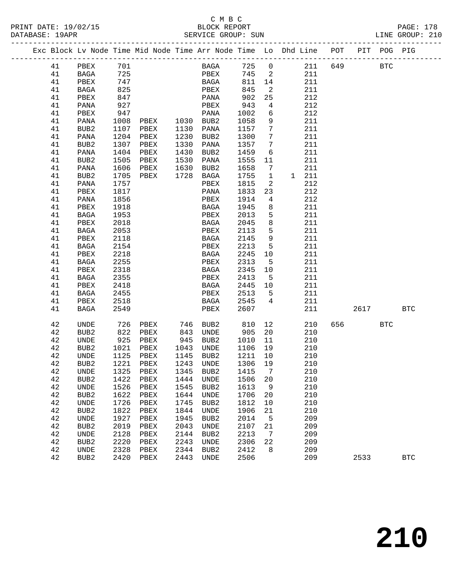## C M B C<br>BLOCK REPORT

LINE GROUP: 210

|    |                  |            | Exc Block Lv Node Time Mid Node Time Arr Node Time Lo Dhd Line POT |      |                           |      |                 |       |         | PIT POG PIG |            |
|----|------------------|------------|--------------------------------------------------------------------|------|---------------------------|------|-----------------|-------|---------|-------------|------------|
| 41 | PBEX             |            |                                                                    |      | BAGA 725 0 211 649        |      |                 |       |         | <b>BTC</b>  |            |
| 41 | BAGA             | 701<br>725 |                                                                    |      |                           |      |                 | 211   |         |             |            |
| 41 | PBEX             | 747        |                                                                    |      | PBEX 745 2<br>BAGA 811 14 |      |                 | 211   |         |             |            |
| 41 | BAGA             | 825        |                                                                    |      | PBEX                      | 845  | $\overline{2}$  | 211   |         |             |            |
| 41 | PBEX             | 847        |                                                                    |      | PANA                      | 902  | 25              | 212   |         |             |            |
| 41 | PANA             | 927        |                                                                    |      | PBEX                      | 943  | $\overline{4}$  | 212   |         |             |            |
| 41 | PBEX             | 947        |                                                                    |      | PANA                      | 1002 | 6               | 212   |         |             |            |
| 41 | PANA             | 1008       | PBEX 1030 BUB2                                                     |      |                           | 1058 | 9               | 211   |         |             |            |
| 41 | BUB2             | 1107       | PBEX                                                               | 1130 | PANA                      | 1157 | $7\overline{ }$ | 211   |         |             |            |
| 41 | PANA             | 1204       | PBEX                                                               | 1230 | BUB2                      | 1300 | $\overline{7}$  | 211   |         |             |            |
| 41 | BUB2             | 1307       | PBEX                                                               | 1330 | PANA                      | 1357 | $\overline{7}$  | 211   |         |             |            |
| 41 | PANA             | 1404       | PBEX                                                               | 1430 | BUB2                      | 1459 | 6               | 211   |         |             |            |
| 41 | BUB2             | 1505       | PBEX                                                               | 1530 | PANA                      | 1555 | 11              | 211   |         |             |            |
| 41 | PANA             | 1606       | PBEX                                                               | 1630 | BUB2                      | 1658 | $7\overline{ }$ | 211   |         |             |            |
| 41 | BUB2             | 1705       | PBEX                                                               |      | 1728 BAGA                 | 1755 | $\mathbf{1}$    | 1 211 |         |             |            |
| 41 | PANA             | 1757       |                                                                    |      | PBEX                      | 1815 | $\overline{2}$  | 212   |         |             |            |
| 41 | PBEX             | 1817       |                                                                    |      | PANA                      | 1833 | 23              | 212   |         |             |            |
| 41 | PANA             | 1856       |                                                                    |      | PBEX                      | 1914 | $\overline{4}$  | 212   |         |             |            |
| 41 | PBEX             | 1918       |                                                                    |      | BAGA                      | 1945 | 8 <sup>8</sup>  | 211   |         |             |            |
| 41 | BAGA             | 1953       |                                                                    |      | PBEX                      | 2013 | $5^{\circ}$     | 211   |         |             |            |
| 41 | PBEX             | 2018       |                                                                    |      | BAGA                      | 2045 | 8 <sup>8</sup>  | 211   |         |             |            |
| 41 | <b>BAGA</b>      | 2053       |                                                                    |      | PBEX                      | 2113 | $5^{\circ}$     | 211   |         |             |            |
| 41 | PBEX             | 2118       |                                                                    |      | BAGA                      | 2145 | 9               | 211   |         |             |            |
| 41 | BAGA             | 2154       |                                                                    |      | PBEX                      | 2213 | $5^{\circ}$     | 211   |         |             |            |
| 41 | PBEX             | 2218       |                                                                    |      | BAGA                      | 2245 | 10              | 211   |         |             |            |
| 41 | BAGA             | 2255       |                                                                    |      | PBEX                      | 2313 | $5^{\circ}$     | 211   |         |             |            |
| 41 | PBEX             | 2318       |                                                                    |      | BAGA                      | 2345 | 10              | 211   |         |             |            |
| 41 | BAGA             | 2355       |                                                                    |      | PBEX                      | 2413 | $5^{\circ}$     | 211   |         |             |            |
| 41 | PBEX             | 2418       |                                                                    |      | BAGA                      | 2445 | 10              | 211   |         |             |            |
| 41 | BAGA             | 2455       |                                                                    |      | PBEX                      | 2513 | $-5$            | 211   |         |             |            |
| 41 | PBEX             | 2518       |                                                                    |      | BAGA                      | 2545 | $\overline{4}$  | 211   |         |             |            |
| 41 | BAGA             | 2549       |                                                                    |      | PBEX                      | 2607 |                 | 211   | 2617    |             | <b>BTC</b> |
| 42 | UNDE             | 726        | PBEX                                                               | 746  | BUB2                      | 810  | 12              | 210   | 656 100 | BTC         |            |
| 42 | BUB <sub>2</sub> | 822        | PBEX                                                               | 843  | UNDE                      | 905  | 20              | 210   |         |             |            |
| 42 | UNDE             | 925        | PBEX                                                               | 945  | BUB2                      | 1010 | 11              | 210   |         |             |            |
| 42 | BUB2             | 1021       | PBEX                                                               | 1043 | UNDE                      | 1106 | 19              | 210   |         |             |            |
| 42 | UNDE             | 1125       | PBEX                                                               | 1145 | BUB <sub>2</sub>          | 1211 | 10              | 210   |         |             |            |
| 42 | BUB2             | 1221       | PBEX                                                               | 1243 | UNDE                      | 1306 | 19              | 210   |         |             |            |
| 42 | <b>UNDE</b>      |            | 1325 PBEX 1345 BUB2 1415 7                                         |      |                           |      |                 | 210   |         |             |            |
| 42 | BUB <sub>2</sub> | 1422       | PBEX                                                               | 1444 | UNDE                      | 1506 | 20              | 210   |         |             |            |
| 42 | UNDE             | 1526       | PBEX                                                               | 1545 | BUB2                      | 1613 | 9               | 210   |         |             |            |
| 42 | BUB2             | 1622       | PBEX                                                               | 1644 | <b>UNDE</b>               | 1706 | 20              | 210   |         |             |            |
| 42 | UNDE             | 1726       | PBEX                                                               | 1745 | BUB2                      | 1812 | 10              | 210   |         |             |            |
| 42 | BUB2             | 1822       | PBEX                                                               | 1844 | UNDE                      | 1906 | 21              | 210   |         |             |            |
| 42 | UNDE             | 1927       | PBEX                                                               | 1945 | BUB <sub>2</sub>          | 2014 | 5               | 209   |         |             |            |
| 42 | BUB <sub>2</sub> | 2019       | PBEX                                                               | 2043 | UNDE                      | 2107 | 21              | 209   |         |             |            |
| 42 | UNDE             | 2128       | PBEX                                                               | 2144 | BUB <sub>2</sub>          | 2213 | 7               | 209   |         |             |            |
| 42 | BUB <sub>2</sub> | 2220       | PBEX                                                               | 2243 | UNDE                      | 2306 | 22              | 209   |         |             |            |
| 42 | UNDE             | 2328       | PBEX                                                               | 2344 | BUB <sub>2</sub>          | 2412 | 8               | 209   |         |             |            |
| 42 | BUB <sub>2</sub> | 2420       | PBEX                                                               | 2443 | UNDE                      | 2506 |                 | 209   | 2533    |             | <b>BTC</b> |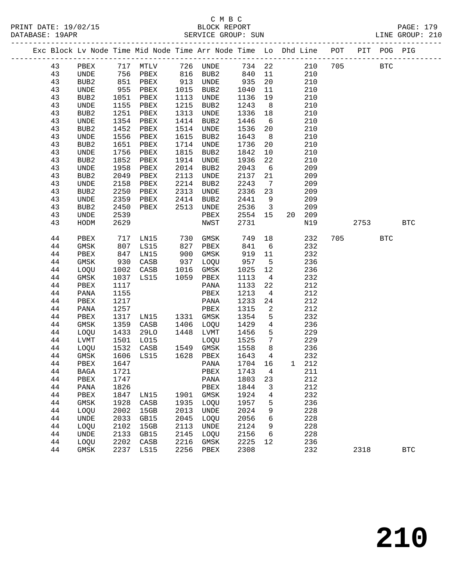PRINT DATE: 19/02/15 BLOCK REPORT PAGE: 179 DATABASE: 19APR

# C M B C

 44 PANA 1155 PBEX 1213 4 212 44 PBEX 1217 PANA 1233 24 212 44 PANA 1257 PBEX 1315 2 212 44 PBEX 1317 LN15 1331 GMSK 1354 5 232 44 GMSK 1359 CASB 1406 LOQU 1429 4 236 44 LOQU 1433 29LO 1448 LVMT 1456 5 229

> 44 LOQU 1532 CASB 1549 GMSK 1558 8 236 44 GMSK 1606 LS15 1628 PBEX 1643 4

 44 BAGA 1721 PBEX 1743 4 211 44 PBEX 1747 PANA 1803 23 212 44 PANA 1826 PBEX 1844 3 212 44 PBEX 1847 LN15 1901 GMSK 1924 4 232 44 GMSK 1928 CASB 1935 LOQU 1957 5 236 44 LOQU 2002 15GB 2013 UNDE 2024 9 228 44 UNDE 2033 GB15 2045 LOQU 2056 6 228 44 LOQU 2102 15GB 2113 UNDE 2124 9 228

44 LVMT 1501 LO15 LOQU 1525 7 229<br>44 LOQU 1532 CASB 1549 GMSK 1558 8 236

44 GMSK 1606 LS15 1628 PBEX 1643 4 232<br>44 PBEX 1647 PANA 1704 16 1 212<br>44 BAGA 1721 PBEX 1743 4 211

44 UNDE 2133 GB15 2145 LOQU 2156 6 228<br>44 LOQU 2202 CASB 2216 GMSK 2225 12 236<br>44 GMSK 2237 LS15 2256 PBEX 2308 232 44 LOQU 2202 CASB 2216 GMSK 2225 12 236

44 GMSK 2237 LS15 2256 PBEX 2308 232 2318 BTC

|  | DAIADAJE · IJAFR |                  |      |                        |      | ODIVATO QUOQE OUN                                                  |         |                |                         |        |             |             | DINE GROOF. TID |
|--|------------------|------------------|------|------------------------|------|--------------------------------------------------------------------|---------|----------------|-------------------------|--------|-------------|-------------|-----------------|
|  |                  |                  |      |                        |      | Exc Block Lv Node Time Mid Node Time Arr Node Time Lo Dhd Line POT |         |                |                         |        |             | PIT POG PIG |                 |
|  | 43               |                  |      | PBEX 717 MTLV 726 UNDE |      |                                                                    | 734 22  |                |                         |        | 210 705 BTC |             |                 |
|  | 43               | UNDE             | 756  | PBEX                   | 816  | BUB2                                                               | 840     |                | 11                      | 210    |             |             |                 |
|  | 43               | BUB <sub>2</sub> | 851  | PBEX                   | 913  | UNDE                                                               | 935     |                | 20                      | 210    |             |             |                 |
|  | 43               | UNDE             | 955  | PBEX                   | 1015 | BUB2                                                               | 1040    | 11             |                         | 210    |             |             |                 |
|  | 43               | BUB <sub>2</sub> | 1051 | PBEX                   | 1113 | <b>UNDE</b>                                                        | 1136    | 19             |                         | 210    |             |             |                 |
|  | 43               | UNDE             | 1155 | PBEX                   | 1215 | BUB <sub>2</sub>                                                   | 1243    | 8 <sup>8</sup> |                         | 210    |             |             |                 |
|  | 43               | BUB <sub>2</sub> | 1251 | PBEX                   | 1313 | <b>UNDE</b>                                                        | 1336    | 18             |                         | 210    |             |             |                 |
|  | 43               | UNDE             | 1354 | PBEX                   | 1414 | BUB2                                                               | 1446    | 6              |                         | 210    |             |             |                 |
|  | 43               | BUB <sub>2</sub> | 1452 | PBEX                   | 1514 | UNDE                                                               | 1536    |                | 20                      | 210    |             |             |                 |
|  | 43               | <b>UNDE</b>      | 1556 | PBEX                   | 1615 | BUB <sub>2</sub>                                                   | 1643    | 8 <sup>8</sup> |                         | 210    |             |             |                 |
|  | 43               | BUB <sub>2</sub> | 1651 | PBEX                   | 1714 | UNDE                                                               | 1736    | 20             |                         | 210    |             |             |                 |
|  | 43               | UNDE             | 1756 | PBEX                   | 1815 | BUB2                                                               | 1842    | 10             |                         | 210    |             |             |                 |
|  | 43               | BUB <sub>2</sub> | 1852 | PBEX                   | 1914 | <b>UNDE</b>                                                        | 1936    | 22             |                         | 210    |             |             |                 |
|  | 43               | UNDE             | 1958 | PBEX                   | 2014 | BUB2                                                               | 2043    | 6              |                         | 209    |             |             |                 |
|  | 43               | BUB <sub>2</sub> | 2049 | PBEX                   | 2113 | UNDE                                                               | 2137    | 21             |                         | 209    |             |             |                 |
|  | 43               | UNDE             | 2158 | PBEX                   | 2214 | BUB2                                                               | 2243    | $\overline{7}$ |                         | 209    |             |             |                 |
|  | 43               | BUB <sub>2</sub> | 2250 | PBEX                   | 2313 | <b>UNDE</b>                                                        | 2336    | 23             |                         | 209    |             |             |                 |
|  | 43               | UNDE             | 2359 | PBEX                   | 2414 | BUB <sub>2</sub>                                                   | 2441    | 9              |                         | 209    |             |             |                 |
|  | 43               | BUB <sub>2</sub> | 2450 | PBEX                   | 2513 | UNDE                                                               | 2536    |                | $\overline{\mathbf{3}}$ | 209    |             |             |                 |
|  | 43               | UNDE             | 2539 |                        |      | PBEX                                                               | 2554    | 15             |                         | 20 209 |             |             |                 |
|  | 43               | HODM             | 2629 |                        |      | NWST                                                               | 2731    |                |                         | N19    | 2753 BTC    |             |                 |
|  | 44               | PBEX             | 717  | LN15                   | 730  | GMSK                                                               |         |                | 749 18                  | 232    | 705 — 10    | BTC         |                 |
|  | 44               | GMSK             | 807  | LS15                   | 827  | PBEX                                                               | 841     | 6              |                         | 232    |             |             |                 |
|  | 44               | PBEX             | 847  | LN15                   | 900  | GMSK                                                               | 919     | 11             |                         | 232    |             |             |                 |
|  | 44               | GMSK             | 930  | CASB                   | 937  | LOOU                                                               | 957     | $5^{\circ}$    |                         | 236    |             |             |                 |
|  | 44               | LOQU             | 1002 | CASB                   | 1016 | GMSK                                                               | 1025    | 12             |                         | 236    |             |             |                 |
|  | 44               | GMSK             | 1037 | LS15                   | 1059 | PBEX                                                               | 1113    | $\overline{4}$ |                         | 232    |             |             |                 |
|  | 44               | PBEX             | 1117 |                        |      | PANA                                                               | 1133 22 |                |                         | 212    |             |             |                 |
|  |                  |                  |      |                        |      |                                                                    |         |                |                         |        |             |             |                 |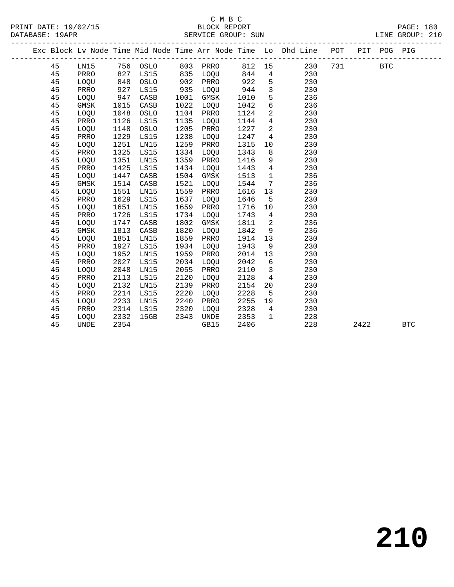PRINT DATE: 19/02/15 BLOCK REPORT PAGE: 180 DATABASE: 19APP

# C M B C

| DATABASE: 19APR |      |      |          | SEKVICE GKOUP: SUN | TINE GKOOR: SIO |      |                 |                                                                |                               |  |             |  |  |
|-----------------|------|------|----------|--------------------|-----------------|------|-----------------|----------------------------------------------------------------|-------------------------------|--|-------------|--|--|
|                 |      |      |          |                    |                 |      |                 | Exc Block Lv Node Time Mid Node Time Arr Node Time Lo Dhd Line | POT<br>---------------------- |  | PIT POG PIG |  |  |
| 45              | LN15 |      | 756 OSLO | 803                | PRRO            | 812  | 15              | 230                                                            | 731                           |  | <b>BTC</b>  |  |  |
| 45              | PRRO | 827  | LS15     | 835                | LOQU            | 844  | $4\overline{ }$ | 230                                                            |                               |  |             |  |  |
| 45              | LOQU | 848  | OSLO     | 902                | PRRO            | 922  | 5               | 230                                                            |                               |  |             |  |  |
| 45              | PRRO | 927  | LS15     | 935                | LOQU            | 944  | $\mathbf{3}$    | 230                                                            |                               |  |             |  |  |
| 45              | LOQU | 947  | CASB     | 1001               | GMSK            | 1010 | 5               | 236                                                            |                               |  |             |  |  |
| 45              | GMSK | 1015 | CASB     | 1022               | LOQU            | 1042 | 6               | 236                                                            |                               |  |             |  |  |
| 45              | LOQU | 1048 | OSLO     | 1104               | PRRO            | 1124 | $\overline{2}$  | 230                                                            |                               |  |             |  |  |
| 45              | PRRO | 1126 | LS15     | 1135               | LOQU            | 1144 | $\overline{4}$  | 230                                                            |                               |  |             |  |  |
| 45              | LOQU | 1148 | OSLO     | 1205               | PRRO            | 1227 | 2               | 230                                                            |                               |  |             |  |  |
| 45              | PRRO | 1229 | LS15     | 1238               | LOQU            | 1247 | 4               | 230                                                            |                               |  |             |  |  |
| 45              | LOQU | 1251 | LN15     | 1259               | PRRO            | 1315 | 10              | 230                                                            |                               |  |             |  |  |
| 45              | PRRO | 1325 | LS15     | 1334               | LOQU            | 1343 | 8               | 230                                                            |                               |  |             |  |  |
| 45              | LOQU | 1351 | LN15     | 1359               | PRRO            | 1416 | 9               | 230                                                            |                               |  |             |  |  |
| 45              | PRRO | 1425 | LS15     | 1434               | LOQU            | 1443 | 4               | 230                                                            |                               |  |             |  |  |
| 45              | LOQU | 1447 | CASB     | 1504               | GMSK            | 1513 | $\mathbf{1}$    | 236                                                            |                               |  |             |  |  |
| 45              | GMSK | 1514 | CASB     | 1521               | LOQU            | 1544 | 7               | 236                                                            |                               |  |             |  |  |
| 45              | LOQU | 1551 | LN15     | 1559               | PRRO            | 1616 | 13              | 230                                                            |                               |  |             |  |  |
| 45              | PRRO | 1629 | LS15     | 1637               | LOQU            | 1646 | 5               | 230                                                            |                               |  |             |  |  |
| 45              | LOQU | 1651 | LN15     | 1659               | PRRO            | 1716 | 10              | 230                                                            |                               |  |             |  |  |
| 45              | PRRO | 1726 | LS15     | 1734               | LOQU            | 1743 | 4               | 230                                                            |                               |  |             |  |  |
| 45              | LOQU | 1747 | CASB     | 1802               | GMSK            | 1811 | $\overline{2}$  | 236                                                            |                               |  |             |  |  |
| 45              | GMSK | 1813 | CASB     | 1820               | LOQU            | 1842 | 9               | 236                                                            |                               |  |             |  |  |

 45 LOQU 1851 LN15 1859 PRRO 1914 13 230 45 PRRO 1927 LS15 1934 LOQU 1943 9 230

 45 LOQU 2048 LN15 2055 PRRO 2110 3 230 45 PRRO 2113 LS15 2120 LOQU 2128 4 230 45 LOQU 2132 LN15 2139 PRRO 2154 20 230

45 UNDE 2354 GB15 2406 228 2422 BTC

 45 LOQU 1952 LN15 1959 PRRO 2014 13 230 45 PRRO 2027 LS15 2034 LOQU 2042 6 230

 45 PRRO 2214 LS15 2220 LOQU 2228 5 230 45 LOQU 2233 LN15 2240 PRRO 2255 19 230 45 PRRO 2314 LS15 2320 LOQU 2328 4 230 45 LOQU 2332 15GB 2343 UNDE 2353 1 228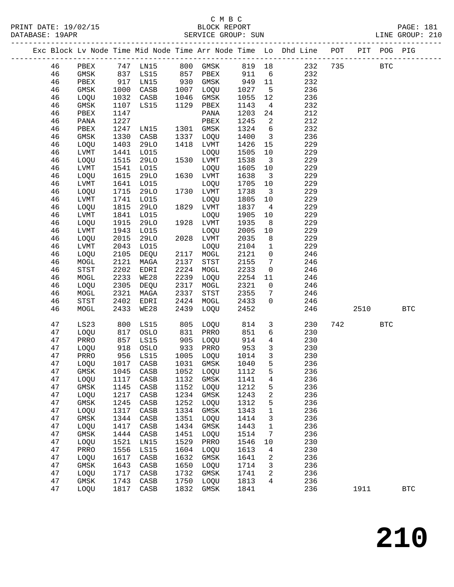#### C M B C<br>BLOCK REPORT SERVICE GROUP: SUN

PRINT DATE: 19/02/15 BLOCK REPORT PAGE: 181

|  |          |              |              |                          |              |              |              |                                   | Exc Block Lv Node Time Mid Node Time Arr Node Time Lo Dhd Line POT PIT POG PIG |     |            |            |              |
|--|----------|--------------|--------------|--------------------------|--------------|--------------|--------------|-----------------------------------|--------------------------------------------------------------------------------|-----|------------|------------|--------------|
|  | 46       |              |              |                          |              |              |              |                                   | PBEX 747 LN15 800 GMSK 819 18 232                                              | 735 | <b>BTC</b> |            |              |
|  | 46       | GMSK         |              | 837 LS15 857 PBEX        |              |              | 911          | $6\overline{6}$                   | 232                                                                            |     |            |            |              |
|  | 46       | PBEX         |              | 917 LN15                 |              | 930 GMSK     | 949          | 11                                | 232                                                                            |     |            |            |              |
|  | 46       | GMSK         | 1000         | CASB                     | 1007         | LOQU         | 1027         | $5^{\circ}$                       | 236                                                                            |     |            |            |              |
|  | 46       | LOQU         | 1032         | CASB                     | 1046         | GMSK         | 1055         | 12                                | 236                                                                            |     |            |            |              |
|  | 46       | GMSK         |              | 1107 LS15                |              | 1129 PBEX    | 1143         | $\overline{4}$                    | 232                                                                            |     |            |            |              |
|  | 46       | PBEX         | 1147         |                          |              | PANA         | 1203         | 24                                | 212                                                                            |     |            |            |              |
|  | 46       | PANA         | 1227         |                          |              | PBEX         | 1245         | 2                                 | 212                                                                            |     |            |            |              |
|  | 46       | PBEX         |              | 1247 LN15                |              | 1301 GMSK    | 1324         | $6\overline{6}$                   | 232                                                                            |     |            |            |              |
|  | 46       | GMSK         | 1330         | CASB                     |              | 1337 LOQU    | 1400         | $\overline{\mathbf{3}}$           | 236                                                                            |     |            |            |              |
|  | 46       | LOQU         | 1403         | 29LO                     | 1418         | LVMT         | 1426         | 15                                | 229                                                                            |     |            |            |              |
|  | 46       | LVMT         | 1441         | L015                     |              | LOQU         | 1505         | 10                                | 229                                                                            |     |            |            |              |
|  | 46       | LOQU         | 1515         | 29LO                     |              | 1530 LVMT    | 1538         | $\overline{\mathbf{3}}$           | 229                                                                            |     |            |            |              |
|  | 46       | LVMT         | 1541         | L015                     |              | LOQU         | 1605         | 10                                | 229                                                                            |     |            |            |              |
|  | 46       | LOQU         | 1615         | 29LO                     |              | 1630 LVMT    | 1638         | $\overline{\mathbf{3}}$           | 229                                                                            |     |            |            |              |
|  | 46       | LVMT         | 1641         | L015                     |              | LOQU         | 1705         | 10                                | 229                                                                            |     |            |            |              |
|  | 46       | LOQU         | 1715         | 29LO                     |              | 1730 LVMT    | 1738         | $\overline{\phantom{a}}$ 3        | 229                                                                            |     |            |            |              |
|  | 46       | LVMT         |              | 1741 LO15                |              | LOQU         | 1805         | 10                                | 229                                                                            |     |            |            |              |
|  | 46       | LOQU         | 1815         | 29LO                     |              | 1829 LVMT    | 1837         | $\overline{4}$                    | 229                                                                            |     |            |            |              |
|  | 46       | LVMT         | 1841         | L015                     |              | LOQU         | 1905         | 10                                | 229                                                                            |     |            |            |              |
|  | 46       | LOQU         | 1915         | 29LO                     |              | 1928 LVMT    | 1935         | 8 <sup>8</sup>                    | 229                                                                            |     |            |            |              |
|  | 46       | LVMT         | 1943         | L015                     |              | LOQU         | 2005         | 10                                | 229                                                                            |     |            |            |              |
|  | 46       | LOQU         | 2015         | 29LO                     |              | 2028 LVMT    | 2035         | 8 <sup>8</sup>                    | 229                                                                            |     |            |            |              |
|  | 46       | LVMT         | 2043         | L015                     |              | LOQU         | 2104         | $\mathbf{1}$                      | 229                                                                            |     |            |            |              |
|  | 46       | LOQU         | 2105         | DEQU                     |              | 2117 MOGL    | 2121         | $\overline{0}$                    | 246                                                                            |     |            |            |              |
|  | 46       | MOGL         | 2121         | MAGA                     | 2137         | STST         | 2155         | $\overline{7}$                    | 246                                                                            |     |            |            |              |
|  | 46       | STST         | 2202         | EDRI                     | 2224         | MOGL         | 2233         | $\overline{0}$                    | 246                                                                            |     |            |            |              |
|  | 46       | MOGL         | 2233         | WE28                     | 2239         | LOQU         | 2254         | 11                                | 246                                                                            |     |            |            |              |
|  | 46<br>46 | LOQU         | 2305<br>2321 | DEQU                     | 2317<br>2337 | MOGL         | 2321<br>2355 | $\overline{0}$                    | 246<br>246                                                                     |     |            |            |              |
|  | 46       | MOGL<br>STST | 2402         | MAGA<br>EDRI             | 2424         | STST<br>MOGL | 2433         | $7\phantom{.0}$<br>$\overline{0}$ | 246                                                                            |     |            |            |              |
|  | 46       | MOGL         | 2433         | WE28                     | 2439         | LOQU         | 2452         |                                   | 246                                                                            |     | 2510       |            | $_{\rm BTC}$ |
|  |          |              |              |                          |              |              |              |                                   |                                                                                |     |            |            |              |
|  | 47       | LS23         |              | 800 LS15<br>817 OSLO     | 805          | LOQU         | 814<br>851   | $\mathbf{3}$                      | 230                                                                            | 742 |            | <b>BTC</b> |              |
|  | 47       | LOQU         |              |                          |              | 831 PRRO     | 851          | 6                                 | 230                                                                            |     |            |            |              |
|  | 47       | PRRO         |              | 857 LS15                 | 905          | LOQU         | 914          | $\overline{4}$                    | 230                                                                            |     |            |            |              |
|  | 47       | LOQU         | 918          | OSLO                     |              | 933 PRRO     | 953          | $\mathbf{3}$                      | 230                                                                            |     |            |            |              |
|  | 47       | PRRO         |              | 956 LS15                 |              | 1005 LOQU    | 1014         | $\overline{\mathbf{3}}$           | 230                                                                            |     |            |            |              |
|  | 47       | LOQU         |              | 1017 CASB                |              | 1031 GMSK    | 1040         | 5                                 | 236                                                                            |     |            |            |              |
|  | 47       |              |              | GMSK 1045 CASB 1052 LOQU |              |              | 1112         | 5                                 | 236                                                                            |     |            |            |              |
|  | 47       | LOQU         | 1117         | CASB                     | 1132         | GMSK         | 1141         | 4                                 | 236                                                                            |     |            |            |              |
|  | 47       | GMSK         | 1145         | CASB                     | 1152         | LOQU         | 1212         | 5                                 | 236                                                                            |     |            |            |              |
|  | 47       | LOQU         | 1217         | CASB                     | 1234         | GMSK         | 1243         | 2                                 | 236                                                                            |     |            |            |              |
|  | 47       | GMSK         | 1245         | CASB                     | 1252         | LOQU         | 1312         | 5                                 | 236                                                                            |     |            |            |              |
|  | 47       | LOQU         | 1317         | CASB                     | 1334         | GMSK         | 1343         | 1                                 | 236                                                                            |     |            |            |              |
|  | 47       | GMSK<br>LOQU | 1344         | CASB<br>CASB             | 1351<br>1434 | LOQU         | 1414         | 3                                 | 236<br>236                                                                     |     |            |            |              |
|  | 47<br>47 |              | 1417<br>1444 |                          |              | GMSK         | 1443         | 1                                 | 236                                                                            |     |            |            |              |
|  | 47       | GMSK<br>LOQU | 1521         | CASB<br>LN15             | 1451<br>1529 | LOQU<br>PRRO | 1514<br>1546 | 7<br>10                           | 230                                                                            |     |            |            |              |
|  | 47       | PRRO         | 1556         | LS15                     | 1604         | LOQU         | 1613         | 4                                 | 230                                                                            |     |            |            |              |
|  | 47       | LOQU         | 1617         | CASB                     | 1632         | GMSK         | 1641         | 2                                 | 236                                                                            |     |            |            |              |
|  | 47       | $\rm{GMSK}$  | 1643         | CASB                     | 1650         | LOQU         | 1714         | 3                                 | 236                                                                            |     |            |            |              |
|  | 47       | LOQU         | 1717         | CASB                     | 1732         | GMSK         | 1741         | 2                                 | 236                                                                            |     |            |            |              |
|  | 47       | GMSK         | 1743         | CASB                     | 1750         | LOQU         | 1813         | 4                                 | 236                                                                            |     |            |            |              |
|  | 47       | LOQU         | 1817         | CASB                     | 1832         | GMSK         | 1841         |                                   | 236                                                                            |     | 1911       |            | <b>BTC</b>   |
|  |          |              |              |                          |              |              |              |                                   |                                                                                |     |            |            |              |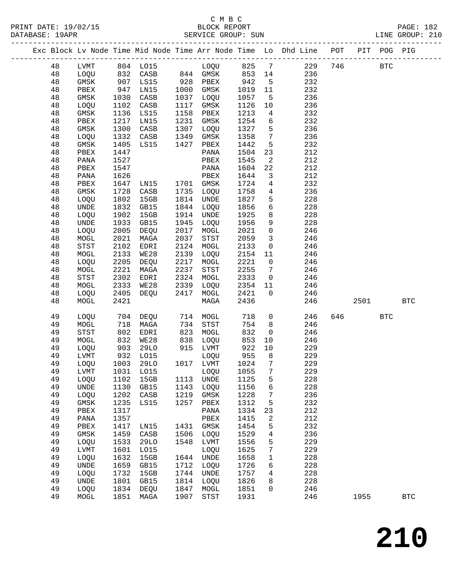|  |    |                              |      |                          |      |              |      |                         | Exc Block Lv Node Time Mid Node Time Arr Node Time Lo Dhd Line POT PIT POG PIG |     |      |            |              |
|--|----|------------------------------|------|--------------------------|------|--------------|------|-------------------------|--------------------------------------------------------------------------------|-----|------|------------|--------------|
|  | 48 | LVMT                         |      | 804 LO15 LOQU 825 7      |      |              |      |                         | 229                                                                            | 746 |      | <b>BTC</b> |              |
|  | 48 | LOQU                         |      | 832 CASB 844 GMSK 853 14 |      |              |      |                         | 236                                                                            |     |      |            |              |
|  | 48 | GMSK                         | 907  | LS15                     |      | 928 PBEX     | 942  | $5^{\circ}$             | 232                                                                            |     |      |            |              |
|  | 48 | PBEX                         | 947  | LN15                     | 1000 | GMSK         | 1019 | 11                      | 232                                                                            |     |      |            |              |
|  | 48 | GMSK                         | 1030 | CASB                     |      | 1037 LOQU    | 1057 | $5^{\circ}$             | 236                                                                            |     |      |            |              |
|  | 48 | LOQU                         | 1102 | CASB                     | 1117 | GMSK         | 1126 | 10                      | 236                                                                            |     |      |            |              |
|  | 48 | GMSK                         | 1136 | LS15                     | 1158 | PBEX         | 1213 | $\overline{4}$          | 232                                                                            |     |      |            |              |
|  | 48 | PBEX                         | 1217 | LN15                     | 1231 | GMSK         | 1254 | 6                       | 232                                                                            |     |      |            |              |
|  | 48 | GMSK                         | 1300 | CASB                     | 1307 | LOQU         | 1327 | 5                       | 236                                                                            |     |      |            |              |
|  | 48 | LOQU                         | 1332 | CASB                     | 1349 | GMSK         | 1358 | $7\overline{ }$         | 236                                                                            |     |      |            |              |
|  | 48 | GMSK                         | 1405 | LS15                     | 1427 | PBEX         | 1442 | 5                       | 232                                                                            |     |      |            |              |
|  | 48 | PBEX                         | 1447 |                          |      | PANA         | 1504 | 23                      | 212                                                                            |     |      |            |              |
|  | 48 | PANA                         | 1527 |                          |      | PBEX         | 1545 | $\overline{2}$          | 212                                                                            |     |      |            |              |
|  | 48 | PBEX                         | 1547 |                          |      | PANA         | 1604 | 22                      | 212                                                                            |     |      |            |              |
|  | 48 | PANA                         | 1626 |                          |      | PBEX         | 1644 | $\overline{\mathbf{3}}$ | 212                                                                            |     |      |            |              |
|  | 48 | PBEX                         | 1647 | LN15                     |      | 1701 GMSK    | 1724 | 4                       | 232                                                                            |     |      |            |              |
|  | 48 | GMSK                         | 1728 | CASB                     | 1735 | LOQU         | 1758 | $\overline{4}$          | 236                                                                            |     |      |            |              |
|  | 48 | LOQU                         | 1802 | 15GB                     |      | 1814 UNDE    | 1827 | 5                       | 228                                                                            |     |      |            |              |
|  | 48 | UNDE                         | 1832 | GB15                     |      | 1844 LOQU    | 1856 | 6                       | 228                                                                            |     |      |            |              |
|  | 48 | LOQU                         | 1902 | 15GB                     | 1914 | UNDE         | 1925 | 8                       | 228                                                                            |     |      |            |              |
|  | 48 | UNDE                         | 1933 | GB15                     | 1945 | LOQU         | 1956 | 9                       | 228                                                                            |     |      |            |              |
|  | 48 | LOQU                         | 2005 | DEQU                     |      | 2017 MOGL    | 2021 | $\mathsf 0$             | 246                                                                            |     |      |            |              |
|  | 48 | MOGL                         | 2021 | MAGA                     | 2037 | STST         | 2059 | $\overline{3}$          | 246                                                                            |     |      |            |              |
|  | 48 | STST                         | 2102 | EDRI                     | 2124 | MOGL         | 2133 | $\mathsf{O}$            | 246                                                                            |     |      |            |              |
|  | 48 | MOGL                         | 2133 | WE28                     | 2139 | LOQU         | 2154 | 11                      | 246                                                                            |     |      |            |              |
|  | 48 | LOQU                         | 2205 | DEQU                     | 2217 | MOGL         | 2221 | $\overline{0}$          | 246                                                                            |     |      |            |              |
|  | 48 | MOGL                         | 2221 | MAGA                     | 2237 | STST         | 2255 | $\overline{7}$          | 246                                                                            |     |      |            |              |
|  | 48 | STST                         | 2302 | EDRI                     | 2324 | MOGL         | 2333 | $\overline{\mathbf{0}}$ | 246                                                                            |     |      |            |              |
|  | 48 | MOGL                         | 2333 | WE28                     | 2339 | LOQU         | 2354 | 11                      | 246                                                                            |     |      |            |              |
|  | 48 | LOQU                         | 2405 | DEQU                     | 2417 | MOGL         | 2421 | $\overline{0}$          | 246                                                                            |     |      |            |              |
|  | 48 | MOGL                         | 2421 |                          |      | MAGA         | 2436 |                         | 246                                                                            |     | 2501 |            | <b>BTC</b>   |
|  | 49 |                              | 704  | DEQU                     |      | MOGL         | 718  | $\mathsf{O}$            | 246                                                                            |     | 646  | <b>BTC</b> |              |
|  | 49 | LOQU                         | 718  |                          | 714  | 734 STST     | 754  | 8                       | 246                                                                            |     |      |            |              |
|  | 49 | MOGL<br>STST                 | 802  | MAGA<br>EDRI             | 823  | MOGL         | 832  | $\overline{0}$          | 246                                                                            |     |      |            |              |
|  | 49 | MOGL                         | 832  | WE28                     | 838  | LOQU         | 853  | 10                      | 246                                                                            |     |      |            |              |
|  | 49 | LOQU                         | 903  | 29LO                     |      | 915 LVMT     | 922  | 10                      | 229                                                                            |     |      |            |              |
|  | 49 | LVMT                         | 932  | L015                     |      | LOQU         | 955  | 8 <sup>8</sup>          | 229                                                                            |     |      |            |              |
|  | 49 | LOQU                         | 1003 | 29LO                     |      | 1017 LVMT    | 1024 | $\overline{7}$          | 229                                                                            |     |      |            |              |
|  | 49 | LVMT                         |      | 1031 LO15 LOQU 1055 7    |      |              |      |                         | 229                                                                            |     |      |            |              |
|  | 49 | LOQU                         | 1102 | 15GB                     | 1113 | UNDE         | 1125 | 5                       | 228                                                                            |     |      |            |              |
|  | 49 | UNDE                         | 1130 | GB15                     | 1143 | LOQU         | 1156 | 6                       | 228                                                                            |     |      |            |              |
|  | 49 | LOQU                         | 1202 | CASB                     | 1219 | GMSK         | 1228 | 7                       | 236                                                                            |     |      |            |              |
|  | 49 | GMSK                         | 1235 | LS15                     | 1257 | ${\tt PBEX}$ | 1312 | 5                       | 232                                                                            |     |      |            |              |
|  | 49 | ${\tt PBEX}$                 | 1317 |                          |      | PANA         | 1334 | 23                      | 212                                                                            |     |      |            |              |
|  | 49 | PANA                         | 1357 |                          |      | PBEX         | 1415 | 2                       | 212                                                                            |     |      |            |              |
|  | 49 | PBEX                         | 1417 | LN15                     | 1431 | GMSK         | 1454 | 5                       | 232                                                                            |     |      |            |              |
|  | 49 | GMSK                         | 1459 | CASB                     | 1506 | LOQU         | 1529 | 4                       | 236                                                                            |     |      |            |              |
|  | 49 | LOQU                         | 1533 | 29LO                     | 1548 | LVMT         | 1556 | 5                       | 229                                                                            |     |      |            |              |
|  | 49 | LVMT                         | 1601 | L015                     |      | LOQU         | 1625 | 7                       | 229                                                                            |     |      |            |              |
|  | 49 | LOQU                         | 1632 | 15GB                     | 1644 | UNDE         | 1658 | 1                       | 228                                                                            |     |      |            |              |
|  | 49 | $\ensuremath{\mathsf{UNDE}}$ | 1659 | GB15                     | 1712 | LOQU         | 1726 | 6                       | 228                                                                            |     |      |            |              |
|  | 49 | LOQU                         | 1732 | 15GB                     | 1744 | UNDE         | 1757 | 4                       | 228                                                                            |     |      |            |              |
|  | 49 | UNDE                         | 1801 | GB15                     | 1814 | LOQU         | 1826 | 8                       | 228                                                                            |     |      |            |              |
|  | 49 | LOQU                         | 1834 | DEQU                     | 1847 | MOGL         | 1851 | $\mathbf 0$             | 246                                                                            |     |      |            |              |
|  | 49 | MOGL                         | 1851 | MAGA                     | 1907 | STST         | 1931 |                         | 246                                                                            |     | 1955 |            | $_{\rm BTC}$ |
|  |    |                              |      |                          |      |              |      |                         |                                                                                |     |      |            |              |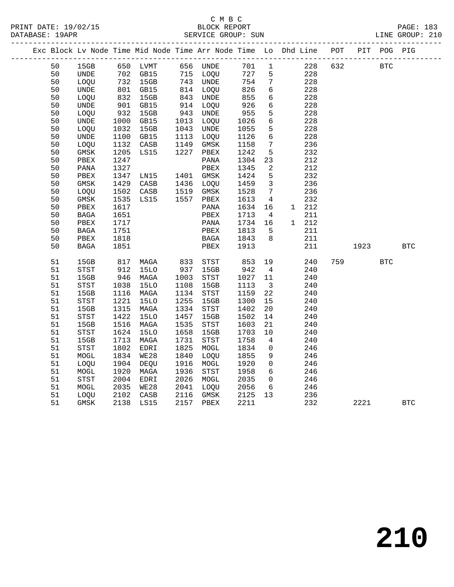PRINT DATE: 19/02/15 BLOCK REPORT PAGE: 183 DATABASE: 19APR

### C M B C<br>BLOCK REPORT

| DATABASE: 19APR |    |  |  | SERVICE GROUP: SUN |  |                                                                                |  |      | LINE GROUP: 210 |  |
|-----------------|----|--|--|--------------------|--|--------------------------------------------------------------------------------|--|------|-----------------|--|
|                 |    |  |  |                    |  | Exc Block Ly Node Time Mid Node Time Arr Node Time Lo Dhd Line POT PIT POG PIG |  |      |                 |  |
|                 | 50 |  |  |                    |  | 15GB 650 LVMT 656 UNDE 701 1 228 632                                           |  | BTC. |                 |  |

| 50       | 15GB                         | 650          | LVMT            | 656          | <b>UNDE</b>                  | 701          | 1                   |   | 228        | 632 |      | $_{\rm BTC}$ |              |
|----------|------------------------------|--------------|-----------------|--------------|------------------------------|--------------|---------------------|---|------------|-----|------|--------------|--------------|
| 50       | $\ensuremath{\mathsf{UNDE}}$ | 702          | GB15            | 715          | LOQU                         | 727          | 5                   |   | 228        |     |      |              |              |
| 50       | LOQU                         | 732          | 15GB            | 743          | $\ensuremath{\mathsf{UNDE}}$ | 754          | $\boldsymbol{7}$    |   | 228        |     |      |              |              |
| 50       | $\ensuremath{\mathsf{UNDE}}$ | 801          | GB15            | 814          | LOQU                         | 826          | 6                   |   | 228        |     |      |              |              |
| 50       | LOQU                         | 832          | 15GB            | 843          | $\ensuremath{\mathsf{UNDE}}$ | 855          | 6                   |   | 228        |     |      |              |              |
| 50       | $\ensuremath{\mathsf{UNDE}}$ | 901          | GB15            | 914          | LOQU                         | 926          | б                   |   | 228        |     |      |              |              |
| 50       | LOQU                         | 932          | 15GB            | 943          | UNDE                         | 955          | 5                   |   | 228        |     |      |              |              |
| 50       | <b>UNDE</b>                  | 1000         | GB15            | 1013         | LOQU                         | 1026         | $\epsilon$          |   | 228        |     |      |              |              |
| 50       | LOQU                         | 1032         | 15GB            | 1043         | $\ensuremath{\mathsf{UNDE}}$ | 1055         | 5                   |   | 228        |     |      |              |              |
| 50       | $\ensuremath{\mathsf{UNDE}}$ | 1100         | GB15            | 1113         | LOQU                         | 1126         | 6                   |   | 228        |     |      |              |              |
| 50       | LOQU                         | 1132         | CASB            | 1149         | $\rm{GMSK}$                  | 1158         | 7                   |   | 236        |     |      |              |              |
| 50       | $\rm{GMSK}$                  | 1205         | LS15            | 1227         | ${\tt PBEX}$                 | 1242         | 5                   |   | 232        |     |      |              |              |
| 50       | ${\tt PBEX}$                 | 1247         |                 |              | $\mathtt{PANA}$              | 1304         | 23                  |   | 212        |     |      |              |              |
| 50       | $\mathtt{PANA}$              | 1327         |                 |              | ${\tt PBEX}$                 | 1345         | $\boldsymbol{2}$    |   | 212        |     |      |              |              |
| 50       | ${\tt PBEX}$                 | 1347         | LN15            | 1401         | GMSK                         | 1424         | 5                   |   | 232        |     |      |              |              |
| 50       | GMSK                         | 1429         | CASB            | 1436         | LOQU                         | 1459         | 3                   |   | 236        |     |      |              |              |
| 50       | LOQU                         | 1502         | $\mathtt{CASB}$ | 1519         | $\rm{GMSK}$                  | 1528         | 7                   |   | 236        |     |      |              |              |
| 50       | $\rm{GMSK}$                  | 1535         | LS15            | 1557         | PBEX                         | 1613         | $\overline{4}$      |   | 232        |     |      |              |              |
| 50       | ${\tt PBEX}$                 | 1617         |                 |              | $\mathtt{PANA}$              | 1634         | 16                  | 1 | 212        |     |      |              |              |
| 50       | <b>BAGA</b>                  | 1651         |                 |              | PBEX                         | 1713         | 4                   |   | 211        |     |      |              |              |
| 50       | PBEX                         | 1717         |                 |              | $\mathtt{PANA}$              | 1734         | 16                  | 1 | 212        |     |      |              |              |
| 50       | $_{\rm BAGA}$                | 1751         |                 |              | PBEX                         | 1813         | 5                   |   | 211        |     |      |              |              |
| 50       | ${\tt PBEX}$                 | 1818         |                 |              | $_{\rm BAGA}$                | 1843         | 8                   |   | 211        |     |      |              |              |
| 50       | <b>BAGA</b>                  | 1851         |                 |              | PBEX                         | 1913         |                     |   | 211        |     | 1923 |              | $_{\rm BTC}$ |
|          |                              |              |                 |              |                              |              |                     |   |            |     |      |              |              |
| 51       | 15GB                         | 817          | $\tt MAGA$      | 833          | $_{\footnotesize\rm STST}$   | 853          | 19                  |   | 240        | 759 |      | <b>BTC</b>   |              |
| 51       | STST                         | 912          | <b>15LO</b>     | 937          | 15GB                         | 942          | $\sqrt{4}$          |   | 240        |     |      |              |              |
| 51       | 15GB                         | 946          | MAGA            | 1003         | <b>STST</b>                  | 1027         | $11\,$              |   | 240        |     |      |              |              |
| 51       | $_{\footnotesize\rm STST}$   | 1038         | <b>15LO</b>     | 1108         | 15GB                         | 1113         | 3<br>22             |   | 240        |     |      |              |              |
| 51<br>51 | 15GB<br>STST                 | 1116<br>1221 | MAGA<br>15LO    | 1134<br>1255 | STST<br>15GB                 | 1159<br>1300 | 15                  |   | 240<br>240 |     |      |              |              |
| 51       | 15GB                         | 1315         | MAGA            | 1334         | $_{\footnotesize\rm STST}$   | 1402         | 20                  |   | 240        |     |      |              |              |
| 51       | <b>STST</b>                  | 1422         | <b>15LO</b>     | 1457         | 15GB                         | 1502         | 14                  |   | 240        |     |      |              |              |
| 51       | 15GB                         | 1516         | MAGA            | 1535         | STST                         | 1603         | $21\,$              |   | 240        |     |      |              |              |
| 51       | STST                         | 1624         | <b>15LO</b>     | 1658         | 15GB                         | 1703         | $10$                |   | 240        |     |      |              |              |
| 51       | 15GB                         | 1713         | MAGA            | 1731         | ${\tt STST}$                 | 1758         | $\bf 4$             |   | 240        |     |      |              |              |
| 51       | <b>STST</b>                  | 1802         | EDRI            | 1825         | $\tt MOGL$                   | 1834         | $\mathsf 0$         |   | 246        |     |      |              |              |
| 51       | $\tt MOGL$                   | 1834         | <b>WE28</b>     | 1840         | LOQU                         | 1855         | 9                   |   | 246        |     |      |              |              |
| 51       | LOQU                         | 1904         | DEQU            | 1916         | MOGL                         | 1920         | $\mathsf{O}\xspace$ |   | 246        |     |      |              |              |
| 51       | MOGL                         | 1920         | MAGA            | 1936         | <b>STST</b>                  | 1958         | $\epsilon$          |   | 246        |     |      |              |              |
| 51       | STST                         | 2004         | EDRI            | 2026         | MOGL                         | 2035         | $\mathsf 0$         |   | 246        |     |      |              |              |
| 51       | MOGL                         | 2035         | WE28            | 2041         | LOQU                         | 2056         | 6                   |   | 246        |     |      |              |              |
| 51       | LOQU                         | 2102         | CASB            | 2116         | $\rm{GMSK}$                  | 2125         | 13                  |   | 236        |     |      |              |              |
| 51       | GMSK                         | 2138         | LS15            | 2157         | ${\tt PBEX}$                 | 2211         |                     |   | 232        |     | 2221 |              | $_{\rm BTC}$ |
|          |                              |              |                 |              |                              |              |                     |   |            |     |      |              |              |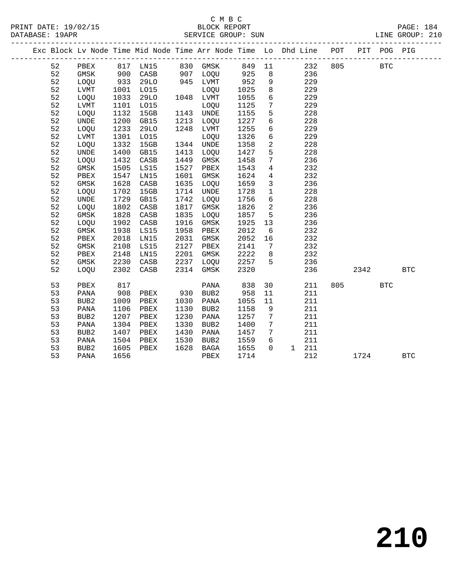#### C M B C<br>BLOCK REPORT PRINT DATE: 19/02/15 BLOCK REPORT PAGE: 184 SERVICE GROUP: SUN

|    | Exc Block Lv Node Time Mid Node Time Arr Node Time Lo Dhd Line POT |      |                      |      |           |                                           |                              |                              |     |       | PIT POG PIG |            |  |
|----|--------------------------------------------------------------------|------|----------------------|------|-----------|-------------------------------------------|------------------------------|------------------------------|-----|-------|-------------|------------|--|
| 52 | PBEX                                                               |      |                      |      |           |                                           |                              | 817 LN15 830 GMSK 849 11 232 | 805 |       | <b>BTC</b>  |            |  |
| 52 | GMSK                                                               |      | 900 CASB<br>933 29LO |      |           |                                           | 8 <sup>8</sup>               | 236                          |     |       |             |            |  |
| 52 | LOQU                                                               |      |                      |      |           | 907 LOQU 925<br>945 LVMT 952<br>LOQU 1025 | 9                            | 229                          |     |       |             |            |  |
| 52 | LVMT                                                               | 1001 | L015                 |      |           |                                           | 8 <sup>8</sup>               | 229                          |     |       |             |            |  |
| 52 | LOQU                                                               | 1033 | 29LO                 |      | 1048 LVMT | 1055                                      | $6\overline{6}$              | 229                          |     |       |             |            |  |
| 52 | LVMT                                                               | 1101 | LO15                 |      | LOOU      | 1125                                      | $7\overline{ }$              | 229                          |     |       |             |            |  |
| 52 | LOQU                                                               | 1132 | 15GB                 |      | 1143 UNDE | 1155                                      | 5                            | 228                          |     |       |             |            |  |
| 52 | <b>UNDE</b>                                                        | 1200 | GB15                 |      | 1213 LOQU | 1227                                      | 6                            | 228                          |     |       |             |            |  |
| 52 | LOQU                                                               | 1233 | 29LO                 |      | 1248 LVMT | 1255                                      | 6                            | 229                          |     |       |             |            |  |
| 52 | LVMT                                                               | 1301 | L015                 |      | LOQU      | 1326                                      | 6                            | 229                          |     |       |             |            |  |
| 52 | LOQU                                                               | 1332 | 15GB                 |      | 1344 UNDE | 1358                                      | $\overline{2}$               | 228                          |     |       |             |            |  |
| 52 | $\ensuremath{\mathsf{UNDE}}$                                       | 1400 | GB15                 |      | 1413 LOQU | 1427                                      | 5                            | 228                          |     |       |             |            |  |
| 52 | LOQU                                                               | 1432 | CASB                 | 1449 | GMSK      | 1458                                      | $7\overline{ }$              | 236                          |     |       |             |            |  |
| 52 | GMSK                                                               | 1505 | LS15                 | 1527 | PBEX      | 1543                                      | $\overline{4}$               | 232                          |     |       |             |            |  |
| 52 | PBEX                                                               | 1547 | LN15                 | 1601 | GMSK      | 1624                                      | $\overline{4}$               | 232                          |     |       |             |            |  |
| 52 | GMSK                                                               | 1628 | CASB                 | 1635 | LOQU      | 1659                                      | $\overline{\mathbf{3}}$      | 236                          |     |       |             |            |  |
| 52 | LOQU                                                               | 1702 | 15GB                 |      | 1714 UNDE | 1728                                      | $\overline{1}$               | 228                          |     |       |             |            |  |
| 52 | <b>UNDE</b>                                                        | 1729 | GB15                 | 1742 | LOQU      | 1756                                      | 6                            | 228                          |     |       |             |            |  |
| 52 | LOQU                                                               | 1802 | CASB                 | 1817 | GMSK      | 1826                                      | $\overline{a}$               | 236                          |     |       |             |            |  |
| 52 | GMSK                                                               | 1828 | CASB                 | 1835 | LOQU      | 1857                                      | $5^{\circ}$                  | 236                          |     |       |             |            |  |
| 52 | LOQU                                                               | 1902 | CASB                 | 1916 | GMSK      | 1925                                      | 13                           | 236                          |     |       |             |            |  |
| 52 | GMSK                                                               | 1938 | LS15                 | 1958 | PBEX      | 2012                                      | 6                            | 232                          |     |       |             |            |  |
| 52 | PBEX                                                               | 2018 | LN15                 | 2031 | GMSK      | 2052                                      | 16                           | 232                          |     |       |             |            |  |
| 52 | GMSK                                                               | 2108 | LS15                 | 2127 | PBEX      | 2141                                      | $7\phantom{.0}$              | 232                          |     |       |             |            |  |
| 52 | PBEX                                                               | 2148 | LN15                 | 2201 | GMSK      |                                           | 8 <sup>8</sup>               | 232                          |     |       |             |            |  |
| 52 | GMSK                                                               | 2230 | CASB                 |      | 2237 LOQU |                                           | $5^{\circ}$                  | 236                          |     |       |             |            |  |
| 52 | LOQU                                                               | 2302 | CASB                 | 2314 | GMSK      | 222∠<br>2257<br>2320                      |                              | 236                          |     | 2342  |             | <b>BTC</b> |  |
| 53 | PBEX                                                               | 817  |                      |      | PANA      | 838                                       | 30                           | 211                          |     | 805 7 | <b>BTC</b>  |            |  |
| 53 | PANA                                                               | 908  | PBEX                 |      | 930 BUB2  | 958                                       | 11                           | 211                          |     |       |             |            |  |
| 53 | BUB <sub>2</sub>                                                   | 1009 | PBEX                 | 1030 | PANA      | 1055                                      | 11                           | 211                          |     |       |             |            |  |
| 53 | PANA                                                               | 1106 | PBEX                 | 1130 | BUB2      | 1158                                      | 9                            | 211                          |     |       |             |            |  |
| 53 | BUB2                                                               | 1207 | PBEX                 | 1230 | PANA      | 1257                                      | $7\phantom{.0}\phantom{.0}7$ | 211                          |     |       |             |            |  |
| 53 | PANA                                                               | 1304 | PBEX                 | 1330 | BUB2      | 1400                                      | $\overline{7}$               | 211                          |     |       |             |            |  |
| 53 | BUB2                                                               | 1407 | PBEX                 | 1430 | PANA      | 1457                                      | $7\overline{ }$              | 211                          |     |       |             |            |  |
| 53 | PANA                                                               | 1504 | PBEX                 | 1530 | BUB2      | 1559                                      | 6                            | 211                          |     |       |             |            |  |
| 53 | BUB2                                                               | 1605 | PBEX                 |      | 1628 BAGA | 1655                                      | $\Omega$                     | 1 211                        |     |       |             |            |  |
| 53 | PANA                                                               | 1656 |                      |      | PBEX      | 1714                                      |                              | 212                          |     | 1724  |             | <b>BTC</b> |  |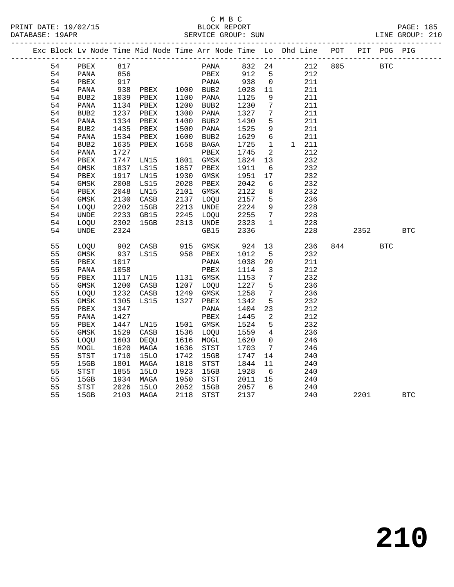|  |    | Exc Block Lv Node Time Mid Node Time Arr Node Time Lo Dhd Line POT |            |             |                |              |              |                         |       |     |      | PIT POG PIG |            |
|--|----|--------------------------------------------------------------------|------------|-------------|----------------|--------------|--------------|-------------------------|-------|-----|------|-------------|------------|
|  | 54 | PBEX                                                               | 817        |             |                | PANA         | 832 24       |                         | 212   | 805 |      | BTC         |            |
|  | 54 | PANA                                                               |            |             |                | PBEX         |              | $5^{\circ}$             | 212   |     |      |             |            |
|  | 54 | PBEX                                                               | 856<br>917 |             |                | PANA         | 912<br>938   | $\overline{0}$          | 211   |     |      |             |            |
|  | 54 | PANA                                                               | 938        | PBEX        | 1000 BUB2      |              | 1028         | 11                      | 211   |     |      |             |            |
|  | 54 | BUB2                                                               | 1039       | PBEX        | 1100 PANA      |              | 1125         | 9                       | 211   |     |      |             |            |
|  | 54 | PANA                                                               | 1134       | PBEX        | 1200           | BUB2         | 1230         | $7\phantom{.0}$         | 211   |     |      |             |            |
|  | 54 | BUB2                                                               | 1237       | PBEX        | 1300           | PANA         | 1327         | 7                       | 211   |     |      |             |            |
|  | 54 | PANA                                                               | 1334       | PBEX        | 1400           | BUB2         | 1430         | 5                       | 211   |     |      |             |            |
|  | 54 | BUB2                                                               | 1435       | PBEX        | 1500           | PANA         | 1525         | 9                       | 211   |     |      |             |            |
|  | 54 | PANA                                                               | 1534       | PBEX        | 1600           | BUB2         | 1629         | $6\overline{6}$         | 211   |     |      |             |            |
|  | 54 | BUB <sub>2</sub>                                                   | 1635       | PBEX        | 1658           | BAGA         | 1725         | $\mathbf{1}$            | 1 211 |     |      |             |            |
|  | 54 | PANA                                                               | 1727       |             |                | ${\tt PBEX}$ | 1745         | 2                       | 212   |     |      |             |            |
|  | 54 | PBEX                                                               | 1747       | LN15        | 1801           | GMSK         | 1824         | 13                      | 232   |     |      |             |            |
|  | 54 | $\rm{GMSK}$                                                        | 1837       | LS15        | 1857           | PBEX         | 1911         | $6\overline{6}$         | 232   |     |      |             |            |
|  | 54 | ${\tt PBEX}$                                                       | 1917       | LN15        | 1930           | GMSK         | 1951         | 17                      | 232   |     |      |             |            |
|  | 54 | GMSK                                                               | 2008       | LS15        | 2028           | PBEX         | 2042         | 6                       | 232   |     |      |             |            |
|  | 54 | PBEX                                                               | 2048       | LN15        | 2101           | GMSK         | 2122         | 8                       | 232   |     |      |             |            |
|  | 54 | GMSK                                                               | 2130       | CASB        | 2137           | LOQU         | 2157         | 5                       | 236   |     |      |             |            |
|  | 54 | LOQU                                                               | 2202       | 15GB        | 2213           | UNDE         | 2157<br>2224 | 9                       | 228   |     |      |             |            |
|  | 54 | <b>UNDE</b>                                                        | 2233       | GB15        | 2245           | LOQU         | 2255         | $7\phantom{.0}$         | 228   |     |      |             |            |
|  | 54 | LOQU                                                               | 2302       | 15GB        | 2313 UNDE      |              | 2323         | 1                       | 228   |     |      |             |            |
|  | 54 | UNDE                                                               | 2324       |             |                | GB15         | 2336         |                         | 228   |     | 2352 |             | <b>BTC</b> |
|  | 55 | LOQU                                                               | 902        | CASB        | 915 GMSK       |              | 924          | 13                      | 236   |     | 844  | <b>BTC</b>  |            |
|  | 55 | GMSK                                                               | 937        | LS15        | 958 PBEX       |              | 1012         | 5                       | 232   |     |      |             |            |
|  | 55 | PBEX                                                               | 1017       |             |                | PANA         | 1038         | 20                      | 211   |     |      |             |            |
|  | 55 | PANA                                                               | 1058       |             |                | PBEX         | 1114         | $\overline{\mathbf{3}}$ | 212   |     |      |             |            |
|  | 55 | PBEX                                                               | 1117       |             | LN15 1131 GMSK |              | 1153         | $7\phantom{.0}$         | 232   |     |      |             |            |
|  | 55 | GMSK                                                               | 1200       | CASB        | 1207 LOQU      |              | 1227         | 5                       | 236   |     |      |             |            |
|  | 55 | LOQU                                                               | 1232       | CASB        | 1249 GMSK      |              | 1258         | $7\overline{ }$         | 236   |     |      |             |            |
|  | 55 | $\rm{GMSK}$                                                        | 1305       | LS15        | 1327           | PBEX         | 1342         | 5                       | 232   |     |      |             |            |
|  | 55 | PBEX                                                               | 1347       |             |                | PANA         | 1404         | 23                      | 212   |     |      |             |            |
|  | 55 | PANA                                                               | 1427       |             |                | PBEX         | 1445         | $\overline{2}$          | 212   |     |      |             |            |
|  | 55 | PBEX                                                               | 1447       | LN15        | 1501 GMSK      |              | 1524         | 5                       | 232   |     |      |             |            |
|  | 55 | GMSK                                                               | 1529       | CASB        | 1536           | LOQU         | 1559         | 4                       | 236   |     |      |             |            |
|  | 55 | LOQU                                                               | 1603       | DEQU        | 1616           | MOGL         | 1620         | 0                       | 246   |     |      |             |            |
|  | 55 | MOGL                                                               | 1620       | MAGA        | 1636           | STST         | 1703         | $7\overline{ }$         | 246   |     |      |             |            |
|  | 55 | STST                                                               | 1710       | <b>15LO</b> | 1742           | 15GB         | 1747         | 14                      | 240   |     |      |             |            |
|  | 55 | 15GB                                                               | 1801       | MAGA        | 1818           | STST         | 1844         | 11                      | 240   |     |      |             |            |
|  | 55 | STST                                                               | 1855       | <b>15LO</b> | 1923           | 15GB         | 1928         | 6                       | 240   |     |      |             |            |
|  | 55 | 15GB                                                               | 1934       | MAGA        | 1950           | STST         | 2011         | 15                      | 240   |     |      |             |            |
|  | 55 | STST                                                               | 2026       | <b>15LO</b> | 2052           | 15GB         | 2057         | 6                       | 240   |     |      |             |            |
|  | 55 | 15GB                                                               | 2103       | MAGA        | 2118           | STST         | 2137         |                         | 240   |     | 2201 |             | <b>BTC</b> |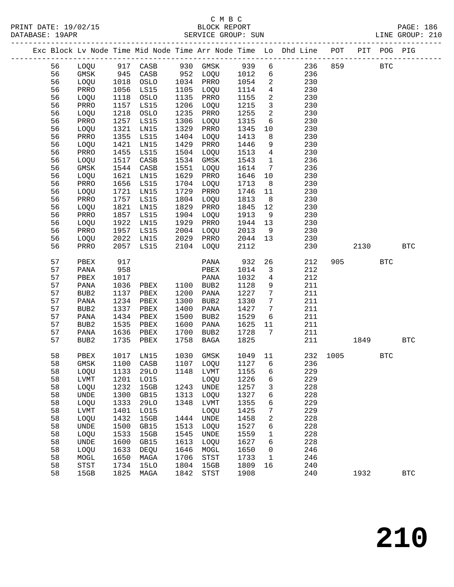PRINT DATE: 19/02/15 BLOCK REPORT PAGE: 186 DATABASE: 19APR

# C M B C

| DAIADAJE. IJAFR |    |                  |              |                                                  |      | OBRATCE QUOOL. OOM |      |                         |                                                                                                                                                                                                                                          |      |         |            | DINE GUOOL. TIN |
|-----------------|----|------------------|--------------|--------------------------------------------------|------|--------------------|------|-------------------------|------------------------------------------------------------------------------------------------------------------------------------------------------------------------------------------------------------------------------------------|------|---------|------------|-----------------|
|                 |    |                  |              |                                                  |      |                    |      |                         | ---------------------------<br>Exc Block Lv Node Time Mid Node Time Arr Node Time Lo Dhd Line POT PIT POG PIG                                                                                                                            |      |         |            |                 |
|                 | 56 |                  |              |                                                  |      |                    |      |                         | 10000 917 CASB 930 GMSK 939 6 236 859 BTC<br>10000 917 CASB 930 GMSK 939 6 236 859 BTC<br>10000 1018 OSLO 1034 PRRO 1054 2 230<br>10000 1018 OSLO 1034 PRRO 1054 2 230<br>PRRO 1056 LS15 1105 LOQU 1114 4 230<br>10000 1118 OSLO 1135 PR |      |         |            |                 |
|                 | 56 |                  |              |                                                  |      |                    |      |                         |                                                                                                                                                                                                                                          |      |         |            |                 |
|                 | 56 |                  |              |                                                  |      |                    |      |                         |                                                                                                                                                                                                                                          |      |         |            |                 |
|                 | 56 |                  |              |                                                  |      |                    |      |                         |                                                                                                                                                                                                                                          |      |         |            |                 |
|                 | 56 |                  |              |                                                  |      |                    |      |                         |                                                                                                                                                                                                                                          |      |         |            |                 |
|                 | 56 |                  |              |                                                  |      |                    |      |                         |                                                                                                                                                                                                                                          |      |         |            |                 |
|                 | 56 |                  |              |                                                  |      |                    |      |                         |                                                                                                                                                                                                                                          |      |         |            |                 |
|                 | 56 |                  |              |                                                  |      |                    |      |                         |                                                                                                                                                                                                                                          |      |         |            |                 |
|                 | 56 |                  |              |                                                  |      |                    |      |                         |                                                                                                                                                                                                                                          |      |         |            |                 |
|                 | 56 |                  |              |                                                  |      |                    |      |                         |                                                                                                                                                                                                                                          |      |         |            |                 |
|                 | 56 | LOQU             | 1421         | LN15                                             | 1429 | PRRO               | 1446 |                         | 230<br>$\frac{9}{4}$                                                                                                                                                                                                                     |      |         |            |                 |
|                 | 56 | PRRO             | 1455         | LS15                                             |      | 1504 LOQU          | 1513 |                         | 230                                                                                                                                                                                                                                      |      |         |            |                 |
|                 | 56 | LOQU             | 1517         | CASB                                             |      | 1534 GMSK          | 1543 |                         | $\frac{1}{7}$<br>236                                                                                                                                                                                                                     |      |         |            |                 |
|                 | 56 | GMSK             | 1544         | CASB                                             | 1551 | LOQU               | 1614 |                         | 236                                                                                                                                                                                                                                      |      |         |            |                 |
|                 | 56 | LOQU             | 1621         | LN15                                             | 1629 | PRRO               | 1646 |                         | 230<br>$\begin{array}{c} 10 \\ 8 \end{array}$                                                                                                                                                                                            |      |         |            |                 |
|                 | 56 | PRRO             | 1656         | LS15                                             | 1704 | LOQU               | 1713 |                         | 230                                                                                                                                                                                                                                      |      |         |            |                 |
|                 | 56 | LOQU             | 1721         | LN15                                             | 1729 | PRRO               | 1746 |                         | $\begin{array}{c} 11 \\ 8 \end{array}$<br>230                                                                                                                                                                                            |      |         |            |                 |
|                 | 56 | PRRO             | 1757         | LS15                                             |      | 1804 LOQU          | 1813 |                         | 230                                                                                                                                                                                                                                      |      |         |            |                 |
|                 | 56 | LOQU             | 1821         | LN15                                             | 1829 | PRRO               | 1845 |                         | $\begin{array}{c} 12 \\ 9 \end{array}$<br>230                                                                                                                                                                                            |      |         |            |                 |
|                 | 56 | PRRO             | 1857         | LS15                                             |      | 1904 LOQU          | 1913 |                         | 230                                                                                                                                                                                                                                      |      |         |            |                 |
|                 | 56 | LOOU             | 1922<br>1957 | LN15                                             |      | 1929 PRRO          | 1944 |                         | $\begin{array}{c} 13 \\ 9 \end{array}$<br>230                                                                                                                                                                                            |      |         |            |                 |
|                 | 56 | PRRO             |              | LS15                                             |      | 2004 LOQU          | 2013 |                         | 230                                                                                                                                                                                                                                      |      |         |            |                 |
|                 | 56 | LOQU             | 2022         | LN15                                             |      | 2029 PRRO          | 2044 |                         | 13<br>230                                                                                                                                                                                                                                |      |         |            |                 |
|                 | 56 | PRRO             |              | 2057 LS15                                        |      | 2104 LOQU          | 2112 |                         | 230                                                                                                                                                                                                                                      |      | 2130    |            | <b>BTC</b>      |
|                 | 57 | PBEX             | 917          |                                                  |      | PANA               | 932  |                         | 26<br>212                                                                                                                                                                                                                                |      | 905 BTC |            |                 |
|                 | 57 | PANA             | 958          |                                                  |      |                    | 1014 | 3 <sup>3</sup>          | 212                                                                                                                                                                                                                                      |      |         |            |                 |
|                 | 57 | PBEX             | 1017         |                                                  |      |                    | 1032 | $4\overline{4}$         | 212                                                                                                                                                                                                                                      |      |         |            |                 |
|                 | 57 | PANA             | 1036         | PBEX<br>PANA<br>PBEX 1100 BUB2<br>PBEX 1200 PANA |      |                    | 1128 | 9                       | 211                                                                                                                                                                                                                                      |      |         |            |                 |
|                 | 57 | BUB2             | 1137         |                                                  |      |                    | 1227 | $7\overline{ }$         | 211                                                                                                                                                                                                                                      |      |         |            |                 |
|                 | 57 | PANA             |              | 1234 PBEX                                        | 1300 | BUB2               | 1330 | $7\overline{ }$         | 211                                                                                                                                                                                                                                      |      |         |            |                 |
|                 | 57 | BUB2             | 1337         | PBEX                                             | 1400 | PANA               | 1427 | $7\overline{ }$         | 211                                                                                                                                                                                                                                      |      |         |            |                 |
|                 | 57 | PANA             | 1434         | PBEX                                             | 1500 | BUB2               | 1529 |                         | $6\overline{6}$<br>211                                                                                                                                                                                                                   |      |         |            |                 |
|                 | 57 | BUB2             | 1535         | PBEX                                             | 1600 | PANA               | 1625 | 11                      | 211                                                                                                                                                                                                                                      |      |         |            |                 |
|                 | 57 | PANA             | 1636         | PBEX                                             | 1700 | BUB2               | 1728 | $7\overline{ }$         | 211                                                                                                                                                                                                                                      |      |         |            |                 |
|                 | 57 | BUB <sub>2</sub> | 1735         | PBEX                                             | 1758 | BAGA               | 1825 |                         | 211                                                                                                                                                                                                                                      |      | 1849    |            | <b>BTC</b>      |
|                 | 58 | PBEX             | 1017         | LN15                                             | 1030 | GMSK               | 1049 |                         | 11<br>232                                                                                                                                                                                                                                | 1005 |         | <b>BTC</b> |                 |
|                 | 58 | GMSK             | 1100         | CASB                                             |      | 1107 LOQU          | 1127 | 6                       | 236                                                                                                                                                                                                                                      |      |         |            |                 |
|                 | 58 | LOQU             | 1133         | 29LO                                             | 1148 | LVMT               | 1155 | 6                       | 229                                                                                                                                                                                                                                      |      |         |            |                 |
|                 | 58 | LVMT             | 1201         | L015                                             |      | LOOU               | 1226 | 6                       | 229                                                                                                                                                                                                                                      |      |         |            |                 |
|                 | 58 | LOQU             | 1232         | 15GB                                             |      | 1243 UNDE          | 1257 | $\overline{\mathbf{3}}$ | 228                                                                                                                                                                                                                                      |      |         |            |                 |
|                 | 58 | UNDE             | 1300         | GB15                                             |      | 1313 LOQU          | 1327 | 6                       | 228                                                                                                                                                                                                                                      |      |         |            |                 |
|                 | 58 | LOQU             | 1333<br>1401 | 29LO                                             |      | 1348 LVMT          | 1355 | 6                       | 229                                                                                                                                                                                                                                      |      |         |            |                 |
|                 | 58 | LVMT             |              | LO15                                             |      | LOQU               | 1425 | $7\overline{ }$         | 229                                                                                                                                                                                                                                      |      |         |            |                 |
|                 | 58 | LOQU             | 1432         | 15GB                                             |      | 1444 UNDE          | 1458 | $\overline{a}$          | 228                                                                                                                                                                                                                                      |      |         |            |                 |

58 15GB 1825 MAGA 1842 STST 1908 240 1932 BTC

 58 UNDE 1500 GB15 1513 LOQU 1527 6 228 58 LOQU 1533 15GB 1545 UNDE 1559 1 228 58 UNDE 1600 GB15 1613 LOQU 1627 6 228 58 LOQU 1633 DEQU 1646 MOGL 1650 0 246 58 MOGL 1650 MAGA 1706 STST 1733 1 246 58 STST 1734 15LO 1804 15GB 1809 16 240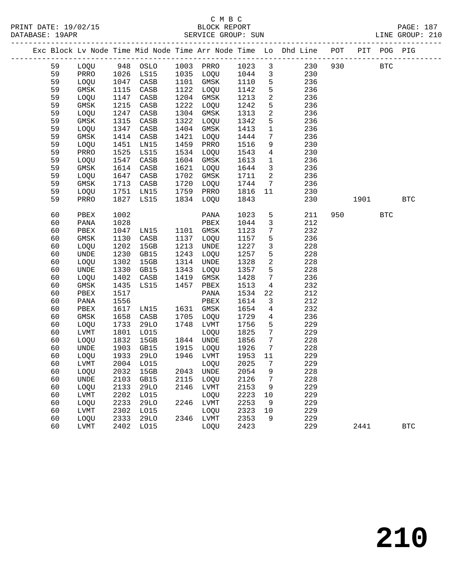|  | DATABASE: 19APR |             |      |                                |      | SERVICE GROUP: SUN  |      |                         | LINE GROUP: 210                                                                |         |            |            |              |  |
|--|-----------------|-------------|------|--------------------------------|------|---------------------|------|-------------------------|--------------------------------------------------------------------------------|---------|------------|------------|--------------|--|
|  |                 |             |      |                                |      |                     |      |                         | Exc Block Lv Node Time Mid Node Time Arr Node Time Lo Dhd Line POT PIT POG PIG |         |            |            |              |  |
|  | 59              |             |      | LOQU 948 OSLO 1003 PRRO 1023 3 |      |                     |      |                         |                                                                                | 230 930 | <b>BTC</b> |            |              |  |
|  | 59              | PRRO        | 1026 |                                |      | LS15 1035 LOQU 1044 |      | $\overline{\mathbf{3}}$ | 230                                                                            |         |            |            |              |  |
|  | 59              | LOQU        | 1047 | CASB                           |      | 1101 GMSK 1110      |      | $5^{\circ}$             | 236                                                                            |         |            |            |              |  |
|  | 59              | GMSK        | 1115 | CASB                           |      | 1122 LOQU           | 1142 | $5\phantom{.0}$         | 236                                                                            |         |            |            |              |  |
|  | 59              | LOQU        | 1147 | CASB                           |      | 1204 GMSK           | 1213 | $\overline{a}$          | 236                                                                            |         |            |            |              |  |
|  | 59              | GMSK        | 1215 | CASB                           | 1222 | LOQU                | 1242 | 5                       | 236                                                                            |         |            |            |              |  |
|  | 59              | LOQU        | 1247 | CASB                           |      | 1304 GMSK           | 1313 | $\overline{a}$          | 236                                                                            |         |            |            |              |  |
|  | 59              | GMSK        | 1315 | CASB                           | 1322 | LOQU                | 1342 | 5                       | 236                                                                            |         |            |            |              |  |
|  | 59              | LOQU        | 1347 | CASB                           |      | 1404 GMSK           | 1413 | $\mathbf{1}$            | 236                                                                            |         |            |            |              |  |
|  | 59              | GMSK        | 1414 | CASB                           | 1421 | LOQU                | 1444 | $7\phantom{.0}$         | 236                                                                            |         |            |            |              |  |
|  | 59              | LOQU        | 1451 | LN15                           | 1459 | PRRO                | 1516 | 9                       | 230                                                                            |         |            |            |              |  |
|  | 59              | PRRO        | 1525 | LS15                           |      | 1534 LOQU           | 1543 | $4\overline{ }$         | 230                                                                            |         |            |            |              |  |
|  | 59              | LOQU        | 1547 | CASB                           |      | 1604 GMSK           | 1613 | $\mathbf{1}$            | 236                                                                            |         |            |            |              |  |
|  | 59              | GMSK        | 1614 | CASB                           | 1621 | LOQU                | 1644 | $\overline{3}$          | 236                                                                            |         |            |            |              |  |
|  | 59              | LOQU        | 1647 | CASB                           |      | 1702 GMSK           | 1711 | $\overline{a}$          | 236                                                                            |         |            |            |              |  |
|  | 59              | $\rm{GMSK}$ | 1713 | CASB                           |      | 1720 LOQU           | 1744 | $\overline{7}$          | 236                                                                            |         |            |            |              |  |
|  | 59              | LOQU        | 1751 | LN15                           |      | 1759 PRRO           | 1816 | 11                      | 230                                                                            |         |            |            |              |  |
|  | 59              | PRRO        | 1827 | LS15                           |      | 1834 LOQU           | 1843 |                         | 230                                                                            |         | 1901       |            | <b>BTC</b>   |  |
|  | 60              | PBEX        | 1002 |                                |      | PANA                | 1023 | 5                       | 211                                                                            |         | 950 000    | <b>BTC</b> |              |  |
|  | 60              | PANA        | 1028 |                                |      | PBEX                | 1044 | $\mathbf{3}$            | 212                                                                            |         |            |            |              |  |
|  | 60              | PBEX        | 1047 | LNI5                           |      | 1101 GMSK           | 1123 | $7\phantom{.0}$         | 232                                                                            |         |            |            |              |  |
|  | 60              | GMSK        | 1130 | CASB                           | 1137 | LOQU                | 1157 | 5                       | 236                                                                            |         |            |            |              |  |
|  | 60              | LOQU        | 1202 | 15GB                           | 1213 | UNDE                | 1227 | $\mathbf{3}$            | 228                                                                            |         |            |            |              |  |
|  | 60              | UNDE        | 1230 | GB15                           | 1243 | LOQU                | 1257 | 5                       | 228                                                                            |         |            |            |              |  |
|  | 60              | LOQU        | 1302 | 15GB                           |      | 1314 UNDE           | 1328 | $\overline{a}$          | 228                                                                            |         |            |            |              |  |
|  | 60              | UNDE        | 1330 | GB15                           | 1343 | LOQU                | 1357 | 5                       | 228                                                                            |         |            |            |              |  |
|  | 60              | LOQU        | 1402 | CASB                           | 1419 | GMSK                | 1428 | $7\phantom{.0}$         | 236                                                                            |         |            |            |              |  |
|  | 60              | GMSK        | 1435 | LS15                           | 1457 | PBEX                | 1513 | $\overline{4}$          | 232                                                                            |         |            |            |              |  |
|  | 60              | PBEX        | 1517 |                                |      | PANA                | 1534 | 22                      | 212                                                                            |         |            |            |              |  |
|  | 60              | PANA        | 1556 |                                |      | PBEX                | 1614 | $\overline{3}$          | 212                                                                            |         |            |            |              |  |
|  | 60              | PBEX        | 1617 | LN15                           |      | 1631 GMSK           | 1654 | $\overline{4}$          | 232                                                                            |         |            |            |              |  |
|  | 60              | GMSK        | 1658 | CASB                           | 1705 | LOQU                | 1729 | $\overline{4}$          | 236                                                                            |         |            |            |              |  |
|  | 60              | LOQU        | 1733 | 29LO                           |      | 1748 LVMT           | 1756 | 5                       | 229                                                                            |         |            |            |              |  |
|  | 60              | LVMT        | 1801 | L015                           |      | LOQU                | 1825 | $7\overline{ }$         | 229                                                                            |         |            |            |              |  |
|  | 60              | LOQU        | 1832 | 15GB                           |      | 1844 UNDE           | 1856 | $7\phantom{.0}$         | 228                                                                            |         |            |            |              |  |
|  | 60              | <b>UNDE</b> | 1903 | GB15                           |      | 1915 LOQU           | 1926 | $\overline{7}$          | 228                                                                            |         |            |            |              |  |
|  | 60              | LOQU        | 1933 | 29LO                           |      | 1946 LVMT           | 1953 | 11                      | 229                                                                            |         |            |            |              |  |
|  | 60              | LVMT        |      | 2004 LO15 LOQU 2025 7          |      |                     |      |                         | 229                                                                            |         |            |            |              |  |
|  | 60              | LOQU        | 2032 | 15GB                           | 2043 | UNDE                | 2054 | 9                       | 228                                                                            |         |            |            |              |  |
|  | 60              | UNDE        | 2103 | GB15                           | 2115 | LOQU                | 2126 | 7                       | 228                                                                            |         |            |            |              |  |
|  | 60              | LOQU        | 2133 | <b>29LO</b>                    | 2146 | LVMT                | 2153 | 9                       | 229                                                                            |         |            |            |              |  |
|  | 60              | LVMT        | 2202 | L015                           |      | LOQU                | 2223 | 10                      | 229                                                                            |         |            |            |              |  |
|  | 60              | LOQU        | 2233 | 29LO                           | 2246 | LVMT                | 2253 | 9                       | 229                                                                            |         |            |            |              |  |
|  | 60              | LVMT        | 2302 | L015                           |      | LOQU                | 2323 | 10                      | 229                                                                            |         |            |            |              |  |
|  | 60              | LOQU        | 2333 | 29LO                           |      | 2346 LVMT           | 2353 | 9                       | 229                                                                            |         |            |            |              |  |
|  | 60              | LVMT        | 2402 | LO15                           |      | LOQU                | 2423 |                         | 229                                                                            |         | 2441       |            | $_{\rm BTC}$ |  |
|  |                 |             |      |                                |      |                     |      |                         |                                                                                |         |            |            |              |  |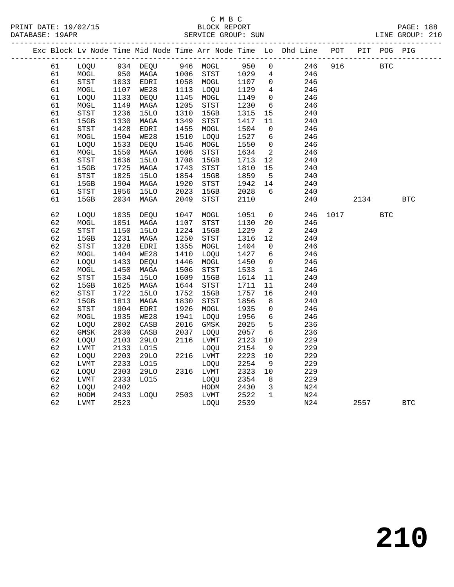|  |    |                                       |      |             |      |                                       |                      |                 | Exc Block Lv Node Time Mid Node Time Arr Node Time Lo Dhd Line POT |      |      | PIT POG PIG |            |
|--|----|---------------------------------------|------|-------------|------|---------------------------------------|----------------------|-----------------|--------------------------------------------------------------------|------|------|-------------|------------|
|  | 61 | LOQU                                  |      | 934 DEQU    |      | 946 MOGL                              | 950                  | $\overline{0}$  | 246                                                                | 916  |      | <b>BTC</b>  |            |
|  | 61 | MOGL                                  | 950  | MAGA        |      | 1006 STST<br>1058 MOGL                | 1029<br>1107         | $4\overline{ }$ | 246                                                                |      |      |             |            |
|  | 61 | <b>STST</b>                           | 1033 | EDRI        |      |                                       |                      | $\overline{0}$  | 246                                                                |      |      |             |            |
|  | 61 | $\tt MOGL$                            | 1107 | <b>WE28</b> | 1113 | LOQU                                  | 1129                 | $4\overline{ }$ | 246                                                                |      |      |             |            |
|  | 61 | LOQU                                  | 1133 | DEQU        | 1145 | MOGL                                  | 1149                 | $\overline{0}$  | 246                                                                |      |      |             |            |
|  | 61 | MOGL                                  | 1149 | MAGA        | 1205 | STST                                  | 1230                 | 6               | 246                                                                |      |      |             |            |
|  | 61 | STST                                  | 1236 | <b>15LO</b> | 1310 | 15GB                                  | 1315                 | 15              | 240                                                                |      |      |             |            |
|  | 61 | 15GB                                  | 1330 | MAGA        | 1349 | STST                                  | 1417                 | 11              | 240                                                                |      |      |             |            |
|  | 61 | ${\tt STST}$                          | 1428 | EDRI        | 1455 | MOGL                                  | 1504                 | $\overline{0}$  | 246                                                                |      |      |             |            |
|  | 61 | $\tt MOGL$                            | 1504 | <b>WE28</b> | 1510 | LOQU                                  | 1527                 | $6\overline{6}$ | 246                                                                |      |      |             |            |
|  | 61 | LOQU                                  | 1533 | DEQU        | 1546 | MOGL                                  | 1550                 | $\overline{0}$  | 246                                                                |      |      |             |            |
|  | 61 | $\tt MOGL$                            | 1550 | MAGA        | 1606 | STST                                  | 1634                 | 2               | 246                                                                |      |      |             |            |
|  | 61 | STST                                  | 1636 | <b>15LO</b> | 1708 | 15GB                                  | 1713                 | 12              | 240                                                                |      |      |             |            |
|  | 61 | 15GB                                  | 1725 | MAGA        | 1743 | STST                                  | 1810                 | 15              | 240                                                                |      |      |             |            |
|  | 61 | STST                                  | 1825 | <b>15LO</b> | 1854 | 15GB                                  | 1859                 | $5^{\circ}$     | 240                                                                |      |      |             |            |
|  | 61 | 15GB                                  | 1904 | MAGA        | 1920 | $_{\footnotesize{\textnormal{STST}}}$ | 1942                 | 14              | 240                                                                |      |      |             |            |
|  | 61 | $_{\footnotesize{\textnormal{STST}}}$ | 1956 | <b>15LO</b> | 2023 | 15GB                                  | 2028                 | 6               | 240                                                                |      |      |             |            |
|  | 61 | 15GB                                  | 2034 | MAGA        | 2049 | STST                                  | 2110                 |                 | 240                                                                |      | 2134 |             | <b>BTC</b> |
|  | 62 | LOQU                                  | 1035 | DEQU        | 1047 | MOGL                                  | 1051                 | $\mathsf{O}$    | 246                                                                | 1017 |      | <b>BTC</b>  |            |
|  | 62 | $\tt MOGL$                            | 1051 | MAGA        | 1107 | STST                                  | 1130                 | 20              | 246                                                                |      |      |             |            |
|  | 62 | STST                                  | 1150 | <b>15LO</b> | 1224 | 15GB                                  | 1229                 | 2               | 240                                                                |      |      |             |            |
|  | 62 | 15GB                                  | 1231 | MAGA        | 1250 | STST                                  | 1316                 | 12              | 240                                                                |      |      |             |            |
|  | 62 | $_{\footnotesize\rm STST}$            | 1328 | EDRI        | 1355 | MOGL                                  | 1404                 | $\overline{0}$  | 246                                                                |      |      |             |            |
|  | 62 | $\tt MOGL$                            | 1404 | WE28        | 1410 | LOQU                                  | 1427                 | $6\overline{6}$ | 246                                                                |      |      |             |            |
|  | 62 | LOQU                                  | 1433 | DEQU        | 1446 | MOGL                                  | 1450                 | $\overline{0}$  | 246                                                                |      |      |             |            |
|  | 62 | MOGL                                  | 1450 | MAGA        | 1506 | <b>STST</b>                           | 1533                 | $\mathbf{1}$    | 246                                                                |      |      |             |            |
|  | 62 | STST                                  | 1534 | <b>15LO</b> | 1609 | 15GB                                  | 1614                 | 11              | 240                                                                |      |      |             |            |
|  | 62 | 15GB                                  | 1625 | MAGA        | 1644 | STST                                  | 1711                 | 11              | 240                                                                |      |      |             |            |
|  | 62 | STST                                  | 1722 | <b>15LO</b> | 1752 | 15GB                                  | 1757                 | 16              | 240                                                                |      |      |             |            |
|  | 62 | 15GB                                  | 1813 | MAGA        | 1830 | $_{\footnotesize\rm STST}$            | 1856                 | 8               | 240                                                                |      |      |             |            |
|  | 62 | STST                                  | 1904 | EDRI        | 1926 | MOGL                                  | 1935                 | $\mathbf 0$     | 246                                                                |      |      |             |            |
|  | 62 | $\tt MOGL$                            | 1935 | WE28        | 1941 | LOQU                                  | 1956                 | $6\overline{6}$ | 246                                                                |      |      |             |            |
|  | 62 | LOQU                                  | 2002 | CASB        | 2016 | GMSK                                  | 2025                 | 5               | 236                                                                |      |      |             |            |
|  | 62 | GMSK                                  | 2030 | CASB        | 2037 | LOQU                                  | 2057                 | 6               | 236                                                                |      |      |             |            |
|  | 62 | LOQU                                  | 2103 | <b>29LO</b> | 2116 | LVMT                                  | 2123                 | $10 \,$         | 229                                                                |      |      |             |            |
|  | 62 | ${\rm LVMT}$                          | 2133 | LO15        |      | LOQU                                  | 2154                 | 9               | 229                                                                |      |      |             |            |
|  | 62 | LOQU                                  | 2203 | <b>29LO</b> |      | 2216 LVMT                             | 2223                 | $10$            | 229                                                                |      |      |             |            |
|  | 62 | <b>LVMT</b>                           | 2233 | L015        |      | LOOU                                  | 2254                 | $\mathsf 9$     | 229                                                                |      |      |             |            |
|  | 62 | LOQU                                  | 2303 | <b>29LO</b> |      | 2316 LVMT                             | 2323                 | 10              | 229                                                                |      |      |             |            |
|  | 62 | <b>LVMT</b>                           | 2333 | L015        |      | LOQU                                  | 2354                 | 8               | 229                                                                |      |      |             |            |
|  | 62 | LOQU                                  | 2402 |             |      | HODM                                  | 2430<br>2430<br>2522 | $\overline{3}$  | N24                                                                |      |      |             |            |
|  | 62 | HODM                                  | 2433 | LOQU        |      | 2503 LVMT                             |                      | $\mathbf{1}$    | N24                                                                |      |      |             |            |
|  | 62 | LVMT                                  | 2523 |             |      | LOQU                                  | 2539                 |                 | N24                                                                |      | 2557 |             | <b>BTC</b> |
|  |    |                                       |      |             |      |                                       |                      |                 |                                                                    |      |      |             |            |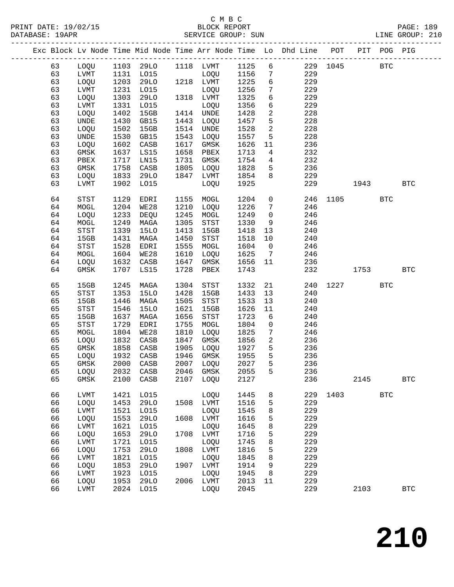|  |          |                                       |              |              |              |                |              |                  | Exc Block Lv Node Time Mid Node Time Arr Node Time Lo Dhd Line POT |      |      | PIT POG PIG  |              |
|--|----------|---------------------------------------|--------------|--------------|--------------|----------------|--------------|------------------|--------------------------------------------------------------------|------|------|--------------|--------------|
|  | 63       | LOQU                                  |              | 1103 29LO    |              | 1118 LVMT 1125 |              | 6                | 229 1045                                                           |      |      | $_{\rm BTC}$ |              |
|  | 63       | LVMT                                  | 1131         | L015         |              | LOQU           | 1156         | $7\phantom{.0}$  | 229                                                                |      |      |              |              |
|  | 63       | LOQU                                  | 1203         | <b>29LO</b>  |              | 1218 LVMT      | 1225         | 6                | 229                                                                |      |      |              |              |
|  | 63       | LVMT                                  | 1231         | L015         |              | LOQU           | 1256         | $7\phantom{.0}$  | 229                                                                |      |      |              |              |
|  | 63       | LOQU                                  | 1303         | <b>29LO</b>  |              | 1318 LVMT      | 1325         | 6                | 229                                                                |      |      |              |              |
|  | 63       | LVMT                                  | 1331         | L015         |              | LOQU           | 1356         | 6                | 229                                                                |      |      |              |              |
|  | 63       | LOQU                                  | 1402         | 15GB         |              | 1414 UNDE      | 1428         | $\overline{a}$   | 228                                                                |      |      |              |              |
|  | 63       | UNDE                                  | 1430         | GB15         | 1443         | LOQU           | 1457         | 5                | 228                                                                |      |      |              |              |
|  | 63       | LOQU                                  | 1502         | 15GB         | 1514         | UNDE           | 1528         | $\overline{a}$   | 228                                                                |      |      |              |              |
|  | 63       | UNDE                                  | 1530         | GB15         | 1543         | LOQU           | 1557         | 5                | 228                                                                |      |      |              |              |
|  | 63       | LOQU                                  | 1602         | CASB         | 1617         | GMSK           | 1626         | 11               | 236                                                                |      |      |              |              |
|  | 63       | GMSK                                  | 1637         | LS15         | 1658         | PBEX           | 1713         | $\overline{4}$   | 232                                                                |      |      |              |              |
|  | 63       | PBEX                                  | 1717         | LN15         | 1731         | GMSK           | 1754         | $\overline{4}$   | 232                                                                |      |      |              |              |
|  | 63       | GMSK                                  | 1758         | CASB         | 1805         | LOQU           | 1828         | 5                | 236                                                                |      |      |              |              |
|  | 63       | LOQU                                  | 1833         | 29LO         | 1847         | LVMT           | 1854         | 8                | 229                                                                |      |      |              |              |
|  | 63       | LVMT                                  | 1902         | LO15         |              | LOQU           | 1925         |                  | 229                                                                |      | 1943 |              | $_{\rm BTC}$ |
|  |          |                                       |              |              |              |                |              |                  |                                                                    |      |      |              |              |
|  | 64       | STST                                  | 1129         | EDRI         | 1155         | MOGL           | 1204         | $\overline{0}$   | 246                                                                |      | 1105 | <b>BTC</b>   |              |
|  | 64       | MOGL                                  | 1204         | WE28         | 1210         | LOQU           | 1226         | $7\phantom{.0}$  | 246                                                                |      |      |              |              |
|  | 64       | LOQU                                  | 1233         | DEQU         | 1245         | MOGL           | 1249         | $\mathbf 0$      | 246                                                                |      |      |              |              |
|  | 64       | MOGL                                  | 1249         | MAGA         | 1305         | STST           | 1330         | 9                | 246                                                                |      |      |              |              |
|  | 64       | $_{\footnotesize{\textnormal{STST}}}$ | 1339         | <b>15LO</b>  | 1413         | 15GB           | 1418         | 13               | 240                                                                |      |      |              |              |
|  | 64       | 15GB                                  | 1431         | MAGA         | 1450         | STST           | 1518         | 10               | 240                                                                |      |      |              |              |
|  | 64       | $_{\footnotesize{\textnormal{STST}}}$ | 1528         | EDRI         | 1555         | MOGL           | 1604         | $\overline{0}$   | 246                                                                |      |      |              |              |
|  | 64       | MOGL                                  | 1604         | WE28         | 1610         | LOQU           | 1625         | 7                | 246                                                                |      |      |              |              |
|  | 64       | LOQU                                  | 1632         | CASB         | 1647         | GMSK           | 1656         | 11               | 236                                                                |      |      |              |              |
|  | 64       | GMSK                                  | 1707         | LS15         | 1728         | PBEX           | 1743         |                  | 232                                                                |      | 1753 |              | <b>BTC</b>   |
|  |          |                                       |              |              |              |                |              |                  |                                                                    |      |      |              |              |
|  | 65       | 15GB                                  | 1245         | MAGA         | 1304         | STST           | 1332         | 21               | 240                                                                |      | 1227 | <b>BTC</b>   |              |
|  | 65       | STST                                  | 1353         | <b>15LO</b>  | 1428         | 15GB           | 1433         | 13               | 240                                                                |      |      |              |              |
|  | 65       | 15GB                                  | 1446         | MAGA         | 1505         | STST           | 1533         | 13               | 240                                                                |      |      |              |              |
|  | 65<br>65 | STST                                  | 1546<br>1637 | <b>15LO</b>  | 1621<br>1656 | 15GB           | 1626<br>1723 | 11               | 240<br>240                                                         |      |      |              |              |
|  | 65       | 15GB<br>STST                          | 1729         | MAGA         | 1755         | STST           | 1804         | 6<br>$\mathbf 0$ | 246                                                                |      |      |              |              |
|  | 65       | MOGL                                  | 1804         | EDRI<br>WE28 | 1810         | MOGL<br>LOQU   | 1825         | $7\phantom{.0}$  | 246                                                                |      |      |              |              |
|  | 65       | LOQU                                  | 1832         | CASB         | 1847         | GMSK           | 1856         | $\overline{a}$   | 236                                                                |      |      |              |              |
|  | 65       | GMSK                                  | 1858         | CASB         | 1905         | LOQU           | 1927         | 5                | 236                                                                |      |      |              |              |
|  | 65       | LOQU                                  | 1932         | CASB         | 1946         | GMSK           | 1955         | 5                | 236                                                                |      |      |              |              |
|  | 65       | GMSK                                  | 2000         | CASB         | 2007         | LOQU           | 2027         | 5                | 236                                                                |      |      |              |              |
|  | 65       | LOQU                                  |              | 2032 CASB    |              | 2046 GMSK      | 2055 5       |                  | 236                                                                |      |      |              |              |
|  | 65       | GMSK                                  | 2100         | CASB         | 2107         | LOQU           | 2127         |                  | 236                                                                |      | 2145 |              | $_{\rm BTC}$ |
|  |          |                                       |              |              |              |                |              |                  |                                                                    |      |      |              |              |
|  | 66       | LVMT                                  | 1421         | L015         |              | LOQU           | 1445         | 8                | 229                                                                | 1403 |      | <b>BTC</b>   |              |
|  | 66       | LOQU                                  | 1453         | <b>29LO</b>  | 1508         | LVMT           | 1516         | 5                | 229                                                                |      |      |              |              |
|  | 66       | ${\rm LVMT}$                          | 1521         | L015         |              | LOQU           | 1545         | 8                | 229                                                                |      |      |              |              |
|  | 66       | LOQU                                  | 1553         | <b>29LO</b>  | 1608         | ${\rm LVMT}$   | 1616         | 5                | 229                                                                |      |      |              |              |
|  | 66       | LVMT                                  | 1621         | L015         |              | LOQU           | 1645         | 8                | 229                                                                |      |      |              |              |
|  | 66       | LOQU                                  | 1653         | <b>29LO</b>  | 1708         | LVMT           | 1716         | 5                | 229                                                                |      |      |              |              |
|  | 66       | ${\rm LVMT}$                          | 1721         | L015         |              | LOQU           | 1745         | 8                | 229                                                                |      |      |              |              |
|  | 66       | LOQU                                  | 1753         | <b>29LO</b>  | 1808         | LVMT           | 1816         | 5                | 229                                                                |      |      |              |              |
|  | 66       | LVMT                                  | 1821         | L015         |              | LOQU           | 1845         | 8                | 229                                                                |      |      |              |              |
|  | 66       | LOQU                                  | 1853         | <b>29LO</b>  | 1907         | ${\rm LVMT}$   | 1914         | 9                | 229                                                                |      |      |              |              |
|  | 66       | LVMT                                  | 1923         | L015         |              | LOQU           | 1945         | 8                | 229                                                                |      |      |              |              |
|  | 66       | LOQU                                  | 1953         | <b>29LO</b>  | 2006         | ${\rm LVMT}$   | 2013         | 11               | 229                                                                |      |      |              |              |
|  | 66       | LVMT                                  | 2024         | L015         |              | LOQU           | 2045         |                  | 229                                                                |      | 2103 |              | $_{\rm BTC}$ |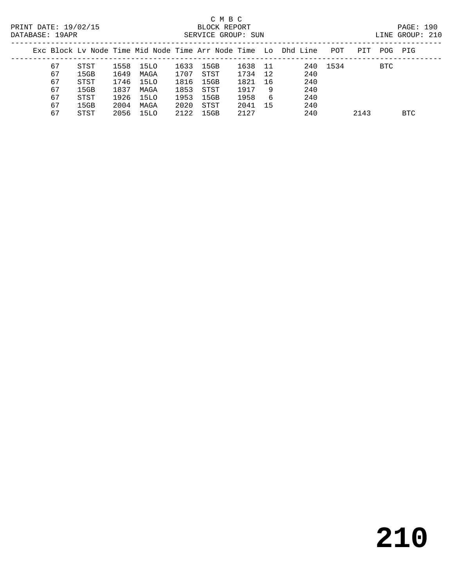|  |    |      |      |      |      |      |      |     | Exc Block Ly Node Time Mid Node Time Arr Node Time Lo Dhd Line | POT  | PIT  | POG.       | PIG        |
|--|----|------|------|------|------|------|------|-----|----------------------------------------------------------------|------|------|------------|------------|
|  | 67 | STST | 1558 | 15LO | 1633 | 15GB | 1638 | 11  | 240                                                            | 1534 |      | <b>BTC</b> |            |
|  | 67 | 15GB | 1649 | MAGA | 1707 | STST | 1734 | 12  | 240                                                            |      |      |            |            |
|  | 67 | STST | 1746 | 15LO | 1816 | 15GB | 1821 | 16  | 240                                                            |      |      |            |            |
|  | 67 | 15GB | 1837 | MAGA | 1853 | STST | 1917 | 9   | 240                                                            |      |      |            |            |
|  | 67 | STST | 1926 | 15LO | 1953 | 15GB | 1958 | -6  | 240                                                            |      |      |            |            |
|  | 67 | 15GB | 2004 | MAGA | 2020 | STST | 2041 | -15 | 240                                                            |      |      |            |            |
|  | 67 | STST | 2056 | 15LO | 2122 | 15GB | 2127 |     | 240                                                            |      | 2143 |            | <b>BTC</b> |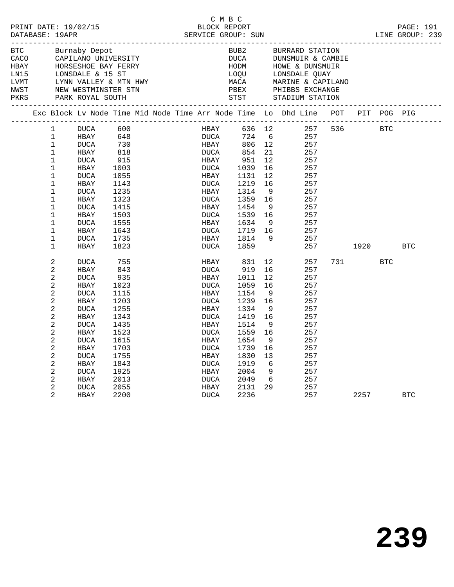|                    | PRINT DATE: 19/02/15<br>DATABASE: 19APR<br>Burnaby Depot |                            |                                                                                         |              |  |  | C M B C      |      |              |                       |                                                                                                                               |           |         |            |  |
|--------------------|----------------------------------------------------------|----------------------------|-----------------------------------------------------------------------------------------|--------------|--|--|--------------|------|--------------|-----------------------|-------------------------------------------------------------------------------------------------------------------------------|-----------|---------|------------|--|
| <b>BTC</b><br>HBAY |                                                          |                            | CACO CAPILANO UNIVERSITY                                                                |              |  |  |              |      | BUB2         |                       | BURRARD STATION<br>DUCA DUNSMUIR & CANNON<br>HOM HOWE & DUNSMUI<br>LOQU LONSDALE QUAY<br>DUNSMUIR & CAMBIE<br>HOWE & DUNSMUIR |           |         |            |  |
| LNI5               |                                                          |                            | HORSESHOE BAY FERRY<br>LONSDALE & 15 ST<br>LYNN VALLEY & MTN HWY<br>NEW WESTMINSTER STN |              |  |  |              |      |              |                       |                                                                                                                               |           |         |            |  |
| LVMT               |                                                          |                            |                                                                                         |              |  |  |              |      | MACA         |                       | MARINE & CAPILANO<br>PHIBBS EXCHANGE                                                                                          |           |         |            |  |
| NWST               |                                                          |                            |                                                                                         |              |  |  |              |      | PBEX         |                       |                                                                                                                               |           |         |            |  |
| PKRS               |                                                          |                            |                                                                                         |              |  |  |              |      |              |                       |                                                                                                                               |           |         |            |  |
|                    |                                                          |                            |                                                                                         |              |  |  |              |      |              |                       | Exc Block Lv Node Time Mid Node Time Arr Node Time Lo Dhd Line POT PIT POG PIG                                                |           |         |            |  |
|                    |                                                          | 1                          | DUCA                                                                                    | 600<br>648   |  |  |              | HBAY |              |                       | 636 12 257<br>724 6 257                                                                                                       | 536 BTC   |         |            |  |
|                    |                                                          | 1                          | HBAY                                                                                    |              |  |  |              | DUCA |              |                       |                                                                                                                               |           |         |            |  |
|                    |                                                          | $\mathbf{1}$               | DUCA                                                                                    | 730<br>818   |  |  | HBAY         |      | 806 12       |                       | 257                                                                                                                           |           |         |            |  |
|                    |                                                          | $\mathbf{1}$               | HBAY                                                                                    |              |  |  | DUCA         |      | 854          | 21                    | 257                                                                                                                           |           |         |            |  |
|                    |                                                          | $\mathbf 1$<br>$\mathbf 1$ | DUCA<br>HBAY                                                                            | 915          |  |  | HBAY<br>DUCA |      | 951<br>1039  | 12 <sup>°</sup><br>16 | 257<br>257                                                                                                                    |           |         |            |  |
|                    |                                                          | $\mathbf{1}$               | <b>DUCA</b>                                                                             | 1003<br>1055 |  |  | HBAY         |      | 1131         | 12 <sup>°</sup>       | 257                                                                                                                           |           |         |            |  |
|                    |                                                          | $\mathbf{1}$               | HBAY                                                                                    | 1143         |  |  | DUCA         |      | 1219         | 16                    | 257                                                                                                                           |           |         |            |  |
|                    |                                                          | $\mathbf{1}$               | DUCA                                                                                    | 1235         |  |  | HBAY         |      | 1314         | 9                     | 257                                                                                                                           |           |         |            |  |
|                    |                                                          | $\mathbf{1}$               | HBAY                                                                                    | 1323         |  |  | DUCA         |      | 1359         | 16                    | 257                                                                                                                           |           |         |            |  |
|                    |                                                          | $\mathbf{1}$               | DUCA                                                                                    | 1415         |  |  | HBAY         |      | 1454         | 9                     | 257                                                                                                                           |           |         |            |  |
|                    |                                                          | $\mathbf{1}$               | HBAY                                                                                    | 1503         |  |  | DUCA         |      | 1539         | 16                    | 257                                                                                                                           |           |         |            |  |
|                    |                                                          | $\mathbf{1}$               | DUCA                                                                                    | 1555         |  |  | HBAY         |      | 1634         | - 9                   | 257                                                                                                                           |           |         |            |  |
|                    |                                                          | $\mathbf{1}$               | HBAY                                                                                    | 1643         |  |  | DUCA         |      | 1719         | 16                    | 257                                                                                                                           |           |         |            |  |
|                    |                                                          | $\mathbf{1}$               | DUCA                                                                                    | 1735         |  |  | HBAY         |      | 1814         | - 9                   | 257                                                                                                                           |           |         |            |  |
|                    |                                                          | $\mathbf 1$                | HBAY                                                                                    | 1823         |  |  | DUCA         |      | 1859         |                       | 257                                                                                                                           |           | 1920 70 | BTC        |  |
|                    |                                                          | 2                          | DUCA                                                                                    | 755          |  |  | HBAY         |      | 831          | 12                    | 257                                                                                                                           | 731 — 173 | BTC     |            |  |
|                    |                                                          | 2                          | HBAY                                                                                    | 843          |  |  | DUCA         |      | 919          | 16                    | 257                                                                                                                           |           |         |            |  |
|                    |                                                          | 2                          | DUCA                                                                                    | 935          |  |  | HBAY         |      | 1011         | 12 <sup>°</sup>       | 257                                                                                                                           |           |         |            |  |
|                    |                                                          | 2                          | HBAY                                                                                    | 1023         |  |  | DUCA         |      | 1059         | 16                    | 257                                                                                                                           |           |         |            |  |
|                    |                                                          | 2                          | DUCA                                                                                    | 1115         |  |  | HBAY         |      | 1154         | 9                     | 257                                                                                                                           |           |         |            |  |
|                    |                                                          | 2                          | HBAY                                                                                    | 1203         |  |  | DUCA         |      | 1239         | 16                    | 257                                                                                                                           |           |         |            |  |
|                    |                                                          | 2                          | <b>DUCA</b>                                                                             | 1255         |  |  | HBAY         |      | 1334         | 9                     | 257                                                                                                                           |           |         |            |  |
|                    |                                                          | 2                          | HBAY                                                                                    | 1343         |  |  | DUCA         |      | 1419         | 16                    | 257                                                                                                                           |           |         |            |  |
|                    |                                                          | 2                          | <b>DUCA</b>                                                                             | 1435         |  |  | HBAY         |      | 1514         | - 9                   | 257                                                                                                                           |           |         |            |  |
|                    |                                                          | 2                          | HBAY                                                                                    | 1523         |  |  | DUCA         |      | 1559         | 16                    | 257                                                                                                                           |           |         |            |  |
|                    |                                                          | 2                          | DUCA                                                                                    | 1615         |  |  | HBAY         |      | 1654         | - 9                   | 257                                                                                                                           |           |         |            |  |
|                    |                                                          | 2                          | HBAY                                                                                    | 1703         |  |  | DUCA         |      | 1739         | 16                    | 257                                                                                                                           |           |         |            |  |
|                    |                                                          | 2                          | <b>DUCA</b>                                                                             | 1755         |  |  | HBAY         |      | 1830         | 13                    | 257                                                                                                                           |           |         |            |  |
|                    |                                                          | 2                          | HBAY                                                                                    | 1843         |  |  | DUCA         |      | 1919         | 6                     | 257                                                                                                                           |           |         |            |  |
|                    |                                                          | 2<br>$\overline{2}$        | <b>DUCA</b>                                                                             | 1925<br>2013 |  |  | HBAY<br>DUCA |      | 2004<br>2049 | 9<br>6                | 257<br>257                                                                                                                    |           |         |            |  |
|                    |                                                          | $\overline{2}$             | HBAY<br>DUCA                                                                            | 2055         |  |  | HBAY         |      | 2131         | 29                    | 257                                                                                                                           |           |         |            |  |
|                    |                                                          | $\overline{a}$             | HBAY                                                                                    | 2200         |  |  | DUCA         |      | 2236         |                       | 257                                                                                                                           |           | 2257    | <b>BTC</b> |  |
|                    |                                                          |                            |                                                                                         |              |  |  |              |      |              |                       |                                                                                                                               |           |         |            |  |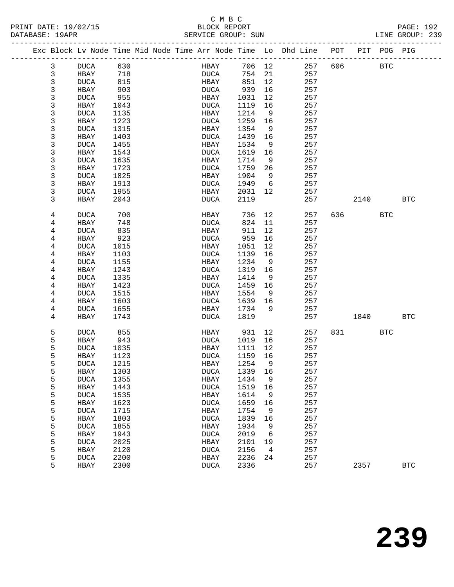| PRINT DATE: 19/02/15<br>DATABASE: 19APR |  |  |  |  | BLOCK REPORT<br>SERVICE GROUP: SUN |  |  |  |  |  |  | PAGE: 192<br>LINE GROUP: 239                                                   |  |  |  |  |
|-----------------------------------------|--|--|--|--|------------------------------------|--|--|--|--|--|--|--------------------------------------------------------------------------------|--|--|--|--|
|                                         |  |  |  |  |                                    |  |  |  |  |  |  | Exc Block Ly Node Time Mid Node Time Arr Node Time Lo Dhd Line POT PIT POG PIG |  |  |  |  |

|  |   |             |      |  |             |        | . _ _ _ _ _ _ _ _ | Exc Block Lv Node Time Mid Node Time Arr Node Time Lo Dhd Line | POT | PIT  | POG PIG      |            |
|--|---|-------------|------|--|-------------|--------|-------------------|----------------------------------------------------------------|-----|------|--------------|------------|
|  | 3 | <b>DUCA</b> | 630  |  | HBAY        | 706    | 12                | 257                                                            | 606 |      | $_{\rm BTC}$ |            |
|  | 3 | HBAY        | 718  |  | <b>DUCA</b> | 754    | 21                | 257                                                            |     |      |              |            |
|  | 3 | <b>DUCA</b> | 815  |  | HBAY        | 851    | 12                | 257                                                            |     |      |              |            |
|  | 3 | HBAY        | 903  |  | <b>DUCA</b> | 939    | 16                | 257                                                            |     |      |              |            |
|  | 3 | <b>DUCA</b> | 955  |  | HBAY        | 1031   | 12                | 257                                                            |     |      |              |            |
|  | 3 | HBAY        | 1043 |  | <b>DUCA</b> | 1119   | 16                | 257                                                            |     |      |              |            |
|  | 3 | <b>DUCA</b> | 1135 |  | HBAY        | 1214   | 9                 | 257                                                            |     |      |              |            |
|  | 3 | HBAY        | 1223 |  | <b>DUCA</b> | 1259   | 16                | 257                                                            |     |      |              |            |
|  | 3 | <b>DUCA</b> | 1315 |  | HBAY        | 1354   | 9                 | 257                                                            |     |      |              |            |
|  | 3 | HBAY        | 1403 |  | <b>DUCA</b> | 1439   | 16                | 257                                                            |     |      |              |            |
|  | 3 | <b>DUCA</b> | 1455 |  | HBAY        | 1534   | 9                 | 257                                                            |     |      |              |            |
|  | 3 | HBAY        | 1543 |  | <b>DUCA</b> | 1619   | 16                | 257                                                            |     |      |              |            |
|  | 3 | <b>DUCA</b> | 1635 |  | HBAY        | 1714   | 9                 | 257                                                            |     |      |              |            |
|  | 3 | HBAY        | 1723 |  | <b>DUCA</b> | 1759   | 26                | 257                                                            |     |      |              |            |
|  | 3 | <b>DUCA</b> | 1825 |  | HBAY        | 1904   | 9                 | 257                                                            |     |      |              |            |
|  | 3 | HBAY        | 1913 |  | <b>DUCA</b> | 1949   | 6                 | 257                                                            |     |      |              |            |
|  | 3 | DUCA        | 1955 |  | HBAY        | 2031   | 12                | 257                                                            |     |      |              |            |
|  | 3 | HBAY        | 2043 |  | DUCA        | 2119   |                   | 257                                                            |     | 2140 |              | <b>BTC</b> |
|  | 4 | <b>DUCA</b> | 700  |  | HBAY        | 736    | 12                | 257                                                            | 636 |      | <b>BTC</b>   |            |
|  | 4 | HBAY        | 748  |  | <b>DUCA</b> | 824    | 11                | 257                                                            |     |      |              |            |
|  | 4 | <b>DUCA</b> | 835  |  | HBAY        | 911    | 12                | 257                                                            |     |      |              |            |
|  | 4 | HBAY        | 923  |  | <b>DUCA</b> | 959    | 16                | 257                                                            |     |      |              |            |
|  | 4 | <b>DUCA</b> | 1015 |  | HBAY        | 1051   | 12                | 257                                                            |     |      |              |            |
|  | 4 | HBAY        | 1103 |  | <b>DUCA</b> | 1139   | 16                | 257                                                            |     |      |              |            |
|  | 4 | <b>DUCA</b> | 1155 |  | HBAY        | 1234   | 9                 | 257                                                            |     |      |              |            |
|  | 4 | HBAY        | 1243 |  | <b>DUCA</b> | 1319   | 16                | 257                                                            |     |      |              |            |
|  | 4 | <b>DUCA</b> | 1335 |  | HBAY        | 1414   | 9                 | 257                                                            |     |      |              |            |
|  | 4 | HBAY        | 1423 |  | <b>DUCA</b> | 1459   | 16                | 257                                                            |     |      |              |            |
|  | 4 | <b>DUCA</b> | 1515 |  | HBAY        | 1554   | 9                 | 257                                                            |     |      |              |            |
|  | 4 | HBAY        | 1603 |  | <b>DUCA</b> | 1639   | 16                | 257                                                            |     |      |              |            |
|  | 4 | <b>DUCA</b> | 1655 |  | HBAY        | 1734   | 9                 | 257                                                            |     |      |              |            |
|  | 4 | HBAY        | 1743 |  | <b>DUCA</b> | 1819   |                   | 257                                                            |     | 1840 |              | <b>BTC</b> |
|  | 5 | <b>DUCA</b> | 855  |  | HBAY        | 931    | 12                | 257                                                            | 831 |      | <b>BTC</b>   |            |
|  | 5 | HBAY        | 943  |  | <b>DUCA</b> | 1019   | 16                | 257                                                            |     |      |              |            |
|  | 5 | <b>DUCA</b> | 1035 |  | HBAY        | 1111   | 12                | 257                                                            |     |      |              |            |
|  | 5 | HBAY        | 1123 |  | <b>DUCA</b> | 1159   | 16                | 257                                                            |     |      |              |            |
|  | 5 | <b>DUCA</b> | 1215 |  | HBAY        | 1254   | 9                 | 257                                                            |     |      |              |            |
|  | 5 | HBAY        | 1303 |  | <b>DUCA</b> | 1339   | 16                | 257                                                            |     |      |              |            |
|  | 5 | $\rm DUCA$  | 1355 |  | HBAY        | 1434 9 |                   | 257                                                            |     |      |              |            |
|  | 5 | HBAY        | 1443 |  | <b>DUCA</b> | 1519   | 16                | 257                                                            |     |      |              |            |
|  | 5 | <b>DUCA</b> | 1535 |  | HBAY        | 1614   | 9                 | 257                                                            |     |      |              |            |
|  | 5 | HBAY        | 1623 |  | <b>DUCA</b> | 1659   | 16                | 257                                                            |     |      |              |            |
|  | 5 | <b>DUCA</b> | 1715 |  | HBAY        | 1754   | 9                 | 257                                                            |     |      |              |            |
|  | 5 | HBAY        | 1803 |  | <b>DUCA</b> | 1839   | 16                | 257                                                            |     |      |              |            |
|  | 5 | <b>DUCA</b> | 1855 |  | HBAY        | 1934   | 9                 | 257                                                            |     |      |              |            |
|  | 5 | HBAY        | 1943 |  | <b>DUCA</b> | 2019   | 6                 | 257                                                            |     |      |              |            |
|  | 5 | <b>DUCA</b> | 2025 |  | HBAY        | 2101   | 19                | 257                                                            |     |      |              |            |
|  | 5 | HBAY        | 2120 |  | <b>DUCA</b> | 2156   | 4                 | 257                                                            |     |      |              |            |
|  | 5 | <b>DUCA</b> | 2200 |  | HBAY        | 2236   | 24                | 257                                                            |     |      |              |            |
|  | 5 | HBAY        | 2300 |  | <b>DUCA</b> | 2336   |                   | 257                                                            |     | 2357 |              | <b>BTC</b> |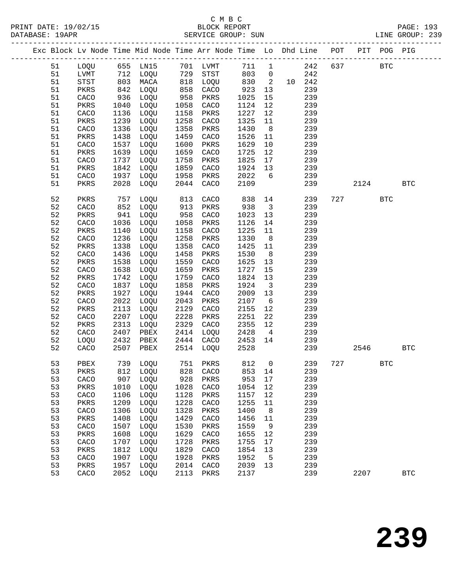|  |          |              |                  | Exc Block Lv Node Time Mid Node Time Arr Node Time Lo Dhd Line POT PIT POG PIG |                 |                   |              |                               |            |     |      |            |              |
|--|----------|--------------|------------------|--------------------------------------------------------------------------------|-----------------|-------------------|--------------|-------------------------------|------------|-----|------|------------|--------------|
|  | 51       | LOQU         |                  | 655 LN15                                                                       |                 | 701 LVMT          | 711          | $\mathbf{1}$                  | 242        | 637 |      | <b>BTC</b> |              |
|  | 51       | LVMT         |                  | 712 LOQU                                                                       | $\frac{1}{818}$ | STST              | 803          | $\overline{0}$                | 242        |     |      |            |              |
|  | 51       | STST         | $\frac{11}{803}$ | MACA                                                                           |                 | LOQU              | 830          | $\overline{2}$                | 10 242     |     |      |            |              |
|  | 51       | PKRS         | 842              | LOQU                                                                           | 858             | CACO              | 923          | 13                            | 239        |     |      |            |              |
|  | 51       | CACO         | 936              | LOQU                                                                           | 958             | PKRS              | 1025         | 15                            | 239        |     |      |            |              |
|  | 51       | PKRS         | 1040             | LOQU                                                                           | 1058            | CACO              | 1124         | 12                            | 239        |     |      |            |              |
|  | 51       | CACO         | 1136             | LOQU                                                                           | 1158            | PKRS              | 1227         | 12                            | 239        |     |      |            |              |
|  | 51       | PKRS         | 1239             | LOQU                                                                           | 1258            | CACO              | 1325         | 11                            | 239        |     |      |            |              |
|  | 51       | CACO         | 1336             | LOQU                                                                           | 1358            | PKRS              | 1430         | 8                             | 239        |     |      |            |              |
|  | 51       | PKRS         | 1438             | LOQU                                                                           | 1459            | CACO              | 1526         | 11                            | 239        |     |      |            |              |
|  | 51       | CACO         | 1537             | LOQU                                                                           | 1600            | PKRS              | 1629         | 10                            | 239        |     |      |            |              |
|  | 51       | PKRS         | 1639             | LOQU                                                                           | 1659            | CACO              | 1725         | 12                            | 239        |     |      |            |              |
|  | 51       | CACO         | 1737             | LOQU                                                                           | 1758            | PKRS              | 1825         | 17                            | 239        |     |      |            |              |
|  | 51       | PKRS         | 1842             | LOQU                                                                           | 1859            | CACO              | 1924         | 13                            | 239        |     |      |            |              |
|  | 51       | CACO         | 1937             | LOQU                                                                           | 1958            | PKRS              | 2022         | $6\overline{6}$               | 239        |     |      |            |              |
|  | 51       | PKRS         | 2028             | LOQU                                                                           | 2044            | CACO              | 2109         |                               | 239        |     | 2124 |            | <b>BTC</b>   |
|  | 52       | PKRS         | 757              | LOQU                                                                           | 813             | CACO              | 838          | 14                            | 239        | 727 |      | <b>BTC</b> |              |
|  | 52       | CACO         | 852              | LOQU                                                                           | 913             | PKRS              | 938          | $\overline{\mathbf{3}}$       | 239        |     |      |            |              |
|  | 52       | PKRS         | 941              | LOQU                                                                           | 958             | CACO              | 1023         | 13                            | 239        |     |      |            |              |
|  | 52       | CACO         | 1036             | LOQU                                                                           | 1058            | PKRS              | 1126         | 14                            | 239        |     |      |            |              |
|  | 52       | PKRS         | 1140             | LOQU                                                                           | 1158            | CACO              | 1225         | 11                            | 239        |     |      |            |              |
|  | 52       | CACO         | 1236             | LOQU                                                                           | 1258            | PKRS              | 1330         | 8 <sup>8</sup>                | 239        |     |      |            |              |
|  | 52       | PKRS         | 1338             | LOQU                                                                           | 1358            | CACO              | 1425         | 11                            | 239        |     |      |            |              |
|  | 52       | CACO         | 1436             | LOQU                                                                           | 1458            | PKRS              | 1530         | 8                             | 239        |     |      |            |              |
|  | 52       | PKRS         | 1538             | LOQU                                                                           | 1559            | CACO              | 1625         | 13                            | 239        |     |      |            |              |
|  | 52       | CACO         | 1638             | LOQU                                                                           | 1659            | PKRS              | 1727         | 15                            | 239        |     |      |            |              |
|  | 52<br>52 | PKRS         | 1742<br>1837     | LOQU<br>LOQU                                                                   | 1759<br>1858    | CACO              | 1824<br>1924 | 13                            | 239        |     |      |            |              |
|  | 52       | CACO<br>PKRS | 1927             | LOQU                                                                           | 1944            | PKRS<br>CACO      | 2009         | $\overline{\mathbf{3}}$<br>13 | 239<br>239 |     |      |            |              |
|  | 52       | CACO         | 2022             | LOQU                                                                           | 2043            | PKRS              | 2107         | $6\overline{6}$               | 239        |     |      |            |              |
|  | 52       | PKRS         | 2113             | LOQU                                                                           | 2129            | CACO              | 2155         | 12                            | 239        |     |      |            |              |
|  | 52       | CACO         | 2207             | LOQU                                                                           | 2228            | PKRS              | 2251         | 22                            | 239        |     |      |            |              |
|  | 52       | PKRS         | 2313             | LOQU                                                                           | 2329            | CACO              | 2355         | 12                            | 239        |     |      |            |              |
|  | 52       | CACO         | 2407             | PBEX                                                                           | 2414            | LOQU              | 2428         | $\overline{4}$                | 239        |     |      |            |              |
|  | 52       | LOQU         | 2432             | PBEX                                                                           |                 | 2444 CACO         | 2453         | 14                            | 239        |     |      |            |              |
|  | 52       | CACO         | 2507             | PBEX                                                                           |                 | 2514 LOQU         | 2528         |                               | 239        |     | 2546 |            | $_{\rm BTC}$ |
|  |          |              |                  |                                                                                |                 |                   |              |                               |            |     |      |            |              |
|  | 53       | PBEX         |                  | 739 LOQU                                                                       |                 | 751 PKRS          | 812          | $\overline{0}$                | 239        |     | 727  | <b>BTC</b> |              |
|  | 53       |              |                  | PKRS 812 LOQU 828 CACO 853 14                                                  |                 |                   |              |                               | 239        |     |      |            |              |
|  | 53       | CACO         | 907              | LOQU                                                                           | 928             | PKRS              | 953          | 17                            | 239        |     |      |            |              |
|  | 53       | PKRS         | 1010             | LOQU                                                                           | 1028            | CACO              | 1054         | 12                            | 239        |     |      |            |              |
|  | 53       | CACO         | 1106             | LOQU                                                                           | 1128            | PKRS              | 1157         | 12                            | 239        |     |      |            |              |
|  | 53<br>53 | PKRS<br>CACO | 1209<br>1306     | LOQU<br>LOQU                                                                   | 1228<br>1328    | CACO<br>PKRS      | 1255<br>1400 | 11<br>8                       | 239<br>239 |     |      |            |              |
|  | 53       | PKRS         | 1408             | LOQU                                                                           | 1429            | CACO              | 1456         | 11                            | 239        |     |      |            |              |
|  | 53       | CACO         | 1507             | LOQU                                                                           | 1530            | PKRS              | 1559         | 9                             | 239        |     |      |            |              |
|  | 53       | PKRS         | 1608             | LOQU                                                                           | 1629            | CACO              | 1655         | 12                            | 239        |     |      |            |              |
|  | 53       | CACO         | 1707             | LOQU                                                                           | 1728            | PKRS              | 1755         | 17                            | 239        |     |      |            |              |
|  | 53       | PKRS         | 1812             | LOQU                                                                           | 1829            | CACO              | 1854         | 13                            | 239        |     |      |            |              |
|  | 53       | CACO         | 1907             | LOQU                                                                           | 1928            | PKRS              | 1952         | 5                             | 239        |     |      |            |              |
|  | 53       | PKRS         | 1957             | LOQU                                                                           | 2014            | CACO              | 2039         | 13                            | 239        |     |      |            |              |
|  | 53       | CACO         | 2052             | LOQU                                                                           | 2113            | $\mbox{\rm PKRS}$ | 2137         |                               | 239        |     | 2207 |            | $_{\rm BTC}$ |
|  |          |              |                  |                                                                                |                 |                   |              |                               |            |     |      |            |              |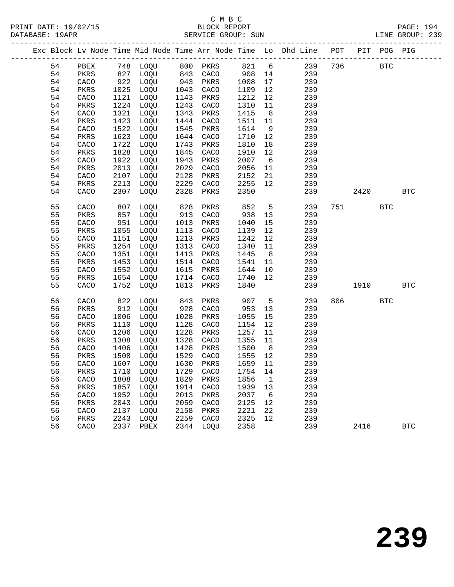|  |    |      |      |           |      |          |      |                 | Exc Block Lv Node Time Mid Node Time Arr Node Time Lo Dhd Line POT PIT POG PIG |     |      |            |              |
|--|----|------|------|-----------|------|----------|------|-----------------|--------------------------------------------------------------------------------|-----|------|------------|--------------|
|  | 54 | PBEX |      | 748 LOQU  |      | 800 PKRS | 821  | $6\overline{6}$ | 239                                                                            | 736 |      | <b>BTC</b> |              |
|  | 54 | PKRS | 827  | LOQU      |      | 843 CACO | 908  | 14              | 239                                                                            |     |      |            |              |
|  | 54 | CACO | 922  | LOQU      | 943  | PKRS     | 1008 | 17              | 239                                                                            |     |      |            |              |
|  | 54 | PKRS | 1025 | LOQU      | 1043 | CACO     | 1109 | 12              | 239                                                                            |     |      |            |              |
|  | 54 | CACO | 1121 | LOQU      | 1143 | PKRS     | 1212 | 12              | 239                                                                            |     |      |            |              |
|  | 54 | PKRS | 1224 | LOQU      | 1243 | CACO     | 1310 | 11              | 239                                                                            |     |      |            |              |
|  | 54 | CACO | 1321 | LOQU      | 1343 | PKRS     | 1415 | 8               | 239                                                                            |     |      |            |              |
|  | 54 | PKRS | 1423 | LOQU      | 1444 | CACO     | 1511 | 11              | 239                                                                            |     |      |            |              |
|  | 54 | CACO | 1522 | LOQU      | 1545 | PKRS     | 1614 | 9               | 239                                                                            |     |      |            |              |
|  | 54 | PKRS | 1623 | LOQU      | 1644 | CACO     | 1710 | 12              | 239                                                                            |     |      |            |              |
|  | 54 | CACO | 1722 | LOQU      | 1743 | PKRS     | 1810 | 18              | 239                                                                            |     |      |            |              |
|  | 54 | PKRS | 1828 | LOQU      | 1845 | CACO     | 1910 | 12              | 239                                                                            |     |      |            |              |
|  | 54 | CACO | 1922 | LOQU      | 1943 | PKRS     | 2007 | 6               | 239                                                                            |     |      |            |              |
|  | 54 | PKRS | 2013 | LOQU      | 2029 | CACO     | 2056 | 11              | 239                                                                            |     |      |            |              |
|  | 54 | CACO | 2107 | LOQU      | 2128 | PKRS     | 2152 | 21              | 239                                                                            |     |      |            |              |
|  | 54 | PKRS | 2213 | LOQU      | 2229 | CACO     | 2255 | 12              | 239                                                                            |     |      |            |              |
|  | 54 | CACO | 2307 | LOQU      | 2328 | PKRS     | 2350 |                 | 239                                                                            |     | 2420 |            | <b>BTC</b>   |
|  |    |      |      |           |      |          |      |                 |                                                                                |     |      |            |              |
|  | 55 | CACO | 807  | LOQU      | 828  | PKRS     | 852  | 5               | 239                                                                            | 751 |      | <b>BTC</b> |              |
|  | 55 | PKRS | 857  | LOQU      | 913  | CACO     | 938  | 13              | 239                                                                            |     |      |            |              |
|  | 55 | CACO | 951  | LOQU      | 1013 | PKRS     | 1040 | 15              | 239                                                                            |     |      |            |              |
|  | 55 | PKRS | 1055 | LOQU      | 1113 | CACO     | 1139 | 12              | 239                                                                            |     |      |            |              |
|  | 55 | CACO | 1151 | LOQU      | 1213 | PKRS     | 1242 | 12              | 239                                                                            |     |      |            |              |
|  | 55 | PKRS | 1254 | LOQU      | 1313 | CACO     | 1340 | 11              | 239                                                                            |     |      |            |              |
|  | 55 | CACO | 1351 | LOQU      | 1413 | PKRS     | 1445 | 8 <sup>8</sup>  | 239                                                                            |     |      |            |              |
|  | 55 | PKRS | 1453 | LOQU      | 1514 | CACO     | 1541 | 11              | 239                                                                            |     |      |            |              |
|  | 55 | CACO | 1552 | LOQU      | 1615 | PKRS     | 1644 | 10              | 239                                                                            |     |      |            |              |
|  | 55 | PKRS | 1654 | LOQU      | 1714 | CACO     | 1740 | 12              | 239                                                                            |     |      |            |              |
|  | 55 | CACO | 1752 | LOQU      | 1813 | PKRS     | 1840 |                 | 239                                                                            |     | 1910 |            | <b>BTC</b>   |
|  | 56 | CACO | 822  | LOQU      | 843  | PKRS     | 907  | 5               | 239                                                                            | 806 |      | <b>BTC</b> |              |
|  | 56 | PKRS | 912  | LOQU      | 928  | CACO     | 953  | 13              | 239                                                                            |     |      |            |              |
|  | 56 | CACO | 1006 | LOQU      | 1028 | PKRS     | 1055 | 15              | 239                                                                            |     |      |            |              |
|  | 56 | PKRS | 1110 | LOQU      | 1128 | CACO     | 1154 | 12              | 239                                                                            |     |      |            |              |
|  | 56 | CACO | 1206 | LOQU      | 1228 | PKRS     | 1257 | 11              | 239                                                                            |     |      |            |              |
|  | 56 | PKRS | 1308 | LOQU      | 1328 | CACO     | 1355 | 11              | 239                                                                            |     |      |            |              |
|  | 56 | CACO | 1406 | LOQU      | 1428 | PKRS     | 1500 | 8 <sup>8</sup>  | 239                                                                            |     |      |            |              |
|  | 56 | PKRS | 1508 | LOQU      | 1529 | CACO     | 1555 | 12              | 239                                                                            |     |      |            |              |
|  | 56 | CACO |      | 1607 LOQU | 1630 | PKRS     | 1659 | 11              | 239                                                                            |     |      |            |              |
|  | 56 | PKRS | 1710 | LOQU      | 1729 | CACO     | 1754 | 14              | 239                                                                            |     |      |            |              |
|  | 56 | CACO | 1808 | LOQU      | 1829 | PKRS     | 1856 | 1               | 239                                                                            |     |      |            |              |
|  | 56 | PKRS | 1857 | LOQU      | 1914 | CACO     | 1939 | 13              | 239                                                                            |     |      |            |              |
|  | 56 | CACO | 1952 | LOQU      | 2013 | PKRS     | 2037 | 6               | 239                                                                            |     |      |            |              |
|  | 56 | PKRS | 2043 | LOQU      | 2059 | CACO     | 2125 | 12              | 239                                                                            |     |      |            |              |
|  | 56 | CACO | 2137 | LOQU      | 2158 | PKRS     | 2221 | 22              | 239                                                                            |     |      |            |              |
|  | 56 | PKRS | 2243 | LOQU      | 2259 | CACO     | 2325 | 12              | 239                                                                            |     |      |            |              |
|  | 56 | CACO | 2337 | PBEX      | 2344 | LOQU     | 2358 |                 | 239                                                                            |     | 2416 |            | $_{\rm BTC}$ |
|  |    |      |      |           |      |          |      |                 |                                                                                |     |      |            |              |